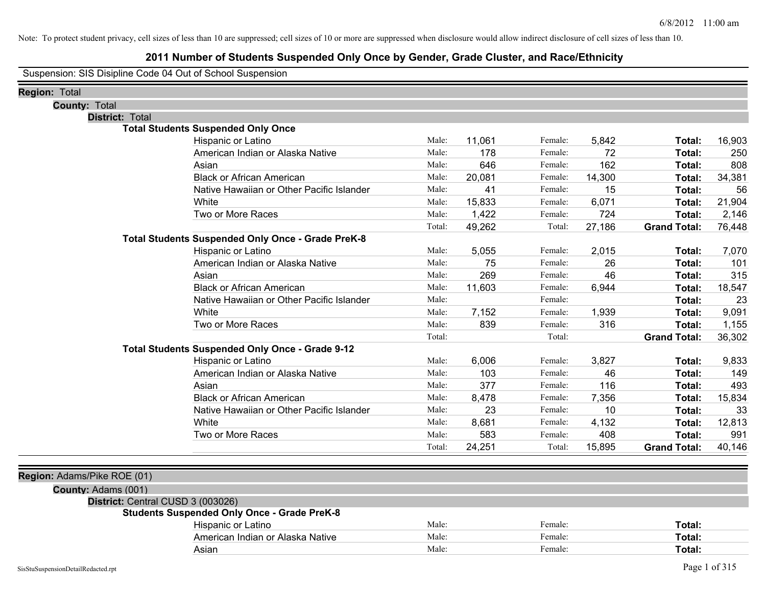### **2011 Number of Students Suspended Only Once by Gender, Grade Cluster, and Race/Ethnicity**

Suspension: SIS Disipline Code 04 Out of School Suspension

| <b>County: Total</b><br><b>District: Total</b><br><b>Total Students Suspended Only Once</b><br>11,061<br>5,842<br>Hispanic or Latino<br>Male:<br>Female:<br>16,903<br>Total:<br>American Indian or Alaska Native<br>178<br>Female:<br>72<br>250<br>Male:<br>Total:<br>162<br>646<br>808<br>Asian<br>Male:<br>Female:<br>Total:<br>34,381<br><b>Black or African American</b><br>Male:<br>20,081<br>Female:<br>14,300<br>Total:<br>41<br>15<br>56<br>Native Hawaiian or Other Pacific Islander<br>Male:<br>Female:<br>Total:<br>White<br>15,833<br>6,071<br>21,904<br>Male:<br>Female:<br>Total:<br>Two or More Races<br>1,422<br>724<br>2,146<br>Male:<br>Female:<br>Total:<br>49,262<br>27,186<br>Total:<br>Total:<br><b>Grand Total:</b><br>76,448<br>Total Students Suspended Only Once - Grade PreK-8<br>Hispanic or Latino<br>Male:<br>5,055<br>Female:<br>2,015<br>7,070<br>Total:<br>American Indian or Alaska Native<br>75<br>26<br>101<br>Male:<br>Female:<br>Total:<br>269<br>315<br>46<br>Asian<br>Male:<br>Female:<br>Total:<br><b>Black or African American</b><br>11,603<br>6,944<br>18,547<br>Male:<br>Female:<br>Total:<br>Native Hawaiian or Other Pacific Islander<br>Female:<br>23<br>Male:<br>Total:<br>7,152<br>1,939<br>9,091<br>White<br>Female:<br>Male:<br>Total:<br>Two or More Races<br>839<br>316<br>1,155<br>Male:<br>Female:<br>Total:<br>Total:<br>Total:<br><b>Grand Total:</b><br>36,302<br><b>Total Students Suspended Only Once - Grade 9-12</b><br>Hispanic or Latino<br>Male:<br>6,006<br>3,827<br>Female:<br>9,833<br>Total:<br>103<br>46<br>American Indian or Alaska Native<br>Male:<br>Female:<br>149<br>Total:<br>377<br>116<br>493<br>Asian<br>Male:<br>Female:<br>Total:<br><b>Black or African American</b><br>7,356<br>15,834<br>Male:<br>8,478<br>Female:<br>Total:<br>Native Hawaiian or Other Pacific Islander<br>Male:<br>23<br>Female:<br>10<br>33<br>Total:<br>White<br>8,681<br>4,132<br>12,813<br>Male:<br>Female:<br>Total:<br>Two or More Races<br>583<br>408<br>991<br>Male:<br>Female:<br>Total:<br>15,895<br>40,146<br>Total:<br>24,251<br>Total:<br><b>Grand Total:</b><br>County: Adams (001)<br>District: Central CUSD 3 (003026)<br><b>Students Suspended Only Once - Grade PreK-8</b><br>Hispanic or Latino<br>Male:<br>Female:<br>Total:<br>American Indian or Alaska Native<br>Male:<br>Female:<br>Total:<br>Male:<br>Female:<br>Asian<br>Total: | <b>Region: Total</b>        |  |  |  |  |
|--------------------------------------------------------------------------------------------------------------------------------------------------------------------------------------------------------------------------------------------------------------------------------------------------------------------------------------------------------------------------------------------------------------------------------------------------------------------------------------------------------------------------------------------------------------------------------------------------------------------------------------------------------------------------------------------------------------------------------------------------------------------------------------------------------------------------------------------------------------------------------------------------------------------------------------------------------------------------------------------------------------------------------------------------------------------------------------------------------------------------------------------------------------------------------------------------------------------------------------------------------------------------------------------------------------------------------------------------------------------------------------------------------------------------------------------------------------------------------------------------------------------------------------------------------------------------------------------------------------------------------------------------------------------------------------------------------------------------------------------------------------------------------------------------------------------------------------------------------------------------------------------------------------------------------------------------------------------------------------------------------------------------------------------------------------------------------------------------------------------------------------------------------------------------------------------------------------------------------------------------------------------------------------------------------------------------------------------------------------------------------------------------------------------|-----------------------------|--|--|--|--|
|                                                                                                                                                                                                                                                                                                                                                                                                                                                                                                                                                                                                                                                                                                                                                                                                                                                                                                                                                                                                                                                                                                                                                                                                                                                                                                                                                                                                                                                                                                                                                                                                                                                                                                                                                                                                                                                                                                                                                                                                                                                                                                                                                                                                                                                                                                                                                                                                                    |                             |  |  |  |  |
|                                                                                                                                                                                                                                                                                                                                                                                                                                                                                                                                                                                                                                                                                                                                                                                                                                                                                                                                                                                                                                                                                                                                                                                                                                                                                                                                                                                                                                                                                                                                                                                                                                                                                                                                                                                                                                                                                                                                                                                                                                                                                                                                                                                                                                                                                                                                                                                                                    |                             |  |  |  |  |
|                                                                                                                                                                                                                                                                                                                                                                                                                                                                                                                                                                                                                                                                                                                                                                                                                                                                                                                                                                                                                                                                                                                                                                                                                                                                                                                                                                                                                                                                                                                                                                                                                                                                                                                                                                                                                                                                                                                                                                                                                                                                                                                                                                                                                                                                                                                                                                                                                    |                             |  |  |  |  |
|                                                                                                                                                                                                                                                                                                                                                                                                                                                                                                                                                                                                                                                                                                                                                                                                                                                                                                                                                                                                                                                                                                                                                                                                                                                                                                                                                                                                                                                                                                                                                                                                                                                                                                                                                                                                                                                                                                                                                                                                                                                                                                                                                                                                                                                                                                                                                                                                                    |                             |  |  |  |  |
|                                                                                                                                                                                                                                                                                                                                                                                                                                                                                                                                                                                                                                                                                                                                                                                                                                                                                                                                                                                                                                                                                                                                                                                                                                                                                                                                                                                                                                                                                                                                                                                                                                                                                                                                                                                                                                                                                                                                                                                                                                                                                                                                                                                                                                                                                                                                                                                                                    |                             |  |  |  |  |
|                                                                                                                                                                                                                                                                                                                                                                                                                                                                                                                                                                                                                                                                                                                                                                                                                                                                                                                                                                                                                                                                                                                                                                                                                                                                                                                                                                                                                                                                                                                                                                                                                                                                                                                                                                                                                                                                                                                                                                                                                                                                                                                                                                                                                                                                                                                                                                                                                    |                             |  |  |  |  |
|                                                                                                                                                                                                                                                                                                                                                                                                                                                                                                                                                                                                                                                                                                                                                                                                                                                                                                                                                                                                                                                                                                                                                                                                                                                                                                                                                                                                                                                                                                                                                                                                                                                                                                                                                                                                                                                                                                                                                                                                                                                                                                                                                                                                                                                                                                                                                                                                                    |                             |  |  |  |  |
|                                                                                                                                                                                                                                                                                                                                                                                                                                                                                                                                                                                                                                                                                                                                                                                                                                                                                                                                                                                                                                                                                                                                                                                                                                                                                                                                                                                                                                                                                                                                                                                                                                                                                                                                                                                                                                                                                                                                                                                                                                                                                                                                                                                                                                                                                                                                                                                                                    |                             |  |  |  |  |
|                                                                                                                                                                                                                                                                                                                                                                                                                                                                                                                                                                                                                                                                                                                                                                                                                                                                                                                                                                                                                                                                                                                                                                                                                                                                                                                                                                                                                                                                                                                                                                                                                                                                                                                                                                                                                                                                                                                                                                                                                                                                                                                                                                                                                                                                                                                                                                                                                    |                             |  |  |  |  |
|                                                                                                                                                                                                                                                                                                                                                                                                                                                                                                                                                                                                                                                                                                                                                                                                                                                                                                                                                                                                                                                                                                                                                                                                                                                                                                                                                                                                                                                                                                                                                                                                                                                                                                                                                                                                                                                                                                                                                                                                                                                                                                                                                                                                                                                                                                                                                                                                                    |                             |  |  |  |  |
|                                                                                                                                                                                                                                                                                                                                                                                                                                                                                                                                                                                                                                                                                                                                                                                                                                                                                                                                                                                                                                                                                                                                                                                                                                                                                                                                                                                                                                                                                                                                                                                                                                                                                                                                                                                                                                                                                                                                                                                                                                                                                                                                                                                                                                                                                                                                                                                                                    |                             |  |  |  |  |
|                                                                                                                                                                                                                                                                                                                                                                                                                                                                                                                                                                                                                                                                                                                                                                                                                                                                                                                                                                                                                                                                                                                                                                                                                                                                                                                                                                                                                                                                                                                                                                                                                                                                                                                                                                                                                                                                                                                                                                                                                                                                                                                                                                                                                                                                                                                                                                                                                    |                             |  |  |  |  |
|                                                                                                                                                                                                                                                                                                                                                                                                                                                                                                                                                                                                                                                                                                                                                                                                                                                                                                                                                                                                                                                                                                                                                                                                                                                                                                                                                                                                                                                                                                                                                                                                                                                                                                                                                                                                                                                                                                                                                                                                                                                                                                                                                                                                                                                                                                                                                                                                                    |                             |  |  |  |  |
|                                                                                                                                                                                                                                                                                                                                                                                                                                                                                                                                                                                                                                                                                                                                                                                                                                                                                                                                                                                                                                                                                                                                                                                                                                                                                                                                                                                                                                                                                                                                                                                                                                                                                                                                                                                                                                                                                                                                                                                                                                                                                                                                                                                                                                                                                                                                                                                                                    |                             |  |  |  |  |
|                                                                                                                                                                                                                                                                                                                                                                                                                                                                                                                                                                                                                                                                                                                                                                                                                                                                                                                                                                                                                                                                                                                                                                                                                                                                                                                                                                                                                                                                                                                                                                                                                                                                                                                                                                                                                                                                                                                                                                                                                                                                                                                                                                                                                                                                                                                                                                                                                    |                             |  |  |  |  |
|                                                                                                                                                                                                                                                                                                                                                                                                                                                                                                                                                                                                                                                                                                                                                                                                                                                                                                                                                                                                                                                                                                                                                                                                                                                                                                                                                                                                                                                                                                                                                                                                                                                                                                                                                                                                                                                                                                                                                                                                                                                                                                                                                                                                                                                                                                                                                                                                                    |                             |  |  |  |  |
|                                                                                                                                                                                                                                                                                                                                                                                                                                                                                                                                                                                                                                                                                                                                                                                                                                                                                                                                                                                                                                                                                                                                                                                                                                                                                                                                                                                                                                                                                                                                                                                                                                                                                                                                                                                                                                                                                                                                                                                                                                                                                                                                                                                                                                                                                                                                                                                                                    |                             |  |  |  |  |
|                                                                                                                                                                                                                                                                                                                                                                                                                                                                                                                                                                                                                                                                                                                                                                                                                                                                                                                                                                                                                                                                                                                                                                                                                                                                                                                                                                                                                                                                                                                                                                                                                                                                                                                                                                                                                                                                                                                                                                                                                                                                                                                                                                                                                                                                                                                                                                                                                    |                             |  |  |  |  |
|                                                                                                                                                                                                                                                                                                                                                                                                                                                                                                                                                                                                                                                                                                                                                                                                                                                                                                                                                                                                                                                                                                                                                                                                                                                                                                                                                                                                                                                                                                                                                                                                                                                                                                                                                                                                                                                                                                                                                                                                                                                                                                                                                                                                                                                                                                                                                                                                                    |                             |  |  |  |  |
|                                                                                                                                                                                                                                                                                                                                                                                                                                                                                                                                                                                                                                                                                                                                                                                                                                                                                                                                                                                                                                                                                                                                                                                                                                                                                                                                                                                                                                                                                                                                                                                                                                                                                                                                                                                                                                                                                                                                                                                                                                                                                                                                                                                                                                                                                                                                                                                                                    |                             |  |  |  |  |
|                                                                                                                                                                                                                                                                                                                                                                                                                                                                                                                                                                                                                                                                                                                                                                                                                                                                                                                                                                                                                                                                                                                                                                                                                                                                                                                                                                                                                                                                                                                                                                                                                                                                                                                                                                                                                                                                                                                                                                                                                                                                                                                                                                                                                                                                                                                                                                                                                    |                             |  |  |  |  |
|                                                                                                                                                                                                                                                                                                                                                                                                                                                                                                                                                                                                                                                                                                                                                                                                                                                                                                                                                                                                                                                                                                                                                                                                                                                                                                                                                                                                                                                                                                                                                                                                                                                                                                                                                                                                                                                                                                                                                                                                                                                                                                                                                                                                                                                                                                                                                                                                                    |                             |  |  |  |  |
|                                                                                                                                                                                                                                                                                                                                                                                                                                                                                                                                                                                                                                                                                                                                                                                                                                                                                                                                                                                                                                                                                                                                                                                                                                                                                                                                                                                                                                                                                                                                                                                                                                                                                                                                                                                                                                                                                                                                                                                                                                                                                                                                                                                                                                                                                                                                                                                                                    |                             |  |  |  |  |
|                                                                                                                                                                                                                                                                                                                                                                                                                                                                                                                                                                                                                                                                                                                                                                                                                                                                                                                                                                                                                                                                                                                                                                                                                                                                                                                                                                                                                                                                                                                                                                                                                                                                                                                                                                                                                                                                                                                                                                                                                                                                                                                                                                                                                                                                                                                                                                                                                    |                             |  |  |  |  |
|                                                                                                                                                                                                                                                                                                                                                                                                                                                                                                                                                                                                                                                                                                                                                                                                                                                                                                                                                                                                                                                                                                                                                                                                                                                                                                                                                                                                                                                                                                                                                                                                                                                                                                                                                                                                                                                                                                                                                                                                                                                                                                                                                                                                                                                                                                                                                                                                                    |                             |  |  |  |  |
|                                                                                                                                                                                                                                                                                                                                                                                                                                                                                                                                                                                                                                                                                                                                                                                                                                                                                                                                                                                                                                                                                                                                                                                                                                                                                                                                                                                                                                                                                                                                                                                                                                                                                                                                                                                                                                                                                                                                                                                                                                                                                                                                                                                                                                                                                                                                                                                                                    |                             |  |  |  |  |
|                                                                                                                                                                                                                                                                                                                                                                                                                                                                                                                                                                                                                                                                                                                                                                                                                                                                                                                                                                                                                                                                                                                                                                                                                                                                                                                                                                                                                                                                                                                                                                                                                                                                                                                                                                                                                                                                                                                                                                                                                                                                                                                                                                                                                                                                                                                                                                                                                    |                             |  |  |  |  |
|                                                                                                                                                                                                                                                                                                                                                                                                                                                                                                                                                                                                                                                                                                                                                                                                                                                                                                                                                                                                                                                                                                                                                                                                                                                                                                                                                                                                                                                                                                                                                                                                                                                                                                                                                                                                                                                                                                                                                                                                                                                                                                                                                                                                                                                                                                                                                                                                                    |                             |  |  |  |  |
|                                                                                                                                                                                                                                                                                                                                                                                                                                                                                                                                                                                                                                                                                                                                                                                                                                                                                                                                                                                                                                                                                                                                                                                                                                                                                                                                                                                                                                                                                                                                                                                                                                                                                                                                                                                                                                                                                                                                                                                                                                                                                                                                                                                                                                                                                                                                                                                                                    |                             |  |  |  |  |
|                                                                                                                                                                                                                                                                                                                                                                                                                                                                                                                                                                                                                                                                                                                                                                                                                                                                                                                                                                                                                                                                                                                                                                                                                                                                                                                                                                                                                                                                                                                                                                                                                                                                                                                                                                                                                                                                                                                                                                                                                                                                                                                                                                                                                                                                                                                                                                                                                    |                             |  |  |  |  |
|                                                                                                                                                                                                                                                                                                                                                                                                                                                                                                                                                                                                                                                                                                                                                                                                                                                                                                                                                                                                                                                                                                                                                                                                                                                                                                                                                                                                                                                                                                                                                                                                                                                                                                                                                                                                                                                                                                                                                                                                                                                                                                                                                                                                                                                                                                                                                                                                                    | Region: Adams/Pike ROE (01) |  |  |  |  |
|                                                                                                                                                                                                                                                                                                                                                                                                                                                                                                                                                                                                                                                                                                                                                                                                                                                                                                                                                                                                                                                                                                                                                                                                                                                                                                                                                                                                                                                                                                                                                                                                                                                                                                                                                                                                                                                                                                                                                                                                                                                                                                                                                                                                                                                                                                                                                                                                                    |                             |  |  |  |  |
|                                                                                                                                                                                                                                                                                                                                                                                                                                                                                                                                                                                                                                                                                                                                                                                                                                                                                                                                                                                                                                                                                                                                                                                                                                                                                                                                                                                                                                                                                                                                                                                                                                                                                                                                                                                                                                                                                                                                                                                                                                                                                                                                                                                                                                                                                                                                                                                                                    |                             |  |  |  |  |
|                                                                                                                                                                                                                                                                                                                                                                                                                                                                                                                                                                                                                                                                                                                                                                                                                                                                                                                                                                                                                                                                                                                                                                                                                                                                                                                                                                                                                                                                                                                                                                                                                                                                                                                                                                                                                                                                                                                                                                                                                                                                                                                                                                                                                                                                                                                                                                                                                    |                             |  |  |  |  |
|                                                                                                                                                                                                                                                                                                                                                                                                                                                                                                                                                                                                                                                                                                                                                                                                                                                                                                                                                                                                                                                                                                                                                                                                                                                                                                                                                                                                                                                                                                                                                                                                                                                                                                                                                                                                                                                                                                                                                                                                                                                                                                                                                                                                                                                                                                                                                                                                                    |                             |  |  |  |  |
|                                                                                                                                                                                                                                                                                                                                                                                                                                                                                                                                                                                                                                                                                                                                                                                                                                                                                                                                                                                                                                                                                                                                                                                                                                                                                                                                                                                                                                                                                                                                                                                                                                                                                                                                                                                                                                                                                                                                                                                                                                                                                                                                                                                                                                                                                                                                                                                                                    |                             |  |  |  |  |
|                                                                                                                                                                                                                                                                                                                                                                                                                                                                                                                                                                                                                                                                                                                                                                                                                                                                                                                                                                                                                                                                                                                                                                                                                                                                                                                                                                                                                                                                                                                                                                                                                                                                                                                                                                                                                                                                                                                                                                                                                                                                                                                                                                                                                                                                                                                                                                                                                    |                             |  |  |  |  |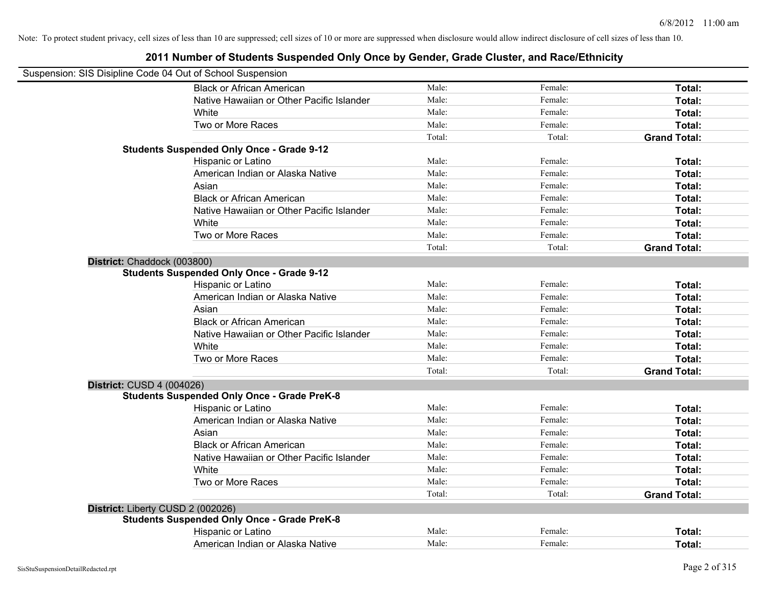|                                   | Suspension: SIS Disipline Code 04 Out of School Suspension |        |         |                     |
|-----------------------------------|------------------------------------------------------------|--------|---------|---------------------|
|                                   | <b>Black or African American</b>                           | Male:  | Female: | Total:              |
|                                   | Native Hawaiian or Other Pacific Islander                  | Male:  | Female: | Total:              |
|                                   | White                                                      | Male:  | Female: | Total:              |
|                                   | Two or More Races                                          | Male:  | Female: | Total:              |
|                                   |                                                            | Total: | Total:  | <b>Grand Total:</b> |
|                                   | <b>Students Suspended Only Once - Grade 9-12</b>           |        |         |                     |
|                                   | Hispanic or Latino                                         | Male:  | Female: | Total:              |
|                                   | American Indian or Alaska Native                           | Male:  | Female: | Total:              |
|                                   | Asian                                                      | Male:  | Female: | Total:              |
|                                   | <b>Black or African American</b>                           | Male:  | Female: | Total:              |
|                                   | Native Hawaiian or Other Pacific Islander                  | Male:  | Female: | Total:              |
|                                   | White                                                      | Male:  | Female: | Total:              |
|                                   | Two or More Races                                          | Male:  | Female: | Total:              |
|                                   |                                                            | Total: | Total:  | <b>Grand Total:</b> |
| District: Chaddock (003800)       |                                                            |        |         |                     |
|                                   | <b>Students Suspended Only Once - Grade 9-12</b>           |        |         |                     |
|                                   | Hispanic or Latino                                         | Male:  | Female: | Total:              |
|                                   | American Indian or Alaska Native                           | Male:  | Female: | Total:              |
|                                   | Asian                                                      | Male:  | Female: | Total:              |
|                                   | <b>Black or African American</b>                           | Male:  | Female: | Total:              |
|                                   | Native Hawaiian or Other Pacific Islander                  | Male:  | Female: | Total:              |
|                                   | White                                                      | Male:  | Female: | Total:              |
|                                   | Two or More Races                                          | Male:  | Female: | Total:              |
|                                   |                                                            | Total: | Total:  | <b>Grand Total:</b> |
| District: CUSD 4 (004026)         |                                                            |        |         |                     |
|                                   | <b>Students Suspended Only Once - Grade PreK-8</b>         |        |         |                     |
|                                   | Hispanic or Latino                                         | Male:  | Female: | Total:              |
|                                   | American Indian or Alaska Native                           | Male:  | Female: | Total:              |
|                                   | Asian                                                      | Male:  | Female: | Total:              |
|                                   | <b>Black or African American</b>                           | Male:  | Female: | Total:              |
|                                   | Native Hawaiian or Other Pacific Islander                  | Male:  | Female: | Total:              |
|                                   | White                                                      | Male:  | Female: | Total:              |
|                                   | Two or More Races                                          | Male:  | Female: | Total:              |
|                                   |                                                            | Total: | Total:  | <b>Grand Total:</b> |
| District: Liberty CUSD 2 (002026) |                                                            |        |         |                     |
|                                   | <b>Students Suspended Only Once - Grade PreK-8</b>         |        |         |                     |
|                                   | Hispanic or Latino                                         | Male:  | Female: | Total:              |
|                                   | American Indian or Alaska Native                           | Male:  | Female: | Total:              |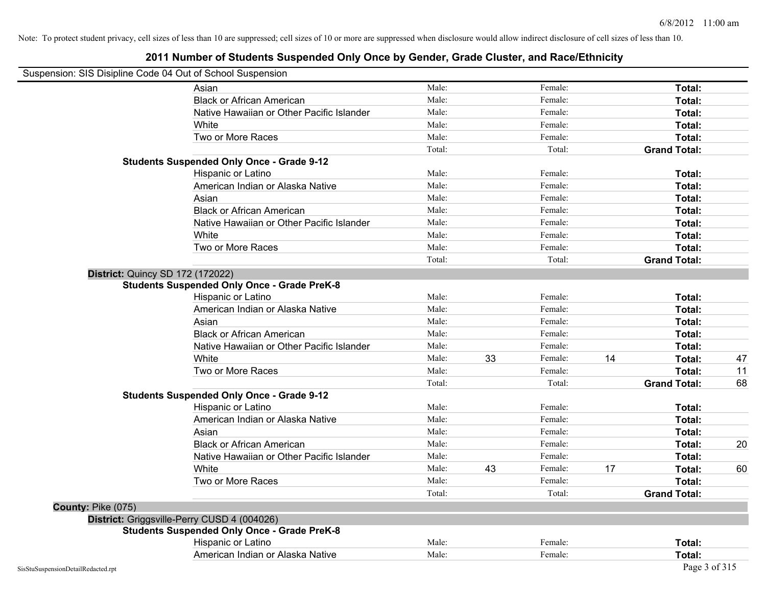#### **2011 Number of Students Suspended Only Once by Gender, Grade Cluster, and Race/Ethnicity**

#### Suspension: SIS Disipline Code 04 Out of School Suspension

|                    | Asian                                              | Male:  |    | Female: |    | Total:              |    |
|--------------------|----------------------------------------------------|--------|----|---------|----|---------------------|----|
|                    | <b>Black or African American</b>                   | Male:  |    | Female: |    | Total:              |    |
|                    | Native Hawaiian or Other Pacific Islander          | Male:  |    | Female: |    | Total:              |    |
|                    | White                                              | Male:  |    | Female: |    | Total:              |    |
|                    | Two or More Races                                  | Male:  |    | Female: |    | Total:              |    |
|                    |                                                    | Total: |    | Total:  |    | <b>Grand Total:</b> |    |
|                    | <b>Students Suspended Only Once - Grade 9-12</b>   |        |    |         |    |                     |    |
|                    | Hispanic or Latino                                 | Male:  |    | Female: |    | Total:              |    |
|                    | American Indian or Alaska Native                   | Male:  |    | Female: |    | Total:              |    |
|                    | Asian                                              | Male:  |    | Female: |    | Total:              |    |
|                    | <b>Black or African American</b>                   | Male:  |    | Female: |    | Total:              |    |
|                    | Native Hawaiian or Other Pacific Islander          | Male:  |    | Female: |    | Total:              |    |
|                    | White                                              | Male:  |    | Female: |    | Total:              |    |
|                    | Two or More Races                                  | Male:  |    | Female: |    | Total:              |    |
|                    |                                                    | Total: |    | Total:  |    | <b>Grand Total:</b> |    |
|                    | <b>District: Quincy SD 172 (172022)</b>            |        |    |         |    |                     |    |
|                    | <b>Students Suspended Only Once - Grade PreK-8</b> |        |    |         |    |                     |    |
|                    | Hispanic or Latino                                 | Male:  |    | Female: |    | Total:              |    |
|                    | American Indian or Alaska Native                   | Male:  |    | Female: |    | Total:              |    |
|                    | Asian                                              | Male:  |    | Female: |    | Total:              |    |
|                    | <b>Black or African American</b>                   | Male:  |    | Female: |    | Total:              |    |
|                    | Native Hawaiian or Other Pacific Islander          | Male:  |    | Female: |    | Total:              |    |
|                    | White                                              | Male:  | 33 | Female: | 14 | Total:              | 47 |
|                    | Two or More Races                                  | Male:  |    | Female: |    | Total:              | 11 |
|                    |                                                    | Total: |    | Total:  |    | <b>Grand Total:</b> | 68 |
|                    | <b>Students Suspended Only Once - Grade 9-12</b>   |        |    |         |    |                     |    |
|                    | Hispanic or Latino                                 | Male:  |    | Female: |    | Total:              |    |
|                    | American Indian or Alaska Native                   | Male:  |    | Female: |    | Total:              |    |
|                    | Asian                                              | Male:  |    | Female: |    | Total:              |    |
|                    | <b>Black or African American</b>                   | Male:  |    | Female: |    | Total:              | 20 |
|                    | Native Hawaiian or Other Pacific Islander          | Male:  |    | Female: |    | Total:              |    |
|                    | White                                              | Male:  | 43 | Female: | 17 | Total:              | 60 |
|                    | Two or More Races                                  | Male:  |    | Female: |    | Total:              |    |
|                    |                                                    | Total: |    | Total:  |    | <b>Grand Total:</b> |    |
| County: Pike (075) |                                                    |        |    |         |    |                     |    |
|                    | District: Griggsville-Perry CUSD 4 (004026)        |        |    |         |    |                     |    |
|                    | <b>Students Suspended Only Once - Grade PreK-8</b> |        |    |         |    |                     |    |
|                    | Hispanic or Latino                                 | Male:  |    | Female: |    | <b>Total:</b>       |    |
|                    | American Indian or Alaska Native                   | Male:  |    | Female: |    | Total:              |    |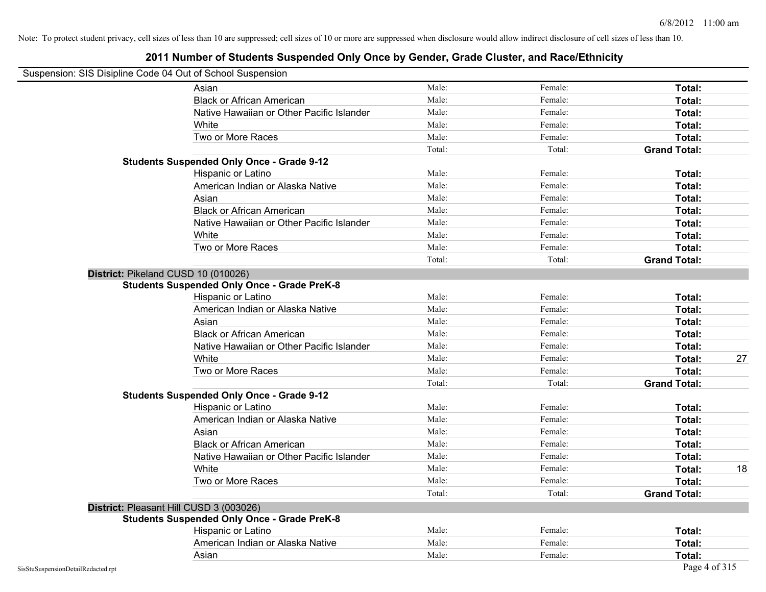### **2011 Number of Students Suspended Only Once by Gender, Grade Cluster, and Race/Ethnicity**

# Suspension: SIS Disipline Code 04 Out of School Suspension

| usperision. Sis Disiplifie Code 04 Out of Scribol Susperision |        |         |                     |    |
|---------------------------------------------------------------|--------|---------|---------------------|----|
| Asian                                                         | Male:  | Female: | Total:              |    |
| <b>Black or African American</b>                              | Male:  | Female: | Total:              |    |
| Native Hawaiian or Other Pacific Islander                     | Male:  | Female: | Total:              |    |
| White                                                         | Male:  | Female: | Total:              |    |
| Two or More Races                                             | Male:  | Female: | Total:              |    |
|                                                               | Total: | Total:  | <b>Grand Total:</b> |    |
| <b>Students Suspended Only Once - Grade 9-12</b>              |        |         |                     |    |
| Hispanic or Latino                                            | Male:  | Female: | Total:              |    |
| American Indian or Alaska Native                              | Male:  | Female: | Total:              |    |
| Asian                                                         | Male:  | Female: | Total:              |    |
| <b>Black or African American</b>                              | Male:  | Female: | Total:              |    |
| Native Hawaiian or Other Pacific Islander                     | Male:  | Female: | Total:              |    |
| White                                                         | Male:  | Female: | Total:              |    |
| Two or More Races                                             | Male:  | Female: | Total:              |    |
|                                                               | Total: | Total:  | <b>Grand Total:</b> |    |
| District: Pikeland CUSD 10 (010026)                           |        |         |                     |    |
| <b>Students Suspended Only Once - Grade PreK-8</b>            |        |         |                     |    |
| Hispanic or Latino                                            | Male:  | Female: | Total:              |    |
| American Indian or Alaska Native                              | Male:  | Female: | Total:              |    |
| Asian                                                         | Male:  | Female: | Total:              |    |
| <b>Black or African American</b>                              | Male:  | Female: | Total:              |    |
| Native Hawaiian or Other Pacific Islander                     | Male:  | Female: | Total:              |    |
| White                                                         | Male:  | Female: | Total:              | 27 |
| Two or More Races                                             | Male:  | Female: | Total:              |    |
|                                                               | Total: | Total:  | <b>Grand Total:</b> |    |
| <b>Students Suspended Only Once - Grade 9-12</b>              |        |         |                     |    |
| Hispanic or Latino                                            | Male:  | Female: | Total:              |    |
| American Indian or Alaska Native                              | Male:  | Female: | Total:              |    |
| Asian                                                         | Male:  | Female: | Total:              |    |
| <b>Black or African American</b>                              | Male:  | Female: | Total:              |    |
| Native Hawaiian or Other Pacific Islander                     | Male:  | Female: | Total:              |    |
| White                                                         | Male:  | Female: | Total:              | 18 |
| Two or More Races                                             | Male:  | Female: | Total:              |    |
|                                                               | Total: | Total:  | <b>Grand Total:</b> |    |
| District: Pleasant Hill CUSD 3 (003026)                       |        |         |                     |    |
| <b>Students Suspended Only Once - Grade PreK-8</b>            |        |         |                     |    |
| Hispanic or Latino                                            | Male:  | Female: | Total:              |    |
| American Indian or Alaska Native                              | Male:  | Female: | Total:              |    |
| Asian                                                         | Male:  | Female: | Total:              |    |
|                                                               |        |         |                     |    |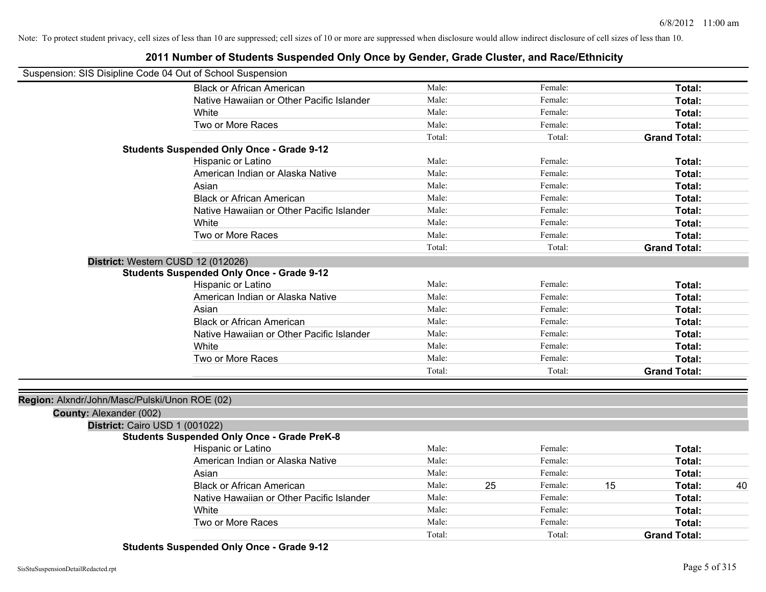#### **2011 Number of Students Suspended Only Once by Gender, Grade Cluster, and Race/Ethnicity**

| Suspension: SIS Disipline Code 04 Out of School Suspension |                                                    |        |    |         |    |                     |    |
|------------------------------------------------------------|----------------------------------------------------|--------|----|---------|----|---------------------|----|
|                                                            | <b>Black or African American</b>                   | Male:  |    | Female: |    | Total:              |    |
|                                                            | Native Hawaiian or Other Pacific Islander          | Male:  |    | Female: |    | Total:              |    |
|                                                            | White                                              | Male:  |    | Female: |    | Total:              |    |
|                                                            | Two or More Races                                  | Male:  |    | Female: |    | Total:              |    |
|                                                            |                                                    | Total: |    | Total:  |    | <b>Grand Total:</b> |    |
|                                                            | <b>Students Suspended Only Once - Grade 9-12</b>   |        |    |         |    |                     |    |
|                                                            | Hispanic or Latino                                 | Male:  |    | Female: |    | Total:              |    |
|                                                            | American Indian or Alaska Native                   | Male:  |    | Female: |    | Total:              |    |
|                                                            | Asian                                              | Male:  |    | Female: |    | Total:              |    |
|                                                            | <b>Black or African American</b>                   | Male:  |    | Female: |    | <b>Total:</b>       |    |
|                                                            | Native Hawaiian or Other Pacific Islander          | Male:  |    | Female: |    | Total:              |    |
|                                                            | White                                              | Male:  |    | Female: |    | Total:              |    |
|                                                            | Two or More Races                                  | Male:  |    | Female: |    | Total:              |    |
|                                                            |                                                    | Total: |    | Total:  |    | <b>Grand Total:</b> |    |
| District: Western CUSD 12 (012026)                         | <b>Students Suspended Only Once - Grade 9-12</b>   |        |    |         |    |                     |    |
|                                                            | Hispanic or Latino                                 | Male:  |    | Female: |    | Total:              |    |
|                                                            | American Indian or Alaska Native                   | Male:  |    | Female: |    | Total:              |    |
|                                                            | Asian                                              | Male:  |    | Female: |    | Total:              |    |
|                                                            | <b>Black or African American</b>                   | Male:  |    | Female: |    | Total:              |    |
|                                                            | Native Hawaiian or Other Pacific Islander          | Male:  |    | Female: |    | Total:              |    |
|                                                            | White                                              | Male:  |    | Female: |    | Total:              |    |
|                                                            | Two or More Races                                  | Male:  |    | Female: |    | Total:              |    |
|                                                            |                                                    | Total: |    | Total:  |    | <b>Grand Total:</b> |    |
| Region: Alxndr/John/Masc/Pulski/Unon ROE (02)              |                                                    |        |    |         |    |                     |    |
| County: Alexander (002)                                    |                                                    |        |    |         |    |                     |    |
| District: Cairo USD 1 (001022)                             |                                                    |        |    |         |    |                     |    |
|                                                            | <b>Students Suspended Only Once - Grade PreK-8</b> |        |    |         |    |                     |    |
|                                                            | Hispanic or Latino                                 | Male:  |    | Female: |    | Total:              |    |
|                                                            | American Indian or Alaska Native                   | Male:  |    | Female: |    | Total:              |    |
|                                                            | Asian                                              | Male:  |    | Female: |    | Total:              |    |
|                                                            | <b>Black or African American</b>                   | Male:  | 25 | Female: | 15 | Total:              | 40 |
|                                                            | Native Hawaiian or Other Pacific Islander          | Male:  |    | Female: |    | Total:              |    |
|                                                            | White                                              | Male:  |    | Female: |    | Total:              |    |
|                                                            | Two or More Races                                  | Male:  |    | Female: |    | Total:              |    |
|                                                            |                                                    | Total: |    | Total:  |    | <b>Grand Total:</b> |    |

**Students Suspended Only Once - Grade 9-12**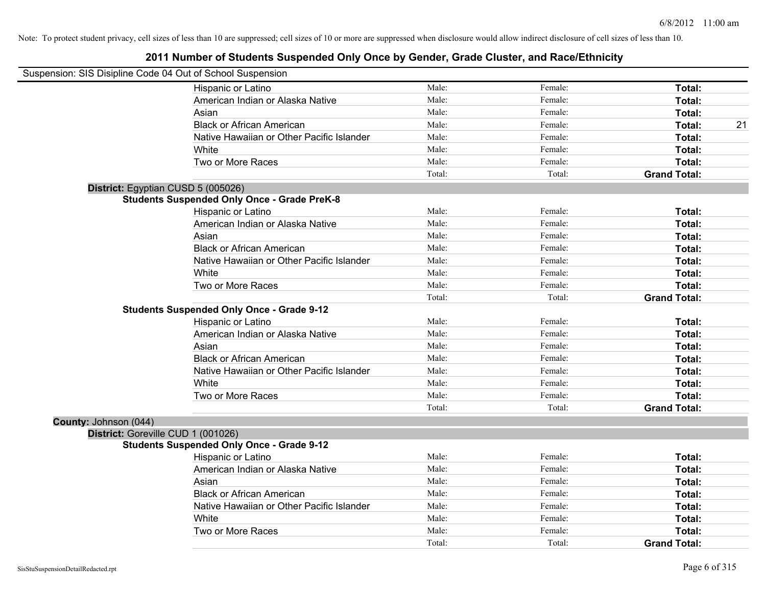|                       | Suspension: SIS Disipline Code 04 Out of School Suspension |        |         |                     |    |
|-----------------------|------------------------------------------------------------|--------|---------|---------------------|----|
|                       | Hispanic or Latino                                         | Male:  | Female: | Total:              |    |
|                       | American Indian or Alaska Native                           | Male:  | Female: | Total:              |    |
|                       | Asian                                                      | Male:  | Female: | Total:              |    |
|                       | <b>Black or African American</b>                           | Male:  | Female: | Total:              | 21 |
|                       | Native Hawaiian or Other Pacific Islander                  | Male:  | Female: | Total:              |    |
|                       | White                                                      | Male:  | Female: | Total:              |    |
|                       | Two or More Races                                          | Male:  | Female: | Total:              |    |
|                       |                                                            | Total: | Total:  | <b>Grand Total:</b> |    |
|                       | District: Egyptian CUSD 5 (005026)                         |        |         |                     |    |
|                       | <b>Students Suspended Only Once - Grade PreK-8</b>         |        |         |                     |    |
|                       | Hispanic or Latino                                         | Male:  | Female: | Total:              |    |
|                       | American Indian or Alaska Native                           | Male:  | Female: | Total:              |    |
|                       | Asian                                                      | Male:  | Female: | Total:              |    |
|                       | <b>Black or African American</b>                           | Male:  | Female: | Total:              |    |
|                       | Native Hawaiian or Other Pacific Islander                  | Male:  | Female: | Total:              |    |
|                       | White                                                      | Male:  | Female: | Total:              |    |
|                       | Two or More Races                                          | Male:  | Female: | Total:              |    |
|                       |                                                            | Total: | Total:  | <b>Grand Total:</b> |    |
|                       | <b>Students Suspended Only Once - Grade 9-12</b>           |        |         |                     |    |
|                       | Hispanic or Latino                                         | Male:  | Female: | Total:              |    |
|                       | American Indian or Alaska Native                           | Male:  | Female: | Total:              |    |
|                       | Asian                                                      | Male:  | Female: | Total:              |    |
|                       | <b>Black or African American</b>                           | Male:  | Female: | Total:              |    |
|                       | Native Hawaiian or Other Pacific Islander                  | Male:  | Female: | Total:              |    |
|                       | White                                                      | Male:  | Female: | Total:              |    |
|                       | Two or More Races                                          | Male:  | Female: | Total:              |    |
|                       |                                                            | Total: | Total:  | <b>Grand Total:</b> |    |
| County: Johnson (044) |                                                            |        |         |                     |    |
|                       | District: Goreville CUD 1 (001026)                         |        |         |                     |    |
|                       | <b>Students Suspended Only Once - Grade 9-12</b>           |        |         |                     |    |
|                       | Hispanic or Latino                                         | Male:  | Female: | Total:              |    |
|                       | American Indian or Alaska Native                           | Male:  | Female: | Total:              |    |
|                       | Asian                                                      | Male:  | Female: | Total:              |    |
|                       | <b>Black or African American</b>                           | Male:  | Female: | Total:              |    |
|                       | Native Hawaiian or Other Pacific Islander                  | Male:  | Female: | Total:              |    |
|                       | White                                                      | Male:  | Female: | Total:              |    |
|                       | Two or More Races                                          | Male:  | Female: | Total:              |    |
|                       |                                                            | Total: | Total:  | <b>Grand Total:</b> |    |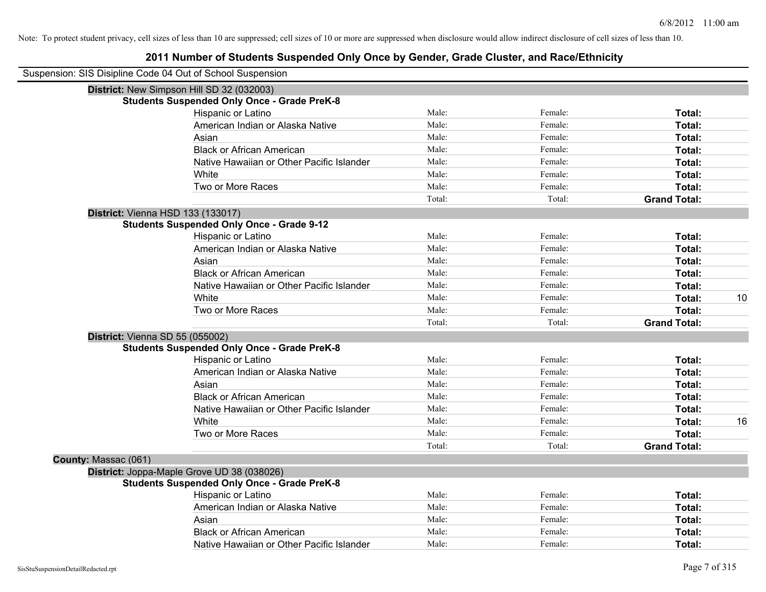| Suspension: SIS Disipline Code 04 Out of School Suspension |                                                    |        |         |                     |    |
|------------------------------------------------------------|----------------------------------------------------|--------|---------|---------------------|----|
|                                                            | District: New Simpson Hill SD 32 (032003)          |        |         |                     |    |
|                                                            | <b>Students Suspended Only Once - Grade PreK-8</b> |        |         |                     |    |
|                                                            | Hispanic or Latino                                 | Male:  | Female: | Total:              |    |
|                                                            | American Indian or Alaska Native                   | Male:  | Female: | Total:              |    |
|                                                            | Asian                                              | Male:  | Female: | Total:              |    |
|                                                            | <b>Black or African American</b>                   | Male:  | Female: | Total:              |    |
|                                                            | Native Hawaiian or Other Pacific Islander          | Male:  | Female: | Total:              |    |
|                                                            | White                                              | Male:  | Female: | Total:              |    |
|                                                            | Two or More Races                                  | Male:  | Female: | Total:              |    |
|                                                            |                                                    | Total: | Total:  | <b>Grand Total:</b> |    |
|                                                            | District: Vienna HSD 133 (133017)                  |        |         |                     |    |
|                                                            | <b>Students Suspended Only Once - Grade 9-12</b>   |        |         |                     |    |
|                                                            | Hispanic or Latino                                 | Male:  | Female: | Total:              |    |
|                                                            | American Indian or Alaska Native                   | Male:  | Female: | Total:              |    |
|                                                            | Asian                                              | Male:  | Female: | Total:              |    |
|                                                            | <b>Black or African American</b>                   | Male:  | Female: | Total:              |    |
|                                                            | Native Hawaiian or Other Pacific Islander          | Male:  | Female: | Total:              |    |
|                                                            | White                                              | Male:  | Female: | Total:              | 10 |
|                                                            | Two or More Races                                  | Male:  | Female: | Total:              |    |
|                                                            |                                                    | Total: | Total:  | <b>Grand Total:</b> |    |
| District: Vienna SD 55 (055002)                            |                                                    |        |         |                     |    |
|                                                            | <b>Students Suspended Only Once - Grade PreK-8</b> |        |         |                     |    |
|                                                            | Hispanic or Latino                                 | Male:  | Female: | Total:              |    |
|                                                            | American Indian or Alaska Native                   | Male:  | Female: | Total:              |    |
|                                                            | Asian                                              | Male:  | Female: | Total:              |    |
|                                                            | <b>Black or African American</b>                   | Male:  | Female: | Total:              |    |
|                                                            | Native Hawaiian or Other Pacific Islander          | Male:  | Female: | Total:              |    |
|                                                            | White                                              | Male:  | Female: | Total:              | 16 |
|                                                            | Two or More Races                                  | Male:  | Female: | Total:              |    |
|                                                            |                                                    | Total: | Total:  | <b>Grand Total:</b> |    |
| County: Massac (061)                                       |                                                    |        |         |                     |    |
|                                                            | District: Joppa-Maple Grove UD 38 (038026)         |        |         |                     |    |
|                                                            | <b>Students Suspended Only Once - Grade PreK-8</b> |        |         |                     |    |
|                                                            | <b>Hispanic or Latino</b>                          | Male:  | Female: | Total:              |    |
|                                                            | American Indian or Alaska Native                   | Male:  | Female: | Total:              |    |
|                                                            | Asian                                              | Male:  | Female: | Total:              |    |
|                                                            | <b>Black or African American</b>                   | Male:  | Female: | Total:              |    |
|                                                            | Native Hawaiian or Other Pacific Islander          | Male:  | Female: | Total:              |    |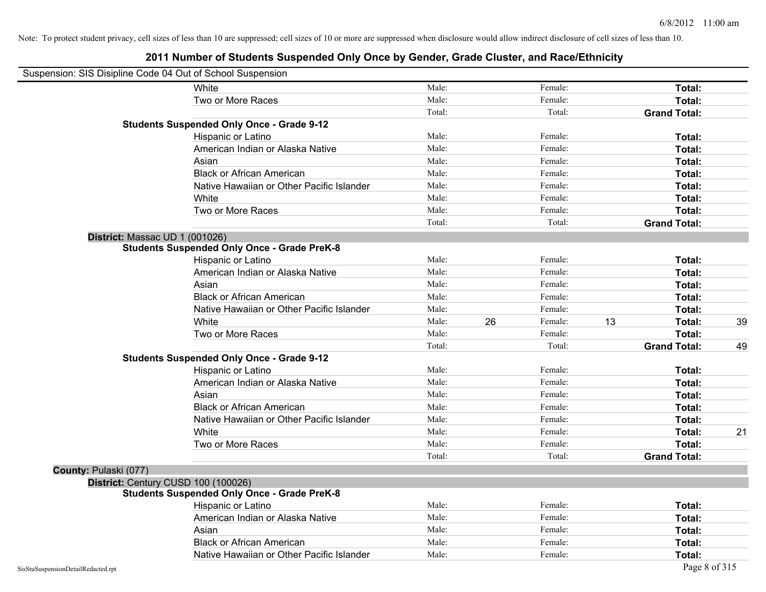| Suspension: SIS Disipline Code 04 Out of School Suspension |                                                    |        |    |         |    |                     |    |
|------------------------------------------------------------|----------------------------------------------------|--------|----|---------|----|---------------------|----|
|                                                            | White                                              | Male:  |    | Female: |    | Total:              |    |
|                                                            | Two or More Races                                  | Male:  |    | Female: |    | Total:              |    |
|                                                            |                                                    | Total: |    | Total:  |    | <b>Grand Total:</b> |    |
|                                                            | <b>Students Suspended Only Once - Grade 9-12</b>   |        |    |         |    |                     |    |
|                                                            | Hispanic or Latino                                 | Male:  |    | Female: |    | Total:              |    |
|                                                            | American Indian or Alaska Native                   | Male:  |    | Female: |    | Total:              |    |
|                                                            | Asian                                              | Male:  |    | Female: |    | Total:              |    |
|                                                            | <b>Black or African American</b>                   | Male:  |    | Female: |    | Total:              |    |
|                                                            | Native Hawaiian or Other Pacific Islander          | Male:  |    | Female: |    | Total:              |    |
|                                                            | White                                              | Male:  |    | Female: |    | Total:              |    |
|                                                            | Two or More Races                                  | Male:  |    | Female: |    | Total:              |    |
|                                                            |                                                    | Total: |    | Total:  |    | <b>Grand Total:</b> |    |
|                                                            | District: Massac UD 1 (001026)                     |        |    |         |    |                     |    |
|                                                            | <b>Students Suspended Only Once - Grade PreK-8</b> |        |    |         |    |                     |    |
|                                                            | Hispanic or Latino                                 | Male:  |    | Female: |    | Total:              |    |
|                                                            | American Indian or Alaska Native                   | Male:  |    | Female: |    | Total:              |    |
|                                                            | Asian                                              | Male:  |    | Female: |    | Total:              |    |
|                                                            | <b>Black or African American</b>                   | Male:  |    | Female: |    | Total:              |    |
|                                                            | Native Hawaiian or Other Pacific Islander          | Male:  |    | Female: |    | Total:              |    |
|                                                            | White                                              | Male:  | 26 | Female: | 13 | Total:              | 39 |
|                                                            | Two or More Races                                  | Male:  |    | Female: |    | Total:              |    |
|                                                            |                                                    | Total: |    | Total:  |    | <b>Grand Total:</b> | 49 |
|                                                            | <b>Students Suspended Only Once - Grade 9-12</b>   |        |    |         |    |                     |    |
|                                                            | Hispanic or Latino                                 | Male:  |    | Female: |    | Total:              |    |
|                                                            | American Indian or Alaska Native                   | Male:  |    | Female: |    | Total:              |    |
|                                                            | Asian                                              | Male:  |    | Female: |    | Total:              |    |
|                                                            | <b>Black or African American</b>                   | Male:  |    | Female: |    | Total:              |    |
|                                                            | Native Hawaiian or Other Pacific Islander          | Male:  |    | Female: |    | Total:              |    |
|                                                            | White                                              | Male:  |    | Female: |    | Total:              | 21 |
|                                                            | Two or More Races                                  | Male:  |    | Female: |    | Total:              |    |
|                                                            |                                                    | Total: |    | Total:  |    | <b>Grand Total:</b> |    |
| County: Pulaski (077)                                      |                                                    |        |    |         |    |                     |    |
|                                                            | District: Century CUSD 100 (100026)                |        |    |         |    |                     |    |
|                                                            | <b>Students Suspended Only Once - Grade PreK-8</b> |        |    |         |    |                     |    |
|                                                            | Hispanic or Latino                                 | Male:  |    | Female: |    | Total:              |    |
|                                                            | American Indian or Alaska Native                   | Male:  |    | Female: |    | Total:              |    |
|                                                            | Asian                                              | Male:  |    | Female: |    | Total:              |    |
|                                                            | <b>Black or African American</b>                   | Male:  |    | Female: |    | Total:              |    |
|                                                            | Native Hawaiian or Other Pacific Islander          | Male:  |    | Female: |    | Total:              |    |
| SisStuSuspensionDetailRedacted.rpt                         |                                                    |        |    |         |    | Page 8 of 315       |    |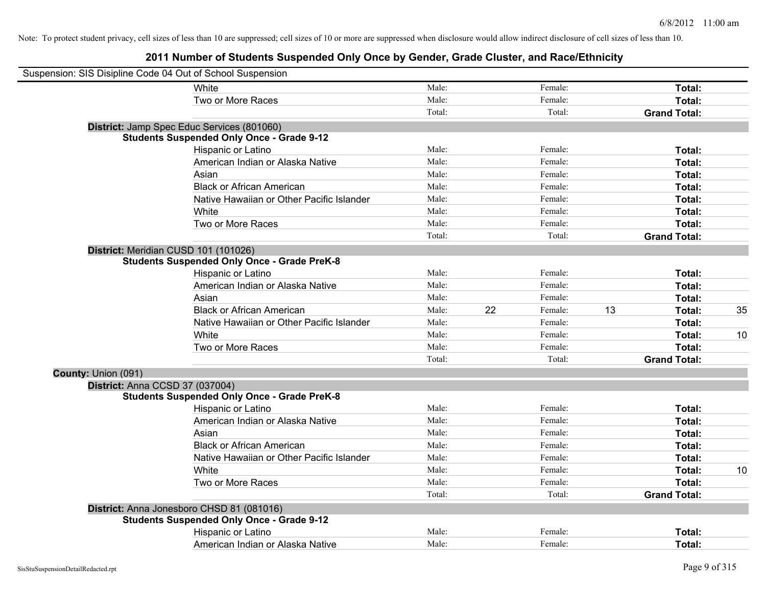| Suspension: SIS Disipline Code 04 Out of School Suspension |                                                    |        |    |         |    |                     |    |
|------------------------------------------------------------|----------------------------------------------------|--------|----|---------|----|---------------------|----|
|                                                            | <b>White</b>                                       | Male:  |    | Female: |    | Total:              |    |
|                                                            | Two or More Races                                  | Male:  |    | Female: |    | Total:              |    |
|                                                            |                                                    | Total: |    | Total:  |    | <b>Grand Total:</b> |    |
|                                                            | District: Jamp Spec Educ Services (801060)         |        |    |         |    |                     |    |
|                                                            | <b>Students Suspended Only Once - Grade 9-12</b>   |        |    |         |    |                     |    |
|                                                            | Hispanic or Latino                                 | Male:  |    | Female: |    | Total:              |    |
|                                                            | American Indian or Alaska Native                   | Male:  |    | Female: |    | Total:              |    |
|                                                            | Asian                                              | Male:  |    | Female: |    | Total:              |    |
|                                                            | <b>Black or African American</b>                   | Male:  |    | Female: |    | Total:              |    |
|                                                            | Native Hawaiian or Other Pacific Islander          | Male:  |    | Female: |    | Total:              |    |
|                                                            | White                                              | Male:  |    | Female: |    | Total:              |    |
|                                                            | Two or More Races                                  | Male:  |    | Female: |    | Total:              |    |
|                                                            |                                                    | Total: |    | Total:  |    | <b>Grand Total:</b> |    |
|                                                            | District: Meridian CUSD 101 (101026)               |        |    |         |    |                     |    |
|                                                            | <b>Students Suspended Only Once - Grade PreK-8</b> |        |    |         |    |                     |    |
|                                                            | Hispanic or Latino                                 | Male:  |    | Female: |    | Total:              |    |
|                                                            | American Indian or Alaska Native                   | Male:  |    | Female: |    | Total:              |    |
|                                                            | Asian                                              | Male:  |    | Female: |    | Total:              |    |
|                                                            | <b>Black or African American</b>                   | Male:  | 22 | Female: | 13 | Total:              | 35 |
|                                                            | Native Hawaiian or Other Pacific Islander          | Male:  |    | Female: |    | Total:              |    |
|                                                            | White                                              | Male:  |    | Female: |    | Total:              | 10 |
|                                                            | Two or More Races                                  | Male:  |    | Female: |    | Total:              |    |
|                                                            |                                                    | Total: |    | Total:  |    | <b>Grand Total:</b> |    |
| County: Union (091)                                        |                                                    |        |    |         |    |                     |    |
| District: Anna CCSD 37 (037004)                            |                                                    |        |    |         |    |                     |    |
|                                                            | <b>Students Suspended Only Once - Grade PreK-8</b> |        |    |         |    |                     |    |
|                                                            | Hispanic or Latino                                 | Male:  |    | Female: |    | Total:              |    |
|                                                            | American Indian or Alaska Native                   | Male:  |    | Female: |    | Total:              |    |
|                                                            | Asian                                              | Male:  |    | Female: |    | Total:              |    |
|                                                            | <b>Black or African American</b>                   | Male:  |    | Female: |    | Total:              |    |
|                                                            | Native Hawaiian or Other Pacific Islander          | Male:  |    | Female: |    | Total:              |    |
|                                                            | <b>White</b>                                       | Male:  |    | Female: |    | Total:              | 10 |
|                                                            | Two or More Races                                  | Male:  |    | Female: |    | Total:              |    |
|                                                            |                                                    | Total: |    | Total:  |    | <b>Grand Total:</b> |    |
|                                                            | District: Anna Jonesboro CHSD 81 (081016)          |        |    |         |    |                     |    |
|                                                            | <b>Students Suspended Only Once - Grade 9-12</b>   |        |    |         |    |                     |    |
|                                                            | Hispanic or Latino                                 | Male:  |    | Female: |    | Total:              |    |
|                                                            | American Indian or Alaska Native                   | Male:  |    | Female: |    | Total:              |    |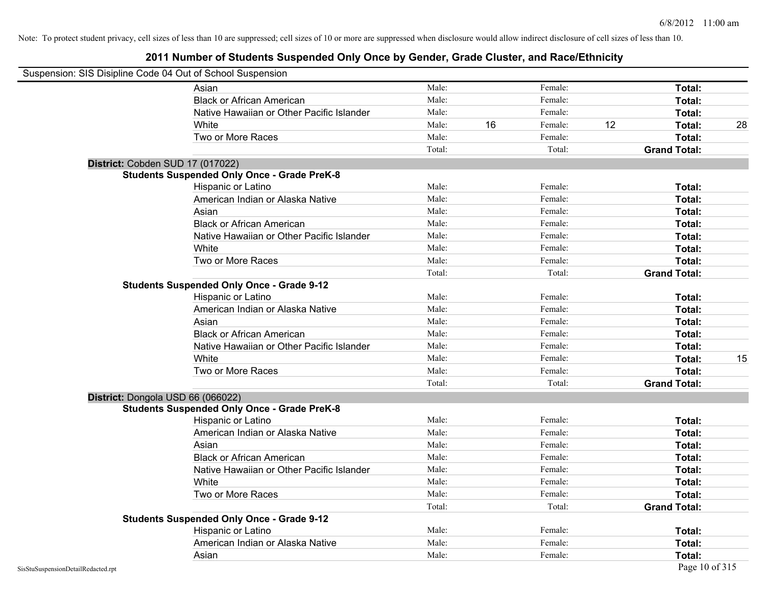|                                    | Suspension: SIS Disipline Code 04 Out of School Suspension |        |    |         |    |                     |    |
|------------------------------------|------------------------------------------------------------|--------|----|---------|----|---------------------|----|
|                                    | Asian                                                      | Male:  |    | Female: |    | Total:              |    |
|                                    | <b>Black or African American</b>                           | Male:  |    | Female: |    | Total:              |    |
|                                    | Native Hawaiian or Other Pacific Islander                  | Male:  |    | Female: |    | Total:              |    |
|                                    | White                                                      | Male:  | 16 | Female: | 12 | Total:              | 28 |
|                                    | Two or More Races                                          | Male:  |    | Female: |    | Total:              |    |
|                                    |                                                            | Total: |    | Total:  |    | <b>Grand Total:</b> |    |
|                                    | District: Cobden SUD 17 (017022)                           |        |    |         |    |                     |    |
|                                    | <b>Students Suspended Only Once - Grade PreK-8</b>         |        |    |         |    |                     |    |
|                                    | Hispanic or Latino                                         | Male:  |    | Female: |    | Total:              |    |
|                                    | American Indian or Alaska Native                           | Male:  |    | Female: |    | Total:              |    |
|                                    | Asian                                                      | Male:  |    | Female: |    | Total:              |    |
|                                    | <b>Black or African American</b>                           | Male:  |    | Female: |    | Total:              |    |
|                                    | Native Hawaiian or Other Pacific Islander                  | Male:  |    | Female: |    | Total:              |    |
|                                    | White                                                      | Male:  |    | Female: |    | Total:              |    |
|                                    | Two or More Races                                          | Male:  |    | Female: |    | Total:              |    |
|                                    |                                                            | Total: |    | Total:  |    | <b>Grand Total:</b> |    |
|                                    | <b>Students Suspended Only Once - Grade 9-12</b>           |        |    |         |    |                     |    |
|                                    | Hispanic or Latino                                         | Male:  |    | Female: |    | Total:              |    |
|                                    | American Indian or Alaska Native                           | Male:  |    | Female: |    | Total:              |    |
|                                    | Asian                                                      | Male:  |    | Female: |    | Total:              |    |
|                                    | <b>Black or African American</b>                           | Male:  |    | Female: |    | Total:              |    |
|                                    | Native Hawaiian or Other Pacific Islander                  | Male:  |    | Female: |    | Total:              |    |
|                                    | White                                                      | Male:  |    | Female: |    | Total:              | 15 |
|                                    | Two or More Races                                          | Male:  |    | Female: |    | Total:              |    |
|                                    |                                                            | Total: |    | Total:  |    | <b>Grand Total:</b> |    |
|                                    | District: Dongola USD 66 (066022)                          |        |    |         |    |                     |    |
|                                    | <b>Students Suspended Only Once - Grade PreK-8</b>         |        |    |         |    |                     |    |
|                                    | Hispanic or Latino                                         | Male:  |    | Female: |    | Total:              |    |
|                                    | American Indian or Alaska Native                           | Male:  |    | Female: |    | Total:              |    |
|                                    | Asian                                                      | Male:  |    | Female: |    | Total:              |    |
|                                    | <b>Black or African American</b>                           | Male:  |    | Female: |    | Total:              |    |
|                                    | Native Hawaiian or Other Pacific Islander                  | Male:  |    | Female: |    | Total:              |    |
|                                    | White                                                      | Male:  |    | Female: |    | Total:              |    |
|                                    | Two or More Races                                          | Male:  |    | Female: |    | Total:              |    |
|                                    |                                                            | Total: |    | Total:  |    | <b>Grand Total:</b> |    |
|                                    | <b>Students Suspended Only Once - Grade 9-12</b>           |        |    |         |    |                     |    |
|                                    | Hispanic or Latino                                         | Male:  |    | Female: |    | Total:              |    |
|                                    | American Indian or Alaska Native                           | Male:  |    | Female: |    | Total:              |    |
|                                    | Asian                                                      | Male:  |    | Female: |    | Total:              |    |
| SisStuSuspensionDetailRedacted.rpt |                                                            |        |    |         |    | Page 10 of 315      |    |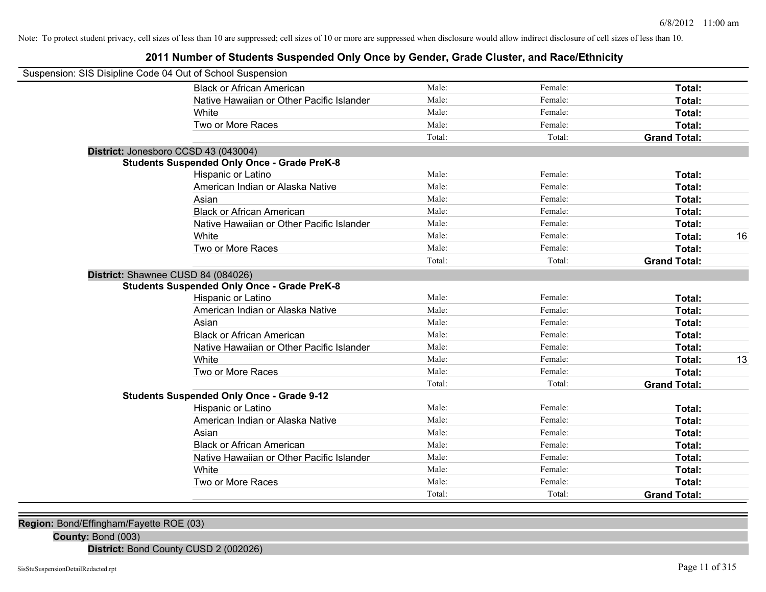### **2011 Number of Students Suspended Only Once by Gender, Grade Cluster, and Race/Ethnicity**

| Suspension: SIS Disipline Code 04 Out of School Suspension |        |         |                     |    |
|------------------------------------------------------------|--------|---------|---------------------|----|
| <b>Black or African American</b>                           | Male:  | Female: | Total:              |    |
| Native Hawaiian or Other Pacific Islander                  | Male:  | Female: | Total:              |    |
| White                                                      | Male:  | Female: | Total:              |    |
| Two or More Races                                          | Male:  | Female: | Total:              |    |
|                                                            | Total: | Total:  | <b>Grand Total:</b> |    |
| District: Jonesboro CCSD 43 (043004)                       |        |         |                     |    |
| <b>Students Suspended Only Once - Grade PreK-8</b>         |        |         |                     |    |
| Hispanic or Latino                                         | Male:  | Female: | Total:              |    |
| American Indian or Alaska Native                           | Male:  | Female: | Total:              |    |
| Asian                                                      | Male:  | Female: | Total:              |    |
| <b>Black or African American</b>                           | Male:  | Female: | Total:              |    |
| Native Hawaiian or Other Pacific Islander                  | Male:  | Female: | Total:              |    |
| White                                                      | Male:  | Female: | Total:              | 16 |
| Two or More Races                                          | Male:  | Female: | Total:              |    |
|                                                            | Total: | Total:  | <b>Grand Total:</b> |    |
| District: Shawnee CUSD 84 (084026)                         |        |         |                     |    |
| <b>Students Suspended Only Once - Grade PreK-8</b>         |        |         |                     |    |
| Hispanic or Latino                                         | Male:  | Female: | Total:              |    |
| American Indian or Alaska Native                           | Male:  | Female: | Total:              |    |
| Asian                                                      | Male:  | Female: | Total:              |    |
| <b>Black or African American</b>                           | Male:  | Female: | Total:              |    |
| Native Hawaiian or Other Pacific Islander                  | Male:  | Female: | Total:              |    |
| White                                                      | Male:  | Female: | Total:              | 13 |
| Two or More Races                                          | Male:  | Female: | Total:              |    |
|                                                            | Total: | Total:  | <b>Grand Total:</b> |    |
| <b>Students Suspended Only Once - Grade 9-12</b>           |        |         |                     |    |
| Hispanic or Latino                                         | Male:  | Female: | Total:              |    |
| American Indian or Alaska Native                           | Male:  | Female: | Total:              |    |
| Asian                                                      | Male:  | Female: | Total:              |    |
| <b>Black or African American</b>                           | Male:  | Female: | Total:              |    |
| Native Hawaiian or Other Pacific Islander                  | Male:  | Female: | Total:              |    |
| White                                                      | Male:  | Female: | Total:              |    |
| Two or More Races                                          | Male:  | Female: | Total:              |    |
|                                                            | Total: | Total:  | <b>Grand Total:</b> |    |
|                                                            |        |         |                     |    |

**Region:** Bond/Effingham/Fayette ROE (03)

**County:** Bond (003)

**District:** Bond County CUSD 2 (002026)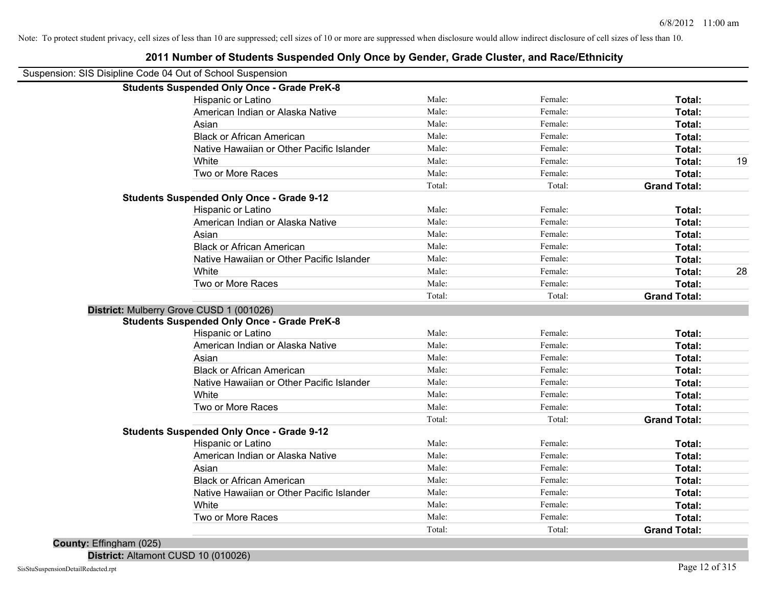| Suspension: SIS Disipline Code 04 Out of School Suspension |        |         |                     |    |
|------------------------------------------------------------|--------|---------|---------------------|----|
| <b>Students Suspended Only Once - Grade PreK-8</b>         |        |         |                     |    |
| Hispanic or Latino                                         | Male:  | Female: | Total:              |    |
| American Indian or Alaska Native                           | Male:  | Female: | Total:              |    |
| Asian                                                      | Male:  | Female: | Total:              |    |
| <b>Black or African American</b>                           | Male:  | Female: | Total:              |    |
| Native Hawaiian or Other Pacific Islander                  | Male:  | Female: | Total:              |    |
| White                                                      | Male:  | Female: | Total:              | 19 |
| Two or More Races                                          | Male:  | Female: | Total:              |    |
|                                                            | Total: | Total:  | <b>Grand Total:</b> |    |
| <b>Students Suspended Only Once - Grade 9-12</b>           |        |         |                     |    |
| Hispanic or Latino                                         | Male:  | Female: | Total:              |    |
| American Indian or Alaska Native                           | Male:  | Female: | Total:              |    |
| Asian                                                      | Male:  | Female: | Total:              |    |
| <b>Black or African American</b>                           | Male:  | Female: | Total:              |    |
| Native Hawaiian or Other Pacific Islander                  | Male:  | Female: | Total:              |    |
| White                                                      | Male:  | Female: | Total:              | 28 |
| Two or More Races                                          | Male:  | Female: | Total:              |    |
|                                                            | Total: | Total:  | <b>Grand Total:</b> |    |
| District: Mulberry Grove CUSD 1 (001026)                   |        |         |                     |    |
| <b>Students Suspended Only Once - Grade PreK-8</b>         |        |         |                     |    |
| Hispanic or Latino                                         | Male:  | Female: | Total:              |    |
| American Indian or Alaska Native                           | Male:  | Female: | Total:              |    |
| Asian                                                      | Male:  | Female: | Total:              |    |
| <b>Black or African American</b>                           | Male:  | Female: | Total:              |    |
| Native Hawaiian or Other Pacific Islander                  | Male:  | Female: | Total:              |    |
| White                                                      | Male:  | Female: | Total:              |    |
| Two or More Races                                          | Male:  | Female: | Total:              |    |
|                                                            | Total: | Total:  | <b>Grand Total:</b> |    |
| <b>Students Suspended Only Once - Grade 9-12</b>           |        |         |                     |    |
| Hispanic or Latino                                         | Male:  | Female: | Total:              |    |
| American Indian or Alaska Native                           | Male:  | Female: | Total:              |    |
| Asian                                                      | Male:  | Female: | Total:              |    |
| <b>Black or African American</b>                           | Male:  | Female: | Total:              |    |
| Native Hawaiian or Other Pacific Islander                  | Male:  | Female: | Total:              |    |
| White                                                      | Male:  | Female: | Total:              |    |
| Two or More Races                                          | Male:  | Female: | Total:              |    |
|                                                            | Total: | Total:  | <b>Grand Total:</b> |    |

### **2011 Number of Students Suspended Only Once by Gender, Grade Cluster, and Race/Ethnicity**

**County:** Effingham (025)

**District:** Altamont CUSD 10 (010026)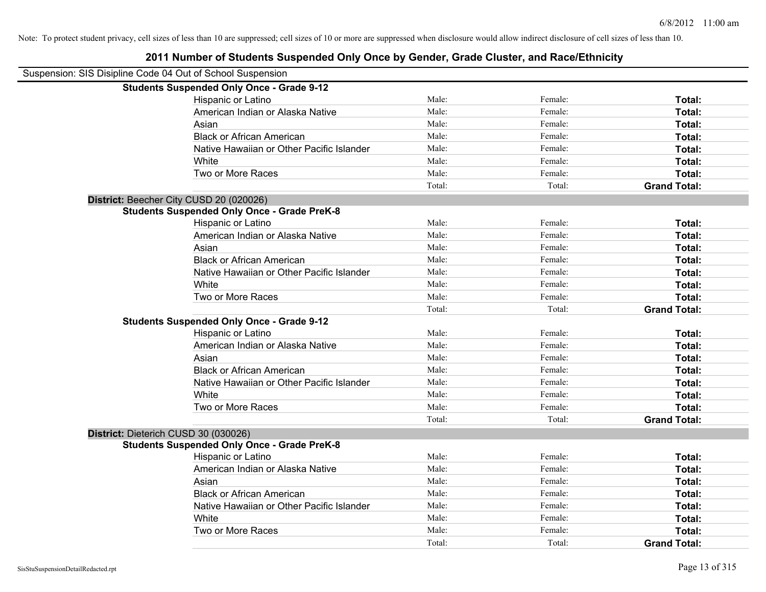Note: To protect student privacy, cell sizes of less than 10 are suppressed; cell sizes of 10 or more are suppressed when disclosure would allow indirect disclosure of cell sizes of less than 10.

|                                                            | 2011 Number of Students Suspended Only Once by Gender, Grade Cluster, and Race/Ethnicity |        |         |                     |
|------------------------------------------------------------|------------------------------------------------------------------------------------------|--------|---------|---------------------|
| Suspension: SIS Disipline Code 04 Out of School Suspension |                                                                                          |        |         |                     |
|                                                            | <b>Students Suspended Only Once - Grade 9-12</b>                                         |        |         |                     |
|                                                            | Hispanic or Latino                                                                       | Male:  | Female: | Total:              |
|                                                            | American Indian or Alaska Native                                                         | Male:  | Female: | Total:              |
|                                                            | Asian                                                                                    | Male:  | Female: | Total:              |
|                                                            | <b>Black or African American</b>                                                         | Male:  | Female: | Total:              |
|                                                            | Native Hawaiian or Other Pacific Islander                                                | Male:  | Female: | Total:              |
|                                                            | <b>White</b>                                                                             | Male:  | Female: | Total:              |
|                                                            | Two or More Races                                                                        | Male:  | Female: | Total:              |
|                                                            |                                                                                          | Total: | Total:  | <b>Grand Total:</b> |
|                                                            | District: Beecher City CUSD 20 (020026)                                                  |        |         |                     |
|                                                            | <b>Students Suspended Only Once - Grade PreK-8</b>                                       |        |         |                     |
|                                                            | Hispanic or Latino                                                                       | Male:  | Female: | Total:              |
|                                                            | American Indian or Alaska Native                                                         | Male:  | Female: | Total:              |
|                                                            | Asian                                                                                    | Male:  | Female: | Total:              |
|                                                            | <b>Black or African American</b>                                                         | Male:  | Female: | Total:              |
|                                                            | Native Hawaiian or Other Pacific Islander                                                | Male:  | Female: | Total:              |
|                                                            | White                                                                                    | Male:  | Female: | Total:              |
|                                                            | Two or More Races                                                                        | Male:  | Female: | Total:              |
|                                                            |                                                                                          | Total: | Total:  | <b>Grand Total:</b> |
|                                                            | <b>Students Suspended Only Once - Grade 9-12</b>                                         |        |         |                     |
|                                                            | Hispanic or Latino                                                                       | Male:  | Female: | Total:              |
|                                                            | American Indian or Alaska Native                                                         | Male:  | Female: | Total:              |
|                                                            | Asian                                                                                    | Male:  | Female: | Total:              |
|                                                            | <b>Black or African American</b>                                                         | Male:  | Female: | Total:              |
|                                                            | Native Hawaiian or Other Pacific Islander                                                | Male:  | Female: | Total:              |
|                                                            | White                                                                                    | Male:  | Female: | Total:              |
|                                                            | Two or More Races                                                                        | Male:  | Female: | Total:              |
|                                                            |                                                                                          | Total: | Total:  | <b>Grand Total:</b> |
|                                                            | District: Dieterich CUSD 30 (030026)                                                     |        |         |                     |
|                                                            | <b>Students Suspended Only Once - Grade PreK-8</b>                                       |        |         |                     |
|                                                            | Hispanic or Latino                                                                       | Male:  | Female: | Total:              |
|                                                            | American Indian or Alaska Native                                                         | Male:  | Female: | Total:              |
|                                                            | Asian                                                                                    | Male:  | Female: | Total:              |
|                                                            | <b>Black or African American</b>                                                         | Male:  | Female: | Total:              |
|                                                            | Native Hawaiian or Other Pacific Islander                                                | Male:  | Female: | Total:              |
|                                                            | White                                                                                    | Male:  | Female: | Total:              |
|                                                            | Two or More Races                                                                        | Male:  | Female: | Total:              |

Total: Total: **Grand Total:**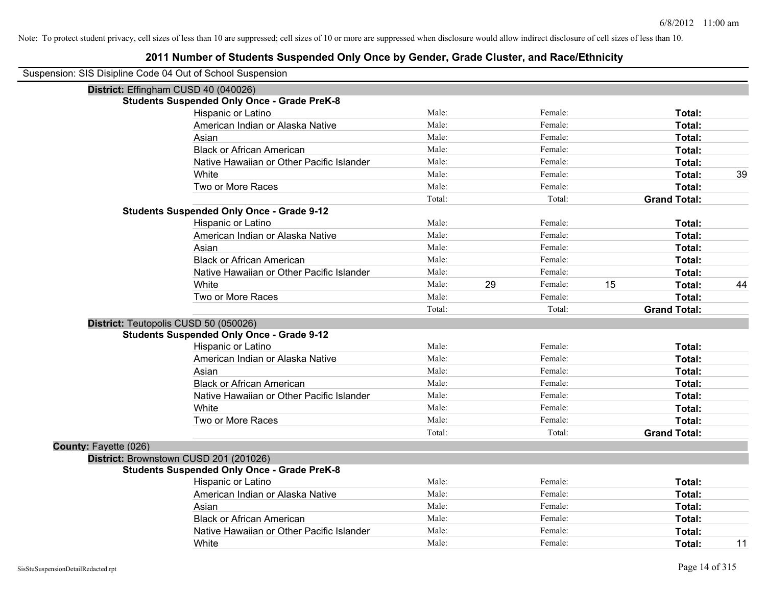| Suspension: SIS Disipline Code 04 Out of School Suspension |
|------------------------------------------------------------|
|------------------------------------------------------------|

|                       | District: Effingham CUSD 40 (040026)               |        |    |         |    |                     |    |
|-----------------------|----------------------------------------------------|--------|----|---------|----|---------------------|----|
|                       | <b>Students Suspended Only Once - Grade PreK-8</b> |        |    |         |    |                     |    |
|                       | Hispanic or Latino                                 | Male:  |    | Female: |    | Total:              |    |
|                       | American Indian or Alaska Native                   | Male:  |    | Female: |    | Total:              |    |
|                       | Asian                                              | Male:  |    | Female: |    | Total:              |    |
|                       | <b>Black or African American</b>                   | Male:  |    | Female: |    | Total:              |    |
|                       | Native Hawaiian or Other Pacific Islander          | Male:  |    | Female: |    | Total:              |    |
|                       | White                                              | Male:  |    | Female: |    | Total:              | 39 |
|                       | Two or More Races                                  | Male:  |    | Female: |    | Total:              |    |
|                       |                                                    | Total: |    | Total:  |    | <b>Grand Total:</b> |    |
|                       | <b>Students Suspended Only Once - Grade 9-12</b>   |        |    |         |    |                     |    |
|                       | Hispanic or Latino                                 | Male:  |    | Female: |    | Total:              |    |
|                       | American Indian or Alaska Native                   | Male:  |    | Female: |    | Total:              |    |
|                       | Asian                                              | Male:  |    | Female: |    | Total:              |    |
|                       | <b>Black or African American</b>                   | Male:  |    | Female: |    | Total:              |    |
|                       | Native Hawaiian or Other Pacific Islander          | Male:  |    | Female: |    | Total:              |    |
|                       | White                                              | Male:  | 29 | Female: | 15 | Total:              | 44 |
|                       | Two or More Races                                  | Male:  |    | Female: |    | Total:              |    |
|                       |                                                    | Total: |    | Total:  |    | <b>Grand Total:</b> |    |
|                       | District: Teutopolis CUSD 50 (050026)              |        |    |         |    |                     |    |
|                       | <b>Students Suspended Only Once - Grade 9-12</b>   |        |    |         |    |                     |    |
|                       | Hispanic or Latino                                 | Male:  |    | Female: |    | Total:              |    |
|                       | American Indian or Alaska Native                   | Male:  |    | Female: |    | Total:              |    |
|                       | Asian                                              | Male:  |    | Female: |    | Total:              |    |
|                       | <b>Black or African American</b>                   | Male:  |    | Female: |    | Total:              |    |
|                       | Native Hawaiian or Other Pacific Islander          | Male:  |    | Female: |    | Total:              |    |
|                       | White                                              | Male:  |    | Female: |    | Total:              |    |
|                       | Two or More Races                                  | Male:  |    | Female: |    | Total:              |    |
|                       |                                                    | Total: |    | Total:  |    | <b>Grand Total:</b> |    |
| County: Fayette (026) |                                                    |        |    |         |    |                     |    |
|                       | District: Brownstown CUSD 201 (201026)             |        |    |         |    |                     |    |
|                       | <b>Students Suspended Only Once - Grade PreK-8</b> |        |    |         |    |                     |    |
|                       | Hispanic or Latino                                 | Male:  |    | Female: |    | Total:              |    |
|                       | American Indian or Alaska Native                   | Male:  |    | Female: |    | Total:              |    |
|                       | Asian                                              | Male:  |    | Female: |    | Total:              |    |
|                       | <b>Black or African American</b>                   | Male:  |    | Female: |    | Total:              |    |
|                       | Native Hawaiian or Other Pacific Islander          | Male:  |    | Female: |    | <b>Total:</b>       |    |
|                       | White                                              | Male:  |    | Female: |    | Total:              | 11 |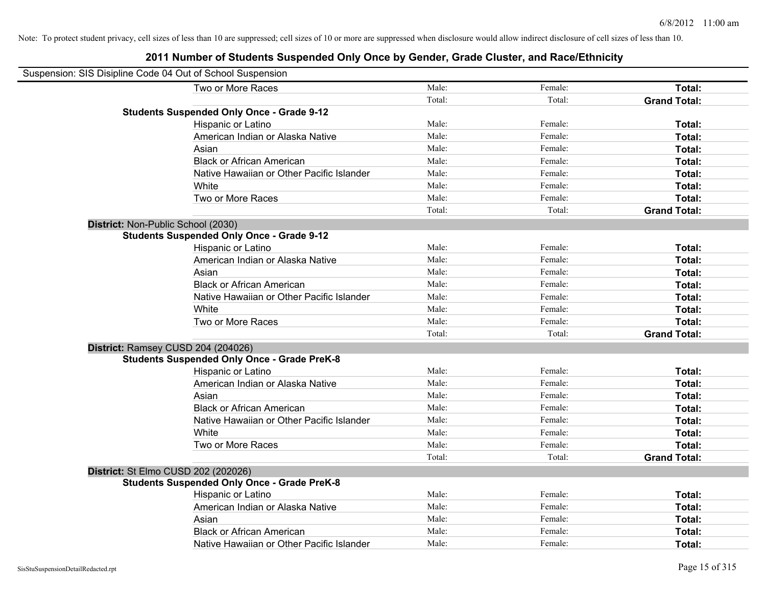| Suspension: SIS Disipline Code 04 Out of School Suspension |                                                    |        |         |                     |
|------------------------------------------------------------|----------------------------------------------------|--------|---------|---------------------|
|                                                            | Two or More Races                                  | Male:  | Female: | Total:              |
|                                                            |                                                    | Total: | Total:  | <b>Grand Total:</b> |
|                                                            | <b>Students Suspended Only Once - Grade 9-12</b>   |        |         |                     |
|                                                            | Hispanic or Latino                                 | Male:  | Female: | Total:              |
|                                                            | American Indian or Alaska Native                   | Male:  | Female: | Total:              |
|                                                            | Asian                                              | Male:  | Female: | Total:              |
|                                                            | <b>Black or African American</b>                   | Male:  | Female: | Total:              |
|                                                            | Native Hawaiian or Other Pacific Islander          | Male:  | Female: | Total:              |
|                                                            | White                                              | Male:  | Female: | Total:              |
|                                                            | Two or More Races                                  | Male:  | Female: | Total:              |
|                                                            |                                                    | Total: | Total:  | <b>Grand Total:</b> |
| District: Non-Public School (2030)                         |                                                    |        |         |                     |
|                                                            | <b>Students Suspended Only Once - Grade 9-12</b>   |        |         |                     |
|                                                            | Hispanic or Latino                                 | Male:  | Female: | Total:              |
|                                                            | American Indian or Alaska Native                   | Male:  | Female: | Total:              |
|                                                            | Asian                                              | Male:  | Female: | Total:              |
|                                                            | <b>Black or African American</b>                   | Male:  | Female: | Total:              |
|                                                            | Native Hawaiian or Other Pacific Islander          | Male:  | Female: | Total:              |
|                                                            | White                                              | Male:  | Female: | Total:              |
|                                                            | Two or More Races                                  | Male:  | Female: | Total:              |
|                                                            |                                                    | Total: | Total:  | <b>Grand Total:</b> |
|                                                            | District: Ramsey CUSD 204 (204026)                 |        |         |                     |
|                                                            | <b>Students Suspended Only Once - Grade PreK-8</b> |        |         |                     |
|                                                            | Hispanic or Latino                                 | Male:  | Female: | Total:              |
|                                                            | American Indian or Alaska Native                   | Male:  | Female: | Total:              |
|                                                            | Asian                                              | Male:  | Female: | Total:              |
|                                                            | <b>Black or African American</b>                   | Male:  | Female: | Total:              |
|                                                            | Native Hawaiian or Other Pacific Islander          | Male:  | Female: | Total:              |
|                                                            | White                                              | Male:  | Female: | Total:              |
|                                                            | Two or More Races                                  | Male:  | Female: | Total:              |
|                                                            |                                                    | Total: | Total:  | <b>Grand Total:</b> |
|                                                            | District: St Elmo CUSD 202 (202026)                |        |         |                     |
|                                                            | <b>Students Suspended Only Once - Grade PreK-8</b> |        |         |                     |
|                                                            | Hispanic or Latino                                 | Male:  | Female: | Total:              |
|                                                            | American Indian or Alaska Native                   | Male:  | Female: | Total:              |
|                                                            | Asian                                              | Male:  | Female: | Total:              |
|                                                            | <b>Black or African American</b>                   | Male:  | Female: | Total:              |
|                                                            | Native Hawaiian or Other Pacific Islander          | Male:  | Female: | Total:              |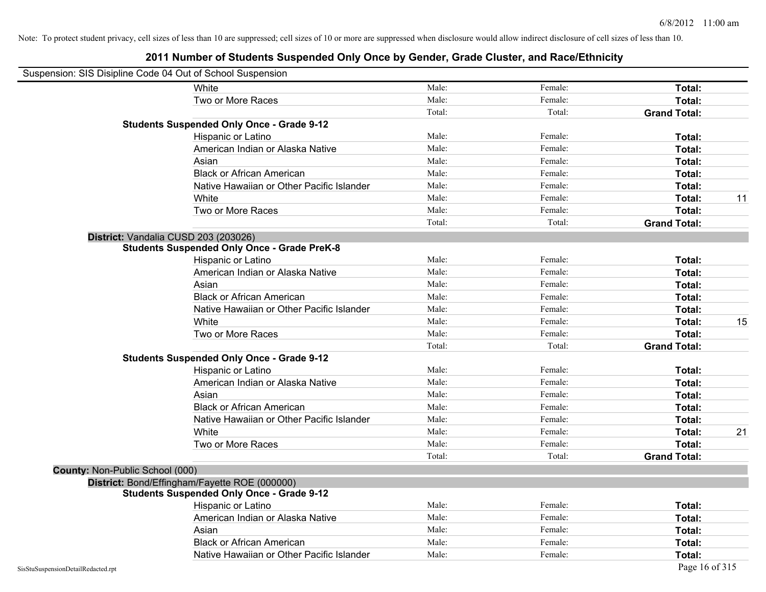| Suspension: SIS Disipline Code 04 Out of School Suspension |                                                    |        |         |                     |    |
|------------------------------------------------------------|----------------------------------------------------|--------|---------|---------------------|----|
|                                                            | White                                              | Male:  | Female: | Total:              |    |
|                                                            | Two or More Races                                  | Male:  | Female: | Total:              |    |
|                                                            |                                                    | Total: | Total:  | <b>Grand Total:</b> |    |
|                                                            | <b>Students Suspended Only Once - Grade 9-12</b>   |        |         |                     |    |
|                                                            | Hispanic or Latino                                 | Male:  | Female: | Total:              |    |
|                                                            | American Indian or Alaska Native                   | Male:  | Female: | Total:              |    |
|                                                            | Asian                                              | Male:  | Female: | Total:              |    |
|                                                            | <b>Black or African American</b>                   | Male:  | Female: | Total:              |    |
|                                                            | Native Hawaiian or Other Pacific Islander          | Male:  | Female: | Total:              |    |
|                                                            | White                                              | Male:  | Female: | Total:              | 11 |
|                                                            | Two or More Races                                  | Male:  | Female: | Total:              |    |
|                                                            |                                                    | Total: | Total:  | <b>Grand Total:</b> |    |
|                                                            | District: Vandalia CUSD 203 (203026)               |        |         |                     |    |
|                                                            | <b>Students Suspended Only Once - Grade PreK-8</b> |        |         |                     |    |
|                                                            | Hispanic or Latino                                 | Male:  | Female: | Total:              |    |
|                                                            | American Indian or Alaska Native                   | Male:  | Female: | Total:              |    |
|                                                            | Asian                                              | Male:  | Female: | Total:              |    |
|                                                            | <b>Black or African American</b>                   | Male:  | Female: | Total:              |    |
|                                                            | Native Hawaiian or Other Pacific Islander          | Male:  | Female: | Total:              |    |
|                                                            | White                                              | Male:  | Female: | Total:              | 15 |
|                                                            | Two or More Races                                  | Male:  | Female: | Total:              |    |
|                                                            |                                                    | Total: | Total:  | <b>Grand Total:</b> |    |
|                                                            | <b>Students Suspended Only Once - Grade 9-12</b>   |        |         |                     |    |
|                                                            | Hispanic or Latino                                 | Male:  | Female: | Total:              |    |
|                                                            | American Indian or Alaska Native                   | Male:  | Female: | Total:              |    |
|                                                            | Asian                                              | Male:  | Female: | Total:              |    |
|                                                            | <b>Black or African American</b>                   | Male:  | Female: | Total:              |    |
|                                                            | Native Hawaiian or Other Pacific Islander          | Male:  | Female: | Total:              |    |
|                                                            | White                                              | Male:  | Female: | Total:              | 21 |
|                                                            | Two or More Races                                  | Male:  | Female: | Total:              |    |
|                                                            |                                                    | Total: | Total:  | <b>Grand Total:</b> |    |
| County: Non-Public School (000)                            |                                                    |        |         |                     |    |
|                                                            | District: Bond/Effingham/Fayette ROE (000000)      |        |         |                     |    |
|                                                            | <b>Students Suspended Only Once - Grade 9-12</b>   |        |         |                     |    |
|                                                            | Hispanic or Latino                                 | Male:  | Female: | <b>Total:</b>       |    |
|                                                            | American Indian or Alaska Native                   | Male:  | Female: | Total:              |    |
|                                                            | Asian                                              | Male:  | Female: | Total:              |    |
|                                                            | <b>Black or African American</b>                   | Male:  | Female: | Total:              |    |
|                                                            | Native Hawaiian or Other Pacific Islander          | Male:  | Female: | Total:              |    |
| SisStuSuspensionDetailRedacted.rpt                         |                                                    |        |         | Page 16 of 315      |    |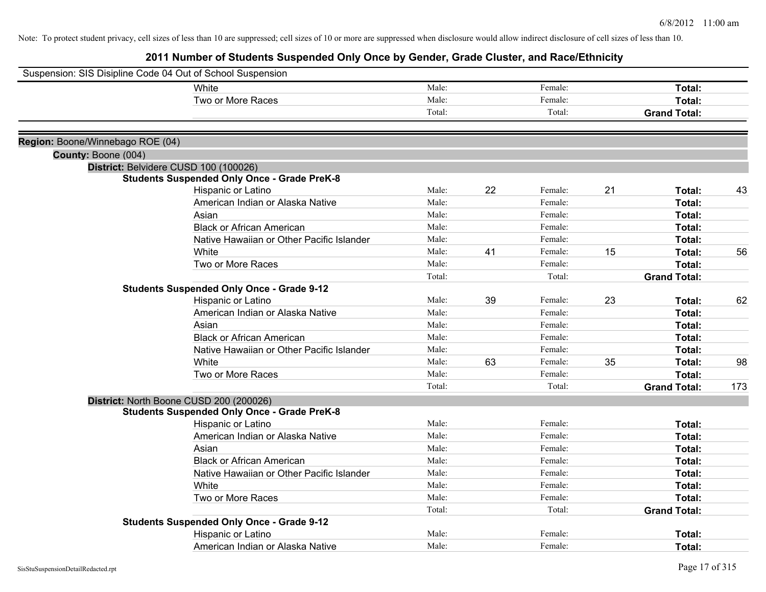| Suspension: SIS Disipline Code 04 Out of School Suspension |                                                    |        |    |         |    |                     |     |
|------------------------------------------------------------|----------------------------------------------------|--------|----|---------|----|---------------------|-----|
|                                                            | White                                              | Male:  |    | Female: |    | Total:              |     |
|                                                            | Two or More Races                                  | Male:  |    | Female: |    | Total:              |     |
|                                                            |                                                    | Total: |    | Total:  |    | <b>Grand Total:</b> |     |
| Region: Boone/Winnebago ROE (04)                           |                                                    |        |    |         |    |                     |     |
| County: Boone (004)                                        |                                                    |        |    |         |    |                     |     |
|                                                            | District: Belvidere CUSD 100 (100026)              |        |    |         |    |                     |     |
|                                                            | <b>Students Suspended Only Once - Grade PreK-8</b> |        |    |         |    |                     |     |
|                                                            | Hispanic or Latino                                 | Male:  | 22 | Female: | 21 | Total:              | 43  |
|                                                            | American Indian or Alaska Native                   | Male:  |    | Female: |    | Total:              |     |
|                                                            | Asian                                              | Male:  |    | Female: |    | Total:              |     |
|                                                            | <b>Black or African American</b>                   | Male:  |    | Female: |    | Total:              |     |
|                                                            | Native Hawaiian or Other Pacific Islander          | Male:  |    | Female: |    | Total:              |     |
|                                                            | White                                              | Male:  | 41 | Female: | 15 | Total:              | 56  |
|                                                            | Two or More Races                                  | Male:  |    | Female: |    | Total:              |     |
|                                                            |                                                    | Total: |    | Total:  |    | <b>Grand Total:</b> |     |
|                                                            | <b>Students Suspended Only Once - Grade 9-12</b>   |        |    |         |    |                     |     |
|                                                            | Hispanic or Latino                                 | Male:  | 39 | Female: | 23 | Total:              | 62  |
|                                                            | American Indian or Alaska Native                   | Male:  |    | Female: |    | Total:              |     |
|                                                            | Asian                                              | Male:  |    | Female: |    | Total:              |     |
|                                                            | <b>Black or African American</b>                   | Male:  |    | Female: |    | Total:              |     |
|                                                            | Native Hawaiian or Other Pacific Islander          | Male:  |    | Female: |    | Total:              |     |
|                                                            | White                                              | Male:  | 63 | Female: | 35 | Total:              | 98  |
|                                                            | Two or More Races                                  | Male:  |    | Female: |    | Total:              |     |
|                                                            |                                                    | Total: |    | Total:  |    | <b>Grand Total:</b> | 173 |
|                                                            | District: North Boone CUSD 200 (200026)            |        |    |         |    |                     |     |
|                                                            | <b>Students Suspended Only Once - Grade PreK-8</b> |        |    |         |    |                     |     |
|                                                            | Hispanic or Latino                                 | Male:  |    | Female: |    | Total:              |     |
|                                                            | American Indian or Alaska Native                   | Male:  |    | Female: |    | Total:              |     |
|                                                            | Asian                                              | Male:  |    | Female: |    | Total:              |     |
|                                                            | <b>Black or African American</b>                   | Male:  |    | Female: |    | Total:              |     |
|                                                            | Native Hawaiian or Other Pacific Islander          | Male:  |    | Female: |    | Total:              |     |
|                                                            | White                                              | Male:  |    | Female: |    | Total:              |     |
|                                                            | Two or More Races                                  | Male:  |    | Female: |    | Total:              |     |
|                                                            |                                                    | Total: |    | Total:  |    | <b>Grand Total:</b> |     |
|                                                            | <b>Students Suspended Only Once - Grade 9-12</b>   |        |    |         |    |                     |     |
|                                                            | Hispanic or Latino                                 | Male:  |    | Female: |    | Total:              |     |
|                                                            | American Indian or Alaska Native                   | Male:  |    | Female: |    | Total:              |     |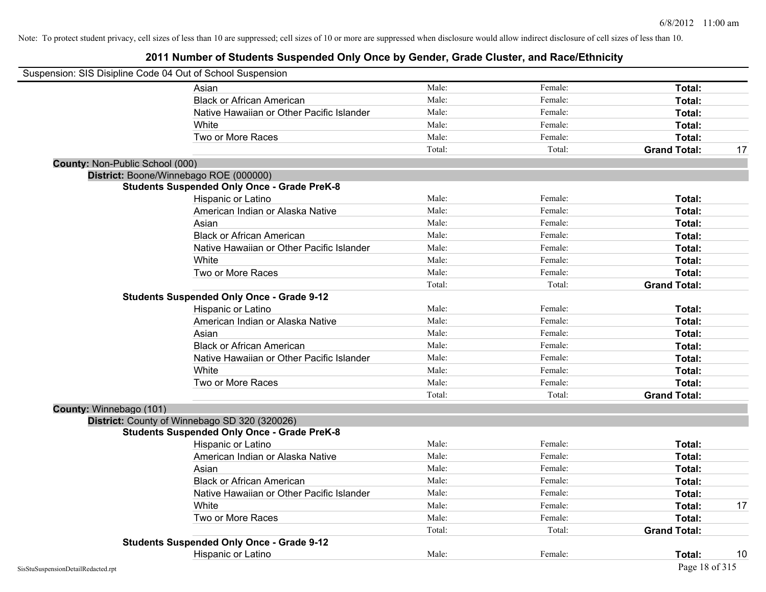| Suspension: SIS Disipline Code 04 Out of School Suspension |                                                    |        |         |                     |    |
|------------------------------------------------------------|----------------------------------------------------|--------|---------|---------------------|----|
|                                                            | Asian                                              | Male:  | Female: | Total:              |    |
|                                                            | <b>Black or African American</b>                   | Male:  | Female: | Total:              |    |
|                                                            | Native Hawaiian or Other Pacific Islander          | Male:  | Female: | Total:              |    |
|                                                            | White                                              | Male:  | Female: | Total:              |    |
|                                                            | Two or More Races                                  | Male:  | Female: | Total:              |    |
|                                                            |                                                    | Total: | Total:  | <b>Grand Total:</b> | 17 |
| County: Non-Public School (000)                            |                                                    |        |         |                     |    |
| District: Boone/Winnebago ROE (000000)                     |                                                    |        |         |                     |    |
|                                                            | <b>Students Suspended Only Once - Grade PreK-8</b> |        |         |                     |    |
|                                                            | Hispanic or Latino                                 | Male:  | Female: | Total:              |    |
|                                                            | American Indian or Alaska Native                   | Male:  | Female: | Total:              |    |
|                                                            | Asian                                              | Male:  | Female: | Total:              |    |
|                                                            | <b>Black or African American</b>                   | Male:  | Female: | Total:              |    |
|                                                            | Native Hawaiian or Other Pacific Islander          | Male:  | Female: | Total:              |    |
|                                                            | White                                              | Male:  | Female: | Total:              |    |
|                                                            | Two or More Races                                  | Male:  | Female: | Total:              |    |
|                                                            |                                                    | Total: | Total:  | <b>Grand Total:</b> |    |
|                                                            | <b>Students Suspended Only Once - Grade 9-12</b>   |        |         |                     |    |
|                                                            | Hispanic or Latino                                 | Male:  | Female: | Total:              |    |
|                                                            | American Indian or Alaska Native                   | Male:  | Female: | Total:              |    |
|                                                            | Asian                                              | Male:  | Female: | Total:              |    |
|                                                            | <b>Black or African American</b>                   | Male:  | Female: | Total:              |    |
|                                                            | Native Hawaiian or Other Pacific Islander          | Male:  | Female: | Total:              |    |
|                                                            | White                                              | Male:  | Female: | Total:              |    |
|                                                            | Two or More Races                                  | Male:  | Female: | Total:              |    |
|                                                            |                                                    | Total: | Total:  | <b>Grand Total:</b> |    |
| County: Winnebago (101)                                    |                                                    |        |         |                     |    |
| District: County of Winnebago SD 320 (320026)              |                                                    |        |         |                     |    |
|                                                            | <b>Students Suspended Only Once - Grade PreK-8</b> |        |         |                     |    |
|                                                            | Hispanic or Latino                                 | Male:  | Female: | Total:              |    |
|                                                            | American Indian or Alaska Native                   | Male:  | Female: | Total:              |    |
|                                                            | Asian                                              | Male:  | Female: | Total:              |    |
|                                                            | <b>Black or African American</b>                   | Male:  | Female: | Total:              |    |
|                                                            | Native Hawaiian or Other Pacific Islander          | Male:  | Female: | Total:              |    |
|                                                            | White                                              | Male:  | Female: | Total:              | 17 |
|                                                            | Two or More Races                                  | Male:  | Female: | Total:              |    |
|                                                            |                                                    | Total: | Total:  | <b>Grand Total:</b> |    |
|                                                            | <b>Students Suspended Only Once - Grade 9-12</b>   |        |         |                     |    |
|                                                            | Hispanic or Latino                                 | Male:  | Female: | Total:              | 10 |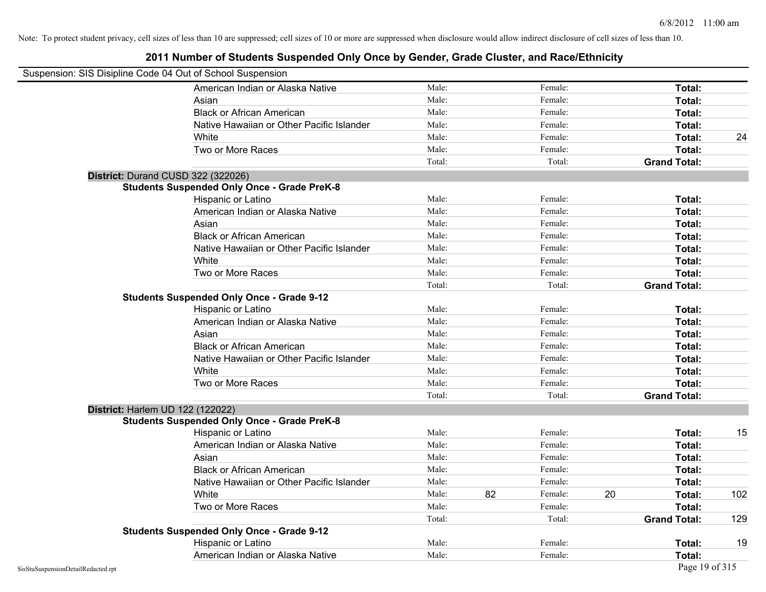| Suspension: SIS Disipline Code 04 Out of School Suspension |                                                    |        |    |         |    |                     |     |
|------------------------------------------------------------|----------------------------------------------------|--------|----|---------|----|---------------------|-----|
|                                                            | American Indian or Alaska Native                   | Male:  |    | Female: |    | Total:              |     |
|                                                            | Asian                                              | Male:  |    | Female: |    | Total:              |     |
|                                                            | <b>Black or African American</b>                   | Male:  |    | Female: |    | Total:              |     |
|                                                            | Native Hawaiian or Other Pacific Islander          | Male:  |    | Female: |    | Total:              |     |
|                                                            | White                                              | Male:  |    | Female: |    | Total:              | 24  |
|                                                            | Two or More Races                                  | Male:  |    | Female: |    | Total:              |     |
|                                                            |                                                    | Total: |    | Total:  |    | <b>Grand Total:</b> |     |
|                                                            | District: Durand CUSD 322 (322026)                 |        |    |         |    |                     |     |
|                                                            | <b>Students Suspended Only Once - Grade PreK-8</b> |        |    |         |    |                     |     |
|                                                            | Hispanic or Latino                                 | Male:  |    | Female: |    | Total:              |     |
|                                                            | American Indian or Alaska Native                   | Male:  |    | Female: |    | Total:              |     |
|                                                            | Asian                                              | Male:  |    | Female: |    | Total:              |     |
|                                                            | <b>Black or African American</b>                   | Male:  |    | Female: |    | Total:              |     |
|                                                            | Native Hawaiian or Other Pacific Islander          | Male:  |    | Female: |    | Total:              |     |
|                                                            | White                                              | Male:  |    | Female: |    | Total:              |     |
|                                                            | Two or More Races                                  | Male:  |    | Female: |    | Total:              |     |
|                                                            |                                                    | Total: |    | Total:  |    | <b>Grand Total:</b> |     |
|                                                            | <b>Students Suspended Only Once - Grade 9-12</b>   |        |    |         |    |                     |     |
|                                                            | Hispanic or Latino                                 | Male:  |    | Female: |    | Total:              |     |
|                                                            | American Indian or Alaska Native                   | Male:  |    | Female: |    | Total:              |     |
|                                                            | Asian                                              | Male:  |    | Female: |    | Total:              |     |
|                                                            | <b>Black or African American</b>                   | Male:  |    | Female: |    | Total:              |     |
|                                                            | Native Hawaiian or Other Pacific Islander          | Male:  |    | Female: |    | Total:              |     |
|                                                            | White                                              | Male:  |    | Female: |    | Total:              |     |
|                                                            | Two or More Races                                  | Male:  |    | Female: |    | Total:              |     |
|                                                            |                                                    | Total: |    | Total:  |    | <b>Grand Total:</b> |     |
|                                                            | <b>District: Harlem UD 122 (122022)</b>            |        |    |         |    |                     |     |
|                                                            | <b>Students Suspended Only Once - Grade PreK-8</b> |        |    |         |    |                     |     |
|                                                            | Hispanic or Latino                                 | Male:  |    | Female: |    | Total:              | 15  |
|                                                            | American Indian or Alaska Native                   | Male:  |    | Female: |    | Total:              |     |
|                                                            | Asian                                              | Male:  |    | Female: |    | Total:              |     |
|                                                            | <b>Black or African American</b>                   | Male:  |    | Female: |    | Total:              |     |
|                                                            | Native Hawaiian or Other Pacific Islander          | Male:  |    | Female: |    | Total:              |     |
|                                                            | White                                              | Male:  | 82 | Female: | 20 | Total:              | 102 |
|                                                            | Two or More Races                                  | Male:  |    | Female: |    | Total:              |     |
|                                                            |                                                    | Total: |    | Total:  |    | <b>Grand Total:</b> | 129 |
|                                                            | <b>Students Suspended Only Once - Grade 9-12</b>   |        |    |         |    |                     |     |
|                                                            | Hispanic or Latino                                 | Male:  |    | Female: |    | Total:              | 19  |
|                                                            | American Indian or Alaska Native                   | Male:  |    | Female: |    | Total:              |     |
| SisStuSuspensionDetailRedacted.rpt                         |                                                    |        |    |         |    | Page 19 of 315      |     |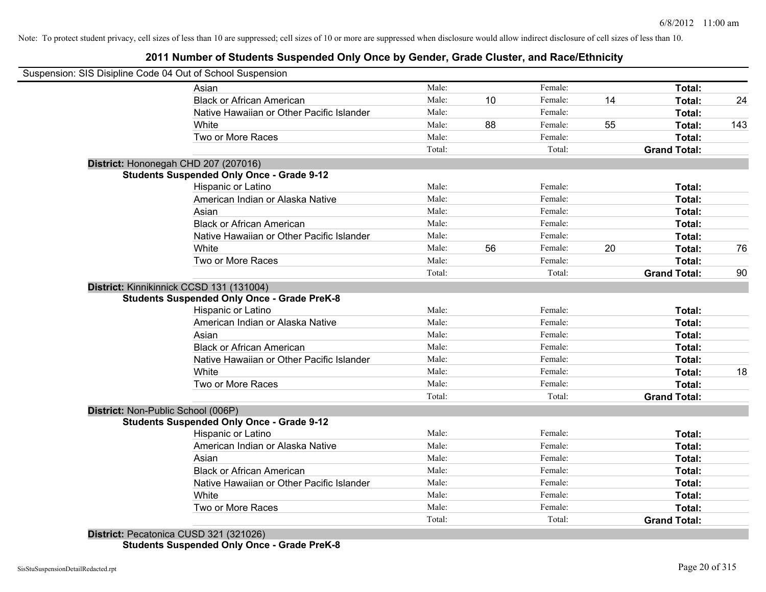### **2011 Number of Students Suspended Only Once by Gender, Grade Cluster, and Race/Ethnicity**

| Asian                                     | Male:                                                                                                                                                                                                                                                                                                                                                                                                                                                                                                                                                                                                                                                                             |                                                                                                                   | Female: |                                                                | Total:              |                                      |
|-------------------------------------------|-----------------------------------------------------------------------------------------------------------------------------------------------------------------------------------------------------------------------------------------------------------------------------------------------------------------------------------------------------------------------------------------------------------------------------------------------------------------------------------------------------------------------------------------------------------------------------------------------------------------------------------------------------------------------------------|-------------------------------------------------------------------------------------------------------------------|---------|----------------------------------------------------------------|---------------------|--------------------------------------|
| <b>Black or African American</b>          | Male:                                                                                                                                                                                                                                                                                                                                                                                                                                                                                                                                                                                                                                                                             | 10                                                                                                                | Female: | 14                                                             | Total:              | 24                                   |
| Native Hawaiian or Other Pacific Islander | Male:                                                                                                                                                                                                                                                                                                                                                                                                                                                                                                                                                                                                                                                                             |                                                                                                                   | Female: |                                                                | Total:              |                                      |
| White                                     | Male:                                                                                                                                                                                                                                                                                                                                                                                                                                                                                                                                                                                                                                                                             | 88                                                                                                                | Female: | 55                                                             | Total:              | 143                                  |
| Two or More Races                         | Male:                                                                                                                                                                                                                                                                                                                                                                                                                                                                                                                                                                                                                                                                             |                                                                                                                   | Female: |                                                                | Total:              |                                      |
|                                           | Total:                                                                                                                                                                                                                                                                                                                                                                                                                                                                                                                                                                                                                                                                            |                                                                                                                   | Total:  |                                                                | <b>Grand Total:</b> |                                      |
|                                           |                                                                                                                                                                                                                                                                                                                                                                                                                                                                                                                                                                                                                                                                                   |                                                                                                                   |         |                                                                |                     |                                      |
|                                           |                                                                                                                                                                                                                                                                                                                                                                                                                                                                                                                                                                                                                                                                                   |                                                                                                                   |         |                                                                |                     |                                      |
| <b>Hispanic or Latino</b>                 | Male:                                                                                                                                                                                                                                                                                                                                                                                                                                                                                                                                                                                                                                                                             |                                                                                                                   | Female: |                                                                | Total:              |                                      |
|                                           |                                                                                                                                                                                                                                                                                                                                                                                                                                                                                                                                                                                                                                                                                   |                                                                                                                   |         |                                                                | Total:              |                                      |
| Asian                                     |                                                                                                                                                                                                                                                                                                                                                                                                                                                                                                                                                                                                                                                                                   |                                                                                                                   |         |                                                                | Total:              |                                      |
|                                           |                                                                                                                                                                                                                                                                                                                                                                                                                                                                                                                                                                                                                                                                                   |                                                                                                                   |         |                                                                | Total:              |                                      |
|                                           | Male:                                                                                                                                                                                                                                                                                                                                                                                                                                                                                                                                                                                                                                                                             |                                                                                                                   | Female: |                                                                | Total:              |                                      |
| White                                     | Male:                                                                                                                                                                                                                                                                                                                                                                                                                                                                                                                                                                                                                                                                             | 56                                                                                                                | Female: |                                                                | Total:              | 76                                   |
| Two or More Races                         | Male:                                                                                                                                                                                                                                                                                                                                                                                                                                                                                                                                                                                                                                                                             |                                                                                                                   | Female: |                                                                | Total:              |                                      |
|                                           | Total:                                                                                                                                                                                                                                                                                                                                                                                                                                                                                                                                                                                                                                                                            |                                                                                                                   | Total:  |                                                                | <b>Grand Total:</b> | 90                                   |
|                                           |                                                                                                                                                                                                                                                                                                                                                                                                                                                                                                                                                                                                                                                                                   |                                                                                                                   |         |                                                                |                     |                                      |
|                                           |                                                                                                                                                                                                                                                                                                                                                                                                                                                                                                                                                                                                                                                                                   |                                                                                                                   |         |                                                                |                     |                                      |
| Hispanic or Latino                        | Male:                                                                                                                                                                                                                                                                                                                                                                                                                                                                                                                                                                                                                                                                             |                                                                                                                   | Female: |                                                                | Total:              |                                      |
| American Indian or Alaska Native          |                                                                                                                                                                                                                                                                                                                                                                                                                                                                                                                                                                                                                                                                                   |                                                                                                                   | Female: |                                                                | Total:              |                                      |
|                                           |                                                                                                                                                                                                                                                                                                                                                                                                                                                                                                                                                                                                                                                                                   |                                                                                                                   | Female: |                                                                |                     |                                      |
|                                           |                                                                                                                                                                                                                                                                                                                                                                                                                                                                                                                                                                                                                                                                                   |                                                                                                                   |         |                                                                | Total:              |                                      |
| Native Hawaiian or Other Pacific Islander | Male:                                                                                                                                                                                                                                                                                                                                                                                                                                                                                                                                                                                                                                                                             |                                                                                                                   | Female: |                                                                | Total:              |                                      |
| White                                     |                                                                                                                                                                                                                                                                                                                                                                                                                                                                                                                                                                                                                                                                                   |                                                                                                                   | Female: |                                                                | Total:              | 18                                   |
| Two or More Races                         | Male:                                                                                                                                                                                                                                                                                                                                                                                                                                                                                                                                                                                                                                                                             |                                                                                                                   | Female: |                                                                | Total:              |                                      |
|                                           | Total:                                                                                                                                                                                                                                                                                                                                                                                                                                                                                                                                                                                                                                                                            |                                                                                                                   | Total:  |                                                                | <b>Grand Total:</b> |                                      |
|                                           |                                                                                                                                                                                                                                                                                                                                                                                                                                                                                                                                                                                                                                                                                   |                                                                                                                   |         |                                                                |                     |                                      |
|                                           |                                                                                                                                                                                                                                                                                                                                                                                                                                                                                                                                                                                                                                                                                   |                                                                                                                   |         |                                                                |                     |                                      |
|                                           |                                                                                                                                                                                                                                                                                                                                                                                                                                                                                                                                                                                                                                                                                   |                                                                                                                   | Female: |                                                                |                     |                                      |
|                                           |                                                                                                                                                                                                                                                                                                                                                                                                                                                                                                                                                                                                                                                                                   |                                                                                                                   |         |                                                                | Total:              |                                      |
|                                           |                                                                                                                                                                                                                                                                                                                                                                                                                                                                                                                                                                                                                                                                                   |                                                                                                                   |         |                                                                |                     |                                      |
|                                           |                                                                                                                                                                                                                                                                                                                                                                                                                                                                                                                                                                                                                                                                                   |                                                                                                                   | Female: |                                                                | Total:              |                                      |
|                                           |                                                                                                                                                                                                                                                                                                                                                                                                                                                                                                                                                                                                                                                                                   |                                                                                                                   | Female: |                                                                |                     |                                      |
|                                           |                                                                                                                                                                                                                                                                                                                                                                                                                                                                                                                                                                                                                                                                                   |                                                                                                                   | Female: |                                                                | Total:              |                                      |
| Two or More Races                         | Male:                                                                                                                                                                                                                                                                                                                                                                                                                                                                                                                                                                                                                                                                             |                                                                                                                   | Female: |                                                                | Total:              |                                      |
|                                           | Total:                                                                                                                                                                                                                                                                                                                                                                                                                                                                                                                                                                                                                                                                            |                                                                                                                   | Total:  |                                                                | <b>Grand Total:</b> |                                      |
|                                           | Suspension: SIS Disipline Code 04 Out of School Suspension<br>District: Hononegah CHD 207 (207016)<br><b>Students Suspended Only Once - Grade 9-12</b><br>American Indian or Alaska Native<br><b>Black or African American</b><br>Native Hawaiian or Other Pacific Islander<br>District: Kinnikinnick CCSD 131 (131004)<br><b>Students Suspended Only Once - Grade PreK-8</b><br>Asian<br><b>Black or African American</b><br>District: Non-Public School (006P)<br><b>Students Suspended Only Once - Grade 9-12</b><br>Hispanic or Latino<br>American Indian or Alaska Native<br>Asian<br><b>Black or African American</b><br>Native Hawaiian or Other Pacific Islander<br>White | Male:<br>Male:<br>Male:<br>Male:<br>Male:<br>Male:<br>Male:<br>Male:<br>Male:<br>Male:<br>Male:<br>Male:<br>Male: |         | Female:<br>Female:<br>Female:<br>Female:<br>Female:<br>Female: | 20                  | Total:<br>Total:<br>Total:<br>Total: |

**Students Suspended Only Once - Grade PreK-8**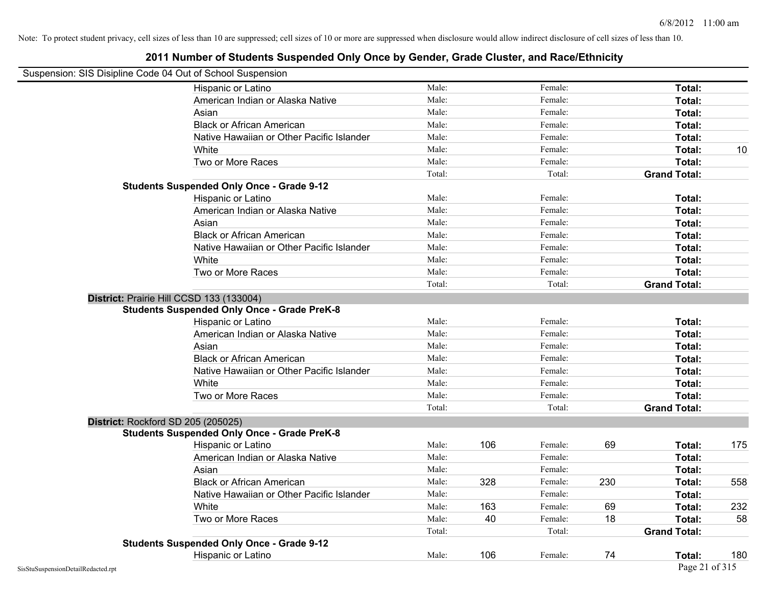| Suspension: SIS Disipline Code 04 Out of School Suspension |                                                    |        |     |         |     |                     |     |
|------------------------------------------------------------|----------------------------------------------------|--------|-----|---------|-----|---------------------|-----|
|                                                            | <b>Hispanic or Latino</b>                          | Male:  |     | Female: |     | Total:              |     |
|                                                            | American Indian or Alaska Native                   | Male:  |     | Female: |     | Total:              |     |
|                                                            | Asian                                              | Male:  |     | Female: |     | Total:              |     |
|                                                            | <b>Black or African American</b>                   | Male:  |     | Female: |     | Total:              |     |
|                                                            | Native Hawaiian or Other Pacific Islander          | Male:  |     | Female: |     | Total:              |     |
|                                                            | White                                              | Male:  |     | Female: |     | Total:              | 10  |
|                                                            | Two or More Races                                  | Male:  |     | Female: |     | Total:              |     |
|                                                            |                                                    | Total: |     | Total:  |     | <b>Grand Total:</b> |     |
|                                                            | <b>Students Suspended Only Once - Grade 9-12</b>   |        |     |         |     |                     |     |
|                                                            | Hispanic or Latino                                 | Male:  |     | Female: |     | Total:              |     |
|                                                            | American Indian or Alaska Native                   | Male:  |     | Female: |     | Total:              |     |
|                                                            | Asian                                              | Male:  |     | Female: |     | Total:              |     |
|                                                            | <b>Black or African American</b>                   | Male:  |     | Female: |     | Total:              |     |
|                                                            | Native Hawaiian or Other Pacific Islander          | Male:  |     | Female: |     | Total:              |     |
|                                                            | White                                              | Male:  |     | Female: |     | Total:              |     |
|                                                            | Two or More Races                                  | Male:  |     | Female: |     | Total:              |     |
|                                                            |                                                    | Total: |     | Total:  |     | <b>Grand Total:</b> |     |
|                                                            | District: Prairie Hill CCSD 133 (133004)           |        |     |         |     |                     |     |
|                                                            | <b>Students Suspended Only Once - Grade PreK-8</b> |        |     |         |     |                     |     |
|                                                            | Hispanic or Latino                                 | Male:  |     | Female: |     | Total:              |     |
|                                                            | American Indian or Alaska Native                   | Male:  |     | Female: |     | Total:              |     |
|                                                            | Asian                                              | Male:  |     | Female: |     | Total:              |     |
|                                                            | <b>Black or African American</b>                   | Male:  |     | Female: |     | Total:              |     |
|                                                            | Native Hawaiian or Other Pacific Islander          | Male:  |     | Female: |     | Total:              |     |
|                                                            | White                                              | Male:  |     | Female: |     | Total:              |     |
|                                                            | Two or More Races                                  | Male:  |     | Female: |     | Total:              |     |
|                                                            |                                                    | Total: |     | Total:  |     | <b>Grand Total:</b> |     |
|                                                            | District: Rockford SD 205 (205025)                 |        |     |         |     |                     |     |
|                                                            | <b>Students Suspended Only Once - Grade PreK-8</b> |        |     |         |     |                     |     |
|                                                            | Hispanic or Latino                                 | Male:  | 106 | Female: | 69  | Total:              | 175 |
|                                                            | American Indian or Alaska Native                   | Male:  |     | Female: |     | Total:              |     |
|                                                            | Asian                                              | Male:  |     | Female: |     | Total:              |     |
|                                                            | <b>Black or African American</b>                   | Male:  | 328 | Female: | 230 | Total:              | 558 |
|                                                            | Native Hawaiian or Other Pacific Islander          | Male:  |     | Female: |     | Total:              |     |
|                                                            | White                                              | Male:  | 163 | Female: | 69  | Total:              | 232 |
|                                                            | Two or More Races                                  | Male:  | 40  | Female: | 18  | Total:              | 58  |
|                                                            |                                                    | Total: |     | Total:  |     | <b>Grand Total:</b> |     |
|                                                            | <b>Students Suspended Only Once - Grade 9-12</b>   |        |     |         |     |                     |     |
|                                                            | Hispanic or Latino                                 | Male:  | 106 | Female: | 74  | Total:              | 180 |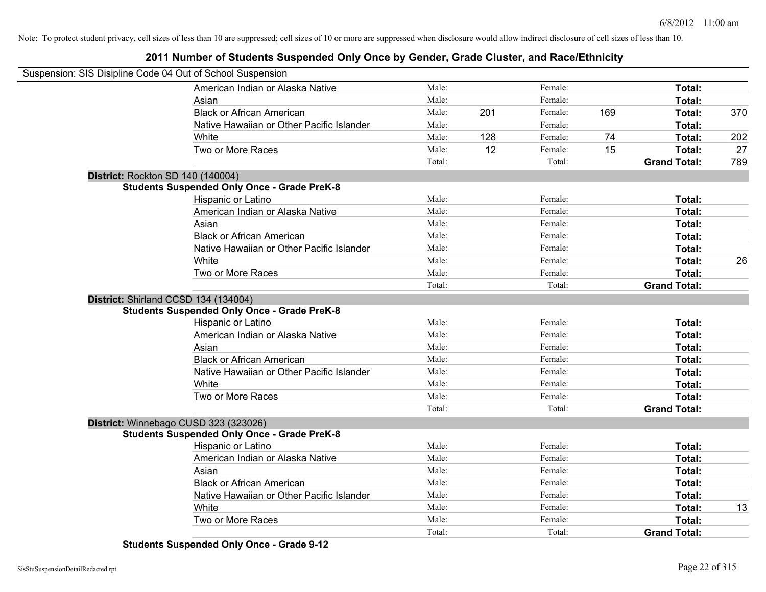### **2011 Number of Students Suspended Only Once by Gender, Grade Cluster, and Race/Ethnicity**

| Suspension: SIS Disipline Code 04 Out of School Suspension |        |     |         |     |                     |     |
|------------------------------------------------------------|--------|-----|---------|-----|---------------------|-----|
| American Indian or Alaska Native                           | Male:  |     | Female: |     | Total:              |     |
| Asian                                                      | Male:  |     | Female: |     | Total:              |     |
| <b>Black or African American</b>                           | Male:  | 201 | Female: | 169 | Total:              | 370 |
| Native Hawaiian or Other Pacific Islander                  | Male:  |     | Female: |     | Total:              |     |
| White                                                      | Male:  | 128 | Female: | 74  | Total:              | 202 |
| Two or More Races                                          | Male:  | 12  | Female: | 15  | Total:              | 27  |
|                                                            | Total: |     | Total:  |     | <b>Grand Total:</b> | 789 |
| District: Rockton SD 140 (140004)                          |        |     |         |     |                     |     |
| <b>Students Suspended Only Once - Grade PreK-8</b>         |        |     |         |     |                     |     |
| Hispanic or Latino                                         | Male:  |     | Female: |     | Total:              |     |
| American Indian or Alaska Native                           | Male:  |     | Female: |     | Total:              |     |
| Asian                                                      | Male:  |     | Female: |     | Total:              |     |
| <b>Black or African American</b>                           | Male:  |     | Female: |     | Total:              |     |
| Native Hawaiian or Other Pacific Islander                  | Male:  |     | Female: |     | Total:              |     |
| White                                                      | Male:  |     | Female: |     | Total:              | 26  |
| Two or More Races                                          | Male:  |     | Female: |     | <b>Total:</b>       |     |
|                                                            | Total: |     | Total:  |     | <b>Grand Total:</b> |     |
| District: Shirland CCSD 134 (134004)                       |        |     |         |     |                     |     |
| <b>Students Suspended Only Once - Grade PreK-8</b>         |        |     |         |     |                     |     |
| <b>Hispanic or Latino</b>                                  | Male:  |     | Female: |     | Total:              |     |
| American Indian or Alaska Native                           | Male:  |     | Female: |     | Total:              |     |
| Asian                                                      | Male:  |     | Female: |     | Total:              |     |
| <b>Black or African American</b>                           | Male:  |     | Female: |     | Total:              |     |
| Native Hawaiian or Other Pacific Islander                  | Male:  |     | Female: |     | Total:              |     |
| White                                                      | Male:  |     | Female: |     | Total:              |     |
| Two or More Races                                          | Male:  |     | Female: |     | Total:              |     |
|                                                            | Total: |     | Total:  |     | <b>Grand Total:</b> |     |
| District: Winnebago CUSD 323 (323026)                      |        |     |         |     |                     |     |
| <b>Students Suspended Only Once - Grade PreK-8</b>         |        |     |         |     |                     |     |
| <b>Hispanic or Latino</b>                                  | Male:  |     | Female: |     | Total:              |     |
| American Indian or Alaska Native                           | Male:  |     | Female: |     | Total:              |     |
| Asian                                                      | Male:  |     | Female: |     | Total:              |     |
| <b>Black or African American</b>                           | Male:  |     | Female: |     | Total:              |     |
| Native Hawaiian or Other Pacific Islander                  | Male:  |     | Female: |     | Total:              |     |
| White                                                      | Male:  |     | Female: |     | Total:              | 13  |
| Two or More Races                                          | Male:  |     | Female: |     | <b>Total:</b>       |     |
|                                                            | Total: |     | Total:  |     | <b>Grand Total:</b> |     |

**Students Suspended Only Once - Grade 9-12**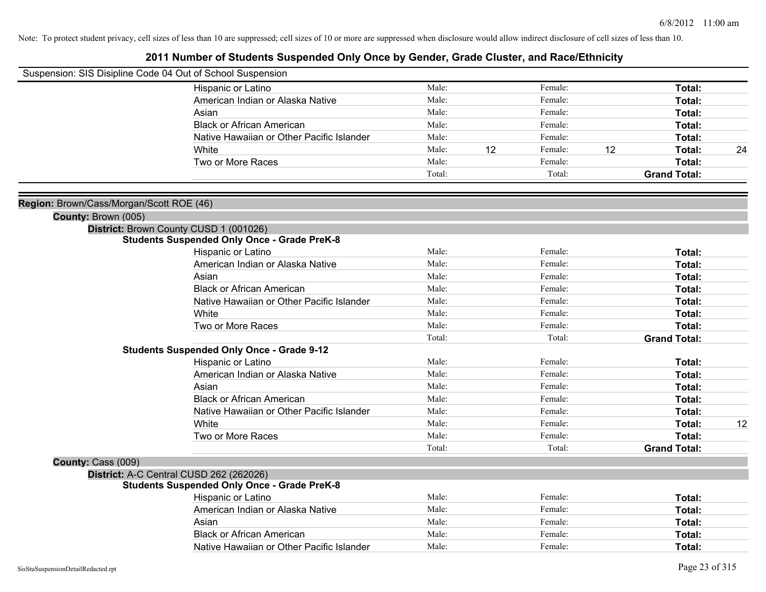|                                          | Suspension: SIS Disipline Code 04 Out of School Suspension |        |    |         |    |                     |    |
|------------------------------------------|------------------------------------------------------------|--------|----|---------|----|---------------------|----|
|                                          | Hispanic or Latino                                         | Male:  |    | Female: |    | Total:              |    |
|                                          | American Indian or Alaska Native                           | Male:  |    | Female: |    | Total:              |    |
|                                          | Asian                                                      | Male:  |    | Female: |    | Total:              |    |
|                                          | <b>Black or African American</b>                           | Male:  |    | Female: |    | Total:              |    |
|                                          | Native Hawaiian or Other Pacific Islander                  | Male:  |    | Female: |    | Total:              |    |
|                                          | White                                                      | Male:  | 12 | Female: | 12 | Total:              | 24 |
|                                          | Two or More Races                                          | Male:  |    | Female: |    | Total:              |    |
|                                          |                                                            | Total: |    | Total:  |    | <b>Grand Total:</b> |    |
| Region: Brown/Cass/Morgan/Scott ROE (46) |                                                            |        |    |         |    |                     |    |
| County: Brown (005)                      |                                                            |        |    |         |    |                     |    |
|                                          | District: Brown County CUSD 1 (001026)                     |        |    |         |    |                     |    |
|                                          | <b>Students Suspended Only Once - Grade PreK-8</b>         |        |    |         |    |                     |    |
|                                          | Hispanic or Latino                                         | Male:  |    | Female: |    | Total:              |    |
|                                          | American Indian or Alaska Native                           | Male:  |    | Female: |    | Total:              |    |
|                                          | Asian                                                      | Male:  |    | Female: |    | Total:              |    |
|                                          | <b>Black or African American</b>                           | Male:  |    | Female: |    | Total:              |    |
|                                          | Native Hawaiian or Other Pacific Islander                  | Male:  |    | Female: |    | Total:              |    |
|                                          | White                                                      | Male:  |    | Female: |    | Total:              |    |
|                                          | Two or More Races                                          | Male:  |    | Female: |    | Total:              |    |
|                                          |                                                            | Total: |    | Total:  |    | <b>Grand Total:</b> |    |
|                                          | <b>Students Suspended Only Once - Grade 9-12</b>           |        |    |         |    |                     |    |
|                                          | Hispanic or Latino                                         | Male:  |    | Female: |    | Total:              |    |
|                                          | American Indian or Alaska Native                           | Male:  |    | Female: |    | Total:              |    |
|                                          | Asian                                                      | Male:  |    | Female: |    | Total:              |    |
|                                          | <b>Black or African American</b>                           | Male:  |    | Female: |    | Total:              |    |
|                                          | Native Hawaiian or Other Pacific Islander                  | Male:  |    | Female: |    | Total:              |    |
|                                          | White                                                      | Male:  |    | Female: |    | Total:              | 12 |
|                                          | Two or More Races                                          | Male:  |    | Female: |    | Total:              |    |
|                                          |                                                            | Total: |    | Total:  |    | <b>Grand Total:</b> |    |
| County: Cass (009)                       |                                                            |        |    |         |    |                     |    |
|                                          | District: A-C Central CUSD 262 (262026)                    |        |    |         |    |                     |    |
|                                          | <b>Students Suspended Only Once - Grade PreK-8</b>         |        |    |         |    |                     |    |
|                                          | Hispanic or Latino                                         | Male:  |    | Female: |    | Total:              |    |
|                                          | American Indian or Alaska Native                           | Male:  |    | Female: |    | Total:              |    |
|                                          | Asian                                                      | Male:  |    | Female: |    | Total:              |    |
|                                          | <b>Black or African American</b>                           | Male:  |    | Female: |    | Total:              |    |
|                                          | Native Hawaiian or Other Pacific Islander                  | Male:  |    | Female: |    | Total:              |    |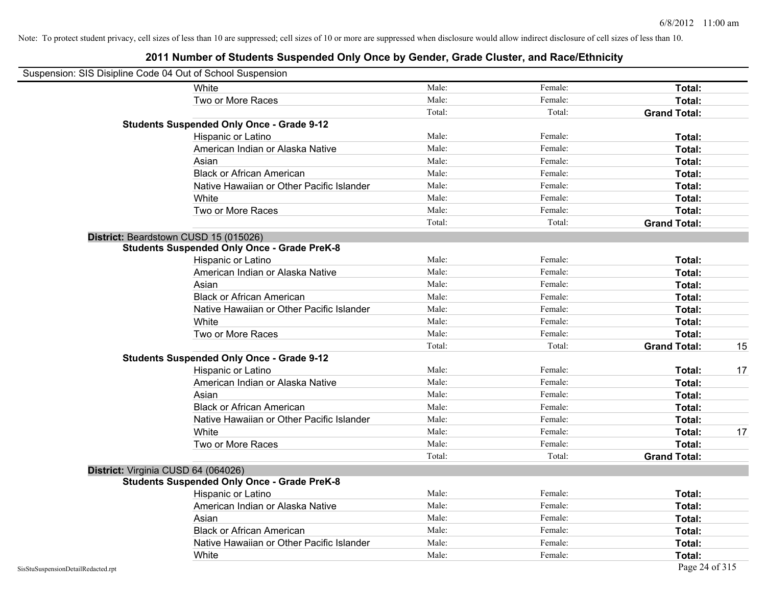|                                    | Suspension: SIS Disipline Code 04 Out of School Suspension |        |         |                     |    |
|------------------------------------|------------------------------------------------------------|--------|---------|---------------------|----|
|                                    | White                                                      | Male:  | Female: | Total:              |    |
|                                    | Two or More Races                                          | Male:  | Female: | Total:              |    |
|                                    |                                                            | Total: | Total:  | <b>Grand Total:</b> |    |
|                                    | <b>Students Suspended Only Once - Grade 9-12</b>           |        |         |                     |    |
|                                    | Hispanic or Latino                                         | Male:  | Female: | Total:              |    |
|                                    | American Indian or Alaska Native                           | Male:  | Female: | Total:              |    |
|                                    | Asian                                                      | Male:  | Female: | Total:              |    |
|                                    | <b>Black or African American</b>                           | Male:  | Female: | Total:              |    |
|                                    | Native Hawaiian or Other Pacific Islander                  | Male:  | Female: | Total:              |    |
|                                    | White                                                      | Male:  | Female: | Total:              |    |
|                                    | Two or More Races                                          | Male:  | Female: | Total:              |    |
|                                    |                                                            | Total: | Total:  | <b>Grand Total:</b> |    |
|                                    | District: Beardstown CUSD 15 (015026)                      |        |         |                     |    |
|                                    | <b>Students Suspended Only Once - Grade PreK-8</b>         |        |         |                     |    |
|                                    | Hispanic or Latino                                         | Male:  | Female: | Total:              |    |
|                                    | American Indian or Alaska Native                           | Male:  | Female: | Total:              |    |
|                                    | Asian                                                      | Male:  | Female: | Total:              |    |
|                                    | <b>Black or African American</b>                           | Male:  | Female: | Total:              |    |
|                                    | Native Hawaiian or Other Pacific Islander                  | Male:  | Female: | Total:              |    |
|                                    | White                                                      | Male:  | Female: | Total:              |    |
|                                    | Two or More Races                                          | Male:  | Female: | Total:              |    |
|                                    |                                                            | Total: | Total:  | <b>Grand Total:</b> | 15 |
|                                    | <b>Students Suspended Only Once - Grade 9-12</b>           |        |         |                     |    |
|                                    | Hispanic or Latino                                         | Male:  | Female: | Total:              | 17 |
|                                    | American Indian or Alaska Native                           | Male:  | Female: | Total:              |    |
|                                    | Asian                                                      | Male:  | Female: | Total:              |    |
|                                    | <b>Black or African American</b>                           | Male:  | Female: | Total:              |    |
|                                    | Native Hawaiian or Other Pacific Islander                  | Male:  | Female: | Total:              |    |
|                                    | White                                                      | Male:  | Female: | Total:              | 17 |
|                                    | Two or More Races                                          | Male:  | Female: | Total:              |    |
|                                    |                                                            | Total: | Total:  | <b>Grand Total:</b> |    |
|                                    | District: Virginia CUSD 64 (064026)                        |        |         |                     |    |
|                                    | <b>Students Suspended Only Once - Grade PreK-8</b>         |        |         |                     |    |
|                                    | Hispanic or Latino                                         | Male:  | Female: | Total:              |    |
|                                    | American Indian or Alaska Native                           | Male:  | Female: | Total:              |    |
|                                    | Asian                                                      | Male:  | Female: | Total:              |    |
|                                    | <b>Black or African American</b>                           | Male:  | Female: | Total:              |    |
|                                    | Native Hawaiian or Other Pacific Islander                  | Male:  | Female: | Total:              |    |
|                                    | White                                                      | Male:  | Female: | Total:              |    |
| SisStuSuspensionDetailRedacted.rpt |                                                            |        |         | Page 24 of 315      |    |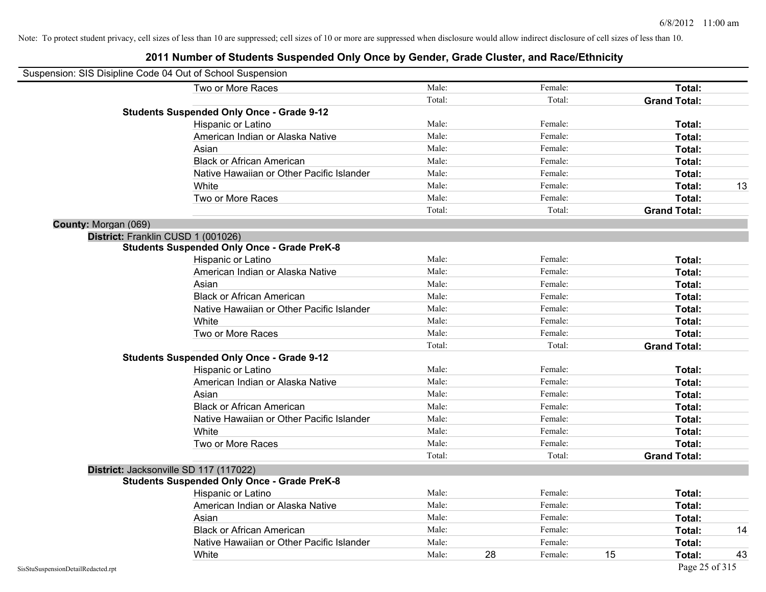| Suspension: SIS Disipline Code 04 Out of School Suspension |                                                    |        |    |         |    |                     |    |
|------------------------------------------------------------|----------------------------------------------------|--------|----|---------|----|---------------------|----|
|                                                            | Two or More Races                                  | Male:  |    | Female: |    | Total:              |    |
|                                                            |                                                    | Total: |    | Total:  |    | <b>Grand Total:</b> |    |
|                                                            | <b>Students Suspended Only Once - Grade 9-12</b>   |        |    |         |    |                     |    |
|                                                            | Hispanic or Latino                                 | Male:  |    | Female: |    | Total:              |    |
|                                                            | American Indian or Alaska Native                   | Male:  |    | Female: |    | Total:              |    |
|                                                            | Asian                                              | Male:  |    | Female: |    | <b>Total:</b>       |    |
|                                                            | <b>Black or African American</b>                   | Male:  |    | Female: |    | <b>Total:</b>       |    |
|                                                            | Native Hawaiian or Other Pacific Islander          | Male:  |    | Female: |    | Total:              |    |
|                                                            | White                                              | Male:  |    | Female: |    | Total:              | 13 |
|                                                            | Two or More Races                                  | Male:  |    | Female: |    | Total:              |    |
|                                                            |                                                    | Total: |    | Total:  |    | <b>Grand Total:</b> |    |
| County: Morgan (069)                                       |                                                    |        |    |         |    |                     |    |
|                                                            | District: Franklin CUSD 1 (001026)                 |        |    |         |    |                     |    |
|                                                            | <b>Students Suspended Only Once - Grade PreK-8</b> |        |    |         |    |                     |    |
|                                                            | Hispanic or Latino                                 | Male:  |    | Female: |    | Total:              |    |
|                                                            | American Indian or Alaska Native                   | Male:  |    | Female: |    | Total:              |    |
|                                                            | Asian                                              | Male:  |    | Female: |    | <b>Total:</b>       |    |
|                                                            | <b>Black or African American</b>                   | Male:  |    | Female: |    | <b>Total:</b>       |    |
|                                                            | Native Hawaiian or Other Pacific Islander          | Male:  |    | Female: |    | Total:              |    |
|                                                            | White                                              | Male:  |    | Female: |    | Total:              |    |
|                                                            | Two or More Races                                  | Male:  |    | Female: |    | Total:              |    |
|                                                            |                                                    | Total: |    | Total:  |    | <b>Grand Total:</b> |    |
|                                                            | <b>Students Suspended Only Once - Grade 9-12</b>   |        |    |         |    |                     |    |
|                                                            | Hispanic or Latino                                 | Male:  |    | Female: |    | Total:              |    |
|                                                            | American Indian or Alaska Native                   | Male:  |    | Female: |    | Total:              |    |
|                                                            | Asian                                              | Male:  |    | Female: |    | Total:              |    |
|                                                            | <b>Black or African American</b>                   | Male:  |    | Female: |    | <b>Total:</b>       |    |
|                                                            | Native Hawaiian or Other Pacific Islander          | Male:  |    | Female: |    | <b>Total:</b>       |    |
|                                                            | White                                              | Male:  |    | Female: |    | Total:              |    |
|                                                            | Two or More Races                                  | Male:  |    | Female: |    | Total:              |    |
|                                                            |                                                    | Total: |    | Total:  |    | <b>Grand Total:</b> |    |
|                                                            | District: Jacksonville SD 117 (117022)             |        |    |         |    |                     |    |
|                                                            | <b>Students Suspended Only Once - Grade PreK-8</b> |        |    |         |    |                     |    |
|                                                            | Hispanic or Latino                                 | Male:  |    | Female: |    | <b>Total:</b>       |    |
|                                                            | American Indian or Alaska Native                   | Male:  |    | Female: |    | <b>Total:</b>       |    |
|                                                            | Asian                                              | Male:  |    | Female: |    | Total:              |    |
|                                                            | <b>Black or African American</b>                   | Male:  |    | Female: |    | Total:              | 14 |
|                                                            | Native Hawaiian or Other Pacific Islander          | Male:  |    | Female: |    | Total:              |    |
|                                                            | White                                              | Male:  | 28 | Female: | 15 | <b>Total:</b>       | 43 |
| SisStuSuspensionDetailRedacted.rpt                         |                                                    |        |    |         |    | Page 25 of 315      |    |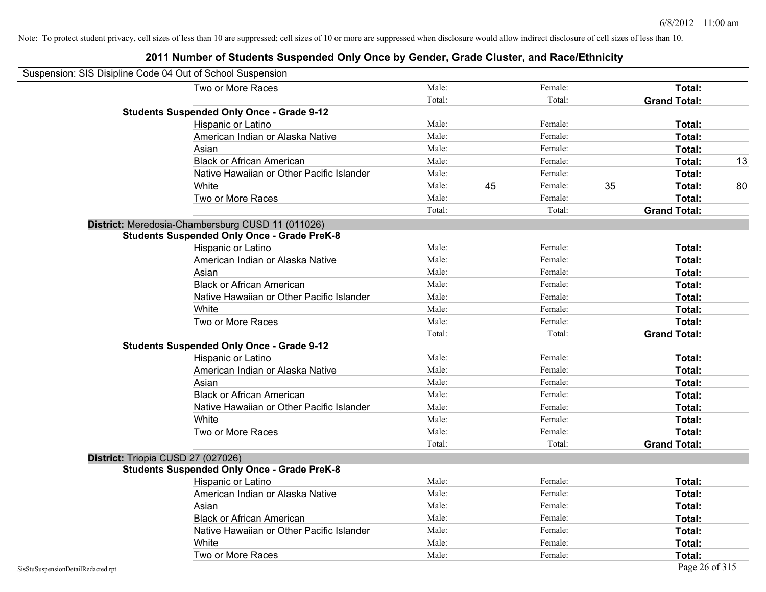| Suspension: SIS Disipline Code 04 Out of School Suspension |                                                    |        |    |         |                     |                |
|------------------------------------------------------------|----------------------------------------------------|--------|----|---------|---------------------|----------------|
|                                                            | Two or More Races                                  | Male:  |    | Female: | Total:              |                |
|                                                            |                                                    | Total: |    | Total:  | <b>Grand Total:</b> |                |
|                                                            | <b>Students Suspended Only Once - Grade 9-12</b>   |        |    |         |                     |                |
|                                                            | Hispanic or Latino                                 | Male:  |    | Female: | Total:              |                |
|                                                            | American Indian or Alaska Native                   | Male:  |    | Female: | Total:              |                |
|                                                            | Asian                                              | Male:  |    | Female: | Total:              |                |
|                                                            | <b>Black or African American</b>                   | Male:  |    | Female: | Total:              | 13             |
|                                                            | Native Hawaiian or Other Pacific Islander          | Male:  |    | Female: | Total:              |                |
|                                                            | White                                              | Male:  | 45 | Female: | 35<br>Total:        | 80             |
|                                                            | Two or More Races                                  | Male:  |    | Female: | Total:              |                |
|                                                            |                                                    | Total: |    | Total:  | <b>Grand Total:</b> |                |
|                                                            | District: Meredosia-Chambersburg CUSD 11 (011026)  |        |    |         |                     |                |
|                                                            | <b>Students Suspended Only Once - Grade PreK-8</b> |        |    |         |                     |                |
|                                                            | Hispanic or Latino                                 | Male:  |    | Female: | Total:              |                |
|                                                            | American Indian or Alaska Native                   | Male:  |    | Female: | Total:              |                |
|                                                            | Asian                                              | Male:  |    | Female: | Total:              |                |
|                                                            | <b>Black or African American</b>                   | Male:  |    | Female: | Total:              |                |
|                                                            | Native Hawaiian or Other Pacific Islander          | Male:  |    | Female: | Total:              |                |
|                                                            | White                                              | Male:  |    | Female: | Total:              |                |
|                                                            | Two or More Races                                  | Male:  |    | Female: | Total:              |                |
|                                                            |                                                    | Total: |    | Total:  | <b>Grand Total:</b> |                |
|                                                            | <b>Students Suspended Only Once - Grade 9-12</b>   |        |    |         |                     |                |
|                                                            | Hispanic or Latino                                 | Male:  |    | Female: | Total:              |                |
|                                                            | American Indian or Alaska Native                   | Male:  |    | Female: | Total:              |                |
|                                                            | Asian                                              | Male:  |    | Female: | Total:              |                |
|                                                            | <b>Black or African American</b>                   | Male:  |    | Female: | Total:              |                |
|                                                            | Native Hawaiian or Other Pacific Islander          | Male:  |    | Female: | Total:              |                |
|                                                            | White                                              | Male:  |    | Female: | Total:              |                |
|                                                            | Two or More Races                                  | Male:  |    | Female: | Total:              |                |
|                                                            |                                                    | Total: |    | Total:  | <b>Grand Total:</b> |                |
|                                                            | District: Triopia CUSD 27 (027026)                 |        |    |         |                     |                |
|                                                            | <b>Students Suspended Only Once - Grade PreK-8</b> |        |    |         |                     |                |
|                                                            | Hispanic or Latino                                 | Male:  |    | Female: | Total:              |                |
|                                                            | American Indian or Alaska Native                   | Male:  |    | Female: | Total:              |                |
|                                                            | Asian                                              | Male:  |    | Female: | Total:              |                |
|                                                            | <b>Black or African American</b>                   | Male:  |    | Female: | Total:              |                |
|                                                            | Native Hawaiian or Other Pacific Islander          | Male:  |    | Female: | Total:              |                |
|                                                            | White                                              | Male:  |    | Female: | Total:              |                |
|                                                            | Two or More Races                                  | Male:  |    | Female: | Total:              |                |
| SisStuSuspensionDetailRedacted.rpt                         |                                                    |        |    |         |                     | Page 26 of 315 |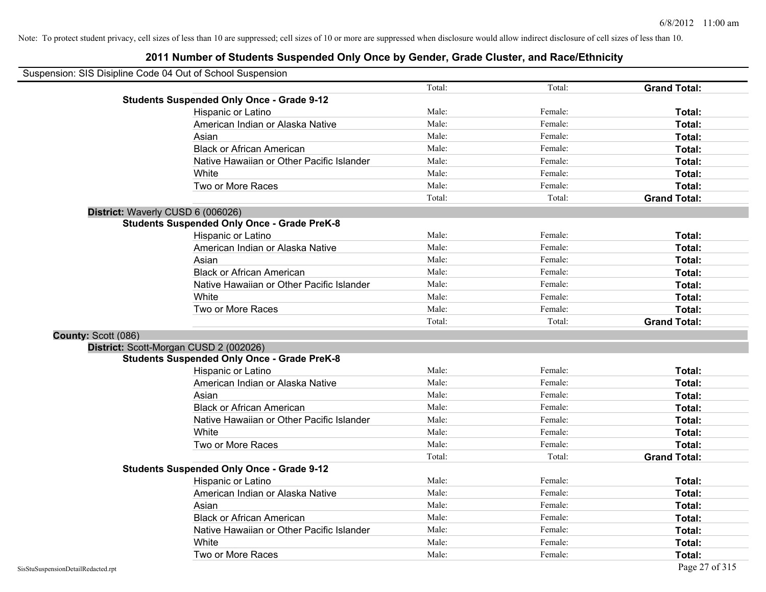| Suspension: SIS Disipline Code 04 Out of School Suspension |                                                    |        |         |                     |
|------------------------------------------------------------|----------------------------------------------------|--------|---------|---------------------|
|                                                            |                                                    | Total: | Total:  | <b>Grand Total:</b> |
|                                                            | <b>Students Suspended Only Once - Grade 9-12</b>   |        |         |                     |
|                                                            | Hispanic or Latino                                 | Male:  | Female: | Total:              |
|                                                            | American Indian or Alaska Native                   | Male:  | Female: | Total:              |
|                                                            | Asian                                              | Male:  | Female: | Total:              |
|                                                            | <b>Black or African American</b>                   | Male:  | Female: | Total:              |
|                                                            | Native Hawaiian or Other Pacific Islander          | Male:  | Female: | Total:              |
|                                                            | White                                              | Male:  | Female: | Total:              |
|                                                            | Two or More Races                                  | Male:  | Female: | Total:              |
|                                                            |                                                    | Total: | Total:  | <b>Grand Total:</b> |
| District: Waverly CUSD 6 (006026)                          |                                                    |        |         |                     |
|                                                            | <b>Students Suspended Only Once - Grade PreK-8</b> |        |         |                     |
|                                                            | Hispanic or Latino                                 | Male:  | Female: | Total:              |
|                                                            | American Indian or Alaska Native                   | Male:  | Female: | Total:              |
|                                                            | Asian                                              | Male:  | Female: | Total:              |
|                                                            | <b>Black or African American</b>                   | Male:  | Female: | Total:              |
|                                                            | Native Hawaiian or Other Pacific Islander          | Male:  | Female: | Total:              |
|                                                            | White                                              | Male:  | Female: | Total:              |
|                                                            | Two or More Races                                  | Male:  | Female: | Total:              |
|                                                            |                                                    | Total: | Total:  | <b>Grand Total:</b> |
| County: Scott (086)                                        |                                                    |        |         |                     |
|                                                            | District: Scott-Morgan CUSD 2 (002026)             |        |         |                     |
|                                                            | <b>Students Suspended Only Once - Grade PreK-8</b> |        |         |                     |
|                                                            | Hispanic or Latino                                 | Male:  | Female: | Total:              |
|                                                            | American Indian or Alaska Native                   | Male:  | Female: | Total:              |
|                                                            | Asian                                              | Male:  | Female: | Total:              |
|                                                            | <b>Black or African American</b>                   | Male:  | Female: | Total:              |
|                                                            | Native Hawaiian or Other Pacific Islander          | Male:  | Female: | Total:              |
|                                                            | White                                              | Male:  | Female: | Total:              |
|                                                            | Two or More Races                                  | Male:  | Female: | Total:              |
|                                                            |                                                    | Total: | Total:  | <b>Grand Total:</b> |
|                                                            | <b>Students Suspended Only Once - Grade 9-12</b>   |        |         |                     |
|                                                            | Hispanic or Latino                                 | Male:  | Female: | Total:              |
|                                                            | American Indian or Alaska Native                   | Male:  | Female: | Total:              |
|                                                            | Asian                                              | Male:  | Female: | Total:              |
|                                                            | <b>Black or African American</b>                   | Male:  | Female: | Total:              |
|                                                            | Native Hawaiian or Other Pacific Islander          | Male:  | Female: | Total:              |
|                                                            | White                                              | Male:  | Female: | Total:              |
|                                                            | Two or More Races                                  | Male:  | Female: | Total:              |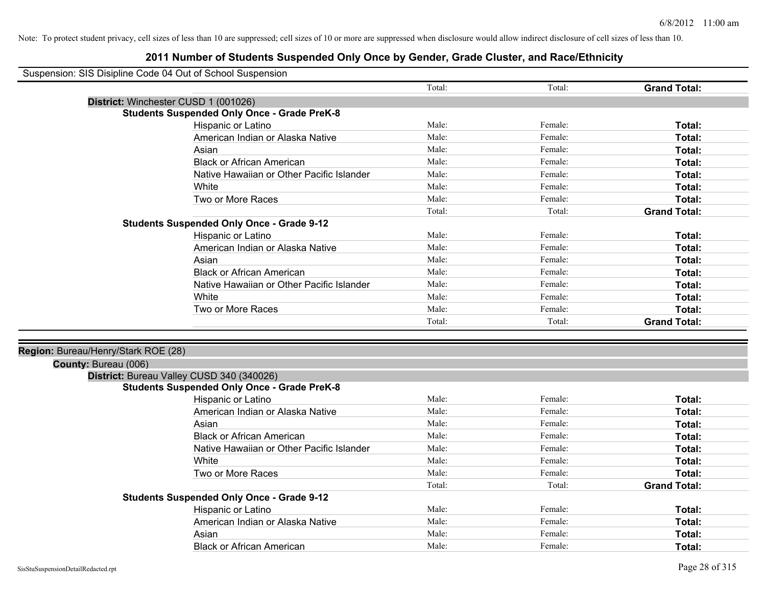| Suspension: SIS Disipline Code 04 Out of School Suspension |  |
|------------------------------------------------------------|--|
|                                                            |  |

| odsperision. Olo Disipline Code 04 Out of Ochool Odsperision |                                                    |        |         |                     |
|--------------------------------------------------------------|----------------------------------------------------|--------|---------|---------------------|
|                                                              |                                                    | Total: | Total:  | <b>Grand Total:</b> |
|                                                              | District: Winchester CUSD 1 (001026)               |        |         |                     |
|                                                              | <b>Students Suspended Only Once - Grade PreK-8</b> |        |         |                     |
|                                                              | Hispanic or Latino                                 | Male:  | Female: | Total:              |
|                                                              | American Indian or Alaska Native                   | Male:  | Female: | Total:              |
|                                                              | Asian                                              | Male:  | Female: | Total:              |
|                                                              | <b>Black or African American</b>                   | Male:  | Female: | Total:              |
|                                                              | Native Hawaiian or Other Pacific Islander          | Male:  | Female: | Total:              |
|                                                              | White                                              | Male:  | Female: | Total:              |
|                                                              | Two or More Races                                  | Male:  | Female: | Total:              |
|                                                              |                                                    | Total: | Total:  | <b>Grand Total:</b> |
|                                                              | <b>Students Suspended Only Once - Grade 9-12</b>   |        |         |                     |
|                                                              | Hispanic or Latino                                 | Male:  | Female: | Total:              |
|                                                              | American Indian or Alaska Native                   | Male:  | Female: | Total:              |
|                                                              | Asian                                              | Male:  | Female: | Total:              |
|                                                              | <b>Black or African American</b>                   | Male:  | Female: | Total:              |
|                                                              | Native Hawaiian or Other Pacific Islander          | Male:  | Female: | Total:              |
|                                                              | White                                              | Male:  | Female: | Total:              |
|                                                              | Two or More Races                                  | Male:  | Female: | Total:              |
|                                                              |                                                    | Total: | Total:  | <b>Grand Total:</b> |
|                                                              |                                                    |        |         |                     |
| Region: Bureau/Henry/Stark ROE (28)                          |                                                    |        |         |                     |
| County: Bureau (006)                                         |                                                    |        |         |                     |
|                                                              | District: Bureau Valley CUSD 340 (340026)          |        |         |                     |
|                                                              | <b>Students Suspended Only Once - Grade PreK-8</b> |        |         |                     |
|                                                              | Hispanic or Latino                                 | Male:  | Female: | Total:              |
|                                                              | American Indian or Alaska Native                   | Male:  | Female: | Total:              |
|                                                              | Asian                                              | Male:  | Female: | Total:              |
|                                                              | <b>Black or African American</b>                   | Male:  | Female: | Total:              |
|                                                              | Native Hawaiian or Other Pacific Islander          | Male:  | Female: | Total:              |
|                                                              | White                                              | Male:  | Female: | Total:              |
|                                                              | Two or More Races                                  | Male:  | Female: | Total:              |
|                                                              |                                                    | Total: | Total:  | <b>Grand Total:</b> |
|                                                              | <b>Students Suspended Only Once - Grade 9-12</b>   |        |         |                     |
|                                                              | Hispanic or Latino                                 | Male:  | Female: | Total:              |
|                                                              | American Indian or Alaska Native                   | Male:  | Female: | Total:              |
|                                                              | Asian                                              | Male:  | Female: | Total:              |
|                                                              | <b>Black or African American</b>                   | Male:  | Female: | Total:              |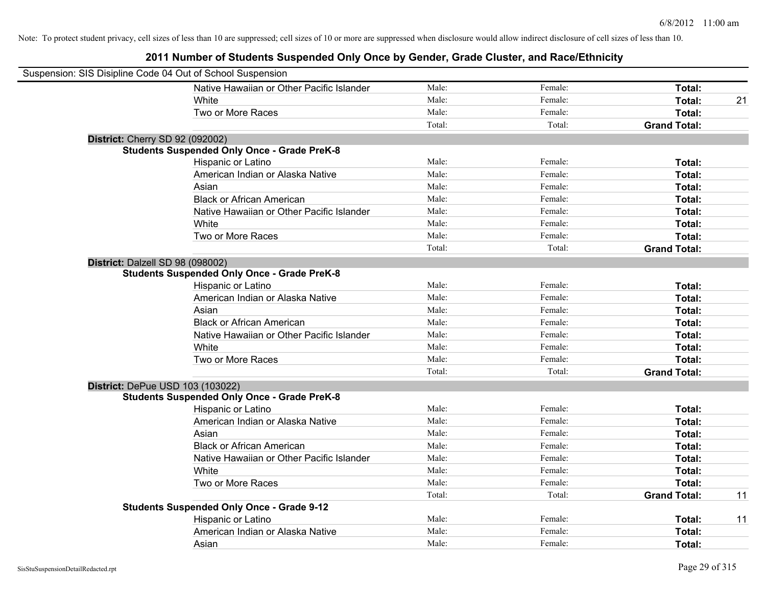| Suspension: SIS Disipline Code 04 Out of School Suspension |                                                    |        |         |                     |    |
|------------------------------------------------------------|----------------------------------------------------|--------|---------|---------------------|----|
|                                                            | Native Hawaiian or Other Pacific Islander          | Male:  | Female: | Total:              |    |
|                                                            | White                                              | Male:  | Female: | Total:              | 21 |
|                                                            | Two or More Races                                  | Male:  | Female: | Total:              |    |
|                                                            |                                                    | Total: | Total:  | <b>Grand Total:</b> |    |
|                                                            | District: Cherry SD 92 (092002)                    |        |         |                     |    |
|                                                            | <b>Students Suspended Only Once - Grade PreK-8</b> |        |         |                     |    |
|                                                            | Hispanic or Latino                                 | Male:  | Female: | Total:              |    |
|                                                            | American Indian or Alaska Native                   | Male:  | Female: | Total:              |    |
|                                                            | Asian                                              | Male:  | Female: | Total:              |    |
|                                                            | <b>Black or African American</b>                   | Male:  | Female: | Total:              |    |
|                                                            | Native Hawaiian or Other Pacific Islander          | Male:  | Female: | Total:              |    |
|                                                            | White                                              | Male:  | Female: | Total:              |    |
|                                                            | Two or More Races                                  | Male:  | Female: | Total:              |    |
|                                                            |                                                    | Total: | Total:  | <b>Grand Total:</b> |    |
|                                                            | District: Dalzell SD 98 (098002)                   |        |         |                     |    |
|                                                            | <b>Students Suspended Only Once - Grade PreK-8</b> |        |         |                     |    |
|                                                            | Hispanic or Latino                                 | Male:  | Female: | Total:              |    |
|                                                            | American Indian or Alaska Native                   | Male:  | Female: | Total:              |    |
|                                                            | Asian                                              | Male:  | Female: | Total:              |    |
|                                                            | <b>Black or African American</b>                   | Male:  | Female: | Total:              |    |
|                                                            | Native Hawaiian or Other Pacific Islander          | Male:  | Female: | Total:              |    |
|                                                            | White                                              | Male:  | Female: | Total:              |    |
|                                                            | Two or More Races                                  | Male:  | Female: | Total:              |    |
|                                                            |                                                    | Total: | Total:  | <b>Grand Total:</b> |    |
|                                                            | <b>District: DePue USD 103 (103022)</b>            |        |         |                     |    |
|                                                            | <b>Students Suspended Only Once - Grade PreK-8</b> |        |         |                     |    |
|                                                            | Hispanic or Latino                                 | Male:  | Female: | Total:              |    |
|                                                            | American Indian or Alaska Native                   | Male:  | Female: | Total:              |    |
|                                                            | Asian                                              | Male:  | Female: | Total:              |    |
|                                                            | <b>Black or African American</b>                   | Male:  | Female: | Total:              |    |
|                                                            | Native Hawaiian or Other Pacific Islander          | Male:  | Female: | Total:              |    |
|                                                            | White                                              | Male:  | Female: | Total:              |    |
|                                                            | Two or More Races                                  | Male:  | Female: | Total:              |    |
|                                                            |                                                    | Total: | Total:  | <b>Grand Total:</b> | 11 |
|                                                            | <b>Students Suspended Only Once - Grade 9-12</b>   |        |         |                     |    |
|                                                            | Hispanic or Latino                                 | Male:  | Female: | Total:              | 11 |
|                                                            | American Indian or Alaska Native                   | Male:  | Female: | Total:              |    |
|                                                            | Asian                                              | Male:  | Female: | Total:              |    |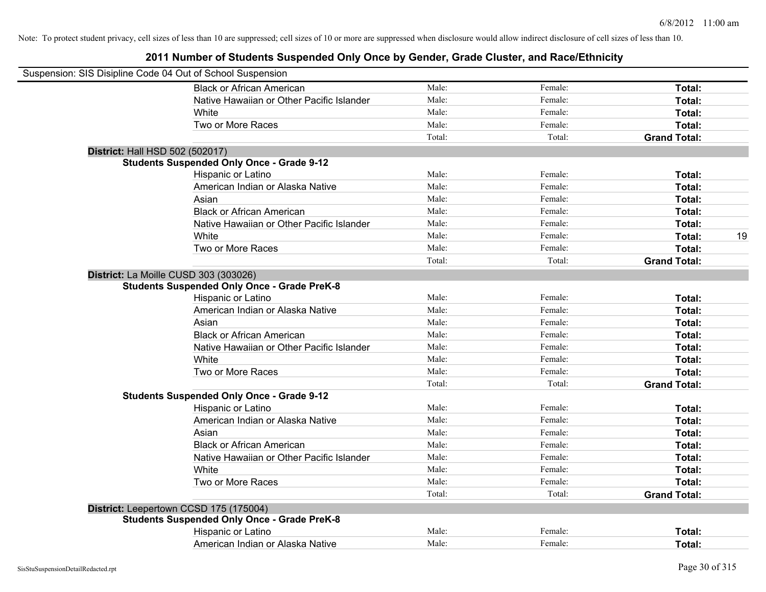| Suspension: SIS Disipline Code 04 Out of School Suspension |        |         |                     |    |
|------------------------------------------------------------|--------|---------|---------------------|----|
| <b>Black or African American</b>                           | Male:  | Female: | Total:              |    |
| Native Hawaiian or Other Pacific Islander                  | Male:  | Female: | Total:              |    |
| White                                                      | Male:  | Female: | Total:              |    |
| Two or More Races                                          | Male:  | Female: | Total:              |    |
|                                                            | Total: | Total:  | <b>Grand Total:</b> |    |
| District: Hall HSD 502 (502017)                            |        |         |                     |    |
| <b>Students Suspended Only Once - Grade 9-12</b>           |        |         |                     |    |
| Hispanic or Latino                                         | Male:  | Female: | Total:              |    |
| American Indian or Alaska Native                           | Male:  | Female: | Total:              |    |
| Asian                                                      | Male:  | Female: | Total:              |    |
| <b>Black or African American</b>                           | Male:  | Female: | Total:              |    |
| Native Hawaiian or Other Pacific Islander                  | Male:  | Female: | Total:              |    |
| White                                                      | Male:  | Female: | Total:              | 19 |
| Two or More Races                                          | Male:  | Female: | Total:              |    |
|                                                            | Total: | Total:  | <b>Grand Total:</b> |    |
| District: La Moille CUSD 303 (303026)                      |        |         |                     |    |
| <b>Students Suspended Only Once - Grade PreK-8</b>         |        |         |                     |    |
| Hispanic or Latino                                         | Male:  | Female: | Total:              |    |
| American Indian or Alaska Native                           | Male:  | Female: | Total:              |    |
| Asian                                                      | Male:  | Female: | Total:              |    |
| <b>Black or African American</b>                           | Male:  | Female: | Total:              |    |
| Native Hawaiian or Other Pacific Islander                  | Male:  | Female: | Total:              |    |
| White                                                      | Male:  | Female: | Total:              |    |
| Two or More Races                                          | Male:  | Female: | Total:              |    |
|                                                            | Total: | Total:  | <b>Grand Total:</b> |    |
| <b>Students Suspended Only Once - Grade 9-12</b>           |        |         |                     |    |
| Hispanic or Latino                                         | Male:  | Female: | Total:              |    |
| American Indian or Alaska Native                           | Male:  | Female: | Total:              |    |
| Asian                                                      | Male:  | Female: | Total:              |    |
| <b>Black or African American</b>                           | Male:  | Female: | Total:              |    |
| Native Hawaiian or Other Pacific Islander                  | Male:  | Female: | Total:              |    |
| White                                                      | Male:  | Female: | Total:              |    |
| Two or More Races                                          | Male:  | Female: | Total:              |    |
|                                                            | Total: | Total:  | <b>Grand Total:</b> |    |
| District: Leepertown CCSD 175 (175004)                     |        |         |                     |    |
| <b>Students Suspended Only Once - Grade PreK-8</b>         |        |         |                     |    |
| Hispanic or Latino                                         | Male:  | Female: | Total:              |    |
| American Indian or Alaska Native                           | Male:  | Female: | Total:              |    |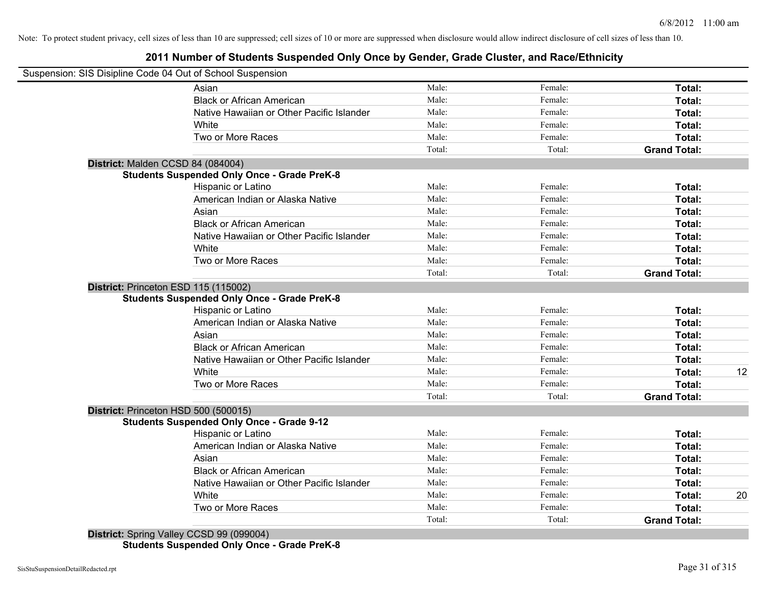## **2011 Number of Students Suspended Only Once by Gender, Grade Cluster, and Race/Ethnicity**

|                                      | Suspension: SIS Disipline Code 04 Out of School Suspension |        |         |                     |    |
|--------------------------------------|------------------------------------------------------------|--------|---------|---------------------|----|
|                                      | Asian                                                      | Male:  | Female: | Total:              |    |
|                                      | <b>Black or African American</b>                           | Male:  | Female: | Total:              |    |
|                                      | Native Hawaiian or Other Pacific Islander                  | Male:  | Female: | Total:              |    |
|                                      | White                                                      | Male:  | Female: | Total:              |    |
|                                      | Two or More Races                                          | Male:  | Female: | Total:              |    |
|                                      |                                                            | Total: | Total:  | <b>Grand Total:</b> |    |
| District: Malden CCSD 84 (084004)    |                                                            |        |         |                     |    |
|                                      | <b>Students Suspended Only Once - Grade PreK-8</b>         |        |         |                     |    |
|                                      | Hispanic or Latino                                         | Male:  | Female: | Total:              |    |
|                                      | American Indian or Alaska Native                           | Male:  | Female: | Total:              |    |
|                                      | Asian                                                      | Male:  | Female: | Total:              |    |
|                                      | <b>Black or African American</b>                           | Male:  | Female: | Total:              |    |
|                                      | Native Hawaiian or Other Pacific Islander                  | Male:  | Female: | Total:              |    |
|                                      | White                                                      | Male:  | Female: | Total:              |    |
|                                      | Two or More Races                                          | Male:  | Female: | Total:              |    |
|                                      |                                                            | Total: | Total:  | <b>Grand Total:</b> |    |
| District: Princeton ESD 115 (115002) |                                                            |        |         |                     |    |
|                                      | <b>Students Suspended Only Once - Grade PreK-8</b>         |        |         |                     |    |
|                                      | Hispanic or Latino                                         | Male:  | Female: | Total:              |    |
|                                      | American Indian or Alaska Native                           | Male:  | Female: | Total:              |    |
|                                      | Asian                                                      | Male:  | Female: | Total:              |    |
|                                      | <b>Black or African American</b>                           | Male:  | Female: | Total:              |    |
|                                      | Native Hawaiian or Other Pacific Islander                  | Male:  | Female: | Total:              |    |
|                                      | White                                                      | Male:  | Female: | Total:              | 12 |
|                                      | Two or More Races                                          | Male:  | Female: | Total:              |    |
|                                      |                                                            | Total: | Total:  | <b>Grand Total:</b> |    |
| District: Princeton HSD 500 (500015) |                                                            |        |         |                     |    |
|                                      | <b>Students Suspended Only Once - Grade 9-12</b>           |        |         |                     |    |
|                                      | Hispanic or Latino                                         | Male:  | Female: | Total:              |    |
|                                      | American Indian or Alaska Native                           | Male:  | Female: | Total:              |    |
|                                      | Asian                                                      | Male:  | Female: | Total:              |    |
|                                      | <b>Black or African American</b>                           | Male:  | Female: | Total:              |    |
|                                      | Native Hawaiian or Other Pacific Islander                  | Male:  | Female: | Total:              |    |
|                                      | White                                                      | Male:  | Female: | Total:              | 20 |
|                                      | Two or More Races                                          | Male:  | Female: | Total:              |    |
|                                      |                                                            | Total: | Total:  | <b>Grand Total:</b> |    |
|                                      | District: Spring Valley CCSD 99 (099004)                   |        |         |                     |    |

**Students Suspended Only Once - Grade PreK-8**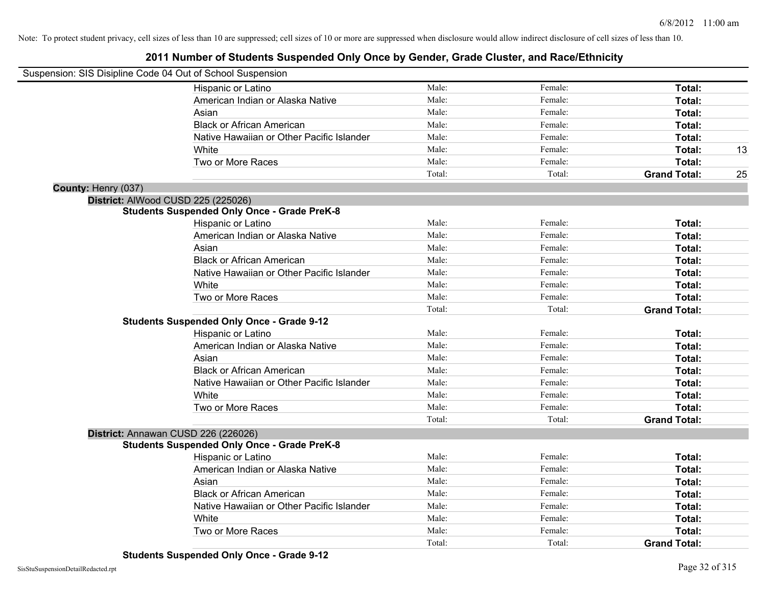|                     | Suspension: SIS Disipline Code 04 Out of School Suspension |        |         |                     |    |
|---------------------|------------------------------------------------------------|--------|---------|---------------------|----|
|                     | Hispanic or Latino                                         | Male:  | Female: | Total:              |    |
|                     | American Indian or Alaska Native                           | Male:  | Female: | Total:              |    |
|                     | Asian                                                      | Male:  | Female: | Total:              |    |
|                     | <b>Black or African American</b>                           | Male:  | Female: | Total:              |    |
|                     | Native Hawaiian or Other Pacific Islander                  | Male:  | Female: | Total:              |    |
|                     | White                                                      | Male:  | Female: | Total:              | 13 |
|                     | Two or More Races                                          | Male:  | Female: | Total:              |    |
|                     |                                                            | Total: | Total:  | <b>Grand Total:</b> | 25 |
| County: Henry (037) |                                                            |        |         |                     |    |
|                     | District: AlWood CUSD 225 (225026)                         |        |         |                     |    |
|                     | <b>Students Suspended Only Once - Grade PreK-8</b>         |        |         |                     |    |
|                     | Hispanic or Latino                                         | Male:  | Female: | Total:              |    |
|                     | American Indian or Alaska Native                           | Male:  | Female: | Total:              |    |
|                     | Asian                                                      | Male:  | Female: | Total:              |    |
|                     | <b>Black or African American</b>                           | Male:  | Female: | Total:              |    |
|                     | Native Hawaiian or Other Pacific Islander                  | Male:  | Female: | Total:              |    |
|                     | White                                                      | Male:  | Female: | Total:              |    |
|                     | Two or More Races                                          | Male:  | Female: | Total:              |    |
|                     |                                                            | Total: | Total:  | <b>Grand Total:</b> |    |
|                     | <b>Students Suspended Only Once - Grade 9-12</b>           |        |         |                     |    |
|                     | Hispanic or Latino                                         | Male:  | Female: | Total:              |    |
|                     | American Indian or Alaska Native                           | Male:  | Female: | Total:              |    |
|                     | Asian                                                      | Male:  | Female: | Total:              |    |
|                     | <b>Black or African American</b>                           | Male:  | Female: | <b>Total:</b>       |    |
|                     | Native Hawaiian or Other Pacific Islander                  | Male:  | Female: | Total:              |    |
|                     | White                                                      | Male:  | Female: | Total:              |    |
|                     | Two or More Races                                          | Male:  | Female: | Total:              |    |
|                     |                                                            | Total: | Total:  | <b>Grand Total:</b> |    |
|                     | District: Annawan CUSD 226 (226026)                        |        |         |                     |    |
|                     | <b>Students Suspended Only Once - Grade PreK-8</b>         |        |         |                     |    |
|                     | Hispanic or Latino                                         | Male:  | Female: | Total:              |    |
|                     | American Indian or Alaska Native                           | Male:  | Female: | Total:              |    |
|                     | Asian                                                      | Male:  | Female: | Total:              |    |
|                     | <b>Black or African American</b>                           | Male:  | Female: | Total:              |    |
|                     | Native Hawaiian or Other Pacific Islander                  | Male:  | Female: | Total:              |    |
|                     | White                                                      | Male:  | Female: | Total:              |    |
|                     | Two or More Races                                          | Male:  | Female: | Total:              |    |
|                     |                                                            | Total: | Total:  | <b>Grand Total:</b> |    |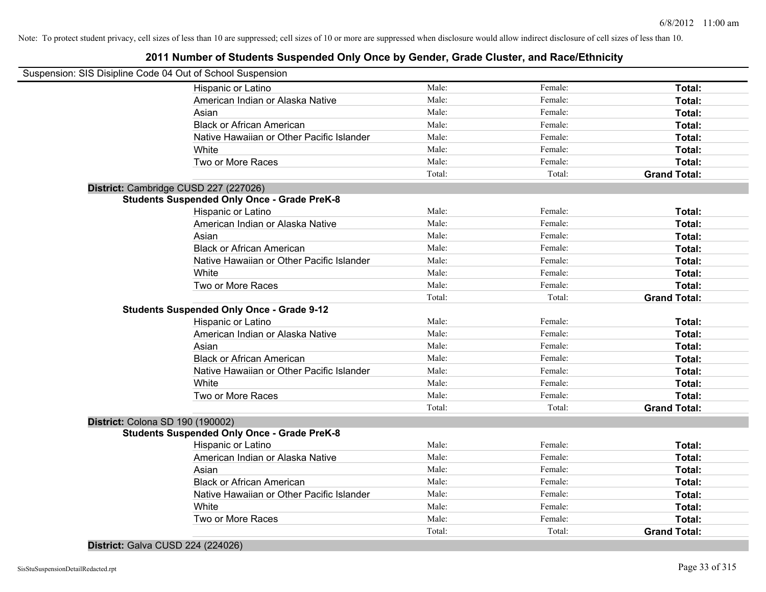### **2011 Number of Students Suspended Only Once by Gender, Grade Cluster, and Race/Ethnicity**

|                                  | Suspension: SIS Disipline Code 04 Out of School Suspension |        |         |                     |
|----------------------------------|------------------------------------------------------------|--------|---------|---------------------|
|                                  | Hispanic or Latino                                         | Male:  | Female: | Total:              |
|                                  | American Indian or Alaska Native                           | Male:  | Female: | Total:              |
|                                  | Asian                                                      | Male:  | Female: | Total:              |
|                                  | <b>Black or African American</b>                           | Male:  | Female: | Total:              |
|                                  | Native Hawaiian or Other Pacific Islander                  | Male:  | Female: | Total:              |
|                                  | White                                                      | Male:  | Female: | Total:              |
|                                  | Two or More Races                                          | Male:  | Female: | Total:              |
|                                  |                                                            | Total: | Total:  | <b>Grand Total:</b> |
|                                  | District: Cambridge CUSD 227 (227026)                      |        |         |                     |
|                                  | <b>Students Suspended Only Once - Grade PreK-8</b>         |        |         |                     |
|                                  | Hispanic or Latino                                         | Male:  | Female: | Total:              |
|                                  | American Indian or Alaska Native                           | Male:  | Female: | Total:              |
|                                  | Asian                                                      | Male:  | Female: | Total:              |
|                                  | <b>Black or African American</b>                           | Male:  | Female: | Total:              |
|                                  | Native Hawaiian or Other Pacific Islander                  | Male:  | Female: | Total:              |
|                                  | White                                                      | Male:  | Female: | Total:              |
|                                  | Two or More Races                                          | Male:  | Female: | Total:              |
|                                  |                                                            | Total: | Total:  | <b>Grand Total:</b> |
|                                  | <b>Students Suspended Only Once - Grade 9-12</b>           |        |         |                     |
|                                  | Hispanic or Latino                                         | Male:  | Female: | Total:              |
|                                  | American Indian or Alaska Native                           | Male:  | Female: | Total:              |
|                                  | Asian                                                      | Male:  | Female: | Total:              |
|                                  | <b>Black or African American</b>                           | Male:  | Female: | Total:              |
|                                  | Native Hawaiian or Other Pacific Islander                  | Male:  | Female: | Total:              |
|                                  | White                                                      | Male:  | Female: | Total:              |
|                                  | Two or More Races                                          | Male:  | Female: | Total:              |
|                                  |                                                            | Total: | Total:  | <b>Grand Total:</b> |
| District: Colona SD 190 (190002) |                                                            |        |         |                     |
|                                  | <b>Students Suspended Only Once - Grade PreK-8</b>         |        |         |                     |
|                                  | Hispanic or Latino                                         | Male:  | Female: | Total:              |
|                                  | American Indian or Alaska Native                           | Male:  | Female: | Total:              |
|                                  | Asian                                                      | Male:  | Female: | Total:              |
|                                  | <b>Black or African American</b>                           | Male:  | Female: | Total:              |
|                                  | Native Hawaiian or Other Pacific Islander                  | Male:  | Female: | Total:              |
|                                  | White                                                      | Male:  | Female: | Total:              |
|                                  | Two or More Races                                          | Male:  | Female: | Total:              |
|                                  |                                                            | Total: | Total:  | <b>Grand Total:</b> |

**District:** Galva CUSD 224 (224026)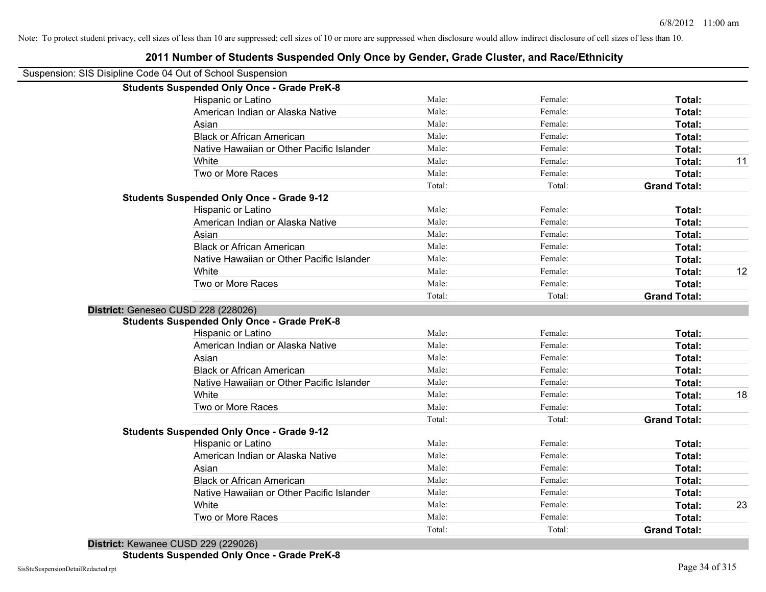| Suspension: SIS Disipline Code 04 Out of School Suspension |                                                    |        |         |                     |    |
|------------------------------------------------------------|----------------------------------------------------|--------|---------|---------------------|----|
|                                                            | <b>Students Suspended Only Once - Grade PreK-8</b> |        |         |                     |    |
|                                                            | Hispanic or Latino                                 | Male:  | Female: | Total:              |    |
|                                                            | American Indian or Alaska Native                   | Male:  | Female: | Total:              |    |
| Asian                                                      |                                                    | Male:  | Female: | Total:              |    |
|                                                            | <b>Black or African American</b>                   | Male:  | Female: | Total:              |    |
|                                                            | Native Hawaiian or Other Pacific Islander          | Male:  | Female: | Total:              |    |
| White                                                      |                                                    | Male:  | Female: | Total:              | 11 |
|                                                            | Two or More Races                                  | Male:  | Female: | Total:              |    |
|                                                            |                                                    | Total: | Total:  | <b>Grand Total:</b> |    |
| <b>Students Suspended Only Once - Grade 9-12</b>           |                                                    |        |         |                     |    |
|                                                            | Hispanic or Latino                                 | Male:  | Female: | Total:              |    |
|                                                            | American Indian or Alaska Native                   | Male:  | Female: | Total:              |    |
| Asian                                                      |                                                    | Male:  | Female: | Total:              |    |
|                                                            | <b>Black or African American</b>                   | Male:  | Female: | Total:              |    |
|                                                            | Native Hawaiian or Other Pacific Islander          | Male:  | Female: | Total:              |    |
| White                                                      |                                                    | Male:  | Female: | Total:              | 12 |
|                                                            | Two or More Races                                  | Male:  | Female: | Total:              |    |
|                                                            |                                                    | Total: | Total:  | <b>Grand Total:</b> |    |
| District: Geneseo CUSD 228 (228026)                        |                                                    |        |         |                     |    |
|                                                            | <b>Students Suspended Only Once - Grade PreK-8</b> |        |         |                     |    |
|                                                            | Hispanic or Latino                                 | Male:  | Female: | Total:              |    |
|                                                            | American Indian or Alaska Native                   | Male:  | Female: | Total:              |    |
| Asian                                                      |                                                    | Male:  | Female: | Total:              |    |
|                                                            | <b>Black or African American</b>                   | Male:  | Female: | Total:              |    |
|                                                            | Native Hawaiian or Other Pacific Islander          | Male:  | Female: | Total:              |    |
| White                                                      |                                                    | Male:  | Female: | Total:              | 18 |
|                                                            | Two or More Races                                  | Male:  | Female: | Total:              |    |
|                                                            |                                                    | Total: | Total:  | <b>Grand Total:</b> |    |
| <b>Students Suspended Only Once - Grade 9-12</b>           |                                                    |        |         |                     |    |
|                                                            | Hispanic or Latino                                 | Male:  | Female: | Total:              |    |
|                                                            | American Indian or Alaska Native                   | Male:  | Female: | Total:              |    |
| Asian                                                      |                                                    | Male:  | Female: | Total:              |    |
|                                                            | <b>Black or African American</b>                   | Male:  | Female: | Total:              |    |
|                                                            | Native Hawaiian or Other Pacific Islander          | Male:  | Female: | Total:              |    |
| White                                                      |                                                    | Male:  | Female: | Total:              | 23 |
|                                                            | Two or More Races                                  | Male:  | Female: | Total:              |    |
|                                                            |                                                    | Total: | Total:  | <b>Grand Total:</b> |    |
|                                                            |                                                    |        |         |                     |    |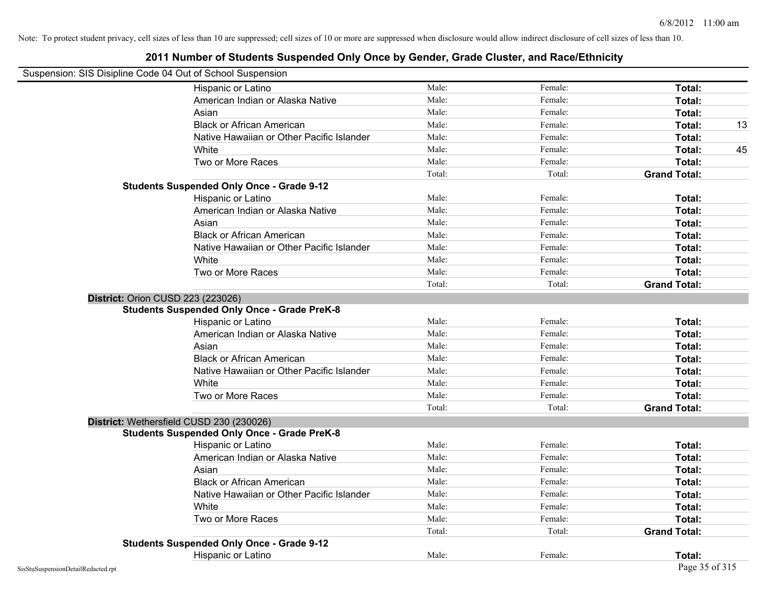| Suspension: SIS Disipline Code 04 Out of School Suspension |        |         |                     |    |
|------------------------------------------------------------|--------|---------|---------------------|----|
| Hispanic or Latino                                         | Male:  | Female: | Total:              |    |
| American Indian or Alaska Native                           | Male:  | Female: | Total:              |    |
| Asian                                                      | Male:  | Female: | Total:              |    |
| <b>Black or African American</b>                           | Male:  | Female: | Total:              | 13 |
| Native Hawaiian or Other Pacific Islander                  | Male:  | Female: | Total:              |    |
| White                                                      | Male:  | Female: | Total:              | 45 |
| Two or More Races                                          | Male:  | Female: | Total:              |    |
|                                                            | Total: | Total:  | <b>Grand Total:</b> |    |
| <b>Students Suspended Only Once - Grade 9-12</b>           |        |         |                     |    |
| Hispanic or Latino                                         | Male:  | Female: | Total:              |    |
| American Indian or Alaska Native                           | Male:  | Female: | Total:              |    |
| Asian                                                      | Male:  | Female: | Total:              |    |
| <b>Black or African American</b>                           | Male:  | Female: | Total:              |    |
| Native Hawaiian or Other Pacific Islander                  | Male:  | Female: | Total:              |    |
| White                                                      | Male:  | Female: | Total:              |    |
| Two or More Races                                          | Male:  | Female: | Total:              |    |
|                                                            | Total: | Total:  | <b>Grand Total:</b> |    |
| <b>District: Orion CUSD 223 (223026)</b>                   |        |         |                     |    |
| <b>Students Suspended Only Once - Grade PreK-8</b>         |        |         |                     |    |
| Hispanic or Latino                                         | Male:  | Female: | Total:              |    |
| American Indian or Alaska Native                           | Male:  | Female: | Total:              |    |
| Asian                                                      | Male:  | Female: | Total:              |    |
| <b>Black or African American</b>                           | Male:  | Female: | Total:              |    |
| Native Hawaiian or Other Pacific Islander                  | Male:  | Female: | Total:              |    |
| White                                                      | Male:  | Female: | Total:              |    |
| Two or More Races                                          | Male:  | Female: | Total:              |    |
|                                                            | Total: | Total:  | <b>Grand Total:</b> |    |
| District: Wethersfield CUSD 230 (230026)                   |        |         |                     |    |
| <b>Students Suspended Only Once - Grade PreK-8</b>         |        |         |                     |    |
| Hispanic or Latino                                         | Male:  | Female: | Total:              |    |
| American Indian or Alaska Native                           | Male:  | Female: | Total:              |    |
| Asian                                                      | Male:  | Female: | Total:              |    |
| <b>Black or African American</b>                           | Male:  | Female: | Total:              |    |
| Native Hawaiian or Other Pacific Islander                  | Male:  | Female: | Total:              |    |
| White                                                      | Male:  | Female: | Total:              |    |
| Two or More Races                                          | Male:  | Female: | Total:              |    |
|                                                            | Total: | Total:  | <b>Grand Total:</b> |    |
| <b>Students Suspended Only Once - Grade 9-12</b>           |        |         |                     |    |
| Hispanic or Latino                                         | Male:  | Female: | Total:              |    |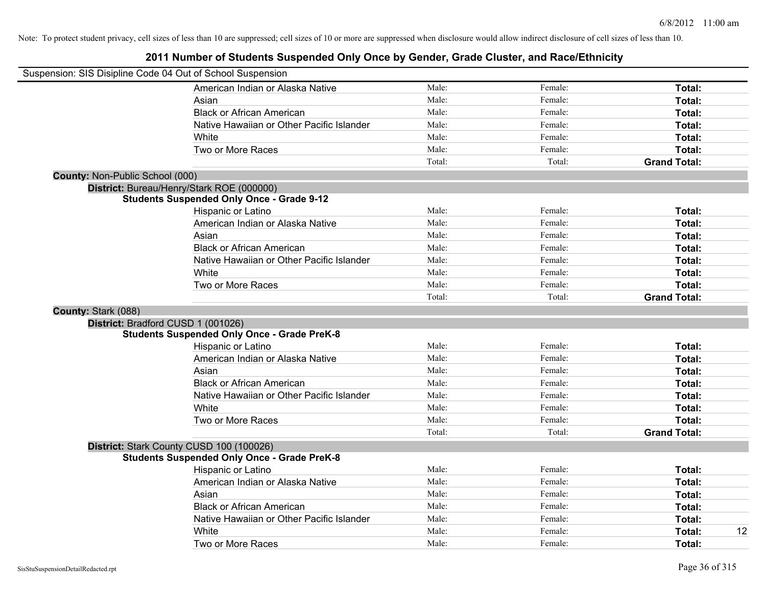|                                        | Suspension: SIS Disipline Code 04 Out of School Suspension |        |         |                     |
|----------------------------------------|------------------------------------------------------------|--------|---------|---------------------|
|                                        | American Indian or Alaska Native                           | Male:  | Female: | Total:              |
|                                        | Asian                                                      | Male:  | Female: | Total:              |
|                                        | <b>Black or African American</b>                           | Male:  | Female: | Total:              |
|                                        | Native Hawaiian or Other Pacific Islander                  | Male:  | Female: | Total:              |
|                                        | White                                                      | Male:  | Female: | Total:              |
|                                        | Two or More Races                                          | Male:  | Female: | Total:              |
|                                        |                                                            | Total: | Total:  | <b>Grand Total:</b> |
| <b>County: Non-Public School (000)</b> |                                                            |        |         |                     |
|                                        | District: Bureau/Henry/Stark ROE (000000)                  |        |         |                     |
|                                        | <b>Students Suspended Only Once - Grade 9-12</b>           |        |         |                     |
|                                        | Hispanic or Latino                                         | Male:  | Female: | Total:              |
|                                        | American Indian or Alaska Native                           | Male:  | Female: | Total:              |
|                                        | Asian                                                      | Male:  | Female: | Total:              |
|                                        | <b>Black or African American</b>                           | Male:  | Female: | Total:              |
|                                        | Native Hawaiian or Other Pacific Islander                  | Male:  | Female: | Total:              |
|                                        | White                                                      | Male:  | Female: | Total:              |
|                                        | Two or More Races                                          | Male:  | Female: | Total:              |
|                                        |                                                            | Total: | Total:  | <b>Grand Total:</b> |
| County: Stark (088)                    |                                                            |        |         |                     |
|                                        | District: Bradford CUSD 1 (001026)                         |        |         |                     |
|                                        | <b>Students Suspended Only Once - Grade PreK-8</b>         |        |         |                     |
|                                        | Hispanic or Latino                                         | Male:  | Female: | Total:              |
|                                        | American Indian or Alaska Native                           | Male:  | Female: | Total:              |
|                                        | Asian                                                      | Male:  | Female: | Total:              |
|                                        | <b>Black or African American</b>                           | Male:  | Female: | Total:              |
|                                        | Native Hawaiian or Other Pacific Islander                  | Male:  | Female: | Total:              |
|                                        | White                                                      | Male:  | Female: | Total:              |
|                                        | Two or More Races                                          | Male:  | Female: | Total:              |
|                                        |                                                            | Total: | Total:  | <b>Grand Total:</b> |
|                                        | District: Stark County CUSD 100 (100026)                   |        |         |                     |
|                                        | <b>Students Suspended Only Once - Grade PreK-8</b>         |        |         |                     |
|                                        | Hispanic or Latino                                         | Male:  | Female: | Total:              |
|                                        | American Indian or Alaska Native                           | Male:  | Female: | Total:              |
|                                        | Asian                                                      | Male:  | Female: | Total:              |
|                                        | <b>Black or African American</b>                           | Male:  | Female: | Total:              |
|                                        | Native Hawaiian or Other Pacific Islander                  | Male:  | Female: | Total:              |
|                                        | White                                                      | Male:  | Female: | 12<br>Total:        |
|                                        | Two or More Races                                          | Male:  | Female: | Total:              |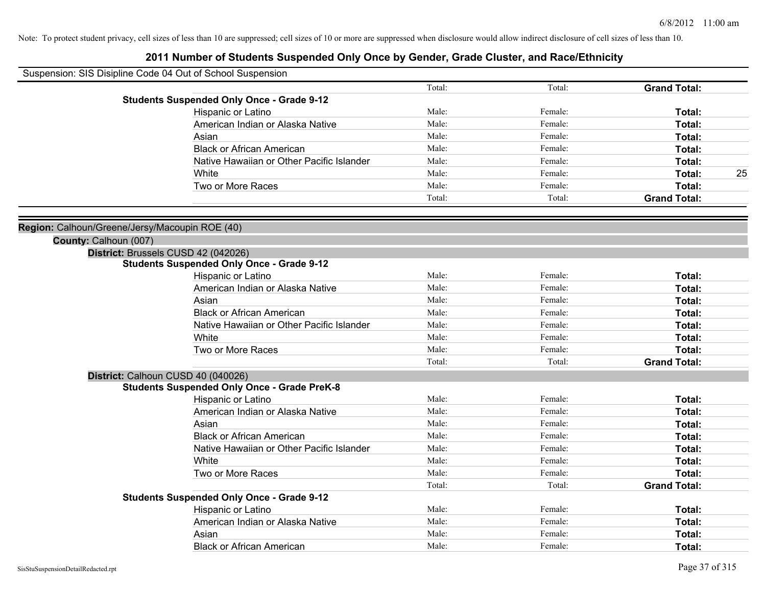| Suspension: SIS Disipline Code 04 Out of School Suspension |        |         |                     |    |
|------------------------------------------------------------|--------|---------|---------------------|----|
|                                                            | Total: | Total:  | <b>Grand Total:</b> |    |
| <b>Students Suspended Only Once - Grade 9-12</b>           |        |         |                     |    |
| Hispanic or Latino                                         | Male:  | Female: | Total:              |    |
| American Indian or Alaska Native                           | Male:  | Female: | Total:              |    |
| Asian                                                      | Male:  | Female: | Total:              |    |
| <b>Black or African American</b>                           | Male:  | Female: | Total:              |    |
| Native Hawaiian or Other Pacific Islander                  | Male:  | Female: | Total:              |    |
| White                                                      | Male:  | Female: | Total:              | 25 |
| Two or More Races                                          | Male:  | Female: | Total:              |    |
|                                                            | Total: | Total:  | <b>Grand Total:</b> |    |
| Region: Calhoun/Greene/Jersy/Macoupin ROE (40)             |        |         |                     |    |
| County: Calhoun (007)                                      |        |         |                     |    |
| District: Brussels CUSD 42 (042026)                        |        |         |                     |    |
| <b>Students Suspended Only Once - Grade 9-12</b>           |        |         |                     |    |
| Hispanic or Latino                                         | Male:  | Female: | Total:              |    |
| American Indian or Alaska Native                           | Male:  | Female: | Total:              |    |
| Asian                                                      | Male:  | Female: | Total:              |    |
| <b>Black or African American</b>                           | Male:  | Female: | Total:              |    |
| Native Hawaiian or Other Pacific Islander                  | Male:  | Female: | Total:              |    |
| White                                                      | Male:  | Female: | Total:              |    |
| Two or More Races                                          | Male:  | Female: | Total:              |    |
|                                                            | Total: | Total:  | <b>Grand Total:</b> |    |
| District: Calhoun CUSD 40 (040026)                         |        |         |                     |    |
| <b>Students Suspended Only Once - Grade PreK-8</b>         |        |         |                     |    |
| Hispanic or Latino                                         | Male:  | Female: | Total:              |    |
| American Indian or Alaska Native                           | Male:  | Female: | Total:              |    |
| Asian                                                      | Male:  | Female: | Total:              |    |
| <b>Black or African American</b>                           | Male:  | Female: | Total:              |    |
| Native Hawaiian or Other Pacific Islander                  | Male:  | Female: | Total:              |    |
| White                                                      | Male:  | Female: | Total:              |    |
| Two or More Races                                          | Male:  | Female: | Total:              |    |
|                                                            | Total: | Total:  | <b>Grand Total:</b> |    |
| <b>Students Suspended Only Once - Grade 9-12</b>           |        |         |                     |    |
| Hispanic or Latino                                         | Male:  | Female: | Total:              |    |
| American Indian or Alaska Native                           | Male:  | Female: | Total:              |    |
| Asian                                                      | Male:  | Female: | Total:              |    |
| <b>Black or African American</b>                           | Male:  | Female: | Total:              |    |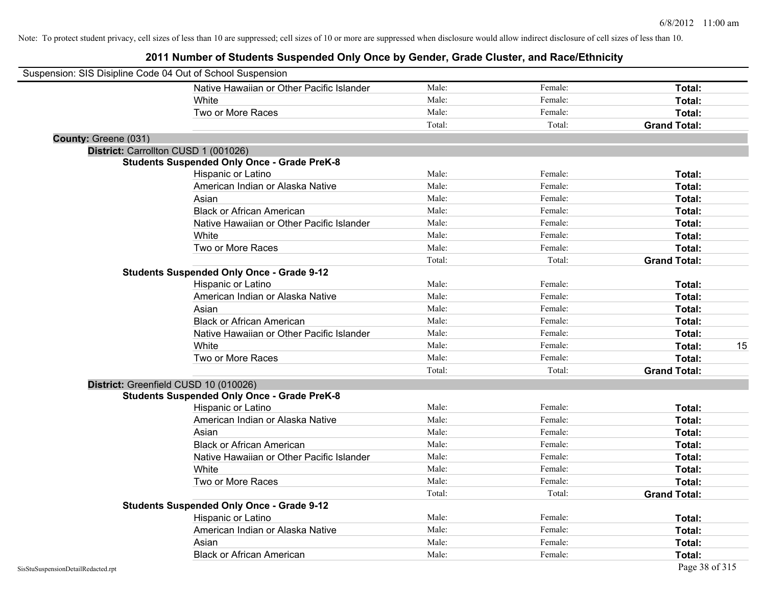| Suspension: SIS Disipline Code 04 Out of School Suspension |                                                    |        |         |                     |    |
|------------------------------------------------------------|----------------------------------------------------|--------|---------|---------------------|----|
|                                                            | Native Hawaiian or Other Pacific Islander          | Male:  | Female: | Total:              |    |
|                                                            | White                                              | Male:  | Female: | Total:              |    |
|                                                            | Two or More Races                                  | Male:  | Female: | Total:              |    |
|                                                            |                                                    | Total: | Total:  | <b>Grand Total:</b> |    |
| County: Greene (031)                                       |                                                    |        |         |                     |    |
|                                                            | District: Carrollton CUSD 1 (001026)               |        |         |                     |    |
|                                                            | <b>Students Suspended Only Once - Grade PreK-8</b> |        |         |                     |    |
|                                                            | Hispanic or Latino                                 | Male:  | Female: | Total:              |    |
|                                                            | American Indian or Alaska Native                   | Male:  | Female: | Total:              |    |
|                                                            | Asian                                              | Male:  | Female: | Total:              |    |
|                                                            | <b>Black or African American</b>                   | Male:  | Female: | Total:              |    |
|                                                            | Native Hawaiian or Other Pacific Islander          | Male:  | Female: | Total:              |    |
|                                                            | White                                              | Male:  | Female: | Total:              |    |
|                                                            | Two or More Races                                  | Male:  | Female: | Total:              |    |
|                                                            |                                                    | Total: | Total:  | <b>Grand Total:</b> |    |
|                                                            | <b>Students Suspended Only Once - Grade 9-12</b>   |        |         |                     |    |
|                                                            | Hispanic or Latino                                 | Male:  | Female: | Total:              |    |
|                                                            | American Indian or Alaska Native                   | Male:  | Female: | Total:              |    |
|                                                            | Asian                                              | Male:  | Female: | Total:              |    |
|                                                            | <b>Black or African American</b>                   | Male:  | Female: | Total:              |    |
|                                                            | Native Hawaiian or Other Pacific Islander          | Male:  | Female: | Total:              |    |
|                                                            | White                                              | Male:  | Female: | Total:              | 15 |
|                                                            | Two or More Races                                  | Male:  | Female: | Total:              |    |
|                                                            |                                                    | Total: | Total:  | <b>Grand Total:</b> |    |
|                                                            | District: Greenfield CUSD 10 (010026)              |        |         |                     |    |
|                                                            | <b>Students Suspended Only Once - Grade PreK-8</b> |        |         |                     |    |
|                                                            | Hispanic or Latino                                 | Male:  | Female: | Total:              |    |
|                                                            | American Indian or Alaska Native                   | Male:  | Female: | Total:              |    |
|                                                            | Asian                                              | Male:  | Female: | Total:              |    |
|                                                            | <b>Black or African American</b>                   | Male:  | Female: | Total:              |    |
|                                                            | Native Hawaiian or Other Pacific Islander          | Male:  | Female: | Total:              |    |
|                                                            | White                                              | Male:  | Female: | Total:              |    |
|                                                            | Two or More Races                                  | Male:  | Female: | Total:              |    |
|                                                            |                                                    | Total: | Total:  | <b>Grand Total:</b> |    |
|                                                            | <b>Students Suspended Only Once - Grade 9-12</b>   |        |         |                     |    |
|                                                            | Hispanic or Latino                                 | Male:  | Female: | Total:              |    |
|                                                            | American Indian or Alaska Native                   | Male:  | Female: | Total:              |    |
|                                                            | Asian                                              | Male:  | Female: | Total:              |    |
|                                                            | <b>Black or African American</b>                   | Male:  | Female: | Total:              |    |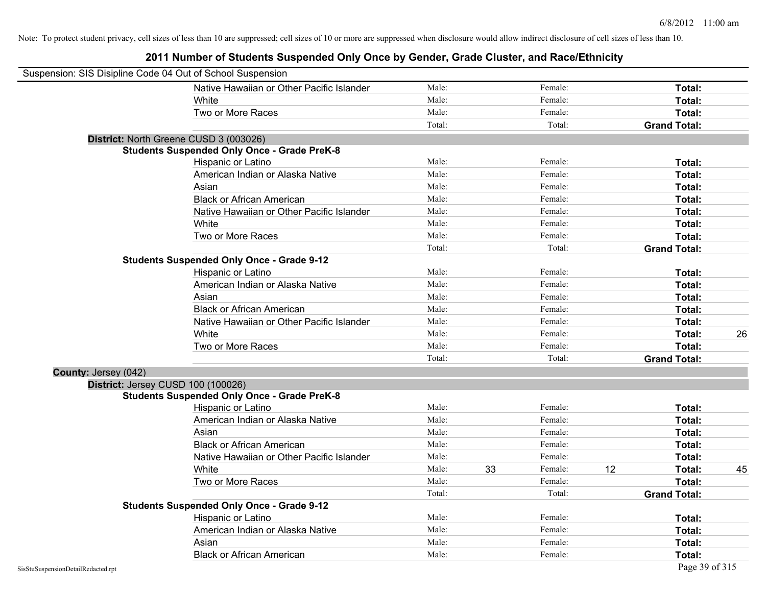|                      | Suspension: SIS Disipline Code 04 Out of School Suspension |        |    |         |    |                     |    |
|----------------------|------------------------------------------------------------|--------|----|---------|----|---------------------|----|
|                      | Native Hawaiian or Other Pacific Islander                  | Male:  |    | Female: |    | Total:              |    |
|                      | White                                                      | Male:  |    | Female: |    | Total:              |    |
|                      | Two or More Races                                          | Male:  |    | Female: |    | Total:              |    |
|                      |                                                            | Total: |    | Total:  |    | <b>Grand Total:</b> |    |
|                      | District: North Greene CUSD 3 (003026)                     |        |    |         |    |                     |    |
|                      | <b>Students Suspended Only Once - Grade PreK-8</b>         |        |    |         |    |                     |    |
|                      | Hispanic or Latino                                         | Male:  |    | Female: |    | Total:              |    |
|                      | American Indian or Alaska Native                           | Male:  |    | Female: |    | Total:              |    |
|                      | Asian                                                      | Male:  |    | Female: |    | Total:              |    |
|                      | <b>Black or African American</b>                           | Male:  |    | Female: |    | Total:              |    |
|                      | Native Hawaiian or Other Pacific Islander                  | Male:  |    | Female: |    | Total:              |    |
|                      | White                                                      | Male:  |    | Female: |    | Total:              |    |
|                      | Two or More Races                                          | Male:  |    | Female: |    | Total:              |    |
|                      |                                                            | Total: |    | Total:  |    | <b>Grand Total:</b> |    |
|                      | <b>Students Suspended Only Once - Grade 9-12</b>           |        |    |         |    |                     |    |
|                      | Hispanic or Latino                                         | Male:  |    | Female: |    | Total:              |    |
|                      | American Indian or Alaska Native                           | Male:  |    | Female: |    | Total:              |    |
|                      | Asian                                                      | Male:  |    | Female: |    | Total:              |    |
|                      | <b>Black or African American</b>                           | Male:  |    | Female: |    | Total:              |    |
|                      | Native Hawaiian or Other Pacific Islander                  | Male:  |    | Female: |    | Total:              |    |
|                      | White                                                      | Male:  |    | Female: |    | Total:              | 26 |
|                      | Two or More Races                                          | Male:  |    | Female: |    | Total:              |    |
|                      |                                                            | Total: |    | Total:  |    | <b>Grand Total:</b> |    |
| County: Jersey (042) |                                                            |        |    |         |    |                     |    |
|                      | District: Jersey CUSD 100 (100026)                         |        |    |         |    |                     |    |
|                      | <b>Students Suspended Only Once - Grade PreK-8</b>         |        |    |         |    |                     |    |
|                      | Hispanic or Latino                                         | Male:  |    | Female: |    | Total:              |    |
|                      | American Indian or Alaska Native                           | Male:  |    | Female: |    | Total:              |    |
|                      | Asian                                                      | Male:  |    | Female: |    | Total:              |    |
|                      | <b>Black or African American</b>                           | Male:  |    | Female: |    | Total:              |    |
|                      | Native Hawaiian or Other Pacific Islander                  | Male:  |    | Female: |    | Total:              |    |
|                      | White                                                      | Male:  | 33 | Female: | 12 | Total:              | 45 |
|                      | Two or More Races                                          | Male:  |    | Female: |    | Total:              |    |
|                      |                                                            | Total: |    | Total:  |    | <b>Grand Total:</b> |    |
|                      | <b>Students Suspended Only Once - Grade 9-12</b>           |        |    |         |    |                     |    |
|                      | Hispanic or Latino                                         | Male:  |    | Female: |    | Total:              |    |
|                      | American Indian or Alaska Native                           | Male:  |    | Female: |    | Total:              |    |
|                      | Asian                                                      | Male:  |    | Female: |    | <b>Total:</b>       |    |
|                      | <b>Black or African American</b>                           | Male:  |    | Female: |    | Total:              |    |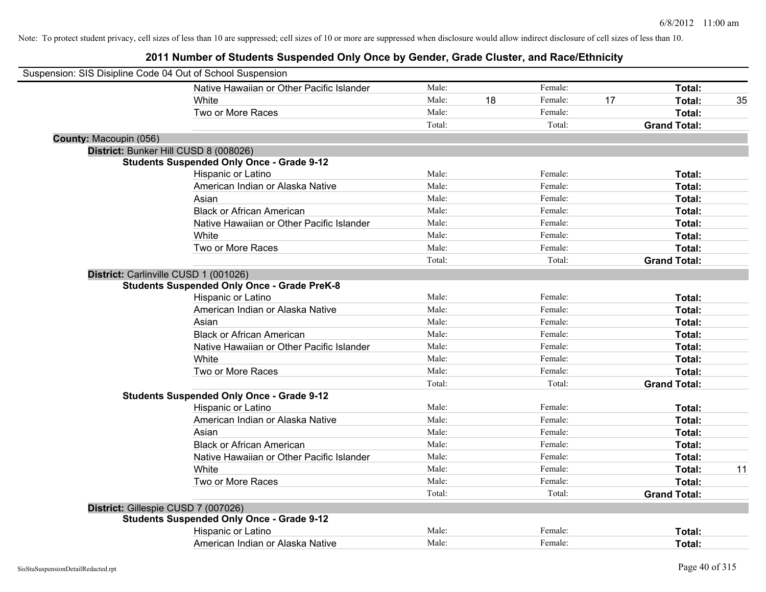|                        | Native Hawaiian or Other Pacific Islander          | Male:  |    | Female: |    | Total:              |    |
|------------------------|----------------------------------------------------|--------|----|---------|----|---------------------|----|
|                        | White                                              | Male:  | 18 | Female: | 17 | Total:              | 35 |
|                        | Two or More Races                                  | Male:  |    | Female: |    | Total:              |    |
|                        |                                                    | Total: |    | Total:  |    | <b>Grand Total:</b> |    |
| County: Macoupin (056) |                                                    |        |    |         |    |                     |    |
|                        | District: Bunker Hill CUSD 8 (008026)              |        |    |         |    |                     |    |
|                        | <b>Students Suspended Only Once - Grade 9-12</b>   |        |    |         |    |                     |    |
|                        | Hispanic or Latino                                 | Male:  |    | Female: |    | Total:              |    |
|                        | American Indian or Alaska Native                   | Male:  |    | Female: |    | Total:              |    |
|                        | Asian                                              | Male:  |    | Female: |    | Total:              |    |
|                        | <b>Black or African American</b>                   | Male:  |    | Female: |    | Total:              |    |
|                        | Native Hawaiian or Other Pacific Islander          | Male:  |    | Female: |    | Total:              |    |
|                        | White                                              | Male:  |    | Female: |    | Total:              |    |
|                        | Two or More Races                                  | Male:  |    | Female: |    | Total:              |    |
|                        |                                                    | Total: |    | Total:  |    | <b>Grand Total:</b> |    |
|                        | District: Carlinville CUSD 1 (001026)              |        |    |         |    |                     |    |
|                        | <b>Students Suspended Only Once - Grade PreK-8</b> |        |    |         |    |                     |    |
|                        | Hispanic or Latino                                 | Male:  |    | Female: |    | Total:              |    |
|                        | American Indian or Alaska Native                   | Male:  |    | Female: |    | Total:              |    |
|                        | Asian                                              | Male:  |    | Female: |    | Total:              |    |
|                        | <b>Black or African American</b>                   | Male:  |    | Female: |    | Total:              |    |
|                        | Native Hawaiian or Other Pacific Islander          | Male:  |    | Female: |    | Total:              |    |
|                        | White                                              | Male:  |    | Female: |    | Total:              |    |
|                        | Two or More Races                                  | Male:  |    | Female: |    | Total:              |    |
|                        |                                                    | Total: |    | Total:  |    | <b>Grand Total:</b> |    |
|                        | <b>Students Suspended Only Once - Grade 9-12</b>   |        |    |         |    |                     |    |
|                        | Hispanic or Latino                                 | Male:  |    | Female: |    | Total:              |    |
|                        | American Indian or Alaska Native                   | Male:  |    | Female: |    | Total:              |    |
|                        | Asian                                              | Male:  |    | Female: |    | Total:              |    |
|                        | <b>Black or African American</b>                   | Male:  |    | Female: |    | Total:              |    |
|                        | Native Hawaiian or Other Pacific Islander          | Male:  |    | Female: |    | Total:              |    |
|                        | White                                              | Male:  |    | Female: |    | Total:              | 11 |
|                        | Two or More Races                                  | Male:  |    | Female: |    | Total:              |    |
|                        |                                                    | Total: |    | Total:  |    | <b>Grand Total:</b> |    |
|                        | District: Gillespie CUSD 7 (007026)                |        |    |         |    |                     |    |
|                        | <b>Students Suspended Only Once - Grade 9-12</b>   |        |    |         |    |                     |    |
|                        | Hispanic or Latino                                 | Male:  |    | Female: |    | Total:              |    |
|                        | American Indian or Alaska Native                   | Male:  |    | Female: |    | Total:              |    |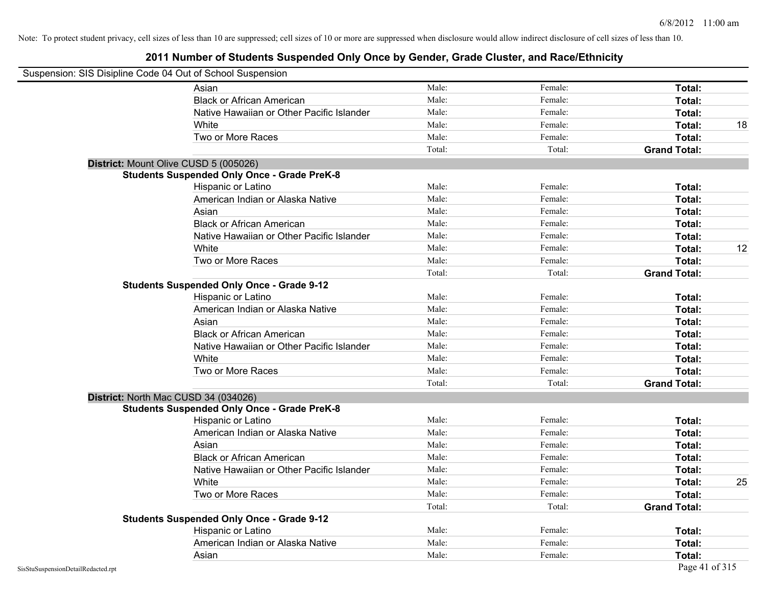| Suspension: SIS Disipline Code 04 Out of School Suspension |                                                    |        |         |                     |    |
|------------------------------------------------------------|----------------------------------------------------|--------|---------|---------------------|----|
|                                                            | Asian                                              | Male:  | Female: | Total:              |    |
|                                                            | <b>Black or African American</b>                   | Male:  | Female: | Total:              |    |
|                                                            | Native Hawaiian or Other Pacific Islander          | Male:  | Female: | Total:              |    |
|                                                            | White                                              | Male:  | Female: | Total:              | 18 |
|                                                            | Two or More Races                                  | Male:  | Female: | Total:              |    |
|                                                            |                                                    | Total: | Total:  | <b>Grand Total:</b> |    |
|                                                            | District: Mount Olive CUSD 5 (005026)              |        |         |                     |    |
|                                                            | <b>Students Suspended Only Once - Grade PreK-8</b> |        |         |                     |    |
|                                                            | Hispanic or Latino                                 | Male:  | Female: | Total:              |    |
|                                                            | American Indian or Alaska Native                   | Male:  | Female: | Total:              |    |
|                                                            | Asian                                              | Male:  | Female: | Total:              |    |
|                                                            | <b>Black or African American</b>                   | Male:  | Female: | Total:              |    |
|                                                            | Native Hawaiian or Other Pacific Islander          | Male:  | Female: | Total:              |    |
|                                                            | White                                              | Male:  | Female: | Total:              | 12 |
|                                                            | Two or More Races                                  | Male:  | Female: | Total:              |    |
|                                                            |                                                    | Total: | Total:  | <b>Grand Total:</b> |    |
|                                                            | <b>Students Suspended Only Once - Grade 9-12</b>   |        |         |                     |    |
|                                                            | Hispanic or Latino                                 | Male:  | Female: | Total:              |    |
|                                                            | American Indian or Alaska Native                   | Male:  | Female: | Total:              |    |
|                                                            | Asian                                              | Male:  | Female: | Total:              |    |
|                                                            | <b>Black or African American</b>                   | Male:  | Female: | Total:              |    |
|                                                            | Native Hawaiian or Other Pacific Islander          | Male:  | Female: | Total:              |    |
|                                                            | White                                              | Male:  | Female: | Total:              |    |
|                                                            | Two or More Races                                  | Male:  | Female: | Total:              |    |
|                                                            |                                                    | Total: | Total:  | <b>Grand Total:</b> |    |
|                                                            | District: North Mac CUSD 34 (034026)               |        |         |                     |    |
|                                                            | <b>Students Suspended Only Once - Grade PreK-8</b> |        |         |                     |    |
|                                                            | Hispanic or Latino                                 | Male:  | Female: | Total:              |    |
|                                                            | American Indian or Alaska Native                   | Male:  | Female: | Total:              |    |
|                                                            | Asian                                              | Male:  | Female: | Total:              |    |
|                                                            | <b>Black or African American</b>                   | Male:  | Female: | Total:              |    |
|                                                            | Native Hawaiian or Other Pacific Islander          | Male:  | Female: | Total:              |    |
|                                                            | White                                              | Male:  | Female: | Total:              | 25 |
|                                                            | Two or More Races                                  | Male:  | Female: | Total:              |    |
|                                                            |                                                    | Total: | Total:  | <b>Grand Total:</b> |    |
|                                                            | <b>Students Suspended Only Once - Grade 9-12</b>   |        |         |                     |    |
|                                                            | Hispanic or Latino                                 | Male:  | Female: | Total:              |    |
|                                                            | American Indian or Alaska Native                   | Male:  | Female: | Total:              |    |
|                                                            | Asian                                              | Male:  | Female: | Total:              |    |
| SisStuSuspensionDetailRedacted.rpt                         |                                                    |        |         | Page 41 of 315      |    |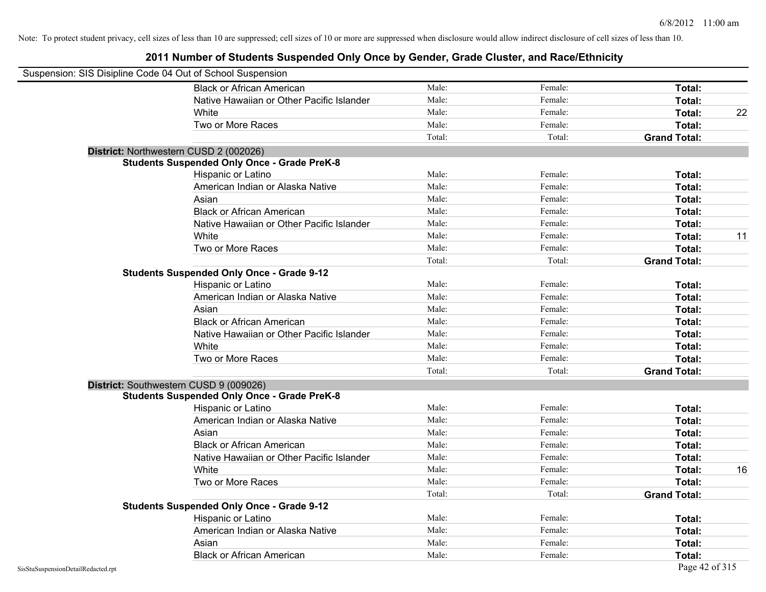| Suspension: SIS Disipline Code 04 Out of School Suspension |                                                    |        |         |                     |    |
|------------------------------------------------------------|----------------------------------------------------|--------|---------|---------------------|----|
|                                                            | <b>Black or African American</b>                   | Male:  | Female: | Total:              |    |
|                                                            | Native Hawaiian or Other Pacific Islander          | Male:  | Female: | Total:              |    |
|                                                            | White                                              | Male:  | Female: | Total:              | 22 |
|                                                            | Two or More Races                                  | Male:  | Female: | Total:              |    |
|                                                            |                                                    | Total: | Total:  | <b>Grand Total:</b> |    |
|                                                            | District: Northwestern CUSD 2 (002026)             |        |         |                     |    |
|                                                            | <b>Students Suspended Only Once - Grade PreK-8</b> |        |         |                     |    |
|                                                            | Hispanic or Latino                                 | Male:  | Female: | Total:              |    |
|                                                            | American Indian or Alaska Native                   | Male:  | Female: | Total:              |    |
|                                                            | Asian                                              | Male:  | Female: | Total:              |    |
|                                                            | <b>Black or African American</b>                   | Male:  | Female: | Total:              |    |
|                                                            | Native Hawaiian or Other Pacific Islander          | Male:  | Female: | Total:              |    |
|                                                            | White                                              | Male:  | Female: | Total:              | 11 |
|                                                            | Two or More Races                                  | Male:  | Female: | Total:              |    |
|                                                            |                                                    | Total: | Total:  | <b>Grand Total:</b> |    |
|                                                            | <b>Students Suspended Only Once - Grade 9-12</b>   |        |         |                     |    |
|                                                            | Hispanic or Latino                                 | Male:  | Female: | Total:              |    |
|                                                            | American Indian or Alaska Native                   | Male:  | Female: | Total:              |    |
|                                                            | Asian                                              | Male:  | Female: | Total:              |    |
|                                                            | <b>Black or African American</b>                   | Male:  | Female: | Total:              |    |
|                                                            | Native Hawaiian or Other Pacific Islander          | Male:  | Female: | Total:              |    |
|                                                            | White                                              | Male:  | Female: | Total:              |    |
|                                                            | Two or More Races                                  | Male:  | Female: | Total:              |    |
|                                                            |                                                    | Total: | Total:  | <b>Grand Total:</b> |    |
|                                                            | District: Southwestern CUSD 9 (009026)             |        |         |                     |    |
|                                                            | <b>Students Suspended Only Once - Grade PreK-8</b> |        |         |                     |    |
|                                                            | Hispanic or Latino                                 | Male:  | Female: | Total:              |    |
|                                                            | American Indian or Alaska Native                   | Male:  | Female: | Total:              |    |
|                                                            | Asian                                              | Male:  | Female: | Total:              |    |
|                                                            | <b>Black or African American</b>                   | Male:  | Female: | Total:              |    |
|                                                            | Native Hawaiian or Other Pacific Islander          | Male:  | Female: | Total:              |    |
|                                                            | White                                              | Male:  | Female: | Total:              | 16 |
|                                                            | Two or More Races                                  | Male:  | Female: | Total:              |    |
|                                                            |                                                    | Total: | Total:  | <b>Grand Total:</b> |    |
|                                                            | <b>Students Suspended Only Once - Grade 9-12</b>   |        |         |                     |    |
|                                                            | Hispanic or Latino                                 | Male:  | Female: | Total:              |    |
|                                                            | American Indian or Alaska Native                   | Male:  | Female: | Total:              |    |
|                                                            | Asian                                              | Male:  | Female: | Total:              |    |
|                                                            | <b>Black or African American</b>                   | Male:  | Female: | Total:              |    |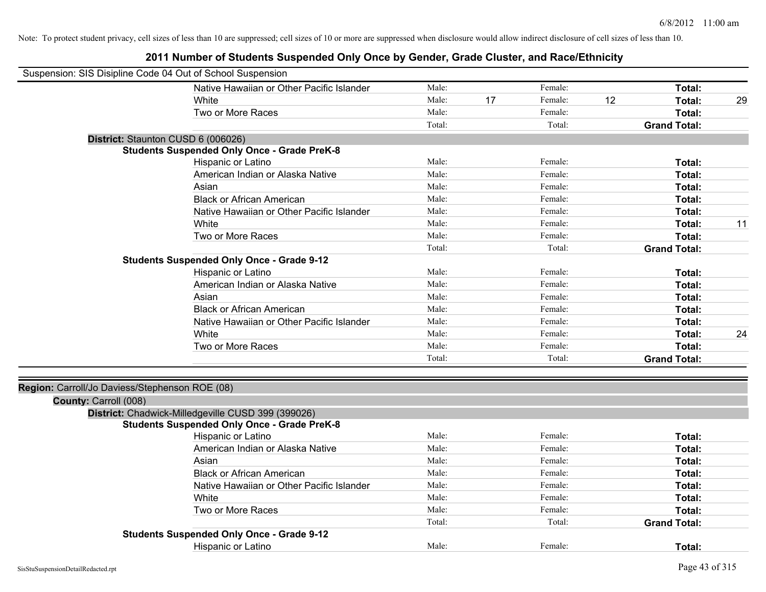| Suspension: SIS Disipline Code 04 Out of School Suspension |                                                    |        |    |         |    |                     |    |
|------------------------------------------------------------|----------------------------------------------------|--------|----|---------|----|---------------------|----|
|                                                            | Native Hawaiian or Other Pacific Islander          | Male:  |    | Female: |    | Total:              |    |
|                                                            | White                                              | Male:  | 17 | Female: | 12 | Total:              | 29 |
|                                                            | Two or More Races                                  | Male:  |    | Female: |    | Total:              |    |
|                                                            |                                                    | Total: |    | Total:  |    | <b>Grand Total:</b> |    |
| District: Staunton CUSD 6 (006026)                         |                                                    |        |    |         |    |                     |    |
|                                                            | <b>Students Suspended Only Once - Grade PreK-8</b> |        |    |         |    |                     |    |
|                                                            | Hispanic or Latino                                 | Male:  |    | Female: |    | Total:              |    |
|                                                            | American Indian or Alaska Native                   | Male:  |    | Female: |    | Total:              |    |
|                                                            | Asian                                              | Male:  |    | Female: |    | Total:              |    |
|                                                            | <b>Black or African American</b>                   | Male:  |    | Female: |    | Total:              |    |
|                                                            | Native Hawaiian or Other Pacific Islander          | Male:  |    | Female: |    | Total:              |    |
|                                                            | White                                              | Male:  |    | Female: |    | Total:              | 11 |
|                                                            | Two or More Races                                  | Male:  |    | Female: |    | Total:              |    |
|                                                            |                                                    | Total: |    | Total:  |    | <b>Grand Total:</b> |    |
|                                                            | <b>Students Suspended Only Once - Grade 9-12</b>   |        |    |         |    |                     |    |
|                                                            | Hispanic or Latino                                 | Male:  |    | Female: |    | Total:              |    |
|                                                            | American Indian or Alaska Native                   | Male:  |    | Female: |    | Total:              |    |
|                                                            | Asian                                              | Male:  |    | Female: |    | Total:              |    |
|                                                            | <b>Black or African American</b>                   | Male:  |    | Female: |    | Total:              |    |
|                                                            | Native Hawaiian or Other Pacific Islander          | Male:  |    | Female: |    | Total:              |    |
|                                                            | White                                              | Male:  |    | Female: |    | Total:              | 24 |
|                                                            | Two or More Races                                  | Male:  |    | Female: |    | Total:              |    |
|                                                            |                                                    | Total: |    | Total:  |    | <b>Grand Total:</b> |    |
| Region: Carroll/Jo Daviess/Stephenson ROE (08)             |                                                    |        |    |         |    |                     |    |
| County: Carroll (008)                                      |                                                    |        |    |         |    |                     |    |
|                                                            | District: Chadwick-Milledgeville CUSD 399 (399026) |        |    |         |    |                     |    |
|                                                            | <b>Students Suspended Only Once - Grade PreK-8</b> |        |    |         |    |                     |    |
|                                                            | Hispanic or Latino                                 | Male:  |    | Female: |    | Total:              |    |
|                                                            | American Indian or Alaska Native                   | Male:  |    | Female: |    | Total:              |    |
|                                                            | Asian                                              | Male:  |    | Female: |    | Total:              |    |
|                                                            | <b>Black or African American</b>                   | Male:  |    | Female: |    | Total:              |    |
|                                                            | Native Hawaiian or Other Pacific Islander          | Male:  |    | Female: |    | Total:              |    |
|                                                            | White                                              | Male:  |    | Female: |    | Total:              |    |
|                                                            | Two or More Races                                  | Male:  |    | Female: |    | Total:              |    |
|                                                            |                                                    | Total: |    | Total:  |    | <b>Grand Total:</b> |    |
|                                                            | <b>Students Suspended Only Once - Grade 9-12</b>   |        |    |         |    |                     |    |
|                                                            | <b>Hispanic or Latino</b>                          | Male:  |    | Female: |    | Total:              |    |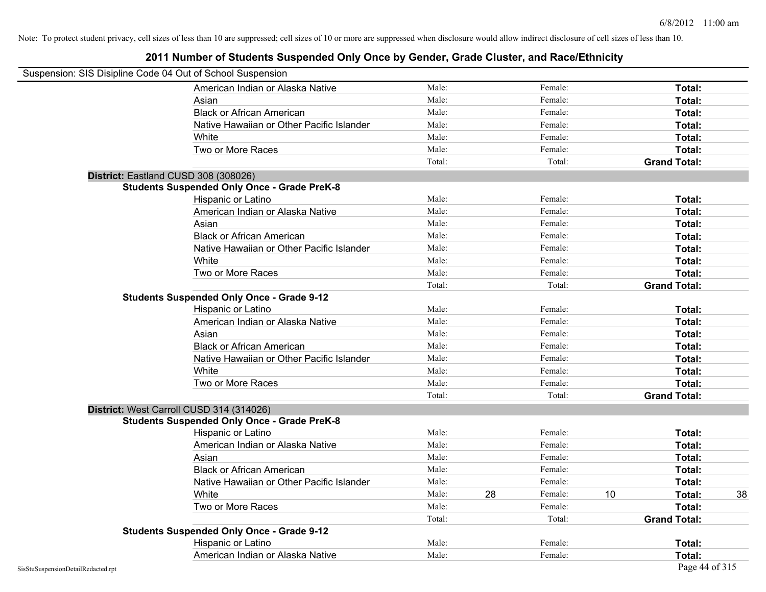| Suspension: SIS Disipline Code 04 Out of School Suspension |                                                    |        |    |         |    |                     |    |
|------------------------------------------------------------|----------------------------------------------------|--------|----|---------|----|---------------------|----|
|                                                            | American Indian or Alaska Native                   | Male:  |    | Female: |    | Total:              |    |
|                                                            | Asian                                              | Male:  |    | Female: |    | Total:              |    |
|                                                            | <b>Black or African American</b>                   | Male:  |    | Female: |    | Total:              |    |
|                                                            | Native Hawaiian or Other Pacific Islander          | Male:  |    | Female: |    | Total:              |    |
|                                                            | White                                              | Male:  |    | Female: |    | Total:              |    |
|                                                            | Two or More Races                                  | Male:  |    | Female: |    | Total:              |    |
|                                                            |                                                    | Total: |    | Total:  |    | <b>Grand Total:</b> |    |
|                                                            | District: Eastland CUSD 308 (308026)               |        |    |         |    |                     |    |
|                                                            | <b>Students Suspended Only Once - Grade PreK-8</b> |        |    |         |    |                     |    |
|                                                            | Hispanic or Latino                                 | Male:  |    | Female: |    | Total:              |    |
|                                                            | American Indian or Alaska Native                   | Male:  |    | Female: |    | Total:              |    |
|                                                            | Asian                                              | Male:  |    | Female: |    | Total:              |    |
|                                                            | <b>Black or African American</b>                   | Male:  |    | Female: |    | Total:              |    |
|                                                            | Native Hawaiian or Other Pacific Islander          | Male:  |    | Female: |    | Total:              |    |
|                                                            | White                                              | Male:  |    | Female: |    | Total:              |    |
|                                                            | Two or More Races                                  | Male:  |    | Female: |    | Total:              |    |
|                                                            |                                                    | Total: |    | Total:  |    | <b>Grand Total:</b> |    |
|                                                            | <b>Students Suspended Only Once - Grade 9-12</b>   |        |    |         |    |                     |    |
|                                                            | Hispanic or Latino                                 | Male:  |    | Female: |    | Total:              |    |
|                                                            | American Indian or Alaska Native                   | Male:  |    | Female: |    | Total:              |    |
|                                                            | Asian                                              | Male:  |    | Female: |    | Total:              |    |
|                                                            | <b>Black or African American</b>                   | Male:  |    | Female: |    | Total:              |    |
|                                                            | Native Hawaiian or Other Pacific Islander          | Male:  |    | Female: |    | Total:              |    |
|                                                            | White                                              | Male:  |    | Female: |    | Total:              |    |
|                                                            | Two or More Races                                  | Male:  |    | Female: |    | Total:              |    |
|                                                            |                                                    | Total: |    | Total:  |    | <b>Grand Total:</b> |    |
|                                                            | District: West Carroll CUSD 314 (314026)           |        |    |         |    |                     |    |
|                                                            | <b>Students Suspended Only Once - Grade PreK-8</b> |        |    |         |    |                     |    |
|                                                            | Hispanic or Latino                                 | Male:  |    | Female: |    | Total:              |    |
|                                                            | American Indian or Alaska Native                   | Male:  |    | Female: |    | Total:              |    |
|                                                            | Asian                                              | Male:  |    | Female: |    | Total:              |    |
|                                                            | <b>Black or African American</b>                   | Male:  |    | Female: |    | Total:              |    |
|                                                            | Native Hawaiian or Other Pacific Islander          | Male:  |    | Female: |    | Total:              |    |
|                                                            | White                                              | Male:  | 28 | Female: | 10 | Total:              | 38 |
|                                                            | Two or More Races                                  | Male:  |    | Female: |    | Total:              |    |
|                                                            |                                                    | Total: |    | Total:  |    | <b>Grand Total:</b> |    |
|                                                            | <b>Students Suspended Only Once - Grade 9-12</b>   |        |    |         |    |                     |    |
|                                                            | Hispanic or Latino                                 | Male:  |    | Female: |    | Total:              |    |
|                                                            | American Indian or Alaska Native                   | Male:  |    | Female: |    | Total:              |    |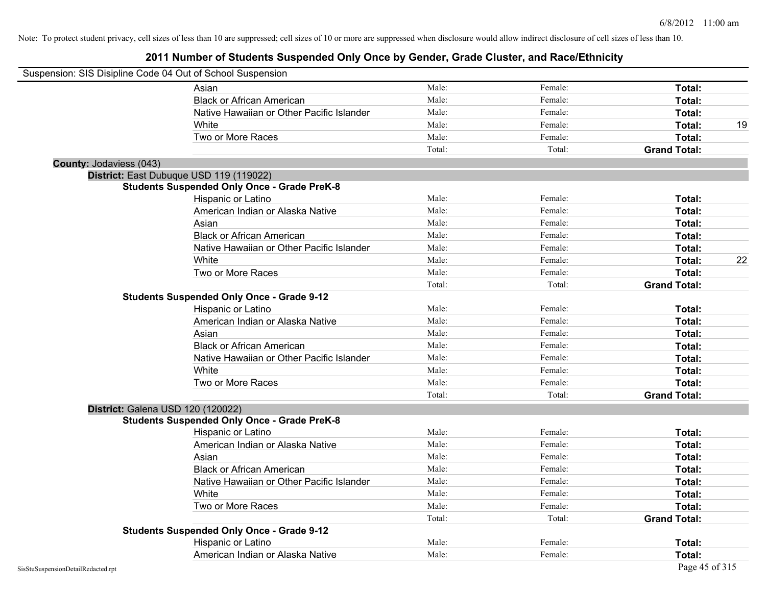| Suspension: SIS Disipline Code 04 Out of School Suspension |                                                    |        |         |                     |    |
|------------------------------------------------------------|----------------------------------------------------|--------|---------|---------------------|----|
|                                                            | Asian                                              | Male:  | Female: | Total:              |    |
|                                                            | <b>Black or African American</b>                   | Male:  | Female: | Total:              |    |
|                                                            | Native Hawaiian or Other Pacific Islander          | Male:  | Female: | Total:              |    |
|                                                            | White                                              | Male:  | Female: | Total:              | 19 |
|                                                            | Two or More Races                                  | Male:  | Female: | Total:              |    |
|                                                            |                                                    | Total: | Total:  | <b>Grand Total:</b> |    |
| County: Jodaviess (043)                                    |                                                    |        |         |                     |    |
|                                                            | District: East Dubuque USD 119 (119022)            |        |         |                     |    |
|                                                            | <b>Students Suspended Only Once - Grade PreK-8</b> |        |         |                     |    |
|                                                            | Hispanic or Latino                                 | Male:  | Female: | Total:              |    |
|                                                            | American Indian or Alaska Native                   | Male:  | Female: | Total:              |    |
|                                                            | Asian                                              | Male:  | Female: | Total:              |    |
|                                                            | <b>Black or African American</b>                   | Male:  | Female: | Total:              |    |
|                                                            | Native Hawaiian or Other Pacific Islander          | Male:  | Female: | Total:              |    |
|                                                            | White                                              | Male:  | Female: | Total:              | 22 |
|                                                            | Two or More Races                                  | Male:  | Female: | Total:              |    |
|                                                            |                                                    | Total: | Total:  | <b>Grand Total:</b> |    |
|                                                            | <b>Students Suspended Only Once - Grade 9-12</b>   |        |         |                     |    |
|                                                            | Hispanic or Latino                                 | Male:  | Female: | Total:              |    |
|                                                            | American Indian or Alaska Native                   | Male:  | Female: | Total:              |    |
|                                                            | Asian                                              | Male:  | Female: | Total:              |    |
|                                                            | <b>Black or African American</b>                   | Male:  | Female: | Total:              |    |
|                                                            | Native Hawaiian or Other Pacific Islander          | Male:  | Female: | Total:              |    |
|                                                            | White                                              | Male:  | Female: | Total:              |    |
|                                                            | Two or More Races                                  | Male:  | Female: | Total:              |    |
|                                                            |                                                    | Total: | Total:  | <b>Grand Total:</b> |    |
|                                                            | District: Galena USD 120 (120022)                  |        |         |                     |    |
|                                                            | <b>Students Suspended Only Once - Grade PreK-8</b> |        |         |                     |    |
|                                                            | Hispanic or Latino                                 | Male:  | Female: | Total:              |    |
|                                                            | American Indian or Alaska Native                   | Male:  | Female: | Total:              |    |
|                                                            | Asian                                              | Male:  | Female: | Total:              |    |
|                                                            | <b>Black or African American</b>                   | Male:  | Female: | Total:              |    |
|                                                            | Native Hawaiian or Other Pacific Islander          | Male:  | Female: | Total:              |    |
|                                                            | White                                              | Male:  | Female: | Total:              |    |
|                                                            | Two or More Races                                  | Male:  | Female: | Total:              |    |
|                                                            |                                                    | Total: | Total:  | <b>Grand Total:</b> |    |
|                                                            | <b>Students Suspended Only Once - Grade 9-12</b>   |        |         |                     |    |
|                                                            | Hispanic or Latino                                 | Male:  | Female: | Total:              |    |
|                                                            | American Indian or Alaska Native                   | Male:  | Female: | Total:              |    |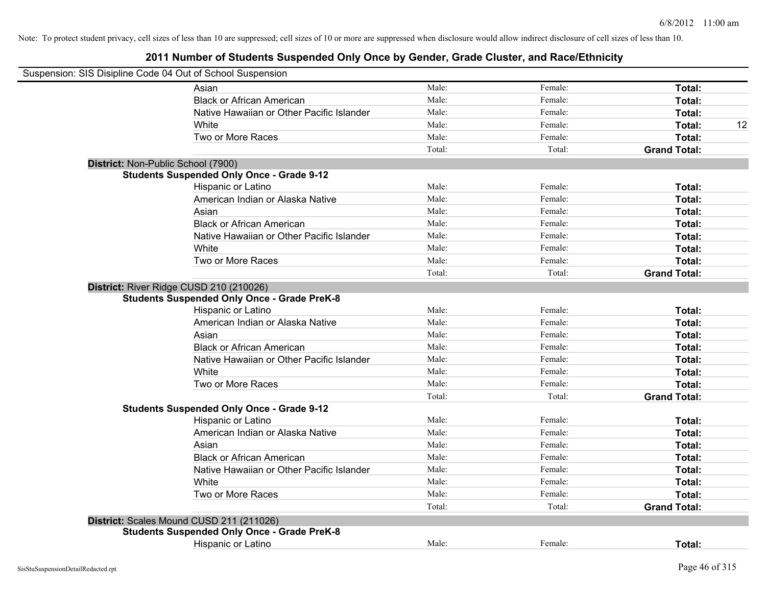| Suspension: SIS Disipline Code 04 Out of School Suspension |                                                    |        |         |                     |
|------------------------------------------------------------|----------------------------------------------------|--------|---------|---------------------|
|                                                            | Asian                                              | Male:  | Female: | Total:              |
|                                                            | <b>Black or African American</b>                   | Male:  | Female: | Total:              |
|                                                            | Native Hawaiian or Other Pacific Islander          | Male:  | Female: | Total:              |
|                                                            | White                                              | Male:  | Female: | Total:<br>12        |
|                                                            | Two or More Races                                  | Male:  | Female: | Total:              |
|                                                            |                                                    | Total: | Total:  | <b>Grand Total:</b> |
| District: Non-Public School (7900)                         |                                                    |        |         |                     |
|                                                            | <b>Students Suspended Only Once - Grade 9-12</b>   |        |         |                     |
|                                                            | Hispanic or Latino                                 | Male:  | Female: | Total:              |
|                                                            | American Indian or Alaska Native                   | Male:  | Female: | Total:              |
|                                                            | Asian                                              | Male:  | Female: | Total:              |
|                                                            | <b>Black or African American</b>                   | Male:  | Female: | Total:              |
|                                                            | Native Hawaiian or Other Pacific Islander          | Male:  | Female: | Total:              |
|                                                            | White                                              | Male:  | Female: | Total:              |
|                                                            | Two or More Races                                  | Male:  | Female: | Total:              |
|                                                            |                                                    | Total: | Total:  | <b>Grand Total:</b> |
| District: River Ridge CUSD 210 (210026)                    | <b>Students Suspended Only Once - Grade PreK-8</b> |        |         |                     |
|                                                            | Hispanic or Latino                                 | Male:  | Female: | Total:              |
|                                                            | American Indian or Alaska Native                   | Male:  | Female: | Total:              |
|                                                            | Asian                                              | Male:  | Female: | Total:              |
|                                                            | <b>Black or African American</b>                   | Male:  | Female: | Total:              |
|                                                            | Native Hawaiian or Other Pacific Islander          | Male:  | Female: | Total:              |
|                                                            | White                                              | Male:  | Female: | Total:              |
|                                                            | Two or More Races                                  | Male:  | Female: | Total:              |
|                                                            |                                                    | Total: | Total:  | <b>Grand Total:</b> |
|                                                            | <b>Students Suspended Only Once - Grade 9-12</b>   |        |         |                     |
|                                                            | Hispanic or Latino                                 | Male:  | Female: | Total:              |
|                                                            | American Indian or Alaska Native                   | Male:  | Female: | Total:              |
|                                                            | Asian                                              | Male:  | Female: | Total:              |
|                                                            | <b>Black or African American</b>                   | Male:  | Female: | Total:              |
|                                                            | Native Hawaiian or Other Pacific Islander          | Male:  | Female: | Total:              |
|                                                            | White                                              | Male:  | Female: | Total:              |
|                                                            | Two or More Races                                  | Male:  | Female: | Total:              |
|                                                            |                                                    | Total: | Total:  | <b>Grand Total:</b> |
|                                                            | District: Scales Mound CUSD 211 (211026)           |        |         |                     |
|                                                            | <b>Students Suspended Only Once - Grade PreK-8</b> |        |         |                     |
|                                                            | Hispanic or Latino                                 | Male:  | Female: | Total:              |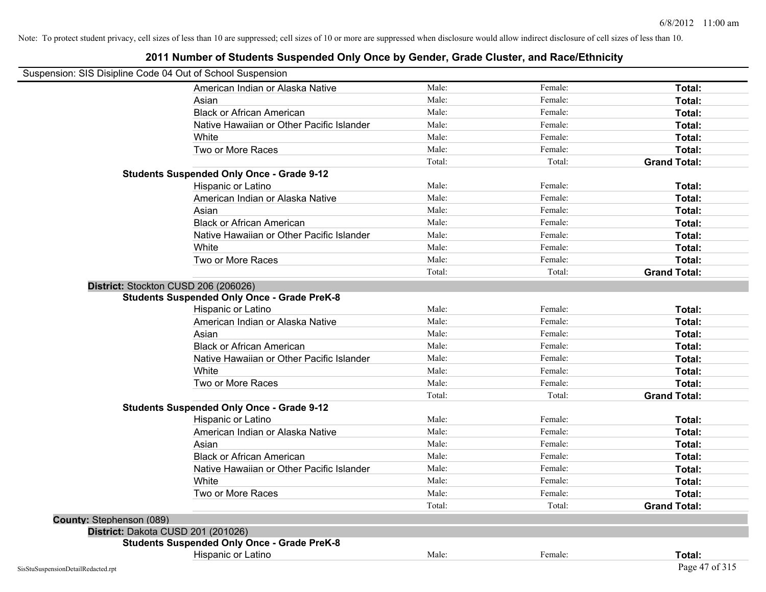|                          | Suspension: SIS Disipline Code 04 Out of School Suspension |        |         |                     |
|--------------------------|------------------------------------------------------------|--------|---------|---------------------|
|                          | American Indian or Alaska Native                           | Male:  | Female: | Total:              |
|                          | Asian                                                      | Male:  | Female: | Total:              |
|                          | <b>Black or African American</b>                           | Male:  | Female: | Total:              |
|                          | Native Hawaiian or Other Pacific Islander                  | Male:  | Female: | Total:              |
|                          | White                                                      | Male:  | Female: | Total:              |
|                          | Two or More Races                                          | Male:  | Female: | Total:              |
|                          |                                                            | Total: | Total:  | <b>Grand Total:</b> |
|                          | <b>Students Suspended Only Once - Grade 9-12</b>           |        |         |                     |
|                          | Hispanic or Latino                                         | Male:  | Female: | Total:              |
|                          | American Indian or Alaska Native                           | Male:  | Female: | Total:              |
|                          | Asian                                                      | Male:  | Female: | Total:              |
|                          | <b>Black or African American</b>                           | Male:  | Female: | Total:              |
|                          | Native Hawaiian or Other Pacific Islander                  | Male:  | Female: | Total:              |
|                          | White                                                      | Male:  | Female: | Total:              |
|                          | Two or More Races                                          | Male:  | Female: | Total:              |
|                          |                                                            | Total: | Total:  | <b>Grand Total:</b> |
|                          | District: Stockton CUSD 206 (206026)                       |        |         |                     |
|                          | <b>Students Suspended Only Once - Grade PreK-8</b>         |        |         |                     |
|                          | Hispanic or Latino                                         | Male:  | Female: | Total:              |
|                          | American Indian or Alaska Native                           | Male:  | Female: | Total:              |
|                          | Asian                                                      | Male:  | Female: | Total:              |
|                          | <b>Black or African American</b>                           | Male:  | Female: | Total:              |
|                          | Native Hawaiian or Other Pacific Islander                  | Male:  | Female: | Total:              |
|                          | White                                                      | Male:  | Female: | Total:              |
|                          | Two or More Races                                          | Male:  | Female: | Total:              |
|                          |                                                            | Total: | Total:  | <b>Grand Total:</b> |
|                          | <b>Students Suspended Only Once - Grade 9-12</b>           |        |         |                     |
|                          | Hispanic or Latino                                         | Male:  | Female: | Total:              |
|                          | American Indian or Alaska Native                           | Male:  | Female: | Total:              |
|                          | Asian                                                      | Male:  | Female: | Total:              |
|                          | <b>Black or African American</b>                           | Male:  | Female: | Total:              |
|                          | Native Hawaiian or Other Pacific Islander                  | Male:  | Female: | Total:              |
|                          | White                                                      | Male:  | Female: | Total:              |
|                          | Two or More Races                                          | Male:  | Female: | Total:              |
|                          |                                                            | Total: | Total:  | <b>Grand Total:</b> |
| County: Stephenson (089) |                                                            |        |         |                     |
|                          | District: Dakota CUSD 201 (201026)                         |        |         |                     |
|                          | <b>Students Suspended Only Once - Grade PreK-8</b>         |        |         |                     |
|                          | Hispanic or Latino                                         | Male:  | Female: | Total:              |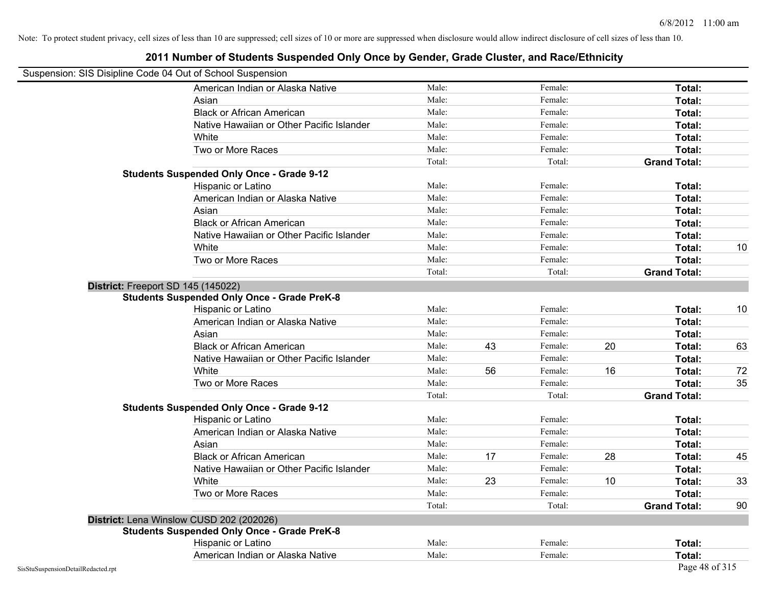| Suspension: SIS Disipline Code 04 Out of School Suspension |                                                    |        |    |         |    |                     |    |
|------------------------------------------------------------|----------------------------------------------------|--------|----|---------|----|---------------------|----|
|                                                            | American Indian or Alaska Native                   | Male:  |    | Female: |    | Total:              |    |
|                                                            | Asian                                              | Male:  |    | Female: |    | Total:              |    |
|                                                            | <b>Black or African American</b>                   | Male:  |    | Female: |    | Total:              |    |
|                                                            | Native Hawaiian or Other Pacific Islander          | Male:  |    | Female: |    | Total:              |    |
|                                                            | White                                              | Male:  |    | Female: |    | Total:              |    |
|                                                            | Two or More Races                                  | Male:  |    | Female: |    | Total:              |    |
|                                                            |                                                    | Total: |    | Total:  |    | <b>Grand Total:</b> |    |
|                                                            | <b>Students Suspended Only Once - Grade 9-12</b>   |        |    |         |    |                     |    |
|                                                            | Hispanic or Latino                                 | Male:  |    | Female: |    | Total:              |    |
|                                                            | American Indian or Alaska Native                   | Male:  |    | Female: |    | Total:              |    |
|                                                            | Asian                                              | Male:  |    | Female: |    | Total:              |    |
|                                                            | <b>Black or African American</b>                   | Male:  |    | Female: |    | Total:              |    |
|                                                            | Native Hawaiian or Other Pacific Islander          | Male:  |    | Female: |    | Total:              |    |
|                                                            | White                                              | Male:  |    | Female: |    | Total:              | 10 |
|                                                            | Two or More Races                                  | Male:  |    | Female: |    | Total:              |    |
|                                                            |                                                    | Total: |    | Total:  |    | <b>Grand Total:</b> |    |
|                                                            | District: Freeport SD 145 (145022)                 |        |    |         |    |                     |    |
|                                                            | <b>Students Suspended Only Once - Grade PreK-8</b> |        |    |         |    |                     |    |
|                                                            | Hispanic or Latino                                 | Male:  |    | Female: |    | Total:              | 10 |
|                                                            | American Indian or Alaska Native                   | Male:  |    | Female: |    | Total:              |    |
|                                                            | Asian                                              | Male:  |    | Female: |    | Total:              |    |
|                                                            | <b>Black or African American</b>                   | Male:  | 43 | Female: | 20 | Total:              | 63 |
|                                                            | Native Hawaiian or Other Pacific Islander          | Male:  |    | Female: |    | Total:              |    |
|                                                            | White                                              | Male:  | 56 | Female: | 16 | Total:              | 72 |
|                                                            | Two or More Races                                  | Male:  |    | Female: |    | Total:              | 35 |
|                                                            |                                                    | Total: |    | Total:  |    | <b>Grand Total:</b> |    |
|                                                            | <b>Students Suspended Only Once - Grade 9-12</b>   |        |    |         |    |                     |    |
|                                                            | Hispanic or Latino                                 | Male:  |    | Female: |    | Total:              |    |
|                                                            | American Indian or Alaska Native                   | Male:  |    | Female: |    | Total:              |    |
|                                                            | Asian                                              | Male:  |    | Female: |    | Total:              |    |
|                                                            | <b>Black or African American</b>                   | Male:  | 17 | Female: | 28 | Total:              | 45 |
|                                                            | Native Hawaiian or Other Pacific Islander          | Male:  |    | Female: |    | Total:              |    |
|                                                            | White                                              | Male:  | 23 | Female: | 10 | Total:              | 33 |
|                                                            | Two or More Races                                  | Male:  |    | Female: |    | Total:              |    |
|                                                            |                                                    | Total: |    | Total:  |    | <b>Grand Total:</b> | 90 |
|                                                            | District: Lena Winslow CUSD 202 (202026)           |        |    |         |    |                     |    |
|                                                            | <b>Students Suspended Only Once - Grade PreK-8</b> |        |    |         |    |                     |    |
|                                                            | Hispanic or Latino                                 | Male:  |    | Female: |    | Total:              |    |
|                                                            | American Indian or Alaska Native                   | Male:  |    | Female: |    | Total:              |    |
| SisStuSuspensionDetailRedacted.rpt                         |                                                    |        |    |         |    | Page 48 of 315      |    |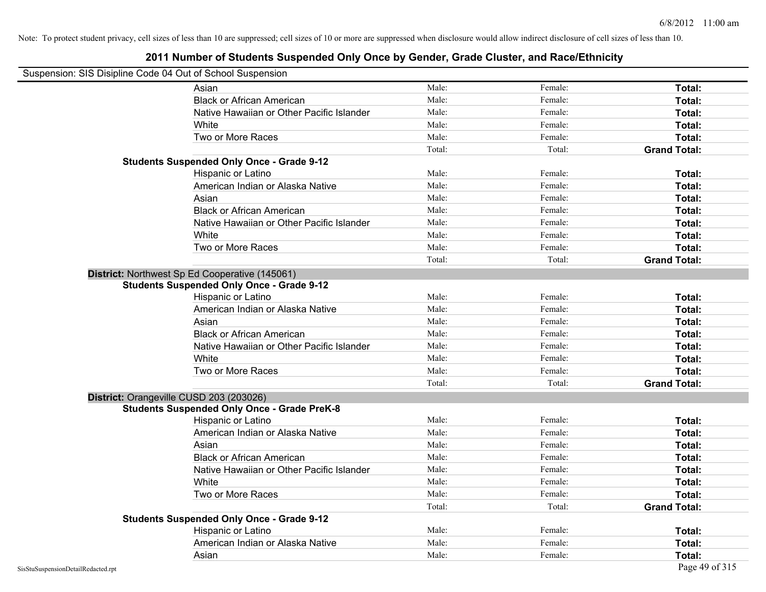## **2011 Number of Students Suspended Only Once by Gender, Grade Cluster, and Race/Ethnicity**

## Suspension: SIS Disipline Code 04 Out of School Suspension

| $\frac{1}{2}$ of $\frac{1}{2}$ or $\frac{1}{2}$ or $\frac{1}{2}$ of $\frac{1}{2}$ of $\frac{1}{2}$ or $\frac{1}{2}$ or $\frac{1}{2}$ or $\frac{1}{2}$ or $\frac{1}{2}$ |        |         |                     |
|------------------------------------------------------------------------------------------------------------------------------------------------------------------------|--------|---------|---------------------|
| Asian                                                                                                                                                                  | Male:  | Female: | Total:              |
| <b>Black or African American</b>                                                                                                                                       | Male:  | Female: | Total:              |
| Native Hawaiian or Other Pacific Islander                                                                                                                              | Male:  | Female: | Total:              |
| White                                                                                                                                                                  | Male:  | Female: | Total:              |
| Two or More Races                                                                                                                                                      | Male:  | Female: | Total:              |
|                                                                                                                                                                        | Total: | Total:  | <b>Grand Total:</b> |
| <b>Students Suspended Only Once - Grade 9-12</b>                                                                                                                       |        |         |                     |
| Hispanic or Latino                                                                                                                                                     | Male:  | Female: | Total:              |
| American Indian or Alaska Native                                                                                                                                       | Male:  | Female: | Total:              |
| Asian                                                                                                                                                                  | Male:  | Female: | Total:              |
| <b>Black or African American</b>                                                                                                                                       | Male:  | Female: | Total:              |
| Native Hawaiian or Other Pacific Islander                                                                                                                              | Male:  | Female: | Total:              |
| White                                                                                                                                                                  | Male:  | Female: | Total:              |
| Two or More Races                                                                                                                                                      | Male:  | Female: | Total:              |
|                                                                                                                                                                        | Total: | Total:  | <b>Grand Total:</b> |
| District: Northwest Sp Ed Cooperative (145061)                                                                                                                         |        |         |                     |
| <b>Students Suspended Only Once - Grade 9-12</b>                                                                                                                       |        |         |                     |
| Hispanic or Latino                                                                                                                                                     | Male:  | Female: | Total:              |
| American Indian or Alaska Native                                                                                                                                       | Male:  | Female: | Total:              |
| Asian                                                                                                                                                                  | Male:  | Female: | Total:              |
| <b>Black or African American</b>                                                                                                                                       | Male:  | Female: | Total:              |
| Native Hawaiian or Other Pacific Islander                                                                                                                              | Male:  | Female: | Total:              |
| White                                                                                                                                                                  | Male:  | Female: | Total:              |
| Two or More Races                                                                                                                                                      | Male:  | Female: | Total:              |
|                                                                                                                                                                        | Total: | Total:  | <b>Grand Total:</b> |
| District: Orangeville CUSD 203 (203026)                                                                                                                                |        |         |                     |
| <b>Students Suspended Only Once - Grade PreK-8</b>                                                                                                                     |        |         |                     |
| Hispanic or Latino                                                                                                                                                     | Male:  | Female: | Total:              |
| American Indian or Alaska Native                                                                                                                                       | Male:  | Female: | Total:              |
| Asian                                                                                                                                                                  | Male:  | Female: | Total:              |
| <b>Black or African American</b>                                                                                                                                       | Male:  | Female: | Total:              |
| Native Hawaiian or Other Pacific Islander                                                                                                                              | Male:  | Female: | Total:              |
| White                                                                                                                                                                  | Male:  | Female: | Total:              |
| Two or More Races                                                                                                                                                      | Male:  | Female: | Total:              |
|                                                                                                                                                                        | Total: | Total:  | <b>Grand Total:</b> |
| <b>Students Suspended Only Once - Grade 9-12</b>                                                                                                                       |        |         |                     |
| Hispanic or Latino                                                                                                                                                     | Male:  | Female: | Total:              |
| American Indian or Alaska Native                                                                                                                                       | Male:  | Female: | Total:              |
| Asian                                                                                                                                                                  | Male:  | Female: | Total:              |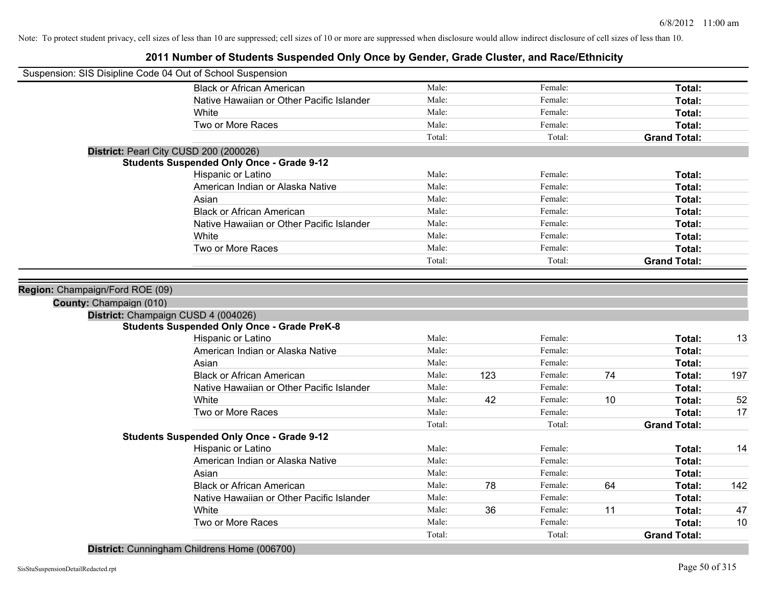# **2011 Number of Students Suspended Only Once by Gender, Grade Cluster, and Race/Ethnicity**

| Suspension: SIS Disipline Code 04 Out of School Suspension |                                                    |        |     |         |    |                     |     |
|------------------------------------------------------------|----------------------------------------------------|--------|-----|---------|----|---------------------|-----|
|                                                            | <b>Black or African American</b>                   | Male:  |     | Female: |    | Total:              |     |
|                                                            | Native Hawaiian or Other Pacific Islander          | Male:  |     | Female: |    | Total:              |     |
|                                                            | White                                              | Male:  |     | Female: |    | Total:              |     |
|                                                            | Two or More Races                                  | Male:  |     | Female: |    | Total:              |     |
|                                                            |                                                    | Total: |     | Total:  |    | <b>Grand Total:</b> |     |
|                                                            | District: Pearl City CUSD 200 (200026)             |        |     |         |    |                     |     |
|                                                            | <b>Students Suspended Only Once - Grade 9-12</b>   |        |     |         |    |                     |     |
|                                                            | Hispanic or Latino                                 | Male:  |     | Female: |    | Total:              |     |
|                                                            | American Indian or Alaska Native                   | Male:  |     | Female: |    | Total:              |     |
|                                                            | Asian                                              | Male:  |     | Female: |    | Total:              |     |
|                                                            | <b>Black or African American</b>                   | Male:  |     | Female: |    | Total:              |     |
|                                                            | Native Hawaiian or Other Pacific Islander          | Male:  |     | Female: |    | Total:              |     |
|                                                            | White                                              | Male:  |     | Female: |    | Total:              |     |
|                                                            | Two or More Races                                  | Male:  |     | Female: |    | Total:              |     |
|                                                            |                                                    | Total: |     | Total:  |    | <b>Grand Total:</b> |     |
|                                                            |                                                    |        |     |         |    |                     |     |
| Region: Champaign/Ford ROE (09)                            |                                                    |        |     |         |    |                     |     |
| County: Champaign (010)                                    |                                                    |        |     |         |    |                     |     |
|                                                            | District: Champaign CUSD 4 (004026)                |        |     |         |    |                     |     |
|                                                            | <b>Students Suspended Only Once - Grade PreK-8</b> |        |     |         |    |                     |     |
|                                                            | Hispanic or Latino                                 | Male:  |     | Female: |    | Total:              | 13  |
|                                                            | American Indian or Alaska Native                   | Male:  |     | Female: |    | Total:              |     |
|                                                            | Asian                                              | Male:  |     | Female: |    | Total:              |     |
|                                                            | <b>Black or African American</b>                   | Male:  | 123 | Female: | 74 | Total:              | 197 |
|                                                            | Native Hawaiian or Other Pacific Islander          | Male:  |     | Female: |    | Total:              |     |
|                                                            | White                                              | Male:  | 42  | Female: | 10 | Total:              | 52  |
|                                                            | Two or More Races                                  | Male:  |     | Female: |    | Total:              | 17  |
|                                                            |                                                    | Total: |     | Total:  |    | <b>Grand Total:</b> |     |
|                                                            | <b>Students Suspended Only Once - Grade 9-12</b>   |        |     |         |    |                     |     |
|                                                            | Hispanic or Latino                                 | Male:  |     | Female: |    | Total:              | 14  |
|                                                            | American Indian or Alaska Native                   | Male:  |     | Female: |    | Total:              |     |
|                                                            | Asian                                              | Male:  |     | Female: |    | Total:              |     |
|                                                            | <b>Black or African American</b>                   | Male:  | 78  | Female: | 64 | Total:              | 142 |
|                                                            | Native Hawaiian or Other Pacific Islander          | Male:  |     | Female: |    | Total:              |     |
|                                                            | White                                              | Male:  | 36  | Female: | 11 | Total:              | 47  |
|                                                            | Two or More Races                                  | Male:  |     | Female: |    | Total:              | 10  |
|                                                            |                                                    | Total: |     | Total:  |    | <b>Grand Total:</b> |     |

**District:** Cunningham Childrens Home (006700)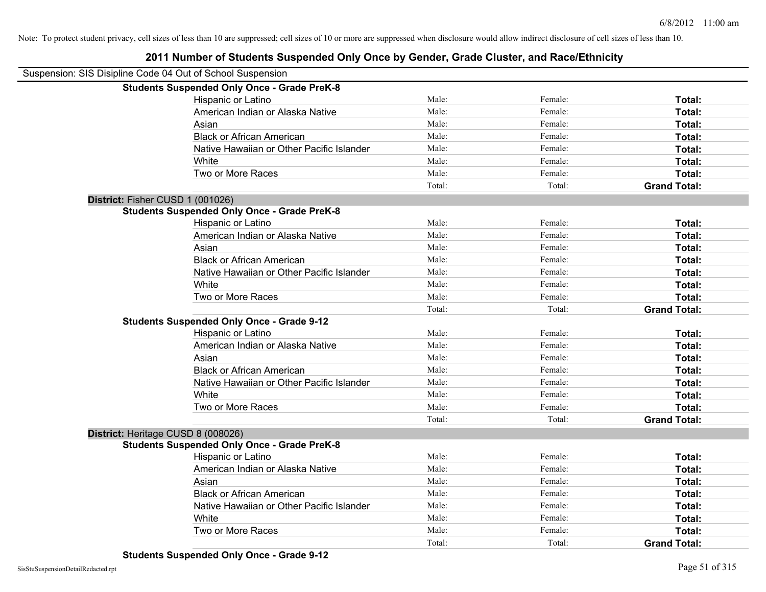| Suspension: SIS Disipline Code 04 Out of School Suspension |                                                    |        |         |                     |
|------------------------------------------------------------|----------------------------------------------------|--------|---------|---------------------|
|                                                            | <b>Students Suspended Only Once - Grade PreK-8</b> |        |         |                     |
|                                                            | Hispanic or Latino                                 | Male:  | Female: | Total:              |
|                                                            | American Indian or Alaska Native                   | Male:  | Female: | Total:              |
|                                                            | Asian                                              | Male:  | Female: | Total:              |
|                                                            | <b>Black or African American</b>                   | Male:  | Female: | Total:              |
|                                                            | Native Hawaiian or Other Pacific Islander          | Male:  | Female: | Total:              |
|                                                            | White                                              | Male:  | Female: | Total:              |
|                                                            | Two or More Races                                  | Male:  | Female: | Total:              |
|                                                            |                                                    | Total: | Total:  | <b>Grand Total:</b> |
| District: Fisher CUSD 1 (001026)                           |                                                    |        |         |                     |
|                                                            | <b>Students Suspended Only Once - Grade PreK-8</b> |        |         |                     |
|                                                            | Hispanic or Latino                                 | Male:  | Female: | Total:              |
|                                                            | American Indian or Alaska Native                   | Male:  | Female: | Total:              |
|                                                            | Asian                                              | Male:  | Female: | Total:              |
|                                                            | <b>Black or African American</b>                   | Male:  | Female: | Total:              |
|                                                            | Native Hawaiian or Other Pacific Islander          | Male:  | Female: | Total:              |
|                                                            | White                                              | Male:  | Female: | Total:              |
|                                                            | Two or More Races                                  | Male:  | Female: | Total:              |
|                                                            |                                                    | Total: | Total:  | <b>Grand Total:</b> |
|                                                            | <b>Students Suspended Only Once - Grade 9-12</b>   |        |         |                     |
|                                                            | Hispanic or Latino                                 | Male:  | Female: | Total:              |
|                                                            | American Indian or Alaska Native                   | Male:  | Female: | Total:              |
|                                                            | Asian                                              | Male:  | Female: | Total:              |
|                                                            | <b>Black or African American</b>                   | Male:  | Female: | Total:              |
|                                                            | Native Hawaiian or Other Pacific Islander          | Male:  | Female: | Total:              |
|                                                            | White                                              | Male:  | Female: | Total:              |
|                                                            | Two or More Races                                  | Male:  | Female: | Total:              |
|                                                            |                                                    | Total: | Total:  | <b>Grand Total:</b> |
|                                                            | District: Heritage CUSD 8 (008026)                 |        |         |                     |
|                                                            | <b>Students Suspended Only Once - Grade PreK-8</b> |        |         |                     |
|                                                            | Hispanic or Latino                                 | Male:  | Female: | Total:              |
|                                                            | American Indian or Alaska Native                   | Male:  | Female: | Total:              |
|                                                            | Asian                                              | Male:  | Female: | Total:              |
|                                                            | <b>Black or African American</b>                   | Male:  | Female: | Total:              |
|                                                            | Native Hawaiian or Other Pacific Islander          | Male:  | Female: | Total:              |
|                                                            | White                                              | Male:  | Female: | Total:              |
|                                                            | Two or More Races                                  | Male:  | Female: | Total:              |
|                                                            |                                                    | Total: | Total:  | <b>Grand Total:</b> |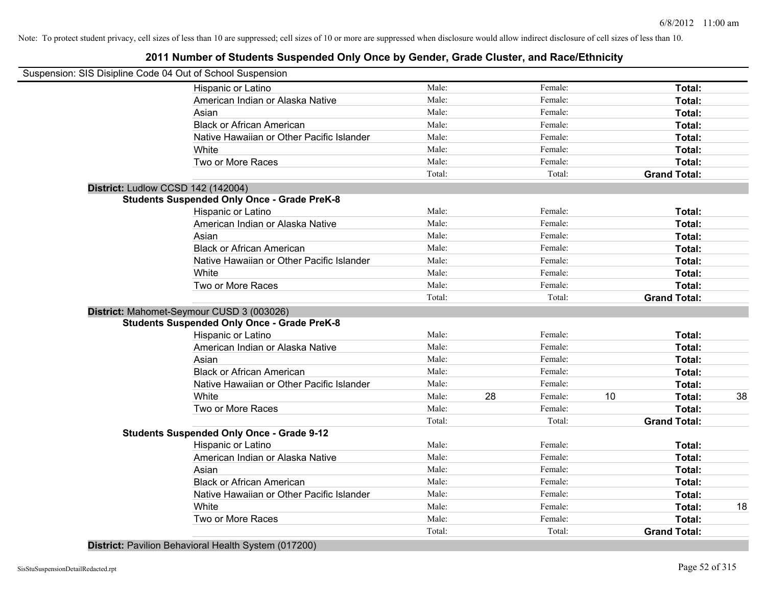## **2011 Number of Students Suspended Only Once by Gender, Grade Cluster, and Race/Ethnicity**

| Suspension: SIS Disipline Code 04 Out of School Suspension |        |    |         |    |                     |    |
|------------------------------------------------------------|--------|----|---------|----|---------------------|----|
| Hispanic or Latino                                         | Male:  |    | Female: |    | Total:              |    |
| American Indian or Alaska Native                           | Male:  |    | Female: |    | Total:              |    |
| Asian                                                      | Male:  |    | Female: |    | Total:              |    |
| <b>Black or African American</b>                           | Male:  |    | Female: |    | Total:              |    |
| Native Hawaiian or Other Pacific Islander                  | Male:  |    | Female: |    | Total:              |    |
| White                                                      | Male:  |    | Female: |    | Total:              |    |
| Two or More Races                                          | Male:  |    | Female: |    | Total:              |    |
|                                                            | Total: |    | Total:  |    | <b>Grand Total:</b> |    |
| District: Ludlow CCSD 142 (142004)                         |        |    |         |    |                     |    |
| <b>Students Suspended Only Once - Grade PreK-8</b>         |        |    |         |    |                     |    |
| Hispanic or Latino                                         | Male:  |    | Female: |    | Total:              |    |
| American Indian or Alaska Native                           | Male:  |    | Female: |    | Total:              |    |
| Asian                                                      | Male:  |    | Female: |    | Total:              |    |
| <b>Black or African American</b>                           | Male:  |    | Female: |    | Total:              |    |
| Native Hawaiian or Other Pacific Islander                  | Male:  |    | Female: |    | Total:              |    |
| White                                                      | Male:  |    | Female: |    | Total:              |    |
| Two or More Races                                          | Male:  |    | Female: |    | Total:              |    |
|                                                            | Total: |    | Total:  |    | <b>Grand Total:</b> |    |
| District: Mahomet-Seymour CUSD 3 (003026)                  |        |    |         |    |                     |    |
| <b>Students Suspended Only Once - Grade PreK-8</b>         |        |    |         |    |                     |    |
| Hispanic or Latino                                         | Male:  |    | Female: |    | Total:              |    |
| American Indian or Alaska Native                           | Male:  |    | Female: |    | Total:              |    |
| Asian                                                      | Male:  |    | Female: |    | Total:              |    |
| <b>Black or African American</b>                           | Male:  |    | Female: |    | Total:              |    |
| Native Hawaiian or Other Pacific Islander                  | Male:  |    | Female: |    | Total:              |    |
| White                                                      | Male:  | 28 | Female: | 10 | Total:              | 38 |
| Two or More Races                                          | Male:  |    | Female: |    | Total:              |    |
|                                                            | Total: |    | Total:  |    | <b>Grand Total:</b> |    |
| <b>Students Suspended Only Once - Grade 9-12</b>           |        |    |         |    |                     |    |
| Hispanic or Latino                                         | Male:  |    | Female: |    | Total:              |    |
| American Indian or Alaska Native                           | Male:  |    | Female: |    | Total:              |    |
| Asian                                                      | Male:  |    | Female: |    | Total:              |    |
| <b>Black or African American</b>                           | Male:  |    | Female: |    | Total:              |    |
| Native Hawaiian or Other Pacific Islander                  | Male:  |    | Female: |    | Total:              |    |
| White                                                      | Male:  |    | Female: |    | Total:              | 18 |
| Two or More Races                                          | Male:  |    | Female: |    | Total:              |    |
|                                                            | Total: |    | Total:  |    | <b>Grand Total:</b> |    |
|                                                            |        |    |         |    |                     |    |

**District:** Pavilion Behavioral Health System (017200)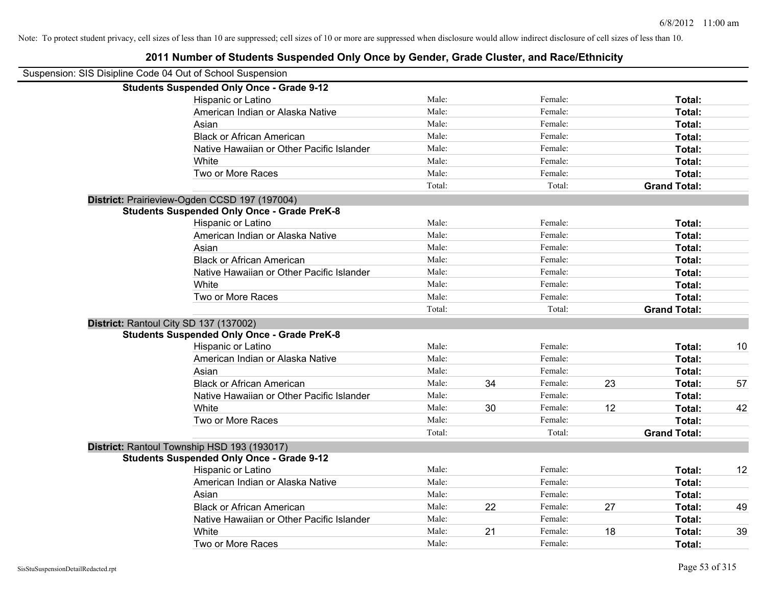| Suspension: SIS Disipline Code 04 Out of School Suspension |                                                    |        |    |         |    |                     |    |
|------------------------------------------------------------|----------------------------------------------------|--------|----|---------|----|---------------------|----|
|                                                            | <b>Students Suspended Only Once - Grade 9-12</b>   |        |    |         |    |                     |    |
|                                                            | Hispanic or Latino                                 | Male:  |    | Female: |    | Total:              |    |
|                                                            | American Indian or Alaska Native                   | Male:  |    | Female: |    | Total:              |    |
|                                                            | Asian                                              | Male:  |    | Female: |    | Total:              |    |
|                                                            | <b>Black or African American</b>                   | Male:  |    | Female: |    | Total:              |    |
|                                                            | Native Hawaiian or Other Pacific Islander          | Male:  |    | Female: |    | Total:              |    |
|                                                            | White                                              | Male:  |    | Female: |    | Total:              |    |
|                                                            | Two or More Races                                  | Male:  |    | Female: |    | Total:              |    |
|                                                            |                                                    | Total: |    | Total:  |    | <b>Grand Total:</b> |    |
|                                                            | District: Prairieview-Ogden CCSD 197 (197004)      |        |    |         |    |                     |    |
|                                                            | <b>Students Suspended Only Once - Grade PreK-8</b> |        |    |         |    |                     |    |
|                                                            | Hispanic or Latino                                 | Male:  |    | Female: |    | Total:              |    |
|                                                            | American Indian or Alaska Native                   | Male:  |    | Female: |    | Total:              |    |
|                                                            | Asian                                              | Male:  |    | Female: |    | Total:              |    |
|                                                            | <b>Black or African American</b>                   | Male:  |    | Female: |    | Total:              |    |
|                                                            | Native Hawaiian or Other Pacific Islander          | Male:  |    | Female: |    | Total:              |    |
|                                                            | White                                              | Male:  |    | Female: |    | Total:              |    |
|                                                            | Two or More Races                                  | Male:  |    | Female: |    | Total:              |    |
|                                                            |                                                    | Total: |    | Total:  |    | <b>Grand Total:</b> |    |
|                                                            | District: Rantoul City SD 137 (137002)             |        |    |         |    |                     |    |
|                                                            | <b>Students Suspended Only Once - Grade PreK-8</b> |        |    |         |    |                     |    |
|                                                            | Hispanic or Latino                                 | Male:  |    | Female: |    | Total:              | 10 |
|                                                            | American Indian or Alaska Native                   | Male:  |    | Female: |    | Total:              |    |
|                                                            | Asian                                              | Male:  |    | Female: |    | Total:              |    |
|                                                            | <b>Black or African American</b>                   | Male:  | 34 | Female: | 23 | Total:              | 57 |
|                                                            | Native Hawaiian or Other Pacific Islander          | Male:  |    | Female: |    | Total:              |    |
|                                                            | White                                              | Male:  | 30 | Female: | 12 | Total:              | 42 |
|                                                            | Two or More Races                                  | Male:  |    | Female: |    | Total:              |    |
|                                                            |                                                    | Total: |    | Total:  |    | <b>Grand Total:</b> |    |
|                                                            | District: Rantoul Township HSD 193 (193017)        |        |    |         |    |                     |    |
|                                                            | <b>Students Suspended Only Once - Grade 9-12</b>   |        |    |         |    |                     |    |
|                                                            | Hispanic or Latino                                 | Male:  |    | Female: |    | Total:              | 12 |
|                                                            | American Indian or Alaska Native                   | Male:  |    | Female: |    | Total:              |    |
|                                                            | Asian                                              | Male:  |    | Female: |    | Total:              |    |
|                                                            | <b>Black or African American</b>                   | Male:  | 22 | Female: | 27 | Total:              | 49 |
|                                                            | Native Hawaiian or Other Pacific Islander          | Male:  |    | Female: |    | Total:              |    |
|                                                            | White                                              | Male:  | 21 | Female: | 18 | Total:              | 39 |
|                                                            | Two or More Races                                  | Male:  |    | Female: |    | Total:              |    |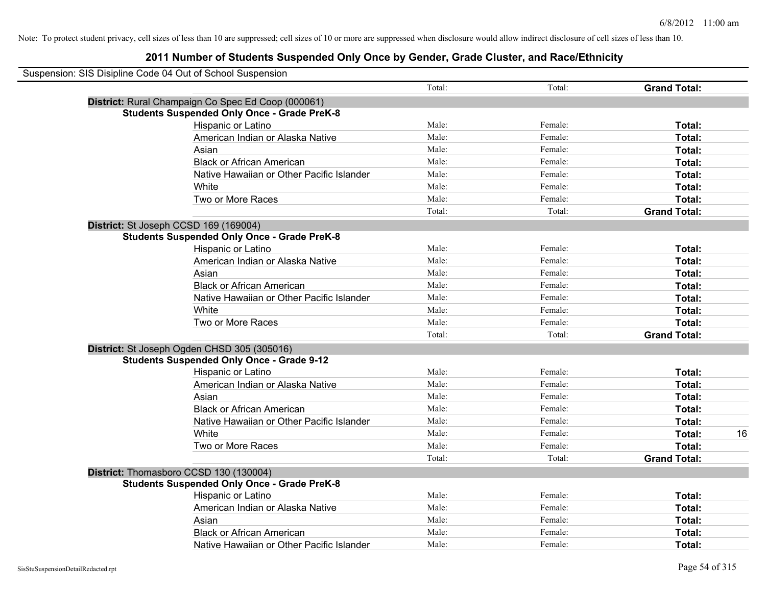| Suspension: SIS Disipline Code 04 Out of School Suspension |                                                    |        |         |                     |    |
|------------------------------------------------------------|----------------------------------------------------|--------|---------|---------------------|----|
|                                                            |                                                    | Total: | Total:  | <b>Grand Total:</b> |    |
|                                                            | District: Rural Champaign Co Spec Ed Coop (000061) |        |         |                     |    |
|                                                            | <b>Students Suspended Only Once - Grade PreK-8</b> |        |         |                     |    |
|                                                            | Hispanic or Latino                                 | Male:  | Female: | Total:              |    |
|                                                            | American Indian or Alaska Native                   | Male:  | Female: | Total:              |    |
|                                                            | Asian                                              | Male:  | Female: | Total:              |    |
|                                                            | <b>Black or African American</b>                   | Male:  | Female: | Total:              |    |
|                                                            | Native Hawaiian or Other Pacific Islander          | Male:  | Female: | Total:              |    |
|                                                            | White                                              | Male:  | Female: | Total:              |    |
|                                                            | Two or More Races                                  | Male:  | Female: | Total:              |    |
|                                                            |                                                    | Total: | Total:  | <b>Grand Total:</b> |    |
|                                                            | District: St Joseph CCSD 169 (169004)              |        |         |                     |    |
|                                                            | <b>Students Suspended Only Once - Grade PreK-8</b> |        |         |                     |    |
|                                                            | Hispanic or Latino                                 | Male:  | Female: | Total:              |    |
|                                                            | American Indian or Alaska Native                   | Male:  | Female: | Total:              |    |
|                                                            | Asian                                              | Male:  | Female: | Total:              |    |
|                                                            | <b>Black or African American</b>                   | Male:  | Female: | Total:              |    |
|                                                            | Native Hawaiian or Other Pacific Islander          | Male:  | Female: | Total:              |    |
|                                                            | White                                              | Male:  | Female: | Total:              |    |
|                                                            | Two or More Races                                  | Male:  | Female: | Total:              |    |
|                                                            |                                                    | Total: | Total:  | <b>Grand Total:</b> |    |
|                                                            | District: St Joseph Ogden CHSD 305 (305016)        |        |         |                     |    |
|                                                            | <b>Students Suspended Only Once - Grade 9-12</b>   |        |         |                     |    |
|                                                            | Hispanic or Latino                                 | Male:  | Female: | Total:              |    |
|                                                            | American Indian or Alaska Native                   | Male:  | Female: | Total:              |    |
|                                                            | Asian                                              | Male:  | Female: | Total:              |    |
|                                                            | <b>Black or African American</b>                   | Male:  | Female: | Total:              |    |
|                                                            | Native Hawaiian or Other Pacific Islander          | Male:  | Female: | Total:              |    |
|                                                            | White                                              | Male:  | Female: | Total:              | 16 |
|                                                            | Two or More Races                                  | Male:  | Female: | Total:              |    |
|                                                            |                                                    | Total: | Total:  | <b>Grand Total:</b> |    |
|                                                            | District: Thomasboro CCSD 130 (130004)             |        |         |                     |    |
|                                                            | <b>Students Suspended Only Once - Grade PreK-8</b> |        |         |                     |    |
|                                                            | Hispanic or Latino                                 | Male:  | Female: | Total:              |    |
|                                                            | American Indian or Alaska Native                   | Male:  | Female: | Total:              |    |
|                                                            | Asian                                              | Male:  | Female: | Total:              |    |
|                                                            | <b>Black or African American</b>                   | Male:  | Female: | Total:              |    |
|                                                            | Native Hawaiian or Other Pacific Islander          | Male:  | Female: | Total:              |    |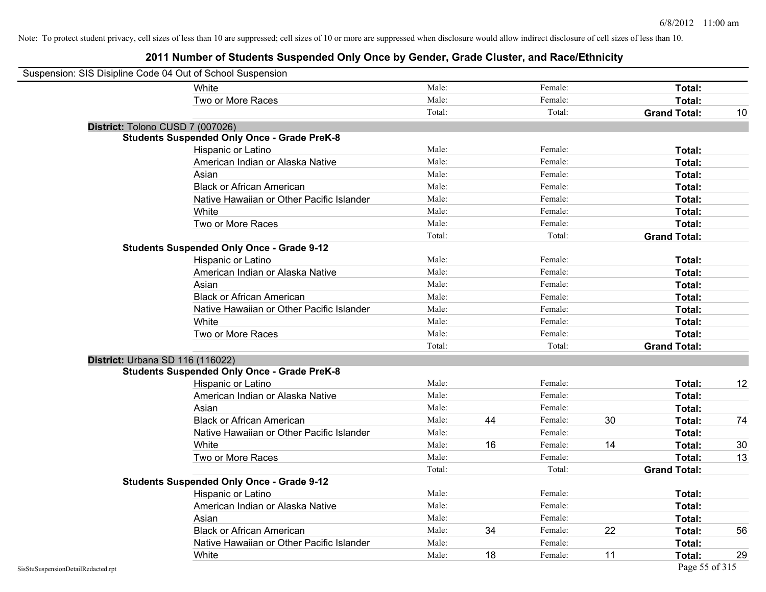| Suspension: SIS Disipline Code 04 Out of School Suspension |                                                    |        |    |         |    |                     |    |
|------------------------------------------------------------|----------------------------------------------------|--------|----|---------|----|---------------------|----|
|                                                            | White                                              | Male:  |    | Female: |    | Total:              |    |
|                                                            | Two or More Races                                  | Male:  |    | Female: |    | Total:              |    |
|                                                            |                                                    | Total: |    | Total:  |    | <b>Grand Total:</b> | 10 |
| District: Tolono CUSD 7 (007026)                           |                                                    |        |    |         |    |                     |    |
|                                                            | <b>Students Suspended Only Once - Grade PreK-8</b> |        |    |         |    |                     |    |
|                                                            | Hispanic or Latino                                 | Male:  |    | Female: |    | Total:              |    |
|                                                            | American Indian or Alaska Native                   | Male:  |    | Female: |    | Total:              |    |
|                                                            | Asian                                              | Male:  |    | Female: |    | Total:              |    |
|                                                            | <b>Black or African American</b>                   | Male:  |    | Female: |    | Total:              |    |
|                                                            | Native Hawaiian or Other Pacific Islander          | Male:  |    | Female: |    | Total:              |    |
|                                                            | White                                              | Male:  |    | Female: |    | Total:              |    |
|                                                            | Two or More Races                                  | Male:  |    | Female: |    | Total:              |    |
|                                                            |                                                    | Total: |    | Total:  |    | <b>Grand Total:</b> |    |
|                                                            | <b>Students Suspended Only Once - Grade 9-12</b>   |        |    |         |    |                     |    |
|                                                            | Hispanic or Latino                                 | Male:  |    | Female: |    | Total:              |    |
|                                                            | American Indian or Alaska Native                   | Male:  |    | Female: |    | Total:              |    |
|                                                            | Asian                                              | Male:  |    | Female: |    | Total:              |    |
|                                                            | <b>Black or African American</b>                   | Male:  |    | Female: |    | Total:              |    |
|                                                            | Native Hawaiian or Other Pacific Islander          | Male:  |    | Female: |    | Total:              |    |
|                                                            | White                                              | Male:  |    | Female: |    | Total:              |    |
|                                                            | Two or More Races                                  | Male:  |    | Female: |    | Total:              |    |
|                                                            |                                                    | Total: |    | Total:  |    | <b>Grand Total:</b> |    |
| District: Urbana SD 116 (116022)                           |                                                    |        |    |         |    |                     |    |
|                                                            | <b>Students Suspended Only Once - Grade PreK-8</b> |        |    |         |    |                     |    |
|                                                            | Hispanic or Latino                                 | Male:  |    | Female: |    | Total:              | 12 |
|                                                            | American Indian or Alaska Native                   | Male:  |    | Female: |    | Total:              |    |
|                                                            | Asian                                              | Male:  |    | Female: |    | Total:              |    |
|                                                            | <b>Black or African American</b>                   | Male:  | 44 | Female: | 30 | Total:              | 74 |
|                                                            | Native Hawaiian or Other Pacific Islander          | Male:  |    | Female: |    | Total:              |    |
|                                                            | White                                              | Male:  | 16 | Female: | 14 | Total:              | 30 |
|                                                            | Two or More Races                                  | Male:  |    | Female: |    | Total:              | 13 |
|                                                            |                                                    | Total: |    | Total:  |    | <b>Grand Total:</b> |    |
|                                                            | <b>Students Suspended Only Once - Grade 9-12</b>   |        |    |         |    |                     |    |
|                                                            | Hispanic or Latino                                 | Male:  |    | Female: |    | Total:              |    |
|                                                            | American Indian or Alaska Native                   | Male:  |    | Female: |    | Total:              |    |
|                                                            | Asian                                              | Male:  |    | Female: |    | Total:              |    |
|                                                            | <b>Black or African American</b>                   | Male:  | 34 | Female: | 22 | Total:              | 56 |
|                                                            | Native Hawaiian or Other Pacific Islander          | Male:  |    | Female: |    | Total:              |    |
|                                                            | White                                              | Male:  | 18 | Female: | 11 | Total:              | 29 |
| SisStuSuspensionDetailRedacted.rpt                         |                                                    |        |    |         |    | Page 55 of 315      |    |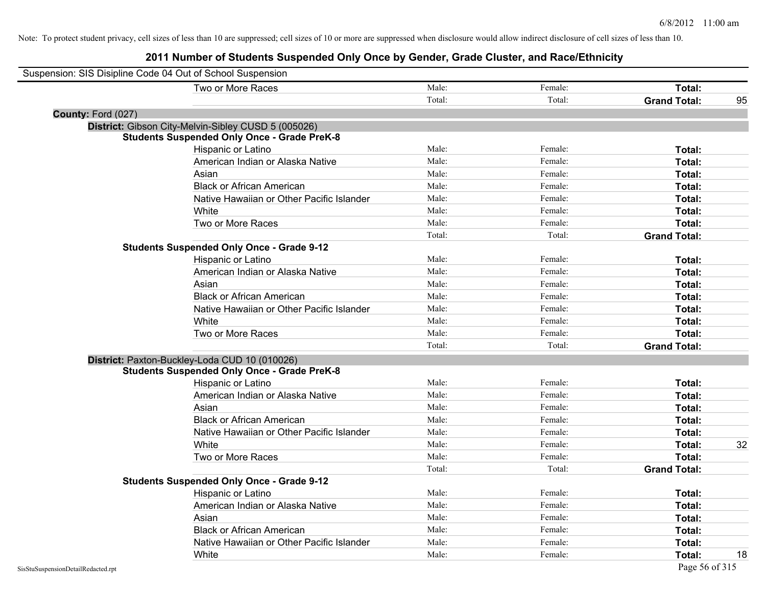| Suspension: SIS Disipline Code 04 Out of School Suspension |                                                     |        |         |                     |    |
|------------------------------------------------------------|-----------------------------------------------------|--------|---------|---------------------|----|
|                                                            | Two or More Races                                   | Male:  | Female: | Total:              |    |
|                                                            |                                                     | Total: | Total:  | <b>Grand Total:</b> | 95 |
| County: Ford (027)                                         |                                                     |        |         |                     |    |
|                                                            | District: Gibson City-Melvin-Sibley CUSD 5 (005026) |        |         |                     |    |
|                                                            | <b>Students Suspended Only Once - Grade PreK-8</b>  |        |         |                     |    |
|                                                            | Hispanic or Latino                                  | Male:  | Female: | Total:              |    |
|                                                            | American Indian or Alaska Native                    | Male:  | Female: | Total:              |    |
|                                                            | Asian                                               | Male:  | Female: | Total:              |    |
|                                                            | <b>Black or African American</b>                    | Male:  | Female: | Total:              |    |
|                                                            | Native Hawaiian or Other Pacific Islander           | Male:  | Female: | Total:              |    |
|                                                            | White                                               | Male:  | Female: | Total:              |    |
|                                                            | Two or More Races                                   | Male:  | Female: | Total:              |    |
|                                                            |                                                     | Total: | Total:  | <b>Grand Total:</b> |    |
|                                                            | <b>Students Suspended Only Once - Grade 9-12</b>    |        |         |                     |    |
|                                                            | Hispanic or Latino                                  | Male:  | Female: | Total:              |    |
|                                                            | American Indian or Alaska Native                    | Male:  | Female: | Total:              |    |
|                                                            | Asian                                               | Male:  | Female: | Total:              |    |
|                                                            | <b>Black or African American</b>                    | Male:  | Female: | Total:              |    |
|                                                            | Native Hawaiian or Other Pacific Islander           | Male:  | Female: | Total:              |    |
|                                                            | White                                               | Male:  | Female: | Total:              |    |
|                                                            | Two or More Races                                   | Male:  | Female: | Total:              |    |
|                                                            |                                                     | Total: | Total:  | <b>Grand Total:</b> |    |
|                                                            | District: Paxton-Buckley-Loda CUD 10 (010026)       |        |         |                     |    |
|                                                            | <b>Students Suspended Only Once - Grade PreK-8</b>  |        |         |                     |    |
|                                                            | Hispanic or Latino                                  | Male:  | Female: | Total:              |    |
|                                                            | American Indian or Alaska Native                    | Male:  | Female: | Total:              |    |
|                                                            | Asian                                               | Male:  | Female: | Total:              |    |
|                                                            | <b>Black or African American</b>                    | Male:  | Female: | Total:              |    |
|                                                            | Native Hawaiian or Other Pacific Islander           | Male:  | Female: | Total:              |    |
|                                                            | White                                               | Male:  | Female: | Total:              | 32 |
|                                                            | Two or More Races                                   | Male:  | Female: | Total:              |    |
|                                                            |                                                     | Total: | Total:  | <b>Grand Total:</b> |    |
|                                                            | <b>Students Suspended Only Once - Grade 9-12</b>    |        |         |                     |    |
|                                                            | Hispanic or Latino                                  | Male:  | Female: | Total:              |    |
|                                                            | American Indian or Alaska Native                    | Male:  | Female: | Total:              |    |
|                                                            | Asian                                               | Male:  | Female: | Total:              |    |
|                                                            | <b>Black or African American</b>                    | Male:  | Female: | Total:              |    |
|                                                            | Native Hawaiian or Other Pacific Islander           | Male:  | Female: | Total:              |    |
|                                                            | White                                               | Male:  | Female: | Total:              | 18 |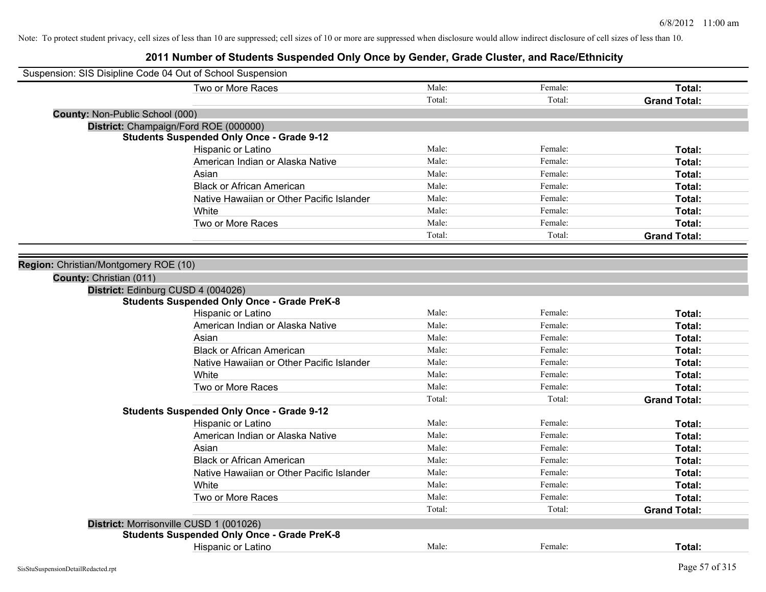| Suspension: SIS Disipline Code 04 Out of School Suspension |                                                    |        |         |                     |
|------------------------------------------------------------|----------------------------------------------------|--------|---------|---------------------|
|                                                            | Two or More Races                                  | Male:  | Female: | Total:              |
|                                                            |                                                    | Total: | Total:  | <b>Grand Total:</b> |
| <b>County: Non-Public School (000)</b>                     |                                                    |        |         |                     |
|                                                            | District: Champaign/Ford ROE (000000)              |        |         |                     |
|                                                            | <b>Students Suspended Only Once - Grade 9-12</b>   |        |         |                     |
|                                                            | Hispanic or Latino                                 | Male:  | Female: | Total:              |
|                                                            | American Indian or Alaska Native                   | Male:  | Female: | Total:              |
|                                                            | Asian                                              | Male:  | Female: | Total:              |
|                                                            | <b>Black or African American</b>                   | Male:  | Female: | Total:              |
|                                                            | Native Hawaiian or Other Pacific Islander          | Male:  | Female: | Total:              |
|                                                            | White                                              | Male:  | Female: | Total:              |
|                                                            | Two or More Races                                  | Male:  | Female: | Total:              |
|                                                            |                                                    | Total: | Total:  | <b>Grand Total:</b> |
|                                                            |                                                    |        |         |                     |
| Region: Christian/Montgomery ROE (10)                      |                                                    |        |         |                     |
| County: Christian (011)                                    |                                                    |        |         |                     |
| District: Edinburg CUSD 4 (004026)                         |                                                    |        |         |                     |
|                                                            | <b>Students Suspended Only Once - Grade PreK-8</b> |        |         |                     |
|                                                            | Hispanic or Latino                                 | Male:  | Female: | Total:              |
|                                                            | American Indian or Alaska Native                   | Male:  | Female: | Total:              |
|                                                            | Asian                                              | Male:  | Female: | Total:              |
|                                                            | <b>Black or African American</b>                   | Male:  | Female: | Total:              |
|                                                            | Native Hawaiian or Other Pacific Islander          | Male:  | Female: | Total:              |
|                                                            | White                                              | Male:  | Female: | Total:              |
|                                                            | Two or More Races                                  | Male:  | Female: | Total:              |
|                                                            |                                                    | Total: | Total:  | <b>Grand Total:</b> |
|                                                            | <b>Students Suspended Only Once - Grade 9-12</b>   |        |         |                     |
|                                                            | Hispanic or Latino                                 | Male:  | Female: | Total:              |
|                                                            | American Indian or Alaska Native                   | Male:  | Female: | Total:              |
|                                                            | Asian                                              | Male:  | Female: | Total:              |
|                                                            | <b>Black or African American</b>                   | Male:  | Female: | Total:              |
|                                                            | Native Hawaiian or Other Pacific Islander          | Male:  | Female: | Total:              |
|                                                            | White                                              | Male:  | Female: | Total:              |
|                                                            | Two or More Races                                  | Male:  | Female: | Total:              |
|                                                            |                                                    | Total: | Total:  | <b>Grand Total:</b> |
|                                                            | District: Morrisonville CUSD 1 (001026)            |        |         |                     |
|                                                            | <b>Students Suspended Only Once - Grade PreK-8</b> |        |         |                     |
|                                                            | <b>Hispanic or Latino</b>                          | Male:  | Female: | Total:              |
|                                                            |                                                    |        |         |                     |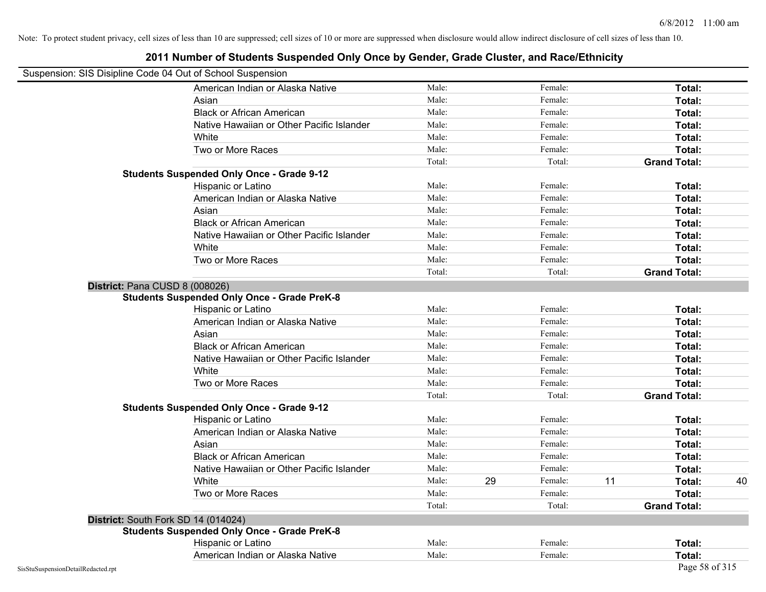| Suspension: SIS Disipline Code 04 Out of School Suspension |                                                    |        |    |         |    |                     |    |
|------------------------------------------------------------|----------------------------------------------------|--------|----|---------|----|---------------------|----|
|                                                            | American Indian or Alaska Native                   | Male:  |    | Female: |    | Total:              |    |
|                                                            | Asian                                              | Male:  |    | Female: |    | Total:              |    |
|                                                            | <b>Black or African American</b>                   | Male:  |    | Female: |    | Total:              |    |
|                                                            | Native Hawaiian or Other Pacific Islander          | Male:  |    | Female: |    | Total:              |    |
|                                                            | White                                              | Male:  |    | Female: |    | Total:              |    |
|                                                            | Two or More Races                                  | Male:  |    | Female: |    | Total:              |    |
|                                                            |                                                    | Total: |    | Total:  |    | <b>Grand Total:</b> |    |
|                                                            | <b>Students Suspended Only Once - Grade 9-12</b>   |        |    |         |    |                     |    |
|                                                            | Hispanic or Latino                                 | Male:  |    | Female: |    | Total:              |    |
|                                                            | American Indian or Alaska Native                   | Male:  |    | Female: |    | Total:              |    |
|                                                            | Asian                                              | Male:  |    | Female: |    | Total:              |    |
|                                                            | <b>Black or African American</b>                   | Male:  |    | Female: |    | Total:              |    |
|                                                            | Native Hawaiian or Other Pacific Islander          | Male:  |    | Female: |    | Total:              |    |
|                                                            | White                                              | Male:  |    | Female: |    | Total:              |    |
|                                                            | Two or More Races                                  | Male:  |    | Female: |    | Total:              |    |
|                                                            |                                                    | Total: |    | Total:  |    | <b>Grand Total:</b> |    |
|                                                            | District: Pana CUSD 8 (008026)                     |        |    |         |    |                     |    |
|                                                            | <b>Students Suspended Only Once - Grade PreK-8</b> |        |    |         |    |                     |    |
|                                                            | Hispanic or Latino                                 | Male:  |    | Female: |    | Total:              |    |
|                                                            | American Indian or Alaska Native                   | Male:  |    | Female: |    | Total:              |    |
|                                                            | Asian                                              | Male:  |    | Female: |    | Total:              |    |
|                                                            | <b>Black or African American</b>                   | Male:  |    | Female: |    | Total:              |    |
|                                                            | Native Hawaiian or Other Pacific Islander          | Male:  |    | Female: |    | Total:              |    |
|                                                            | White                                              | Male:  |    | Female: |    | Total:              |    |
|                                                            | Two or More Races                                  | Male:  |    | Female: |    | Total:              |    |
|                                                            |                                                    | Total: |    | Total:  |    | <b>Grand Total:</b> |    |
|                                                            | <b>Students Suspended Only Once - Grade 9-12</b>   |        |    |         |    |                     |    |
|                                                            | Hispanic or Latino                                 | Male:  |    | Female: |    | Total:              |    |
|                                                            | American Indian or Alaska Native                   | Male:  |    | Female: |    | Total:              |    |
|                                                            | Asian                                              | Male:  |    | Female: |    | Total:              |    |
|                                                            | <b>Black or African American</b>                   | Male:  |    | Female: |    | Total:              |    |
|                                                            | Native Hawaiian or Other Pacific Islander          | Male:  |    | Female: |    | Total:              |    |
|                                                            | White                                              | Male:  | 29 | Female: | 11 | Total:              | 40 |
|                                                            | Two or More Races                                  | Male:  |    | Female: |    | Total:              |    |
|                                                            |                                                    | Total: |    | Total:  |    | <b>Grand Total:</b> |    |
|                                                            | District: South Fork SD 14 (014024)                |        |    |         |    |                     |    |
|                                                            | <b>Students Suspended Only Once - Grade PreK-8</b> |        |    |         |    |                     |    |
|                                                            | Hispanic or Latino                                 | Male:  |    | Female: |    | Total:              |    |
|                                                            | American Indian or Alaska Native                   | Male:  |    | Female: |    | Total:              |    |
| SisStuSuspensionDetailRedacted.rpt                         |                                                    |        |    |         |    | Page 58 of 315      |    |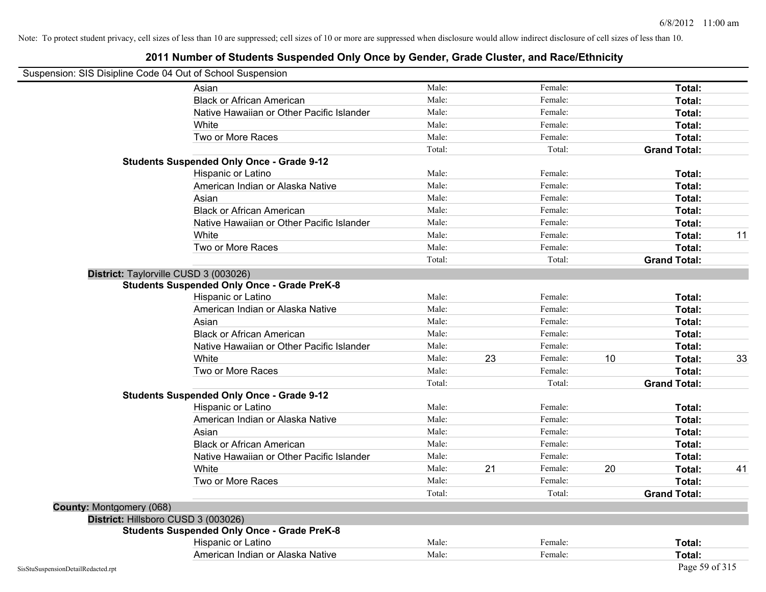#### **2011 Number of Students Suspended Only Once by Gender, Grade Cluster, and Race/Ethnicity**

#### Suspension: SIS Disipline Code 04 Out of School Suspension

|                          | Asian                                              | Male:  |    | Female: |    | Total:              |    |
|--------------------------|----------------------------------------------------|--------|----|---------|----|---------------------|----|
|                          | <b>Black or African American</b>                   | Male:  |    | Female: |    | Total:              |    |
|                          | Native Hawaiian or Other Pacific Islander          | Male:  |    | Female: |    | Total:              |    |
|                          | White                                              | Male:  |    | Female: |    | Total:              |    |
|                          | Two or More Races                                  | Male:  |    | Female: |    | Total:              |    |
|                          |                                                    | Total: |    | Total:  |    | <b>Grand Total:</b> |    |
|                          | <b>Students Suspended Only Once - Grade 9-12</b>   |        |    |         |    |                     |    |
|                          | Hispanic or Latino                                 | Male:  |    | Female: |    | Total:              |    |
|                          | American Indian or Alaska Native                   | Male:  |    | Female: |    | Total:              |    |
|                          | Asian                                              | Male:  |    | Female: |    | Total:              |    |
|                          | <b>Black or African American</b>                   | Male:  |    | Female: |    | Total:              |    |
|                          | Native Hawaiian or Other Pacific Islander          | Male:  |    | Female: |    | Total:              |    |
|                          | White                                              | Male:  |    | Female: |    | Total:              | 11 |
|                          | Two or More Races                                  | Male:  |    | Female: |    | Total:              |    |
|                          |                                                    | Total: |    | Total:  |    | <b>Grand Total:</b> |    |
|                          | District: Taylorville CUSD 3 (003026)              |        |    |         |    |                     |    |
|                          | <b>Students Suspended Only Once - Grade PreK-8</b> |        |    |         |    |                     |    |
|                          | Hispanic or Latino                                 | Male:  |    | Female: |    | Total:              |    |
|                          | American Indian or Alaska Native                   | Male:  |    | Female: |    | Total:              |    |
|                          | Asian                                              | Male:  |    | Female: |    | Total:              |    |
|                          | <b>Black or African American</b>                   | Male:  |    | Female: |    | Total:              |    |
|                          | Native Hawaiian or Other Pacific Islander          | Male:  |    | Female: |    | Total:              |    |
|                          | White                                              | Male:  | 23 | Female: | 10 | Total:              | 33 |
|                          | Two or More Races                                  | Male:  |    | Female: |    | Total:              |    |
|                          |                                                    | Total: |    | Total:  |    | <b>Grand Total:</b> |    |
|                          | <b>Students Suspended Only Once - Grade 9-12</b>   |        |    |         |    |                     |    |
|                          | Hispanic or Latino                                 | Male:  |    | Female: |    | Total:              |    |
|                          | American Indian or Alaska Native                   | Male:  |    | Female: |    | Total:              |    |
|                          | Asian                                              | Male:  |    | Female: |    | Total:              |    |
|                          | <b>Black or African American</b>                   | Male:  |    | Female: |    | Total:              |    |
|                          | Native Hawaiian or Other Pacific Islander          | Male:  |    | Female: |    | Total:              |    |
|                          | White                                              | Male:  | 21 | Female: | 20 | Total:              | 41 |
|                          | Two or More Races                                  | Male:  |    | Female: |    | Total:              |    |
|                          |                                                    | Total: |    | Total:  |    | <b>Grand Total:</b> |    |
| County: Montgomery (068) |                                                    |        |    |         |    |                     |    |
|                          | District: Hillsboro CUSD 3 (003026)                |        |    |         |    |                     |    |
|                          | <b>Students Suspended Only Once - Grade PreK-8</b> |        |    |         |    |                     |    |
|                          | Hispanic or Latino                                 | Male:  |    | Female: |    | <b>Total:</b>       |    |
|                          | American Indian or Alaska Native                   | Male:  |    | Female: |    | Total:              |    |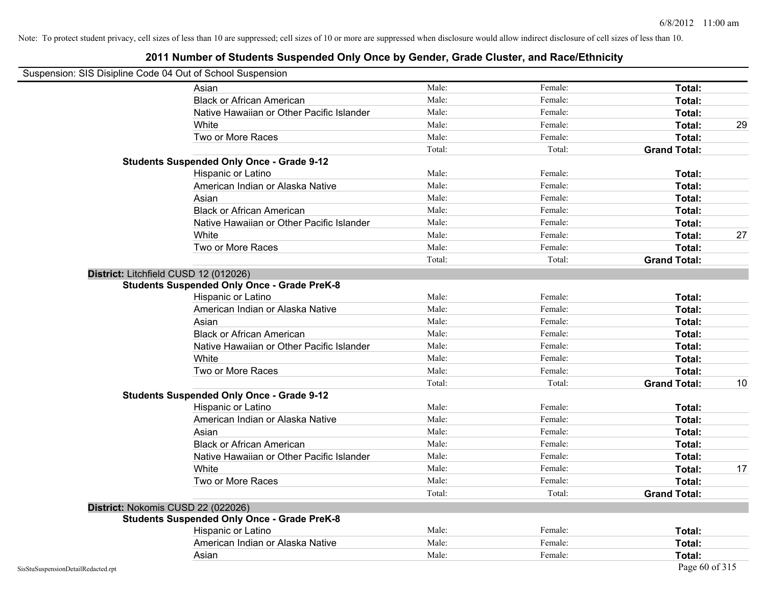#### **2011 Number of Students Suspended Only Once by Gender, Grade Cluster, and Race/Ethnicity**

# Suspension: SIS Disipline Code 04 Out of School Suspension

| usperision. Sis Disipline Code 04 Out of Scribol Susperision |                                                    |        |         |                     |    |
|--------------------------------------------------------------|----------------------------------------------------|--------|---------|---------------------|----|
|                                                              | Asian                                              | Male:  | Female: | Total:              |    |
|                                                              | <b>Black or African American</b>                   | Male:  | Female: | Total:              |    |
|                                                              | Native Hawaiian or Other Pacific Islander          | Male:  | Female: | Total:              |    |
|                                                              | White                                              | Male:  | Female: | Total:              | 29 |
|                                                              | Two or More Races                                  | Male:  | Female: | Total:              |    |
|                                                              |                                                    | Total: | Total:  | <b>Grand Total:</b> |    |
|                                                              | <b>Students Suspended Only Once - Grade 9-12</b>   |        |         |                     |    |
|                                                              | Hispanic or Latino                                 | Male:  | Female: | Total:              |    |
|                                                              | American Indian or Alaska Native                   | Male:  | Female: | Total:              |    |
|                                                              | Asian                                              | Male:  | Female: | Total:              |    |
|                                                              | <b>Black or African American</b>                   | Male:  | Female: | Total:              |    |
|                                                              | Native Hawaiian or Other Pacific Islander          | Male:  | Female: | Total:              |    |
|                                                              | White                                              | Male:  | Female: | Total:              | 27 |
|                                                              | Two or More Races                                  | Male:  | Female: | Total:              |    |
|                                                              |                                                    | Total: | Total:  | <b>Grand Total:</b> |    |
|                                                              | District: Litchfield CUSD 12 (012026)              |        |         |                     |    |
|                                                              | <b>Students Suspended Only Once - Grade PreK-8</b> |        |         |                     |    |
|                                                              | Hispanic or Latino                                 | Male:  | Female: | Total:              |    |
|                                                              | American Indian or Alaska Native                   | Male:  | Female: | Total:              |    |
|                                                              | Asian                                              | Male:  | Female: | Total:              |    |
|                                                              | <b>Black or African American</b>                   | Male:  | Female: | Total:              |    |
|                                                              | Native Hawaiian or Other Pacific Islander          | Male:  | Female: | Total:              |    |
|                                                              | White                                              | Male:  | Female: | Total:              |    |
|                                                              | Two or More Races                                  | Male:  | Female: | Total:              |    |
|                                                              |                                                    | Total: | Total:  | <b>Grand Total:</b> | 10 |
|                                                              | <b>Students Suspended Only Once - Grade 9-12</b>   |        |         |                     |    |
|                                                              | Hispanic or Latino                                 | Male:  | Female: | Total:              |    |
|                                                              | American Indian or Alaska Native                   | Male:  | Female: | Total:              |    |
|                                                              | Asian                                              | Male:  | Female: | Total:              |    |
|                                                              | <b>Black or African American</b>                   | Male:  | Female: | <b>Total:</b>       |    |
|                                                              | Native Hawaiian or Other Pacific Islander          | Male:  | Female: | Total:              |    |
|                                                              | White                                              | Male:  | Female: | Total:              | 17 |
|                                                              | Two or More Races                                  | Male:  | Female: | Total:              |    |
|                                                              |                                                    | Total: | Total:  | <b>Grand Total:</b> |    |
|                                                              | District: Nokomis CUSD 22 (022026)                 |        |         |                     |    |
|                                                              | <b>Students Suspended Only Once - Grade PreK-8</b> |        |         |                     |    |
|                                                              | Hispanic or Latino                                 | Male:  | Female: | Total:              |    |
|                                                              | American Indian or Alaska Native                   | Male:  | Female: | Total:              |    |
|                                                              | Asian                                              | Male:  | Female: | Total:              |    |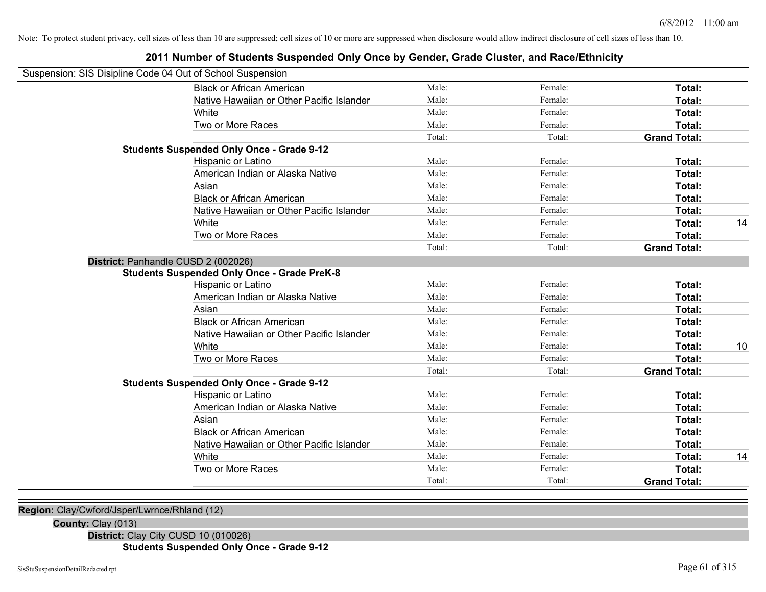## **2011 Number of Students Suspended Only Once by Gender, Grade Cluster, and Race/Ethnicity**

| Suspension: SIS Disipline Code 04 Out of School Suspension |                                                    |        |         |                     |    |
|------------------------------------------------------------|----------------------------------------------------|--------|---------|---------------------|----|
|                                                            | <b>Black or African American</b>                   | Male:  | Female: | Total:              |    |
|                                                            | Native Hawaiian or Other Pacific Islander          | Male:  | Female: | Total:              |    |
|                                                            | White                                              | Male:  | Female: | Total:              |    |
|                                                            | Two or More Races                                  | Male:  | Female: | Total:              |    |
|                                                            |                                                    | Total: | Total:  | <b>Grand Total:</b> |    |
|                                                            | <b>Students Suspended Only Once - Grade 9-12</b>   |        |         |                     |    |
|                                                            | Hispanic or Latino                                 | Male:  | Female: | Total:              |    |
|                                                            | American Indian or Alaska Native                   | Male:  | Female: | Total:              |    |
|                                                            | Asian                                              | Male:  | Female: | Total:              |    |
|                                                            | <b>Black or African American</b>                   | Male:  | Female: | Total:              |    |
|                                                            | Native Hawaiian or Other Pacific Islander          | Male:  | Female: | Total:              |    |
|                                                            | White                                              | Male:  | Female: | Total:              | 14 |
|                                                            | Two or More Races                                  | Male:  | Female: | Total:              |    |
|                                                            |                                                    | Total: | Total:  | <b>Grand Total:</b> |    |
| District: Panhandle CUSD 2 (002026)                        |                                                    |        |         |                     |    |
|                                                            | <b>Students Suspended Only Once - Grade PreK-8</b> |        |         |                     |    |
|                                                            | Hispanic or Latino                                 | Male:  | Female: | Total:              |    |
|                                                            | American Indian or Alaska Native                   | Male:  | Female: | Total:              |    |
|                                                            | Asian                                              | Male:  | Female: | Total:              |    |
|                                                            | <b>Black or African American</b>                   | Male:  | Female: | Total:              |    |
|                                                            | Native Hawaiian or Other Pacific Islander          | Male:  | Female: | Total:              |    |
|                                                            | White                                              | Male:  | Female: | Total:              | 10 |
|                                                            | Two or More Races                                  | Male:  | Female: | Total:              |    |
|                                                            |                                                    | Total: | Total:  | <b>Grand Total:</b> |    |
|                                                            | <b>Students Suspended Only Once - Grade 9-12</b>   |        |         |                     |    |
|                                                            | Hispanic or Latino                                 | Male:  | Female: | Total:              |    |
|                                                            | American Indian or Alaska Native                   | Male:  | Female: | Total:              |    |
|                                                            | Asian                                              | Male:  | Female: | Total:              |    |
|                                                            | <b>Black or African American</b>                   | Male:  | Female: | Total:              |    |
|                                                            | Native Hawaiian or Other Pacific Islander          | Male:  | Female: | Total:              |    |
|                                                            | White                                              | Male:  | Female: | Total:              | 14 |
|                                                            | Two or More Races                                  | Male:  | Female: | Total:              |    |
|                                                            |                                                    | Total: | Total:  | <b>Grand Total:</b> |    |
|                                                            |                                                    |        |         |                     |    |

**Region:** Clay/Cwford/Jsper/Lwrnce/Rhland (12)

**County:** Clay (013)

**District:** Clay City CUSD 10 (010026)

**Students Suspended Only Once - Grade 9-12**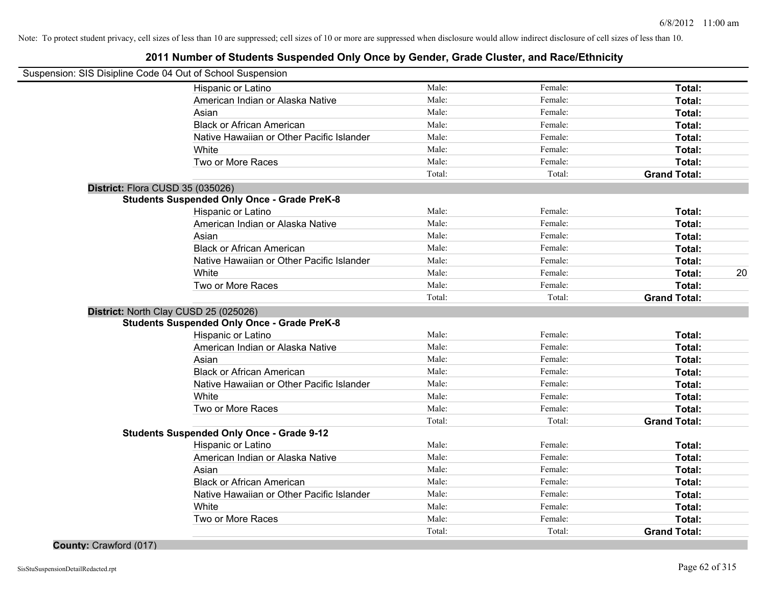| Suspension: SIS Disipline Code 04 Out of School Suspension |                                                    |        |         |                     |    |
|------------------------------------------------------------|----------------------------------------------------|--------|---------|---------------------|----|
|                                                            | Hispanic or Latino                                 | Male:  | Female: | Total:              |    |
|                                                            | American Indian or Alaska Native                   | Male:  | Female: | Total:              |    |
|                                                            | Asian                                              | Male:  | Female: | Total:              |    |
|                                                            | <b>Black or African American</b>                   | Male:  | Female: | Total:              |    |
|                                                            | Native Hawaiian or Other Pacific Islander          | Male:  | Female: | Total:              |    |
|                                                            | White                                              | Male:  | Female: | Total:              |    |
|                                                            | Two or More Races                                  | Male:  | Female: | Total:              |    |
|                                                            |                                                    | Total: | Total:  | <b>Grand Total:</b> |    |
|                                                            | District: Flora CUSD 35 (035026)                   |        |         |                     |    |
|                                                            | <b>Students Suspended Only Once - Grade PreK-8</b> |        |         |                     |    |
|                                                            | Hispanic or Latino                                 | Male:  | Female: | Total:              |    |
|                                                            | American Indian or Alaska Native                   | Male:  | Female: | Total:              |    |
|                                                            | Asian                                              | Male:  | Female: | Total:              |    |
|                                                            | <b>Black or African American</b>                   | Male:  | Female: | Total:              |    |
|                                                            | Native Hawaiian or Other Pacific Islander          | Male:  | Female: | Total:              |    |
|                                                            | White                                              | Male:  | Female: | Total:              | 20 |
|                                                            | Two or More Races                                  | Male:  | Female: | <b>Total:</b>       |    |
|                                                            |                                                    | Total: | Total:  | <b>Grand Total:</b> |    |
|                                                            | District: North Clay CUSD 25 (025026)              |        |         |                     |    |
|                                                            | <b>Students Suspended Only Once - Grade PreK-8</b> |        |         |                     |    |
|                                                            | Hispanic or Latino                                 | Male:  | Female: | Total:              |    |
|                                                            | American Indian or Alaska Native                   | Male:  | Female: | Total:              |    |
|                                                            | Asian                                              | Male:  | Female: | Total:              |    |
|                                                            | <b>Black or African American</b>                   | Male:  | Female: | Total:              |    |
|                                                            | Native Hawaiian or Other Pacific Islander          | Male:  | Female: | Total:              |    |
|                                                            | White                                              | Male:  | Female: | Total:              |    |
|                                                            | Two or More Races                                  | Male:  | Female: | Total:              |    |
|                                                            |                                                    | Total: | Total:  | <b>Grand Total:</b> |    |
|                                                            | <b>Students Suspended Only Once - Grade 9-12</b>   |        |         |                     |    |
|                                                            | Hispanic or Latino                                 | Male:  | Female: | Total:              |    |
|                                                            | American Indian or Alaska Native                   | Male:  | Female: | Total:              |    |
|                                                            | Asian                                              | Male:  | Female: | Total:              |    |
|                                                            | <b>Black or African American</b>                   | Male:  | Female: | Total:              |    |
|                                                            | Native Hawaiian or Other Pacific Islander          | Male:  | Female: | Total:              |    |
|                                                            | White                                              | Male:  | Female: | Total:              |    |
|                                                            | Two or More Races                                  | Male:  | Female: | Total:              |    |
|                                                            |                                                    | Total: | Total:  | <b>Grand Total:</b> |    |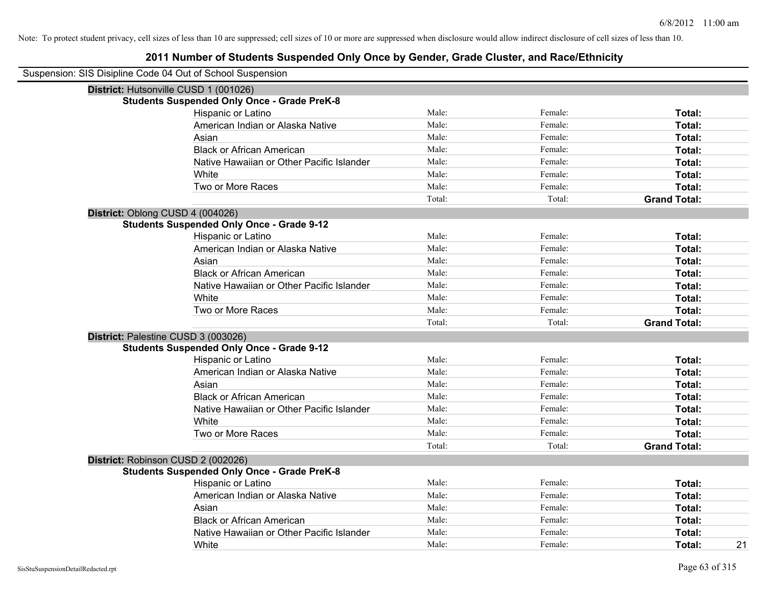| Suspension: SIS Disipline Code 04 Out of School Suspension |                                                    |        |         |                     |
|------------------------------------------------------------|----------------------------------------------------|--------|---------|---------------------|
|                                                            | District: Hutsonville CUSD 1 (001026)              |        |         |                     |
|                                                            | <b>Students Suspended Only Once - Grade PreK-8</b> |        |         |                     |
|                                                            | Hispanic or Latino                                 | Male:  | Female: | Total:              |
|                                                            | American Indian or Alaska Native                   | Male:  | Female: | Total:              |
|                                                            | Asian                                              | Male:  | Female: | Total:              |
|                                                            | <b>Black or African American</b>                   | Male:  | Female: | Total:              |
|                                                            | Native Hawaiian or Other Pacific Islander          | Male:  | Female: | Total:              |
|                                                            | White                                              | Male:  | Female: | Total:              |
|                                                            | Two or More Races                                  | Male:  | Female: | Total:              |
|                                                            |                                                    | Total: | Total:  | <b>Grand Total:</b> |
| District: Oblong CUSD 4 (004026)                           |                                                    |        |         |                     |
|                                                            | <b>Students Suspended Only Once - Grade 9-12</b>   |        |         |                     |
|                                                            | Hispanic or Latino                                 | Male:  | Female: | Total:              |
|                                                            | American Indian or Alaska Native                   | Male:  | Female: | Total:              |
|                                                            | Asian                                              | Male:  | Female: | Total:              |
|                                                            | <b>Black or African American</b>                   | Male:  | Female: | Total:              |
|                                                            | Native Hawaiian or Other Pacific Islander          | Male:  | Female: | Total:              |
|                                                            | White                                              | Male:  | Female: | Total:              |
|                                                            | Two or More Races                                  | Male:  | Female: | Total:              |
|                                                            |                                                    | Total: | Total:  | <b>Grand Total:</b> |
| District: Palestine CUSD 3 (003026)                        |                                                    |        |         |                     |
|                                                            | <b>Students Suspended Only Once - Grade 9-12</b>   |        |         |                     |
|                                                            | Hispanic or Latino                                 | Male:  | Female: | Total:              |
|                                                            | American Indian or Alaska Native                   | Male:  | Female: | Total:              |
|                                                            | Asian                                              | Male:  | Female: | Total:              |
|                                                            | <b>Black or African American</b>                   | Male:  | Female: | Total:              |
|                                                            | Native Hawaiian or Other Pacific Islander          | Male:  | Female: | Total:              |
|                                                            | White                                              | Male:  | Female: | Total:              |
|                                                            | Two or More Races                                  | Male:  | Female: | Total:              |
|                                                            |                                                    | Total: | Total:  | <b>Grand Total:</b> |
|                                                            | District: Robinson CUSD 2 (002026)                 |        |         |                     |
|                                                            | <b>Students Suspended Only Once - Grade PreK-8</b> |        |         |                     |
|                                                            | Hispanic or Latino                                 | Male:  | Female: | Total:              |
|                                                            | American Indian or Alaska Native                   | Male:  | Female: | Total:              |
|                                                            | Asian                                              | Male:  | Female: | Total:              |
|                                                            | <b>Black or African American</b>                   | Male:  | Female: | Total:              |
|                                                            | Native Hawaiian or Other Pacific Islander          | Male:  | Female: | Total:              |
|                                                            | White                                              | Male:  | Female: | 21<br>Total:        |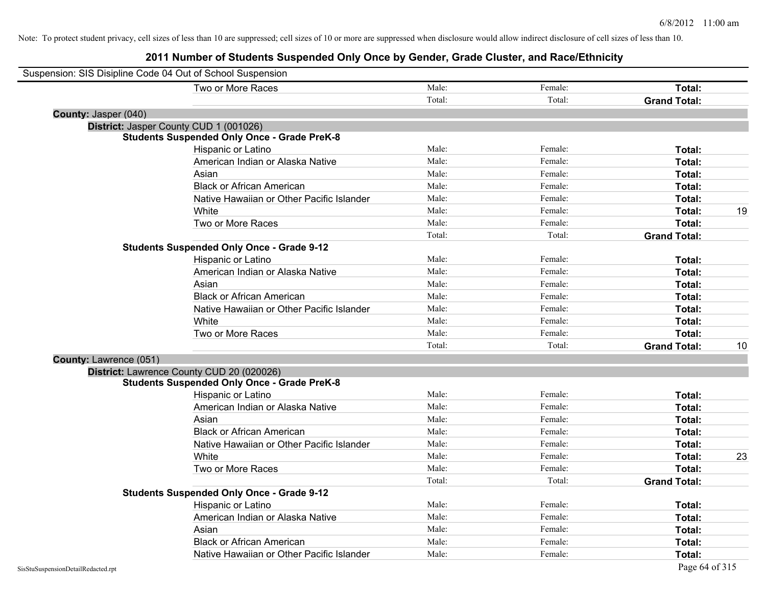| Suspension: SIS Disipline Code 04 Out of School Suspension |                                                    |        |         |                     |    |
|------------------------------------------------------------|----------------------------------------------------|--------|---------|---------------------|----|
|                                                            | Two or More Races                                  | Male:  | Female: | Total:              |    |
|                                                            |                                                    | Total: | Total:  | <b>Grand Total:</b> |    |
| County: Jasper (040)                                       |                                                    |        |         |                     |    |
|                                                            | District: Jasper County CUD 1 (001026)             |        |         |                     |    |
|                                                            | <b>Students Suspended Only Once - Grade PreK-8</b> |        |         |                     |    |
|                                                            | Hispanic or Latino                                 | Male:  | Female: | Total:              |    |
|                                                            | American Indian or Alaska Native                   | Male:  | Female: | Total:              |    |
|                                                            | Asian                                              | Male:  | Female: | Total:              |    |
|                                                            | <b>Black or African American</b>                   | Male:  | Female: | Total:              |    |
|                                                            | Native Hawaiian or Other Pacific Islander          | Male:  | Female: | Total:              |    |
|                                                            | White                                              | Male:  | Female: | Total:              | 19 |
|                                                            | Two or More Races                                  | Male:  | Female: | Total:              |    |
|                                                            |                                                    | Total: | Total:  | <b>Grand Total:</b> |    |
|                                                            | <b>Students Suspended Only Once - Grade 9-12</b>   |        |         |                     |    |
|                                                            | Hispanic or Latino                                 | Male:  | Female: | Total:              |    |
|                                                            | American Indian or Alaska Native                   | Male:  | Female: | Total:              |    |
|                                                            | Asian                                              | Male:  | Female: | Total:              |    |
|                                                            | <b>Black or African American</b>                   | Male:  | Female: | Total:              |    |
|                                                            | Native Hawaiian or Other Pacific Islander          | Male:  | Female: | Total:              |    |
|                                                            | White                                              | Male:  | Female: | Total:              |    |
|                                                            | Two or More Races                                  | Male:  | Female: | Total:              |    |
|                                                            |                                                    | Total: | Total:  | <b>Grand Total:</b> | 10 |
| <b>County: Lawrence (051)</b>                              |                                                    |        |         |                     |    |
|                                                            | District: Lawrence County CUD 20 (020026)          |        |         |                     |    |
|                                                            | <b>Students Suspended Only Once - Grade PreK-8</b> |        |         |                     |    |
|                                                            | Hispanic or Latino                                 | Male:  | Female: | Total:              |    |
|                                                            | American Indian or Alaska Native                   | Male:  | Female: | Total:              |    |
|                                                            | Asian                                              | Male:  | Female: | Total:              |    |
|                                                            | <b>Black or African American</b>                   | Male:  | Female: | Total:              |    |
|                                                            | Native Hawaiian or Other Pacific Islander          | Male:  | Female: | Total:              |    |
|                                                            | White                                              | Male:  | Female: | <b>Total:</b>       | 23 |
|                                                            | Two or More Races                                  | Male:  | Female: | Total:              |    |
|                                                            |                                                    | Total: | Total:  | <b>Grand Total:</b> |    |
|                                                            | <b>Students Suspended Only Once - Grade 9-12</b>   |        |         |                     |    |
|                                                            | Hispanic or Latino                                 | Male:  | Female: | Total:              |    |
|                                                            | American Indian or Alaska Native                   | Male:  | Female: | Total:              |    |
|                                                            | Asian                                              | Male:  | Female: | Total:              |    |
|                                                            | <b>Black or African American</b>                   | Male:  | Female: | <b>Total:</b>       |    |
|                                                            | Native Hawaiian or Other Pacific Islander          | Male:  | Female: | Total:              |    |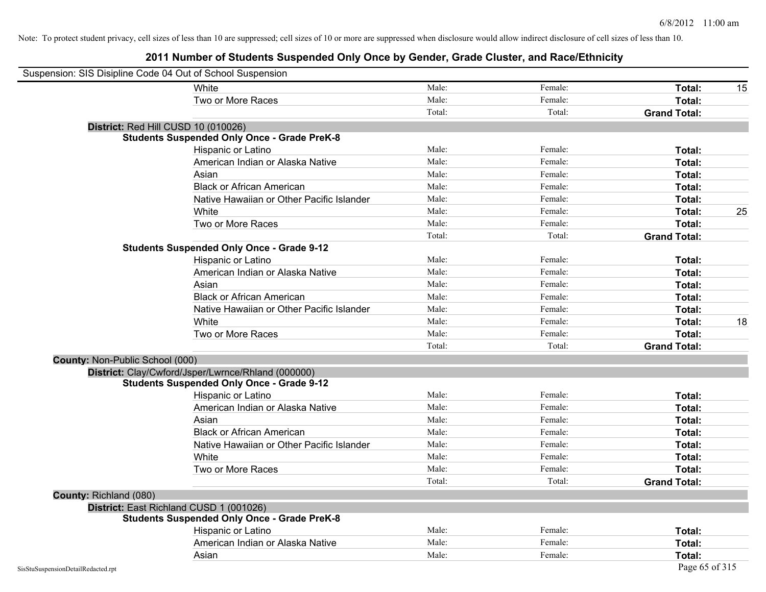| Suspension: SIS Disipline Code 04 Out of School Suspension |                                                    |        |         |                     |    |
|------------------------------------------------------------|----------------------------------------------------|--------|---------|---------------------|----|
|                                                            | White                                              | Male:  | Female: | Total:              | 15 |
|                                                            | Two or More Races                                  | Male:  | Female: | Total:              |    |
|                                                            |                                                    | Total: | Total:  | <b>Grand Total:</b> |    |
|                                                            | District: Red Hill CUSD 10 (010026)                |        |         |                     |    |
|                                                            | <b>Students Suspended Only Once - Grade PreK-8</b> |        |         |                     |    |
|                                                            | Hispanic or Latino                                 | Male:  | Female: | Total:              |    |
|                                                            | American Indian or Alaska Native                   | Male:  | Female: | Total:              |    |
|                                                            | Asian                                              | Male:  | Female: | Total:              |    |
|                                                            | <b>Black or African American</b>                   | Male:  | Female: | Total:              |    |
|                                                            | Native Hawaiian or Other Pacific Islander          | Male:  | Female: | Total:              |    |
|                                                            | White                                              | Male:  | Female: | Total:              | 25 |
|                                                            | Two or More Races                                  | Male:  | Female: | Total:              |    |
|                                                            |                                                    | Total: | Total:  | <b>Grand Total:</b> |    |
|                                                            | <b>Students Suspended Only Once - Grade 9-12</b>   |        |         |                     |    |
|                                                            | Hispanic or Latino                                 | Male:  | Female: | Total:              |    |
|                                                            | American Indian or Alaska Native                   | Male:  | Female: | Total:              |    |
|                                                            | Asian                                              | Male:  | Female: | Total:              |    |
|                                                            | <b>Black or African American</b>                   | Male:  | Female: | Total:              |    |
|                                                            | Native Hawaiian or Other Pacific Islander          | Male:  | Female: | Total:              |    |
|                                                            | White                                              | Male:  | Female: | Total:              | 18 |
|                                                            | Two or More Races                                  | Male:  | Female: | Total:              |    |
|                                                            |                                                    | Total: | Total:  | <b>Grand Total:</b> |    |
| County: Non-Public School (000)                            |                                                    |        |         |                     |    |
|                                                            | District: Clay/Cwford/Jsper/Lwrnce/Rhland (000000) |        |         |                     |    |
|                                                            | <b>Students Suspended Only Once - Grade 9-12</b>   |        |         |                     |    |
|                                                            | Hispanic or Latino                                 | Male:  | Female: | Total:              |    |
|                                                            | American Indian or Alaska Native                   | Male:  | Female: | Total:              |    |
|                                                            | Asian                                              | Male:  | Female: | Total:              |    |
|                                                            | <b>Black or African American</b>                   | Male:  | Female: | Total:              |    |
|                                                            | Native Hawaiian or Other Pacific Islander          | Male:  | Female: | Total:              |    |
|                                                            | White                                              | Male:  | Female: | Total:              |    |
|                                                            | Two or More Races                                  | Male:  | Female: | Total:              |    |
|                                                            |                                                    | Total: | Total:  | <b>Grand Total:</b> |    |
| County: Richland (080)                                     |                                                    |        |         |                     |    |
|                                                            | District: East Richland CUSD 1 (001026)            |        |         |                     |    |
|                                                            | <b>Students Suspended Only Once - Grade PreK-8</b> |        |         |                     |    |
|                                                            | Hispanic or Latino                                 | Male:  | Female: | Total:              |    |
|                                                            | American Indian or Alaska Native                   | Male:  | Female: | Total:              |    |
|                                                            | Asian                                              | Male:  | Female: | Total:              |    |
| SisStuSuspensionDetailRedacted.rpt                         |                                                    |        |         | Page 65 of 315      |    |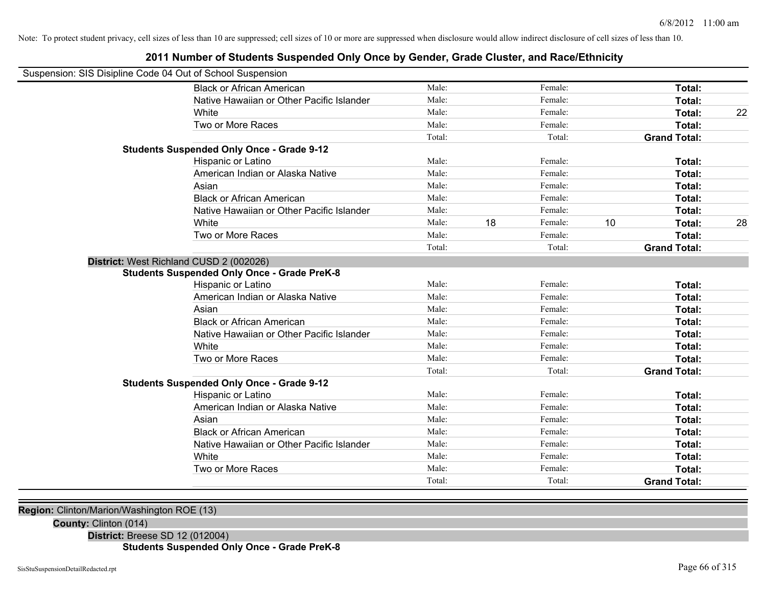## **2011 Number of Students Suspended Only Once by Gender, Grade Cluster, and Race/Ethnicity**

| Suspension: SIS Disipline Code 04 Out of School Suspension |                                                    |        |    |         |    |                     |    |
|------------------------------------------------------------|----------------------------------------------------|--------|----|---------|----|---------------------|----|
|                                                            | <b>Black or African American</b>                   | Male:  |    | Female: |    | <b>Total:</b>       |    |
|                                                            | Native Hawaiian or Other Pacific Islander          | Male:  |    | Female: |    | Total:              |    |
|                                                            | White                                              | Male:  |    | Female: |    | Total:              | 22 |
|                                                            | Two or More Races                                  | Male:  |    | Female: |    | Total:              |    |
|                                                            |                                                    | Total: |    | Total:  |    | <b>Grand Total:</b> |    |
|                                                            | <b>Students Suspended Only Once - Grade 9-12</b>   |        |    |         |    |                     |    |
|                                                            | Hispanic or Latino                                 | Male:  |    | Female: |    | Total:              |    |
|                                                            | American Indian or Alaska Native                   | Male:  |    | Female: |    | <b>Total:</b>       |    |
|                                                            | Asian                                              | Male:  |    | Female: |    | Total:              |    |
|                                                            | <b>Black or African American</b>                   | Male:  |    | Female: |    | Total:              |    |
|                                                            | Native Hawaiian or Other Pacific Islander          | Male:  |    | Female: |    | Total:              |    |
|                                                            | White                                              | Male:  | 18 | Female: | 10 | Total:              | 28 |
|                                                            | Two or More Races                                  | Male:  |    | Female: |    | Total:              |    |
|                                                            |                                                    | Total: |    | Total:  |    | <b>Grand Total:</b> |    |
| District: West Richland CUSD 2 (002026)                    |                                                    |        |    |         |    |                     |    |
|                                                            | <b>Students Suspended Only Once - Grade PreK-8</b> |        |    |         |    |                     |    |
|                                                            | Hispanic or Latino                                 | Male:  |    | Female: |    | Total:              |    |
|                                                            | American Indian or Alaska Native                   | Male:  |    | Female: |    | Total:              |    |
|                                                            | Asian                                              | Male:  |    | Female: |    | Total:              |    |
|                                                            | <b>Black or African American</b>                   | Male:  |    | Female: |    | <b>Total:</b>       |    |
|                                                            | Native Hawaiian or Other Pacific Islander          | Male:  |    | Female: |    | Total:              |    |
|                                                            | White                                              | Male:  |    | Female: |    | Total:              |    |
|                                                            | Two or More Races                                  | Male:  |    | Female: |    | Total:              |    |
|                                                            |                                                    | Total: |    | Total:  |    | <b>Grand Total:</b> |    |
|                                                            | <b>Students Suspended Only Once - Grade 9-12</b>   |        |    |         |    |                     |    |
|                                                            | Hispanic or Latino                                 | Male:  |    | Female: |    | Total:              |    |
|                                                            | American Indian or Alaska Native                   | Male:  |    | Female: |    | Total:              |    |
|                                                            | Asian                                              | Male:  |    | Female: |    | Total:              |    |
|                                                            | <b>Black or African American</b>                   | Male:  |    | Female: |    | Total:              |    |
|                                                            | Native Hawaiian or Other Pacific Islander          | Male:  |    | Female: |    | <b>Total:</b>       |    |
|                                                            | White                                              | Male:  |    | Female: |    | Total:              |    |
|                                                            | Two or More Races                                  | Male:  |    | Female: |    | Total:              |    |
|                                                            |                                                    | Total: |    | Total:  |    | <b>Grand Total:</b> |    |
|                                                            |                                                    |        |    |         |    |                     |    |

**Region:** Clinton/Marion/Washington ROE (13)

**County:** Clinton (014)

**District:** Breese SD 12 (012004)

**Students Suspended Only Once - Grade PreK-8**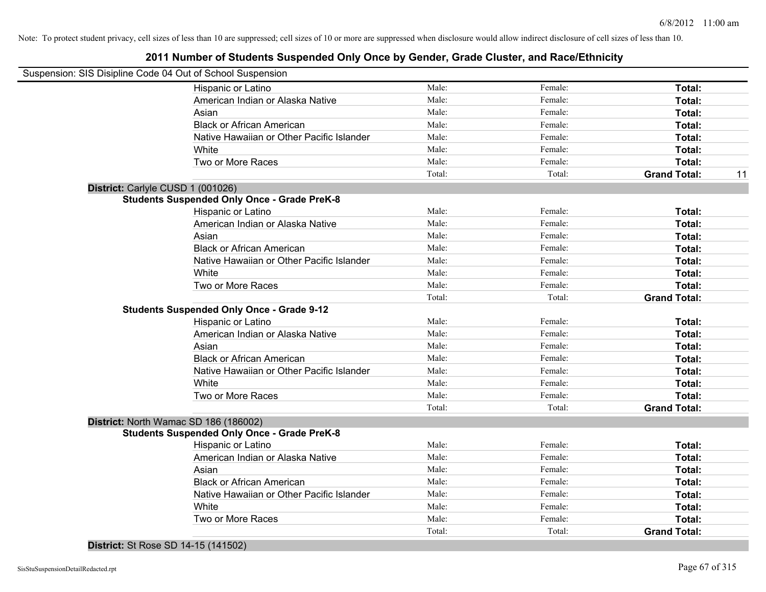## **2011 Number of Students Suspended Only Once by Gender, Grade Cluster, and Race/Ethnicity**

|                                   | Suspension: SIS Disipline Code 04 Out of School Suspension |        |         |                     |    |
|-----------------------------------|------------------------------------------------------------|--------|---------|---------------------|----|
|                                   | Hispanic or Latino                                         | Male:  | Female: | Total:              |    |
|                                   | American Indian or Alaska Native                           | Male:  | Female: | Total:              |    |
|                                   | Asian                                                      | Male:  | Female: | Total:              |    |
|                                   | <b>Black or African American</b>                           | Male:  | Female: | Total:              |    |
|                                   | Native Hawaiian or Other Pacific Islander                  | Male:  | Female: | Total:              |    |
|                                   | White                                                      | Male:  | Female: | Total:              |    |
|                                   | Two or More Races                                          | Male:  | Female: | <b>Total:</b>       |    |
|                                   |                                                            | Total: | Total:  | <b>Grand Total:</b> | 11 |
| District: Carlyle CUSD 1 (001026) |                                                            |        |         |                     |    |
|                                   | <b>Students Suspended Only Once - Grade PreK-8</b>         |        |         |                     |    |
|                                   | Hispanic or Latino                                         | Male:  | Female: | Total:              |    |
|                                   | American Indian or Alaska Native                           | Male:  | Female: | Total:              |    |
|                                   | Asian                                                      | Male:  | Female: | Total:              |    |
|                                   | <b>Black or African American</b>                           | Male:  | Female: | Total:              |    |
|                                   | Native Hawaiian or Other Pacific Islander                  | Male:  | Female: | Total:              |    |
|                                   | White                                                      | Male:  | Female: | Total:              |    |
|                                   | Two or More Races                                          | Male:  | Female: | <b>Total:</b>       |    |
|                                   |                                                            | Total: | Total:  | <b>Grand Total:</b> |    |
|                                   | <b>Students Suspended Only Once - Grade 9-12</b>           |        |         |                     |    |
|                                   | Hispanic or Latino                                         | Male:  | Female: | Total:              |    |
|                                   | American Indian or Alaska Native                           | Male:  | Female: | Total:              |    |
|                                   | Asian                                                      | Male:  | Female: | Total:              |    |
|                                   | <b>Black or African American</b>                           | Male:  | Female: | Total:              |    |
|                                   | Native Hawaiian or Other Pacific Islander                  | Male:  | Female: | Total:              |    |
|                                   | White                                                      | Male:  | Female: | Total:              |    |
|                                   | Two or More Races                                          | Male:  | Female: | Total:              |    |
|                                   |                                                            | Total: | Total:  | <b>Grand Total:</b> |    |
|                                   | District: North Wamac SD 186 (186002)                      |        |         |                     |    |
|                                   | <b>Students Suspended Only Once - Grade PreK-8</b>         |        |         |                     |    |
|                                   | Hispanic or Latino                                         | Male:  | Female: | Total:              |    |
|                                   | American Indian or Alaska Native                           | Male:  | Female: | Total:              |    |
|                                   | Asian                                                      | Male:  | Female: | Total:              |    |
|                                   | <b>Black or African American</b>                           | Male:  | Female: | Total:              |    |
|                                   | Native Hawaiian or Other Pacific Islander                  | Male:  | Female: | Total:              |    |
|                                   | White                                                      | Male:  | Female: | Total:              |    |
|                                   | Two or More Races                                          | Male:  | Female: | <b>Total:</b>       |    |
|                                   |                                                            | Total: | Total:  | <b>Grand Total:</b> |    |

**District:** St Rose SD 14-15 (141502)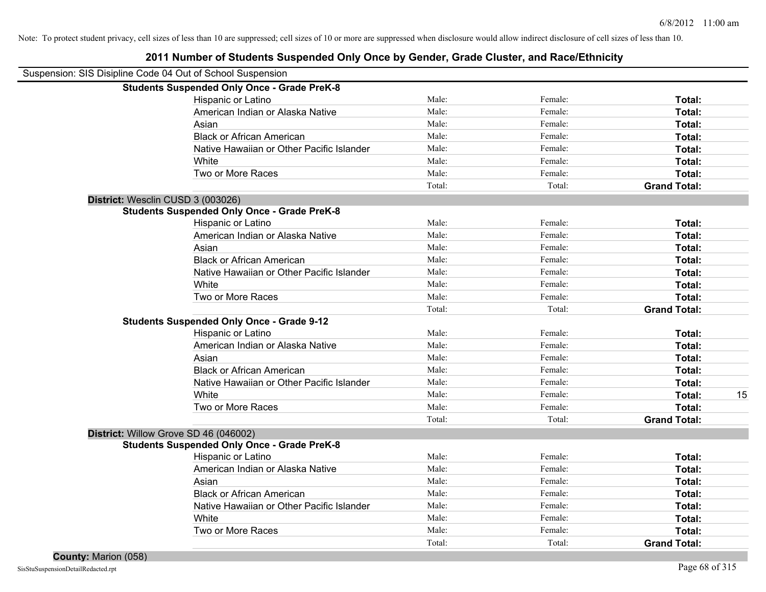| Suspension: SIS Disipline Code 04 Out of School Suspension |        |         |                     |    |
|------------------------------------------------------------|--------|---------|---------------------|----|
| <b>Students Suspended Only Once - Grade PreK-8</b>         |        |         |                     |    |
| Hispanic or Latino                                         | Male:  | Female: | Total:              |    |
| American Indian or Alaska Native                           | Male:  | Female: | Total:              |    |
| Asian                                                      | Male:  | Female: | Total:              |    |
| <b>Black or African American</b>                           | Male:  | Female: | Total:              |    |
| Native Hawaiian or Other Pacific Islander                  | Male:  | Female: | Total:              |    |
| White                                                      | Male:  | Female: | Total:              |    |
| Two or More Races                                          | Male:  | Female: | Total:              |    |
|                                                            | Total: | Total:  | <b>Grand Total:</b> |    |
| District: Wesclin CUSD 3 (003026)                          |        |         |                     |    |
| <b>Students Suspended Only Once - Grade PreK-8</b>         |        |         |                     |    |
| Hispanic or Latino                                         | Male:  | Female: | Total:              |    |
| American Indian or Alaska Native                           | Male:  | Female: | Total:              |    |
| Asian                                                      | Male:  | Female: | Total:              |    |
| <b>Black or African American</b>                           | Male:  | Female: | Total:              |    |
| Native Hawaiian or Other Pacific Islander                  | Male:  | Female: | Total:              |    |
| White                                                      | Male:  | Female: | Total:              |    |
| Two or More Races                                          | Male:  | Female: | Total:              |    |
|                                                            | Total: | Total:  | <b>Grand Total:</b> |    |
| <b>Students Suspended Only Once - Grade 9-12</b>           |        |         |                     |    |
| Hispanic or Latino                                         | Male:  | Female: | Total:              |    |
| American Indian or Alaska Native                           | Male:  | Female: | Total:              |    |
| Asian                                                      | Male:  | Female: | Total:              |    |
| <b>Black or African American</b>                           | Male:  | Female: | Total:              |    |
| Native Hawaiian or Other Pacific Islander                  | Male:  | Female: | Total:              |    |
| White                                                      | Male:  | Female: | Total:              | 15 |
| Two or More Races                                          | Male:  | Female: | Total:              |    |
|                                                            | Total: | Total:  | <b>Grand Total:</b> |    |
| District: Willow Grove SD 46 (046002)                      |        |         |                     |    |
| <b>Students Suspended Only Once - Grade PreK-8</b>         |        |         |                     |    |
| Hispanic or Latino                                         | Male:  | Female: | Total:              |    |
| American Indian or Alaska Native                           | Male:  | Female: | Total:              |    |
| Asian                                                      | Male:  | Female: | Total:              |    |
| <b>Black or African American</b>                           | Male:  | Female: | Total:              |    |
| Native Hawaiian or Other Pacific Islander                  | Male:  | Female: | Total:              |    |
| White                                                      | Male:  | Female: | Total:              |    |
| Two or More Races                                          | Male:  | Female: | Total:              |    |
|                                                            | Total: | Total:  | <b>Grand Total:</b> |    |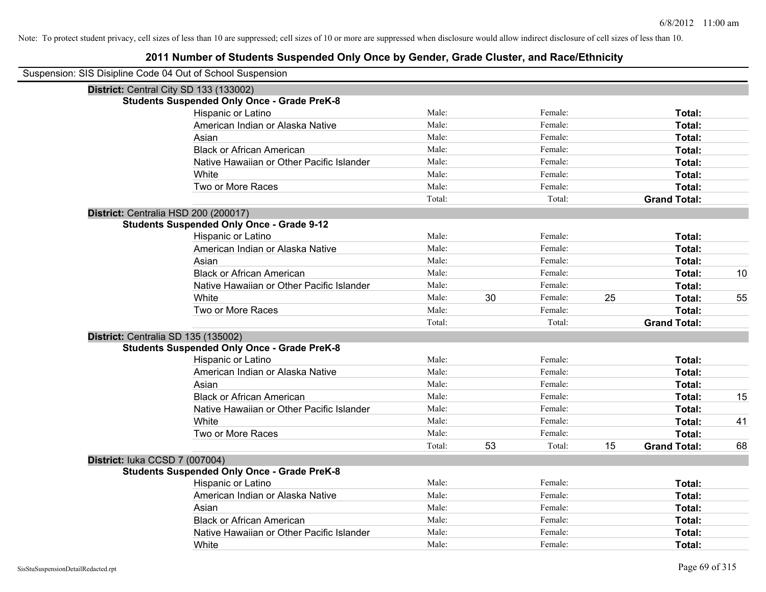| Suspension: SIS Disipline Code 04 Out of School Suspension |        |    |         |    |                     |    |
|------------------------------------------------------------|--------|----|---------|----|---------------------|----|
| District: Central City SD 133 (133002)                     |        |    |         |    |                     |    |
| <b>Students Suspended Only Once - Grade PreK-8</b>         |        |    |         |    |                     |    |
| Hispanic or Latino                                         | Male:  |    | Female: |    | Total:              |    |
| American Indian or Alaska Native                           | Male:  |    | Female: |    | Total:              |    |
| Asian                                                      | Male:  |    | Female: |    | Total:              |    |
| <b>Black or African American</b>                           | Male:  |    | Female: |    | Total:              |    |
| Native Hawaiian or Other Pacific Islander                  | Male:  |    | Female: |    | Total:              |    |
| White                                                      | Male:  |    | Female: |    | Total:              |    |
| Two or More Races                                          | Male:  |    | Female: |    | Total:              |    |
|                                                            | Total: |    | Total:  |    | <b>Grand Total:</b> |    |
| District: Centralia HSD 200 (200017)                       |        |    |         |    |                     |    |
| <b>Students Suspended Only Once - Grade 9-12</b>           |        |    |         |    |                     |    |
| Hispanic or Latino                                         | Male:  |    | Female: |    | Total:              |    |
| American Indian or Alaska Native                           | Male:  |    | Female: |    | Total:              |    |
| Asian                                                      | Male:  |    | Female: |    | Total:              |    |
| <b>Black or African American</b>                           | Male:  |    | Female: |    | Total:              | 10 |
| Native Hawaiian or Other Pacific Islander                  | Male:  |    | Female: |    | Total:              |    |
| White                                                      | Male:  | 30 | Female: | 25 | Total:              | 55 |
| Two or More Races                                          | Male:  |    | Female: |    | Total:              |    |
|                                                            | Total: |    | Total:  |    | <b>Grand Total:</b> |    |
| District: Centralia SD 135 (135002)                        |        |    |         |    |                     |    |
| <b>Students Suspended Only Once - Grade PreK-8</b>         |        |    |         |    |                     |    |
| Hispanic or Latino                                         | Male:  |    | Female: |    | Total:              |    |
| American Indian or Alaska Native                           | Male:  |    | Female: |    | Total:              |    |
| Asian                                                      | Male:  |    | Female: |    | Total:              |    |
| <b>Black or African American</b>                           | Male:  |    | Female: |    | Total:              | 15 |
| Native Hawaiian or Other Pacific Islander                  | Male:  |    | Female: |    | Total:              |    |
| White                                                      | Male:  |    | Female: |    | Total:              | 41 |
| Two or More Races                                          | Male:  |    | Female: |    | Total:              |    |
|                                                            | Total: | 53 | Total:  | 15 | <b>Grand Total:</b> | 68 |
| District: luka CCSD 7 (007004)                             |        |    |         |    |                     |    |
| <b>Students Suspended Only Once - Grade PreK-8</b>         |        |    |         |    |                     |    |
| Hispanic or Latino                                         | Male:  |    | Female: |    | Total:              |    |
| American Indian or Alaska Native                           | Male:  |    | Female: |    | Total:              |    |
| Asian                                                      | Male:  |    | Female: |    | Total:              |    |
| <b>Black or African American</b>                           | Male:  |    | Female: |    | Total:              |    |
| Native Hawaiian or Other Pacific Islander                  | Male:  |    | Female: |    | Total:              |    |
| White                                                      | Male:  |    | Female: |    | Total:              |    |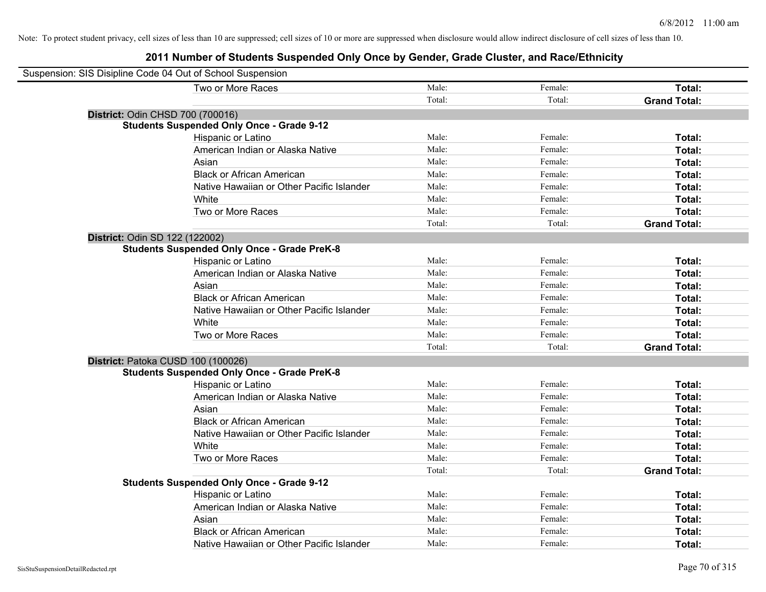| Suspension: SIS Disipline Code 04 Out of School Suspension |                                                    |        |         |                     |
|------------------------------------------------------------|----------------------------------------------------|--------|---------|---------------------|
|                                                            | Two or More Races                                  | Male:  | Female: | Total:              |
|                                                            |                                                    | Total: | Total:  | <b>Grand Total:</b> |
| District: Odin CHSD 700 (700016)                           |                                                    |        |         |                     |
|                                                            | <b>Students Suspended Only Once - Grade 9-12</b>   |        |         |                     |
|                                                            | Hispanic or Latino                                 | Male:  | Female: | Total:              |
|                                                            | American Indian or Alaska Native                   | Male:  | Female: | Total:              |
|                                                            | Asian                                              | Male:  | Female: | Total:              |
|                                                            | <b>Black or African American</b>                   | Male:  | Female: | Total:              |
|                                                            | Native Hawaiian or Other Pacific Islander          | Male:  | Female: | Total:              |
|                                                            | White                                              | Male:  | Female: | Total:              |
|                                                            | Two or More Races                                  | Male:  | Female: | Total:              |
|                                                            |                                                    | Total: | Total:  | <b>Grand Total:</b> |
| District: Odin SD 122 (122002)                             |                                                    |        |         |                     |
|                                                            | <b>Students Suspended Only Once - Grade PreK-8</b> |        |         |                     |
|                                                            | Hispanic or Latino                                 | Male:  | Female: | Total:              |
|                                                            | American Indian or Alaska Native                   | Male:  | Female: | Total:              |
|                                                            | Asian                                              | Male:  | Female: | Total:              |
|                                                            | <b>Black or African American</b>                   | Male:  | Female: | Total:              |
|                                                            | Native Hawaiian or Other Pacific Islander          | Male:  | Female: | Total:              |
|                                                            | White                                              | Male:  | Female: | Total:              |
|                                                            | Two or More Races                                  | Male:  | Female: | Total:              |
|                                                            |                                                    | Total: | Total:  | <b>Grand Total:</b> |
| District: Patoka CUSD 100 (100026)                         |                                                    |        |         |                     |
|                                                            | <b>Students Suspended Only Once - Grade PreK-8</b> |        |         |                     |
|                                                            | Hispanic or Latino                                 | Male:  | Female: | Total:              |
|                                                            | American Indian or Alaska Native                   | Male:  | Female: | Total:              |
|                                                            | Asian                                              | Male:  | Female: | Total:              |
|                                                            | <b>Black or African American</b>                   | Male:  | Female: | Total:              |
|                                                            | Native Hawaiian or Other Pacific Islander          | Male:  | Female: | Total:              |
|                                                            | White                                              | Male:  | Female: | Total:              |
|                                                            | Two or More Races                                  | Male:  | Female: | Total:              |
|                                                            |                                                    | Total: | Total:  | <b>Grand Total:</b> |
|                                                            | <b>Students Suspended Only Once - Grade 9-12</b>   |        |         |                     |
|                                                            | Hispanic or Latino                                 | Male:  | Female: | Total:              |
|                                                            | American Indian or Alaska Native                   | Male:  | Female: | Total:              |
|                                                            | Asian                                              | Male:  | Female: | Total:              |
|                                                            | <b>Black or African American</b>                   | Male:  | Female: | Total:              |
|                                                            | Native Hawaiian or Other Pacific Islander          | Male:  | Female: | Total:              |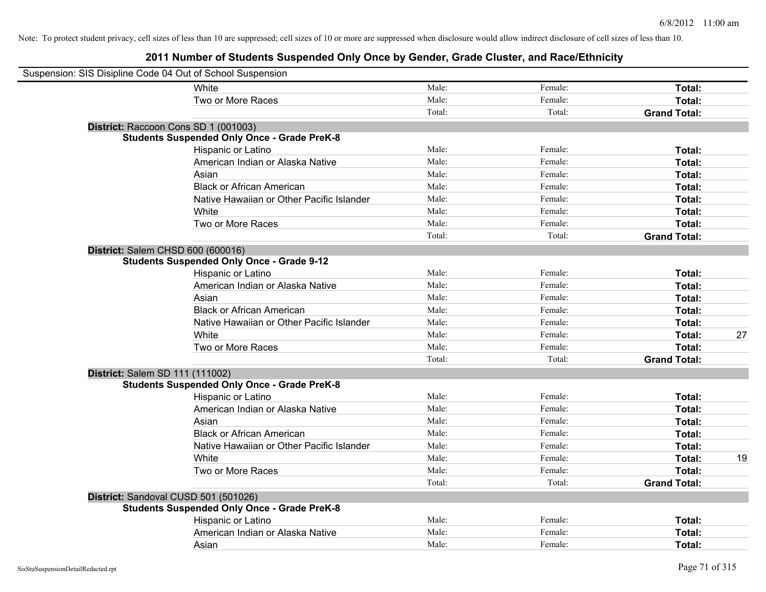| Suspension: SIS Disipline Code 04 Out of School Suspension |                                                    |        |         |                     |    |
|------------------------------------------------------------|----------------------------------------------------|--------|---------|---------------------|----|
|                                                            | White                                              | Male:  | Female: | Total:              |    |
|                                                            | Two or More Races                                  | Male:  | Female: | Total:              |    |
|                                                            |                                                    | Total: | Total:  | <b>Grand Total:</b> |    |
| District: Raccoon Cons SD 1 (001003)                       |                                                    |        |         |                     |    |
|                                                            | <b>Students Suspended Only Once - Grade PreK-8</b> |        |         |                     |    |
|                                                            | Hispanic or Latino                                 | Male:  | Female: | Total:              |    |
|                                                            | American Indian or Alaska Native                   | Male:  | Female: | Total:              |    |
|                                                            | Asian                                              | Male:  | Female: | Total:              |    |
|                                                            | <b>Black or African American</b>                   | Male:  | Female: | Total:              |    |
|                                                            | Native Hawaiian or Other Pacific Islander          | Male:  | Female: | Total:              |    |
|                                                            | White                                              | Male:  | Female: | Total:              |    |
|                                                            | Two or More Races                                  | Male:  | Female: | Total:              |    |
|                                                            |                                                    | Total: | Total:  | <b>Grand Total:</b> |    |
| District: Salem CHSD 600 (600016)                          |                                                    |        |         |                     |    |
|                                                            | <b>Students Suspended Only Once - Grade 9-12</b>   |        |         |                     |    |
|                                                            | Hispanic or Latino                                 | Male:  | Female: | Total:              |    |
|                                                            | American Indian or Alaska Native                   | Male:  | Female: | Total:              |    |
|                                                            | Asian                                              | Male:  | Female: | Total:              |    |
|                                                            | <b>Black or African American</b>                   | Male:  | Female: | Total:              |    |
|                                                            | Native Hawaiian or Other Pacific Islander          | Male:  | Female: | Total:              |    |
|                                                            | White                                              | Male:  | Female: | Total:              | 27 |
|                                                            | Two or More Races                                  | Male:  | Female: | Total:              |    |
|                                                            |                                                    | Total: | Total:  | <b>Grand Total:</b> |    |
| District: Salem SD 111 (111002)                            |                                                    |        |         |                     |    |
|                                                            | <b>Students Suspended Only Once - Grade PreK-8</b> |        |         |                     |    |
|                                                            | Hispanic or Latino                                 | Male:  | Female: | Total:              |    |
|                                                            | American Indian or Alaska Native                   | Male:  | Female: | Total:              |    |
|                                                            | Asian                                              | Male:  | Female: | Total:              |    |
|                                                            | <b>Black or African American</b>                   | Male:  | Female: | Total:              |    |
|                                                            | Native Hawaiian or Other Pacific Islander          | Male:  | Female: | Total:              |    |
|                                                            | White                                              | Male:  | Female: | Total:              | 19 |
|                                                            | Two or More Races                                  | Male:  | Female: | Total:              |    |
|                                                            |                                                    | Total: | Total:  | <b>Grand Total:</b> |    |
| District: Sandoval CUSD 501 (501026)                       |                                                    |        |         |                     |    |
|                                                            | <b>Students Suspended Only Once - Grade PreK-8</b> |        |         |                     |    |
|                                                            | Hispanic or Latino                                 | Male:  | Female: | Total:              |    |
|                                                            | American Indian or Alaska Native                   | Male:  | Female: | Total:              |    |
|                                                            | Asian                                              | Male:  | Female: | Total:              |    |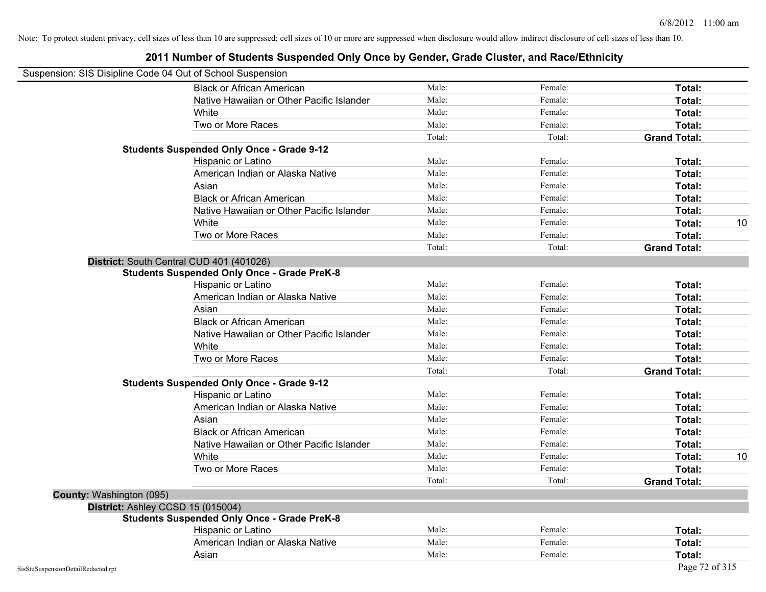| Suspension: SIS Disipline Code 04 Out of School Suspension |                                                    |        |         |                     |
|------------------------------------------------------------|----------------------------------------------------|--------|---------|---------------------|
|                                                            | <b>Black or African American</b>                   | Male:  | Female: | Total:              |
|                                                            | Native Hawaiian or Other Pacific Islander          | Male:  | Female: | Total:              |
|                                                            | White                                              | Male:  | Female: | Total:              |
|                                                            | Two or More Races                                  | Male:  | Female: | Total:              |
|                                                            |                                                    | Total: | Total:  | <b>Grand Total:</b> |
|                                                            | <b>Students Suspended Only Once - Grade 9-12</b>   |        |         |                     |
|                                                            | Hispanic or Latino                                 | Male:  | Female: | Total:              |
|                                                            | American Indian or Alaska Native                   | Male:  | Female: | Total:              |
|                                                            | Asian                                              | Male:  | Female: | Total:              |
|                                                            | <b>Black or African American</b>                   | Male:  | Female: | Total:              |
|                                                            | Native Hawaiian or Other Pacific Islander          | Male:  | Female: | Total:              |
|                                                            | White                                              | Male:  | Female: | Total:<br>10        |
|                                                            | Two or More Races                                  | Male:  | Female: | Total:              |
|                                                            |                                                    | Total: | Total:  | <b>Grand Total:</b> |
|                                                            | District: South Central CUD 401 (401026)           |        |         |                     |
|                                                            | <b>Students Suspended Only Once - Grade PreK-8</b> |        |         |                     |
|                                                            | Hispanic or Latino                                 | Male:  | Female: | Total:              |
|                                                            | American Indian or Alaska Native                   | Male:  | Female: | Total:              |
|                                                            | Asian                                              | Male:  | Female: | Total:              |
|                                                            | <b>Black or African American</b>                   | Male:  | Female: | Total:              |
|                                                            | Native Hawaiian or Other Pacific Islander          | Male:  | Female: | Total:              |
|                                                            | White                                              | Male:  | Female: | Total:              |
|                                                            | Two or More Races                                  | Male:  | Female: | Total:              |
|                                                            |                                                    | Total: | Total:  | <b>Grand Total:</b> |
|                                                            | <b>Students Suspended Only Once - Grade 9-12</b>   |        |         |                     |
|                                                            | Hispanic or Latino                                 | Male:  | Female: | Total:              |
|                                                            | American Indian or Alaska Native                   | Male:  | Female: | Total:              |
|                                                            | Asian                                              | Male:  | Female: | Total:              |
|                                                            | <b>Black or African American</b>                   | Male:  | Female: | Total:              |
|                                                            | Native Hawaiian or Other Pacific Islander          | Male:  | Female: | Total:              |
|                                                            | White                                              | Male:  | Female: | 10<br>Total:        |
|                                                            | Two or More Races                                  | Male:  | Female: | Total:              |
|                                                            |                                                    | Total: | Total:  | <b>Grand Total:</b> |
| <b>County: Washington (095)</b>                            |                                                    |        |         |                     |
|                                                            | District: Ashley CCSD 15 (015004)                  |        |         |                     |
|                                                            | <b>Students Suspended Only Once - Grade PreK-8</b> |        |         |                     |
|                                                            | Hispanic or Latino                                 | Male:  | Female: | Total:              |
|                                                            | American Indian or Alaska Native                   | Male:  | Female: | Total:              |
|                                                            | Asian                                              | Male:  | Female: | Total:              |
| SisStuSuspensionDetailRedacted.rpt                         |                                                    |        |         | Page 72 of 315      |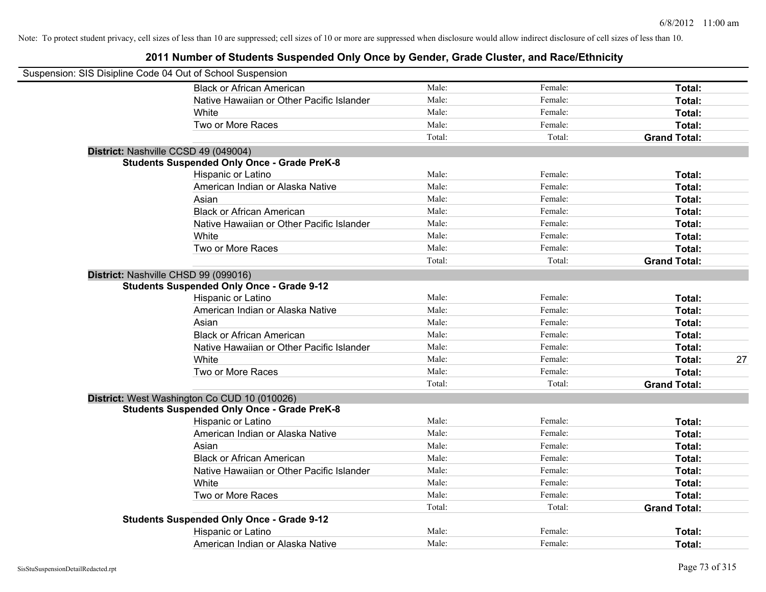| Suspension: SIS Disipline Code 04 Out of School Suspension |                                                    |        |         |                     |    |
|------------------------------------------------------------|----------------------------------------------------|--------|---------|---------------------|----|
|                                                            | <b>Black or African American</b>                   | Male:  | Female: | Total:              |    |
|                                                            | Native Hawaiian or Other Pacific Islander          | Male:  | Female: | Total:              |    |
|                                                            | White                                              | Male:  | Female: | Total:              |    |
|                                                            | Two or More Races                                  | Male:  | Female: | Total:              |    |
|                                                            |                                                    | Total: | Total:  | <b>Grand Total:</b> |    |
|                                                            | District: Nashville CCSD 49 (049004)               |        |         |                     |    |
|                                                            | <b>Students Suspended Only Once - Grade PreK-8</b> |        |         |                     |    |
|                                                            | Hispanic or Latino                                 | Male:  | Female: | Total:              |    |
|                                                            | American Indian or Alaska Native                   | Male:  | Female: | Total:              |    |
|                                                            | Asian                                              | Male:  | Female: | Total:              |    |
|                                                            | <b>Black or African American</b>                   | Male:  | Female: | Total:              |    |
|                                                            | Native Hawaiian or Other Pacific Islander          | Male:  | Female: | Total:              |    |
|                                                            | White                                              | Male:  | Female: | Total:              |    |
|                                                            | Two or More Races                                  | Male:  | Female: | Total:              |    |
|                                                            |                                                    | Total: | Total:  | <b>Grand Total:</b> |    |
|                                                            | District: Nashville CHSD 99 (099016)               |        |         |                     |    |
|                                                            | <b>Students Suspended Only Once - Grade 9-12</b>   |        |         |                     |    |
|                                                            | Hispanic or Latino                                 | Male:  | Female: | Total:              |    |
|                                                            | American Indian or Alaska Native                   | Male:  | Female: | Total:              |    |
|                                                            | Asian                                              | Male:  | Female: | Total:              |    |
|                                                            | <b>Black or African American</b>                   | Male:  | Female: | Total:              |    |
|                                                            | Native Hawaiian or Other Pacific Islander          | Male:  | Female: | Total:              |    |
|                                                            | White                                              | Male:  | Female: | Total:              | 27 |
|                                                            | Two or More Races                                  | Male:  | Female: | Total:              |    |
|                                                            |                                                    | Total: | Total:  | <b>Grand Total:</b> |    |
|                                                            | District: West Washington Co CUD 10 (010026)       |        |         |                     |    |
|                                                            | <b>Students Suspended Only Once - Grade PreK-8</b> |        |         |                     |    |
|                                                            | Hispanic or Latino                                 | Male:  | Female: | Total:              |    |
|                                                            | American Indian or Alaska Native                   | Male:  | Female: | Total:              |    |
|                                                            | Asian                                              | Male:  | Female: | Total:              |    |
|                                                            | <b>Black or African American</b>                   | Male:  | Female: | Total:              |    |
|                                                            | Native Hawaiian or Other Pacific Islander          | Male:  | Female: | Total:              |    |
|                                                            | <b>White</b>                                       | Male:  | Female: | Total:              |    |
|                                                            | Two or More Races                                  | Male:  | Female: | Total:              |    |
|                                                            |                                                    | Total: | Total:  | <b>Grand Total:</b> |    |
|                                                            | <b>Students Suspended Only Once - Grade 9-12</b>   |        |         |                     |    |
|                                                            | Hispanic or Latino                                 | Male:  | Female: | Total:              |    |
|                                                            | American Indian or Alaska Native                   | Male:  | Female: | Total:              |    |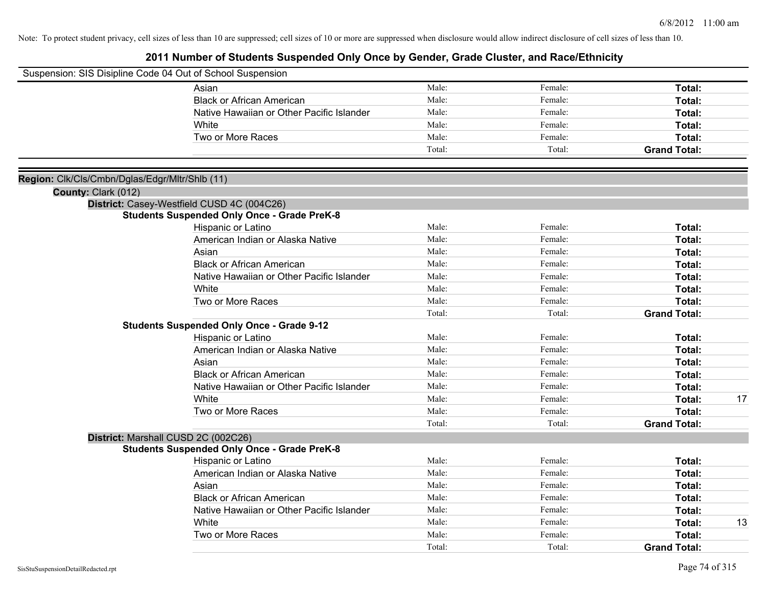|                                                | Suspension: SIS Disipline Code 04 Out of School Suspension |        |         |                     |
|------------------------------------------------|------------------------------------------------------------|--------|---------|---------------------|
|                                                | Asian                                                      | Male:  | Female: | Total:              |
|                                                | <b>Black or African American</b>                           | Male:  | Female: | Total:              |
|                                                | Native Hawaiian or Other Pacific Islander                  | Male:  | Female: | Total:              |
|                                                | White                                                      | Male:  | Female: | Total:              |
|                                                | Two or More Races                                          | Male:  | Female: | Total:              |
|                                                |                                                            | Total: | Total:  | <b>Grand Total:</b> |
|                                                |                                                            |        |         |                     |
| Region: Clk/Cls/Cmbn/Dglas/Edgr/Mltr/Shlb (11) |                                                            |        |         |                     |
| County: Clark (012)                            |                                                            |        |         |                     |
|                                                | District: Casey-Westfield CUSD 4C (004C26)                 |        |         |                     |
|                                                | <b>Students Suspended Only Once - Grade PreK-8</b>         |        |         |                     |
|                                                | Hispanic or Latino                                         | Male:  | Female: | Total:              |
|                                                | American Indian or Alaska Native                           | Male:  | Female: | Total:              |
|                                                | Asian                                                      | Male:  | Female: | Total:              |
|                                                | <b>Black or African American</b>                           | Male:  | Female: | Total:              |
|                                                | Native Hawaiian or Other Pacific Islander                  | Male:  | Female: | Total:              |
|                                                | White                                                      | Male:  | Female: | Total:              |
|                                                | Two or More Races                                          | Male:  | Female: | Total:              |
|                                                |                                                            | Total: | Total:  | <b>Grand Total:</b> |
|                                                | <b>Students Suspended Only Once - Grade 9-12</b>           |        |         |                     |
|                                                | Hispanic or Latino                                         | Male:  | Female: | Total:              |
|                                                | American Indian or Alaska Native                           | Male:  | Female: | Total:              |
|                                                | Asian                                                      | Male:  | Female: | Total:              |
|                                                | <b>Black or African American</b>                           | Male:  | Female: | Total:              |
|                                                | Native Hawaiian or Other Pacific Islander                  | Male:  | Female: | Total:              |
|                                                | White                                                      | Male:  | Female: | 17<br>Total:        |
|                                                | Two or More Races                                          | Male:  | Female: | <b>Total:</b>       |
|                                                |                                                            | Total: | Total:  | <b>Grand Total:</b> |
|                                                | District: Marshall CUSD 2C (002C26)                        |        |         |                     |
|                                                | <b>Students Suspended Only Once - Grade PreK-8</b>         |        |         |                     |
|                                                | Hispanic or Latino                                         | Male:  | Female: | Total:              |
|                                                | American Indian or Alaska Native                           | Male:  | Female: | Total:              |
|                                                | Asian                                                      | Male:  | Female: | Total:              |
|                                                | <b>Black or African American</b>                           | Male:  | Female: | Total:              |
|                                                | Native Hawaiian or Other Pacific Islander                  | Male:  | Female: | Total:              |
|                                                | White                                                      | Male:  | Female: | 13<br>Total:        |
|                                                | Two or More Races                                          | Male:  | Female: | <b>Total:</b>       |
|                                                |                                                            | Total: | Total:  | <b>Grand Total:</b> |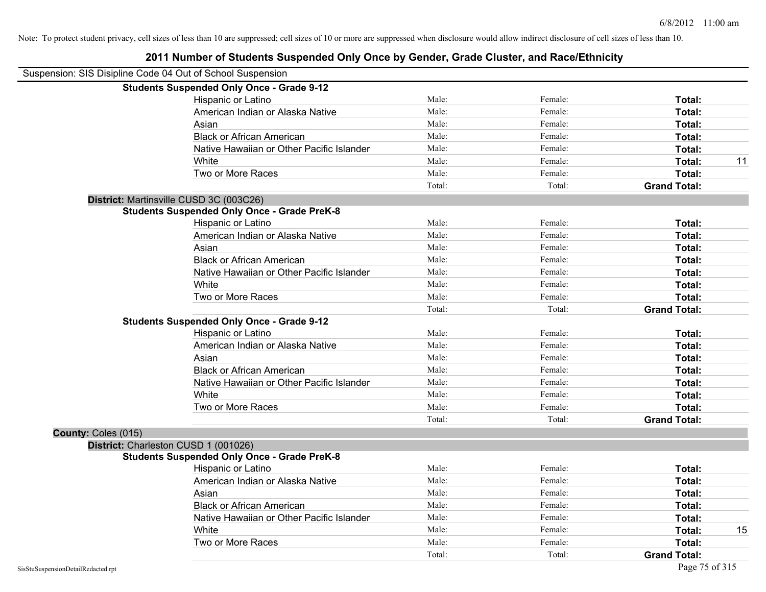|                     | Suspension: SIS Disipline Code 04 Out of School Suspension |        |         |                     |    |
|---------------------|------------------------------------------------------------|--------|---------|---------------------|----|
|                     | <b>Students Suspended Only Once - Grade 9-12</b>           |        |         |                     |    |
|                     | Hispanic or Latino                                         | Male:  | Female: | Total:              |    |
|                     | American Indian or Alaska Native                           | Male:  | Female: | Total:              |    |
|                     | Asian                                                      | Male:  | Female: | Total:              |    |
|                     | <b>Black or African American</b>                           | Male:  | Female: | Total:              |    |
|                     | Native Hawaiian or Other Pacific Islander                  | Male:  | Female: | Total:              |    |
|                     | White                                                      | Male:  | Female: | Total:              | 11 |
|                     | Two or More Races                                          | Male:  | Female: | Total:              |    |
|                     |                                                            | Total: | Total:  | <b>Grand Total:</b> |    |
|                     | District: Martinsville CUSD 3C (003C26)                    |        |         |                     |    |
|                     | <b>Students Suspended Only Once - Grade PreK-8</b>         |        |         |                     |    |
|                     | Hispanic or Latino                                         | Male:  | Female: | Total:              |    |
|                     | American Indian or Alaska Native                           | Male:  | Female: | Total:              |    |
|                     | Asian                                                      | Male:  | Female: | Total:              |    |
|                     | <b>Black or African American</b>                           | Male:  | Female: | Total:              |    |
|                     | Native Hawaiian or Other Pacific Islander                  | Male:  | Female: | Total:              |    |
|                     | White                                                      | Male:  | Female: | Total:              |    |
|                     | Two or More Races                                          | Male:  | Female: | Total:              |    |
|                     |                                                            | Total: | Total:  | <b>Grand Total:</b> |    |
|                     | <b>Students Suspended Only Once - Grade 9-12</b>           |        |         |                     |    |
|                     | Hispanic or Latino                                         | Male:  | Female: | Total:              |    |
|                     | American Indian or Alaska Native                           | Male:  | Female: | Total:              |    |
|                     | Asian                                                      | Male:  | Female: | Total:              |    |
|                     | <b>Black or African American</b>                           | Male:  | Female: | Total:              |    |
|                     | Native Hawaiian or Other Pacific Islander                  | Male:  | Female: | Total:              |    |
|                     | White                                                      | Male:  | Female: | Total:              |    |
|                     | Two or More Races                                          | Male:  | Female: | Total:              |    |
|                     |                                                            | Total: | Total:  | <b>Grand Total:</b> |    |
| County: Coles (015) |                                                            |        |         |                     |    |
|                     | District: Charleston CUSD 1 (001026)                       |        |         |                     |    |
|                     | <b>Students Suspended Only Once - Grade PreK-8</b>         |        |         |                     |    |
|                     | Hispanic or Latino                                         | Male:  | Female: | Total:              |    |
|                     | American Indian or Alaska Native                           | Male:  | Female: | Total:              |    |
|                     | Asian                                                      | Male:  | Female: | Total:              |    |
|                     | <b>Black or African American</b>                           | Male:  | Female: | Total:              |    |
|                     | Native Hawaiian or Other Pacific Islander                  | Male:  | Female: | Total:              |    |
|                     | White                                                      | Male:  | Female: | Total:              | 15 |
|                     | Two or More Races                                          | Male:  | Female: | <b>Total:</b>       |    |
|                     |                                                            | Total: | Total:  | <b>Grand Total:</b> |    |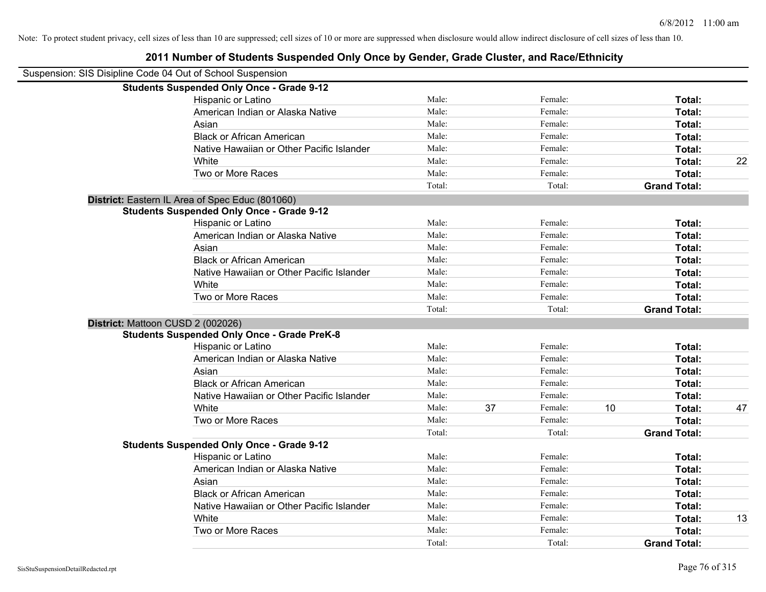| Suspension: SIS Disipline Code 04 Out of School Suspension |                                                    |        |    |         |                     |               |    |
|------------------------------------------------------------|----------------------------------------------------|--------|----|---------|---------------------|---------------|----|
|                                                            | <b>Students Suspended Only Once - Grade 9-12</b>   |        |    |         |                     |               |    |
|                                                            | Hispanic or Latino                                 | Male:  |    | Female: |                     | Total:        |    |
|                                                            | American Indian or Alaska Native                   | Male:  |    | Female: |                     | Total:        |    |
|                                                            | Asian                                              | Male:  |    | Female: |                     | Total:        |    |
|                                                            | <b>Black or African American</b>                   | Male:  |    | Female: |                     | Total:        |    |
|                                                            | Native Hawaiian or Other Pacific Islander          | Male:  |    | Female: |                     | Total:        |    |
|                                                            | White                                              | Male:  |    | Female: |                     | Total:        | 22 |
|                                                            | Two or More Races                                  | Male:  |    | Female: |                     | Total:        |    |
|                                                            |                                                    | Total: |    | Total:  | <b>Grand Total:</b> |               |    |
|                                                            | District: Eastern IL Area of Spec Educ (801060)    |        |    |         |                     |               |    |
|                                                            | <b>Students Suspended Only Once - Grade 9-12</b>   |        |    |         |                     |               |    |
|                                                            | Hispanic or Latino                                 | Male:  |    | Female: |                     | Total:        |    |
|                                                            | American Indian or Alaska Native                   | Male:  |    | Female: |                     | Total:        |    |
|                                                            | Asian                                              | Male:  |    | Female: |                     | Total:        |    |
|                                                            | <b>Black or African American</b>                   | Male:  |    | Female: |                     | Total:        |    |
|                                                            | Native Hawaiian or Other Pacific Islander          | Male:  |    | Female: |                     | Total:        |    |
|                                                            | White                                              | Male:  |    | Female: |                     | Total:        |    |
|                                                            | Two or More Races                                  | Male:  |    | Female: |                     | Total:        |    |
|                                                            |                                                    | Total: |    | Total:  | <b>Grand Total:</b> |               |    |
| District: Mattoon CUSD 2 (002026)                          |                                                    |        |    |         |                     |               |    |
|                                                            | <b>Students Suspended Only Once - Grade PreK-8</b> |        |    |         |                     |               |    |
|                                                            | Hispanic or Latino                                 | Male:  |    | Female: |                     | Total:        |    |
|                                                            | American Indian or Alaska Native                   | Male:  |    | Female: |                     | Total:        |    |
|                                                            | Asian                                              | Male:  |    | Female: |                     | Total:        |    |
|                                                            | <b>Black or African American</b>                   | Male:  |    | Female: |                     | Total:        |    |
|                                                            | Native Hawaiian or Other Pacific Islander          | Male:  |    | Female: |                     | Total:        |    |
|                                                            | White                                              | Male:  | 37 | Female: | 10                  | Total:        | 47 |
|                                                            | Two or More Races                                  | Male:  |    | Female: |                     | Total:        |    |
|                                                            |                                                    | Total: |    | Total:  | <b>Grand Total:</b> |               |    |
|                                                            | <b>Students Suspended Only Once - Grade 9-12</b>   |        |    |         |                     |               |    |
|                                                            | Hispanic or Latino                                 | Male:  |    | Female: |                     | Total:        |    |
|                                                            | American Indian or Alaska Native                   | Male:  |    | Female: |                     | Total:        |    |
|                                                            | Asian                                              | Male:  |    | Female: |                     | Total:        |    |
|                                                            | <b>Black or African American</b>                   | Male:  |    | Female: |                     | Total:        |    |
|                                                            | Native Hawaiian or Other Pacific Islander          | Male:  |    | Female: |                     | Total:        |    |
|                                                            | White                                              | Male:  |    | Female: |                     | Total:        | 13 |
|                                                            | Two or More Races                                  | Male:  |    | Female: |                     | <b>Total:</b> |    |
|                                                            |                                                    | Total: |    | Total:  | <b>Grand Total:</b> |               |    |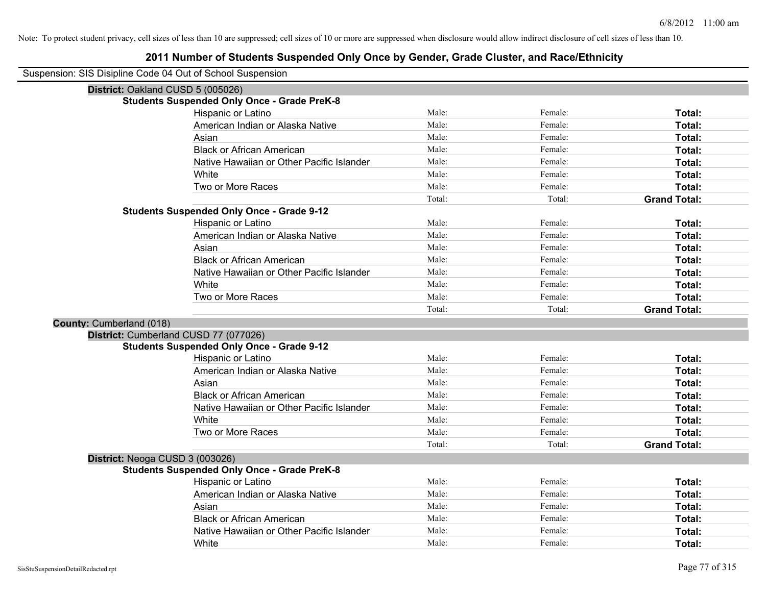| District: Oakland CUSD 5 (005026) |                                                    |        |         |                     |
|-----------------------------------|----------------------------------------------------|--------|---------|---------------------|
|                                   | <b>Students Suspended Only Once - Grade PreK-8</b> |        |         |                     |
|                                   | Hispanic or Latino                                 | Male:  | Female: | Total:              |
|                                   | American Indian or Alaska Native                   | Male:  | Female: | Total:              |
|                                   | Asian                                              | Male:  | Female: | Total:              |
|                                   | <b>Black or African American</b>                   | Male:  | Female: | Total:              |
|                                   | Native Hawaiian or Other Pacific Islander          | Male:  | Female: | <b>Total:</b>       |
|                                   | White                                              | Male:  | Female: | Total:              |
|                                   | Two or More Races                                  | Male:  | Female: | Total:              |
|                                   |                                                    | Total: | Total:  | <b>Grand Total:</b> |
|                                   | <b>Students Suspended Only Once - Grade 9-12</b>   |        |         |                     |
|                                   | Hispanic or Latino                                 | Male:  | Female: | Total:              |
|                                   | American Indian or Alaska Native                   | Male:  | Female: | Total:              |
|                                   | Asian                                              | Male:  | Female: | Total:              |
|                                   | <b>Black or African American</b>                   | Male:  | Female: | Total:              |
|                                   | Native Hawaiian or Other Pacific Islander          | Male:  | Female: | Total:              |
|                                   | White                                              | Male:  | Female: | Total:              |
|                                   | Two or More Races                                  | Male:  | Female: | Total:              |
|                                   |                                                    | Total: | Total:  | <b>Grand Total:</b> |
| <b>County: Cumberland (018)</b>   |                                                    |        |         |                     |
|                                   | District: Cumberland CUSD 77 (077026)              |        |         |                     |
|                                   | <b>Students Suspended Only Once - Grade 9-12</b>   |        |         |                     |
|                                   | Hispanic or Latino                                 | Male:  | Female: | Total:              |
|                                   | American Indian or Alaska Native                   | Male:  | Female: | Total:              |
|                                   | Asian                                              | Male:  | Female: | Total:              |
|                                   | <b>Black or African American</b>                   | Male:  | Female: | Total:              |
|                                   | Native Hawaiian or Other Pacific Islander          | Male:  | Female: | Total:              |
|                                   | White                                              | Male:  | Female: | Total:              |
|                                   | Two or More Races                                  | Male:  | Female: | Total:              |
|                                   |                                                    | Total: | Total:  | <b>Grand Total:</b> |
| District: Neoga CUSD 3 (003026)   |                                                    |        |         |                     |
|                                   | <b>Students Suspended Only Once - Grade PreK-8</b> |        |         |                     |
|                                   | Hispanic or Latino                                 | Male:  | Female: | <b>Total:</b>       |
|                                   | American Indian or Alaska Native                   | Male:  | Female: | Total:              |
|                                   | Asian                                              | Male:  | Female: | <b>Total:</b>       |
|                                   | <b>Black or African American</b>                   | Male:  | Female: | Total:              |
|                                   | Native Hawaiian or Other Pacific Islander          | Male:  | Female: | Total:              |
|                                   | White                                              | Male:  | Female: | Total:              |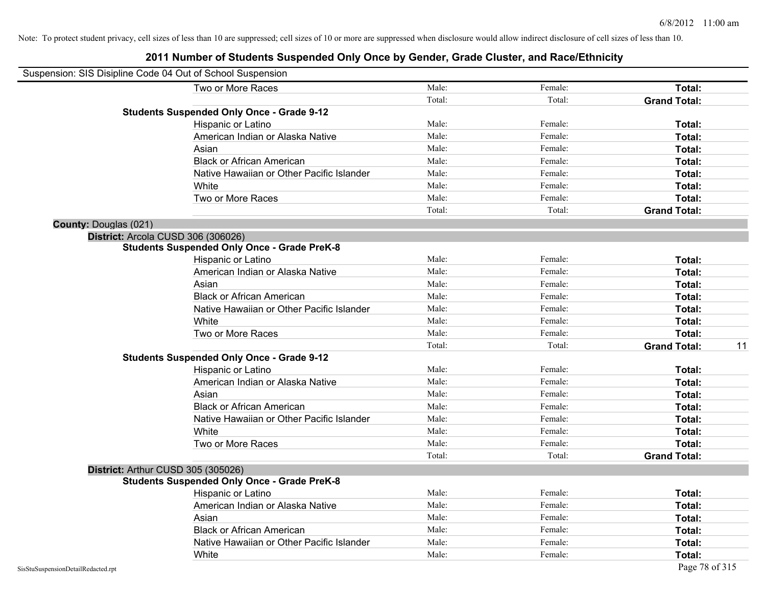|                              | Suspension: SIS Disipline Code 04 Out of School Suspension |        |         |                           |
|------------------------------|------------------------------------------------------------|--------|---------|---------------------------|
|                              | Two or More Races                                          | Male:  | Female: | Total:                    |
|                              |                                                            | Total: | Total:  | <b>Grand Total:</b>       |
|                              | <b>Students Suspended Only Once - Grade 9-12</b>           |        |         |                           |
|                              | Hispanic or Latino                                         | Male:  | Female: | Total:                    |
|                              | American Indian or Alaska Native                           | Male:  | Female: | Total:                    |
|                              | Asian                                                      | Male:  | Female: | Total:                    |
|                              | <b>Black or African American</b>                           | Male:  | Female: | Total:                    |
|                              | Native Hawaiian or Other Pacific Islander                  | Male:  | Female: | Total:                    |
|                              | White                                                      | Male:  | Female: | Total:                    |
|                              | Two or More Races                                          | Male:  | Female: | Total:                    |
|                              |                                                            | Total: | Total:  | <b>Grand Total:</b>       |
| <b>County: Douglas (021)</b> |                                                            |        |         |                           |
|                              | District: Arcola CUSD 306 (306026)                         |        |         |                           |
|                              | <b>Students Suspended Only Once - Grade PreK-8</b>         |        |         |                           |
|                              | Hispanic or Latino                                         | Male:  | Female: | Total:                    |
|                              | American Indian or Alaska Native                           | Male:  | Female: | Total:                    |
|                              | Asian                                                      | Male:  | Female: | Total:                    |
|                              | <b>Black or African American</b>                           | Male:  | Female: | Total:                    |
|                              | Native Hawaiian or Other Pacific Islander                  | Male:  | Female: | Total:                    |
|                              | White                                                      | Male:  | Female: | Total:                    |
|                              | Two or More Races                                          | Male:  | Female: | Total:                    |
|                              |                                                            | Total: | Total:  | <b>Grand Total:</b><br>11 |
|                              | <b>Students Suspended Only Once - Grade 9-12</b>           |        |         |                           |
|                              | Hispanic or Latino                                         | Male:  | Female: | Total:                    |
|                              | American Indian or Alaska Native                           | Male:  | Female: | Total:                    |
|                              | Asian                                                      | Male:  | Female: | Total:                    |
|                              | <b>Black or African American</b>                           | Male:  | Female: | Total:                    |
|                              | Native Hawaiian or Other Pacific Islander                  | Male:  | Female: | Total:                    |
|                              | White                                                      | Male:  | Female: | Total:                    |
|                              | Two or More Races                                          | Male:  | Female: | Total:                    |
|                              |                                                            | Total: | Total:  | <b>Grand Total:</b>       |
|                              | District: Arthur CUSD 305 (305026)                         |        |         |                           |
|                              | <b>Students Suspended Only Once - Grade PreK-8</b>         |        |         |                           |
|                              | Hispanic or Latino                                         | Male:  | Female: | Total:                    |
|                              | American Indian or Alaska Native                           | Male:  | Female: | Total:                    |
|                              | Asian                                                      | Male:  | Female: | Total:                    |
|                              | <b>Black or African American</b>                           | Male:  | Female: | Total:                    |
|                              | Native Hawaiian or Other Pacific Islander                  | Male:  | Female: | Total:                    |
|                              | White                                                      | Male:  | Female: | Total:                    |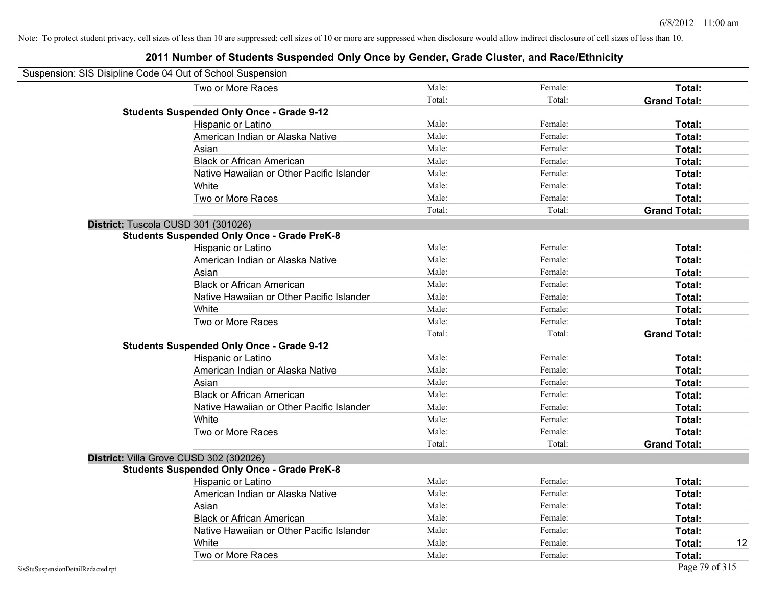| Suspension: SIS Disipline Code 04 Out of School Suspension |                                                    |        |         |                     |
|------------------------------------------------------------|----------------------------------------------------|--------|---------|---------------------|
|                                                            | Two or More Races                                  | Male:  | Female: | Total:              |
|                                                            |                                                    | Total: | Total:  | <b>Grand Total:</b> |
|                                                            | <b>Students Suspended Only Once - Grade 9-12</b>   |        |         |                     |
|                                                            | Hispanic or Latino                                 | Male:  | Female: | Total:              |
|                                                            | American Indian or Alaska Native                   | Male:  | Female: | Total:              |
|                                                            | Asian                                              | Male:  | Female: | <b>Total:</b>       |
|                                                            | <b>Black or African American</b>                   | Male:  | Female: | <b>Total:</b>       |
|                                                            | Native Hawaiian or Other Pacific Islander          | Male:  | Female: | Total:              |
|                                                            | White                                              | Male:  | Female: | Total:              |
|                                                            | Two or More Races                                  | Male:  | Female: | Total:              |
|                                                            |                                                    | Total: | Total:  | <b>Grand Total:</b> |
|                                                            | District: Tuscola CUSD 301 (301026)                |        |         |                     |
|                                                            | <b>Students Suspended Only Once - Grade PreK-8</b> |        |         |                     |
|                                                            | Hispanic or Latino                                 | Male:  | Female: | Total:              |
|                                                            | American Indian or Alaska Native                   | Male:  | Female: | Total:              |
|                                                            | Asian                                              | Male:  | Female: | Total:              |
|                                                            | <b>Black or African American</b>                   | Male:  | Female: | Total:              |
|                                                            | Native Hawaiian or Other Pacific Islander          | Male:  | Female: | Total:              |
|                                                            | White                                              | Male:  | Female: | Total:              |
|                                                            | Two or More Races                                  | Male:  | Female: | Total:              |
|                                                            |                                                    | Total: | Total:  | <b>Grand Total:</b> |
|                                                            | <b>Students Suspended Only Once - Grade 9-12</b>   |        |         |                     |
|                                                            | Hispanic or Latino                                 | Male:  | Female: | Total:              |
|                                                            | American Indian or Alaska Native                   | Male:  | Female: | Total:              |
|                                                            | Asian                                              | Male:  | Female: | Total:              |
|                                                            | <b>Black or African American</b>                   | Male:  | Female: | Total:              |
|                                                            | Native Hawaiian or Other Pacific Islander          | Male:  | Female: | <b>Total:</b>       |
|                                                            | White                                              | Male:  | Female: | <b>Total:</b>       |
|                                                            | Two or More Races                                  | Male:  | Female: | Total:              |
|                                                            |                                                    | Total: | Total:  | <b>Grand Total:</b> |
|                                                            | District: Villa Grove CUSD 302 (302026)            |        |         |                     |
|                                                            | <b>Students Suspended Only Once - Grade PreK-8</b> |        |         |                     |
|                                                            | Hispanic or Latino                                 | Male:  | Female: | <b>Total:</b>       |
|                                                            | American Indian or Alaska Native                   | Male:  | Female: | <b>Total:</b>       |
|                                                            | Asian                                              | Male:  | Female: | Total:              |
|                                                            | <b>Black or African American</b>                   | Male:  | Female: | Total:              |
|                                                            | Native Hawaiian or Other Pacific Islander          | Male:  | Female: | Total:              |
|                                                            | White                                              | Male:  | Female: | <b>Total:</b><br>12 |
|                                                            | Two or More Races                                  | Male:  | Female: | <b>Total:</b>       |
| SisStuSuspensionDetailRedacted.rpt                         |                                                    |        |         | Page 79 of 315      |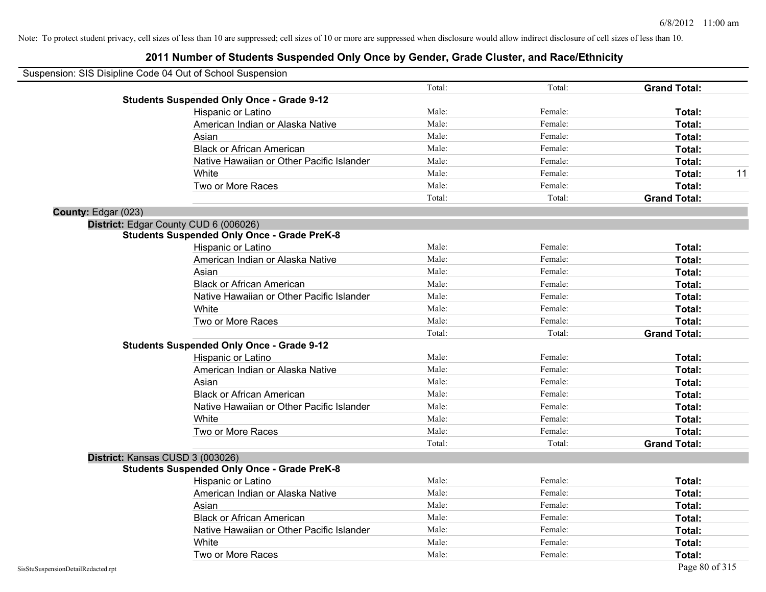|                     | Suspension: SIS Disipline Code 04 Out of School Suspension |        |         |                     |    |
|---------------------|------------------------------------------------------------|--------|---------|---------------------|----|
|                     |                                                            | Total: | Total:  | <b>Grand Total:</b> |    |
|                     | <b>Students Suspended Only Once - Grade 9-12</b>           |        |         |                     |    |
|                     | Hispanic or Latino                                         | Male:  | Female: | Total:              |    |
|                     | American Indian or Alaska Native                           | Male:  | Female: | Total:              |    |
|                     | Asian                                                      | Male:  | Female: | Total:              |    |
|                     | <b>Black or African American</b>                           | Male:  | Female: | Total:              |    |
|                     | Native Hawaiian or Other Pacific Islander                  | Male:  | Female: | Total:              |    |
|                     | White                                                      | Male:  | Female: | Total:              | 11 |
|                     | Two or More Races                                          | Male:  | Female: | Total:              |    |
|                     |                                                            | Total: | Total:  | <b>Grand Total:</b> |    |
| County: Edgar (023) |                                                            |        |         |                     |    |
|                     | District: Edgar County CUD 6 (006026)                      |        |         |                     |    |
|                     | <b>Students Suspended Only Once - Grade PreK-8</b>         |        |         |                     |    |
|                     | Hispanic or Latino                                         | Male:  | Female: | Total:              |    |
|                     | American Indian or Alaska Native                           | Male:  | Female: | Total:              |    |
|                     | Asian                                                      | Male:  | Female: | <b>Total:</b>       |    |
|                     | <b>Black or African American</b>                           | Male:  | Female: | Total:              |    |
|                     | Native Hawaiian or Other Pacific Islander                  | Male:  | Female: | Total:              |    |
|                     | White                                                      | Male:  | Female: | Total:              |    |
|                     | Two or More Races                                          | Male:  | Female: | Total:              |    |
|                     |                                                            | Total: | Total:  | <b>Grand Total:</b> |    |
|                     | <b>Students Suspended Only Once - Grade 9-12</b>           |        |         |                     |    |
|                     | Hispanic or Latino                                         | Male:  | Female: | Total:              |    |
|                     | American Indian or Alaska Native                           | Male:  | Female: | Total:              |    |
|                     | Asian                                                      | Male:  | Female: | Total:              |    |
|                     | <b>Black or African American</b>                           | Male:  | Female: | Total:              |    |
|                     | Native Hawaiian or Other Pacific Islander                  | Male:  | Female: | Total:              |    |
|                     | White                                                      | Male:  | Female: | Total:              |    |
|                     | Two or More Races                                          | Male:  | Female: | Total:              |    |
|                     |                                                            | Total: | Total:  | <b>Grand Total:</b> |    |
|                     | District: Kansas CUSD 3 (003026)                           |        |         |                     |    |
|                     | <b>Students Suspended Only Once - Grade PreK-8</b>         |        |         |                     |    |
|                     | Hispanic or Latino                                         | Male:  | Female: | Total:              |    |
|                     | American Indian or Alaska Native                           | Male:  | Female: | Total:              |    |
|                     | Asian                                                      | Male:  | Female: | Total:              |    |
|                     | <b>Black or African American</b>                           | Male:  | Female: | Total:              |    |
|                     | Native Hawaiian or Other Pacific Islander                  | Male:  | Female: | Total:              |    |
|                     | White                                                      | Male:  | Female: | Total:              |    |
|                     | Two or More Races                                          | Male:  | Female: | Total:              |    |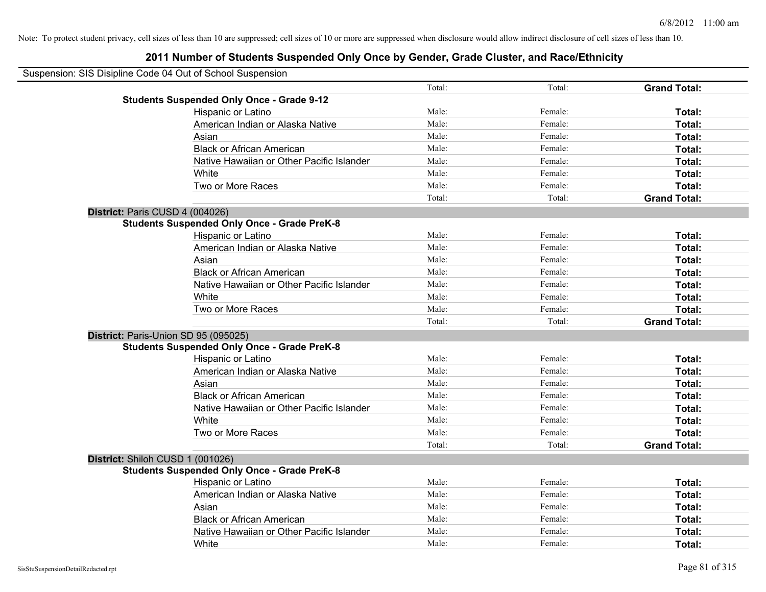| Suspension: SIS Disipline Code 04 Out of School Suspension |                                                    |        |         |                     |
|------------------------------------------------------------|----------------------------------------------------|--------|---------|---------------------|
|                                                            |                                                    | Total: | Total:  | <b>Grand Total:</b> |
|                                                            | <b>Students Suspended Only Once - Grade 9-12</b>   |        |         |                     |
|                                                            | Hispanic or Latino                                 | Male:  | Female: | Total:              |
|                                                            | American Indian or Alaska Native                   | Male:  | Female: | Total:              |
|                                                            | Asian                                              | Male:  | Female: | Total:              |
|                                                            | <b>Black or African American</b>                   | Male:  | Female: | Total:              |
|                                                            | Native Hawaiian or Other Pacific Islander          | Male:  | Female: | Total:              |
|                                                            | White                                              | Male:  | Female: | Total:              |
|                                                            | Two or More Races                                  | Male:  | Female: | Total:              |
|                                                            |                                                    | Total: | Total:  | <b>Grand Total:</b> |
| District: Paris CUSD 4 (004026)                            |                                                    |        |         |                     |
|                                                            | <b>Students Suspended Only Once - Grade PreK-8</b> |        |         |                     |
|                                                            | Hispanic or Latino                                 | Male:  | Female: | Total:              |
|                                                            | American Indian or Alaska Native                   | Male:  | Female: | Total:              |
|                                                            | Asian                                              | Male:  | Female: | Total:              |
|                                                            | <b>Black or African American</b>                   | Male:  | Female: | Total:              |
|                                                            | Native Hawaiian or Other Pacific Islander          | Male:  | Female: | Total:              |
|                                                            | White                                              | Male:  | Female: | Total:              |
|                                                            | Two or More Races                                  | Male:  | Female: | Total:              |
|                                                            |                                                    | Total: | Total:  | <b>Grand Total:</b> |
| District: Paris-Union SD 95 (095025)                       |                                                    |        |         |                     |
|                                                            | <b>Students Suspended Only Once - Grade PreK-8</b> |        |         |                     |
|                                                            | Hispanic or Latino                                 | Male:  | Female: | Total:              |
|                                                            | American Indian or Alaska Native                   | Male:  | Female: | Total:              |
|                                                            | Asian                                              | Male:  | Female: | Total:              |
|                                                            | <b>Black or African American</b>                   | Male:  | Female: | Total:              |
|                                                            | Native Hawaiian or Other Pacific Islander          | Male:  | Female: | Total:              |
|                                                            | White                                              | Male:  | Female: | Total:              |
|                                                            | Two or More Races                                  | Male:  | Female: | Total:              |
|                                                            |                                                    | Total: | Total:  | <b>Grand Total:</b> |
| District: Shiloh CUSD 1 (001026)                           |                                                    |        |         |                     |
|                                                            | <b>Students Suspended Only Once - Grade PreK-8</b> |        |         |                     |
|                                                            | Hispanic or Latino                                 | Male:  | Female: | Total:              |
|                                                            | American Indian or Alaska Native                   | Male:  | Female: | Total:              |
|                                                            | Asian                                              | Male:  | Female: | Total:              |
|                                                            | <b>Black or African American</b>                   | Male:  | Female: | Total:              |
|                                                            | Native Hawaiian or Other Pacific Islander          | Male:  | Female: | <b>Total:</b>       |
|                                                            | White                                              | Male:  | Female: | Total:              |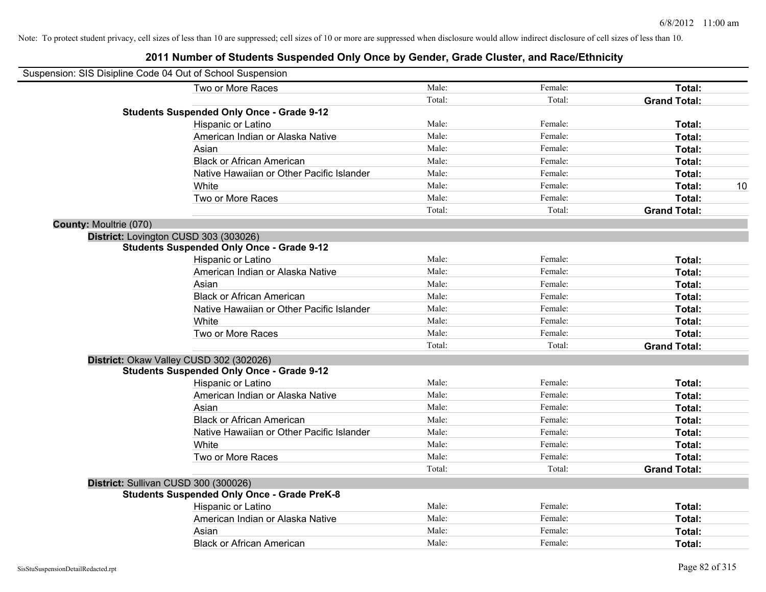|                        | Suspension: SIS Disipline Code 04 Out of School Suspension |        |         |                     |    |
|------------------------|------------------------------------------------------------|--------|---------|---------------------|----|
|                        | Two or More Races                                          | Male:  | Female: | Total:              |    |
|                        |                                                            | Total: | Total:  | <b>Grand Total:</b> |    |
|                        | <b>Students Suspended Only Once - Grade 9-12</b>           |        |         |                     |    |
|                        | Hispanic or Latino                                         | Male:  | Female: | Total:              |    |
|                        | American Indian or Alaska Native                           | Male:  | Female: | Total:              |    |
|                        | Asian                                                      | Male:  | Female: | Total:              |    |
|                        | <b>Black or African American</b>                           | Male:  | Female: | Total:              |    |
|                        | Native Hawaiian or Other Pacific Islander                  | Male:  | Female: | Total:              |    |
|                        | White                                                      | Male:  | Female: | Total:              | 10 |
|                        | Two or More Races                                          | Male:  | Female: | Total:              |    |
|                        |                                                            | Total: | Total:  | <b>Grand Total:</b> |    |
| County: Moultrie (070) |                                                            |        |         |                     |    |
|                        | District: Lovington CUSD 303 (303026)                      |        |         |                     |    |
|                        | <b>Students Suspended Only Once - Grade 9-12</b>           |        |         |                     |    |
|                        | Hispanic or Latino                                         | Male:  | Female: | Total:              |    |
|                        | American Indian or Alaska Native                           | Male:  | Female: | Total:              |    |
|                        | Asian                                                      | Male:  | Female: | Total:              |    |
|                        | <b>Black or African American</b>                           | Male:  | Female: | Total:              |    |
|                        | Native Hawaiian or Other Pacific Islander                  | Male:  | Female: | Total:              |    |
|                        | White                                                      | Male:  | Female: | Total:              |    |
|                        | Two or More Races                                          | Male:  | Female: | Total:              |    |
|                        |                                                            | Total: | Total:  | <b>Grand Total:</b> |    |
|                        | District: Okaw Valley CUSD 302 (302026)                    |        |         |                     |    |
|                        | <b>Students Suspended Only Once - Grade 9-12</b>           |        |         |                     |    |
|                        | Hispanic or Latino                                         | Male:  | Female: | Total:              |    |
|                        | American Indian or Alaska Native                           | Male:  | Female: | Total:              |    |
|                        | Asian                                                      | Male:  | Female: | Total:              |    |
|                        | <b>Black or African American</b>                           | Male:  | Female: | Total:              |    |
|                        | Native Hawaiian or Other Pacific Islander                  | Male:  | Female: | Total:              |    |
|                        | White                                                      | Male:  | Female: | Total:              |    |
|                        | Two or More Races                                          | Male:  | Female: | Total:              |    |
|                        |                                                            | Total: | Total:  | <b>Grand Total:</b> |    |
|                        | District: Sullivan CUSD 300 (300026)                       |        |         |                     |    |
|                        | <b>Students Suspended Only Once - Grade PreK-8</b>         |        |         |                     |    |
|                        | Hispanic or Latino                                         | Male:  | Female: | Total:              |    |
|                        | American Indian or Alaska Native                           | Male:  | Female: | Total:              |    |
|                        | Asian                                                      | Male:  | Female: | Total:              |    |
|                        | <b>Black or African American</b>                           | Male:  | Female: | Total:              |    |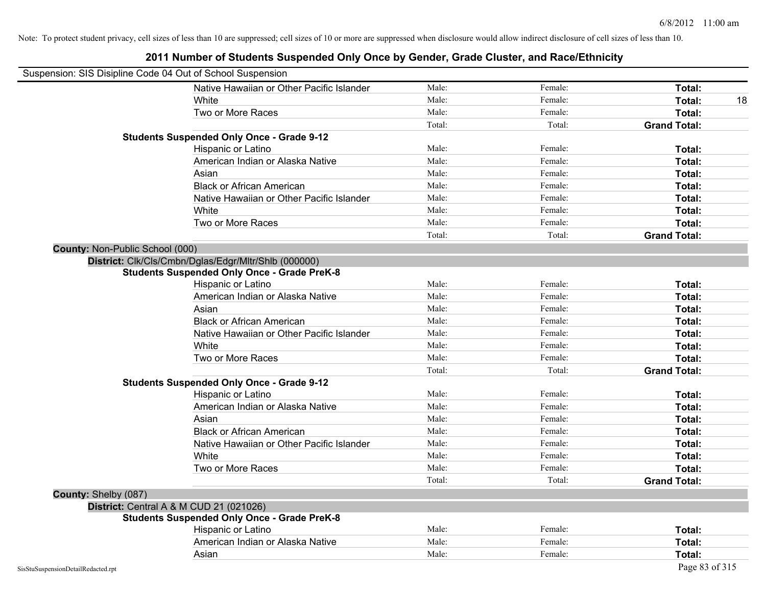| Suspension: SIS Disipline Code 04 Out of School Suspension |                                                      |        |         |                     |
|------------------------------------------------------------|------------------------------------------------------|--------|---------|---------------------|
|                                                            | Native Hawaiian or Other Pacific Islander            | Male:  | Female: | Total:              |
|                                                            | White                                                | Male:  | Female: | Total:<br>18        |
|                                                            | Two or More Races                                    | Male:  | Female: | Total:              |
|                                                            |                                                      | Total: | Total:  | <b>Grand Total:</b> |
|                                                            | <b>Students Suspended Only Once - Grade 9-12</b>     |        |         |                     |
|                                                            | Hispanic or Latino                                   | Male:  | Female: | Total:              |
|                                                            | American Indian or Alaska Native                     | Male:  | Female: | Total:              |
|                                                            | Asian                                                | Male:  | Female: | Total:              |
|                                                            | <b>Black or African American</b>                     | Male:  | Female: | Total:              |
|                                                            | Native Hawaiian or Other Pacific Islander            | Male:  | Female: | Total:              |
|                                                            | White                                                | Male:  | Female: | Total:              |
|                                                            | Two or More Races                                    | Male:  | Female: | Total:              |
|                                                            |                                                      | Total: | Total:  | <b>Grand Total:</b> |
| County: Non-Public School (000)                            |                                                      |        |         |                     |
|                                                            | District: Clk/Cls/Cmbn/Dglas/Edgr/Mltr/Shlb (000000) |        |         |                     |
|                                                            | <b>Students Suspended Only Once - Grade PreK-8</b>   |        |         |                     |
|                                                            | Hispanic or Latino                                   | Male:  | Female: | Total:              |
|                                                            | American Indian or Alaska Native                     | Male:  | Female: | Total:              |
|                                                            | Asian                                                | Male:  | Female: | Total:              |
|                                                            | <b>Black or African American</b>                     | Male:  | Female: | Total:              |
|                                                            | Native Hawaiian or Other Pacific Islander            | Male:  | Female: | Total:              |
|                                                            | White                                                | Male:  | Female: | Total:              |
|                                                            | Two or More Races                                    | Male:  | Female: | Total:              |
|                                                            |                                                      | Total: | Total:  | <b>Grand Total:</b> |
|                                                            | <b>Students Suspended Only Once - Grade 9-12</b>     |        |         |                     |
|                                                            | Hispanic or Latino                                   | Male:  | Female: | Total:              |
|                                                            | American Indian or Alaska Native                     | Male:  | Female: | Total:              |
|                                                            | Asian                                                | Male:  | Female: | Total:              |
|                                                            | <b>Black or African American</b>                     | Male:  | Female: | Total:              |
|                                                            | Native Hawaiian or Other Pacific Islander            | Male:  | Female: | Total:              |
|                                                            | White                                                | Male:  | Female: | Total:              |
|                                                            | Two or More Races                                    | Male:  | Female: | Total:              |
|                                                            |                                                      | Total: | Total:  | <b>Grand Total:</b> |
| County: Shelby (087)                                       |                                                      |        |         |                     |
|                                                            | District: Central A & M CUD 21 (021026)              |        |         |                     |
|                                                            | <b>Students Suspended Only Once - Grade PreK-8</b>   |        |         |                     |
|                                                            | Hispanic or Latino                                   | Male:  | Female: | Total:              |
|                                                            | American Indian or Alaska Native                     | Male:  | Female: | Total:              |
|                                                            | Asian                                                | Male:  | Female: | Total:              |
| SisStuSuspensionDetailRedacted.rpt                         |                                                      |        |         | Page 83 of 315      |

#### **2011 Number of Students Suspended Only Once by Gender, Grade Cluster, and Race/Ethnicity**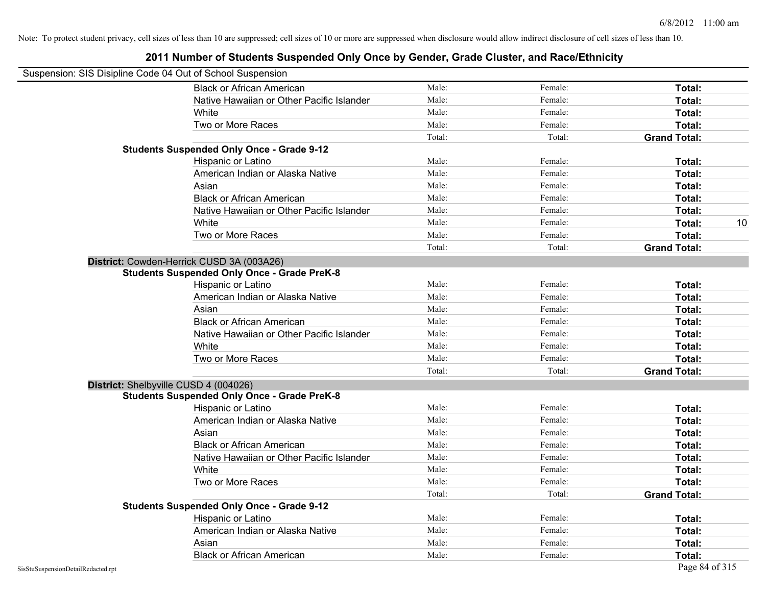| Suspension: SIS Disipline Code 04 Out of School Suspension |                                                    |        |         |                     |    |
|------------------------------------------------------------|----------------------------------------------------|--------|---------|---------------------|----|
|                                                            | <b>Black or African American</b>                   | Male:  | Female: | Total:              |    |
|                                                            | Native Hawaiian or Other Pacific Islander          | Male:  | Female: | Total:              |    |
|                                                            | White                                              | Male:  | Female: | Total:              |    |
|                                                            | Two or More Races                                  | Male:  | Female: | Total:              |    |
|                                                            |                                                    | Total: | Total:  | <b>Grand Total:</b> |    |
|                                                            | <b>Students Suspended Only Once - Grade 9-12</b>   |        |         |                     |    |
|                                                            | Hispanic or Latino                                 | Male:  | Female: | Total:              |    |
|                                                            | American Indian or Alaska Native                   | Male:  | Female: | Total:              |    |
|                                                            | Asian                                              | Male:  | Female: | Total:              |    |
|                                                            | <b>Black or African American</b>                   | Male:  | Female: | Total:              |    |
|                                                            | Native Hawaiian or Other Pacific Islander          | Male:  | Female: | Total:              |    |
|                                                            | White                                              | Male:  | Female: | Total:              | 10 |
|                                                            | Two or More Races                                  | Male:  | Female: | Total:              |    |
|                                                            |                                                    | Total: | Total:  | <b>Grand Total:</b> |    |
|                                                            | District: Cowden-Herrick CUSD 3A (003A26)          |        |         |                     |    |
|                                                            | <b>Students Suspended Only Once - Grade PreK-8</b> |        |         |                     |    |
|                                                            | Hispanic or Latino                                 | Male:  | Female: | Total:              |    |
|                                                            | American Indian or Alaska Native                   | Male:  | Female: | Total:              |    |
|                                                            | Asian                                              | Male:  | Female: | Total:              |    |
|                                                            | <b>Black or African American</b>                   | Male:  | Female: | Total:              |    |
|                                                            | Native Hawaiian or Other Pacific Islander          | Male:  | Female: | Total:              |    |
|                                                            | White                                              | Male:  | Female: | Total:              |    |
|                                                            | Two or More Races                                  | Male:  | Female: | Total:              |    |
|                                                            |                                                    | Total: | Total:  | <b>Grand Total:</b> |    |
|                                                            | District: Shelbyville CUSD 4 (004026)              |        |         |                     |    |
|                                                            | <b>Students Suspended Only Once - Grade PreK-8</b> |        |         |                     |    |
|                                                            | Hispanic or Latino                                 | Male:  | Female: | Total:              |    |
|                                                            | American Indian or Alaska Native                   | Male:  | Female: | Total:              |    |
|                                                            | Asian                                              | Male:  | Female: | Total:              |    |
|                                                            | <b>Black or African American</b>                   | Male:  | Female: | Total:              |    |
|                                                            | Native Hawaiian or Other Pacific Islander          | Male:  | Female: | Total:              |    |
|                                                            | White                                              | Male:  | Female: | Total:              |    |
|                                                            | Two or More Races                                  | Male:  | Female: | Total:              |    |
|                                                            |                                                    | Total: | Total:  | <b>Grand Total:</b> |    |
|                                                            | <b>Students Suspended Only Once - Grade 9-12</b>   |        |         |                     |    |
|                                                            | Hispanic or Latino                                 | Male:  | Female: | Total:              |    |
|                                                            | American Indian or Alaska Native                   | Male:  | Female: | Total:              |    |
|                                                            | Asian                                              | Male:  | Female: | Total:              |    |
|                                                            | <b>Black or African American</b>                   | Male:  | Female: | Total:              |    |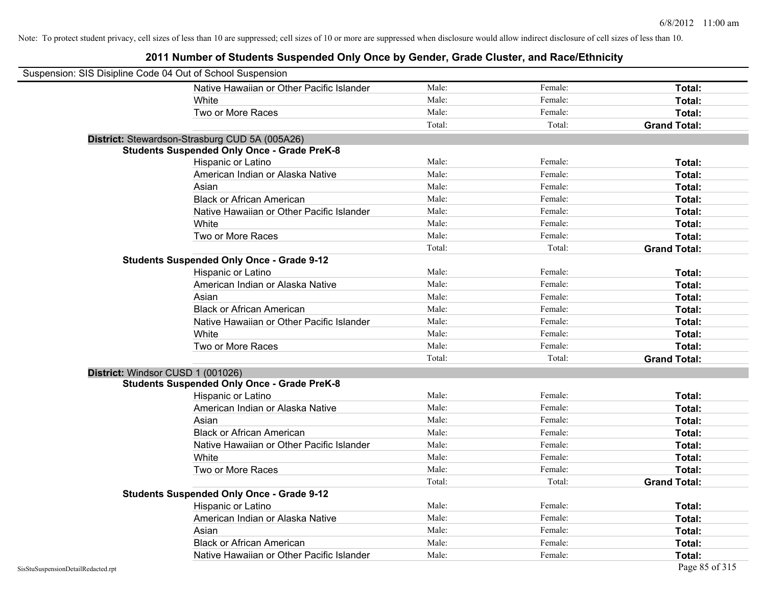| Suspension: SIS Disipline Code 04 Out of School Suspension |                                                    |        |         |                     |
|------------------------------------------------------------|----------------------------------------------------|--------|---------|---------------------|
|                                                            | Native Hawaiian or Other Pacific Islander          | Male:  | Female: | Total:              |
|                                                            | White                                              | Male:  | Female: | Total:              |
|                                                            | Two or More Races                                  | Male:  | Female: | Total:              |
|                                                            |                                                    | Total: | Total:  | <b>Grand Total:</b> |
|                                                            | District: Stewardson-Strasburg CUD 5A (005A26)     |        |         |                     |
|                                                            | <b>Students Suspended Only Once - Grade PreK-8</b> |        |         |                     |
|                                                            | Hispanic or Latino                                 | Male:  | Female: | Total:              |
|                                                            | American Indian or Alaska Native                   | Male:  | Female: | Total:              |
|                                                            | Asian                                              | Male:  | Female: | Total:              |
|                                                            | <b>Black or African American</b>                   | Male:  | Female: | Total:              |
|                                                            | Native Hawaiian or Other Pacific Islander          | Male:  | Female: | Total:              |
|                                                            | White                                              | Male:  | Female: | Total:              |
|                                                            | Two or More Races                                  | Male:  | Female: | Total:              |
|                                                            |                                                    | Total: | Total:  | <b>Grand Total:</b> |
|                                                            | <b>Students Suspended Only Once - Grade 9-12</b>   |        |         |                     |
|                                                            | Hispanic or Latino                                 | Male:  | Female: | Total:              |
|                                                            | American Indian or Alaska Native                   | Male:  | Female: | Total:              |
|                                                            | Asian                                              | Male:  | Female: | Total:              |
|                                                            | <b>Black or African American</b>                   | Male:  | Female: | Total:              |
|                                                            | Native Hawaiian or Other Pacific Islander          | Male:  | Female: | Total:              |
|                                                            | White                                              | Male:  | Female: | Total:              |
|                                                            | Two or More Races                                  | Male:  | Female: | Total:              |
|                                                            |                                                    | Total: | Total:  | <b>Grand Total:</b> |
| District: Windsor CUSD 1 (001026)                          |                                                    |        |         |                     |
|                                                            | <b>Students Suspended Only Once - Grade PreK-8</b> |        |         |                     |
|                                                            | Hispanic or Latino                                 | Male:  | Female: | Total:              |
|                                                            | American Indian or Alaska Native                   | Male:  | Female: | Total:              |
|                                                            | Asian                                              | Male:  | Female: | Total:              |
|                                                            | <b>Black or African American</b>                   | Male:  | Female: | Total:              |
|                                                            | Native Hawaiian or Other Pacific Islander          | Male:  | Female: | Total:              |
|                                                            | White                                              | Male:  | Female: | Total:              |
|                                                            | Two or More Races                                  | Male:  | Female: | Total:              |
|                                                            |                                                    | Total: | Total:  | <b>Grand Total:</b> |
|                                                            | <b>Students Suspended Only Once - Grade 9-12</b>   |        |         |                     |
|                                                            | Hispanic or Latino                                 | Male:  | Female: | Total:              |
|                                                            | American Indian or Alaska Native                   | Male:  | Female: | Total:              |
|                                                            | Asian                                              | Male:  | Female: | Total:              |
|                                                            | <b>Black or African American</b>                   | Male:  | Female: | Total:              |
|                                                            | Native Hawaiian or Other Pacific Islander          | Male:  | Female: | Total:              |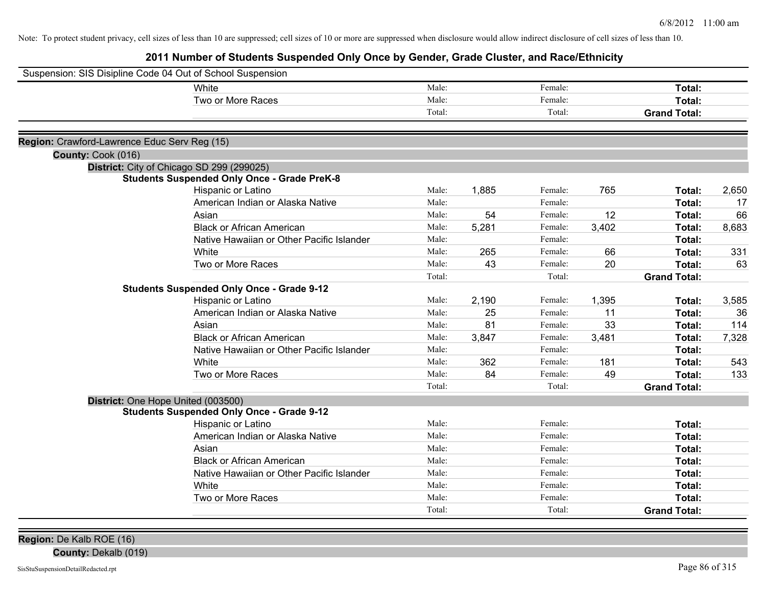**2011 Number of Students Suspended Only Once by Gender, Grade Cluster, and Race/Ethnicity**

| Suspension: SIS Disipline Code 04 Out of School Suspension |                                                    |        |       |         |       |                     |       |
|------------------------------------------------------------|----------------------------------------------------|--------|-------|---------|-------|---------------------|-------|
|                                                            | White                                              | Male:  |       | Female: |       | Total:              |       |
|                                                            | Two or More Races                                  | Male:  |       | Female: |       | Total:              |       |
|                                                            |                                                    | Total: |       | Total:  |       | <b>Grand Total:</b> |       |
| Region: Crawford-Lawrence Educ Serv Reg (15)               |                                                    |        |       |         |       |                     |       |
| County: Cook (016)                                         |                                                    |        |       |         |       |                     |       |
|                                                            | District: City of Chicago SD 299 (299025)          |        |       |         |       |                     |       |
|                                                            | <b>Students Suspended Only Once - Grade PreK-8</b> |        |       |         |       |                     |       |
|                                                            | Hispanic or Latino                                 | Male:  | 1,885 | Female: | 765   | Total:              | 2,650 |
|                                                            | American Indian or Alaska Native                   | Male:  |       | Female: |       | Total:              | 17    |
|                                                            | Asian                                              | Male:  | 54    | Female: | 12    | Total:              | 66    |
|                                                            | <b>Black or African American</b>                   | Male:  | 5,281 | Female: | 3,402 | Total:              | 8,683 |
|                                                            | Native Hawaiian or Other Pacific Islander          | Male:  |       | Female: |       | Total:              |       |
|                                                            | White                                              | Male:  | 265   | Female: | 66    | <b>Total:</b>       | 331   |
|                                                            | Two or More Races                                  | Male:  | 43    | Female: | 20    | <b>Total:</b>       | 63    |
|                                                            |                                                    | Total: |       | Total:  |       | <b>Grand Total:</b> |       |
|                                                            | <b>Students Suspended Only Once - Grade 9-12</b>   |        |       |         |       |                     |       |
|                                                            | Hispanic or Latino                                 | Male:  | 2,190 | Female: | 1,395 | Total:              | 3,585 |
|                                                            | American Indian or Alaska Native                   | Male:  | 25    | Female: | 11    | <b>Total:</b>       | 36    |
|                                                            | Asian                                              | Male:  | 81    | Female: | 33    | Total:              | 114   |
|                                                            | <b>Black or African American</b>                   | Male:  | 3,847 | Female: | 3,481 | Total:              | 7,328 |
|                                                            | Native Hawaiian or Other Pacific Islander          | Male:  |       | Female: |       | Total:              |       |
|                                                            | White                                              | Male:  | 362   | Female: | 181   | Total:              | 543   |
|                                                            | Two or More Races                                  | Male:  | 84    | Female: | 49    | Total:              | 133   |
|                                                            |                                                    | Total: |       | Total:  |       | <b>Grand Total:</b> |       |
|                                                            | District: One Hope United (003500)                 |        |       |         |       |                     |       |
|                                                            | <b>Students Suspended Only Once - Grade 9-12</b>   |        |       |         |       |                     |       |
|                                                            | Hispanic or Latino                                 | Male:  |       | Female: |       | Total:              |       |
|                                                            | American Indian or Alaska Native                   | Male:  |       | Female: |       | Total:              |       |
|                                                            | Asian                                              | Male:  |       | Female: |       | Total:              |       |
|                                                            | <b>Black or African American</b>                   | Male:  |       | Female: |       | Total:              |       |
|                                                            | Native Hawaiian or Other Pacific Islander          | Male:  |       | Female: |       | Total:              |       |
|                                                            | White                                              | Male:  |       | Female: |       | Total:              |       |
|                                                            | Two or More Races                                  | Male:  |       | Female: |       | Total:              |       |
|                                                            |                                                    | Total: |       | Total:  |       | <b>Grand Total:</b> |       |
|                                                            |                                                    |        |       |         |       |                     |       |

**Region:** De Kalb ROE (16)

**County:** Dekalb (019)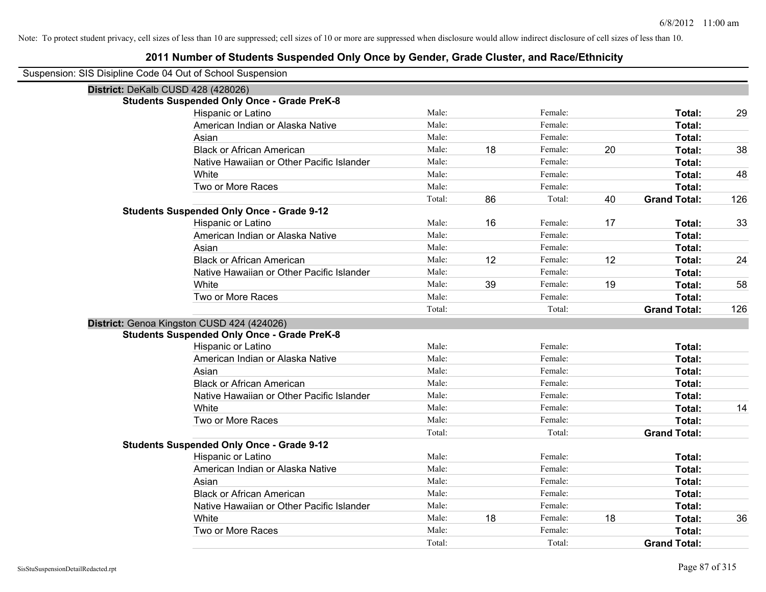#### **2011 Number of Students Suspended Only Once by Gender, Grade Cluster, and Race/Ethnicity**

Suspension: SIS Disipline Code 04 Out of School Suspension

| District: DeKalb CUSD 428 (428026)                 |        |    |         |    |                     |     |
|----------------------------------------------------|--------|----|---------|----|---------------------|-----|
| <b>Students Suspended Only Once - Grade PreK-8</b> |        |    |         |    |                     |     |
| Hispanic or Latino                                 | Male:  |    | Female: |    | Total:              | 29  |
| American Indian or Alaska Native                   | Male:  |    | Female: |    | Total:              |     |
| Asian                                              | Male:  |    | Female: |    | Total:              |     |
| <b>Black or African American</b>                   | Male:  | 18 | Female: | 20 | Total:              | 38  |
| Native Hawaiian or Other Pacific Islander          | Male:  |    | Female: |    | Total:              |     |
| White                                              | Male:  |    | Female: |    | Total:              | 48  |
| Two or More Races                                  | Male:  |    | Female: |    | Total:              |     |
|                                                    | Total: | 86 | Total:  | 40 | <b>Grand Total:</b> | 126 |
| <b>Students Suspended Only Once - Grade 9-12</b>   |        |    |         |    |                     |     |
| Hispanic or Latino                                 | Male:  | 16 | Female: | 17 | Total:              | 33  |
| American Indian or Alaska Native                   | Male:  |    | Female: |    | Total:              |     |
| Asian                                              | Male:  |    | Female: |    | Total:              |     |
| <b>Black or African American</b>                   | Male:  | 12 | Female: | 12 | Total:              | 24  |
| Native Hawaiian or Other Pacific Islander          | Male:  |    | Female: |    | Total:              |     |
| White                                              | Male:  | 39 | Female: | 19 | Total:              | 58  |
| Two or More Races                                  | Male:  |    | Female: |    | Total:              |     |
|                                                    | Total: |    | Total:  |    | <b>Grand Total:</b> | 126 |
| District: Genoa Kingston CUSD 424 (424026)         |        |    |         |    |                     |     |
| <b>Students Suspended Only Once - Grade PreK-8</b> |        |    |         |    |                     |     |
| Hispanic or Latino                                 | Male:  |    | Female: |    | Total:              |     |
| American Indian or Alaska Native                   | Male:  |    | Female: |    | Total:              |     |
| Asian                                              | Male:  |    | Female: |    | Total:              |     |
| <b>Black or African American</b>                   | Male:  |    | Female: |    | Total:              |     |
| Native Hawaiian or Other Pacific Islander          | Male:  |    | Female: |    | Total:              |     |
| White                                              | Male:  |    | Female: |    | Total:              | 14  |
| Two or More Races                                  | Male:  |    | Female: |    | Total:              |     |
|                                                    | Total: |    | Total:  |    | <b>Grand Total:</b> |     |
| <b>Students Suspended Only Once - Grade 9-12</b>   |        |    |         |    |                     |     |
| Hispanic or Latino                                 | Male:  |    | Female: |    | Total:              |     |
| American Indian or Alaska Native                   | Male:  |    | Female: |    | Total:              |     |
| Asian                                              | Male:  |    | Female: |    | Total:              |     |
| <b>Black or African American</b>                   | Male:  |    | Female: |    | Total:              |     |
| Native Hawaiian or Other Pacific Islander          | Male:  |    | Female: |    | Total:              |     |
| White                                              | Male:  | 18 | Female: | 18 | Total:              | 36  |
| Two or More Races                                  | Male:  |    | Female: |    | Total:              |     |
|                                                    | Total: |    | Total:  |    | <b>Grand Total:</b> |     |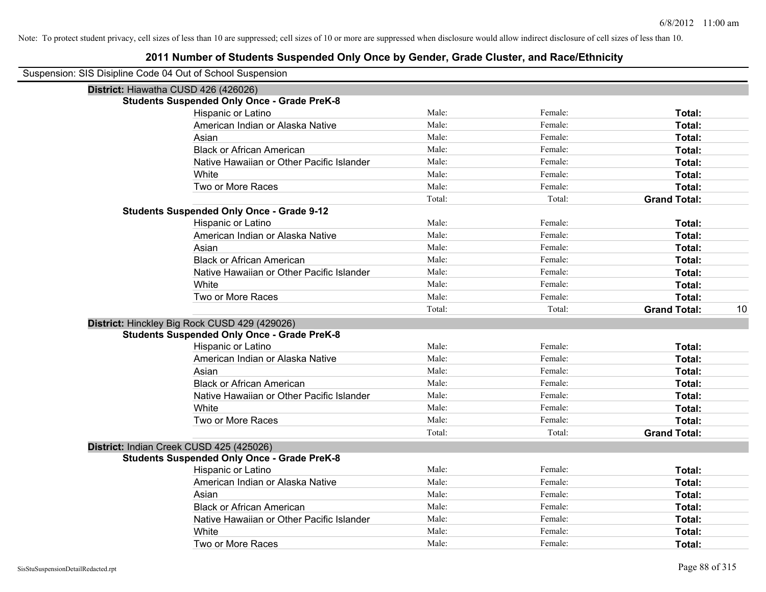| Suspension: SIS Disipline Code 04 Out of School Suspension |
|------------------------------------------------------------|
|------------------------------------------------------------|

| District: Hiawatha CUSD 426 (426026)               |        |         |                     |    |
|----------------------------------------------------|--------|---------|---------------------|----|
| <b>Students Suspended Only Once - Grade PreK-8</b> |        |         |                     |    |
| Hispanic or Latino                                 | Male:  | Female: | Total:              |    |
| American Indian or Alaska Native                   | Male:  | Female: | Total:              |    |
| Asian                                              | Male:  | Female: | <b>Total:</b>       |    |
| <b>Black or African American</b>                   | Male:  | Female: | <b>Total:</b>       |    |
| Native Hawaiian or Other Pacific Islander          | Male:  | Female: | Total:              |    |
| White                                              | Male:  | Female: | Total:              |    |
| Two or More Races                                  | Male:  | Female: | Total:              |    |
|                                                    | Total: | Total:  | <b>Grand Total:</b> |    |
| <b>Students Suspended Only Once - Grade 9-12</b>   |        |         |                     |    |
| Hispanic or Latino                                 | Male:  | Female: | Total:              |    |
| American Indian or Alaska Native                   | Male:  | Female: | <b>Total:</b>       |    |
| Asian                                              | Male:  | Female: | <b>Total:</b>       |    |
| <b>Black or African American</b>                   | Male:  | Female: | <b>Total:</b>       |    |
| Native Hawaiian or Other Pacific Islander          | Male:  | Female: | Total:              |    |
| White                                              | Male:  | Female: | Total:              |    |
| Two or More Races                                  | Male:  | Female: | Total:              |    |
|                                                    | Total: | Total:  | <b>Grand Total:</b> | 10 |
| District: Hinckley Big Rock CUSD 429 (429026)      |        |         |                     |    |
| <b>Students Suspended Only Once - Grade PreK-8</b> |        |         |                     |    |
| Hispanic or Latino                                 | Male:  | Female: | <b>Total:</b>       |    |
| American Indian or Alaska Native                   | Male:  | Female: | <b>Total:</b>       |    |
| Asian                                              | Male:  | Female: | Total:              |    |
| <b>Black or African American</b>                   | Male:  | Female: | <b>Total:</b>       |    |
| Native Hawaiian or Other Pacific Islander          | Male:  | Female: | <b>Total:</b>       |    |
| White                                              | Male:  | Female: | Total:              |    |
| Two or More Races                                  | Male:  | Female: | Total:              |    |
|                                                    | Total: | Total:  | <b>Grand Total:</b> |    |
| District: Indian Creek CUSD 425 (425026)           |        |         |                     |    |
| <b>Students Suspended Only Once - Grade PreK-8</b> |        |         |                     |    |
| Hispanic or Latino                                 | Male:  | Female: | <b>Total:</b>       |    |
| American Indian or Alaska Native                   | Male:  | Female: | Total:              |    |
| Asian                                              | Male:  | Female: | Total:              |    |
| <b>Black or African American</b>                   | Male:  | Female: | <b>Total:</b>       |    |
| Native Hawaiian or Other Pacific Islander          | Male:  | Female: | <b>Total:</b>       |    |
| White                                              | Male:  | Female: | Total:              |    |
| Two or More Races                                  | Male:  | Female: | Total:              |    |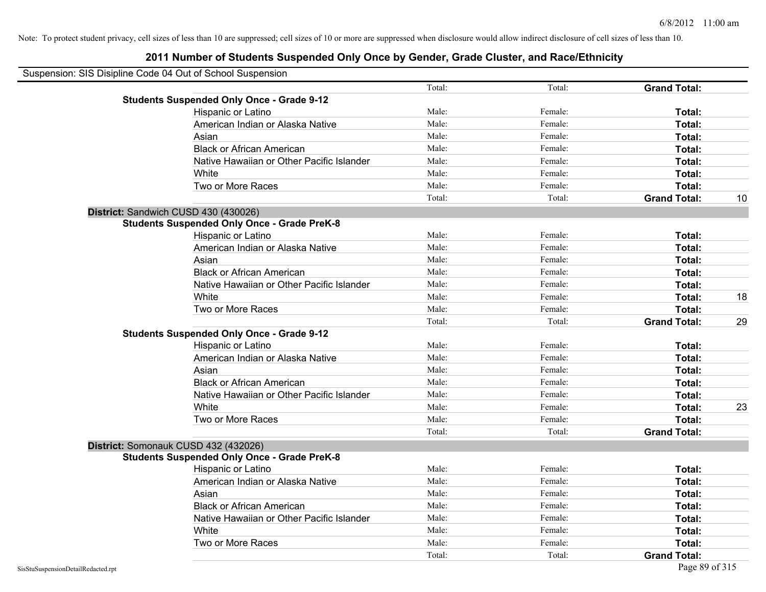| Suspension: SIS Disipline Code 04 Out of School Suspension |        |         |                     |    |
|------------------------------------------------------------|--------|---------|---------------------|----|
|                                                            | Total: | Total:  | <b>Grand Total:</b> |    |
| <b>Students Suspended Only Once - Grade 9-12</b>           |        |         |                     |    |
| Hispanic or Latino                                         | Male:  | Female: | Total:              |    |
| American Indian or Alaska Native                           | Male:  | Female: | Total:              |    |
| Asian                                                      | Male:  | Female: | Total:              |    |
| <b>Black or African American</b>                           | Male:  | Female: | Total:              |    |
| Native Hawaiian or Other Pacific Islander                  | Male:  | Female: | Total:              |    |
| White                                                      | Male:  | Female: | Total:              |    |
| Two or More Races                                          | Male:  | Female: | Total:              |    |
|                                                            | Total: | Total:  | <b>Grand Total:</b> | 10 |
| District: Sandwich CUSD 430 (430026)                       |        |         |                     |    |
| <b>Students Suspended Only Once - Grade PreK-8</b>         |        |         |                     |    |
| Hispanic or Latino                                         | Male:  | Female: | Total:              |    |
| American Indian or Alaska Native                           | Male:  | Female: | Total:              |    |
| Asian                                                      | Male:  | Female: | Total:              |    |
| <b>Black or African American</b>                           | Male:  | Female: | Total:              |    |
| Native Hawaiian or Other Pacific Islander                  | Male:  | Female: | Total:              |    |
| White                                                      | Male:  | Female: | Total:              | 18 |
| Two or More Races                                          | Male:  | Female: | Total:              |    |
|                                                            | Total: | Total:  | <b>Grand Total:</b> | 29 |
| <b>Students Suspended Only Once - Grade 9-12</b>           |        |         |                     |    |
| Hispanic or Latino                                         | Male:  | Female: | Total:              |    |
| American Indian or Alaska Native                           | Male:  | Female: | Total:              |    |
| Asian                                                      | Male:  | Female: | Total:              |    |
| <b>Black or African American</b>                           | Male:  | Female: | Total:              |    |
| Native Hawaiian or Other Pacific Islander                  | Male:  | Female: | Total:              |    |
| White                                                      | Male:  | Female: | Total:              | 23 |
| Two or More Races                                          | Male:  | Female: | Total:              |    |
|                                                            | Total: | Total:  | <b>Grand Total:</b> |    |
| District: Somonauk CUSD 432 (432026)                       |        |         |                     |    |
| <b>Students Suspended Only Once - Grade PreK-8</b>         |        |         |                     |    |
| Hispanic or Latino                                         | Male:  | Female: | Total:              |    |
| American Indian or Alaska Native                           | Male:  | Female: | Total:              |    |
| Asian                                                      | Male:  | Female: | Total:              |    |
| <b>Black or African American</b>                           | Male:  | Female: | Total:              |    |
| Native Hawaiian or Other Pacific Islander                  | Male:  | Female: | Total:              |    |
| White                                                      | Male:  | Female: | Total:              |    |
| Two or More Races                                          | Male:  | Female: | Total:              |    |
|                                                            | Total: | Total:  | <b>Grand Total:</b> |    |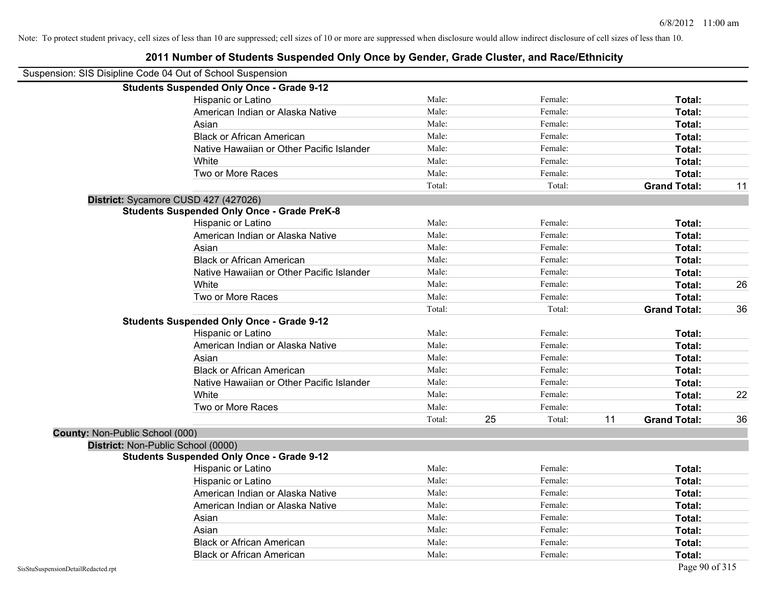| Suspension: SIS Disipline Code 04 Out of School Suspension |                                                    |        |    |         |    |                     |    |
|------------------------------------------------------------|----------------------------------------------------|--------|----|---------|----|---------------------|----|
|                                                            | <b>Students Suspended Only Once - Grade 9-12</b>   |        |    |         |    |                     |    |
|                                                            | Hispanic or Latino                                 | Male:  |    | Female: |    | Total:              |    |
|                                                            | American Indian or Alaska Native                   | Male:  |    | Female: |    | Total:              |    |
|                                                            | Asian                                              | Male:  |    | Female: |    | <b>Total:</b>       |    |
|                                                            | <b>Black or African American</b>                   | Male:  |    | Female: |    | Total:              |    |
|                                                            | Native Hawaiian or Other Pacific Islander          | Male:  |    | Female: |    | Total:              |    |
|                                                            | White                                              | Male:  |    | Female: |    | Total:              |    |
|                                                            | Two or More Races                                  | Male:  |    | Female: |    | Total:              |    |
|                                                            |                                                    | Total: |    | Total:  |    | <b>Grand Total:</b> | 11 |
| District: Sycamore CUSD 427 (427026)                       |                                                    |        |    |         |    |                     |    |
|                                                            | <b>Students Suspended Only Once - Grade PreK-8</b> |        |    |         |    |                     |    |
|                                                            | Hispanic or Latino                                 | Male:  |    | Female: |    | Total:              |    |
|                                                            | American Indian or Alaska Native                   | Male:  |    | Female: |    | Total:              |    |
|                                                            | Asian                                              | Male:  |    | Female: |    | Total:              |    |
|                                                            | <b>Black or African American</b>                   | Male:  |    | Female: |    | Total:              |    |
|                                                            | Native Hawaiian or Other Pacific Islander          | Male:  |    | Female: |    | Total:              |    |
|                                                            | White                                              | Male:  |    | Female: |    | Total:              | 26 |
|                                                            | Two or More Races                                  | Male:  |    | Female: |    | Total:              |    |
|                                                            |                                                    | Total: |    | Total:  |    | <b>Grand Total:</b> | 36 |
|                                                            | <b>Students Suspended Only Once - Grade 9-12</b>   |        |    |         |    |                     |    |
|                                                            | Hispanic or Latino                                 | Male:  |    | Female: |    | Total:              |    |
|                                                            | American Indian or Alaska Native                   | Male:  |    | Female: |    | Total:              |    |
|                                                            | Asian                                              | Male:  |    | Female: |    | Total:              |    |
|                                                            | <b>Black or African American</b>                   | Male:  |    | Female: |    | Total:              |    |
|                                                            | Native Hawaiian or Other Pacific Islander          | Male:  |    | Female: |    | Total:              |    |
|                                                            | White                                              | Male:  |    | Female: |    | Total:              | 22 |
|                                                            | Two or More Races                                  | Male:  |    | Female: |    | Total:              |    |
|                                                            |                                                    | Total: | 25 | Total:  | 11 | <b>Grand Total:</b> | 36 |
| County: Non-Public School (000)                            |                                                    |        |    |         |    |                     |    |
| District: Non-Public School (0000)                         |                                                    |        |    |         |    |                     |    |
|                                                            | <b>Students Suspended Only Once - Grade 9-12</b>   |        |    |         |    |                     |    |
|                                                            | Hispanic or Latino                                 | Male:  |    | Female: |    | Total:              |    |
|                                                            | Hispanic or Latino                                 | Male:  |    | Female: |    | Total:              |    |
|                                                            | American Indian or Alaska Native                   | Male:  |    | Female: |    | Total:              |    |
|                                                            | American Indian or Alaska Native                   | Male:  |    | Female: |    | Total:              |    |
|                                                            | Asian                                              | Male:  |    | Female: |    | Total:              |    |
|                                                            | Asian                                              | Male:  |    | Female: |    | Total:              |    |
|                                                            | <b>Black or African American</b>                   | Male:  |    | Female: |    | Total:              |    |
|                                                            | <b>Black or African American</b>                   | Male:  |    | Female: |    | Total:              |    |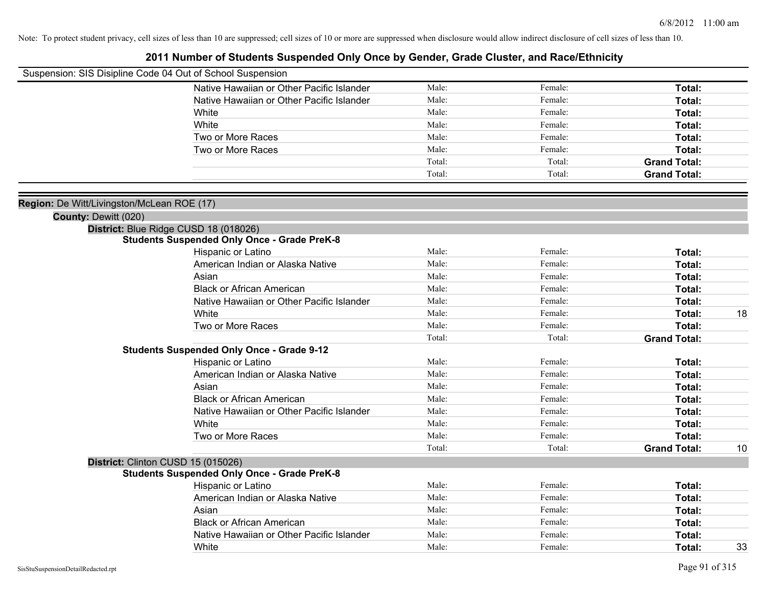|                                            | Suspension: SIS Disipline Code 04 Out of School Suspension |        |         |                     |    |
|--------------------------------------------|------------------------------------------------------------|--------|---------|---------------------|----|
|                                            | Native Hawaiian or Other Pacific Islander                  | Male:  | Female: | Total:              |    |
|                                            | Native Hawaiian or Other Pacific Islander                  | Male:  | Female: | Total:              |    |
|                                            | White                                                      | Male:  | Female: | Total:              |    |
|                                            | White                                                      | Male:  | Female: | Total:              |    |
|                                            | Two or More Races                                          | Male:  | Female: | Total:              |    |
|                                            | Two or More Races                                          | Male:  | Female: | Total:              |    |
|                                            |                                                            | Total: | Total:  | <b>Grand Total:</b> |    |
|                                            |                                                            | Total: | Total:  | <b>Grand Total:</b> |    |
| Region: De Witt/Livingston/McLean ROE (17) |                                                            |        |         |                     |    |
| County: Dewitt (020)                       |                                                            |        |         |                     |    |
|                                            | District: Blue Ridge CUSD 18 (018026)                      |        |         |                     |    |
|                                            | <b>Students Suspended Only Once - Grade PreK-8</b>         |        |         |                     |    |
|                                            | Hispanic or Latino                                         | Male:  | Female: | Total:              |    |
|                                            | American Indian or Alaska Native                           | Male:  | Female: | Total:              |    |
|                                            | Asian                                                      | Male:  | Female: | Total:              |    |
|                                            | <b>Black or African American</b>                           | Male:  | Female: | Total:              |    |
|                                            | Native Hawaiian or Other Pacific Islander                  | Male:  | Female: | Total:              |    |
|                                            | White                                                      | Male:  | Female: | Total:              | 18 |
|                                            | Two or More Races                                          | Male:  | Female: | Total:              |    |
|                                            |                                                            | Total: | Total:  | <b>Grand Total:</b> |    |
|                                            | <b>Students Suspended Only Once - Grade 9-12</b>           |        |         |                     |    |
|                                            | Hispanic or Latino                                         | Male:  | Female: | Total:              |    |
|                                            | American Indian or Alaska Native                           | Male:  | Female: | Total:              |    |
|                                            | Asian                                                      | Male:  | Female: | Total:              |    |
|                                            | <b>Black or African American</b>                           | Male:  | Female: | Total:              |    |
|                                            | Native Hawaiian or Other Pacific Islander                  | Male:  | Female: | Total:              |    |
|                                            | White                                                      | Male:  | Female: | Total:              |    |
|                                            | Two or More Races                                          | Male:  | Female: | Total:              |    |
|                                            |                                                            | Total: | Total:  | <b>Grand Total:</b> | 10 |
|                                            | District: Clinton CUSD 15 (015026)                         |        |         |                     |    |
|                                            | <b>Students Suspended Only Once - Grade PreK-8</b>         |        |         |                     |    |
|                                            | Hispanic or Latino                                         | Male:  | Female: | Total:              |    |
|                                            | American Indian or Alaska Native                           | Male:  | Female: | Total:              |    |
|                                            | Asian                                                      | Male:  | Female: | Total:              |    |
|                                            | <b>Black or African American</b>                           | Male:  | Female: | Total:              |    |
|                                            | Native Hawaiian or Other Pacific Islander                  | Male:  | Female: | Total:              |    |
|                                            | White                                                      | Male:  | Female: | Total:              | 33 |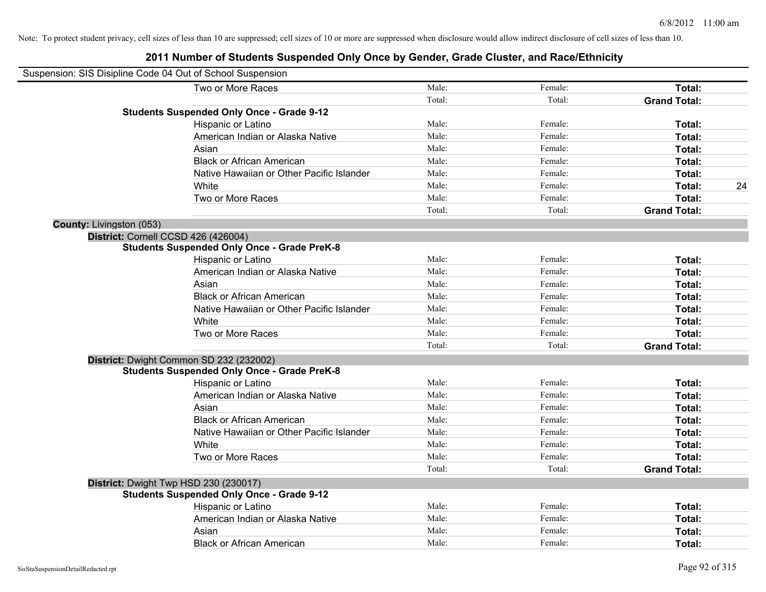|                          | Suspension: SIS Disipline Code 04 Out of School Suspension |        |         |                     |    |
|--------------------------|------------------------------------------------------------|--------|---------|---------------------|----|
|                          | Two or More Races                                          | Male:  | Female: | Total:              |    |
|                          |                                                            | Total: | Total:  | <b>Grand Total:</b> |    |
|                          | <b>Students Suspended Only Once - Grade 9-12</b>           |        |         |                     |    |
|                          | Hispanic or Latino                                         | Male:  | Female: | Total:              |    |
|                          | American Indian or Alaska Native                           | Male:  | Female: | Total:              |    |
|                          | Asian                                                      | Male:  | Female: | Total:              |    |
|                          | <b>Black or African American</b>                           | Male:  | Female: | Total:              |    |
|                          | Native Hawaiian or Other Pacific Islander                  | Male:  | Female: | Total:              |    |
|                          | White                                                      | Male:  | Female: | Total:              | 24 |
|                          | Two or More Races                                          | Male:  | Female: | Total:              |    |
|                          |                                                            | Total: | Total:  | <b>Grand Total:</b> |    |
| County: Livingston (053) |                                                            |        |         |                     |    |
|                          | District: Cornell CCSD 426 (426004)                        |        |         |                     |    |
|                          | <b>Students Suspended Only Once - Grade PreK-8</b>         |        |         |                     |    |
|                          | Hispanic or Latino                                         | Male:  | Female: | Total:              |    |
|                          | American Indian or Alaska Native                           | Male:  | Female: | Total:              |    |
|                          | Asian                                                      | Male:  | Female: | Total:              |    |
|                          | <b>Black or African American</b>                           | Male:  | Female: | Total:              |    |
|                          | Native Hawaiian or Other Pacific Islander                  | Male:  | Female: | Total:              |    |
|                          | White                                                      | Male:  | Female: | Total:              |    |
|                          | Two or More Races                                          | Male:  | Female: | Total:              |    |
|                          |                                                            | Total: | Total:  | <b>Grand Total:</b> |    |
|                          | District: Dwight Common SD 232 (232002)                    |        |         |                     |    |
|                          | <b>Students Suspended Only Once - Grade PreK-8</b>         |        |         |                     |    |
|                          | Hispanic or Latino                                         | Male:  | Female: | Total:              |    |
|                          | American Indian or Alaska Native                           | Male:  | Female: | Total:              |    |
|                          | Asian                                                      | Male:  | Female: | Total:              |    |
|                          | <b>Black or African American</b>                           | Male:  | Female: | Total:              |    |
|                          | Native Hawaiian or Other Pacific Islander                  | Male:  | Female: | Total:              |    |
|                          | White                                                      | Male:  | Female: | Total:              |    |
|                          | Two or More Races                                          | Male:  | Female: | Total:              |    |
|                          |                                                            | Total: | Total:  | <b>Grand Total:</b> |    |
|                          | District: Dwight Twp HSD 230 (230017)                      |        |         |                     |    |
|                          | <b>Students Suspended Only Once - Grade 9-12</b>           |        |         |                     |    |
|                          | Hispanic or Latino                                         | Male:  | Female: | Total:              |    |
|                          | American Indian or Alaska Native                           | Male:  | Female: | Total:              |    |
|                          | Asian                                                      | Male:  | Female: | Total:              |    |
|                          | <b>Black or African American</b>                           | Male:  | Female: | Total:              |    |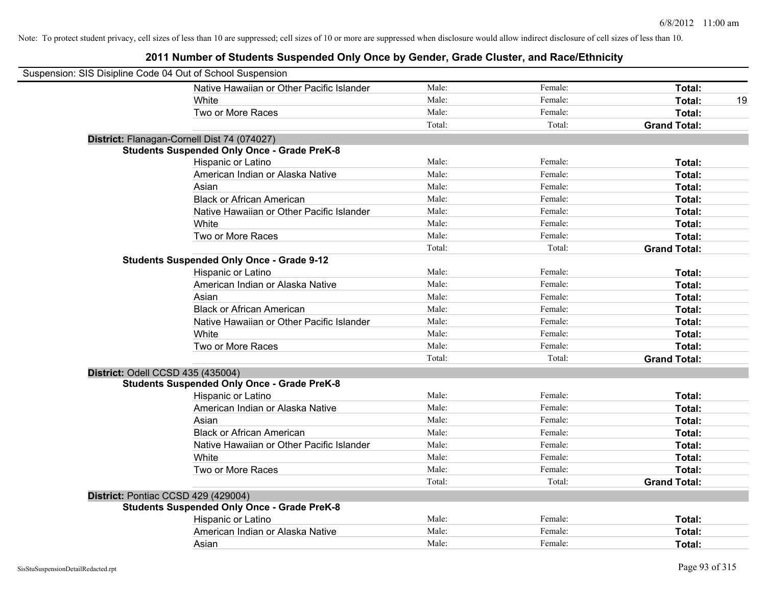| Suspension: SIS Disipline Code 04 Out of School Suspension |                                                    |        |         |                     |    |
|------------------------------------------------------------|----------------------------------------------------|--------|---------|---------------------|----|
|                                                            | Native Hawaiian or Other Pacific Islander          | Male:  | Female: | Total:              |    |
|                                                            | White                                              | Male:  | Female: | Total:              | 19 |
|                                                            | Two or More Races                                  | Male:  | Female: | Total:              |    |
|                                                            |                                                    | Total: | Total:  | <b>Grand Total:</b> |    |
|                                                            | District: Flanagan-Cornell Dist 74 (074027)        |        |         |                     |    |
|                                                            | <b>Students Suspended Only Once - Grade PreK-8</b> |        |         |                     |    |
|                                                            | Hispanic or Latino                                 | Male:  | Female: | Total:              |    |
|                                                            | American Indian or Alaska Native                   | Male:  | Female: | Total:              |    |
|                                                            | Asian                                              | Male:  | Female: | Total:              |    |
|                                                            | <b>Black or African American</b>                   | Male:  | Female: | Total:              |    |
|                                                            | Native Hawaiian or Other Pacific Islander          | Male:  | Female: | Total:              |    |
|                                                            | White                                              | Male:  | Female: | Total:              |    |
|                                                            | Two or More Races                                  | Male:  | Female: | Total:              |    |
|                                                            |                                                    | Total: | Total:  | <b>Grand Total:</b> |    |
|                                                            | <b>Students Suspended Only Once - Grade 9-12</b>   |        |         |                     |    |
|                                                            | Hispanic or Latino                                 | Male:  | Female: | Total:              |    |
|                                                            | American Indian or Alaska Native                   | Male:  | Female: | Total:              |    |
|                                                            | Asian                                              | Male:  | Female: | Total:              |    |
|                                                            | <b>Black or African American</b>                   | Male:  | Female: | Total:              |    |
|                                                            | Native Hawaiian or Other Pacific Islander          | Male:  | Female: | Total:              |    |
|                                                            | White                                              | Male:  | Female: | Total:              |    |
|                                                            | Two or More Races                                  | Male:  | Female: | Total:              |    |
|                                                            |                                                    | Total: | Total:  | <b>Grand Total:</b> |    |
| District: Odell CCSD 435 (435004)                          |                                                    |        |         |                     |    |
|                                                            | <b>Students Suspended Only Once - Grade PreK-8</b> |        |         |                     |    |
|                                                            | Hispanic or Latino                                 | Male:  | Female: | Total:              |    |
|                                                            | American Indian or Alaska Native                   | Male:  | Female: | Total:              |    |
|                                                            | Asian                                              | Male:  | Female: | Total:              |    |
|                                                            | <b>Black or African American</b>                   | Male:  | Female: | Total:              |    |
|                                                            | Native Hawaiian or Other Pacific Islander          | Male:  | Female: | Total:              |    |
|                                                            | White                                              | Male:  | Female: | Total:              |    |
|                                                            | Two or More Races                                  | Male:  | Female: | Total:              |    |
|                                                            |                                                    | Total: | Total:  | <b>Grand Total:</b> |    |
| District: Pontiac CCSD 429 (429004)                        |                                                    |        |         |                     |    |
|                                                            | <b>Students Suspended Only Once - Grade PreK-8</b> |        |         |                     |    |
|                                                            | Hispanic or Latino                                 | Male:  | Female: | Total:              |    |
|                                                            | American Indian or Alaska Native                   | Male:  | Female: | Total:              |    |
|                                                            | Asian                                              | Male:  | Female: | Total:              |    |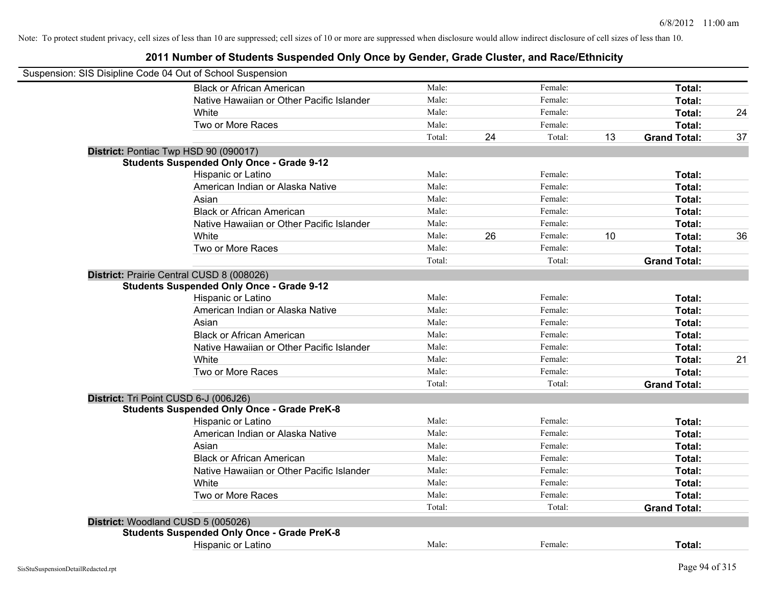| Suspension: SIS Disipline Code 04 Out of School Suspension |                                                    |        |    |         |    |                     |    |
|------------------------------------------------------------|----------------------------------------------------|--------|----|---------|----|---------------------|----|
|                                                            | <b>Black or African American</b>                   | Male:  |    | Female: |    | Total:              |    |
|                                                            | Native Hawaiian or Other Pacific Islander          | Male:  |    | Female: |    | Total:              |    |
|                                                            | White                                              | Male:  |    | Female: |    | Total:              | 24 |
|                                                            | Two or More Races                                  | Male:  |    | Female: |    | Total:              |    |
|                                                            |                                                    | Total: | 24 | Total:  | 13 | <b>Grand Total:</b> | 37 |
|                                                            | District: Pontiac Twp HSD 90 (090017)              |        |    |         |    |                     |    |
|                                                            | <b>Students Suspended Only Once - Grade 9-12</b>   |        |    |         |    |                     |    |
|                                                            | Hispanic or Latino                                 | Male:  |    | Female: |    | Total:              |    |
|                                                            | American Indian or Alaska Native                   | Male:  |    | Female: |    | Total:              |    |
|                                                            | Asian                                              | Male:  |    | Female: |    | Total:              |    |
|                                                            | <b>Black or African American</b>                   | Male:  |    | Female: |    | Total:              |    |
|                                                            | Native Hawaiian or Other Pacific Islander          | Male:  |    | Female: |    | Total:              |    |
|                                                            | White                                              | Male:  | 26 | Female: | 10 | Total:              | 36 |
|                                                            | Two or More Races                                  | Male:  |    | Female: |    | Total:              |    |
|                                                            |                                                    | Total: |    | Total:  |    | <b>Grand Total:</b> |    |
|                                                            | District: Prairie Central CUSD 8 (008026)          |        |    |         |    |                     |    |
|                                                            | <b>Students Suspended Only Once - Grade 9-12</b>   |        |    |         |    |                     |    |
|                                                            | Hispanic or Latino                                 | Male:  |    | Female: |    | Total:              |    |
|                                                            | American Indian or Alaska Native                   | Male:  |    | Female: |    | Total:              |    |
|                                                            | Asian                                              | Male:  |    | Female: |    | Total:              |    |
|                                                            | <b>Black or African American</b>                   | Male:  |    | Female: |    | Total:              |    |
|                                                            | Native Hawaiian or Other Pacific Islander          | Male:  |    | Female: |    | Total:              |    |
|                                                            | White                                              | Male:  |    | Female: |    | Total:              | 21 |
|                                                            | Two or More Races                                  | Male:  |    | Female: |    | Total:              |    |
|                                                            |                                                    | Total: |    | Total:  |    | <b>Grand Total:</b> |    |
|                                                            | District: Tri Point CUSD 6-J (006J26)              |        |    |         |    |                     |    |
|                                                            | <b>Students Suspended Only Once - Grade PreK-8</b> |        |    |         |    |                     |    |
|                                                            | Hispanic or Latino                                 | Male:  |    | Female: |    | Total:              |    |
|                                                            | American Indian or Alaska Native                   | Male:  |    | Female: |    | Total:              |    |
|                                                            | Asian                                              | Male:  |    | Female: |    | Total:              |    |
|                                                            | <b>Black or African American</b>                   | Male:  |    | Female: |    | Total:              |    |
|                                                            | Native Hawaiian or Other Pacific Islander          | Male:  |    | Female: |    | Total:              |    |
|                                                            | White                                              | Male:  |    | Female: |    | Total:              |    |
|                                                            | Two or More Races                                  | Male:  |    | Female: |    | Total:              |    |
|                                                            |                                                    | Total: |    | Total:  |    | <b>Grand Total:</b> |    |
|                                                            | District: Woodland CUSD 5 (005026)                 |        |    |         |    |                     |    |
|                                                            | <b>Students Suspended Only Once - Grade PreK-8</b> |        |    |         |    |                     |    |
|                                                            | Hispanic or Latino                                 | Male:  |    | Female: |    | Total:              |    |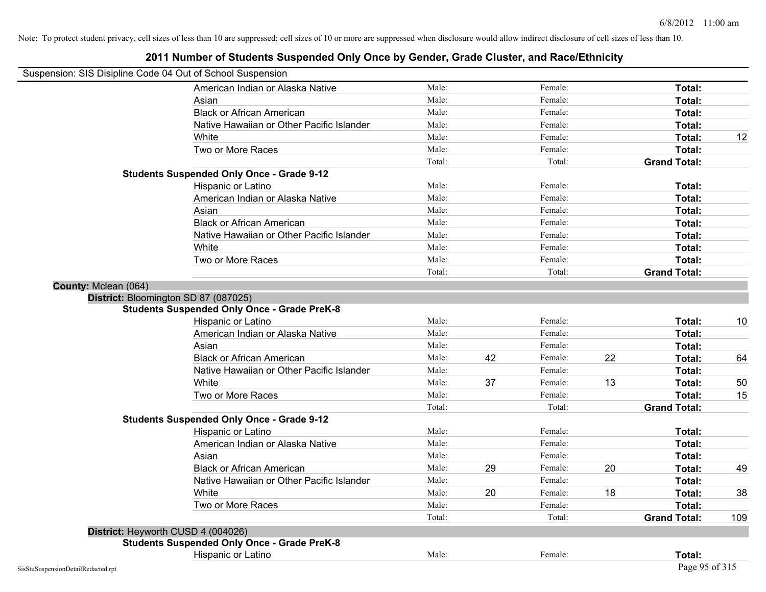| Suspension: SIS Disipline Code 04 Out of School Suspension |                                                    |        |    |         |    |                     |     |
|------------------------------------------------------------|----------------------------------------------------|--------|----|---------|----|---------------------|-----|
|                                                            | American Indian or Alaska Native                   | Male:  |    | Female: |    | Total:              |     |
|                                                            | Asian                                              | Male:  |    | Female: |    | Total:              |     |
|                                                            | <b>Black or African American</b>                   | Male:  |    | Female: |    | Total:              |     |
|                                                            | Native Hawaiian or Other Pacific Islander          | Male:  |    | Female: |    | Total:              |     |
|                                                            | White                                              | Male:  |    | Female: |    | Total:              | 12  |
|                                                            | Two or More Races                                  | Male:  |    | Female: |    | Total:              |     |
|                                                            |                                                    | Total: |    | Total:  |    | <b>Grand Total:</b> |     |
|                                                            | <b>Students Suspended Only Once - Grade 9-12</b>   |        |    |         |    |                     |     |
|                                                            | Hispanic or Latino                                 | Male:  |    | Female: |    | Total:              |     |
|                                                            | American Indian or Alaska Native                   | Male:  |    | Female: |    | Total:              |     |
|                                                            | Asian                                              | Male:  |    | Female: |    | Total:              |     |
|                                                            | <b>Black or African American</b>                   | Male:  |    | Female: |    | Total:              |     |
|                                                            | Native Hawaiian or Other Pacific Islander          | Male:  |    | Female: |    | Total:              |     |
|                                                            | White                                              | Male:  |    | Female: |    | Total:              |     |
|                                                            | Two or More Races                                  | Male:  |    | Female: |    | Total:              |     |
|                                                            |                                                    | Total: |    | Total:  |    | <b>Grand Total:</b> |     |
| County: Mclean (064)                                       |                                                    |        |    |         |    |                     |     |
|                                                            | District: Bloomington SD 87 (087025)               |        |    |         |    |                     |     |
|                                                            | <b>Students Suspended Only Once - Grade PreK-8</b> |        |    |         |    |                     |     |
|                                                            | Hispanic or Latino                                 | Male:  |    | Female: |    | Total:              | 10  |
|                                                            | American Indian or Alaska Native                   | Male:  |    | Female: |    | Total:              |     |
|                                                            | Asian                                              | Male:  |    | Female: |    | Total:              |     |
|                                                            | <b>Black or African American</b>                   | Male:  | 42 | Female: | 22 | Total:              | 64  |
|                                                            | Native Hawaiian or Other Pacific Islander          | Male:  |    | Female: |    | Total:              |     |
|                                                            | White                                              | Male:  | 37 | Female: | 13 | Total:              | 50  |
|                                                            | Two or More Races                                  | Male:  |    | Female: |    | Total:              | 15  |
|                                                            |                                                    | Total: |    | Total:  |    | <b>Grand Total:</b> |     |
|                                                            | <b>Students Suspended Only Once - Grade 9-12</b>   |        |    |         |    |                     |     |
|                                                            | Hispanic or Latino                                 | Male:  |    | Female: |    | Total:              |     |
|                                                            | American Indian or Alaska Native                   | Male:  |    | Female: |    | Total:              |     |
|                                                            | Asian                                              | Male:  |    | Female: |    | Total:              |     |
|                                                            | <b>Black or African American</b>                   | Male:  | 29 | Female: | 20 | Total:              | 49  |
|                                                            | Native Hawaiian or Other Pacific Islander          | Male:  |    | Female: |    | Total:              |     |
|                                                            | White                                              | Male:  | 20 | Female: | 18 | Total:              | 38  |
|                                                            | Two or More Races                                  | Male:  |    | Female: |    | Total:              |     |
|                                                            |                                                    | Total: |    | Total:  |    | <b>Grand Total:</b> | 109 |
|                                                            | District: Heyworth CUSD 4 (004026)                 |        |    |         |    |                     |     |
|                                                            | <b>Students Suspended Only Once - Grade PreK-8</b> |        |    |         |    |                     |     |
|                                                            | Hispanic or Latino                                 | Male:  |    | Female: |    | Total:              |     |
| SisStuSuspensionDetailRedacted.rpt                         |                                                    |        |    |         |    | Page 95 of 315      |     |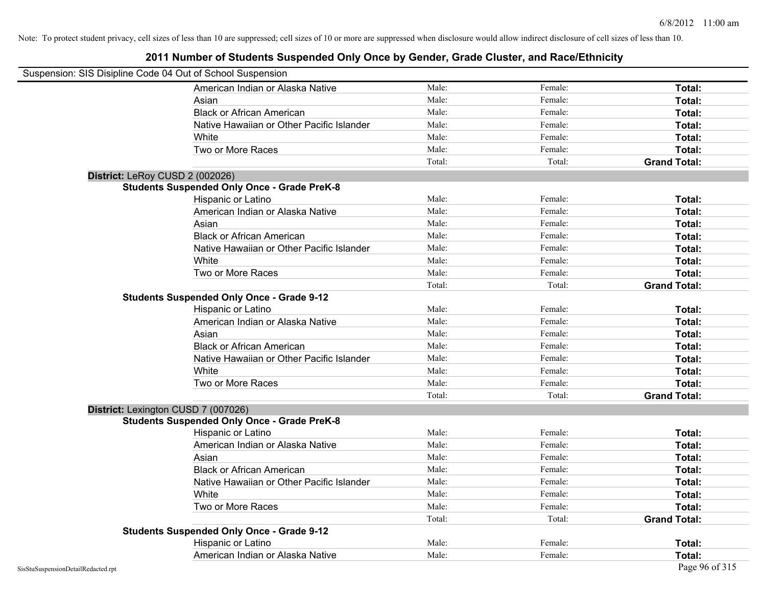| Suspension: SIS Disipline Code 04 Out of School Suspension |                                                    |        |         |                     |
|------------------------------------------------------------|----------------------------------------------------|--------|---------|---------------------|
|                                                            | American Indian or Alaska Native                   | Male:  | Female: | Total:              |
|                                                            | Asian                                              | Male:  | Female: | Total:              |
|                                                            | <b>Black or African American</b>                   | Male:  | Female: | Total:              |
|                                                            | Native Hawaiian or Other Pacific Islander          | Male:  | Female: | Total:              |
|                                                            | White                                              | Male:  | Female: | Total:              |
|                                                            | Two or More Races                                  | Male:  | Female: | Total:              |
|                                                            |                                                    | Total: | Total:  | <b>Grand Total:</b> |
| District: LeRoy CUSD 2 (002026)                            |                                                    |        |         |                     |
|                                                            | <b>Students Suspended Only Once - Grade PreK-8</b> |        |         |                     |
|                                                            | Hispanic or Latino                                 | Male:  | Female: | Total:              |
|                                                            | American Indian or Alaska Native                   | Male:  | Female: | Total:              |
|                                                            | Asian                                              | Male:  | Female: | Total:              |
|                                                            | <b>Black or African American</b>                   | Male:  | Female: | Total:              |
|                                                            | Native Hawaiian or Other Pacific Islander          | Male:  | Female: | Total:              |
|                                                            | White                                              | Male:  | Female: | Total:              |
|                                                            | Two or More Races                                  | Male:  | Female: | Total:              |
|                                                            |                                                    | Total: | Total:  | <b>Grand Total:</b> |
|                                                            | <b>Students Suspended Only Once - Grade 9-12</b>   |        |         |                     |
|                                                            | Hispanic or Latino                                 | Male:  | Female: | Total:              |
|                                                            | American Indian or Alaska Native                   | Male:  | Female: | Total:              |
|                                                            | Asian                                              | Male:  | Female: | Total:              |
|                                                            | <b>Black or African American</b>                   | Male:  | Female: | Total:              |
|                                                            | Native Hawaiian or Other Pacific Islander          | Male:  | Female: | Total:              |
|                                                            | White                                              | Male:  | Female: | Total:              |
|                                                            | Two or More Races                                  | Male:  | Female: | Total:              |
|                                                            |                                                    | Total: | Total:  | <b>Grand Total:</b> |
| District: Lexington CUSD 7 (007026)                        |                                                    |        |         |                     |
|                                                            | <b>Students Suspended Only Once - Grade PreK-8</b> |        |         |                     |
|                                                            | Hispanic or Latino                                 | Male:  | Female: | Total:              |
|                                                            | American Indian or Alaska Native                   | Male:  | Female: | Total:              |
|                                                            | Asian                                              | Male:  | Female: | Total:              |
|                                                            | <b>Black or African American</b>                   | Male:  | Female: | Total:              |
|                                                            | Native Hawaiian or Other Pacific Islander          | Male:  | Female: | Total:              |
|                                                            | White                                              | Male:  | Female: | Total:              |
|                                                            | Two or More Races                                  | Male:  | Female: | Total:              |
|                                                            |                                                    | Total: | Total:  | <b>Grand Total:</b> |
|                                                            | <b>Students Suspended Only Once - Grade 9-12</b>   |        |         |                     |
|                                                            | Hispanic or Latino                                 | Male:  | Female: | <b>Total:</b>       |
|                                                            | American Indian or Alaska Native                   | Male:  | Female: | Total:              |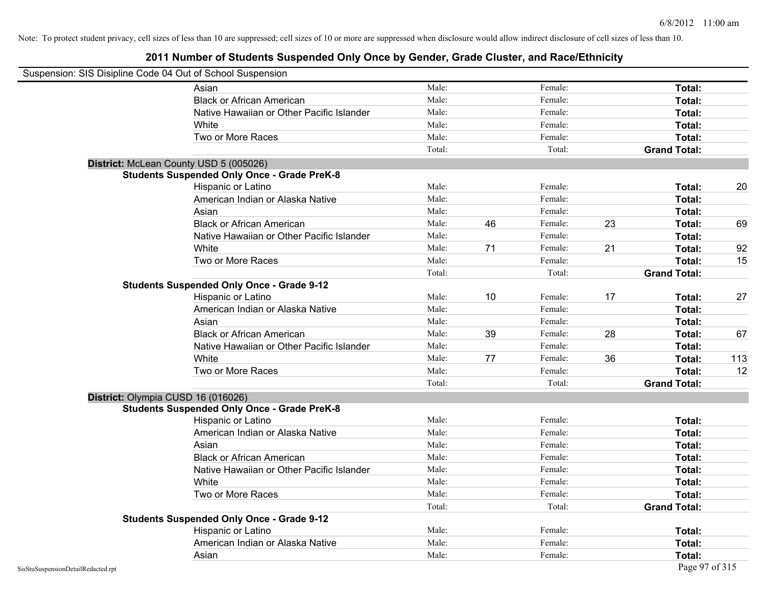|                                    | Suspension: SIS Disipline Code 04 Out of School Suspension |        |    |         |    |                     |     |
|------------------------------------|------------------------------------------------------------|--------|----|---------|----|---------------------|-----|
|                                    | Asian                                                      | Male:  |    | Female: |    | <b>Total:</b>       |     |
|                                    | <b>Black or African American</b>                           | Male:  |    | Female: |    | Total:              |     |
|                                    | Native Hawaiian or Other Pacific Islander                  | Male:  |    | Female: |    | Total:              |     |
|                                    | White                                                      | Male:  |    | Female: |    | Total:              |     |
|                                    | Two or More Races                                          | Male:  |    | Female: |    | Total:              |     |
|                                    |                                                            | Total: |    | Total:  |    | <b>Grand Total:</b> |     |
|                                    | District: McLean County USD 5 (005026)                     |        |    |         |    |                     |     |
|                                    | <b>Students Suspended Only Once - Grade PreK-8</b>         |        |    |         |    |                     |     |
|                                    | Hispanic or Latino                                         | Male:  |    | Female: |    | Total:              | 20  |
|                                    | American Indian or Alaska Native                           | Male:  |    | Female: |    | Total:              |     |
|                                    | Asian                                                      | Male:  |    | Female: |    | Total:              |     |
|                                    | <b>Black or African American</b>                           | Male:  | 46 | Female: | 23 | Total:              | 69  |
|                                    | Native Hawaiian or Other Pacific Islander                  | Male:  |    | Female: |    | Total:              |     |
|                                    | White                                                      | Male:  | 71 | Female: | 21 | Total:              | 92  |
|                                    | Two or More Races                                          | Male:  |    | Female: |    | Total:              | 15  |
|                                    |                                                            | Total: |    | Total:  |    | <b>Grand Total:</b> |     |
|                                    | <b>Students Suspended Only Once - Grade 9-12</b>           |        |    |         |    |                     |     |
|                                    | Hispanic or Latino                                         | Male:  | 10 | Female: | 17 | Total:              | 27  |
|                                    | American Indian or Alaska Native                           | Male:  |    | Female: |    | Total:              |     |
|                                    | Asian                                                      | Male:  |    | Female: |    | Total:              |     |
|                                    | <b>Black or African American</b>                           | Male:  | 39 | Female: | 28 | Total:              | 67  |
|                                    | Native Hawaiian or Other Pacific Islander                  | Male:  |    | Female: |    | Total:              |     |
|                                    | White                                                      | Male:  | 77 | Female: | 36 | Total:              | 113 |
|                                    | Two or More Races                                          | Male:  |    | Female: |    | Total:              | 12  |
|                                    |                                                            | Total: |    | Total:  |    | <b>Grand Total:</b> |     |
|                                    | District: Olympia CUSD 16 (016026)                         |        |    |         |    |                     |     |
|                                    | <b>Students Suspended Only Once - Grade PreK-8</b>         |        |    |         |    |                     |     |
|                                    | Hispanic or Latino                                         | Male:  |    | Female: |    | Total:              |     |
|                                    | American Indian or Alaska Native                           | Male:  |    | Female: |    | Total:              |     |
|                                    | Asian                                                      | Male:  |    | Female: |    | Total:              |     |
|                                    | <b>Black or African American</b>                           | Male:  |    | Female: |    | Total:              |     |
|                                    | Native Hawaiian or Other Pacific Islander                  | Male:  |    | Female: |    | Total:              |     |
|                                    | White                                                      | Male:  |    | Female: |    | Total:              |     |
|                                    | Two or More Races                                          | Male:  |    | Female: |    | Total:              |     |
|                                    |                                                            | Total: |    | Total:  |    | <b>Grand Total:</b> |     |
|                                    | <b>Students Suspended Only Once - Grade 9-12</b>           |        |    |         |    |                     |     |
|                                    | Hispanic or Latino                                         | Male:  |    | Female: |    | Total:              |     |
|                                    | American Indian or Alaska Native                           | Male:  |    | Female: |    | Total:              |     |
|                                    | Asian                                                      | Male:  |    | Female: |    | Total:              |     |
| SisStuSuspensionDetailRedacted.rpt |                                                            |        |    |         |    | Page 97 of 315      |     |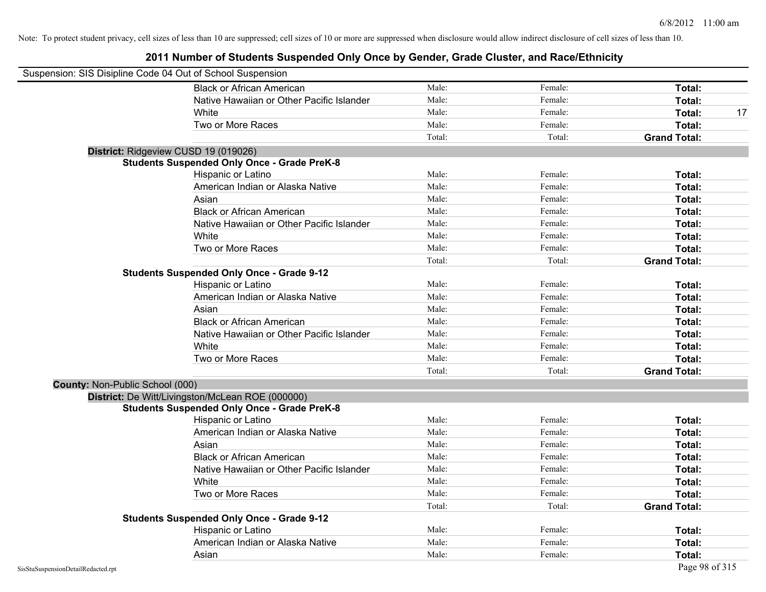| Suspension: SIS Disipline Code 04 Out of School Suspension |                                                    |        |         |                     |
|------------------------------------------------------------|----------------------------------------------------|--------|---------|---------------------|
|                                                            | <b>Black or African American</b>                   | Male:  | Female: | Total:              |
|                                                            | Native Hawaiian or Other Pacific Islander          | Male:  | Female: | Total:              |
|                                                            | White                                              | Male:  | Female: | Total:<br>17        |
|                                                            | Two or More Races                                  | Male:  | Female: | Total:              |
|                                                            |                                                    | Total: | Total:  | <b>Grand Total:</b> |
|                                                            | District: Ridgeview CUSD 19 (019026)               |        |         |                     |
|                                                            | <b>Students Suspended Only Once - Grade PreK-8</b> |        |         |                     |
|                                                            | Hispanic or Latino                                 | Male:  | Female: | Total:              |
|                                                            | American Indian or Alaska Native                   | Male:  | Female: | Total:              |
|                                                            | Asian                                              | Male:  | Female: | Total:              |
|                                                            | <b>Black or African American</b>                   | Male:  | Female: | Total:              |
|                                                            | Native Hawaiian or Other Pacific Islander          | Male:  | Female: | Total:              |
|                                                            | White                                              | Male:  | Female: | Total:              |
|                                                            | Two or More Races                                  | Male:  | Female: | Total:              |
|                                                            |                                                    | Total: | Total:  | <b>Grand Total:</b> |
|                                                            | <b>Students Suspended Only Once - Grade 9-12</b>   |        |         |                     |
|                                                            | Hispanic or Latino                                 | Male:  | Female: | Total:              |
|                                                            | American Indian or Alaska Native                   | Male:  | Female: | Total:              |
|                                                            | Asian                                              | Male:  | Female: | Total:              |
|                                                            | <b>Black or African American</b>                   | Male:  | Female: | Total:              |
|                                                            | Native Hawaiian or Other Pacific Islander          | Male:  | Female: | Total:              |
|                                                            | White                                              | Male:  | Female: | Total:              |
|                                                            | Two or More Races                                  | Male:  | Female: | Total:              |
|                                                            |                                                    | Total: | Total:  | <b>Grand Total:</b> |
| County: Non-Public School (000)                            |                                                    |        |         |                     |
|                                                            | District: De Witt/Livingston/McLean ROE (000000)   |        |         |                     |
|                                                            | <b>Students Suspended Only Once - Grade PreK-8</b> |        |         |                     |
|                                                            | Hispanic or Latino                                 | Male:  | Female: | Total:              |
|                                                            | American Indian or Alaska Native                   | Male:  | Female: | Total:              |
|                                                            | Asian                                              | Male:  | Female: | Total:              |
|                                                            | <b>Black or African American</b>                   | Male:  | Female: | Total:              |
|                                                            | Native Hawaiian or Other Pacific Islander          | Male:  | Female: | Total:              |
|                                                            | White                                              | Male:  | Female: | Total:              |
|                                                            | Two or More Races                                  | Male:  | Female: | Total:              |
|                                                            |                                                    | Total: | Total:  | <b>Grand Total:</b> |
|                                                            | <b>Students Suspended Only Once - Grade 9-12</b>   |        |         |                     |
|                                                            | Hispanic or Latino                                 | Male:  | Female: | Total:              |
|                                                            | American Indian or Alaska Native                   | Male:  | Female: | Total:              |
|                                                            | Asian                                              | Male:  | Female: | Total:              |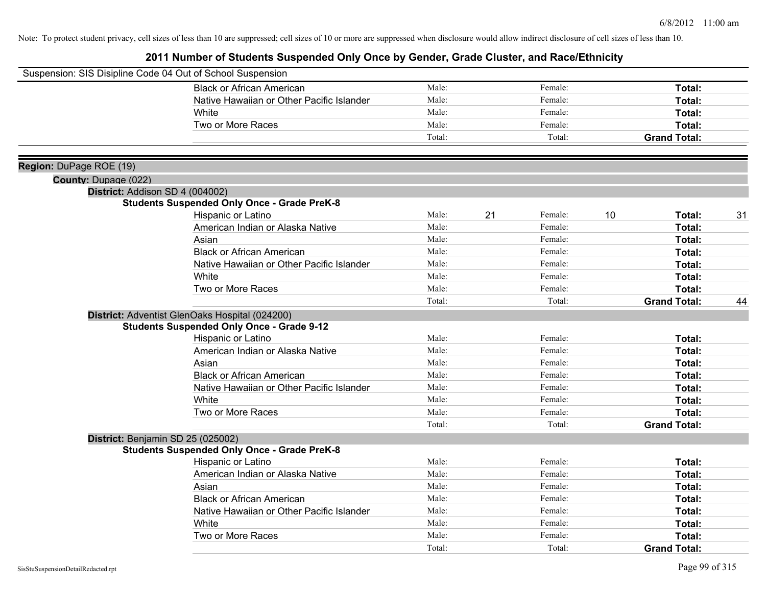|                             | Suspension: SIS Disipline Code 04 Out of School Suspension |        |    |         |    |                     |    |
|-----------------------------|------------------------------------------------------------|--------|----|---------|----|---------------------|----|
|                             | <b>Black or African American</b>                           | Male:  |    | Female: |    | Total:              |    |
|                             | Native Hawaiian or Other Pacific Islander                  | Male:  |    | Female: |    | Total:              |    |
|                             | White                                                      | Male:  |    | Female: |    | Total:              |    |
|                             | Two or More Races                                          | Male:  |    | Female: |    | <b>Total:</b>       |    |
|                             |                                                            | Total: |    | Total:  |    | <b>Grand Total:</b> |    |
| Region: DuPage ROE (19)     |                                                            |        |    |         |    |                     |    |
| <b>County: Dupage (022)</b> |                                                            |        |    |         |    |                     |    |
|                             | District: Addison SD 4 (004002)                            |        |    |         |    |                     |    |
|                             | <b>Students Suspended Only Once - Grade PreK-8</b>         |        |    |         |    |                     |    |
|                             | Hispanic or Latino                                         | Male:  | 21 | Female: | 10 | Total:              | 31 |
|                             | American Indian or Alaska Native                           | Male:  |    | Female: |    | Total:              |    |
|                             | Asian                                                      | Male:  |    | Female: |    | Total:              |    |
|                             | <b>Black or African American</b>                           | Male:  |    | Female: |    | Total:              |    |
|                             | Native Hawaiian or Other Pacific Islander                  | Male:  |    | Female: |    | Total:              |    |
|                             | White                                                      | Male:  |    | Female: |    | <b>Total:</b>       |    |
|                             | Two or More Races                                          | Male:  |    | Female: |    | Total:              |    |
|                             |                                                            | Total: |    | Total:  |    | <b>Grand Total:</b> | 44 |
|                             | District: Adventist GlenOaks Hospital (024200)             |        |    |         |    |                     |    |
|                             | <b>Students Suspended Only Once - Grade 9-12</b>           |        |    |         |    |                     |    |
|                             | Hispanic or Latino                                         | Male:  |    | Female: |    | <b>Total:</b>       |    |
|                             | American Indian or Alaska Native                           | Male:  |    | Female: |    | Total:              |    |
|                             | Asian                                                      | Male:  |    | Female: |    | Total:              |    |
|                             | <b>Black or African American</b>                           | Male:  |    | Female: |    | Total:              |    |
|                             | Native Hawaiian or Other Pacific Islander                  | Male:  |    | Female: |    | Total:              |    |
|                             | White                                                      | Male:  |    | Female: |    | <b>Total:</b>       |    |
|                             | Two or More Races                                          | Male:  |    | Female: |    | Total:              |    |
|                             |                                                            | Total: |    | Total:  |    | <b>Grand Total:</b> |    |
|                             | District: Benjamin SD 25 (025002)                          |        |    |         |    |                     |    |
|                             | <b>Students Suspended Only Once - Grade PreK-8</b>         |        |    |         |    |                     |    |
|                             | Hispanic or Latino                                         | Male:  |    | Female: |    | Total:              |    |
|                             | American Indian or Alaska Native                           | Male:  |    | Female: |    | Total:              |    |
|                             | Asian                                                      | Male:  |    | Female: |    | Total:              |    |
|                             | <b>Black or African American</b>                           | Male:  |    | Female: |    | Total:              |    |
|                             | Native Hawaiian or Other Pacific Islander                  | Male:  |    | Female: |    | Total:              |    |
|                             | White                                                      | Male:  |    | Female: |    | <b>Total:</b>       |    |
|                             | Two or More Races                                          | Male:  |    | Female: |    | <b>Total:</b>       |    |
|                             |                                                            | Total: |    | Total:  |    | <b>Grand Total:</b> |    |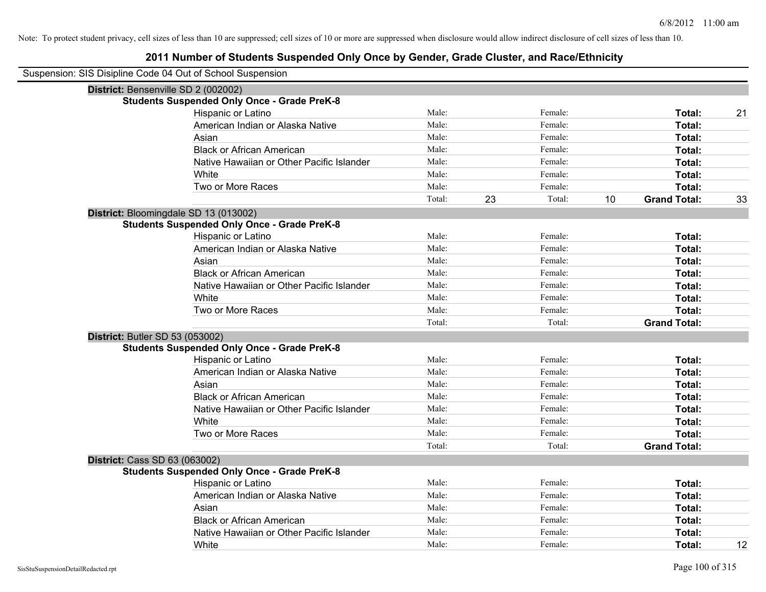| Suspension: SIS Disipline Code 04 Out of School Suspension |        |    |         |    |                     |    |
|------------------------------------------------------------|--------|----|---------|----|---------------------|----|
| District: Bensenville SD 2 (002002)                        |        |    |         |    |                     |    |
| <b>Students Suspended Only Once - Grade PreK-8</b>         |        |    |         |    |                     |    |
| Hispanic or Latino                                         | Male:  |    | Female: |    | Total:              | 21 |
| American Indian or Alaska Native                           | Male:  |    | Female: |    | Total:              |    |
| Asian                                                      | Male:  |    | Female: |    | Total:              |    |
| <b>Black or African American</b>                           | Male:  |    | Female: |    | Total:              |    |
| Native Hawaiian or Other Pacific Islander                  | Male:  |    | Female: |    | Total:              |    |
| White                                                      | Male:  |    | Female: |    | Total:              |    |
| Two or More Races                                          | Male:  |    | Female: |    | Total:              |    |
|                                                            | Total: | 23 | Total:  | 10 | <b>Grand Total:</b> | 33 |
| District: Bloomingdale SD 13 (013002)                      |        |    |         |    |                     |    |
| <b>Students Suspended Only Once - Grade PreK-8</b>         |        |    |         |    |                     |    |
| Hispanic or Latino                                         | Male:  |    | Female: |    | Total:              |    |
| American Indian or Alaska Native                           | Male:  |    | Female: |    | Total:              |    |
| Asian                                                      | Male:  |    | Female: |    | Total:              |    |
| <b>Black or African American</b>                           | Male:  |    | Female: |    | Total:              |    |
| Native Hawaiian or Other Pacific Islander                  | Male:  |    | Female: |    | Total:              |    |
| White                                                      | Male:  |    | Female: |    | Total:              |    |
| Two or More Races                                          | Male:  |    | Female: |    | Total:              |    |
|                                                            | Total: |    | Total:  |    | <b>Grand Total:</b> |    |
| <b>District: Butler SD 53 (053002)</b>                     |        |    |         |    |                     |    |
| <b>Students Suspended Only Once - Grade PreK-8</b>         |        |    |         |    |                     |    |
| Hispanic or Latino                                         | Male:  |    | Female: |    | Total:              |    |
| American Indian or Alaska Native                           | Male:  |    | Female: |    | Total:              |    |
| Asian                                                      | Male:  |    | Female: |    | Total:              |    |
| <b>Black or African American</b>                           | Male:  |    | Female: |    | Total:              |    |
| Native Hawaiian or Other Pacific Islander                  | Male:  |    | Female: |    | Total:              |    |
| White                                                      | Male:  |    | Female: |    | Total:              |    |
| Two or More Races                                          | Male:  |    | Female: |    | Total:              |    |
|                                                            | Total: |    | Total:  |    | <b>Grand Total:</b> |    |
| <b>District: Cass SD 63 (063002)</b>                       |        |    |         |    |                     |    |
| <b>Students Suspended Only Once - Grade PreK-8</b>         |        |    |         |    |                     |    |
| Hispanic or Latino                                         | Male:  |    | Female: |    | Total:              |    |
| American Indian or Alaska Native                           | Male:  |    | Female: |    | Total:              |    |
| Asian                                                      | Male:  |    | Female: |    | Total:              |    |
| <b>Black or African American</b>                           | Male:  |    | Female: |    | Total:              |    |
| Native Hawaiian or Other Pacific Islander                  | Male:  |    | Female: |    | Total:              |    |
| White                                                      | Male:  |    | Female: |    | Total:              | 12 |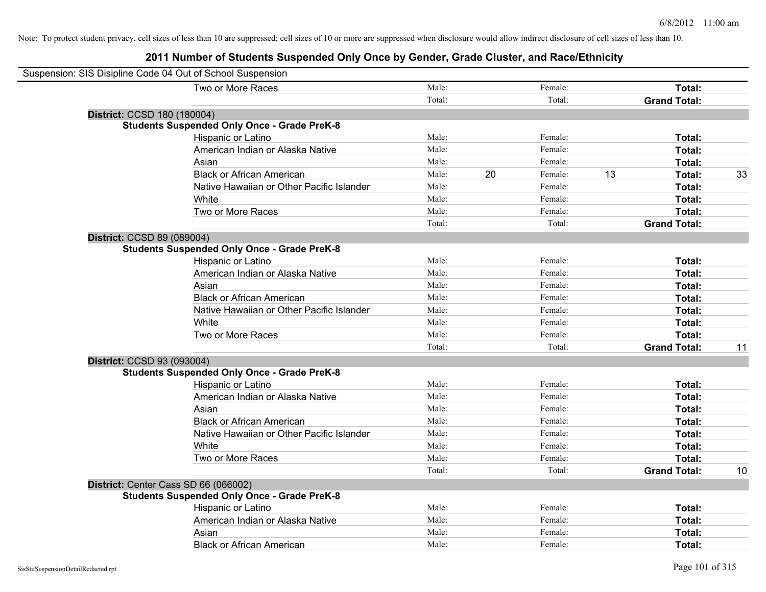| Suspension: SIS Disipline Code 04 Out of School Suspension |                                                    |        |    |         |    |                     |    |
|------------------------------------------------------------|----------------------------------------------------|--------|----|---------|----|---------------------|----|
|                                                            | Two or More Races                                  | Male:  |    | Female: |    | Total:              |    |
|                                                            |                                                    | Total: |    | Total:  |    | <b>Grand Total:</b> |    |
| District: CCSD 180 (180004)                                |                                                    |        |    |         |    |                     |    |
|                                                            | <b>Students Suspended Only Once - Grade PreK-8</b> |        |    |         |    |                     |    |
|                                                            | Hispanic or Latino                                 | Male:  |    | Female: |    | Total:              |    |
|                                                            | American Indian or Alaska Native                   | Male:  |    | Female: |    | Total:              |    |
| Asian                                                      |                                                    | Male:  |    | Female: |    | Total:              |    |
|                                                            | <b>Black or African American</b>                   | Male:  | 20 | Female: | 13 | Total:              | 33 |
|                                                            | Native Hawaiian or Other Pacific Islander          | Male:  |    | Female: |    | Total:              |    |
| White                                                      |                                                    | Male:  |    | Female: |    | Total:              |    |
|                                                            | Two or More Races                                  | Male:  |    | Female: |    | Total:              |    |
|                                                            |                                                    | Total: |    | Total:  |    | <b>Grand Total:</b> |    |
| District: CCSD 89 (089004)                                 |                                                    |        |    |         |    |                     |    |
|                                                            | <b>Students Suspended Only Once - Grade PreK-8</b> |        |    |         |    |                     |    |
|                                                            | Hispanic or Latino                                 | Male:  |    | Female: |    | Total:              |    |
|                                                            | American Indian or Alaska Native                   | Male:  |    | Female: |    | Total:              |    |
| Asian                                                      |                                                    | Male:  |    | Female: |    | Total:              |    |
|                                                            | <b>Black or African American</b>                   | Male:  |    | Female: |    | Total:              |    |
|                                                            | Native Hawaiian or Other Pacific Islander          | Male:  |    | Female: |    | Total:              |    |
| White                                                      |                                                    | Male:  |    | Female: |    | Total:              |    |
|                                                            | Two or More Races                                  | Male:  |    | Female: |    | Total:              |    |
|                                                            |                                                    | Total: |    | Total:  |    | <b>Grand Total:</b> | 11 |
| District: CCSD 93 (093004)                                 |                                                    |        |    |         |    |                     |    |
|                                                            | <b>Students Suspended Only Once - Grade PreK-8</b> |        |    |         |    |                     |    |
|                                                            | Hispanic or Latino                                 | Male:  |    | Female: |    | Total:              |    |
|                                                            | American Indian or Alaska Native                   | Male:  |    | Female: |    | Total:              |    |
| Asian                                                      |                                                    | Male:  |    | Female: |    | Total:              |    |
|                                                            | <b>Black or African American</b>                   | Male:  |    | Female: |    | Total:              |    |
|                                                            | Native Hawaiian or Other Pacific Islander          | Male:  |    | Female: |    | Total:              |    |
| White                                                      |                                                    | Male:  |    | Female: |    | Total:              |    |
|                                                            | Two or More Races                                  | Male:  |    | Female: |    | Total:              |    |
|                                                            |                                                    | Total: |    | Total:  |    | <b>Grand Total:</b> | 10 |
| District: Center Cass SD 66 (066002)                       |                                                    |        |    |         |    |                     |    |
|                                                            | <b>Students Suspended Only Once - Grade PreK-8</b> |        |    |         |    |                     |    |
|                                                            | Hispanic or Latino                                 | Male:  |    | Female: |    | Total:              |    |
|                                                            | American Indian or Alaska Native                   | Male:  |    | Female: |    | Total:              |    |
| Asian                                                      |                                                    | Male:  |    | Female: |    | Total:              |    |
|                                                            | <b>Black or African American</b>                   | Male:  |    | Female: |    | Total:              |    |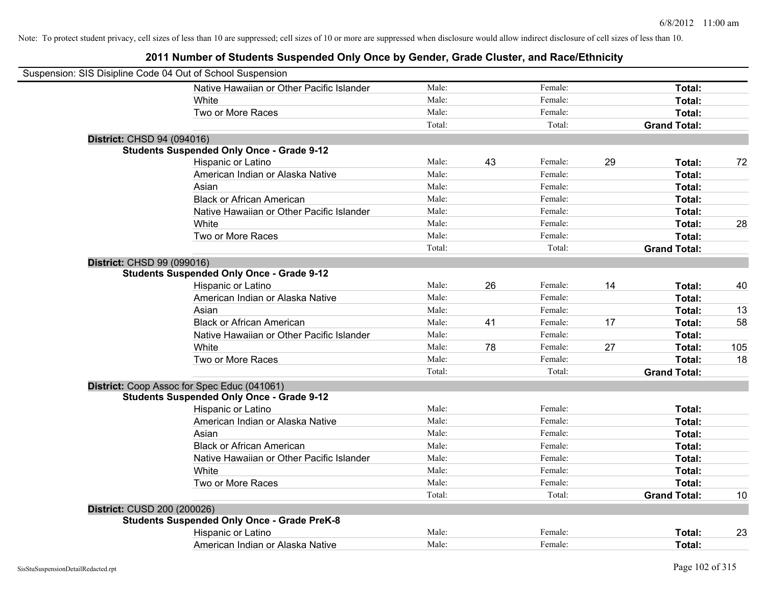| Suspension: SIS Disipline Code 04 Out of School Suspension |                                                    |        |    |         |    |                     |     |
|------------------------------------------------------------|----------------------------------------------------|--------|----|---------|----|---------------------|-----|
|                                                            | Native Hawaiian or Other Pacific Islander          | Male:  |    | Female: |    | Total:              |     |
|                                                            | White                                              | Male:  |    | Female: |    | Total:              |     |
|                                                            | Two or More Races                                  | Male:  |    | Female: |    | Total:              |     |
|                                                            |                                                    | Total: |    | Total:  |    | <b>Grand Total:</b> |     |
| <b>District: CHSD 94 (094016)</b>                          |                                                    |        |    |         |    |                     |     |
|                                                            | <b>Students Suspended Only Once - Grade 9-12</b>   |        |    |         |    |                     |     |
|                                                            | Hispanic or Latino                                 | Male:  | 43 | Female: | 29 | Total:              | 72  |
|                                                            | American Indian or Alaska Native                   | Male:  |    | Female: |    | Total:              |     |
|                                                            | Asian                                              | Male:  |    | Female: |    | Total:              |     |
|                                                            | <b>Black or African American</b>                   | Male:  |    | Female: |    | Total:              |     |
|                                                            | Native Hawaiian or Other Pacific Islander          | Male:  |    | Female: |    | Total:              |     |
|                                                            | White                                              | Male:  |    | Female: |    | Total:              | 28  |
|                                                            | Two or More Races                                  | Male:  |    | Female: |    | Total:              |     |
|                                                            |                                                    | Total: |    | Total:  |    | <b>Grand Total:</b> |     |
| District: CHSD 99 (099016)                                 |                                                    |        |    |         |    |                     |     |
|                                                            | <b>Students Suspended Only Once - Grade 9-12</b>   |        |    |         |    |                     |     |
|                                                            | Hispanic or Latino                                 | Male:  | 26 | Female: | 14 | Total:              | 40  |
|                                                            | American Indian or Alaska Native                   | Male:  |    | Female: |    | Total:              |     |
|                                                            | Asian                                              | Male:  |    | Female: |    | Total:              | 13  |
|                                                            | <b>Black or African American</b>                   | Male:  | 41 | Female: | 17 | Total:              | 58  |
|                                                            | Native Hawaiian or Other Pacific Islander          | Male:  |    | Female: |    | Total:              |     |
|                                                            | White                                              | Male:  | 78 | Female: | 27 | Total:              | 105 |
|                                                            | Two or More Races                                  | Male:  |    | Female: |    | Total:              | 18  |
|                                                            |                                                    | Total: |    | Total:  |    | <b>Grand Total:</b> |     |
|                                                            | District: Coop Assoc for Spec Educ (041061)        |        |    |         |    |                     |     |
|                                                            | <b>Students Suspended Only Once - Grade 9-12</b>   |        |    |         |    |                     |     |
|                                                            | Hispanic or Latino                                 | Male:  |    | Female: |    | Total:              |     |
|                                                            | American Indian or Alaska Native                   | Male:  |    | Female: |    | Total:              |     |
|                                                            | Asian                                              | Male:  |    | Female: |    | Total:              |     |
|                                                            | <b>Black or African American</b>                   | Male:  |    | Female: |    | Total:              |     |
|                                                            | Native Hawaiian or Other Pacific Islander          | Male:  |    | Female: |    | Total:              |     |
|                                                            | White                                              | Male:  |    | Female: |    | Total:              |     |
|                                                            | Two or More Races                                  | Male:  |    | Female: |    | Total:              |     |
|                                                            |                                                    | Total: |    | Total:  |    | <b>Grand Total:</b> | 10  |
| District: CUSD 200 (200026)                                |                                                    |        |    |         |    |                     |     |
|                                                            | <b>Students Suspended Only Once - Grade PreK-8</b> |        |    |         |    |                     |     |
|                                                            | Hispanic or Latino                                 | Male:  |    | Female: |    | Total:              | 23  |
|                                                            | American Indian or Alaska Native                   | Male:  |    | Female: |    | Total:              |     |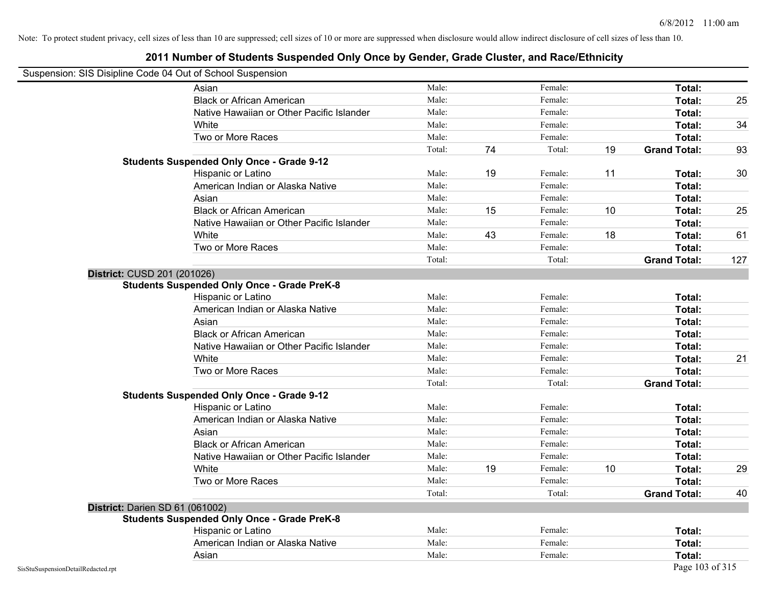#### **2011 Number of Students Suspended Only Once by Gender, Grade Cluster, and Race/Ethnicity**

# Suspension: SIS Disipline Code 04 Out of School Suspension

| usperision. Sis Disiplifie Code 04 Out of Scribol Susperision |        |    |         |    |                     |     |
|---------------------------------------------------------------|--------|----|---------|----|---------------------|-----|
| Asian                                                         | Male:  |    | Female: |    | Total:              |     |
| <b>Black or African American</b>                              | Male:  |    | Female: |    | Total:              | 25  |
| Native Hawaiian or Other Pacific Islander                     | Male:  |    | Female: |    | Total:              |     |
| White                                                         | Male:  |    | Female: |    | Total:              | 34  |
| Two or More Races                                             | Male:  |    | Female: |    | Total:              |     |
|                                                               | Total: | 74 | Total:  | 19 | <b>Grand Total:</b> | 93  |
| <b>Students Suspended Only Once - Grade 9-12</b>              |        |    |         |    |                     |     |
| Hispanic or Latino                                            | Male:  | 19 | Female: | 11 | Total:              | 30  |
| American Indian or Alaska Native                              | Male:  |    | Female: |    | Total:              |     |
| Asian                                                         | Male:  |    | Female: |    | Total:              |     |
| <b>Black or African American</b>                              | Male:  | 15 | Female: | 10 | Total:              | 25  |
| Native Hawaiian or Other Pacific Islander                     | Male:  |    | Female: |    | Total:              |     |
| White                                                         | Male:  | 43 | Female: | 18 | Total:              | 61  |
| Two or More Races                                             | Male:  |    | Female: |    | Total:              |     |
|                                                               | Total: |    | Total:  |    | <b>Grand Total:</b> | 127 |
| District: CUSD 201 (201026)                                   |        |    |         |    |                     |     |
| <b>Students Suspended Only Once - Grade PreK-8</b>            |        |    |         |    |                     |     |
| Hispanic or Latino                                            | Male:  |    | Female: |    | Total:              |     |
| American Indian or Alaska Native                              | Male:  |    | Female: |    | Total:              |     |
| Asian                                                         | Male:  |    | Female: |    | Total:              |     |
| <b>Black or African American</b>                              | Male:  |    | Female: |    | Total:              |     |
| Native Hawaiian or Other Pacific Islander                     | Male:  |    | Female: |    | Total:              |     |
| White                                                         | Male:  |    | Female: |    | Total:              | 21  |
| Two or More Races                                             | Male:  |    | Female: |    | Total:              |     |
|                                                               | Total: |    | Total:  |    | <b>Grand Total:</b> |     |
| <b>Students Suspended Only Once - Grade 9-12</b>              |        |    |         |    |                     |     |
| Hispanic or Latino                                            | Male:  |    | Female: |    | Total:              |     |
| American Indian or Alaska Native                              | Male:  |    | Female: |    | Total:              |     |
| Asian                                                         | Male:  |    | Female: |    | Total:              |     |
| <b>Black or African American</b>                              | Male:  |    | Female: |    | Total:              |     |
| Native Hawaiian or Other Pacific Islander                     | Male:  |    | Female: |    | Total:              |     |
| White                                                         | Male:  | 19 | Female: | 10 | Total:              | 29  |
| Two or More Races                                             | Male:  |    | Female: |    | Total:              |     |
|                                                               | Total: |    | Total:  |    | <b>Grand Total:</b> | 40  |
| District: Darien SD 61 (061002)                               |        |    |         |    |                     |     |
| <b>Students Suspended Only Once - Grade PreK-8</b>            |        |    |         |    |                     |     |
| Hispanic or Latino                                            | Male:  |    | Female: |    | Total:              |     |
| American Indian or Alaska Native                              | Male:  |    | Female: |    | Total:              |     |
| Asian                                                         | Male:  |    | Female: |    | Total:              |     |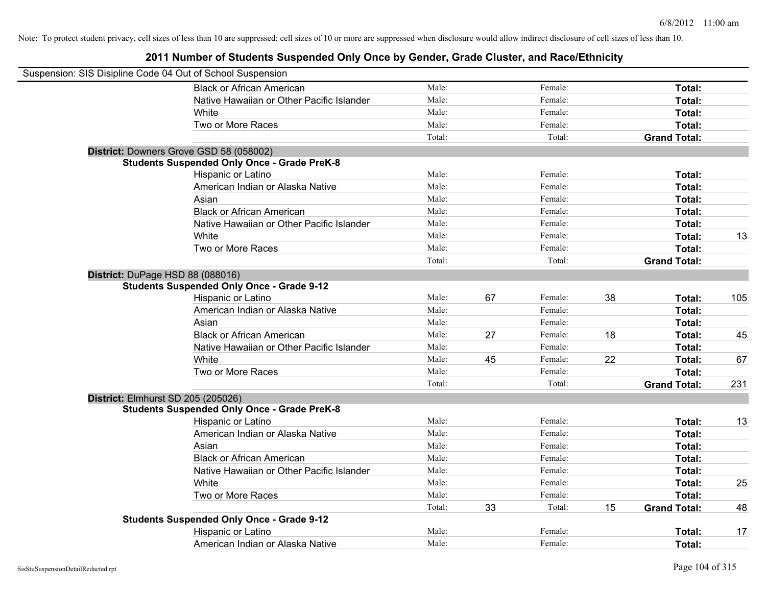| Suspension: SIS Disipline Code 04 Out of School Suspension |                                                    |        |    |         |    |                     |     |
|------------------------------------------------------------|----------------------------------------------------|--------|----|---------|----|---------------------|-----|
|                                                            | <b>Black or African American</b>                   | Male:  |    | Female: |    | Total:              |     |
|                                                            | Native Hawaiian or Other Pacific Islander          | Male:  |    | Female: |    | Total:              |     |
|                                                            | White                                              | Male:  |    | Female: |    | Total:              |     |
|                                                            | Two or More Races                                  | Male:  |    | Female: |    | Total:              |     |
|                                                            |                                                    | Total: |    | Total:  |    | <b>Grand Total:</b> |     |
|                                                            | District: Downers Grove GSD 58 (058002)            |        |    |         |    |                     |     |
|                                                            | <b>Students Suspended Only Once - Grade PreK-8</b> |        |    |         |    |                     |     |
|                                                            | Hispanic or Latino                                 | Male:  |    | Female: |    | Total:              |     |
|                                                            | American Indian or Alaska Native                   | Male:  |    | Female: |    | Total:              |     |
|                                                            | Asian                                              | Male:  |    | Female: |    | Total:              |     |
|                                                            | <b>Black or African American</b>                   | Male:  |    | Female: |    | Total:              |     |
|                                                            | Native Hawaiian or Other Pacific Islander          | Male:  |    | Female: |    | Total:              |     |
|                                                            | White                                              | Male:  |    | Female: |    | Total:              | 13  |
|                                                            | Two or More Races                                  | Male:  |    | Female: |    | Total:              |     |
|                                                            |                                                    | Total: |    | Total:  |    | <b>Grand Total:</b> |     |
| District: DuPage HSD 88 (088016)                           |                                                    |        |    |         |    |                     |     |
|                                                            | <b>Students Suspended Only Once - Grade 9-12</b>   |        |    |         |    |                     |     |
|                                                            | Hispanic or Latino                                 | Male:  | 67 | Female: | 38 | Total:              | 105 |
|                                                            | American Indian or Alaska Native                   | Male:  |    | Female: |    | Total:              |     |
|                                                            | Asian                                              | Male:  |    | Female: |    | Total:              |     |
|                                                            | <b>Black or African American</b>                   | Male:  | 27 | Female: | 18 | Total:              | 45  |
|                                                            | Native Hawaiian or Other Pacific Islander          | Male:  |    | Female: |    | Total:              |     |
|                                                            | White                                              | Male:  | 45 | Female: | 22 | Total:              | 67  |
|                                                            | Two or More Races                                  | Male:  |    | Female: |    | Total:              |     |
|                                                            |                                                    | Total: |    | Total:  |    | <b>Grand Total:</b> | 231 |
| District: Elmhurst SD 205 (205026)                         |                                                    |        |    |         |    |                     |     |
|                                                            | <b>Students Suspended Only Once - Grade PreK-8</b> |        |    |         |    |                     |     |
|                                                            | Hispanic or Latino                                 | Male:  |    | Female: |    | Total:              | 13  |
|                                                            | American Indian or Alaska Native                   | Male:  |    | Female: |    | Total:              |     |
|                                                            | Asian                                              | Male:  |    | Female: |    | Total:              |     |
|                                                            | <b>Black or African American</b>                   | Male:  |    | Female: |    | Total:              |     |
|                                                            | Native Hawaiian or Other Pacific Islander          | Male:  |    | Female: |    | Total:              |     |
|                                                            | White                                              | Male:  |    | Female: |    | Total:              | 25  |
|                                                            | Two or More Races                                  | Male:  |    | Female: |    | Total:              |     |
|                                                            |                                                    | Total: | 33 | Total:  | 15 | <b>Grand Total:</b> | 48  |
|                                                            | <b>Students Suspended Only Once - Grade 9-12</b>   |        |    |         |    |                     |     |
|                                                            | Hispanic or Latino                                 | Male:  |    | Female: |    | Total:              | 17  |
|                                                            | American Indian or Alaska Native                   | Male:  |    | Female: |    | Total:              |     |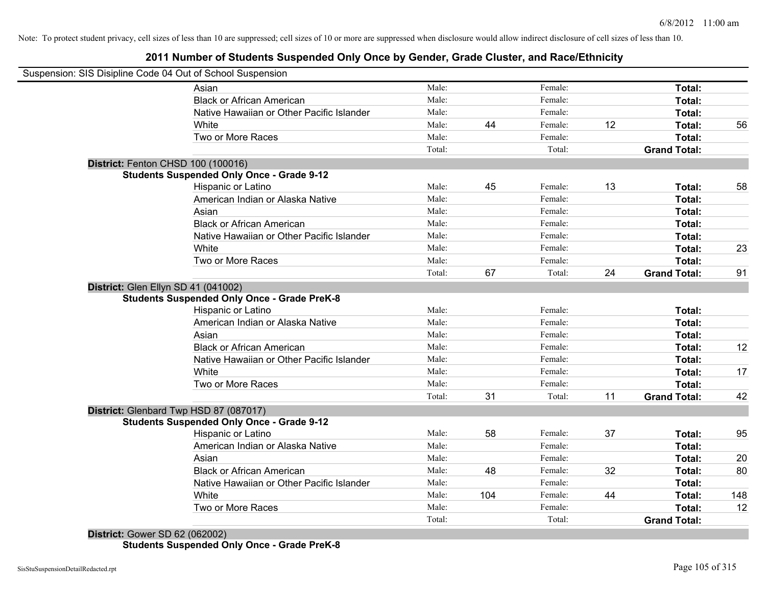#### **2011 Number of Students Suspended Only Once by Gender, Grade Cluster, and Race/Ethnicity**

| Suspension: SIS Disipline Code 04 Out of School Suspension |                                                    |        |     |         |    |                     |     |
|------------------------------------------------------------|----------------------------------------------------|--------|-----|---------|----|---------------------|-----|
|                                                            | Asian                                              | Male:  |     | Female: |    | Total:              |     |
|                                                            | <b>Black or African American</b>                   | Male:  |     | Female: |    | Total:              |     |
|                                                            | Native Hawaiian or Other Pacific Islander          | Male:  |     | Female: |    | Total:              |     |
|                                                            | White                                              | Male:  | 44  | Female: | 12 | Total:              | 56  |
|                                                            | Two or More Races                                  | Male:  |     | Female: |    | Total:              |     |
|                                                            |                                                    | Total: |     | Total:  |    | <b>Grand Total:</b> |     |
| District: Fenton CHSD 100 (100016)                         |                                                    |        |     |         |    |                     |     |
|                                                            | <b>Students Suspended Only Once - Grade 9-12</b>   |        |     |         |    |                     |     |
|                                                            | Hispanic or Latino                                 | Male:  | 45  | Female: | 13 | Total:              | 58  |
|                                                            | American Indian or Alaska Native                   | Male:  |     | Female: |    | Total:              |     |
|                                                            | Asian                                              | Male:  |     | Female: |    | Total:              |     |
|                                                            | <b>Black or African American</b>                   | Male:  |     | Female: |    | Total:              |     |
|                                                            | Native Hawaiian or Other Pacific Islander          | Male:  |     | Female: |    | Total:              |     |
|                                                            | White                                              | Male:  |     | Female: |    | Total:              | 23  |
|                                                            | Two or More Races                                  | Male:  |     | Female: |    | Total:              |     |
|                                                            |                                                    | Total: | 67  | Total:  | 24 | <b>Grand Total:</b> | 91  |
| District: Glen Ellyn SD 41 (041002)                        |                                                    |        |     |         |    |                     |     |
|                                                            | <b>Students Suspended Only Once - Grade PreK-8</b> |        |     |         |    |                     |     |
|                                                            | Hispanic or Latino                                 | Male:  |     | Female: |    | Total:              |     |
|                                                            | American Indian or Alaska Native                   | Male:  |     | Female: |    | Total:              |     |
|                                                            | Asian                                              | Male:  |     | Female: |    | Total:              |     |
|                                                            | <b>Black or African American</b>                   | Male:  |     | Female: |    | Total:              | 12  |
|                                                            | Native Hawaiian or Other Pacific Islander          | Male:  |     | Female: |    | Total:              |     |
|                                                            | White                                              | Male:  |     | Female: |    | Total:              | 17  |
|                                                            | Two or More Races                                  | Male:  |     | Female: |    | Total:              |     |
|                                                            |                                                    | Total: | 31  | Total:  | 11 | <b>Grand Total:</b> | 42  |
| District: Glenbard Twp HSD 87 (087017)                     |                                                    |        |     |         |    |                     |     |
|                                                            | <b>Students Suspended Only Once - Grade 9-12</b>   |        |     |         |    |                     |     |
|                                                            | Hispanic or Latino                                 | Male:  | 58  | Female: | 37 | Total:              | 95  |
|                                                            | American Indian or Alaska Native                   | Male:  |     | Female: |    | Total:              |     |
|                                                            | Asian                                              | Male:  |     | Female: |    | Total:              | 20  |
|                                                            | <b>Black or African American</b>                   | Male:  | 48  | Female: | 32 | Total:              | 80  |
|                                                            | Native Hawaiian or Other Pacific Islander          | Male:  |     | Female: |    | Total:              |     |
|                                                            | White                                              | Male:  | 104 | Female: | 44 | Total:              | 148 |
|                                                            | Two or More Races                                  | Male:  |     | Female: |    | Total:              | 12  |
|                                                            |                                                    | Total: |     | Total:  |    | <b>Grand Total:</b> |     |

**District:** Gower SD 62 (062002) **Students Suspended Only Once - Grade PreK-8**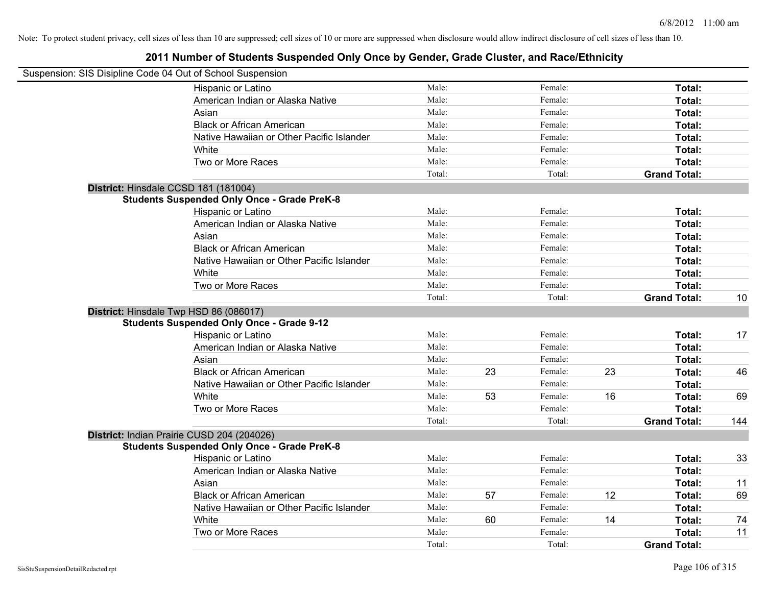| Suspension: SIS Disipline Code 04 Out of School Suspension |        |    |         |    |                     |     |
|------------------------------------------------------------|--------|----|---------|----|---------------------|-----|
| Hispanic or Latino                                         | Male:  |    | Female: |    | Total:              |     |
| American Indian or Alaska Native                           | Male:  |    | Female: |    | Total:              |     |
| Asian                                                      | Male:  |    | Female: |    | Total:              |     |
| <b>Black or African American</b>                           | Male:  |    | Female: |    | Total:              |     |
| Native Hawaiian or Other Pacific Islander                  | Male:  |    | Female: |    | Total:              |     |
| <b>White</b>                                               | Male:  |    | Female: |    | Total:              |     |
| Two or More Races                                          | Male:  |    | Female: |    | Total:              |     |
|                                                            | Total: |    | Total:  |    | <b>Grand Total:</b> |     |
| District: Hinsdale CCSD 181 (181004)                       |        |    |         |    |                     |     |
| <b>Students Suspended Only Once - Grade PreK-8</b>         |        |    |         |    |                     |     |
| Hispanic or Latino                                         | Male:  |    | Female: |    | Total:              |     |
| American Indian or Alaska Native                           | Male:  |    | Female: |    | Total:              |     |
| Asian                                                      | Male:  |    | Female: |    | Total:              |     |
| <b>Black or African American</b>                           | Male:  |    | Female: |    | Total:              |     |
| Native Hawaiian or Other Pacific Islander                  | Male:  |    | Female: |    | Total:              |     |
| White                                                      | Male:  |    | Female: |    | Total:              |     |
| Two or More Races                                          | Male:  |    | Female: |    | Total:              |     |
|                                                            | Total: |    | Total:  |    | <b>Grand Total:</b> | 10  |
| District: Hinsdale Twp HSD 86 (086017)                     |        |    |         |    |                     |     |
| <b>Students Suspended Only Once - Grade 9-12</b>           |        |    |         |    |                     |     |
| Hispanic or Latino                                         | Male:  |    | Female: |    | Total:              | 17  |
| American Indian or Alaska Native                           | Male:  |    | Female: |    | Total:              |     |
| Asian                                                      | Male:  |    | Female: |    | Total:              |     |
| <b>Black or African American</b>                           | Male:  | 23 | Female: | 23 | Total:              | 46  |
| Native Hawaiian or Other Pacific Islander                  | Male:  |    | Female: |    | Total:              |     |
| White                                                      | Male:  | 53 | Female: | 16 | Total:              | 69  |
| Two or More Races                                          | Male:  |    | Female: |    | Total:              |     |
|                                                            | Total: |    | Total:  |    | <b>Grand Total:</b> | 144 |
| District: Indian Prairie CUSD 204 (204026)                 |        |    |         |    |                     |     |
| <b>Students Suspended Only Once - Grade PreK-8</b>         |        |    |         |    |                     |     |
| Hispanic or Latino                                         | Male:  |    | Female: |    | Total:              | 33  |
| American Indian or Alaska Native                           | Male:  |    | Female: |    | Total:              |     |
| Asian                                                      | Male:  |    | Female: |    | Total:              | 11  |
| <b>Black or African American</b>                           | Male:  | 57 | Female: | 12 | Total:              | 69  |
| Native Hawaiian or Other Pacific Islander                  | Male:  |    | Female: |    | Total:              |     |
| White                                                      | Male:  | 60 | Female: | 14 | <b>Total:</b>       | 74  |
| Two or More Races                                          | Male:  |    | Female: |    | <b>Total:</b>       | 11  |
|                                                            | Total: |    | Total:  |    | <b>Grand Total:</b> |     |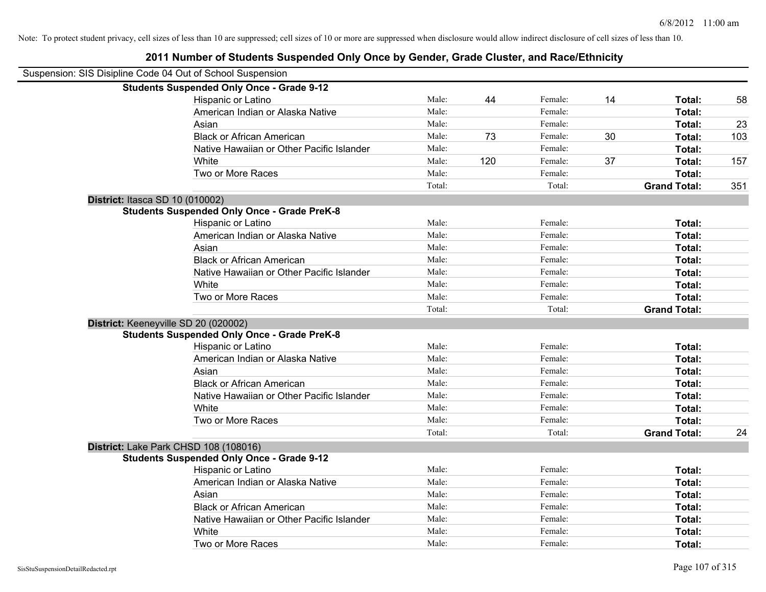| Suspension: SIS Disipline Code 04 Out of School Suspension |                                                    |        |     |         |    |                     |     |
|------------------------------------------------------------|----------------------------------------------------|--------|-----|---------|----|---------------------|-----|
|                                                            | <b>Students Suspended Only Once - Grade 9-12</b>   |        |     |         |    |                     |     |
|                                                            | Hispanic or Latino                                 | Male:  | 44  | Female: | 14 | Total:              | 58  |
|                                                            | American Indian or Alaska Native                   | Male:  |     | Female: |    | Total:              |     |
|                                                            | Asian                                              | Male:  |     | Female: |    | Total:              | 23  |
|                                                            | <b>Black or African American</b>                   | Male:  | 73  | Female: | 30 | Total:              | 103 |
|                                                            | Native Hawaiian or Other Pacific Islander          | Male:  |     | Female: |    | Total:              |     |
|                                                            | White                                              | Male:  | 120 | Female: | 37 | Total:              | 157 |
|                                                            | Two or More Races                                  | Male:  |     | Female: |    | Total:              |     |
|                                                            |                                                    | Total: |     | Total:  |    | <b>Grand Total:</b> | 351 |
| District: Itasca SD 10 (010002)                            |                                                    |        |     |         |    |                     |     |
|                                                            | <b>Students Suspended Only Once - Grade PreK-8</b> |        |     |         |    |                     |     |
|                                                            | Hispanic or Latino                                 | Male:  |     | Female: |    | Total:              |     |
|                                                            | American Indian or Alaska Native                   | Male:  |     | Female: |    | Total:              |     |
|                                                            | Asian                                              | Male:  |     | Female: |    | Total:              |     |
|                                                            | <b>Black or African American</b>                   | Male:  |     | Female: |    | Total:              |     |
|                                                            | Native Hawaiian or Other Pacific Islander          | Male:  |     | Female: |    | Total:              |     |
|                                                            | White                                              | Male:  |     | Female: |    | Total:              |     |
|                                                            | Two or More Races                                  | Male:  |     | Female: |    | Total:              |     |
|                                                            |                                                    | Total: |     | Total:  |    | <b>Grand Total:</b> |     |
|                                                            | District: Keeneyville SD 20 (020002)               |        |     |         |    |                     |     |
|                                                            | <b>Students Suspended Only Once - Grade PreK-8</b> |        |     |         |    |                     |     |
|                                                            | Hispanic or Latino                                 | Male:  |     | Female: |    | Total:              |     |
|                                                            | American Indian or Alaska Native                   | Male:  |     | Female: |    | Total:              |     |
|                                                            | Asian                                              | Male:  |     | Female: |    | Total:              |     |
|                                                            | <b>Black or African American</b>                   | Male:  |     | Female: |    | Total:              |     |
|                                                            | Native Hawaiian or Other Pacific Islander          | Male:  |     | Female: |    | Total:              |     |
|                                                            | White                                              | Male:  |     | Female: |    | Total:              |     |
|                                                            | Two or More Races                                  | Male:  |     | Female: |    | Total:              |     |
|                                                            |                                                    | Total: |     | Total:  |    | <b>Grand Total:</b> | 24  |
|                                                            | District: Lake Park CHSD 108 (108016)              |        |     |         |    |                     |     |
|                                                            | <b>Students Suspended Only Once - Grade 9-12</b>   |        |     |         |    |                     |     |
|                                                            | Hispanic or Latino                                 | Male:  |     | Female: |    | Total:              |     |
|                                                            | American Indian or Alaska Native                   | Male:  |     | Female: |    | Total:              |     |
|                                                            | Asian                                              | Male:  |     | Female: |    | Total:              |     |
|                                                            | <b>Black or African American</b>                   | Male:  |     | Female: |    | Total:              |     |
|                                                            | Native Hawaiian or Other Pacific Islander          | Male:  |     | Female: |    | Total:              |     |
|                                                            | White                                              | Male:  |     | Female: |    | Total:              |     |
|                                                            | Two or More Races                                  | Male:  |     | Female: |    | Total:              |     |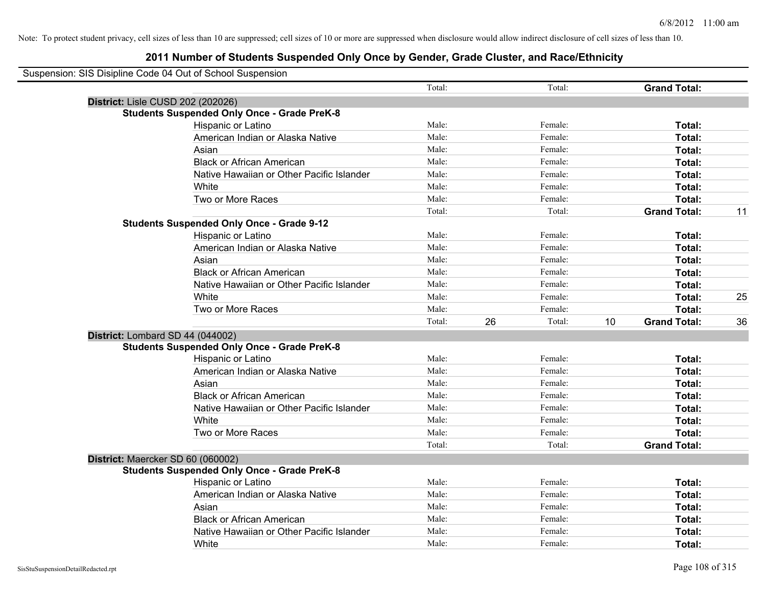| Suspension: SIS Disipline Code 04 Out of School Suspension |        |    |         |    |                     |    |
|------------------------------------------------------------|--------|----|---------|----|---------------------|----|
|                                                            | Total: |    | Total:  |    | <b>Grand Total:</b> |    |
| District: Lisle CUSD 202 (202026)                          |        |    |         |    |                     |    |
| <b>Students Suspended Only Once - Grade PreK-8</b>         |        |    |         |    |                     |    |
| Hispanic or Latino                                         | Male:  |    | Female: |    | Total:              |    |
| American Indian or Alaska Native                           | Male:  |    | Female: |    | Total:              |    |
| Asian                                                      | Male:  |    | Female: |    | Total:              |    |
| <b>Black or African American</b>                           | Male:  |    | Female: |    | Total:              |    |
| Native Hawaiian or Other Pacific Islander                  | Male:  |    | Female: |    | Total:              |    |
| White                                                      | Male:  |    | Female: |    | Total:              |    |
| Two or More Races                                          | Male:  |    | Female: |    | Total:              |    |
|                                                            | Total: |    | Total:  |    | <b>Grand Total:</b> | 11 |
| <b>Students Suspended Only Once - Grade 9-12</b>           |        |    |         |    |                     |    |
| Hispanic or Latino                                         | Male:  |    | Female: |    | Total:              |    |
| American Indian or Alaska Native                           | Male:  |    | Female: |    | Total:              |    |
| Asian                                                      | Male:  |    | Female: |    | Total:              |    |
| <b>Black or African American</b>                           | Male:  |    | Female: |    | Total:              |    |
| Native Hawaiian or Other Pacific Islander                  | Male:  |    | Female: |    | Total:              |    |
| White                                                      | Male:  |    | Female: |    | Total:              | 25 |
| Two or More Races                                          | Male:  |    | Female: |    | Total:              |    |
|                                                            | Total: | 26 | Total:  | 10 | <b>Grand Total:</b> | 36 |
| District: Lombard SD 44 (044002)                           |        |    |         |    |                     |    |
| <b>Students Suspended Only Once - Grade PreK-8</b>         |        |    |         |    |                     |    |
| Hispanic or Latino                                         | Male:  |    | Female: |    | Total:              |    |
| American Indian or Alaska Native                           | Male:  |    | Female: |    | Total:              |    |
| Asian                                                      | Male:  |    | Female: |    | Total:              |    |
| <b>Black or African American</b>                           | Male:  |    | Female: |    | Total:              |    |
| Native Hawaiian or Other Pacific Islander                  | Male:  |    | Female: |    | Total:              |    |
| White                                                      | Male:  |    | Female: |    | Total:              |    |
| Two or More Races                                          | Male:  |    | Female: |    | Total:              |    |
|                                                            | Total: |    | Total:  |    | <b>Grand Total:</b> |    |
| District: Maercker SD 60 (060002)                          |        |    |         |    |                     |    |
| <b>Students Suspended Only Once - Grade PreK-8</b>         |        |    |         |    |                     |    |
| Hispanic or Latino                                         | Male:  |    | Female: |    | Total:              |    |
| American Indian or Alaska Native                           | Male:  |    | Female: |    | Total:              |    |
| Asian                                                      | Male:  |    | Female: |    | Total:              |    |
| <b>Black or African American</b>                           | Male:  |    | Female: |    | Total:              |    |
| Native Hawaiian or Other Pacific Islander                  | Male:  |    | Female: |    | Total:              |    |
| White                                                      | Male:  |    | Female: |    | Total:              |    |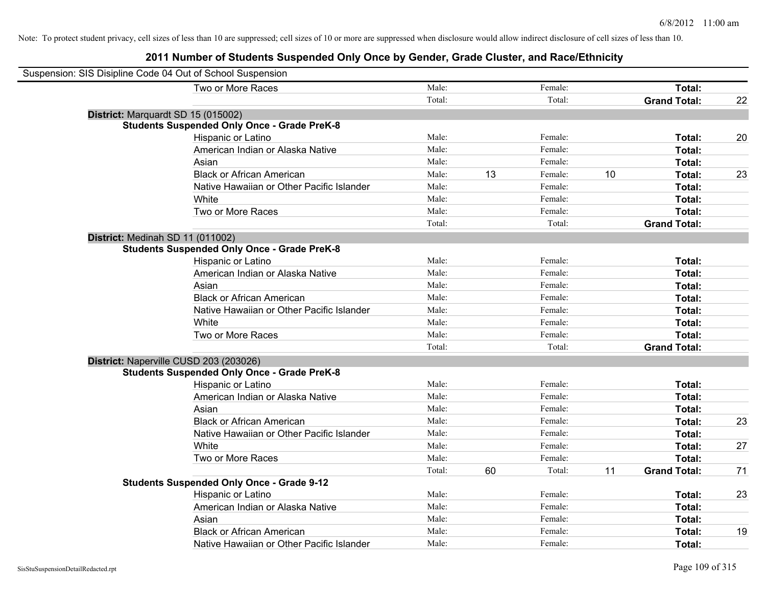| Suspension: SIS Disipline Code 04 Out of School Suspension |                                                    |        |    |         |    |                     |    |
|------------------------------------------------------------|----------------------------------------------------|--------|----|---------|----|---------------------|----|
|                                                            | Two or More Races                                  | Male:  |    | Female: |    | Total:              |    |
|                                                            |                                                    | Total: |    | Total:  |    | <b>Grand Total:</b> | 22 |
| District: Marquardt SD 15 (015002)                         |                                                    |        |    |         |    |                     |    |
|                                                            | <b>Students Suspended Only Once - Grade PreK-8</b> |        |    |         |    |                     |    |
|                                                            | Hispanic or Latino                                 | Male:  |    | Female: |    | Total:              | 20 |
|                                                            | American Indian or Alaska Native                   | Male:  |    | Female: |    | Total:              |    |
|                                                            | Asian                                              | Male:  |    | Female: |    | Total:              |    |
|                                                            | <b>Black or African American</b>                   | Male:  | 13 | Female: | 10 | Total:              | 23 |
|                                                            | Native Hawaiian or Other Pacific Islander          | Male:  |    | Female: |    | Total:              |    |
|                                                            | White                                              | Male:  |    | Female: |    | Total:              |    |
|                                                            | Two or More Races                                  | Male:  |    | Female: |    | Total:              |    |
|                                                            |                                                    | Total: |    | Total:  |    | <b>Grand Total:</b> |    |
| District: Medinah SD 11 (011002)                           |                                                    |        |    |         |    |                     |    |
|                                                            | <b>Students Suspended Only Once - Grade PreK-8</b> |        |    |         |    |                     |    |
|                                                            | Hispanic or Latino                                 | Male:  |    | Female: |    | Total:              |    |
|                                                            | American Indian or Alaska Native                   | Male:  |    | Female: |    | Total:              |    |
|                                                            | Asian                                              | Male:  |    | Female: |    | Total:              |    |
|                                                            | <b>Black or African American</b>                   | Male:  |    | Female: |    | Total:              |    |
|                                                            | Native Hawaiian or Other Pacific Islander          | Male:  |    | Female: |    | Total:              |    |
|                                                            | White                                              | Male:  |    | Female: |    | Total:              |    |
|                                                            | Two or More Races                                  | Male:  |    | Female: |    | Total:              |    |
|                                                            |                                                    | Total: |    | Total:  |    | <b>Grand Total:</b> |    |
| District: Naperville CUSD 203 (203026)                     |                                                    |        |    |         |    |                     |    |
|                                                            | <b>Students Suspended Only Once - Grade PreK-8</b> |        |    |         |    |                     |    |
|                                                            | Hispanic or Latino                                 | Male:  |    | Female: |    | Total:              |    |
|                                                            | American Indian or Alaska Native                   | Male:  |    | Female: |    | Total:              |    |
|                                                            | Asian                                              | Male:  |    | Female: |    | Total:              |    |
|                                                            | <b>Black or African American</b>                   | Male:  |    | Female: |    | Total:              | 23 |
|                                                            | Native Hawaiian or Other Pacific Islander          | Male:  |    | Female: |    | Total:              |    |
|                                                            | White                                              | Male:  |    | Female: |    | Total:              | 27 |
|                                                            | Two or More Races                                  | Male:  |    | Female: |    | Total:              |    |
|                                                            |                                                    | Total: | 60 | Total:  | 11 | <b>Grand Total:</b> | 71 |
|                                                            | <b>Students Suspended Only Once - Grade 9-12</b>   |        |    |         |    |                     |    |
|                                                            | Hispanic or Latino                                 | Male:  |    | Female: |    | Total:              | 23 |
|                                                            | American Indian or Alaska Native                   | Male:  |    | Female: |    | Total:              |    |
|                                                            | Asian                                              | Male:  |    | Female: |    | Total:              |    |
|                                                            | <b>Black or African American</b>                   | Male:  |    | Female: |    | Total:              | 19 |
|                                                            | Native Hawaiian or Other Pacific Islander          | Male:  |    | Female: |    | Total:              |    |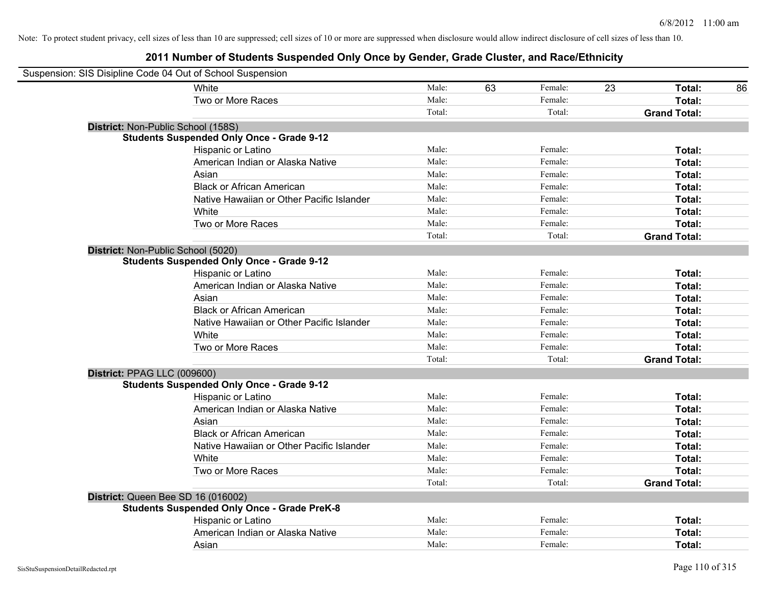| Suspension: SIS Disipline Code 04 Out of School Suspension |                                                    |        |    |         |    |                     |    |
|------------------------------------------------------------|----------------------------------------------------|--------|----|---------|----|---------------------|----|
|                                                            | White                                              | Male:  | 63 | Female: | 23 | Total:              | 86 |
|                                                            | Two or More Races                                  | Male:  |    | Female: |    | Total:              |    |
|                                                            |                                                    | Total: |    | Total:  |    | <b>Grand Total:</b> |    |
| District: Non-Public School (158S)                         |                                                    |        |    |         |    |                     |    |
|                                                            | <b>Students Suspended Only Once - Grade 9-12</b>   |        |    |         |    |                     |    |
|                                                            | Hispanic or Latino                                 | Male:  |    | Female: |    | Total:              |    |
|                                                            | American Indian or Alaska Native                   | Male:  |    | Female: |    | Total:              |    |
|                                                            | Asian                                              | Male:  |    | Female: |    | Total:              |    |
|                                                            | <b>Black or African American</b>                   | Male:  |    | Female: |    | Total:              |    |
|                                                            | Native Hawaiian or Other Pacific Islander          | Male:  |    | Female: |    | Total:              |    |
|                                                            | White                                              | Male:  |    | Female: |    | Total:              |    |
|                                                            | Two or More Races                                  | Male:  |    | Female: |    | Total:              |    |
|                                                            |                                                    | Total: |    | Total:  |    | <b>Grand Total:</b> |    |
| District: Non-Public School (5020)                         |                                                    |        |    |         |    |                     |    |
|                                                            | <b>Students Suspended Only Once - Grade 9-12</b>   |        |    |         |    |                     |    |
|                                                            | Hispanic or Latino                                 | Male:  |    | Female: |    | Total:              |    |
|                                                            | American Indian or Alaska Native                   | Male:  |    | Female: |    | Total:              |    |
|                                                            | Asian                                              | Male:  |    | Female: |    | Total:              |    |
|                                                            | <b>Black or African American</b>                   | Male:  |    | Female: |    | Total:              |    |
|                                                            | Native Hawaiian or Other Pacific Islander          | Male:  |    | Female: |    | Total:              |    |
|                                                            | White                                              | Male:  |    | Female: |    | Total:              |    |
|                                                            | Two or More Races                                  | Male:  |    | Female: |    | Total:              |    |
|                                                            |                                                    | Total: |    | Total:  |    | <b>Grand Total:</b> |    |
| District: PPAG LLC (009600)                                |                                                    |        |    |         |    |                     |    |
|                                                            | <b>Students Suspended Only Once - Grade 9-12</b>   |        |    |         |    |                     |    |
|                                                            | Hispanic or Latino                                 | Male:  |    | Female: |    | Total:              |    |
|                                                            | American Indian or Alaska Native                   | Male:  |    | Female: |    | Total:              |    |
|                                                            | Asian                                              | Male:  |    | Female: |    | Total:              |    |
|                                                            | <b>Black or African American</b>                   | Male:  |    | Female: |    | Total:              |    |
|                                                            | Native Hawaiian or Other Pacific Islander          | Male:  |    | Female: |    | Total:              |    |
|                                                            | White                                              | Male:  |    | Female: |    | Total:              |    |
|                                                            | Two or More Races                                  | Male:  |    | Female: |    | Total:              |    |
|                                                            |                                                    | Total: |    | Total:  |    | <b>Grand Total:</b> |    |
| District: Queen Bee SD 16 (016002)                         |                                                    |        |    |         |    |                     |    |
|                                                            | <b>Students Suspended Only Once - Grade PreK-8</b> |        |    |         |    |                     |    |
|                                                            | Hispanic or Latino                                 | Male:  |    | Female: |    | Total:              |    |
|                                                            | American Indian or Alaska Native                   | Male:  |    | Female: |    | Total:              |    |
|                                                            | Asian                                              | Male:  |    | Female: |    | Total:              |    |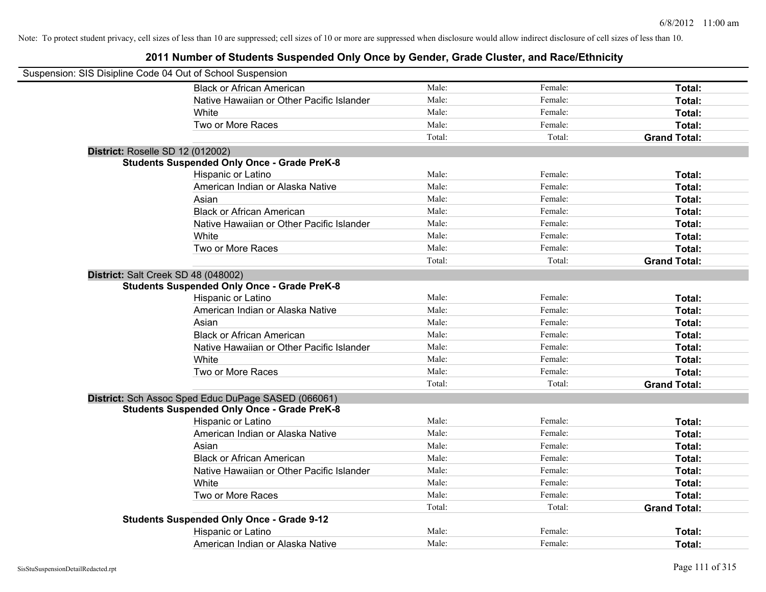| Suspension: SIS Disipline Code 04 Out of School Suspension |                                                     |        |         |                     |
|------------------------------------------------------------|-----------------------------------------------------|--------|---------|---------------------|
|                                                            | <b>Black or African American</b>                    | Male:  | Female: | Total:              |
|                                                            | Native Hawaiian or Other Pacific Islander           | Male:  | Female: | Total:              |
|                                                            | White                                               | Male:  | Female: | Total:              |
|                                                            | Two or More Races                                   | Male:  | Female: | Total:              |
|                                                            |                                                     | Total: | Total:  | <b>Grand Total:</b> |
|                                                            |                                                     |        |         |                     |
| District: Roselle SD 12 (012002)                           | <b>Students Suspended Only Once - Grade PreK-8</b>  |        |         |                     |
|                                                            | Hispanic or Latino                                  | Male:  | Female: | Total:              |
|                                                            | American Indian or Alaska Native                    | Male:  | Female: | Total:              |
|                                                            | Asian                                               | Male:  | Female: | Total:              |
|                                                            | <b>Black or African American</b>                    | Male:  | Female: | Total:              |
|                                                            |                                                     | Male:  | Female: |                     |
|                                                            | Native Hawaiian or Other Pacific Islander           |        |         | Total:              |
|                                                            | White                                               | Male:  | Female: | Total:              |
|                                                            | Two or More Races                                   | Male:  | Female: | Total:              |
|                                                            |                                                     | Total: | Total:  | <b>Grand Total:</b> |
| District: Salt Creek SD 48 (048002)                        |                                                     |        |         |                     |
|                                                            | <b>Students Suspended Only Once - Grade PreK-8</b>  |        |         |                     |
|                                                            | Hispanic or Latino                                  | Male:  | Female: | Total:              |
|                                                            | American Indian or Alaska Native                    | Male:  | Female: | Total:              |
|                                                            | Asian                                               | Male:  | Female: | Total:              |
|                                                            | <b>Black or African American</b>                    | Male:  | Female: | Total:              |
|                                                            | Native Hawaiian or Other Pacific Islander           | Male:  | Female: | Total:              |
|                                                            | White                                               | Male:  | Female: | Total:              |
|                                                            | Two or More Races                                   | Male:  | Female: | Total:              |
|                                                            |                                                     | Total: | Total:  | <b>Grand Total:</b> |
|                                                            | District: Sch Assoc Sped Educ DuPage SASED (066061) |        |         |                     |
|                                                            | <b>Students Suspended Only Once - Grade PreK-8</b>  |        |         |                     |
|                                                            | Hispanic or Latino                                  | Male:  | Female: | Total:              |
|                                                            | American Indian or Alaska Native                    | Male:  | Female: | Total:              |
|                                                            | Asian                                               | Male:  | Female: | Total:              |
|                                                            | <b>Black or African American</b>                    | Male:  | Female: | Total:              |
|                                                            | Native Hawaiian or Other Pacific Islander           | Male:  | Female: | Total:              |
|                                                            | <b>White</b>                                        | Male:  | Female: | Total:              |
|                                                            | Two or More Races                                   | Male:  | Female: | Total:              |
|                                                            |                                                     | Total: | Total:  | <b>Grand Total:</b> |
|                                                            | <b>Students Suspended Only Once - Grade 9-12</b>    |        |         |                     |
|                                                            | Hispanic or Latino                                  | Male:  | Female: | Total:              |
|                                                            | American Indian or Alaska Native                    | Male:  | Female: | Total:              |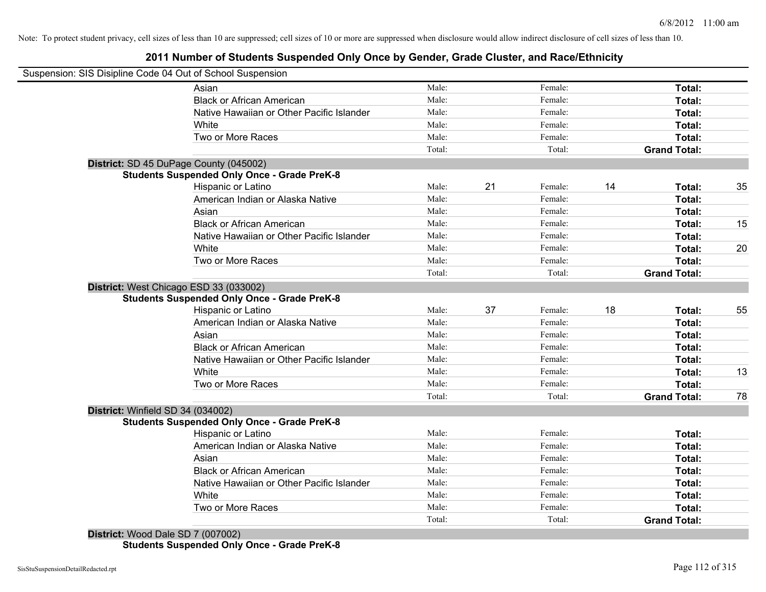## **2011 Number of Students Suspended Only Once by Gender, Grade Cluster, and Race/Ethnicity**

|                                   | Suspension: SIS Disipline Code 04 Out of School Suspension |        |    |         |    |                     |    |
|-----------------------------------|------------------------------------------------------------|--------|----|---------|----|---------------------|----|
|                                   | Asian                                                      | Male:  |    | Female: |    | Total:              |    |
|                                   | <b>Black or African American</b>                           | Male:  |    | Female: |    | Total:              |    |
|                                   | Native Hawaiian or Other Pacific Islander                  | Male:  |    | Female: |    | Total:              |    |
|                                   | White                                                      | Male:  |    | Female: |    | Total:              |    |
|                                   | Two or More Races                                          | Male:  |    | Female: |    | Total:              |    |
|                                   |                                                            | Total: |    | Total:  |    | <b>Grand Total:</b> |    |
|                                   | District: SD 45 DuPage County (045002)                     |        |    |         |    |                     |    |
|                                   | <b>Students Suspended Only Once - Grade PreK-8</b>         |        |    |         |    |                     |    |
|                                   | Hispanic or Latino                                         | Male:  | 21 | Female: | 14 | Total:              | 35 |
|                                   | American Indian or Alaska Native                           | Male:  |    | Female: |    | Total:              |    |
|                                   | Asian                                                      | Male:  |    | Female: |    | Total:              |    |
|                                   | <b>Black or African American</b>                           | Male:  |    | Female: |    | Total:              | 15 |
|                                   | Native Hawaiian or Other Pacific Islander                  | Male:  |    | Female: |    | Total:              |    |
|                                   | White                                                      | Male:  |    | Female: |    | Total:              | 20 |
|                                   | Two or More Races                                          | Male:  |    | Female: |    | Total:              |    |
|                                   |                                                            | Total: |    | Total:  |    | <b>Grand Total:</b> |    |
|                                   | District: West Chicago ESD 33 (033002)                     |        |    |         |    |                     |    |
|                                   | <b>Students Suspended Only Once - Grade PreK-8</b>         |        |    |         |    |                     |    |
|                                   | Hispanic or Latino                                         | Male:  | 37 | Female: | 18 | Total:              | 55 |
|                                   | American Indian or Alaska Native                           | Male:  |    | Female: |    | Total:              |    |
|                                   | Asian                                                      | Male:  |    | Female: |    | Total:              |    |
|                                   | <b>Black or African American</b>                           | Male:  |    | Female: |    | Total:              |    |
|                                   | Native Hawaiian or Other Pacific Islander                  | Male:  |    | Female: |    | Total:              |    |
|                                   | White                                                      | Male:  |    | Female: |    | Total:              | 13 |
|                                   |                                                            |        |    | Female: |    | Total:              |    |
|                                   | Two or More Races                                          | Male:  |    |         |    |                     |    |
|                                   |                                                            | Total: |    | Total:  |    | <b>Grand Total:</b> | 78 |
| District: Winfield SD 34 (034002) |                                                            |        |    |         |    |                     |    |
|                                   | <b>Students Suspended Only Once - Grade PreK-8</b>         |        |    |         |    |                     |    |
|                                   | Hispanic or Latino                                         | Male:  |    | Female: |    | Total:              |    |
|                                   | American Indian or Alaska Native                           | Male:  |    | Female: |    | Total:              |    |
|                                   | Asian                                                      | Male:  |    | Female: |    | Total:              |    |
|                                   | <b>Black or African American</b>                           | Male:  |    | Female: |    | Total:              |    |
|                                   | Native Hawaiian or Other Pacific Islander                  | Male:  |    | Female: |    | Total:              |    |
|                                   | White                                                      | Male:  |    | Female: |    | Total:              |    |
|                                   | Two or More Races                                          | Male:  |    | Female: |    | <b>Total:</b>       |    |
|                                   |                                                            | Total: |    | Total:  |    | <b>Grand Total:</b> |    |

**Students Suspended Only Once - Grade PreK-8**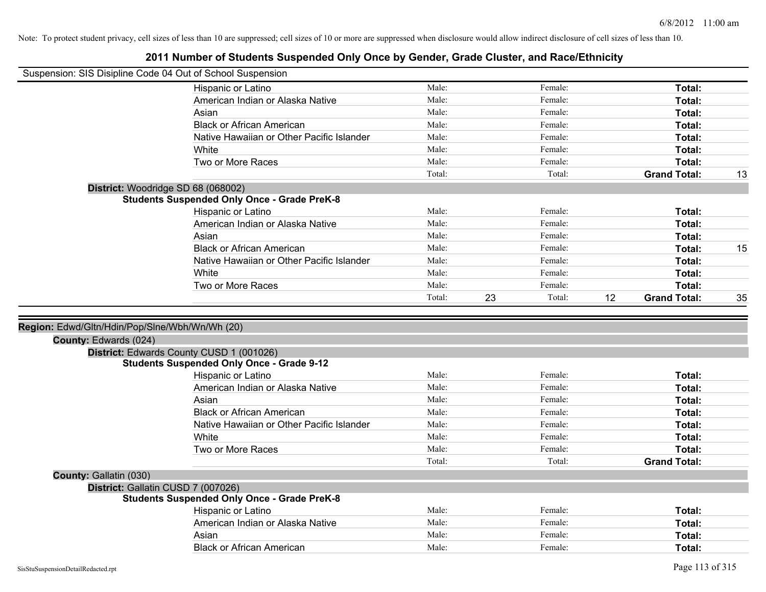| Suspension: SIS Disipline Code 04 Out of School Suspension |                                                    |                |              |                           |    |
|------------------------------------------------------------|----------------------------------------------------|----------------|--------------|---------------------------|----|
|                                                            | Hispanic or Latino                                 | Male:          | Female:      | Total:                    |    |
|                                                            | American Indian or Alaska Native                   | Male:          | Female:      | Total:                    |    |
|                                                            | Asian                                              | Male:          | Female:      | Total:                    |    |
|                                                            | <b>Black or African American</b>                   | Male:          | Female:      | Total:                    |    |
|                                                            | Native Hawaiian or Other Pacific Islander          | Male:          | Female:      | Total:                    |    |
|                                                            | White                                              | Male:          | Female:      | Total:                    |    |
|                                                            | Two or More Races                                  | Male:          | Female:      | Total:                    |    |
|                                                            |                                                    | Total:         | Total:       | <b>Grand Total:</b>       | 13 |
|                                                            | District: Woodridge SD 68 (068002)                 |                |              |                           |    |
|                                                            | <b>Students Suspended Only Once - Grade PreK-8</b> |                |              |                           |    |
|                                                            | Hispanic or Latino                                 | Male:          | Female:      | Total:                    |    |
|                                                            | American Indian or Alaska Native                   | Male:          | Female:      | Total:                    |    |
|                                                            | Asian                                              | Male:          | Female:      | Total:                    |    |
|                                                            | <b>Black or African American</b>                   | Male:          | Female:      | Total:                    | 15 |
|                                                            | Native Hawaiian or Other Pacific Islander          | Male:          | Female:      | Total:                    |    |
|                                                            | White                                              | Male:          | Female:      | Total:                    |    |
|                                                            | Two or More Races                                  | Male:          | Female:      | Total:                    |    |
|                                                            |                                                    | Total:         | 23<br>Total: | 12<br><b>Grand Total:</b> | 35 |
|                                                            |                                                    |                |              |                           |    |
| Region: Edwd/Gltn/Hdin/Pop/Slne/Wbh/Wn/Wh (20)             |                                                    |                |              |                           |    |
| <b>County: Edwards (024)</b>                               |                                                    |                |              |                           |    |
|                                                            | District: Edwards County CUSD 1 (001026)           |                |              |                           |    |
|                                                            | <b>Students Suspended Only Once - Grade 9-12</b>   | Male:          | Female:      | Total:                    |    |
|                                                            | Hispanic or Latino                                 | Male:          | Female:      |                           |    |
|                                                            | American Indian or Alaska Native<br>Asian          | Male:          | Female:      | Total:                    |    |
|                                                            | <b>Black or African American</b>                   | Male:          | Female:      | Total:                    |    |
|                                                            |                                                    |                | Female:      | Total:                    |    |
|                                                            | Native Hawaiian or Other Pacific Islander<br>White | Male:<br>Male: | Female:      | Total:                    |    |
|                                                            |                                                    | Male:          | Female:      | Total:<br>Total:          |    |
|                                                            | Two or More Races                                  | Total:         | Total:       | <b>Grand Total:</b>       |    |
| County: Gallatin (030)                                     |                                                    |                |              |                           |    |
|                                                            | District: Gallatin CUSD 7 (007026)                 |                |              |                           |    |
|                                                            | <b>Students Suspended Only Once - Grade PreK-8</b> |                |              |                           |    |
|                                                            | Hispanic or Latino                                 | Male:          | Female:      | Total:                    |    |
|                                                            | American Indian or Alaska Native                   | Male:          | Female:      | Total:                    |    |
|                                                            | Asian                                              | Male:          | Female:      | Total:                    |    |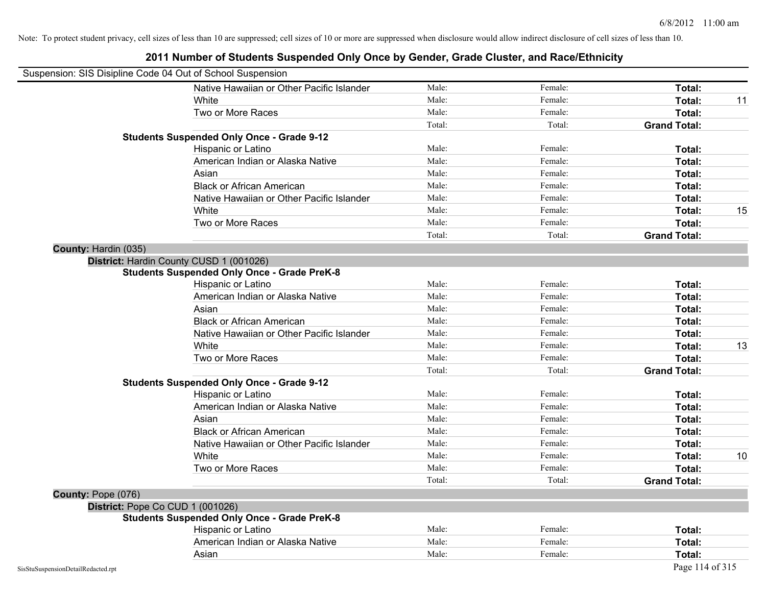| Suspension: SIS Disipline Code 04 Out of School Suspension |                                                    |        |         |                     |
|------------------------------------------------------------|----------------------------------------------------|--------|---------|---------------------|
|                                                            | Native Hawaiian or Other Pacific Islander          | Male:  | Female: | Total:              |
|                                                            | White                                              | Male:  | Female: | Total:<br>11        |
|                                                            | Two or More Races                                  | Male:  | Female: | Total:              |
|                                                            |                                                    | Total: | Total:  | <b>Grand Total:</b> |
|                                                            | <b>Students Suspended Only Once - Grade 9-12</b>   |        |         |                     |
|                                                            | Hispanic or Latino                                 | Male:  | Female: | Total:              |
|                                                            | American Indian or Alaska Native                   | Male:  | Female: | Total:              |
|                                                            | Asian                                              | Male:  | Female: | Total:              |
|                                                            | <b>Black or African American</b>                   | Male:  | Female: | Total:              |
|                                                            | Native Hawaiian or Other Pacific Islander          | Male:  | Female: | Total:              |
|                                                            | White                                              | Male:  | Female: | Total:<br>15        |
|                                                            | Two or More Races                                  | Male:  | Female: | Total:              |
|                                                            |                                                    | Total: | Total:  | <b>Grand Total:</b> |
| County: Hardin (035)                                       |                                                    |        |         |                     |
|                                                            | District: Hardin County CUSD 1 (001026)            |        |         |                     |
|                                                            | <b>Students Suspended Only Once - Grade PreK-8</b> |        |         |                     |
|                                                            | Hispanic or Latino                                 | Male:  | Female: | Total:              |
|                                                            | American Indian or Alaska Native                   | Male:  | Female: | Total:              |
|                                                            | Asian                                              | Male:  | Female: | Total:              |
|                                                            | <b>Black or African American</b>                   | Male:  | Female: | Total:              |
|                                                            | Native Hawaiian or Other Pacific Islander          | Male:  | Female: | Total:              |
|                                                            | White                                              | Male:  | Female: | 13<br>Total:        |
|                                                            | Two or More Races                                  | Male:  | Female: | Total:              |
|                                                            |                                                    | Total: | Total:  | <b>Grand Total:</b> |
|                                                            | <b>Students Suspended Only Once - Grade 9-12</b>   |        |         |                     |
|                                                            | Hispanic or Latino                                 | Male:  | Female: | Total:              |
|                                                            | American Indian or Alaska Native                   | Male:  | Female: | Total:              |
|                                                            | Asian                                              | Male:  | Female: | Total:              |
|                                                            | <b>Black or African American</b>                   | Male:  | Female: | Total:              |
|                                                            | Native Hawaiian or Other Pacific Islander          | Male:  | Female: | Total:              |
|                                                            | White                                              | Male:  | Female: | Total:<br>10        |
|                                                            | Two or More Races                                  | Male:  | Female: | Total:              |
|                                                            |                                                    | Total: | Total:  | <b>Grand Total:</b> |
| County: Pope (076)                                         |                                                    |        |         |                     |
|                                                            | District: Pope Co CUD 1 (001026)                   |        |         |                     |
|                                                            | <b>Students Suspended Only Once - Grade PreK-8</b> |        |         |                     |
|                                                            | Hispanic or Latino                                 | Male:  | Female: | Total:              |
|                                                            | American Indian or Alaska Native                   | Male:  | Female: | Total:              |
|                                                            | Asian                                              | Male:  | Female: | Total:              |
| SisStuSuspensionDetailRedacted.rpt                         |                                                    |        |         | Page 114 of 315     |

### **2011 Number of Students Suspended Only Once by Gender, Grade Cluster, and Race/Ethnicity**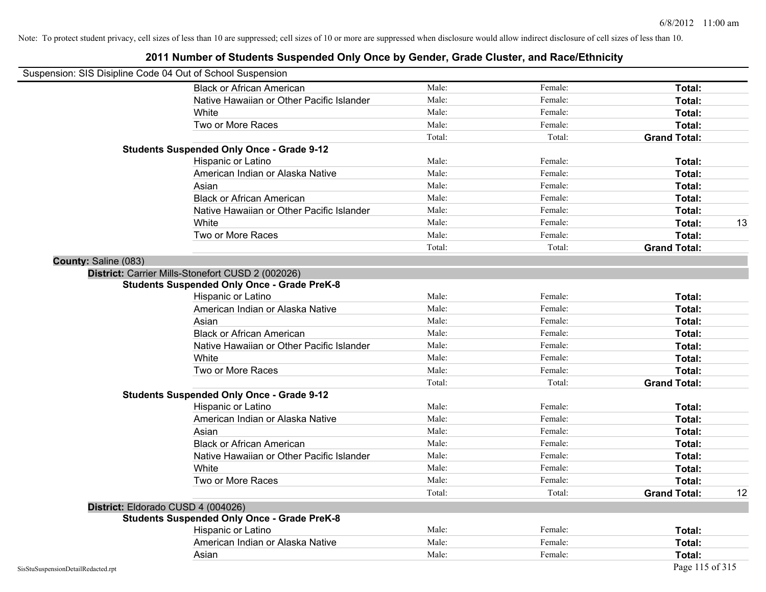| Suspension: SIS Disipline Code 04 Out of School Suspension |                                                    |        |         |                     |    |
|------------------------------------------------------------|----------------------------------------------------|--------|---------|---------------------|----|
|                                                            | <b>Black or African American</b>                   | Male:  | Female: | Total:              |    |
|                                                            | Native Hawaiian or Other Pacific Islander          | Male:  | Female: | Total:              |    |
|                                                            | White                                              | Male:  | Female: | Total:              |    |
|                                                            | Two or More Races                                  | Male:  | Female: | Total:              |    |
|                                                            |                                                    | Total: | Total:  | <b>Grand Total:</b> |    |
|                                                            | <b>Students Suspended Only Once - Grade 9-12</b>   |        |         |                     |    |
|                                                            | Hispanic or Latino                                 | Male:  | Female: | Total:              |    |
|                                                            | American Indian or Alaska Native                   | Male:  | Female: | Total:              |    |
|                                                            | Asian                                              | Male:  | Female: | Total:              |    |
|                                                            | <b>Black or African American</b>                   | Male:  | Female: | Total:              |    |
|                                                            | Native Hawaiian or Other Pacific Islander          | Male:  | Female: | Total:              |    |
|                                                            | White                                              | Male:  | Female: | Total:              | 13 |
|                                                            | Two or More Races                                  | Male:  | Female: | Total:              |    |
|                                                            |                                                    | Total: | Total:  | <b>Grand Total:</b> |    |
| County: Saline (083)                                       |                                                    |        |         |                     |    |
|                                                            | District: Carrier Mills-Stonefort CUSD 2 (002026)  |        |         |                     |    |
|                                                            | <b>Students Suspended Only Once - Grade PreK-8</b> |        |         |                     |    |
|                                                            | Hispanic or Latino                                 | Male:  | Female: | Total:              |    |
|                                                            | American Indian or Alaska Native                   | Male:  | Female: | Total:              |    |
|                                                            | Asian                                              | Male:  | Female: | Total:              |    |
|                                                            | <b>Black or African American</b>                   | Male:  | Female: | Total:              |    |
|                                                            | Native Hawaiian or Other Pacific Islander          | Male:  | Female: | Total:              |    |
|                                                            | White                                              | Male:  | Female: | Total:              |    |
|                                                            | Two or More Races                                  | Male:  | Female: | Total:              |    |
|                                                            |                                                    | Total: | Total:  | <b>Grand Total:</b> |    |
|                                                            | <b>Students Suspended Only Once - Grade 9-12</b>   |        |         |                     |    |
|                                                            | Hispanic or Latino                                 | Male:  | Female: | Total:              |    |
|                                                            | American Indian or Alaska Native                   | Male:  | Female: | Total:              |    |
|                                                            | Asian                                              | Male:  | Female: | Total:              |    |
|                                                            | <b>Black or African American</b>                   | Male:  | Female: | Total:              |    |
|                                                            | Native Hawaiian or Other Pacific Islander          | Male:  | Female: | Total:              |    |
|                                                            | White                                              | Male:  | Female: | Total:              |    |
|                                                            | Two or More Races                                  | Male:  | Female: | Total:              |    |
|                                                            |                                                    | Total: | Total:  | <b>Grand Total:</b> | 12 |
|                                                            | District: Eldorado CUSD 4 (004026)                 |        |         |                     |    |
|                                                            | <b>Students Suspended Only Once - Grade PreK-8</b> |        |         |                     |    |
|                                                            | Hispanic or Latino                                 | Male:  | Female: | Total:              |    |
|                                                            | American Indian or Alaska Native                   | Male:  | Female: | Total:              |    |
|                                                            | Asian                                              | Male:  | Female: | Total:              |    |
| SisStuSuspensionDetailRedacted.rpt                         |                                                    |        |         | Page 115 of 315     |    |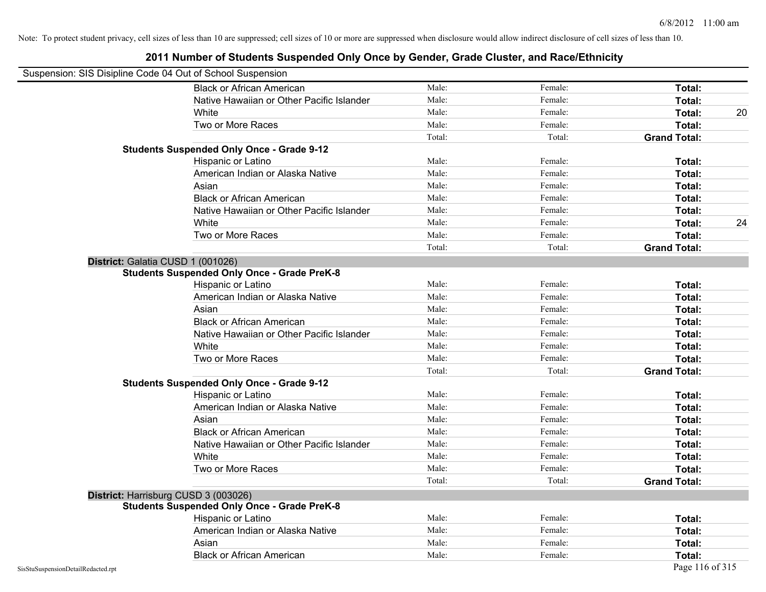| Suspension: SIS Disipline Code 04 Out of School Suspension |                                                    |        |         |                     |    |
|------------------------------------------------------------|----------------------------------------------------|--------|---------|---------------------|----|
|                                                            | <b>Black or African American</b>                   | Male:  | Female: | Total:              |    |
|                                                            | Native Hawaiian or Other Pacific Islander          | Male:  | Female: | Total:              |    |
|                                                            | White                                              | Male:  | Female: | Total:              | 20 |
|                                                            | Two or More Races                                  | Male:  | Female: | Total:              |    |
|                                                            |                                                    | Total: | Total:  | <b>Grand Total:</b> |    |
|                                                            | <b>Students Suspended Only Once - Grade 9-12</b>   |        |         |                     |    |
|                                                            | Hispanic or Latino                                 | Male:  | Female: | Total:              |    |
|                                                            | American Indian or Alaska Native                   | Male:  | Female: | Total:              |    |
|                                                            | Asian                                              | Male:  | Female: | Total:              |    |
|                                                            | <b>Black or African American</b>                   | Male:  | Female: | Total:              |    |
|                                                            | Native Hawaiian or Other Pacific Islander          | Male:  | Female: | Total:              |    |
|                                                            | White                                              | Male:  | Female: | Total:              | 24 |
|                                                            | Two or More Races                                  | Male:  | Female: | Total:              |    |
|                                                            |                                                    | Total: | Total:  | <b>Grand Total:</b> |    |
|                                                            | District: Galatia CUSD 1 (001026)                  |        |         |                     |    |
|                                                            | <b>Students Suspended Only Once - Grade PreK-8</b> |        |         |                     |    |
|                                                            | Hispanic or Latino                                 | Male:  | Female: | Total:              |    |
|                                                            | American Indian or Alaska Native                   | Male:  | Female: | Total:              |    |
|                                                            | Asian                                              | Male:  | Female: | Total:              |    |
|                                                            | <b>Black or African American</b>                   | Male:  | Female: | Total:              |    |
|                                                            | Native Hawaiian or Other Pacific Islander          | Male:  | Female: | Total:              |    |
|                                                            | White                                              | Male:  | Female: | Total:              |    |
|                                                            | Two or More Races                                  | Male:  | Female: | Total:              |    |
|                                                            |                                                    | Total: | Total:  | <b>Grand Total:</b> |    |
|                                                            | <b>Students Suspended Only Once - Grade 9-12</b>   |        |         |                     |    |
|                                                            | Hispanic or Latino                                 | Male:  | Female: | Total:              |    |
|                                                            | American Indian or Alaska Native                   | Male:  | Female: | Total:              |    |
|                                                            | Asian                                              | Male:  | Female: | Total:              |    |
|                                                            | <b>Black or African American</b>                   | Male:  | Female: | Total:              |    |
|                                                            | Native Hawaiian or Other Pacific Islander          | Male:  | Female: | Total:              |    |
|                                                            | White                                              | Male:  | Female: | Total:              |    |
|                                                            | Two or More Races                                  | Male:  | Female: | Total:              |    |
|                                                            |                                                    | Total: | Total:  | <b>Grand Total:</b> |    |
|                                                            | District: Harrisburg CUSD 3 (003026)               |        |         |                     |    |
|                                                            | <b>Students Suspended Only Once - Grade PreK-8</b> |        |         |                     |    |
|                                                            | Hispanic or Latino                                 | Male:  | Female: | Total:              |    |
|                                                            | American Indian or Alaska Native                   | Male:  | Female: | Total:              |    |
|                                                            | Asian                                              | Male:  | Female: | Total:              |    |
|                                                            | <b>Black or African American</b>                   | Male:  | Female: | Total:              |    |
| SisStuSuspensionDetailRedacted.rpt                         |                                                    |        |         | Page 116 of 315     |    |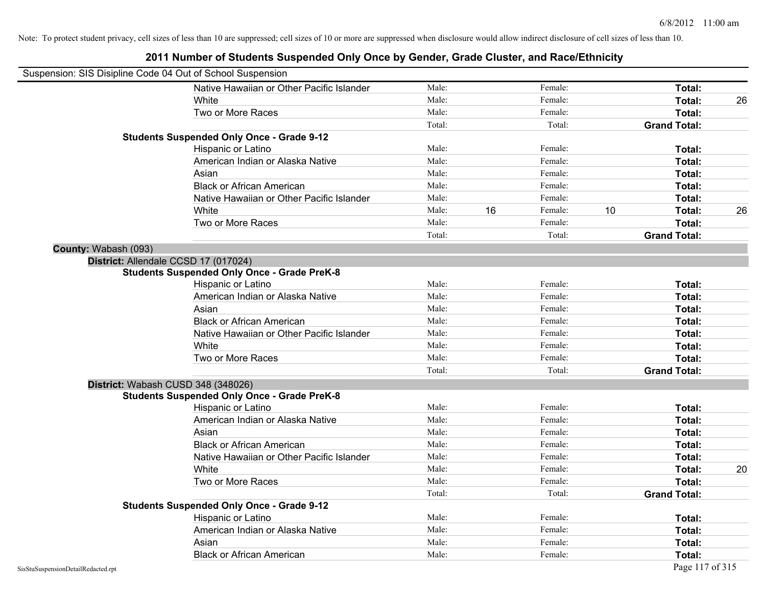| Suspension: SIS Disipline Code 04 Out of School Suspension |                                                    |        |    |         |    |                     |    |
|------------------------------------------------------------|----------------------------------------------------|--------|----|---------|----|---------------------|----|
|                                                            | Native Hawaiian or Other Pacific Islander          | Male:  |    | Female: |    | Total:              |    |
|                                                            | White                                              | Male:  |    | Female: |    | Total:              | 26 |
|                                                            | Two or More Races                                  | Male:  |    | Female: |    | Total:              |    |
|                                                            |                                                    | Total: |    | Total:  |    | <b>Grand Total:</b> |    |
|                                                            | <b>Students Suspended Only Once - Grade 9-12</b>   |        |    |         |    |                     |    |
|                                                            | Hispanic or Latino                                 | Male:  |    | Female: |    | Total:              |    |
|                                                            | American Indian or Alaska Native                   | Male:  |    | Female: |    | Total:              |    |
|                                                            | Asian                                              | Male:  |    | Female: |    | Total:              |    |
|                                                            | <b>Black or African American</b>                   | Male:  |    | Female: |    | Total:              |    |
|                                                            | Native Hawaiian or Other Pacific Islander          | Male:  |    | Female: |    | Total:              |    |
|                                                            | White                                              | Male:  | 16 | Female: | 10 | Total:              | 26 |
|                                                            | Two or More Races                                  | Male:  |    | Female: |    | Total:              |    |
|                                                            |                                                    | Total: |    | Total:  |    | <b>Grand Total:</b> |    |
| County: Wabash (093)                                       |                                                    |        |    |         |    |                     |    |
|                                                            | District: Allendale CCSD 17 (017024)               |        |    |         |    |                     |    |
|                                                            | <b>Students Suspended Only Once - Grade PreK-8</b> |        |    |         |    |                     |    |
|                                                            | Hispanic or Latino                                 | Male:  |    | Female: |    | Total:              |    |
|                                                            | American Indian or Alaska Native                   | Male:  |    | Female: |    | Total:              |    |
|                                                            | Asian                                              | Male:  |    | Female: |    | Total:              |    |
|                                                            | <b>Black or African American</b>                   | Male:  |    | Female: |    | Total:              |    |
|                                                            | Native Hawaiian or Other Pacific Islander          | Male:  |    | Female: |    | Total:              |    |
|                                                            | White                                              | Male:  |    | Female: |    | Total:              |    |
|                                                            | Two or More Races                                  | Male:  |    | Female: |    | Total:              |    |
|                                                            |                                                    | Total: |    | Total:  |    | <b>Grand Total:</b> |    |
|                                                            | District: Wabash CUSD 348 (348026)                 |        |    |         |    |                     |    |
|                                                            | <b>Students Suspended Only Once - Grade PreK-8</b> |        |    |         |    |                     |    |
|                                                            | Hispanic or Latino                                 | Male:  |    | Female: |    | Total:              |    |
|                                                            | American Indian or Alaska Native                   | Male:  |    | Female: |    | Total:              |    |
|                                                            | Asian                                              | Male:  |    | Female: |    | Total:              |    |
|                                                            | <b>Black or African American</b>                   | Male:  |    | Female: |    | Total:              |    |
|                                                            | Native Hawaiian or Other Pacific Islander          | Male:  |    | Female: |    | Total:              |    |
|                                                            | White                                              | Male:  |    | Female: |    | Total:              | 20 |
|                                                            | Two or More Races                                  | Male:  |    | Female: |    | Total:              |    |
|                                                            |                                                    | Total: |    | Total:  |    | <b>Grand Total:</b> |    |
|                                                            | <b>Students Suspended Only Once - Grade 9-12</b>   |        |    |         |    |                     |    |
|                                                            | Hispanic or Latino                                 | Male:  |    | Female: |    | Total:              |    |
|                                                            | American Indian or Alaska Native                   | Male:  |    | Female: |    | Total:              |    |
|                                                            | Asian                                              | Male:  |    | Female: |    | Total:              |    |
|                                                            | <b>Black or African American</b>                   | Male:  |    | Female: |    | Total:              |    |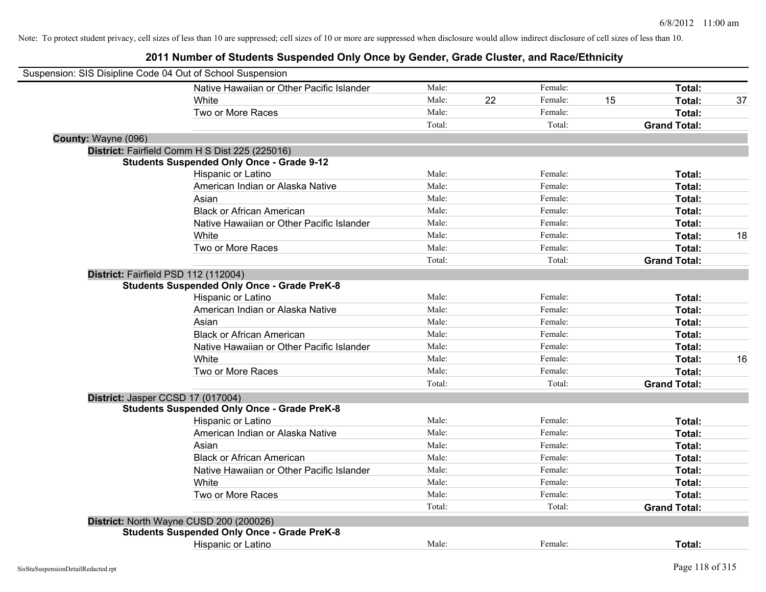| Suspension: SIS Disipline Code 04 Out of School Suspension |                                                    |        |    |         |    |                     |    |
|------------------------------------------------------------|----------------------------------------------------|--------|----|---------|----|---------------------|----|
|                                                            | Native Hawaiian or Other Pacific Islander          | Male:  |    | Female: |    | Total:              |    |
|                                                            | White                                              | Male:  | 22 | Female: | 15 | Total:              | 37 |
|                                                            | Two or More Races                                  | Male:  |    | Female: |    | Total:              |    |
|                                                            |                                                    | Total: |    | Total:  |    | <b>Grand Total:</b> |    |
| County: Wayne (096)                                        |                                                    |        |    |         |    |                     |    |
|                                                            | District: Fairfield Comm H S Dist 225 (225016)     |        |    |         |    |                     |    |
|                                                            | <b>Students Suspended Only Once - Grade 9-12</b>   |        |    |         |    |                     |    |
|                                                            | Hispanic or Latino                                 | Male:  |    | Female: |    | Total:              |    |
|                                                            | American Indian or Alaska Native                   | Male:  |    | Female: |    | Total:              |    |
|                                                            | Asian                                              | Male:  |    | Female: |    | Total:              |    |
|                                                            | <b>Black or African American</b>                   | Male:  |    | Female: |    | Total:              |    |
|                                                            | Native Hawaiian or Other Pacific Islander          | Male:  |    | Female: |    | Total:              |    |
|                                                            | White                                              | Male:  |    | Female: |    | Total:              | 18 |
|                                                            | Two or More Races                                  | Male:  |    | Female: |    | Total:              |    |
|                                                            |                                                    | Total: |    | Total:  |    | <b>Grand Total:</b> |    |
|                                                            | District: Fairfield PSD 112 (112004)               |        |    |         |    |                     |    |
|                                                            | <b>Students Suspended Only Once - Grade PreK-8</b> |        |    |         |    |                     |    |
|                                                            | Hispanic or Latino                                 | Male:  |    | Female: |    | Total:              |    |
|                                                            | American Indian or Alaska Native                   | Male:  |    | Female: |    | Total:              |    |
|                                                            | Asian                                              | Male:  |    | Female: |    | Total:              |    |
|                                                            | <b>Black or African American</b>                   | Male:  |    | Female: |    | Total:              |    |
|                                                            | Native Hawaiian or Other Pacific Islander          | Male:  |    | Female: |    | Total:              |    |
|                                                            | White                                              | Male:  |    | Female: |    | Total:              | 16 |
|                                                            | Two or More Races                                  | Male:  |    | Female: |    | Total:              |    |
|                                                            |                                                    | Total: |    | Total:  |    | <b>Grand Total:</b> |    |
|                                                            | District: Jasper CCSD 17 (017004)                  |        |    |         |    |                     |    |
|                                                            | <b>Students Suspended Only Once - Grade PreK-8</b> |        |    |         |    |                     |    |
|                                                            | Hispanic or Latino                                 | Male:  |    | Female: |    | Total:              |    |
|                                                            | American Indian or Alaska Native                   | Male:  |    | Female: |    | Total:              |    |
|                                                            | Asian                                              | Male:  |    | Female: |    | Total:              |    |
|                                                            | <b>Black or African American</b>                   | Male:  |    | Female: |    | Total:              |    |
|                                                            | Native Hawaiian or Other Pacific Islander          | Male:  |    | Female: |    | Total:              |    |
|                                                            | White                                              | Male:  |    | Female: |    | Total:              |    |
|                                                            | Two or More Races                                  | Male:  |    | Female: |    | Total:              |    |
|                                                            |                                                    | Total: |    | Total:  |    | <b>Grand Total:</b> |    |
|                                                            | District: North Wayne CUSD 200 (200026)            |        |    |         |    |                     |    |
|                                                            | <b>Students Suspended Only Once - Grade PreK-8</b> |        |    |         |    |                     |    |
|                                                            | Hispanic or Latino                                 | Male:  |    | Female: |    | Total:              |    |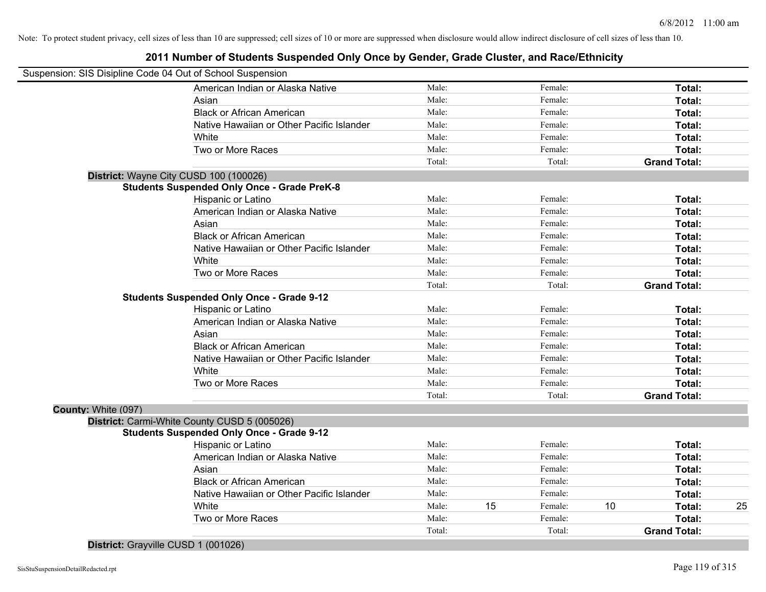#### **2011 Number of Students Suspended Only Once by Gender, Grade Cluster, and Race/Ethnicity**

| Suspension: SIS Disipline Code 04 Out of School Suspension |                                                    |        |    |         |    |                     |    |
|------------------------------------------------------------|----------------------------------------------------|--------|----|---------|----|---------------------|----|
|                                                            | American Indian or Alaska Native                   | Male:  |    | Female: |    | Total:              |    |
|                                                            | Asian                                              | Male:  |    | Female: |    | Total:              |    |
|                                                            | <b>Black or African American</b>                   | Male:  |    | Female: |    | Total:              |    |
|                                                            | Native Hawaiian or Other Pacific Islander          | Male:  |    | Female: |    | Total:              |    |
|                                                            | White                                              | Male:  |    | Female: |    | Total:              |    |
|                                                            | Two or More Races                                  | Male:  |    | Female: |    | Total:              |    |
|                                                            |                                                    | Total: |    | Total:  |    | <b>Grand Total:</b> |    |
| District: Wayne City CUSD 100 (100026)                     |                                                    |        |    |         |    |                     |    |
|                                                            | <b>Students Suspended Only Once - Grade PreK-8</b> |        |    |         |    |                     |    |
|                                                            | Hispanic or Latino                                 | Male:  |    | Female: |    | Total:              |    |
|                                                            | American Indian or Alaska Native                   | Male:  |    | Female: |    | Total:              |    |
|                                                            | Asian                                              | Male:  |    | Female: |    | Total:              |    |
|                                                            | <b>Black or African American</b>                   | Male:  |    | Female: |    | Total:              |    |
|                                                            | Native Hawaiian or Other Pacific Islander          | Male:  |    | Female: |    | Total:              |    |
|                                                            | White                                              | Male:  |    | Female: |    | Total:              |    |
|                                                            | Two or More Races                                  | Male:  |    | Female: |    | Total:              |    |
|                                                            |                                                    | Total: |    | Total:  |    | <b>Grand Total:</b> |    |
|                                                            | <b>Students Suspended Only Once - Grade 9-12</b>   |        |    |         |    |                     |    |
|                                                            | Hispanic or Latino                                 | Male:  |    | Female: |    | Total:              |    |
|                                                            | American Indian or Alaska Native                   | Male:  |    | Female: |    | Total:              |    |
|                                                            | Asian                                              | Male:  |    | Female: |    | Total:              |    |
|                                                            | <b>Black or African American</b>                   | Male:  |    | Female: |    | Total:              |    |
|                                                            | Native Hawaiian or Other Pacific Islander          | Male:  |    | Female: |    | Total:              |    |
|                                                            | White                                              | Male:  |    | Female: |    | Total:              |    |
|                                                            | Two or More Races                                  | Male:  |    | Female: |    | Total:              |    |
|                                                            |                                                    | Total: |    | Total:  |    | <b>Grand Total:</b> |    |
| County: White (097)                                        |                                                    |        |    |         |    |                     |    |
|                                                            | District: Carmi-White County CUSD 5 (005026)       |        |    |         |    |                     |    |
|                                                            | <b>Students Suspended Only Once - Grade 9-12</b>   |        |    |         |    |                     |    |
|                                                            | Hispanic or Latino                                 | Male:  |    | Female: |    | Total:              |    |
|                                                            | American Indian or Alaska Native                   | Male:  |    | Female: |    | Total:              |    |
|                                                            | Asian                                              | Male:  |    | Female: |    | Total:              |    |
|                                                            | <b>Black or African American</b>                   | Male:  |    | Female: |    | Total:              |    |
|                                                            | Native Hawaiian or Other Pacific Islander          | Male:  |    | Female: |    | Total:              |    |
|                                                            | White                                              | Male:  | 15 | Female: | 10 | Total:              | 25 |
|                                                            | Two or More Races                                  | Male:  |    | Female: |    | Total:              |    |
|                                                            |                                                    | Total: |    | Total:  |    | <b>Grand Total:</b> |    |

**District:** Grayville CUSD 1 (001026)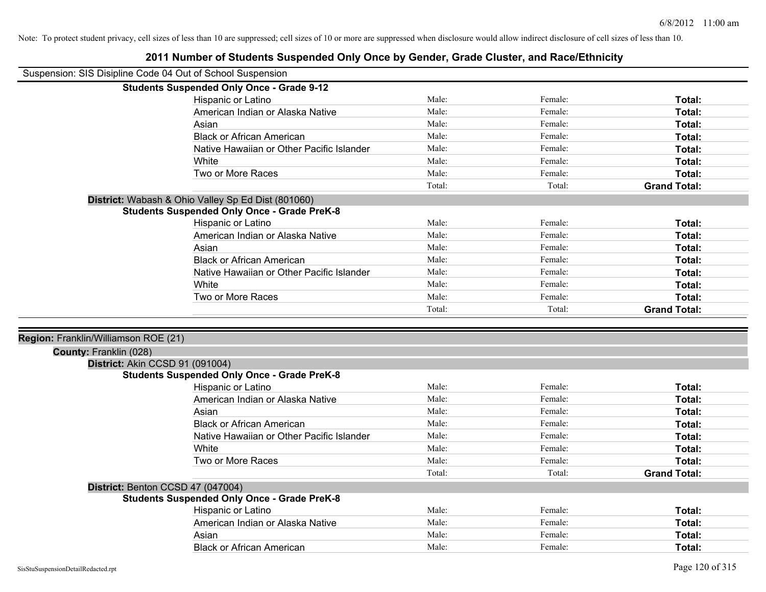| Suspension: SIS Disipline Code 04 Out of School Suspension     |                                                                                         |        |         |                     |
|----------------------------------------------------------------|-----------------------------------------------------------------------------------------|--------|---------|---------------------|
|                                                                | <b>Students Suspended Only Once - Grade 9-12</b>                                        |        |         |                     |
|                                                                | Hispanic or Latino                                                                      | Male:  | Female: | Total:              |
|                                                                | American Indian or Alaska Native                                                        | Male:  | Female: | Total:              |
|                                                                | Asian                                                                                   | Male:  | Female: | Total:              |
|                                                                | <b>Black or African American</b>                                                        | Male:  | Female: | Total:              |
|                                                                | Native Hawaiian or Other Pacific Islander                                               | Male:  | Female: | Total:              |
|                                                                | White                                                                                   | Male:  | Female: | Total:              |
|                                                                | Two or More Races                                                                       | Male:  | Female: | Total:              |
|                                                                |                                                                                         | Total: | Total:  | <b>Grand Total:</b> |
|                                                                | District: Wabash & Ohio Valley Sp Ed Dist (801060)                                      |        |         |                     |
|                                                                | <b>Students Suspended Only Once - Grade PreK-8</b>                                      |        |         |                     |
|                                                                | Hispanic or Latino                                                                      | Male:  | Female: | Total:              |
|                                                                | American Indian or Alaska Native                                                        | Male:  | Female: | Total:              |
|                                                                | Asian                                                                                   | Male:  | Female: | Total:              |
|                                                                | <b>Black or African American</b>                                                        | Male:  | Female: | Total:              |
|                                                                | Native Hawaiian or Other Pacific Islander                                               | Male:  | Female: | Total:              |
|                                                                | White                                                                                   | Male:  | Female: | Total:              |
|                                                                | Two or More Races                                                                       | Male:  | Female: | Total:              |
|                                                                |                                                                                         | Total: | Total:  | <b>Grand Total:</b> |
| Region: Franklin/Williamson ROE (21)<br>County: Franklin (028) |                                                                                         |        |         |                     |
| District: Akin CCSD 91 (091004)                                | <b>Students Suspended Only Once - Grade PreK-8</b>                                      |        |         |                     |
|                                                                | Hispanic or Latino                                                                      | Male:  | Female: | Total:              |
|                                                                | American Indian or Alaska Native                                                        | Male:  | Female: | Total:              |
|                                                                | Asian                                                                                   | Male:  | Female: | Total:              |
|                                                                | <b>Black or African American</b>                                                        | Male:  | Female: | Total:              |
|                                                                | Native Hawaiian or Other Pacific Islander                                               | Male:  | Female: | Total:              |
|                                                                | White                                                                                   | Male:  | Female: | Total:              |
|                                                                | Two or More Races                                                                       | Male:  | Female: | Total:              |
|                                                                |                                                                                         | Total: | Total:  | <b>Grand Total:</b> |
|                                                                |                                                                                         |        |         |                     |
|                                                                | District: Benton CCSD 47 (047004)<br><b>Students Suspended Only Once - Grade PreK-8</b> |        |         |                     |
|                                                                | Hispanic or Latino                                                                      | Male:  | Female: | Total:              |
|                                                                | American Indian or Alaska Native                                                        | Male:  | Female: | Total:              |
|                                                                | Asian                                                                                   | Male:  | Female: | Total:              |
|                                                                |                                                                                         |        |         |                     |
|                                                                |                                                                                         |        |         |                     |
|                                                                | <b>Black or African American</b>                                                        | Male:  | Female: | Total:              |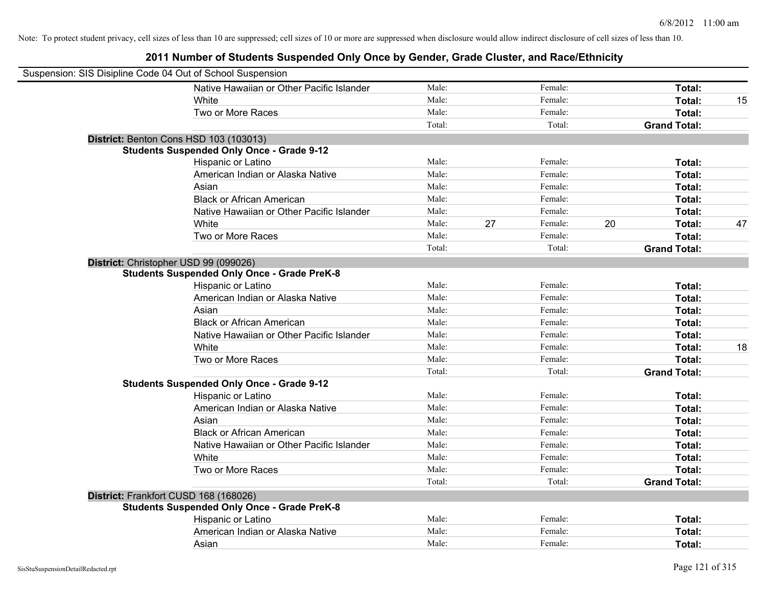| Suspension: SIS Disipline Code 04 Out of School Suspension |                                                    |        |    |         |    |                     |    |
|------------------------------------------------------------|----------------------------------------------------|--------|----|---------|----|---------------------|----|
|                                                            | Native Hawaiian or Other Pacific Islander          | Male:  |    | Female: |    | Total:              |    |
|                                                            | White                                              | Male:  |    | Female: |    | Total:              | 15 |
|                                                            | Two or More Races                                  | Male:  |    | Female: |    | Total:              |    |
|                                                            |                                                    | Total: |    | Total:  |    | <b>Grand Total:</b> |    |
| District: Benton Cons HSD 103 (103013)                     |                                                    |        |    |         |    |                     |    |
|                                                            | <b>Students Suspended Only Once - Grade 9-12</b>   |        |    |         |    |                     |    |
|                                                            | Hispanic or Latino                                 | Male:  |    | Female: |    | Total:              |    |
|                                                            | American Indian or Alaska Native                   | Male:  |    | Female: |    | Total:              |    |
|                                                            | Asian                                              | Male:  |    | Female: |    | Total:              |    |
|                                                            | <b>Black or African American</b>                   | Male:  |    | Female: |    | Total:              |    |
|                                                            | Native Hawaiian or Other Pacific Islander          | Male:  |    | Female: |    | Total:              |    |
|                                                            | White                                              | Male:  | 27 | Female: | 20 | Total:              | 47 |
|                                                            | Two or More Races                                  | Male:  |    | Female: |    | Total:              |    |
|                                                            |                                                    | Total: |    | Total:  |    | <b>Grand Total:</b> |    |
| District: Christopher USD 99 (099026)                      |                                                    |        |    |         |    |                     |    |
|                                                            | <b>Students Suspended Only Once - Grade PreK-8</b> |        |    |         |    |                     |    |
|                                                            | Hispanic or Latino                                 | Male:  |    | Female: |    | Total:              |    |
|                                                            | American Indian or Alaska Native                   | Male:  |    | Female: |    | Total:              |    |
|                                                            | Asian                                              | Male:  |    | Female: |    | Total:              |    |
|                                                            | <b>Black or African American</b>                   | Male:  |    | Female: |    | Total:              |    |
|                                                            | Native Hawaiian or Other Pacific Islander          | Male:  |    | Female: |    | Total:              |    |
|                                                            | White                                              | Male:  |    | Female: |    | Total:              | 18 |
|                                                            | Two or More Races                                  | Male:  |    | Female: |    | Total:              |    |
|                                                            |                                                    | Total: |    | Total:  |    | <b>Grand Total:</b> |    |
|                                                            | <b>Students Suspended Only Once - Grade 9-12</b>   |        |    |         |    |                     |    |
|                                                            | Hispanic or Latino                                 | Male:  |    | Female: |    | Total:              |    |
|                                                            | American Indian or Alaska Native                   | Male:  |    | Female: |    | Total:              |    |
|                                                            | Asian                                              | Male:  |    | Female: |    | Total:              |    |
|                                                            | <b>Black or African American</b>                   | Male:  |    | Female: |    | Total:              |    |
|                                                            | Native Hawaiian or Other Pacific Islander          | Male:  |    | Female: |    | Total:              |    |
|                                                            | White                                              | Male:  |    | Female: |    | Total:              |    |
|                                                            | Two or More Races                                  | Male:  |    | Female: |    | Total:              |    |
|                                                            |                                                    | Total: |    | Total:  |    | <b>Grand Total:</b> |    |
| District: Frankfort CUSD 168 (168026)                      |                                                    |        |    |         |    |                     |    |
|                                                            | <b>Students Suspended Only Once - Grade PreK-8</b> |        |    |         |    |                     |    |
|                                                            | Hispanic or Latino                                 | Male:  |    | Female: |    | Total:              |    |
|                                                            | American Indian or Alaska Native                   | Male:  |    | Female: |    | Total:              |    |
|                                                            | Asian                                              | Male:  |    | Female: |    | Total:              |    |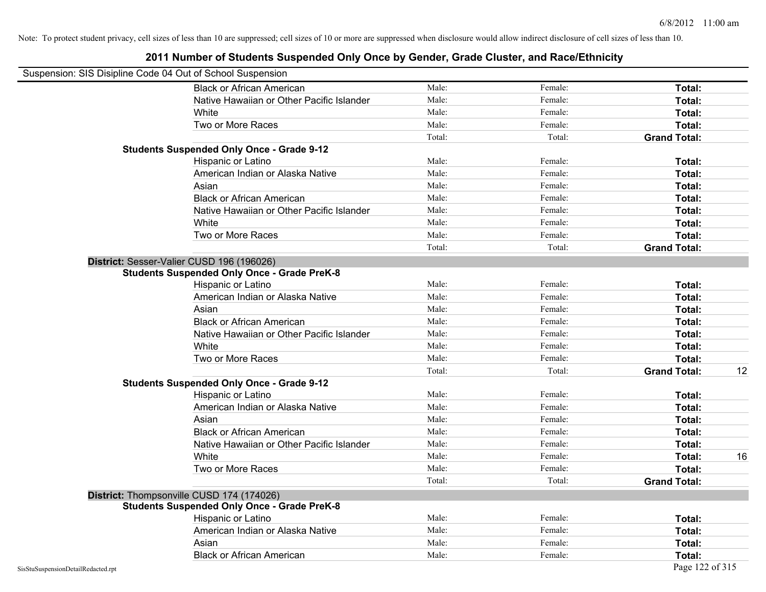|                                    | Suspension: SIS Disipline Code 04 Out of School Suspension |        |         |                     |    |
|------------------------------------|------------------------------------------------------------|--------|---------|---------------------|----|
|                                    | <b>Black or African American</b>                           | Male:  | Female: | <b>Total:</b>       |    |
|                                    | Native Hawaiian or Other Pacific Islander                  | Male:  | Female: | Total:              |    |
|                                    | White                                                      | Male:  | Female: | Total:              |    |
|                                    | Two or More Races                                          | Male:  | Female: | Total:              |    |
|                                    |                                                            | Total: | Total:  | <b>Grand Total:</b> |    |
|                                    | <b>Students Suspended Only Once - Grade 9-12</b>           |        |         |                     |    |
|                                    | Hispanic or Latino                                         | Male:  | Female: | Total:              |    |
|                                    | American Indian or Alaska Native                           | Male:  | Female: | Total:              |    |
|                                    | Asian                                                      | Male:  | Female: | Total:              |    |
|                                    | <b>Black or African American</b>                           | Male:  | Female: | Total:              |    |
|                                    | Native Hawaiian or Other Pacific Islander                  | Male:  | Female: | Total:              |    |
|                                    | White                                                      | Male:  | Female: | Total:              |    |
|                                    | Two or More Races                                          | Male:  | Female: | Total:              |    |
|                                    |                                                            | Total: | Total:  | <b>Grand Total:</b> |    |
|                                    | District: Sesser-Valier CUSD 196 (196026)                  |        |         |                     |    |
|                                    | <b>Students Suspended Only Once - Grade PreK-8</b>         |        |         |                     |    |
|                                    | Hispanic or Latino                                         | Male:  | Female: | Total:              |    |
|                                    | American Indian or Alaska Native                           | Male:  | Female: | Total:              |    |
|                                    | Asian                                                      | Male:  | Female: | Total:              |    |
|                                    | <b>Black or African American</b>                           | Male:  | Female: | Total:              |    |
|                                    | Native Hawaiian or Other Pacific Islander                  | Male:  | Female: | Total:              |    |
|                                    | White                                                      | Male:  | Female: | Total:              |    |
|                                    | Two or More Races                                          | Male:  | Female: | Total:              |    |
|                                    |                                                            | Total: | Total:  | <b>Grand Total:</b> | 12 |
|                                    | <b>Students Suspended Only Once - Grade 9-12</b>           |        |         |                     |    |
|                                    | Hispanic or Latino                                         | Male:  | Female: | Total:              |    |
|                                    | American Indian or Alaska Native                           | Male:  | Female: | Total:              |    |
|                                    | Asian                                                      | Male:  | Female: | Total:              |    |
|                                    | <b>Black or African American</b>                           | Male:  | Female: | Total:              |    |
|                                    | Native Hawaiian or Other Pacific Islander                  | Male:  | Female: | Total:              |    |
|                                    | White                                                      | Male:  | Female: | Total:              | 16 |
|                                    | Two or More Races                                          | Male:  | Female: | Total:              |    |
|                                    |                                                            | Total: | Total:  | <b>Grand Total:</b> |    |
|                                    | District: Thompsonville CUSD 174 (174026)                  |        |         |                     |    |
|                                    | <b>Students Suspended Only Once - Grade PreK-8</b>         |        |         |                     |    |
|                                    | Hispanic or Latino                                         | Male:  | Female: | Total:              |    |
|                                    | American Indian or Alaska Native                           | Male:  | Female: | Total:              |    |
|                                    | Asian                                                      | Male:  | Female: | Total:              |    |
|                                    | <b>Black or African American</b>                           | Male:  | Female: | Total:              |    |
| SisStuSuspensionDetailRedacted.rpt |                                                            |        |         | Page 122 of 315     |    |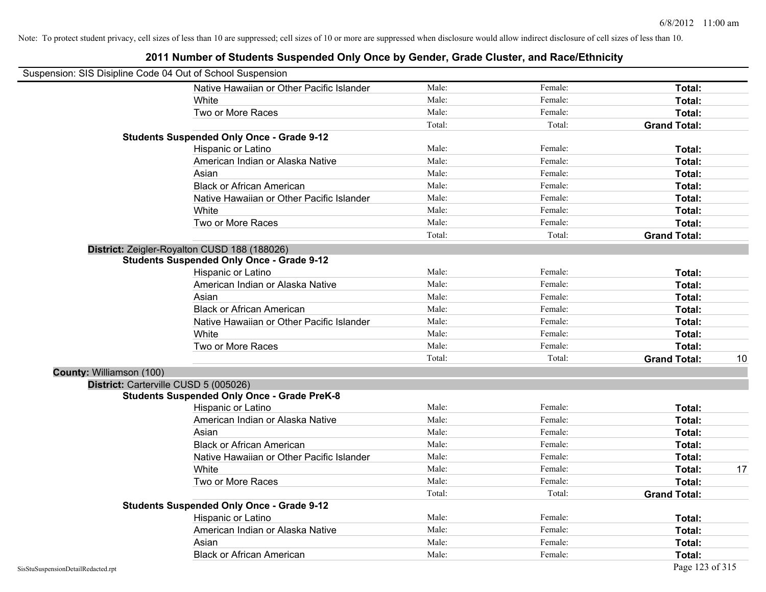### Suspension: SIS Disipline Code 04 Out of School Suspension Native Hawaiian or Other Pacific Islander Male: Total: Female: Female: Total: Total: White **Total:** Male: Female: **Total:** Female: **Total:** Total: Two or More Races **Total:** Total: Male: Female: Female: **Total:** Total: Total: Total: **Grand Total: Students Suspended Only Once - Grade 9-12** Hispanic or Latino **Finale:** Female: **Female:** Female: **Total:** Female: **Total:** Female: **Female:** Female: **Fotal:** American Indian or Alaska Native **Male:** Male: Female: Female: **Total:** Total: Asian **Female:** Total: Male: Female: **Total:** Total: Total: Total: Total: Total: Total: Total: Total: Total: Total: Total: Total: Total: Total: Total: Total: Total: Total: Total: Total: Total: Total: Total: Total: Total: T Black or African American **Figure 1.1 and Total:** Male: Female: Female: **Total:** Total: Native Hawaiian or Other Pacific Islander **Male:** Male: Female: Female: **Total:** Total: White **Total:** Male: Female: **Total:** Female: **Total:** Total: Two or More Races **Total:** Total: Male: Female: Female: **Total:** Female: **Total:** Total: Total: Total: **Grand Total: District:** Zeigler-Royalton CUSD 188 (188026) **Students Suspended Only Once - Grade 9-12** Hispanic or Latino **Finally Hispanic or Latino** *Total:* Male: Female: **Female: Total: Total: Total: Female: Total: Total: Female: Total: Total: Total: Total: Total: Total: Total: Total: T** American Indian or Alaska Native **Male:** Male: Female: Female: **Total:** Total: Asian **Female:** Total: Male: Female: **Total: Total:** Total: Total: Female: Total: Total: Total: Total: Total: Total: Total: Total: Total: Total: Total: Total: Total: Total: Total: Total: Total: Total: Total: Total: Total: Black or African American **Figure 1.1 and Total:** Male: Female: Female: **Total:** Total: Native Hawaiian or Other Pacific Islander **Male:** Male: Female: Female: **Total:** Total: White **Total:** Male: Female: **Total:** Total: **Total:** Female: **Total:** Total: Two or More Races **Total:** Total: Male: Female: Female: **Total:** Total: Total: Total: Total: Total: **Grand Total:** 10 **County:** Williamson (100) **District:** Carterville CUSD 5 (005026) **Students Suspended Only Once - Grade PreK-8** Hispanic or Latino **Finale:** Female: **Female:** Female: **Total:** Female: **Total:** Female: **Finale:** Female: **Finale:** Finale: **Finale:** Finale: **Finale:** Finale: **Finale:** Finale: **Finale:** Finale: **Finale:** Finale: **Finale** American Indian or Alaska Native **Male:** Male: Female: Female: **Total:** Total: Asian **Asian Male:** Total: Male: Female: **Total: Total:** Total: Total: Total: Total: Total: Total: Total: Total: Total: Total: Total: Total: Total: Total: Total: Total: Total: Total: Total: Total: Total: Total: Total: Tota Black or African American **Figure 1.1 and Total:** Male: Female: Female: **Total:** Total: Native Hawaiian or Other Pacific Islander Male: Female: Female: Formulation of Other Pacific Islander Male: Formulation of American School of Total: Formulation of American School of Total: Formulation of Total: Formulatio White **Male:** Male: **Total: 17** Male: **Total: 17** Male: **Total: 17** Male: 17 Male: 17 Male: 17 Male: 17 Male: 17 Male: 17 Male: 17 Male: 17 Male: 17 Male: 17 Male: 17 Male: 17 Male: 17 Male: 17 Male: 17 Male: 17 Male: 17 M Two or More Races **Total:** Total: Male: Female: Female: **Total:** Total: Total: Total: **Grand Total: Students Suspended Only Once - Grade 9-12** Hispanic or Latino **Finale:** Female: **Total:** Female: **Total:** Female: **Total:** Female: **Finale:** Female: **Total:** Female: **Finale:** Finale: **Finale:** Finale: **Finale:** Finale: **Finale:** Finale: **Finale:** Finale: **Finale:** American Indian or Alaska Native **Male:** Male: Female: Female: **Total:** Total: Asian **Asian Male:** Total: Male: Female: **Total: Total:** Total: Total: Total: Total: Total: Total: Total: Total: Total: Total: Total: Total: Total: Total: Total: Total: Total: Total: Total: Total: Total: Total: Total: Tota Black or African American **Figure 1.1 and 2.1 and 3.1 and 4.1 and 4.1 and 5.1 and 7.1 and 7.1 and 7.1 and 7.1 and 7.1 and 7.1 and 7.1 and 7.1 and 7.1 and 7.1 and 7.1 and 7.1 and 7.1 and 7.1 and 7.1 and 7.1 and 7.1 and 7.1**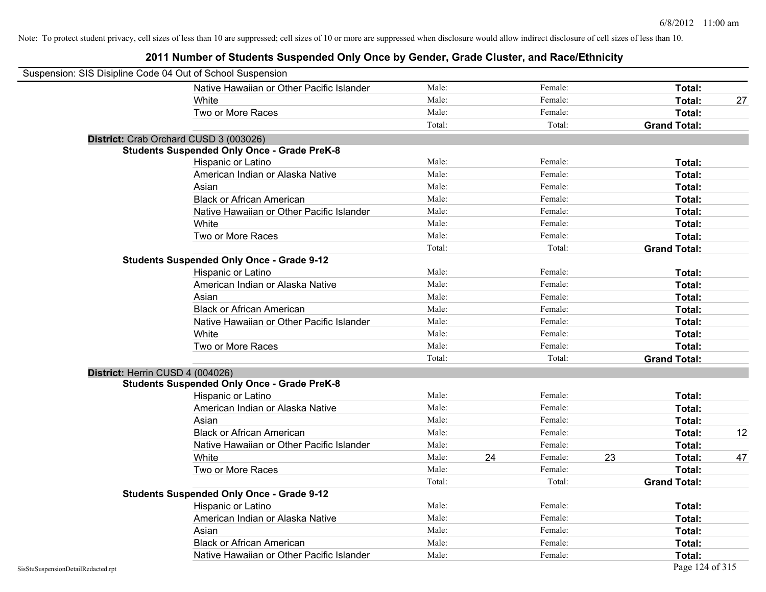| Suspension: SIS Disipline Code 04 Out of School Suspension |                                                    |        |    |         |    |                     |    |
|------------------------------------------------------------|----------------------------------------------------|--------|----|---------|----|---------------------|----|
|                                                            | Native Hawaiian or Other Pacific Islander          | Male:  |    | Female: |    | <b>Total:</b>       |    |
|                                                            | White                                              | Male:  |    | Female: |    | Total:              | 27 |
|                                                            | Two or More Races                                  | Male:  |    | Female: |    | Total:              |    |
|                                                            |                                                    | Total: |    | Total:  |    | <b>Grand Total:</b> |    |
| District: Crab Orchard CUSD 3 (003026)                     |                                                    |        |    |         |    |                     |    |
|                                                            | <b>Students Suspended Only Once - Grade PreK-8</b> |        |    |         |    |                     |    |
|                                                            | Hispanic or Latino                                 | Male:  |    | Female: |    | Total:              |    |
|                                                            | American Indian or Alaska Native                   | Male:  |    | Female: |    | Total:              |    |
|                                                            | Asian                                              | Male:  |    | Female: |    | Total:              |    |
|                                                            | <b>Black or African American</b>                   | Male:  |    | Female: |    | Total:              |    |
|                                                            | Native Hawaiian or Other Pacific Islander          | Male:  |    | Female: |    | Total:              |    |
|                                                            | White                                              | Male:  |    | Female: |    | Total:              |    |
|                                                            | Two or More Races                                  | Male:  |    | Female: |    | Total:              |    |
|                                                            |                                                    | Total: |    | Total:  |    | <b>Grand Total:</b> |    |
|                                                            | <b>Students Suspended Only Once - Grade 9-12</b>   |        |    |         |    |                     |    |
|                                                            | Hispanic or Latino                                 | Male:  |    | Female: |    | Total:              |    |
|                                                            | American Indian or Alaska Native                   | Male:  |    | Female: |    | Total:              |    |
|                                                            | Asian                                              | Male:  |    | Female: |    | Total:              |    |
|                                                            | <b>Black or African American</b>                   | Male:  |    | Female: |    | Total:              |    |
|                                                            | Native Hawaiian or Other Pacific Islander          | Male:  |    | Female: |    | Total:              |    |
|                                                            | White                                              | Male:  |    | Female: |    | Total:              |    |
|                                                            | Two or More Races                                  | Male:  |    | Female: |    | Total:              |    |
|                                                            |                                                    | Total: |    | Total:  |    | <b>Grand Total:</b> |    |
| District: Herrin CUSD 4 (004026)                           |                                                    |        |    |         |    |                     |    |
|                                                            | <b>Students Suspended Only Once - Grade PreK-8</b> |        |    |         |    |                     |    |
|                                                            | Hispanic or Latino                                 | Male:  |    | Female: |    | Total:              |    |
|                                                            | American Indian or Alaska Native                   | Male:  |    | Female: |    | Total:              |    |
|                                                            | Asian                                              | Male:  |    | Female: |    | Total:              |    |
|                                                            | <b>Black or African American</b>                   | Male:  |    | Female: |    | Total:              | 12 |
|                                                            | Native Hawaiian or Other Pacific Islander          | Male:  |    | Female: |    | Total:              |    |
|                                                            | White                                              | Male:  | 24 | Female: | 23 | Total:              | 47 |
|                                                            | Two or More Races                                  | Male:  |    | Female: |    | Total:              |    |
|                                                            |                                                    | Total: |    | Total:  |    | <b>Grand Total:</b> |    |
|                                                            | <b>Students Suspended Only Once - Grade 9-12</b>   |        |    |         |    |                     |    |
|                                                            | Hispanic or Latino                                 | Male:  |    | Female: |    | Total:              |    |
|                                                            | American Indian or Alaska Native                   | Male:  |    | Female: |    | Total:              |    |
|                                                            | Asian                                              | Male:  |    | Female: |    | Total:              |    |
|                                                            | <b>Black or African American</b>                   | Male:  |    | Female: |    | Total:              |    |
|                                                            | Native Hawaiian or Other Pacific Islander          | Male:  |    | Female: |    | Total:              |    |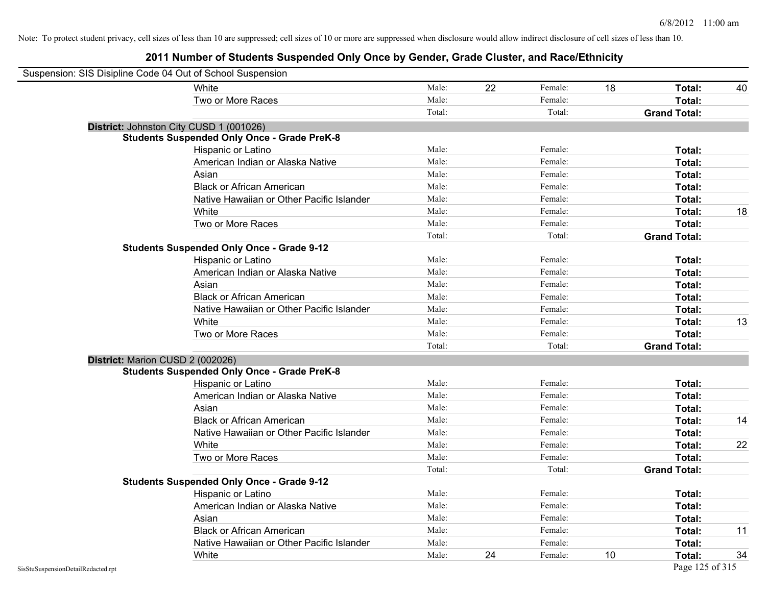| Suspension: SIS Disipline Code 04 Out of School Suspension |                                                    |        |    |         |    |                     |    |
|------------------------------------------------------------|----------------------------------------------------|--------|----|---------|----|---------------------|----|
|                                                            | White                                              | Male:  | 22 | Female: | 18 | Total:              | 40 |
|                                                            | Two or More Races                                  | Male:  |    | Female: |    | Total:              |    |
|                                                            |                                                    | Total: |    | Total:  |    | <b>Grand Total:</b> |    |
|                                                            | District: Johnston City CUSD 1 (001026)            |        |    |         |    |                     |    |
|                                                            | <b>Students Suspended Only Once - Grade PreK-8</b> |        |    |         |    |                     |    |
|                                                            | Hispanic or Latino                                 | Male:  |    | Female: |    | Total:              |    |
|                                                            | American Indian or Alaska Native                   | Male:  |    | Female: |    | Total:              |    |
|                                                            | Asian                                              | Male:  |    | Female: |    | Total:              |    |
|                                                            | <b>Black or African American</b>                   | Male:  |    | Female: |    | Total:              |    |
|                                                            | Native Hawaiian or Other Pacific Islander          | Male:  |    | Female: |    | Total:              |    |
|                                                            | White                                              | Male:  |    | Female: |    | Total:              | 18 |
|                                                            | Two or More Races                                  | Male:  |    | Female: |    | Total:              |    |
|                                                            |                                                    | Total: |    | Total:  |    | <b>Grand Total:</b> |    |
|                                                            | <b>Students Suspended Only Once - Grade 9-12</b>   |        |    |         |    |                     |    |
|                                                            | Hispanic or Latino                                 | Male:  |    | Female: |    | Total:              |    |
|                                                            | American Indian or Alaska Native                   | Male:  |    | Female: |    | Total:              |    |
|                                                            | Asian                                              | Male:  |    | Female: |    | Total:              |    |
|                                                            | <b>Black or African American</b>                   | Male:  |    | Female: |    | Total:              |    |
|                                                            | Native Hawaiian or Other Pacific Islander          | Male:  |    | Female: |    | Total:              |    |
|                                                            | White                                              | Male:  |    | Female: |    | Total:              | 13 |
|                                                            | Two or More Races                                  | Male:  |    | Female: |    | Total:              |    |
|                                                            |                                                    | Total: |    | Total:  |    | <b>Grand Total:</b> |    |
| District: Marion CUSD 2 (002026)                           |                                                    |        |    |         |    |                     |    |
|                                                            | <b>Students Suspended Only Once - Grade PreK-8</b> |        |    |         |    |                     |    |
|                                                            | Hispanic or Latino                                 | Male:  |    | Female: |    | Total:              |    |
|                                                            | American Indian or Alaska Native                   | Male:  |    | Female: |    | Total:              |    |
|                                                            | Asian                                              | Male:  |    | Female: |    | Total:              |    |
|                                                            | <b>Black or African American</b>                   | Male:  |    | Female: |    | Total:              | 14 |
|                                                            | Native Hawaiian or Other Pacific Islander          | Male:  |    | Female: |    | Total:              |    |
|                                                            | White                                              | Male:  |    | Female: |    | Total:              | 22 |
|                                                            | Two or More Races                                  | Male:  |    | Female: |    | Total:              |    |
|                                                            |                                                    | Total: |    | Total:  |    | <b>Grand Total:</b> |    |
|                                                            | <b>Students Suspended Only Once - Grade 9-12</b>   |        |    |         |    |                     |    |
|                                                            | Hispanic or Latino                                 | Male:  |    | Female: |    | Total:              |    |
|                                                            | American Indian or Alaska Native                   | Male:  |    | Female: |    | Total:              |    |
|                                                            | Asian                                              | Male:  |    | Female: |    | Total:              |    |
|                                                            | <b>Black or African American</b>                   | Male:  |    | Female: |    | Total:              | 11 |
|                                                            | Native Hawaiian or Other Pacific Islander          | Male:  |    | Female: |    | Total:              |    |
|                                                            | White                                              | Male:  | 24 | Female: | 10 | Total:              | 34 |
| SisStuSuspensionDetailRedacted.rpt                         |                                                    |        |    |         |    | Page 125 of 315     |    |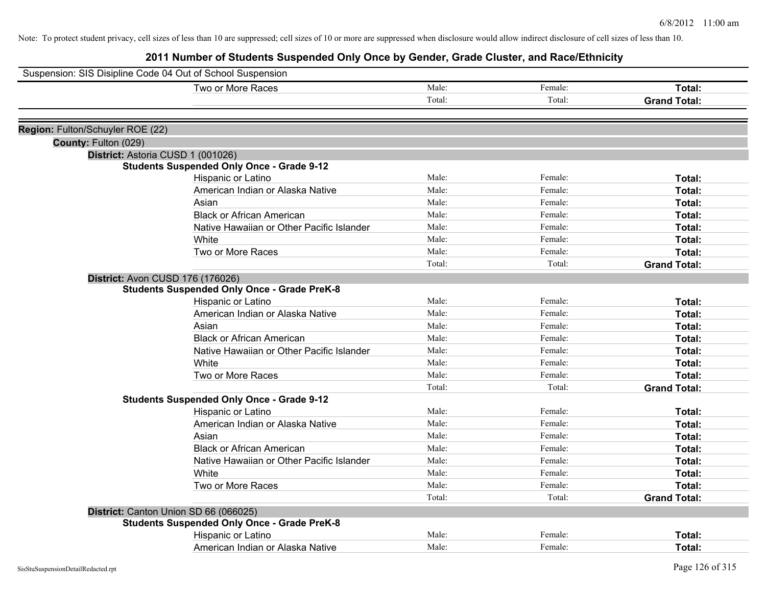| Suspension: SIS Disipline Code 04 Out of School Suspension |                                                    |        |         |                     |
|------------------------------------------------------------|----------------------------------------------------|--------|---------|---------------------|
|                                                            | Two or More Races                                  | Male:  | Female: | Total:              |
|                                                            |                                                    | Total: | Total:  | <b>Grand Total:</b> |
|                                                            |                                                    |        |         |                     |
| Region: Fulton/Schuyler ROE (22)                           |                                                    |        |         |                     |
| County: Fulton (029)                                       |                                                    |        |         |                     |
|                                                            | District: Astoria CUSD 1 (001026)                  |        |         |                     |
|                                                            | <b>Students Suspended Only Once - Grade 9-12</b>   |        |         |                     |
|                                                            | Hispanic or Latino                                 | Male:  | Female: | Total:              |
|                                                            | American Indian or Alaska Native                   | Male:  | Female: | Total:              |
|                                                            | Asian                                              | Male:  | Female: | Total:              |
|                                                            | <b>Black or African American</b>                   | Male:  | Female: | Total:              |
|                                                            | Native Hawaiian or Other Pacific Islander          | Male:  | Female: | Total:              |
|                                                            | White                                              | Male:  | Female: | Total:              |
|                                                            | Two or More Races                                  | Male:  | Female: | Total:              |
|                                                            |                                                    | Total: | Total:  | <b>Grand Total:</b> |
|                                                            | <b>District: Avon CUSD 176 (176026)</b>            |        |         |                     |
|                                                            | <b>Students Suspended Only Once - Grade PreK-8</b> |        |         |                     |
|                                                            | Hispanic or Latino                                 | Male:  | Female: | Total:              |
|                                                            | American Indian or Alaska Native                   | Male:  | Female: | Total:              |
|                                                            | Asian                                              | Male:  | Female: | Total:              |
|                                                            | <b>Black or African American</b>                   | Male:  | Female: | Total:              |
|                                                            | Native Hawaiian or Other Pacific Islander          | Male:  | Female: | Total:              |
|                                                            | White                                              | Male:  | Female: | Total:              |
|                                                            | Two or More Races                                  | Male:  | Female: | Total:              |
|                                                            |                                                    | Total: | Total:  | <b>Grand Total:</b> |
|                                                            | <b>Students Suspended Only Once - Grade 9-12</b>   |        |         |                     |
|                                                            | Hispanic or Latino                                 | Male:  | Female: | Total:              |
|                                                            | American Indian or Alaska Native                   | Male:  | Female: | Total:              |
|                                                            | Asian                                              | Male:  | Female: | Total:              |
|                                                            | <b>Black or African American</b>                   | Male:  | Female: | Total:              |
|                                                            | Native Hawaiian or Other Pacific Islander          | Male:  | Female: | Total:              |
|                                                            | White                                              | Male:  | Female: | Total:              |
|                                                            | Two or More Races                                  | Male:  | Female: | Total:              |
|                                                            |                                                    | Total: | Total:  | <b>Grand Total:</b> |
|                                                            | District: Canton Union SD 66 (066025)              |        |         |                     |
|                                                            | <b>Students Suspended Only Once - Grade PreK-8</b> |        |         |                     |
|                                                            | Hispanic or Latino                                 | Male:  | Female: | Total:              |
|                                                            | American Indian or Alaska Native                   | Male:  | Female: | Total:              |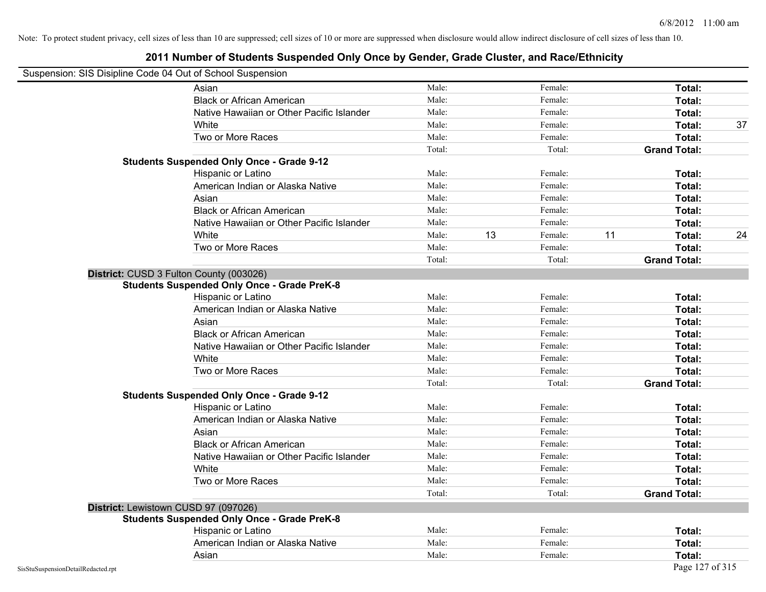#### **2011 Number of Students Suspended Only Once by Gender, Grade Cluster, and Race/Ethnicity**

# Suspension: SIS Disipline Code 04 Out of School Suspension

| in opension. Side Disiplifie Code 04 Out of Scribbi Susperision |                                                    |        |    |         |    |                     |    |
|-----------------------------------------------------------------|----------------------------------------------------|--------|----|---------|----|---------------------|----|
|                                                                 | Asian                                              | Male:  |    | Female: |    | Total:              |    |
|                                                                 | <b>Black or African American</b>                   | Male:  |    | Female: |    | Total:              |    |
|                                                                 | Native Hawaiian or Other Pacific Islander          | Male:  |    | Female: |    | Total:              |    |
|                                                                 | White                                              | Male:  |    | Female: |    | Total:              | 37 |
|                                                                 | Two or More Races                                  | Male:  |    | Female: |    | Total:              |    |
|                                                                 |                                                    | Total: |    | Total:  |    | <b>Grand Total:</b> |    |
|                                                                 | <b>Students Suspended Only Once - Grade 9-12</b>   |        |    |         |    |                     |    |
|                                                                 | Hispanic or Latino                                 | Male:  |    | Female: |    | Total:              |    |
|                                                                 | American Indian or Alaska Native                   | Male:  |    | Female: |    | Total:              |    |
|                                                                 | Asian                                              | Male:  |    | Female: |    | Total:              |    |
|                                                                 | <b>Black or African American</b>                   | Male:  |    | Female: |    | Total:              |    |
|                                                                 | Native Hawaiian or Other Pacific Islander          | Male:  |    | Female: |    | Total:              |    |
|                                                                 | White                                              | Male:  | 13 | Female: | 11 | Total:              | 24 |
|                                                                 | Two or More Races                                  | Male:  |    | Female: |    | Total:              |    |
|                                                                 |                                                    | Total: |    | Total:  |    | <b>Grand Total:</b> |    |
|                                                                 | District: CUSD 3 Fulton County (003026)            |        |    |         |    |                     |    |
|                                                                 | <b>Students Suspended Only Once - Grade PreK-8</b> |        |    |         |    |                     |    |
|                                                                 | Hispanic or Latino                                 | Male:  |    | Female: |    | Total:              |    |
|                                                                 | American Indian or Alaska Native                   | Male:  |    | Female: |    | Total:              |    |
|                                                                 | Asian                                              | Male:  |    | Female: |    | Total:              |    |
|                                                                 | <b>Black or African American</b>                   | Male:  |    | Female: |    | Total:              |    |
|                                                                 | Native Hawaiian or Other Pacific Islander          | Male:  |    | Female: |    | Total:              |    |
|                                                                 | White                                              | Male:  |    | Female: |    | Total:              |    |
|                                                                 | Two or More Races                                  | Male:  |    | Female: |    | Total:              |    |
|                                                                 |                                                    | Total: |    | Total:  |    | <b>Grand Total:</b> |    |
|                                                                 | <b>Students Suspended Only Once - Grade 9-12</b>   |        |    |         |    |                     |    |
|                                                                 | Hispanic or Latino                                 | Male:  |    | Female: |    | Total:              |    |
|                                                                 | American Indian or Alaska Native                   | Male:  |    | Female: |    | Total:              |    |
|                                                                 | Asian                                              | Male:  |    | Female: |    | Total:              |    |
|                                                                 | <b>Black or African American</b>                   | Male:  |    | Female: |    | Total:              |    |
|                                                                 | Native Hawaiian or Other Pacific Islander          | Male:  |    | Female: |    | Total:              |    |
|                                                                 | White                                              | Male:  |    | Female: |    | Total:              |    |
|                                                                 | Two or More Races                                  | Male:  |    | Female: |    | <b>Total:</b>       |    |
|                                                                 |                                                    | Total: |    | Total:  |    | <b>Grand Total:</b> |    |
|                                                                 | District: Lewistown CUSD 97 (097026)               |        |    |         |    |                     |    |
|                                                                 | <b>Students Suspended Only Once - Grade PreK-8</b> |        |    |         |    |                     |    |
|                                                                 | Hispanic or Latino                                 | Male:  |    | Female: |    | Total:              |    |
|                                                                 | American Indian or Alaska Native                   | Male:  |    | Female: |    | Total:              |    |
|                                                                 | Asian                                              | Male:  |    | Female: |    | Total:              |    |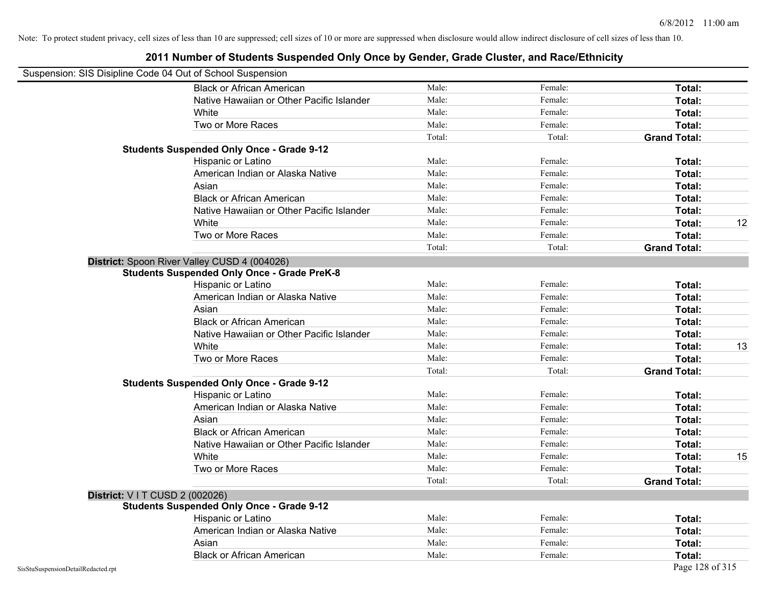| Suspension: SIS Disipline Code 04 Out of School Suspension |                                                    |        |         |                     |    |
|------------------------------------------------------------|----------------------------------------------------|--------|---------|---------------------|----|
|                                                            | <b>Black or African American</b>                   | Male:  | Female: | Total:              |    |
|                                                            | Native Hawaiian or Other Pacific Islander          | Male:  | Female: | Total:              |    |
|                                                            | White                                              | Male:  | Female: | Total:              |    |
|                                                            | Two or More Races                                  | Male:  | Female: | Total:              |    |
|                                                            |                                                    | Total: | Total:  | <b>Grand Total:</b> |    |
|                                                            | <b>Students Suspended Only Once - Grade 9-12</b>   |        |         |                     |    |
|                                                            | Hispanic or Latino                                 | Male:  | Female: | Total:              |    |
|                                                            | American Indian or Alaska Native                   | Male:  | Female: | Total:              |    |
|                                                            | Asian                                              | Male:  | Female: | Total:              |    |
|                                                            | <b>Black or African American</b>                   | Male:  | Female: | Total:              |    |
|                                                            | Native Hawaiian or Other Pacific Islander          | Male:  | Female: | Total:              |    |
|                                                            | White                                              | Male:  | Female: | Total:              | 12 |
|                                                            | Two or More Races                                  | Male:  | Female: | Total:              |    |
|                                                            |                                                    | Total: | Total:  | <b>Grand Total:</b> |    |
|                                                            | District: Spoon River Valley CUSD 4 (004026)       |        |         |                     |    |
|                                                            | <b>Students Suspended Only Once - Grade PreK-8</b> |        |         |                     |    |
|                                                            | Hispanic or Latino                                 | Male:  | Female: | Total:              |    |
|                                                            | American Indian or Alaska Native                   | Male:  | Female: | Total:              |    |
|                                                            | Asian                                              | Male:  | Female: | Total:              |    |
|                                                            | <b>Black or African American</b>                   | Male:  | Female: | Total:              |    |
|                                                            | Native Hawaiian or Other Pacific Islander          | Male:  | Female: | Total:              |    |
|                                                            | White                                              | Male:  | Female: | Total:              | 13 |
|                                                            | Two or More Races                                  | Male:  | Female: | Total:              |    |
|                                                            |                                                    | Total: | Total:  | <b>Grand Total:</b> |    |
|                                                            | <b>Students Suspended Only Once - Grade 9-12</b>   |        |         |                     |    |
|                                                            | Hispanic or Latino                                 | Male:  | Female: | Total:              |    |
|                                                            | American Indian or Alaska Native                   | Male:  | Female: | Total:              |    |
|                                                            | Asian                                              | Male:  | Female: | Total:              |    |
|                                                            | <b>Black or African American</b>                   | Male:  | Female: | Total:              |    |
|                                                            | Native Hawaiian or Other Pacific Islander          | Male:  | Female: | Total:              |    |
|                                                            | White                                              | Male:  | Female: | Total:              | 15 |
|                                                            | Two or More Races                                  | Male:  | Female: | Total:              |    |
|                                                            |                                                    | Total: | Total:  | <b>Grand Total:</b> |    |
| <b>District: V I T CUSD 2 (002026)</b>                     |                                                    |        |         |                     |    |
|                                                            | <b>Students Suspended Only Once - Grade 9-12</b>   |        |         |                     |    |
|                                                            | Hispanic or Latino                                 | Male:  | Female: | Total:              |    |
|                                                            | American Indian or Alaska Native                   | Male:  | Female: | Total:              |    |
|                                                            | Asian                                              | Male:  | Female: | Total:              |    |
|                                                            | <b>Black or African American</b>                   | Male:  | Female: | Total:              |    |
| SisStuSuspensionDetailRedacted.rpt                         |                                                    |        |         | Page 128 of 315     |    |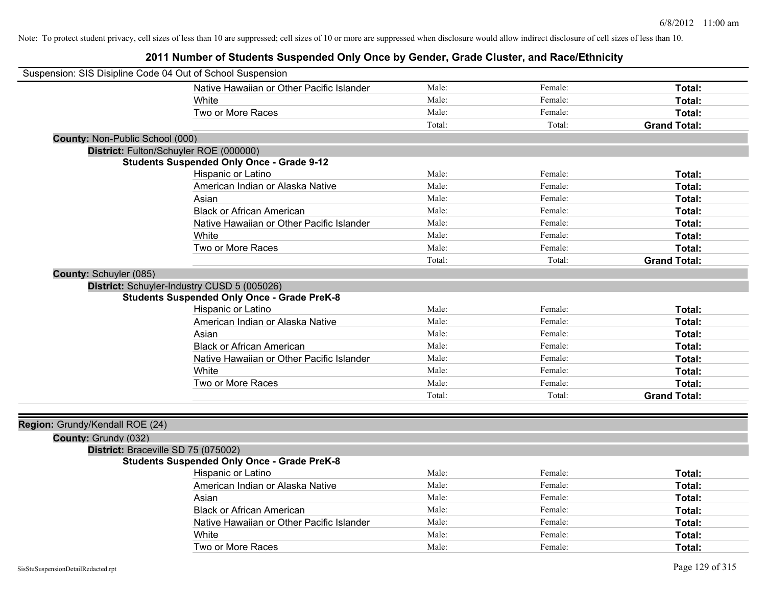| Suspension: SIS Disipline Code 04 Out of School Suspension |                                                    |        |         |                     |
|------------------------------------------------------------|----------------------------------------------------|--------|---------|---------------------|
|                                                            | Native Hawaiian or Other Pacific Islander          | Male:  | Female: | Total:              |
|                                                            | White                                              | Male:  | Female: | Total:              |
|                                                            | Two or More Races                                  | Male:  | Female: | Total:              |
|                                                            |                                                    | Total: | Total:  | <b>Grand Total:</b> |
| County: Non-Public School (000)                            |                                                    |        |         |                     |
| District: Fulton/Schuyler ROE (000000)                     |                                                    |        |         |                     |
|                                                            | <b>Students Suspended Only Once - Grade 9-12</b>   |        |         |                     |
|                                                            | Hispanic or Latino                                 | Male:  | Female: | Total:              |
|                                                            | American Indian or Alaska Native                   | Male:  | Female: | Total:              |
|                                                            | Asian                                              | Male:  | Female: | Total:              |
|                                                            | <b>Black or African American</b>                   | Male:  | Female: | Total:              |
|                                                            | Native Hawaiian or Other Pacific Islander          | Male:  | Female: | Total:              |
|                                                            | White                                              | Male:  | Female: | Total:              |
|                                                            | Two or More Races                                  | Male:  | Female: | Total:              |
|                                                            |                                                    | Total: | Total:  | <b>Grand Total:</b> |
| <b>County: Schuyler (085)</b>                              |                                                    |        |         |                     |
|                                                            | District: Schuyler-Industry CUSD 5 (005026)        |        |         |                     |
|                                                            | <b>Students Suspended Only Once - Grade PreK-8</b> |        |         |                     |
|                                                            | Hispanic or Latino                                 | Male:  | Female: | Total:              |
|                                                            | American Indian or Alaska Native                   | Male:  | Female: | Total:              |
|                                                            | Asian                                              | Male:  | Female: | Total:              |
|                                                            | <b>Black or African American</b>                   | Male:  | Female: | Total:              |
|                                                            | Native Hawaiian or Other Pacific Islander          | Male:  | Female: | Total:              |
|                                                            | White                                              | Male:  | Female: | Total:              |
|                                                            | Two or More Races                                  | Male:  | Female: | Total:              |
|                                                            |                                                    | Total: | Total:  | <b>Grand Total:</b> |
|                                                            |                                                    |        |         |                     |
| Region: Grundy/Kendall ROE (24)                            |                                                    |        |         |                     |
| County: Grundy (032)                                       |                                                    |        |         |                     |
| District: Braceville SD 75 (075002)                        |                                                    |        |         |                     |
|                                                            | <b>Students Suspended Only Once - Grade PreK-8</b> |        |         |                     |
|                                                            | Hispanic or Latino                                 | Male:  | Female: | Total:              |
|                                                            | American Indian or Alaska Native                   | Male:  | Female: | Total:              |
|                                                            | Asian                                              | Male:  | Female: | Total:              |
|                                                            | <b>Black or African American</b>                   | Male:  | Female: | Total:              |
|                                                            | Native Hawaiian or Other Pacific Islander          | Male:  | Female: | Total:              |
|                                                            | White                                              | Male:  | Female: | Total:              |
|                                                            | Two or More Races                                  | Male:  | Female: | Total:              |
|                                                            |                                                    |        |         |                     |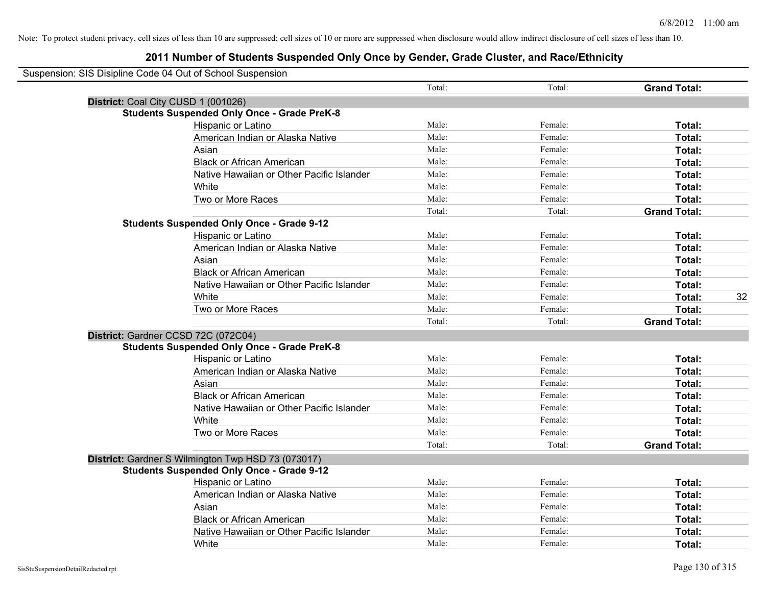| Suspension: SIS Disipline Code 04 Out of School Suspension |        |         |                     |    |
|------------------------------------------------------------|--------|---------|---------------------|----|
|                                                            | Total: | Total:  | <b>Grand Total:</b> |    |
| District: Coal City CUSD 1 (001026)                        |        |         |                     |    |
| <b>Students Suspended Only Once - Grade PreK-8</b>         |        |         |                     |    |
| Hispanic or Latino                                         | Male:  | Female: | Total:              |    |
| American Indian or Alaska Native                           | Male:  | Female: | Total:              |    |
| Asian                                                      | Male:  | Female: | Total:              |    |
| <b>Black or African American</b>                           | Male:  | Female: | Total:              |    |
| Native Hawaiian or Other Pacific Islander                  | Male:  | Female: | Total:              |    |
| White                                                      | Male:  | Female: | Total:              |    |
| Two or More Races                                          | Male:  | Female: | Total:              |    |
|                                                            | Total: | Total:  | <b>Grand Total:</b> |    |
| <b>Students Suspended Only Once - Grade 9-12</b>           |        |         |                     |    |
| Hispanic or Latino                                         | Male:  | Female: | Total:              |    |
| American Indian or Alaska Native                           | Male:  | Female: | Total:              |    |
| Asian                                                      | Male:  | Female: | Total:              |    |
| <b>Black or African American</b>                           | Male:  | Female: | Total:              |    |
| Native Hawaiian or Other Pacific Islander                  | Male:  | Female: | Total:              |    |
| White                                                      | Male:  | Female: | Total:              | 32 |
| Two or More Races                                          | Male:  | Female: | Total:              |    |
|                                                            | Total: | Total:  | <b>Grand Total:</b> |    |
| District: Gardner CCSD 72C (072C04)                        |        |         |                     |    |
| <b>Students Suspended Only Once - Grade PreK-8</b>         |        |         |                     |    |
| Hispanic or Latino                                         | Male:  | Female: | <b>Total:</b>       |    |
| American Indian or Alaska Native                           | Male:  | Female: | Total:              |    |
| Asian                                                      | Male:  | Female: | Total:              |    |
| <b>Black or African American</b>                           | Male:  | Female: | Total:              |    |
| Native Hawaiian or Other Pacific Islander                  | Male:  | Female: | Total:              |    |
| White                                                      | Male:  | Female: | Total:              |    |
| Two or More Races                                          | Male:  | Female: | Total:              |    |
|                                                            | Total: | Total:  | <b>Grand Total:</b> |    |
| District: Gardner S Wilmington Twp HSD 73 (073017)         |        |         |                     |    |
| <b>Students Suspended Only Once - Grade 9-12</b>           |        |         |                     |    |
| Hispanic or Latino                                         | Male:  | Female: | Total:              |    |
| American Indian or Alaska Native                           | Male:  | Female: | Total:              |    |
| Asian                                                      | Male:  | Female: | Total:              |    |
| <b>Black or African American</b>                           | Male:  | Female: | Total:              |    |
| Native Hawaiian or Other Pacific Islander                  | Male:  | Female: | Total:              |    |
| White                                                      | Male:  | Female: | Total:              |    |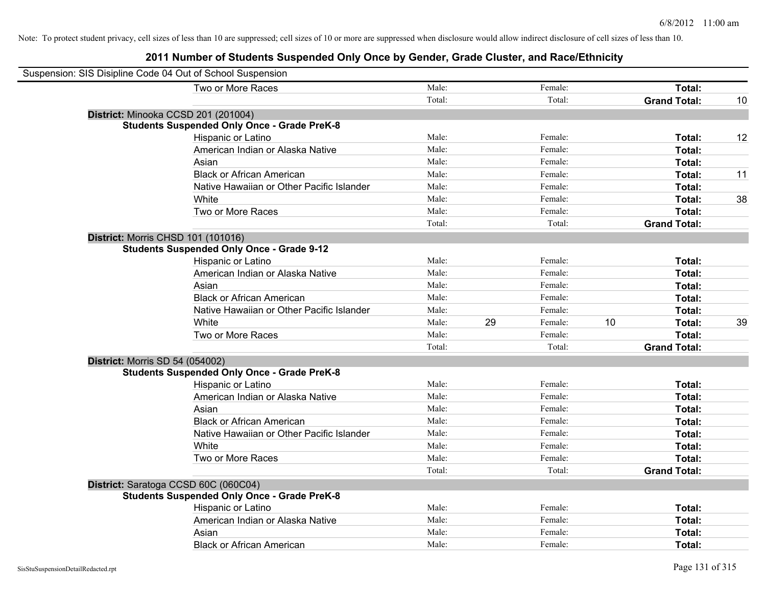| Suspension: SIS Disipline Code 04 Out of School Suspension |        |    |         |    |                     |    |
|------------------------------------------------------------|--------|----|---------|----|---------------------|----|
| Two or More Races                                          | Male:  |    | Female: |    | Total:              |    |
|                                                            | Total: |    | Total:  |    | <b>Grand Total:</b> | 10 |
| District: Minooka CCSD 201 (201004)                        |        |    |         |    |                     |    |
| <b>Students Suspended Only Once - Grade PreK-8</b>         |        |    |         |    |                     |    |
| Hispanic or Latino                                         | Male:  |    | Female: |    | Total:              | 12 |
| American Indian or Alaska Native                           | Male:  |    | Female: |    | Total:              |    |
| Asian                                                      | Male:  |    | Female: |    | Total:              |    |
| <b>Black or African American</b>                           | Male:  |    | Female: |    | Total:              | 11 |
| Native Hawaiian or Other Pacific Islander                  | Male:  |    | Female: |    | Total:              |    |
| White                                                      | Male:  |    | Female: |    | Total:              | 38 |
| Two or More Races                                          | Male:  |    | Female: |    | Total:              |    |
|                                                            | Total: |    | Total:  |    | <b>Grand Total:</b> |    |
| <b>District: Morris CHSD 101 (101016)</b>                  |        |    |         |    |                     |    |
| <b>Students Suspended Only Once - Grade 9-12</b>           |        |    |         |    |                     |    |
| Hispanic or Latino                                         | Male:  |    | Female: |    | Total:              |    |
| American Indian or Alaska Native                           | Male:  |    | Female: |    | Total:              |    |
| Asian                                                      | Male:  |    | Female: |    | Total:              |    |
| <b>Black or African American</b>                           | Male:  |    | Female: |    | Total:              |    |
| Native Hawaiian or Other Pacific Islander                  | Male:  |    | Female: |    | Total:              |    |
| White                                                      | Male:  | 29 | Female: | 10 | Total:              | 39 |
| Two or More Races                                          | Male:  |    | Female: |    | Total:              |    |
|                                                            | Total: |    | Total:  |    | <b>Grand Total:</b> |    |
| <b>District: Morris SD 54 (054002)</b>                     |        |    |         |    |                     |    |
| <b>Students Suspended Only Once - Grade PreK-8</b>         |        |    |         |    |                     |    |
| Hispanic or Latino                                         | Male:  |    | Female: |    | Total:              |    |
| American Indian or Alaska Native                           | Male:  |    | Female: |    | Total:              |    |
| Asian                                                      | Male:  |    | Female: |    | Total:              |    |
| <b>Black or African American</b>                           | Male:  |    | Female: |    | Total:              |    |
| Native Hawaiian or Other Pacific Islander                  | Male:  |    | Female: |    | Total:              |    |
| White                                                      | Male:  |    | Female: |    | Total:              |    |
| Two or More Races                                          | Male:  |    | Female: |    | Total:              |    |
|                                                            | Total: |    | Total:  |    | <b>Grand Total:</b> |    |
| District: Saratoga CCSD 60C (060C04)                       |        |    |         |    |                     |    |
| <b>Students Suspended Only Once - Grade PreK-8</b>         |        |    |         |    |                     |    |
| Hispanic or Latino                                         | Male:  |    | Female: |    | Total:              |    |
| American Indian or Alaska Native                           | Male:  |    | Female: |    | Total:              |    |
| Asian                                                      | Male:  |    | Female: |    | Total:              |    |
| <b>Black or African American</b>                           | Male:  |    | Female: |    | Total:              |    |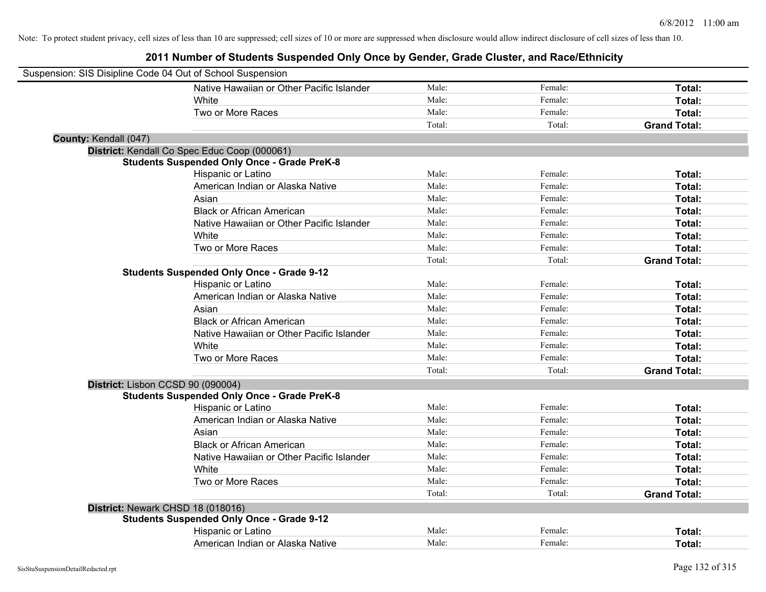| Suspension: SIS Disipline Code 04 Out of School Suspension |                                                    |        |         |                     |
|------------------------------------------------------------|----------------------------------------------------|--------|---------|---------------------|
|                                                            | Native Hawaiian or Other Pacific Islander          | Male:  | Female: | Total:              |
|                                                            | White                                              | Male:  | Female: | Total:              |
|                                                            | Two or More Races                                  | Male:  | Female: | Total:              |
|                                                            |                                                    | Total: | Total:  | <b>Grand Total:</b> |
| County: Kendall (047)                                      |                                                    |        |         |                     |
| District: Kendall Co Spec Educ Coop (000061)               |                                                    |        |         |                     |
|                                                            | <b>Students Suspended Only Once - Grade PreK-8</b> |        |         |                     |
|                                                            | Hispanic or Latino                                 | Male:  | Female: | Total:              |
|                                                            | American Indian or Alaska Native                   | Male:  | Female: | Total:              |
|                                                            | Asian                                              | Male:  | Female: | Total:              |
|                                                            | <b>Black or African American</b>                   | Male:  | Female: | Total:              |
|                                                            | Native Hawaiian or Other Pacific Islander          | Male:  | Female: | Total:              |
|                                                            | White                                              | Male:  | Female: | Total:              |
|                                                            | Two or More Races                                  | Male:  | Female: | Total:              |
|                                                            |                                                    | Total: | Total:  | <b>Grand Total:</b> |
|                                                            | <b>Students Suspended Only Once - Grade 9-12</b>   |        |         |                     |
|                                                            | Hispanic or Latino                                 | Male:  | Female: | Total:              |
|                                                            | American Indian or Alaska Native                   | Male:  | Female: | Total:              |
|                                                            | Asian                                              | Male:  | Female: | Total:              |
|                                                            | <b>Black or African American</b>                   | Male:  | Female: | Total:              |
|                                                            | Native Hawaiian or Other Pacific Islander          | Male:  | Female: | Total:              |
|                                                            | White                                              | Male:  | Female: | Total:              |
|                                                            | Two or More Races                                  | Male:  | Female: | Total:              |
|                                                            |                                                    | Total: | Total:  | <b>Grand Total:</b> |
| District: Lisbon CCSD 90 (090004)                          |                                                    |        |         |                     |
|                                                            | <b>Students Suspended Only Once - Grade PreK-8</b> |        |         |                     |
|                                                            | Hispanic or Latino                                 | Male:  | Female: | Total:              |
|                                                            | American Indian or Alaska Native                   | Male:  | Female: | Total:              |
|                                                            | Asian                                              | Male:  | Female: | Total:              |
|                                                            | <b>Black or African American</b>                   | Male:  | Female: | Total:              |
|                                                            | Native Hawaiian or Other Pacific Islander          | Male:  | Female: | Total:              |
|                                                            | White                                              | Male:  | Female: | Total:              |
|                                                            | Two or More Races                                  | Male:  | Female: | Total:              |
|                                                            |                                                    | Total: | Total:  | <b>Grand Total:</b> |
| District: Newark CHSD 18 (018016)                          |                                                    |        |         |                     |
|                                                            | <b>Students Suspended Only Once - Grade 9-12</b>   |        |         |                     |
|                                                            | Hispanic or Latino                                 | Male:  | Female: | <b>Total:</b>       |
|                                                            | American Indian or Alaska Native                   | Male:  | Female: | Total:              |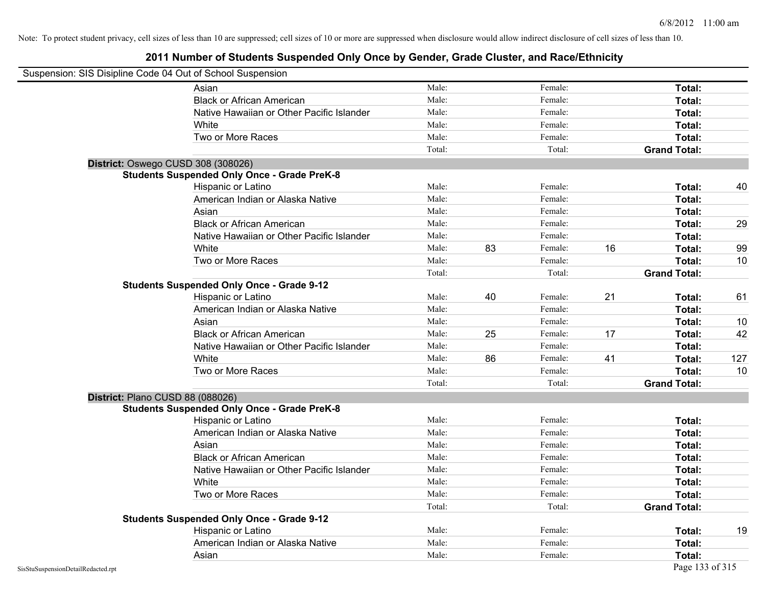|                                    | Suspension: SIS Disipline Code 04 Out of School Suspension |        |    |         |    |                     |     |
|------------------------------------|------------------------------------------------------------|--------|----|---------|----|---------------------|-----|
|                                    | Asian                                                      | Male:  |    | Female: |    | Total:              |     |
|                                    | <b>Black or African American</b>                           | Male:  |    | Female: |    | Total:              |     |
|                                    | Native Hawaiian or Other Pacific Islander                  | Male:  |    | Female: |    | Total:              |     |
|                                    | White                                                      | Male:  |    | Female: |    | Total:              |     |
|                                    | Two or More Races                                          | Male:  |    | Female: |    | Total:              |     |
|                                    |                                                            | Total: |    | Total:  |    | <b>Grand Total:</b> |     |
|                                    | District: Oswego CUSD 308 (308026)                         |        |    |         |    |                     |     |
|                                    | <b>Students Suspended Only Once - Grade PreK-8</b>         |        |    |         |    |                     |     |
|                                    | Hispanic or Latino                                         | Male:  |    | Female: |    | Total:              | 40  |
|                                    | American Indian or Alaska Native                           | Male:  |    | Female: |    | Total:              |     |
|                                    | Asian                                                      | Male:  |    | Female: |    | Total:              |     |
|                                    | <b>Black or African American</b>                           | Male:  |    | Female: |    | Total:              | 29  |
|                                    | Native Hawaiian or Other Pacific Islander                  | Male:  |    | Female: |    | <b>Total:</b>       |     |
|                                    | White                                                      | Male:  | 83 | Female: | 16 | Total:              | 99  |
|                                    | Two or More Races                                          | Male:  |    | Female: |    | Total:              | 10  |
|                                    |                                                            | Total: |    | Total:  |    | <b>Grand Total:</b> |     |
|                                    | <b>Students Suspended Only Once - Grade 9-12</b>           |        |    |         |    |                     |     |
|                                    | Hispanic or Latino                                         | Male:  | 40 | Female: | 21 | Total:              | 61  |
|                                    | American Indian or Alaska Native                           | Male:  |    | Female: |    | Total:              |     |
|                                    | Asian                                                      | Male:  |    | Female: |    | Total:              | 10  |
|                                    | <b>Black or African American</b>                           | Male:  | 25 | Female: | 17 | Total:              | 42  |
|                                    | Native Hawaiian or Other Pacific Islander                  | Male:  |    | Female: |    | Total:              |     |
|                                    | White                                                      | Male:  | 86 | Female: | 41 | Total:              | 127 |
|                                    | Two or More Races                                          | Male:  |    | Female: |    | Total:              | 10  |
|                                    |                                                            | Total: |    | Total:  |    | <b>Grand Total:</b> |     |
|                                    | District: Plano CUSD 88 (088026)                           |        |    |         |    |                     |     |
|                                    | <b>Students Suspended Only Once - Grade PreK-8</b>         |        |    |         |    |                     |     |
|                                    | Hispanic or Latino                                         | Male:  |    | Female: |    | <b>Total:</b>       |     |
|                                    | American Indian or Alaska Native                           | Male:  |    | Female: |    | <b>Total:</b>       |     |
|                                    | Asian                                                      | Male:  |    | Female: |    | Total:              |     |
|                                    | <b>Black or African American</b>                           | Male:  |    | Female: |    | Total:              |     |
|                                    | Native Hawaiian or Other Pacific Islander                  | Male:  |    | Female: |    | Total:              |     |
|                                    | White                                                      | Male:  |    | Female: |    | <b>Total:</b>       |     |
|                                    | Two or More Races                                          | Male:  |    | Female: |    | <b>Total:</b>       |     |
|                                    |                                                            | Total: |    | Total:  |    | <b>Grand Total:</b> |     |
|                                    | <b>Students Suspended Only Once - Grade 9-12</b>           |        |    |         |    |                     |     |
|                                    | Hispanic or Latino                                         | Male:  |    | Female: |    | Total:              | 19  |
|                                    | American Indian or Alaska Native                           | Male:  |    | Female: |    | <b>Total:</b>       |     |
|                                    | Asian                                                      | Male:  |    | Female: |    | <b>Total:</b>       |     |
| SisStuSuspensionDetailRedacted.rpt |                                                            |        |    |         |    | Page 133 of 315     |     |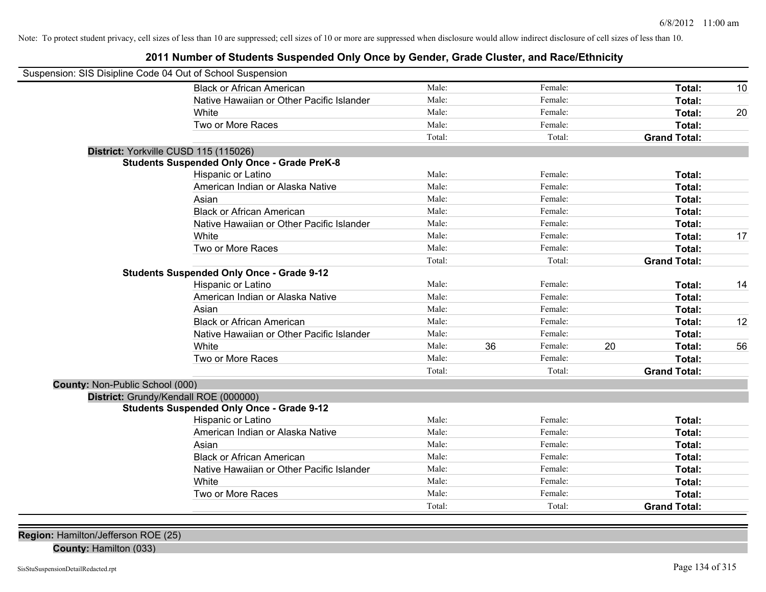#### **2011 Number of Students Suspended Only Once by Gender, Grade Cluster, and Race/Ethnicity**

| Suspension: SIS Disipline Code 04 Out of School Suspension |                                                    |        |    |         |    |                     |    |
|------------------------------------------------------------|----------------------------------------------------|--------|----|---------|----|---------------------|----|
|                                                            | <b>Black or African American</b>                   | Male:  |    | Female: |    | Total:              | 10 |
|                                                            | Native Hawaiian or Other Pacific Islander          | Male:  |    | Female: |    | Total:              |    |
|                                                            | White                                              | Male:  |    | Female: |    | Total:              | 20 |
|                                                            | Two or More Races                                  | Male:  |    | Female: |    | Total:              |    |
|                                                            |                                                    | Total: |    | Total:  |    | <b>Grand Total:</b> |    |
|                                                            | District: Yorkville CUSD 115 (115026)              |        |    |         |    |                     |    |
|                                                            | <b>Students Suspended Only Once - Grade PreK-8</b> |        |    |         |    |                     |    |
|                                                            | Hispanic or Latino                                 | Male:  |    | Female: |    | Total:              |    |
|                                                            | American Indian or Alaska Native                   | Male:  |    | Female: |    | Total:              |    |
|                                                            | Asian                                              | Male:  |    | Female: |    | Total:              |    |
|                                                            | <b>Black or African American</b>                   | Male:  |    | Female: |    | Total:              |    |
|                                                            | Native Hawaiian or Other Pacific Islander          | Male:  |    | Female: |    | Total:              |    |
|                                                            | White                                              | Male:  |    | Female: |    | Total:              | 17 |
|                                                            | Two or More Races                                  | Male:  |    | Female: |    | Total:              |    |
|                                                            |                                                    | Total: |    | Total:  |    | <b>Grand Total:</b> |    |
|                                                            | <b>Students Suspended Only Once - Grade 9-12</b>   |        |    |         |    |                     |    |
|                                                            | Hispanic or Latino                                 | Male:  |    | Female: |    | Total:              | 14 |
|                                                            | American Indian or Alaska Native                   | Male:  |    | Female: |    | Total:              |    |
|                                                            | Asian                                              | Male:  |    | Female: |    | Total:              |    |
|                                                            | <b>Black or African American</b>                   | Male:  |    | Female: |    | Total:              | 12 |
|                                                            | Native Hawaiian or Other Pacific Islander          | Male:  |    | Female: |    | Total:              |    |
|                                                            | White                                              | Male:  | 36 | Female: | 20 | Total:              | 56 |
|                                                            | Two or More Races                                  | Male:  |    | Female: |    | Total:              |    |
|                                                            |                                                    | Total: |    | Total:  |    | <b>Grand Total:</b> |    |
| County: Non-Public School (000)                            |                                                    |        |    |         |    |                     |    |
|                                                            | District: Grundy/Kendall ROE (000000)              |        |    |         |    |                     |    |
|                                                            | <b>Students Suspended Only Once - Grade 9-12</b>   |        |    |         |    |                     |    |
|                                                            | Hispanic or Latino                                 | Male:  |    | Female: |    | Total:              |    |
|                                                            | American Indian or Alaska Native                   | Male:  |    | Female: |    | Total:              |    |
|                                                            | Asian                                              | Male:  |    | Female: |    | Total:              |    |
|                                                            | <b>Black or African American</b>                   | Male:  |    | Female: |    | Total:              |    |
|                                                            | Native Hawaiian or Other Pacific Islander          | Male:  |    | Female: |    | Total:              |    |
|                                                            | White                                              | Male:  |    | Female: |    | Total:              |    |
|                                                            | Two or More Races                                  | Male:  |    | Female: |    | Total:              |    |
|                                                            |                                                    | Total: |    | Total:  |    | <b>Grand Total:</b> |    |

**Region:** Hamilton/Jefferson ROE (25)

**County:** Hamilton (033)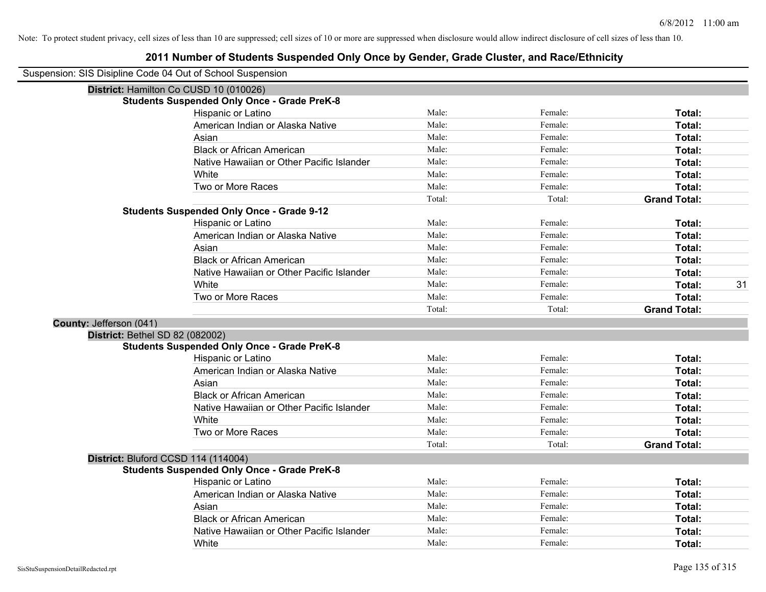| Suspension: SIS Disipline Code 04 Out of School Suspension |                                                    |        |         |                     |
|------------------------------------------------------------|----------------------------------------------------|--------|---------|---------------------|
| District: Hamilton Co CUSD 10 (010026)                     |                                                    |        |         |                     |
|                                                            | <b>Students Suspended Only Once - Grade PreK-8</b> |        |         |                     |
|                                                            | Hispanic or Latino                                 | Male:  | Female: | Total:              |
|                                                            | American Indian or Alaska Native                   | Male:  | Female: | Total:              |
|                                                            | Asian                                              | Male:  | Female: | Total:              |
|                                                            | <b>Black or African American</b>                   | Male:  | Female: | Total:              |
|                                                            | Native Hawaiian or Other Pacific Islander          | Male:  | Female: | Total:              |
|                                                            | White                                              | Male:  | Female: | Total:              |
|                                                            | Two or More Races                                  | Male:  | Female: | Total:              |
|                                                            |                                                    | Total: | Total:  | <b>Grand Total:</b> |
|                                                            | <b>Students Suspended Only Once - Grade 9-12</b>   |        |         |                     |
|                                                            | Hispanic or Latino                                 | Male:  | Female: | Total:              |
|                                                            | American Indian or Alaska Native                   | Male:  | Female: | Total:              |
|                                                            | Asian                                              | Male:  | Female: | Total:              |
|                                                            | <b>Black or African American</b>                   | Male:  | Female: | Total:              |
|                                                            | Native Hawaiian or Other Pacific Islander          | Male:  | Female: | Total:              |
|                                                            | White                                              | Male:  | Female: | 31<br>Total:        |
|                                                            | Two or More Races                                  | Male:  | Female: | Total:              |
|                                                            |                                                    | Total: | Total:  | <b>Grand Total:</b> |
| County: Jefferson (041)                                    |                                                    |        |         |                     |
| District: Bethel SD 82 (082002)                            |                                                    |        |         |                     |
|                                                            | <b>Students Suspended Only Once - Grade PreK-8</b> |        |         |                     |
|                                                            | Hispanic or Latino                                 | Male:  | Female: | Total:              |
|                                                            | American Indian or Alaska Native                   | Male:  | Female: | Total:              |
|                                                            | Asian                                              | Male:  | Female: | Total:              |
|                                                            | <b>Black or African American</b>                   | Male:  | Female: | Total:              |
|                                                            | Native Hawaiian or Other Pacific Islander          | Male:  | Female: | Total:              |
|                                                            | White                                              | Male:  | Female: | Total:              |
|                                                            | Two or More Races                                  | Male:  | Female: | Total:              |
|                                                            |                                                    | Total: | Total:  | <b>Grand Total:</b> |
| District: Bluford CCSD 114 (114004)                        |                                                    |        |         |                     |
|                                                            | <b>Students Suspended Only Once - Grade PreK-8</b> |        |         |                     |
|                                                            | Hispanic or Latino                                 | Male:  | Female: | Total:              |
|                                                            | American Indian or Alaska Native                   | Male:  | Female: | Total:              |
|                                                            | Asian                                              | Male:  | Female: | Total:              |
|                                                            | <b>Black or African American</b>                   | Male:  | Female: | Total:              |
|                                                            | Native Hawaiian or Other Pacific Islander          | Male:  | Female: | Total:              |
|                                                            | White                                              | Male:  | Female: | Total:              |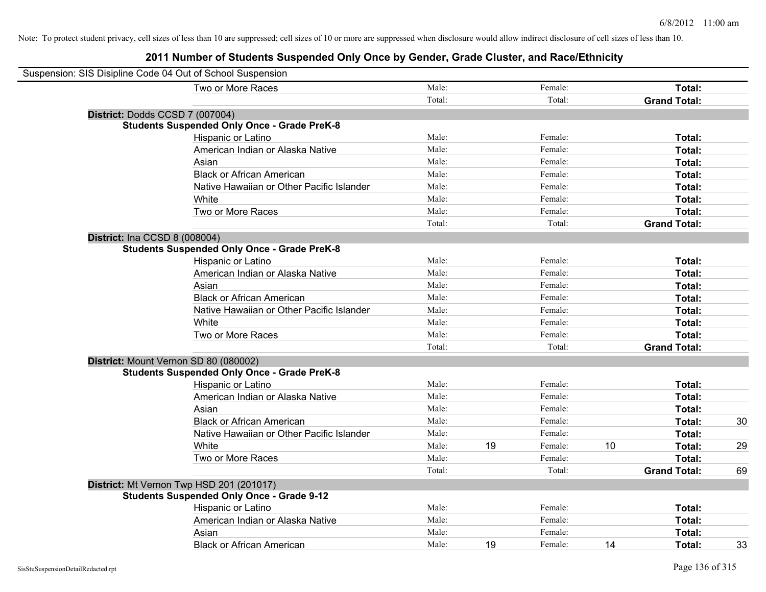| Suspension: SIS Disipline Code 04 Out of School Suspension |        |    |         |    |                     |    |
|------------------------------------------------------------|--------|----|---------|----|---------------------|----|
| Two or More Races                                          | Male:  |    | Female: |    | Total:              |    |
|                                                            | Total: |    | Total:  |    | <b>Grand Total:</b> |    |
| District: Dodds CCSD 7 (007004)                            |        |    |         |    |                     |    |
| <b>Students Suspended Only Once - Grade PreK-8</b>         |        |    |         |    |                     |    |
| Hispanic or Latino                                         | Male:  |    | Female: |    | Total:              |    |
| American Indian or Alaska Native                           | Male:  |    | Female: |    | Total:              |    |
| Asian                                                      | Male:  |    | Female: |    | Total:              |    |
| <b>Black or African American</b>                           | Male:  |    | Female: |    | Total:              |    |
| Native Hawaiian or Other Pacific Islander                  | Male:  |    | Female: |    | Total:              |    |
| White                                                      | Male:  |    | Female: |    | Total:              |    |
| Two or More Races                                          | Male:  |    | Female: |    | Total:              |    |
|                                                            | Total: |    | Total:  |    | <b>Grand Total:</b> |    |
| <b>District: Ina CCSD 8 (008004)</b>                       |        |    |         |    |                     |    |
| <b>Students Suspended Only Once - Grade PreK-8</b>         |        |    |         |    |                     |    |
| Hispanic or Latino                                         | Male:  |    | Female: |    | Total:              |    |
| American Indian or Alaska Native                           | Male:  |    | Female: |    | Total:              |    |
| Asian                                                      | Male:  |    | Female: |    | Total:              |    |
| <b>Black or African American</b>                           | Male:  |    | Female: |    | Total:              |    |
| Native Hawaiian or Other Pacific Islander                  | Male:  |    | Female: |    | Total:              |    |
| White                                                      | Male:  |    | Female: |    | Total:              |    |
| Two or More Races                                          | Male:  |    | Female: |    | Total:              |    |
|                                                            | Total: |    | Total:  |    | <b>Grand Total:</b> |    |
| District: Mount Vernon SD 80 (080002)                      |        |    |         |    |                     |    |
| <b>Students Suspended Only Once - Grade PreK-8</b>         |        |    |         |    |                     |    |
| Hispanic or Latino                                         | Male:  |    | Female: |    | Total:              |    |
| American Indian or Alaska Native                           | Male:  |    | Female: |    | Total:              |    |
| Asian                                                      | Male:  |    | Female: |    | Total:              |    |
| <b>Black or African American</b>                           | Male:  |    | Female: |    | Total:              | 30 |
| Native Hawaiian or Other Pacific Islander                  | Male:  |    | Female: |    | Total:              |    |
| White                                                      | Male:  | 19 | Female: | 10 | Total:              | 29 |
| Two or More Races                                          | Male:  |    | Female: |    | Total:              |    |
|                                                            | Total: |    | Total:  |    | <b>Grand Total:</b> | 69 |
| District: Mt Vernon Twp HSD 201 (201017)                   |        |    |         |    |                     |    |
| <b>Students Suspended Only Once - Grade 9-12</b>           |        |    |         |    |                     |    |
| Hispanic or Latino                                         | Male:  |    | Female: |    | Total:              |    |
| American Indian or Alaska Native                           | Male:  |    | Female: |    | Total:              |    |
| Asian                                                      | Male:  |    | Female: |    | Total:              |    |
| <b>Black or African American</b>                           | Male:  | 19 | Female: | 14 | Total:              | 33 |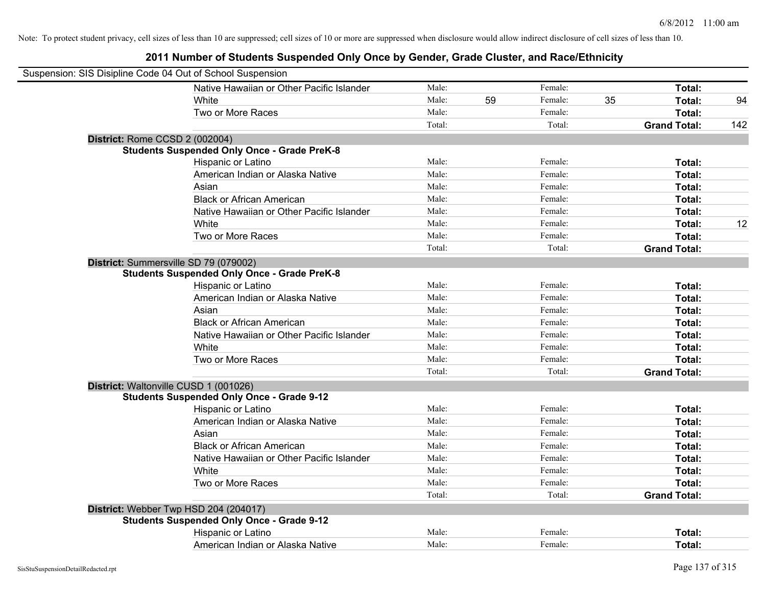| Suspension: SIS Disipline Code 04 Out of School Suspension |                                                    |        |    |         |    |                     |     |
|------------------------------------------------------------|----------------------------------------------------|--------|----|---------|----|---------------------|-----|
|                                                            | Native Hawaiian or Other Pacific Islander          | Male:  |    | Female: |    | Total:              |     |
|                                                            | White                                              | Male:  | 59 | Female: | 35 | Total:              | 94  |
|                                                            | Two or More Races                                  | Male:  |    | Female: |    | Total:              |     |
|                                                            |                                                    | Total: |    | Total:  |    | <b>Grand Total:</b> | 142 |
| District: Rome CCSD 2 (002004)                             |                                                    |        |    |         |    |                     |     |
|                                                            | <b>Students Suspended Only Once - Grade PreK-8</b> |        |    |         |    |                     |     |
|                                                            | Hispanic or Latino                                 | Male:  |    | Female: |    | Total:              |     |
|                                                            | American Indian or Alaska Native                   | Male:  |    | Female: |    | Total:              |     |
|                                                            | Asian                                              | Male:  |    | Female: |    | Total:              |     |
|                                                            | <b>Black or African American</b>                   | Male:  |    | Female: |    | Total:              |     |
|                                                            | Native Hawaiian or Other Pacific Islander          | Male:  |    | Female: |    | Total:              |     |
|                                                            | White                                              | Male:  |    | Female: |    | Total:              | 12  |
|                                                            | Two or More Races                                  | Male:  |    | Female: |    | Total:              |     |
|                                                            |                                                    | Total: |    | Total:  |    | <b>Grand Total:</b> |     |
| District: Summersville SD 79 (079002)                      |                                                    |        |    |         |    |                     |     |
|                                                            | <b>Students Suspended Only Once - Grade PreK-8</b> |        |    |         |    |                     |     |
|                                                            | Hispanic or Latino                                 | Male:  |    | Female: |    | Total:              |     |
|                                                            | American Indian or Alaska Native                   | Male:  |    | Female: |    | Total:              |     |
|                                                            | Asian                                              | Male:  |    | Female: |    | Total:              |     |
|                                                            | <b>Black or African American</b>                   | Male:  |    | Female: |    | Total:              |     |
|                                                            | Native Hawaiian or Other Pacific Islander          | Male:  |    | Female: |    | Total:              |     |
|                                                            | White                                              | Male:  |    | Female: |    | Total:              |     |
|                                                            | Two or More Races                                  | Male:  |    | Female: |    | Total:              |     |
|                                                            |                                                    | Total: |    | Total:  |    | <b>Grand Total:</b> |     |
| District: Waltonville CUSD 1 (001026)                      |                                                    |        |    |         |    |                     |     |
|                                                            | <b>Students Suspended Only Once - Grade 9-12</b>   |        |    |         |    |                     |     |
|                                                            | Hispanic or Latino                                 | Male:  |    | Female: |    | Total:              |     |
|                                                            | American Indian or Alaska Native                   | Male:  |    | Female: |    | Total:              |     |
|                                                            | Asian                                              | Male:  |    | Female: |    | Total:              |     |
|                                                            | <b>Black or African American</b>                   | Male:  |    | Female: |    | Total:              |     |
|                                                            | Native Hawaiian or Other Pacific Islander          | Male:  |    | Female: |    | Total:              |     |
|                                                            | White                                              | Male:  |    | Female: |    | Total:              |     |
|                                                            | Two or More Races                                  | Male:  |    | Female: |    | Total:              |     |
|                                                            |                                                    | Total: |    | Total:  |    | <b>Grand Total:</b> |     |
|                                                            | District: Webber Twp HSD 204 (204017)              |        |    |         |    |                     |     |
|                                                            | <b>Students Suspended Only Once - Grade 9-12</b>   |        |    |         |    |                     |     |
|                                                            | Hispanic or Latino                                 | Male:  |    | Female: |    | Total:              |     |
|                                                            | American Indian or Alaska Native                   | Male:  |    | Female: |    | Total:              |     |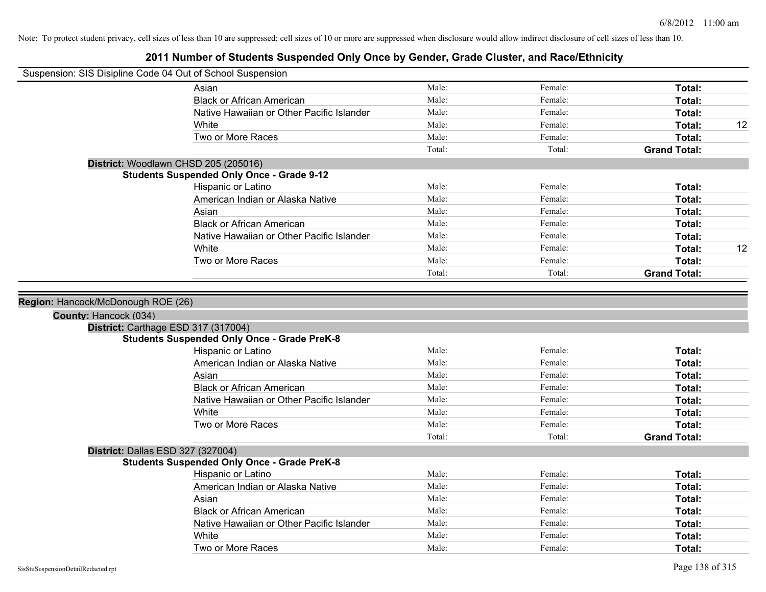| Suspension: SIS Disipline Code 04 Out of School Suspension |                                                    |                |                    |                     |    |
|------------------------------------------------------------|----------------------------------------------------|----------------|--------------------|---------------------|----|
|                                                            | Asian                                              | Male:          | Female:            | Total:              |    |
|                                                            | <b>Black or African American</b>                   | Male:          | Female:            | Total:              |    |
|                                                            | Native Hawaiian or Other Pacific Islander          | Male:          | Female:            | Total:              |    |
|                                                            | White                                              | Male:          | Female:            | Total:              | 12 |
|                                                            | Two or More Races                                  | Male:          | Female:            | Total:              |    |
|                                                            |                                                    | Total:         | Total:             | <b>Grand Total:</b> |    |
|                                                            | District: Woodlawn CHSD 205 (205016)               |                |                    |                     |    |
|                                                            | <b>Students Suspended Only Once - Grade 9-12</b>   |                |                    |                     |    |
|                                                            | Hispanic or Latino                                 | Male:          | Female:            | Total:              |    |
|                                                            | American Indian or Alaska Native                   | Male:          | Female:            | Total:              |    |
|                                                            | Asian                                              | Male:          | Female:            | Total:              |    |
|                                                            | <b>Black or African American</b>                   | Male:          | Female:            | Total:              |    |
|                                                            | Native Hawaiian or Other Pacific Islander          | Male:          | Female:            | Total:              |    |
|                                                            | White                                              | Male:          | Female:            | Total:              | 12 |
|                                                            | Two or More Races                                  | Male:          | Female:            | Total:              |    |
|                                                            |                                                    | Total:         | Total:             | <b>Grand Total:</b> |    |
|                                                            | Region: Hancock/McDonough ROE (26)                 |                |                    |                     |    |
| County: Hancock (034)                                      |                                                    |                |                    |                     |    |
| District: Carthage ESD 317 (317004)                        | <b>Students Suspended Only Once - Grade PreK-8</b> |                |                    |                     |    |
|                                                            | Hispanic or Latino                                 | Male:          | Female:            | Total:              |    |
|                                                            | American Indian or Alaska Native                   | Male:          | Female:            | Total:              |    |
|                                                            | Asian                                              | Male:          | Female:            | Total:              |    |
|                                                            | <b>Black or African American</b>                   | Male:          | Female:            | Total:              |    |
|                                                            | Native Hawaiian or Other Pacific Islander          | Male:          | Female:            | Total:              |    |
|                                                            | White                                              | Male:          | Female:            | Total:              |    |
|                                                            | Two or More Races                                  | Male:          | Female:            | Total:              |    |
|                                                            |                                                    | Total:         | Total:             | <b>Grand Total:</b> |    |
| District: Dallas ESD 327 (327004)                          |                                                    |                |                    |                     |    |
|                                                            | <b>Students Suspended Only Once - Grade PreK-8</b> |                |                    |                     |    |
|                                                            | Hispanic or Latino                                 | Male:          | Female:            | Total:              |    |
|                                                            | American Indian or Alaska Native                   | Male:          | Female:            | Total:              |    |
|                                                            | Asian                                              | Male:          | Female:            | Total:              |    |
|                                                            | <b>Black or African American</b>                   | Male:          | Female:            | Total:              |    |
|                                                            | Native Hawaiian or Other Pacific Islander          | Male:          | Female:            | Total:              |    |
|                                                            | White<br>Two or More Races                         | Male:<br>Male: | Female:<br>Female: | Total:<br>Total:    |    |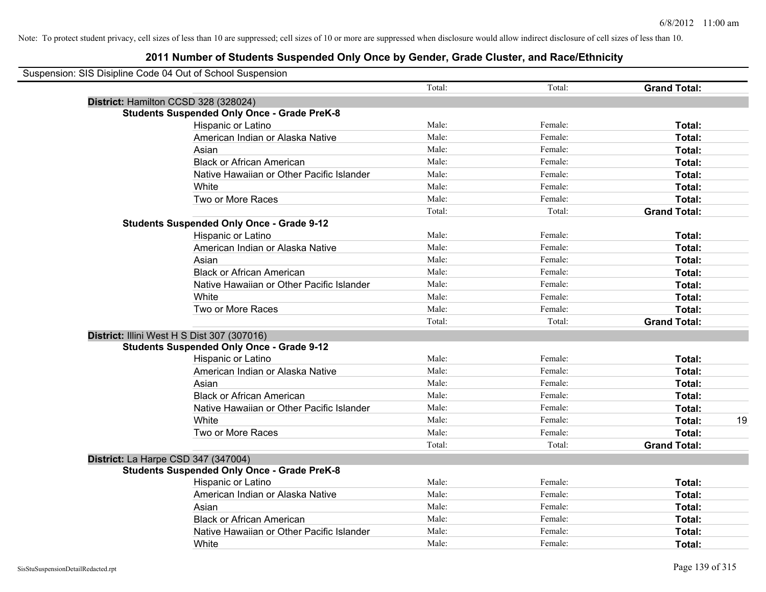| Suspension: SIS Disipline Code 04 Out of School Suspension |        |         |                     |
|------------------------------------------------------------|--------|---------|---------------------|
|                                                            | Total: | Total:  | <b>Grand Total:</b> |
| District: Hamilton CCSD 328 (328024)                       |        |         |                     |
| <b>Students Suspended Only Once - Grade PreK-8</b>         |        |         |                     |
| Hispanic or Latino                                         | Male:  | Female: | Total:              |
| American Indian or Alaska Native                           | Male:  | Female: | Total:              |
| Asian                                                      | Male:  | Female: | Total:              |
| <b>Black or African American</b>                           | Male:  | Female: | Total:              |
| Native Hawaiian or Other Pacific Islander                  | Male:  | Female: | Total:              |
| White                                                      | Male:  | Female: | Total:              |
| Two or More Races                                          | Male:  | Female: | Total:              |
|                                                            | Total: | Total:  | <b>Grand Total:</b> |
| <b>Students Suspended Only Once - Grade 9-12</b>           |        |         |                     |
| Hispanic or Latino                                         | Male:  | Female: | Total:              |
| American Indian or Alaska Native                           | Male:  | Female: | Total:              |
| Asian                                                      | Male:  | Female: | Total:              |
| <b>Black or African American</b>                           | Male:  | Female: | Total:              |
| Native Hawaiian or Other Pacific Islander                  | Male:  | Female: | Total:              |
| White                                                      | Male:  | Female: | Total:              |
| Two or More Races                                          | Male:  | Female: | Total:              |
|                                                            | Total: | Total:  | <b>Grand Total:</b> |
| District: Illini West H S Dist 307 (307016)                |        |         |                     |
| <b>Students Suspended Only Once - Grade 9-12</b>           |        |         |                     |
| Hispanic or Latino                                         | Male:  | Female: | Total:              |
| American Indian or Alaska Native                           | Male:  | Female: | Total:              |
| Asian                                                      | Male:  | Female: | Total:              |
| <b>Black or African American</b>                           | Male:  | Female: | Total:              |
| Native Hawaiian or Other Pacific Islander                  | Male:  | Female: | Total:              |
| White                                                      | Male:  | Female: | Total:<br>19        |
| Two or More Races                                          | Male:  | Female: | <b>Total:</b>       |
|                                                            | Total: | Total:  | <b>Grand Total:</b> |
| District: La Harpe CSD 347 (347004)                        |        |         |                     |
| <b>Students Suspended Only Once - Grade PreK-8</b>         |        |         |                     |
| Hispanic or Latino                                         | Male:  | Female: | Total:              |
| American Indian or Alaska Native                           | Male:  | Female: | Total:              |
| Asian                                                      | Male:  | Female: | Total:              |
| <b>Black or African American</b>                           | Male:  | Female: | Total:              |
| Native Hawaiian or Other Pacific Islander                  | Male:  | Female: | <b>Total:</b>       |
| White                                                      | Male:  | Female: | Total:              |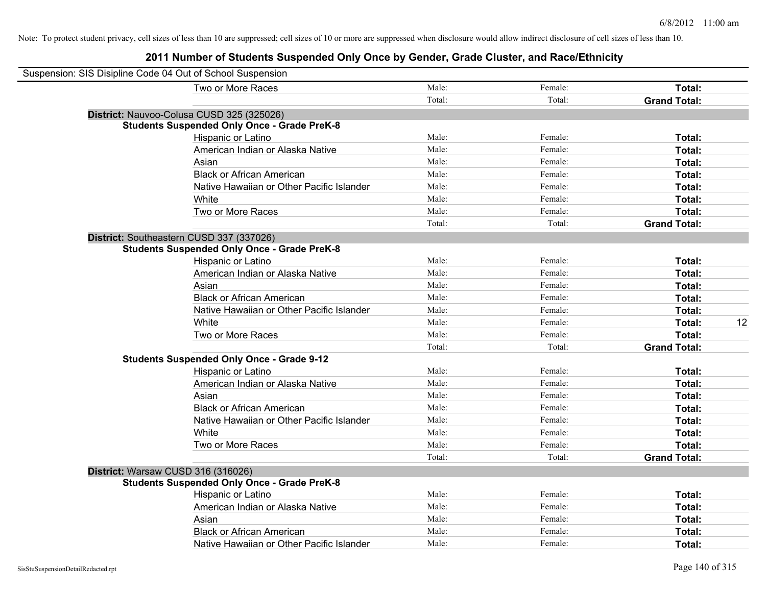| Suspension: SIS Disipline Code 04 Out of School Suspension |                                                    |        |         |                     |
|------------------------------------------------------------|----------------------------------------------------|--------|---------|---------------------|
|                                                            | Two or More Races                                  | Male:  | Female: | Total:              |
|                                                            |                                                    | Total: | Total:  | <b>Grand Total:</b> |
|                                                            | District: Nauvoo-Colusa CUSD 325 (325026)          |        |         |                     |
|                                                            | <b>Students Suspended Only Once - Grade PreK-8</b> |        |         |                     |
|                                                            | Hispanic or Latino                                 | Male:  | Female: | Total:              |
|                                                            | American Indian or Alaska Native                   | Male:  | Female: | Total:              |
|                                                            | Asian                                              | Male:  | Female: | Total:              |
|                                                            | <b>Black or African American</b>                   | Male:  | Female: | Total:              |
|                                                            | Native Hawaiian or Other Pacific Islander          | Male:  | Female: | Total:              |
|                                                            | White                                              | Male:  | Female: | Total:              |
|                                                            | Two or More Races                                  | Male:  | Female: | Total:              |
|                                                            |                                                    | Total: | Total:  | <b>Grand Total:</b> |
|                                                            | District: Southeastern CUSD 337 (337026)           |        |         |                     |
|                                                            | <b>Students Suspended Only Once - Grade PreK-8</b> |        |         |                     |
|                                                            | Hispanic or Latino                                 | Male:  | Female: | Total:              |
|                                                            | American Indian or Alaska Native                   | Male:  | Female: | Total:              |
|                                                            | Asian                                              | Male:  | Female: | Total:              |
|                                                            | <b>Black or African American</b>                   | Male:  | Female: | Total:              |
|                                                            | Native Hawaiian or Other Pacific Islander          | Male:  | Female: | Total:              |
|                                                            | White                                              | Male:  | Female: | Total:<br>12        |
|                                                            | Two or More Races                                  | Male:  | Female: | Total:              |
|                                                            |                                                    | Total: | Total:  | <b>Grand Total:</b> |
|                                                            | <b>Students Suspended Only Once - Grade 9-12</b>   |        |         |                     |
|                                                            | Hispanic or Latino                                 | Male:  | Female: | Total:              |
|                                                            | American Indian or Alaska Native                   | Male:  | Female: | Total:              |
|                                                            | Asian                                              | Male:  | Female: | Total:              |
|                                                            | <b>Black or African American</b>                   | Male:  | Female: | Total:              |
|                                                            | Native Hawaiian or Other Pacific Islander          | Male:  | Female: | Total:              |
|                                                            | White                                              | Male:  | Female: | Total:              |
|                                                            | Two or More Races                                  | Male:  | Female: | Total:              |
|                                                            |                                                    | Total: | Total:  | <b>Grand Total:</b> |
|                                                            | District: Warsaw CUSD 316 (316026)                 |        |         |                     |
|                                                            | <b>Students Suspended Only Once - Grade PreK-8</b> |        |         |                     |
|                                                            | Hispanic or Latino                                 | Male:  | Female: | Total:              |
|                                                            | American Indian or Alaska Native                   | Male:  | Female: | Total:              |
|                                                            | Asian                                              | Male:  | Female: | Total:              |
|                                                            | <b>Black or African American</b>                   | Male:  | Female: | Total:              |
|                                                            | Native Hawaiian or Other Pacific Islander          | Male:  | Female: | Total:              |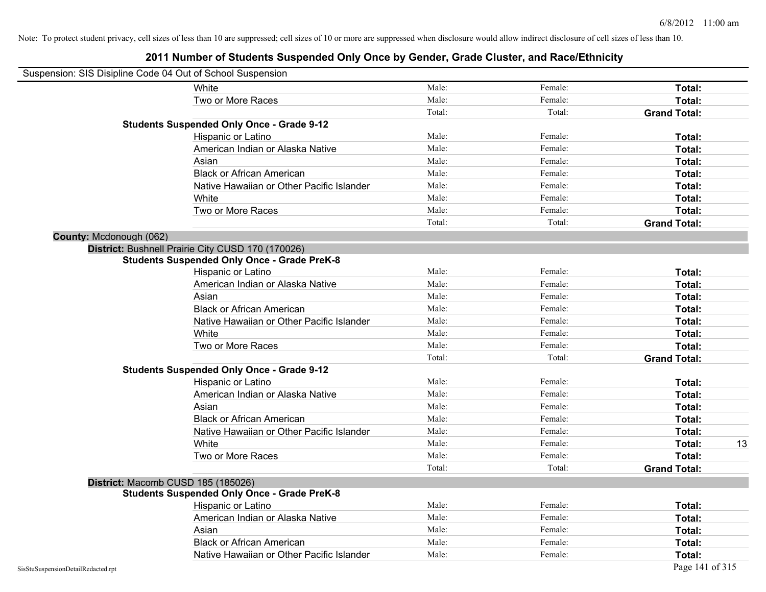|                                    | Suspension: SIS Disipline Code 04 Out of School Suspension |        |         |                     |
|------------------------------------|------------------------------------------------------------|--------|---------|---------------------|
|                                    | White                                                      | Male:  | Female: | Total:              |
|                                    | Two or More Races                                          | Male:  | Female: | Total:              |
|                                    |                                                            | Total: | Total:  | <b>Grand Total:</b> |
|                                    | <b>Students Suspended Only Once - Grade 9-12</b>           |        |         |                     |
|                                    | Hispanic or Latino                                         | Male:  | Female: | Total:              |
|                                    | American Indian or Alaska Native                           | Male:  | Female: | Total:              |
|                                    | Asian                                                      | Male:  | Female: | Total:              |
|                                    | <b>Black or African American</b>                           | Male:  | Female: | Total:              |
|                                    | Native Hawaiian or Other Pacific Islander                  | Male:  | Female: | Total:              |
|                                    | White                                                      | Male:  | Female: | Total:              |
|                                    | Two or More Races                                          | Male:  | Female: | Total:              |
|                                    |                                                            | Total: | Total:  | <b>Grand Total:</b> |
| County: Mcdonough (062)            |                                                            |        |         |                     |
|                                    | District: Bushnell Prairie City CUSD 170 (170026)          |        |         |                     |
|                                    | <b>Students Suspended Only Once - Grade PreK-8</b>         |        |         |                     |
|                                    | Hispanic or Latino                                         | Male:  | Female: | Total:              |
|                                    | American Indian or Alaska Native                           | Male:  | Female: | Total:              |
|                                    | Asian                                                      | Male:  | Female: | Total:              |
|                                    | <b>Black or African American</b>                           | Male:  | Female: | Total:              |
|                                    | Native Hawaiian or Other Pacific Islander                  | Male:  | Female: | Total:              |
|                                    | White                                                      | Male:  | Female: | Total:              |
|                                    | Two or More Races                                          | Male:  | Female: | Total:              |
|                                    |                                                            | Total: | Total:  | <b>Grand Total:</b> |
|                                    | <b>Students Suspended Only Once - Grade 9-12</b>           |        |         |                     |
|                                    | Hispanic or Latino                                         | Male:  | Female: | Total:              |
|                                    | American Indian or Alaska Native                           | Male:  | Female: | Total:              |
|                                    | Asian                                                      | Male:  | Female: | Total:              |
|                                    | <b>Black or African American</b>                           | Male:  | Female: | Total:              |
|                                    | Native Hawaiian or Other Pacific Islander                  | Male:  | Female: | Total:              |
|                                    | White                                                      | Male:  | Female: | 13<br>Total:        |
|                                    | Two or More Races                                          | Male:  | Female: | Total:              |
|                                    |                                                            | Total: | Total:  | <b>Grand Total:</b> |
|                                    | District: Macomb CUSD 185 (185026)                         |        |         |                     |
|                                    | <b>Students Suspended Only Once - Grade PreK-8</b>         |        |         |                     |
|                                    | Hispanic or Latino                                         | Male:  | Female: | Total:              |
|                                    | American Indian or Alaska Native                           | Male:  | Female: | Total:              |
|                                    | Asian                                                      | Male:  | Female: | Total:              |
|                                    | <b>Black or African American</b>                           | Male:  | Female: | Total:              |
|                                    | Native Hawaiian or Other Pacific Islander                  | Male:  | Female: | Total:              |
| SisStuSuspensionDetailRedacted.rpt |                                                            |        |         | Page 141 of 315     |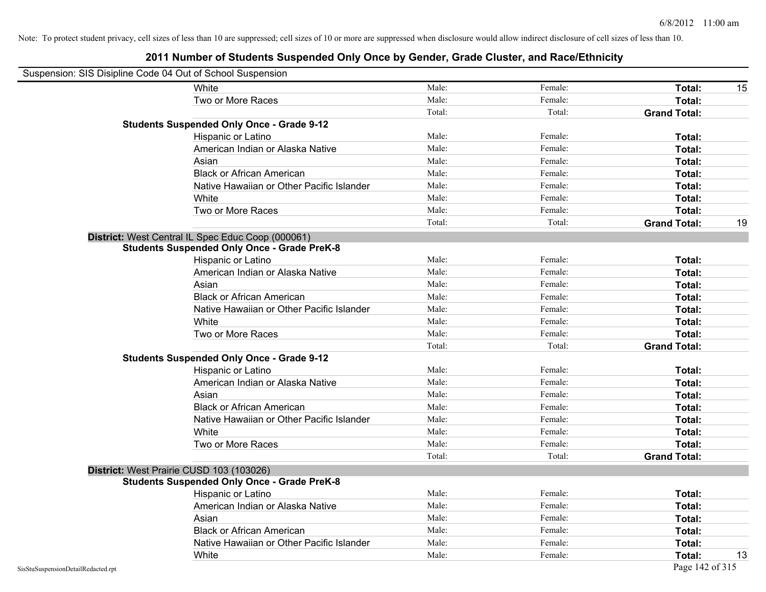|                                    | Suspension: SIS Disipline Code 04 Out of School Suspension |        |         |                     |    |
|------------------------------------|------------------------------------------------------------|--------|---------|---------------------|----|
|                                    | White                                                      | Male:  | Female: | Total:              | 15 |
|                                    | Two or More Races                                          | Male:  | Female: | Total:              |    |
|                                    |                                                            | Total: | Total:  | <b>Grand Total:</b> |    |
|                                    | <b>Students Suspended Only Once - Grade 9-12</b>           |        |         |                     |    |
|                                    | Hispanic or Latino                                         | Male:  | Female: | Total:              |    |
|                                    | American Indian or Alaska Native                           | Male:  | Female: | Total:              |    |
|                                    | Asian                                                      | Male:  | Female: | Total:              |    |
|                                    | <b>Black or African American</b>                           | Male:  | Female: | Total:              |    |
|                                    | Native Hawaiian or Other Pacific Islander                  | Male:  | Female: | Total:              |    |
|                                    | White                                                      | Male:  | Female: | Total:              |    |
|                                    | Two or More Races                                          | Male:  | Female: | Total:              |    |
|                                    |                                                            | Total: | Total:  | <b>Grand Total:</b> | 19 |
|                                    | District: West Central IL Spec Educ Coop (000061)          |        |         |                     |    |
|                                    | <b>Students Suspended Only Once - Grade PreK-8</b>         |        |         |                     |    |
|                                    | Hispanic or Latino                                         | Male:  | Female: | Total:              |    |
|                                    | American Indian or Alaska Native                           | Male:  | Female: | Total:              |    |
|                                    | Asian                                                      | Male:  | Female: | Total:              |    |
|                                    | <b>Black or African American</b>                           | Male:  | Female: | Total:              |    |
|                                    | Native Hawaiian or Other Pacific Islander                  | Male:  | Female: | Total:              |    |
|                                    | White                                                      | Male:  | Female: | Total:              |    |
|                                    | Two or More Races                                          | Male:  | Female: | Total:              |    |
|                                    |                                                            | Total: | Total:  | <b>Grand Total:</b> |    |
|                                    | <b>Students Suspended Only Once - Grade 9-12</b>           |        |         |                     |    |
|                                    | Hispanic or Latino                                         | Male:  | Female: | Total:              |    |
|                                    | American Indian or Alaska Native                           | Male:  | Female: | Total:              |    |
|                                    | Asian                                                      | Male:  | Female: | Total:              |    |
|                                    | <b>Black or African American</b>                           | Male:  | Female: | Total:              |    |
|                                    | Native Hawaiian or Other Pacific Islander                  | Male:  | Female: | Total:              |    |
|                                    | White                                                      | Male:  | Female: | Total:              |    |
|                                    | Two or More Races                                          | Male:  | Female: | Total:              |    |
|                                    |                                                            | Total: | Total:  | <b>Grand Total:</b> |    |
|                                    | District: West Prairie CUSD 103 (103026)                   |        |         |                     |    |
|                                    | <b>Students Suspended Only Once - Grade PreK-8</b>         |        |         |                     |    |
|                                    | Hispanic or Latino                                         | Male:  | Female: | Total:              |    |
|                                    | American Indian or Alaska Native                           | Male:  | Female: | Total:              |    |
|                                    | Asian                                                      | Male:  | Female: | Total:              |    |
|                                    | <b>Black or African American</b>                           | Male:  | Female: | Total:              |    |
|                                    | Native Hawaiian or Other Pacific Islander                  | Male:  | Female: | Total:              |    |
|                                    | White                                                      | Male:  | Female: | Total:              | 13 |
| SisStuSuspensionDetailRedacted.rpt |                                                            |        |         | Page 142 of 315     |    |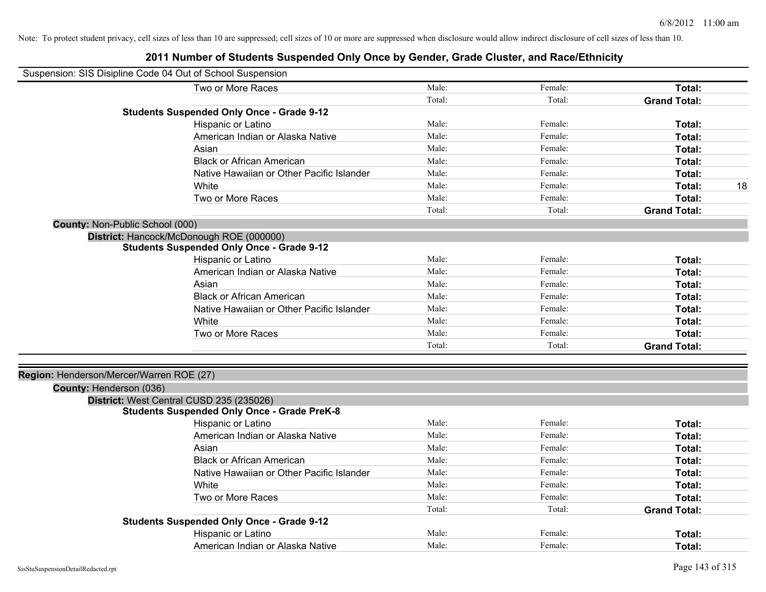|                                          | Suspension: SIS Disipline Code 04 Out of School Suspension |        |         |                     |
|------------------------------------------|------------------------------------------------------------|--------|---------|---------------------|
|                                          | Two or More Races                                          | Male:  | Female: | Total:              |
|                                          |                                                            | Total: | Total:  | <b>Grand Total:</b> |
|                                          | <b>Students Suspended Only Once - Grade 9-12</b>           |        |         |                     |
|                                          | Hispanic or Latino                                         | Male:  | Female: | Total:              |
|                                          | American Indian or Alaska Native                           | Male:  | Female: | Total:              |
|                                          | Asian                                                      | Male:  | Female: | Total:              |
|                                          | <b>Black or African American</b>                           | Male:  | Female: | Total:              |
|                                          | Native Hawaiian or Other Pacific Islander                  | Male:  | Female: | Total:              |
|                                          | White                                                      | Male:  | Female: | Total:<br>18        |
|                                          | Two or More Races                                          | Male:  | Female: | Total:              |
|                                          |                                                            | Total: | Total:  | <b>Grand Total:</b> |
| County: Non-Public School (000)          |                                                            |        |         |                     |
|                                          | District: Hancock/McDonough ROE (000000)                   |        |         |                     |
|                                          | <b>Students Suspended Only Once - Grade 9-12</b>           |        |         |                     |
|                                          | Hispanic or Latino                                         | Male:  | Female: | Total:              |
|                                          | American Indian or Alaska Native                           | Male:  | Female: | Total:              |
|                                          | Asian                                                      | Male:  | Female: | Total:              |
|                                          | <b>Black or African American</b>                           | Male:  | Female: | Total:              |
|                                          | Native Hawaiian or Other Pacific Islander                  | Male:  | Female: | Total:              |
|                                          | White                                                      | Male:  | Female: | Total:              |
|                                          | Two or More Races                                          | Male:  | Female: | Total:              |
|                                          |                                                            | Total: | Total:  | <b>Grand Total:</b> |
|                                          |                                                            |        |         |                     |
| Region: Henderson/Mercer/Warren ROE (27) |                                                            |        |         |                     |
| County: Henderson (036)                  |                                                            |        |         |                     |
|                                          | District: West Central CUSD 235 (235026)                   |        |         |                     |
|                                          | <b>Students Suspended Only Once - Grade PreK-8</b>         |        |         |                     |
|                                          | Hispanic or Latino                                         | Male:  | Female: | Total:              |
|                                          | American Indian or Alaska Native                           | Male:  | Female: | Total:              |
|                                          | Asian                                                      | Male:  | Female: | Total:              |
|                                          | <b>Black or African American</b>                           | Male:  | Female: | Total:              |
|                                          | Native Hawaiian or Other Pacific Islander                  | Male:  | Female: | Total:              |
|                                          | White                                                      | Male:  | Female: | Total:              |
|                                          | Two or More Races                                          | Male:  | Female: | Total:              |
|                                          |                                                            | Total: | Total:  | <b>Grand Total:</b> |
|                                          | <b>Students Suspended Only Once - Grade 9-12</b>           |        |         |                     |
|                                          | Hispanic or Latino                                         | Male:  | Female: | Total:              |
|                                          | American Indian or Alaska Native                           | Male:  | Female: | Total:              |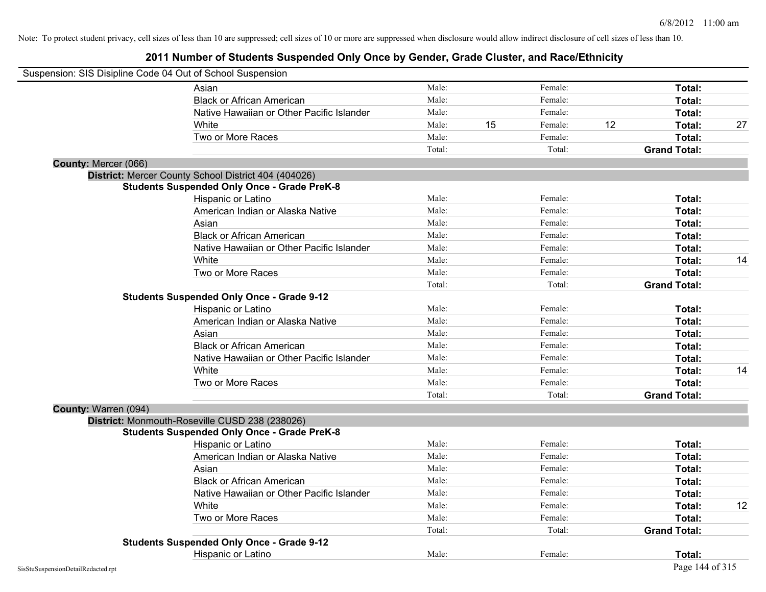|                      | Suspension: SIS Disipline Code 04 Out of School Suspension |        |    |         |    |                     |    |
|----------------------|------------------------------------------------------------|--------|----|---------|----|---------------------|----|
|                      | Asian                                                      | Male:  |    | Female: |    | Total:              |    |
|                      | <b>Black or African American</b>                           | Male:  |    | Female: |    | Total:              |    |
|                      | Native Hawaiian or Other Pacific Islander                  | Male:  |    | Female: |    | Total:              |    |
|                      | White                                                      | Male:  | 15 | Female: | 12 | Total:              | 27 |
|                      | Two or More Races                                          | Male:  |    | Female: |    | Total:              |    |
|                      |                                                            | Total: |    | Total:  |    | <b>Grand Total:</b> |    |
| County: Mercer (066) |                                                            |        |    |         |    |                     |    |
|                      | District: Mercer County School District 404 (404026)       |        |    |         |    |                     |    |
|                      | <b>Students Suspended Only Once - Grade PreK-8</b>         |        |    |         |    |                     |    |
|                      | Hispanic or Latino                                         | Male:  |    | Female: |    | Total:              |    |
|                      | American Indian or Alaska Native                           | Male:  |    | Female: |    | Total:              |    |
|                      | Asian                                                      | Male:  |    | Female: |    | Total:              |    |
|                      | <b>Black or African American</b>                           | Male:  |    | Female: |    | Total:              |    |
|                      | Native Hawaiian or Other Pacific Islander                  | Male:  |    | Female: |    | Total:              |    |
|                      | White                                                      | Male:  |    | Female: |    | Total:              | 14 |
|                      | Two or More Races                                          | Male:  |    | Female: |    | Total:              |    |
|                      |                                                            | Total: |    | Total:  |    | <b>Grand Total:</b> |    |
|                      | <b>Students Suspended Only Once - Grade 9-12</b>           |        |    |         |    |                     |    |
|                      | Hispanic or Latino                                         | Male:  |    | Female: |    | Total:              |    |
|                      | American Indian or Alaska Native                           | Male:  |    | Female: |    | Total:              |    |
|                      | Asian                                                      | Male:  |    | Female: |    | Total:              |    |
|                      | <b>Black or African American</b>                           | Male:  |    | Female: |    | Total:              |    |
|                      | Native Hawaiian or Other Pacific Islander                  | Male:  |    | Female: |    | Total:              |    |
|                      | White                                                      | Male:  |    | Female: |    | Total:              | 14 |
|                      | Two or More Races                                          | Male:  |    | Female: |    | Total:              |    |
|                      |                                                            | Total: |    | Total:  |    | <b>Grand Total:</b> |    |
| County: Warren (094) |                                                            |        |    |         |    |                     |    |
|                      | District: Monmouth-Roseville CUSD 238 (238026)             |        |    |         |    |                     |    |
|                      | <b>Students Suspended Only Once - Grade PreK-8</b>         |        |    |         |    |                     |    |
|                      | Hispanic or Latino                                         | Male:  |    | Female: |    | Total:              |    |
|                      | American Indian or Alaska Native                           | Male:  |    | Female: |    | Total:              |    |
|                      | Asian                                                      | Male:  |    | Female: |    | Total:              |    |
|                      | <b>Black or African American</b>                           | Male:  |    | Female: |    | Total:              |    |
|                      | Native Hawaiian or Other Pacific Islander                  | Male:  |    | Female: |    | Total:              |    |
|                      | White                                                      | Male:  |    | Female: |    | Total:              | 12 |
|                      | Two or More Races                                          | Male:  |    | Female: |    | Total:              |    |
|                      |                                                            | Total: |    | Total:  |    | <b>Grand Total:</b> |    |
|                      | <b>Students Suspended Only Once - Grade 9-12</b>           |        |    |         |    |                     |    |
|                      | Hispanic or Latino                                         | Male:  |    | Female: |    | Total:              |    |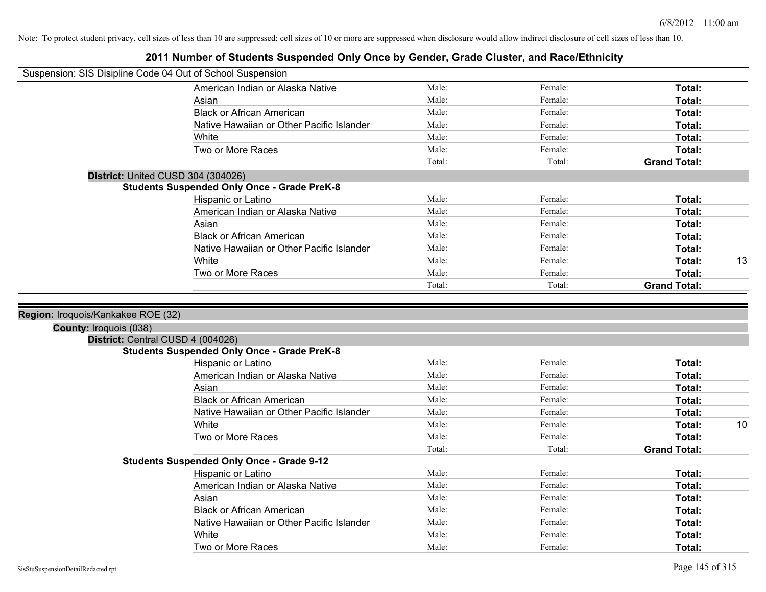| Suspension: SIS Disipline Code 04 Out of School Suspension |                                                    |        |         |                     |
|------------------------------------------------------------|----------------------------------------------------|--------|---------|---------------------|
|                                                            | American Indian or Alaska Native                   | Male:  | Female: | Total:              |
|                                                            | Asian                                              | Male:  | Female: | Total:              |
|                                                            | <b>Black or African American</b>                   | Male:  | Female: | Total:              |
|                                                            | Native Hawaiian or Other Pacific Islander          | Male:  | Female: | Total:              |
|                                                            | White                                              | Male:  | Female: | Total:              |
|                                                            | Two or More Races                                  | Male:  | Female: | Total:              |
|                                                            |                                                    | Total: | Total:  | <b>Grand Total:</b> |
|                                                            | District: United CUSD 304 (304026)                 |        |         |                     |
|                                                            | <b>Students Suspended Only Once - Grade PreK-8</b> |        |         |                     |
|                                                            | Hispanic or Latino                                 | Male:  | Female: | Total:              |
|                                                            | American Indian or Alaska Native                   | Male:  | Female: | Total:              |
|                                                            | Asian                                              | Male:  | Female: | Total:              |
|                                                            | <b>Black or African American</b>                   | Male:  | Female: | Total:              |
|                                                            | Native Hawaiian or Other Pacific Islander          | Male:  | Female: | Total:              |
|                                                            | White                                              | Male:  | Female: | 13<br><b>Total:</b> |
|                                                            | Two or More Races                                  | Male:  | Female: | Total:              |
|                                                            |                                                    | Total: | Total:  | <b>Grand Total:</b> |
|                                                            |                                                    |        |         |                     |
| Region: Iroquois/Kankakee ROE (32)                         |                                                    |        |         |                     |
| County: Iroquois (038)                                     |                                                    |        |         |                     |
|                                                            | District: Central CUSD 4 (004026)                  |        |         |                     |
|                                                            | <b>Students Suspended Only Once - Grade PreK-8</b> |        |         |                     |
|                                                            | Hispanic or Latino                                 | Male:  | Female: | Total:              |
|                                                            | American Indian or Alaska Native                   | Male:  | Female: | Total:              |
|                                                            | Asian                                              | Male:  | Female: | Total:              |
|                                                            | <b>Black or African American</b>                   | Male:  | Female: | Total:              |
|                                                            | Native Hawaiian or Other Pacific Islander          | Male:  | Female: | Total:              |
|                                                            | White                                              | Male:  | Female: | 10<br>Total:        |
|                                                            | Two or More Races                                  | Male:  | Female: | Total:              |
|                                                            |                                                    | Total: | Total:  | <b>Grand Total:</b> |
|                                                            | <b>Students Suspended Only Once - Grade 9-12</b>   |        |         |                     |
|                                                            | Hispanic or Latino                                 | Male:  | Female: | Total:              |
|                                                            | American Indian or Alaska Native                   | Male:  | Female: | Total:              |
|                                                            | Asian                                              | Male:  | Female: | Total:              |
|                                                            |                                                    |        |         |                     |
|                                                            | <b>Black or African American</b>                   | Male:  | Female: | Total:              |
|                                                            | Native Hawaiian or Other Pacific Islander          | Male:  | Female: | <b>Total:</b>       |
|                                                            | White                                              | Male:  | Female: | <b>Total:</b>       |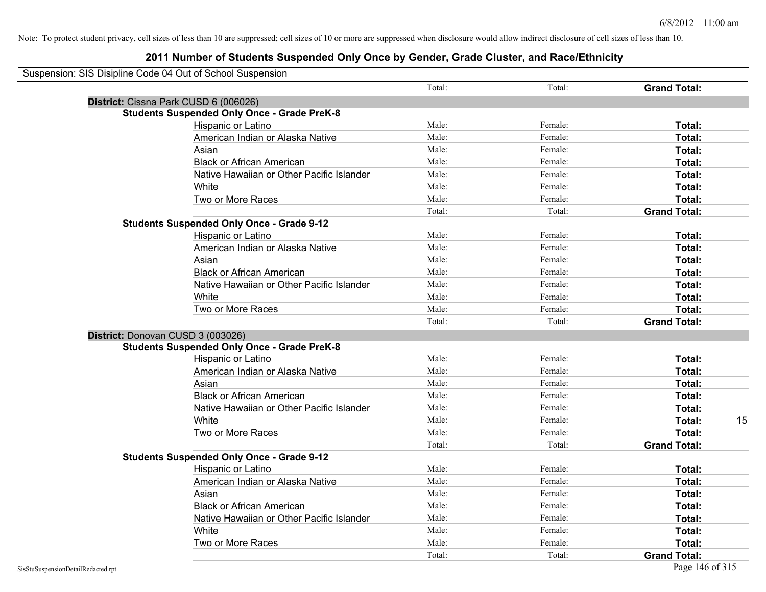|                                                    | Total: | Total:  | <b>Grand Total:</b> |  |
|----------------------------------------------------|--------|---------|---------------------|--|
| District: Cissna Park CUSD 6 (006026)              |        |         |                     |  |
| <b>Students Suspended Only Once - Grade PreK-8</b> |        |         |                     |  |
| Hispanic or Latino                                 | Male:  | Female: | Total:              |  |
| American Indian or Alaska Native                   | Male:  | Female: | Total:              |  |
| Asian                                              | Male:  | Female: | Total:              |  |
| <b>Black or African American</b>                   | Male:  | Female: | Total:              |  |
| Native Hawaiian or Other Pacific Islander          | Male:  | Female: | Total:              |  |
| White                                              | Male:  | Female: | Total:              |  |
| Two or More Races                                  | Male:  | Female: | Total:              |  |
|                                                    | Total: | Total:  | <b>Grand Total:</b> |  |
| <b>Students Suspended Only Once - Grade 9-12</b>   |        |         |                     |  |
| Hispanic or Latino                                 | Male:  | Female: | <b>Total:</b>       |  |
| American Indian or Alaska Native                   | Male:  | Female: | Total:              |  |
| Asian                                              | Male:  | Female: | Total:              |  |
| <b>Black or African American</b>                   | Male:  | Female: | Total:              |  |
| Native Hawaiian or Other Pacific Islander          | Male:  | Female: | Total:              |  |
| White                                              | Male:  | Female: | Total:              |  |
| Two or More Races                                  | Male:  | Female: | Total:              |  |
|                                                    | Total: | Total:  | <b>Grand Total:</b> |  |
| District: Donovan CUSD 3 (003026)                  |        |         |                     |  |
| <b>Students Suspended Only Once - Grade PreK-8</b> |        |         |                     |  |
| Hispanic or Latino                                 | Male:  | Female: | <b>Total:</b>       |  |
| American Indian or Alaska Native                   | Male:  | Female: | <b>Total:</b>       |  |
| Asian                                              | Male:  | Female: | <b>Total:</b>       |  |
| <b>Black or African American</b>                   | Male:  | Female: | Total:              |  |
| Native Hawaiian or Other Pacific Islander          | Male:  | Female: | Total:              |  |
| White                                              | Male:  | Female: | Total:              |  |
| Two or More Races                                  | Male:  | Female: | Total:              |  |
|                                                    | Total: | Total:  | <b>Grand Total:</b> |  |
| <b>Students Suspended Only Once - Grade 9-12</b>   |        |         |                     |  |
| Hispanic or Latino                                 | Male:  | Female: | <b>Total:</b>       |  |
| American Indian or Alaska Native                   | Male:  | Female: | Total:              |  |
| Asian                                              | Male:  | Female: | Total:              |  |
| <b>Black or African American</b>                   | Male:  | Female: | Total:              |  |
| Native Hawaiian or Other Pacific Islander          | Male:  | Female: | Total:              |  |
| White                                              | Male:  | Female: | <b>Total:</b>       |  |
| Two or More Races                                  | Male:  | Female: | Total:              |  |
|                                                    | Total: | Total:  | <b>Grand Total:</b> |  |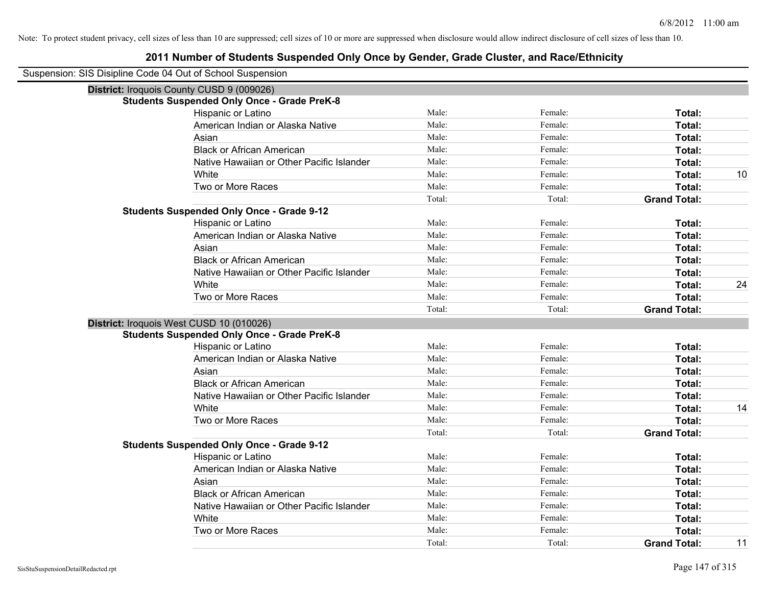| Suspension: SIS Disipline Code 04 Out of School Suspension |                                                    |        |         |                     |    |
|------------------------------------------------------------|----------------------------------------------------|--------|---------|---------------------|----|
|                                                            | District: Iroquois County CUSD 9 (009026)          |        |         |                     |    |
|                                                            | <b>Students Suspended Only Once - Grade PreK-8</b> |        |         |                     |    |
|                                                            | Hispanic or Latino                                 | Male:  | Female: | Total:              |    |
|                                                            | American Indian or Alaska Native                   | Male:  | Female: | Total:              |    |
|                                                            | Asian                                              | Male:  | Female: | Total:              |    |
|                                                            | <b>Black or African American</b>                   | Male:  | Female: | Total:              |    |
|                                                            | Native Hawaiian or Other Pacific Islander          | Male:  | Female: | Total:              |    |
|                                                            | White                                              | Male:  | Female: | Total:              | 10 |
|                                                            | Two or More Races                                  | Male:  | Female: | Total:              |    |
|                                                            |                                                    | Total: | Total:  | <b>Grand Total:</b> |    |
|                                                            | <b>Students Suspended Only Once - Grade 9-12</b>   |        |         |                     |    |
|                                                            | Hispanic or Latino                                 | Male:  | Female: | Total:              |    |
|                                                            | American Indian or Alaska Native                   | Male:  | Female: | Total:              |    |
|                                                            | Asian                                              | Male:  | Female: | Total:              |    |
|                                                            | <b>Black or African American</b>                   | Male:  | Female: | Total:              |    |
|                                                            | Native Hawaiian or Other Pacific Islander          | Male:  | Female: | Total:              |    |
|                                                            | White                                              | Male:  | Female: | Total:              | 24 |
|                                                            | Two or More Races                                  | Male:  | Female: | Total:              |    |
|                                                            |                                                    | Total: | Total:  | <b>Grand Total:</b> |    |
| District: Iroquois West CUSD 10 (010026)                   |                                                    |        |         |                     |    |
|                                                            | <b>Students Suspended Only Once - Grade PreK-8</b> |        |         |                     |    |
|                                                            | Hispanic or Latino                                 | Male:  | Female: | Total:              |    |
|                                                            | American Indian or Alaska Native                   | Male:  | Female: | Total:              |    |
|                                                            | Asian                                              | Male:  | Female: | Total:              |    |
|                                                            | <b>Black or African American</b>                   | Male:  | Female: | Total:              |    |
|                                                            | Native Hawaiian or Other Pacific Islander          | Male:  | Female: | Total:              |    |
|                                                            | White                                              | Male:  | Female: | Total:              | 14 |
|                                                            | Two or More Races                                  | Male:  | Female: | Total:              |    |
|                                                            |                                                    | Total: | Total:  | <b>Grand Total:</b> |    |
|                                                            | <b>Students Suspended Only Once - Grade 9-12</b>   |        |         |                     |    |
|                                                            | Hispanic or Latino                                 | Male:  | Female: | Total:              |    |
|                                                            | American Indian or Alaska Native                   | Male:  | Female: | Total:              |    |
|                                                            | Asian                                              | Male:  | Female: | Total:              |    |
|                                                            | <b>Black or African American</b>                   | Male:  | Female: | Total:              |    |
|                                                            | Native Hawaiian or Other Pacific Islander          | Male:  | Female: | Total:              |    |
|                                                            | White                                              | Male:  | Female: | Total:              |    |
|                                                            | Two or More Races                                  | Male:  | Female: | Total:              |    |
|                                                            |                                                    | Total: | Total:  | <b>Grand Total:</b> | 11 |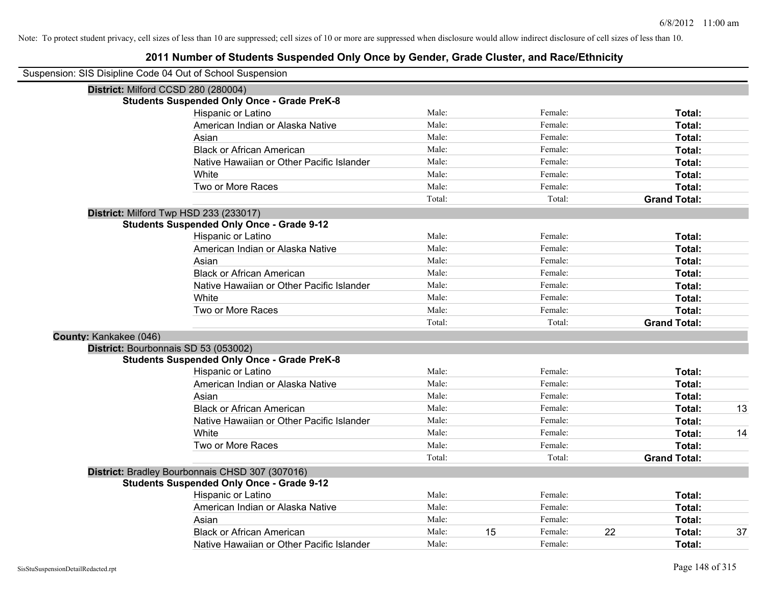|                        | Suspension: SIS Disipline Code 04 Out of School Suspension |        |    |         |    |                     |    |
|------------------------|------------------------------------------------------------|--------|----|---------|----|---------------------|----|
|                        | District: Milford CCSD 280 (280004)                        |        |    |         |    |                     |    |
|                        | <b>Students Suspended Only Once - Grade PreK-8</b>         |        |    |         |    |                     |    |
|                        | Hispanic or Latino                                         | Male:  |    | Female: |    | Total:              |    |
|                        | American Indian or Alaska Native                           | Male:  |    | Female: |    | Total:              |    |
|                        | Asian                                                      | Male:  |    | Female: |    | Total:              |    |
|                        | <b>Black or African American</b>                           | Male:  |    | Female: |    | Total:              |    |
|                        | Native Hawaiian or Other Pacific Islander                  | Male:  |    | Female: |    | Total:              |    |
|                        | White                                                      | Male:  |    | Female: |    | Total:              |    |
|                        | Two or More Races                                          | Male:  |    | Female: |    | Total:              |    |
|                        |                                                            | Total: |    | Total:  |    | <b>Grand Total:</b> |    |
|                        | District: Milford Twp HSD 233 (233017)                     |        |    |         |    |                     |    |
|                        | <b>Students Suspended Only Once - Grade 9-12</b>           |        |    |         |    |                     |    |
|                        | Hispanic or Latino                                         | Male:  |    | Female: |    | Total:              |    |
|                        | American Indian or Alaska Native                           | Male:  |    | Female: |    | Total:              |    |
|                        | Asian                                                      | Male:  |    | Female: |    | Total:              |    |
|                        | <b>Black or African American</b>                           | Male:  |    | Female: |    | Total:              |    |
|                        | Native Hawaiian or Other Pacific Islander                  | Male:  |    | Female: |    | Total:              |    |
|                        | White                                                      | Male:  |    | Female: |    | Total:              |    |
|                        | Two or More Races                                          | Male:  |    | Female: |    | Total:              |    |
|                        |                                                            | Total: |    | Total:  |    | <b>Grand Total:</b> |    |
| County: Kankakee (046) |                                                            |        |    |         |    |                     |    |
|                        | District: Bourbonnais SD 53 (053002)                       |        |    |         |    |                     |    |
|                        | <b>Students Suspended Only Once - Grade PreK-8</b>         |        |    |         |    |                     |    |
|                        | Hispanic or Latino                                         | Male:  |    | Female: |    | Total:              |    |
|                        | American Indian or Alaska Native                           | Male:  |    | Female: |    | Total:              |    |
|                        | Asian                                                      | Male:  |    | Female: |    | Total:              |    |
|                        | <b>Black or African American</b>                           | Male:  |    | Female: |    | Total:              | 13 |
|                        | Native Hawaiian or Other Pacific Islander                  | Male:  |    | Female: |    | Total:              |    |
|                        | White                                                      | Male:  |    | Female: |    | Total:              | 14 |
|                        | Two or More Races                                          | Male:  |    | Female: |    | Total:              |    |
|                        |                                                            | Total: |    | Total:  |    | <b>Grand Total:</b> |    |
|                        | District: Bradley Bourbonnais CHSD 307 (307016)            |        |    |         |    |                     |    |
|                        | <b>Students Suspended Only Once - Grade 9-12</b>           |        |    |         |    |                     |    |
|                        | Hispanic or Latino                                         | Male:  |    | Female: |    | Total:              |    |
|                        | American Indian or Alaska Native                           | Male:  |    | Female: |    | Total:              |    |
|                        | Asian                                                      | Male:  |    | Female: |    | Total:              |    |
|                        | <b>Black or African American</b>                           | Male:  | 15 | Female: | 22 | Total:              | 37 |
|                        | Native Hawaiian or Other Pacific Islander                  | Male:  |    | Female: |    | Total:              |    |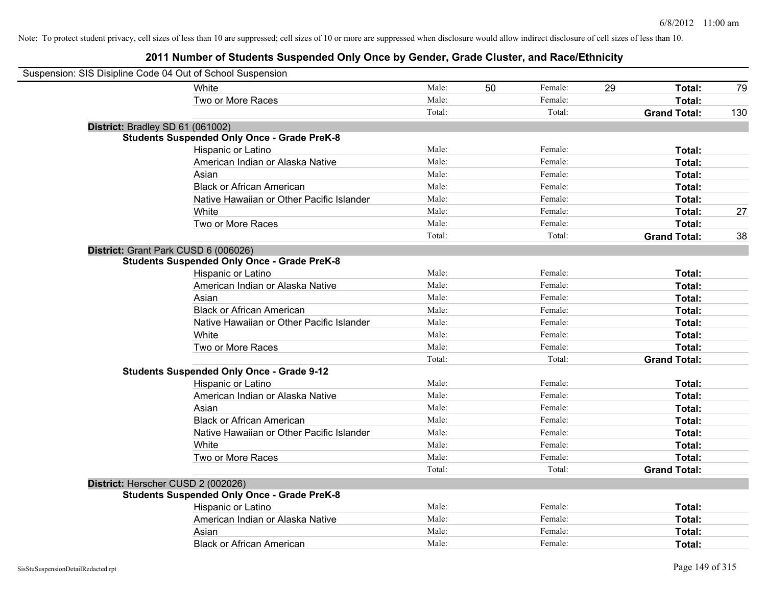| Suspension: SIS Disipline Code 04 Out of School Suspension |                                                    |        |    |         |    |                     |     |
|------------------------------------------------------------|----------------------------------------------------|--------|----|---------|----|---------------------|-----|
|                                                            | White                                              | Male:  | 50 | Female: | 29 | Total:              | 79  |
|                                                            | Two or More Races                                  | Male:  |    | Female: |    | Total:              |     |
|                                                            |                                                    | Total: |    | Total:  |    | <b>Grand Total:</b> | 130 |
| District: Bradley SD 61 (061002)                           |                                                    |        |    |         |    |                     |     |
|                                                            | <b>Students Suspended Only Once - Grade PreK-8</b> |        |    |         |    |                     |     |
|                                                            | Hispanic or Latino                                 | Male:  |    | Female: |    | Total:              |     |
|                                                            | American Indian or Alaska Native                   | Male:  |    | Female: |    | Total:              |     |
|                                                            | Asian                                              | Male:  |    | Female: |    | Total:              |     |
|                                                            | <b>Black or African American</b>                   | Male:  |    | Female: |    | Total:              |     |
|                                                            | Native Hawaiian or Other Pacific Islander          | Male:  |    | Female: |    | Total:              |     |
|                                                            | White                                              | Male:  |    | Female: |    | Total:              | 27  |
|                                                            | Two or More Races                                  | Male:  |    | Female: |    | Total:              |     |
|                                                            |                                                    | Total: |    | Total:  |    | <b>Grand Total:</b> | 38  |
| District: Grant Park CUSD 6 (006026)                       |                                                    |        |    |         |    |                     |     |
|                                                            | <b>Students Suspended Only Once - Grade PreK-8</b> |        |    |         |    |                     |     |
|                                                            | Hispanic or Latino                                 | Male:  |    | Female: |    | Total:              |     |
|                                                            | American Indian or Alaska Native                   | Male:  |    | Female: |    | Total:              |     |
|                                                            | Asian                                              | Male:  |    | Female: |    | Total:              |     |
|                                                            | <b>Black or African American</b>                   | Male:  |    | Female: |    | Total:              |     |
|                                                            | Native Hawaiian or Other Pacific Islander          | Male:  |    | Female: |    | Total:              |     |
|                                                            | White                                              | Male:  |    | Female: |    | Total:              |     |
|                                                            | Two or More Races                                  | Male:  |    | Female: |    | Total:              |     |
|                                                            |                                                    | Total: |    | Total:  |    | <b>Grand Total:</b> |     |
|                                                            | <b>Students Suspended Only Once - Grade 9-12</b>   |        |    |         |    |                     |     |
|                                                            | Hispanic or Latino                                 | Male:  |    | Female: |    | Total:              |     |
|                                                            | American Indian or Alaska Native                   | Male:  |    | Female: |    | Total:              |     |
|                                                            | Asian                                              | Male:  |    | Female: |    | Total:              |     |
|                                                            | <b>Black or African American</b>                   | Male:  |    | Female: |    | Total:              |     |
|                                                            | Native Hawaiian or Other Pacific Islander          | Male:  |    | Female: |    | Total:              |     |
|                                                            | White                                              | Male:  |    | Female: |    | Total:              |     |
|                                                            | Two or More Races                                  | Male:  |    | Female: |    | Total:              |     |
|                                                            |                                                    | Total: |    | Total:  |    | <b>Grand Total:</b> |     |
| District: Herscher CUSD 2 (002026)                         |                                                    |        |    |         |    |                     |     |
|                                                            | <b>Students Suspended Only Once - Grade PreK-8</b> |        |    |         |    |                     |     |
|                                                            | Hispanic or Latino                                 | Male:  |    | Female: |    | Total:              |     |
|                                                            | American Indian or Alaska Native                   | Male:  |    | Female: |    | Total:              |     |
|                                                            | Asian                                              | Male:  |    | Female: |    | Total:              |     |
|                                                            | <b>Black or African American</b>                   | Male:  |    | Female: |    | Total:              |     |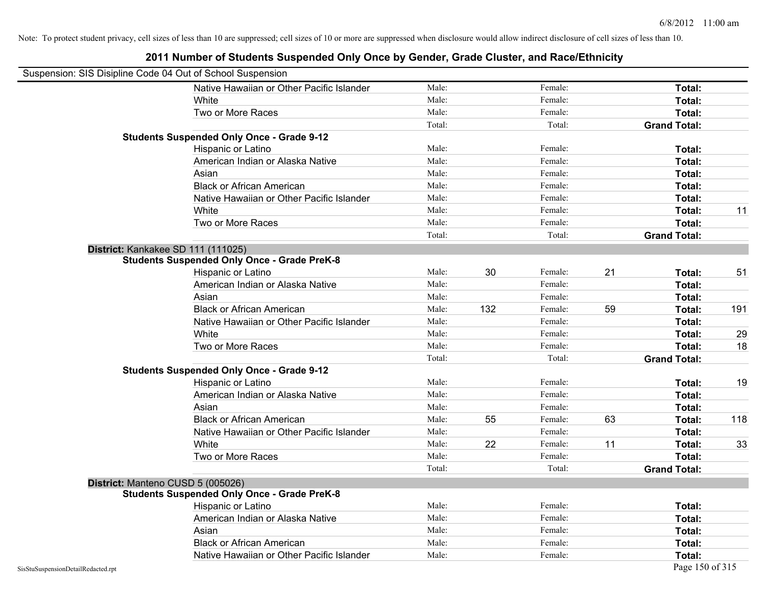|                                    | Suspension: SIS Disipline Code 04 Out of School Suspension |        |     |         |    |                     |     |
|------------------------------------|------------------------------------------------------------|--------|-----|---------|----|---------------------|-----|
|                                    | Native Hawaiian or Other Pacific Islander                  | Male:  |     | Female: |    | Total:              |     |
|                                    | White                                                      | Male:  |     | Female: |    | Total:              |     |
|                                    | Two or More Races                                          | Male:  |     | Female: |    | Total:              |     |
|                                    |                                                            | Total: |     | Total:  |    | <b>Grand Total:</b> |     |
|                                    | <b>Students Suspended Only Once - Grade 9-12</b>           |        |     |         |    |                     |     |
|                                    | Hispanic or Latino                                         | Male:  |     | Female: |    | Total:              |     |
|                                    | American Indian or Alaska Native                           | Male:  |     | Female: |    | Total:              |     |
|                                    | Asian                                                      | Male:  |     | Female: |    | Total:              |     |
|                                    | <b>Black or African American</b>                           | Male:  |     | Female: |    | Total:              |     |
|                                    | Native Hawaiian or Other Pacific Islander                  | Male:  |     | Female: |    | Total:              |     |
|                                    | White                                                      | Male:  |     | Female: |    | Total:              | 11  |
|                                    | Two or More Races                                          | Male:  |     | Female: |    | Total:              |     |
|                                    |                                                            | Total: |     | Total:  |    | <b>Grand Total:</b> |     |
|                                    | District: Kankakee SD 111 (111025)                         |        |     |         |    |                     |     |
|                                    | <b>Students Suspended Only Once - Grade PreK-8</b>         |        |     |         |    |                     |     |
|                                    | Hispanic or Latino                                         | Male:  | 30  | Female: | 21 | Total:              | 51  |
|                                    | American Indian or Alaska Native                           | Male:  |     | Female: |    | Total:              |     |
|                                    | Asian                                                      | Male:  |     | Female: |    | Total:              |     |
|                                    | <b>Black or African American</b>                           | Male:  | 132 | Female: | 59 | Total:              | 191 |
|                                    | Native Hawaiian or Other Pacific Islander                  | Male:  |     | Female: |    | Total:              |     |
|                                    | White                                                      | Male:  |     | Female: |    | Total:              | 29  |
|                                    | Two or More Races                                          | Male:  |     | Female: |    | <b>Total:</b>       | 18  |
|                                    |                                                            | Total: |     | Total:  |    | <b>Grand Total:</b> |     |
|                                    | <b>Students Suspended Only Once - Grade 9-12</b>           |        |     |         |    |                     |     |
|                                    | Hispanic or Latino                                         | Male:  |     | Female: |    | Total:              | 19  |
|                                    | American Indian or Alaska Native                           | Male:  |     | Female: |    | Total:              |     |
|                                    | Asian                                                      | Male:  |     | Female: |    | Total:              |     |
|                                    | <b>Black or African American</b>                           | Male:  | 55  | Female: | 63 | Total:              | 118 |
|                                    | Native Hawaiian or Other Pacific Islander                  | Male:  |     | Female: |    | Total:              |     |
|                                    | White                                                      | Male:  | 22  | Female: | 11 | Total:              | 33  |
|                                    | Two or More Races                                          | Male:  |     | Female: |    | Total:              |     |
|                                    |                                                            | Total: |     | Total:  |    | <b>Grand Total:</b> |     |
|                                    | District: Manteno CUSD 5 (005026)                          |        |     |         |    |                     |     |
|                                    | <b>Students Suspended Only Once - Grade PreK-8</b>         |        |     |         |    |                     |     |
|                                    | Hispanic or Latino                                         | Male:  |     | Female: |    | <b>Total:</b>       |     |
|                                    | American Indian or Alaska Native                           | Male:  |     | Female: |    | Total:              |     |
|                                    | Asian                                                      | Male:  |     | Female: |    | Total:              |     |
|                                    | <b>Black or African American</b>                           | Male:  |     | Female: |    | <b>Total:</b>       |     |
|                                    | Native Hawaiian or Other Pacific Islander                  | Male:  |     | Female: |    | <b>Total:</b>       |     |
| SisStuSuspensionDetailRedacted.rpt |                                                            |        |     |         |    | Page 150 of 315     |     |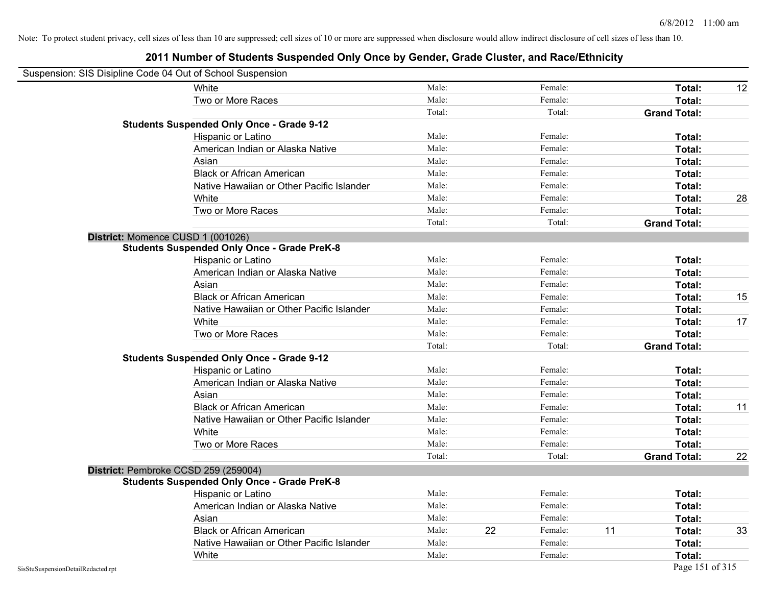| Suspension: SIS Disipline Code 04 Out of School Suspension |                                                    |        |    |         |    |                     |    |
|------------------------------------------------------------|----------------------------------------------------|--------|----|---------|----|---------------------|----|
|                                                            | White                                              | Male:  |    | Female: |    | Total:              | 12 |
|                                                            | Two or More Races                                  | Male:  |    | Female: |    | Total:              |    |
|                                                            |                                                    | Total: |    | Total:  |    | <b>Grand Total:</b> |    |
|                                                            | <b>Students Suspended Only Once - Grade 9-12</b>   |        |    |         |    |                     |    |
|                                                            | Hispanic or Latino                                 | Male:  |    | Female: |    | Total:              |    |
|                                                            | American Indian or Alaska Native                   | Male:  |    | Female: |    | Total:              |    |
|                                                            | Asian                                              | Male:  |    | Female: |    | Total:              |    |
|                                                            | <b>Black or African American</b>                   | Male:  |    | Female: |    | Total:              |    |
|                                                            | Native Hawaiian or Other Pacific Islander          | Male:  |    | Female: |    | Total:              |    |
|                                                            | White                                              | Male:  |    | Female: |    | Total:              | 28 |
|                                                            | Two or More Races                                  | Male:  |    | Female: |    | Total:              |    |
|                                                            |                                                    | Total: |    | Total:  |    | <b>Grand Total:</b> |    |
|                                                            | District: Momence CUSD 1 (001026)                  |        |    |         |    |                     |    |
|                                                            | <b>Students Suspended Only Once - Grade PreK-8</b> |        |    |         |    |                     |    |
|                                                            | Hispanic or Latino                                 | Male:  |    | Female: |    | Total:              |    |
|                                                            | American Indian or Alaska Native                   | Male:  |    | Female: |    | Total:              |    |
|                                                            | Asian                                              | Male:  |    | Female: |    | Total:              |    |
|                                                            | <b>Black or African American</b>                   | Male:  |    | Female: |    | Total:              | 15 |
|                                                            | Native Hawaiian or Other Pacific Islander          | Male:  |    | Female: |    | Total:              |    |
|                                                            | White                                              | Male:  |    | Female: |    | Total:              | 17 |
|                                                            | Two or More Races                                  | Male:  |    | Female: |    | Total:              |    |
|                                                            |                                                    | Total: |    | Total:  |    | <b>Grand Total:</b> |    |
|                                                            | <b>Students Suspended Only Once - Grade 9-12</b>   |        |    |         |    |                     |    |
|                                                            | Hispanic or Latino                                 | Male:  |    | Female: |    | Total:              |    |
|                                                            | American Indian or Alaska Native                   | Male:  |    | Female: |    | Total:              |    |
|                                                            | Asian                                              | Male:  |    | Female: |    | Total:              |    |
|                                                            | <b>Black or African American</b>                   | Male:  |    | Female: |    | Total:              | 11 |
|                                                            | Native Hawaiian or Other Pacific Islander          | Male:  |    | Female: |    | Total:              |    |
|                                                            | White                                              | Male:  |    | Female: |    | Total:              |    |
|                                                            | Two or More Races                                  | Male:  |    | Female: |    | Total:              |    |
|                                                            |                                                    | Total: |    | Total:  |    | <b>Grand Total:</b> | 22 |
|                                                            | District: Pembroke CCSD 259 (259004)               |        |    |         |    |                     |    |
|                                                            | <b>Students Suspended Only Once - Grade PreK-8</b> |        |    |         |    |                     |    |
|                                                            | <b>Hispanic or Latino</b>                          | Male:  |    | Female: |    | Total:              |    |
|                                                            | American Indian or Alaska Native                   | Male:  |    | Female: |    | Total:              |    |
|                                                            | Asian                                              | Male:  |    | Female: |    | Total:              |    |
|                                                            | <b>Black or African American</b>                   | Male:  | 22 | Female: | 11 | Total:              | 33 |
|                                                            | Native Hawaiian or Other Pacific Islander          | Male:  |    | Female: |    | Total:              |    |
|                                                            | White                                              | Male:  |    | Female: |    | Total:              |    |
| SisStuSuspensionDetailRedacted.rpt                         |                                                    |        |    |         |    | Page 151 of 315     |    |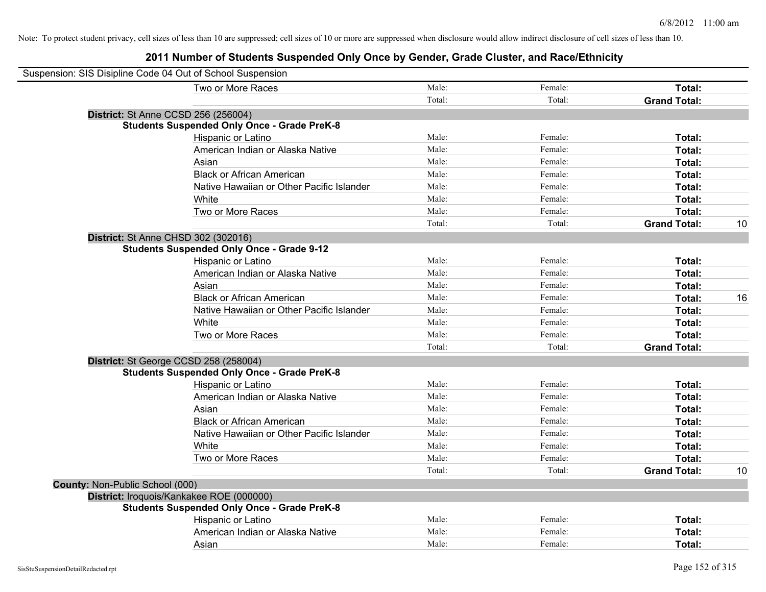| Suspension: SIS Disipline Code 04 Out of School Suspension |                                                    |        |         |                     |    |
|------------------------------------------------------------|----------------------------------------------------|--------|---------|---------------------|----|
|                                                            | Two or More Races                                  | Male:  | Female: | Total:              |    |
|                                                            |                                                    | Total: | Total:  | <b>Grand Total:</b> |    |
|                                                            | <b>District: St Anne CCSD 256 (256004)</b>         |        |         |                     |    |
|                                                            | <b>Students Suspended Only Once - Grade PreK-8</b> |        |         |                     |    |
|                                                            | Hispanic or Latino                                 | Male:  | Female: | Total:              |    |
|                                                            | American Indian or Alaska Native                   | Male:  | Female: | Total:              |    |
|                                                            | Asian                                              | Male:  | Female: | Total:              |    |
|                                                            | <b>Black or African American</b>                   | Male:  | Female: | Total:              |    |
|                                                            | Native Hawaiian or Other Pacific Islander          | Male:  | Female: | Total:              |    |
|                                                            | White                                              | Male:  | Female: | Total:              |    |
|                                                            | Two or More Races                                  | Male:  | Female: | Total:              |    |
|                                                            |                                                    | Total: | Total:  | <b>Grand Total:</b> | 10 |
|                                                            | District: St Anne CHSD 302 (302016)                |        |         |                     |    |
|                                                            | <b>Students Suspended Only Once - Grade 9-12</b>   |        |         |                     |    |
|                                                            | Hispanic or Latino                                 | Male:  | Female: | Total:              |    |
|                                                            | American Indian or Alaska Native                   | Male:  | Female: | Total:              |    |
|                                                            | Asian                                              | Male:  | Female: | Total:              |    |
|                                                            | <b>Black or African American</b>                   | Male:  | Female: | Total:              | 16 |
|                                                            | Native Hawaiian or Other Pacific Islander          | Male:  | Female: | Total:              |    |
|                                                            | White                                              | Male:  | Female: | Total:              |    |
|                                                            | Two or More Races                                  | Male:  | Female: | Total:              |    |
|                                                            |                                                    | Total: | Total:  | <b>Grand Total:</b> |    |
|                                                            | District: St George CCSD 258 (258004)              |        |         |                     |    |
|                                                            | <b>Students Suspended Only Once - Grade PreK-8</b> |        |         |                     |    |
|                                                            | Hispanic or Latino                                 | Male:  | Female: | Total:              |    |
|                                                            | American Indian or Alaska Native                   | Male:  | Female: | Total:              |    |
|                                                            | Asian                                              | Male:  | Female: | Total:              |    |
|                                                            | <b>Black or African American</b>                   | Male:  | Female: | Total:              |    |
|                                                            | Native Hawaiian or Other Pacific Islander          | Male:  | Female: | Total:              |    |
|                                                            | White                                              | Male:  | Female: | Total:              |    |
|                                                            | Two or More Races                                  | Male:  | Female: | Total:              |    |
|                                                            |                                                    | Total: | Total:  | <b>Grand Total:</b> | 10 |
| County: Non-Public School (000)                            |                                                    |        |         |                     |    |
|                                                            | District: Iroquois/Kankakee ROE (000000)           |        |         |                     |    |
|                                                            | <b>Students Suspended Only Once - Grade PreK-8</b> |        |         |                     |    |
|                                                            | Hispanic or Latino                                 | Male:  | Female: | Total:              |    |
|                                                            | American Indian or Alaska Native                   | Male:  | Female: | Total:              |    |
|                                                            | Asian                                              | Male:  | Female: | Total:              |    |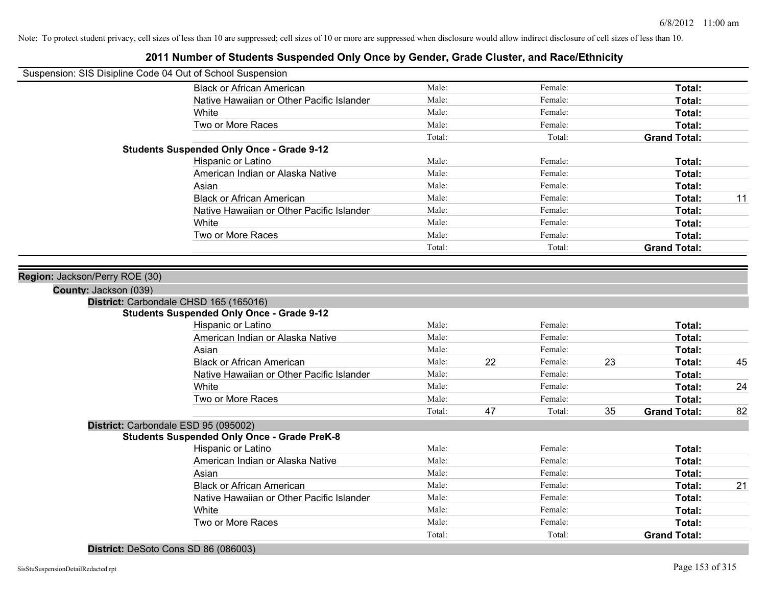| Suspension: SIS Disipline Code 04 Out of School Suspension |                                                                                            |        |    |         |    |                     |    |
|------------------------------------------------------------|--------------------------------------------------------------------------------------------|--------|----|---------|----|---------------------|----|
|                                                            | <b>Black or African American</b>                                                           | Male:  |    | Female: |    | Total:              |    |
|                                                            | Native Hawaiian or Other Pacific Islander                                                  | Male:  |    | Female: |    | Total:              |    |
|                                                            | White                                                                                      | Male:  |    | Female: |    | Total:              |    |
|                                                            | Two or More Races                                                                          | Male:  |    | Female: |    | Total:              |    |
|                                                            |                                                                                            | Total: |    | Total:  |    | <b>Grand Total:</b> |    |
|                                                            | <b>Students Suspended Only Once - Grade 9-12</b>                                           |        |    |         |    |                     |    |
|                                                            | Hispanic or Latino                                                                         | Male:  |    | Female: |    | Total:              |    |
|                                                            | American Indian or Alaska Native                                                           | Male:  |    | Female: |    | Total:              |    |
|                                                            | Asian                                                                                      | Male:  |    | Female: |    | Total:              |    |
|                                                            | <b>Black or African American</b>                                                           | Male:  |    | Female: |    | Total:              | 11 |
|                                                            | Native Hawaiian or Other Pacific Islander                                                  | Male:  |    | Female: |    | Total:              |    |
|                                                            | White                                                                                      | Male:  |    | Female: |    | Total:              |    |
|                                                            | Two or More Races                                                                          | Male:  |    | Female: |    | Total:              |    |
|                                                            |                                                                                            | Total: |    | Total:  |    | <b>Grand Total:</b> |    |
|                                                            |                                                                                            |        |    |         |    |                     |    |
| Region: Jackson/Perry ROE (30)                             |                                                                                            |        |    |         |    |                     |    |
| County: Jackson (039)                                      |                                                                                            |        |    |         |    |                     |    |
|                                                            | District: Carbondale CHSD 165 (165016)<br><b>Students Suspended Only Once - Grade 9-12</b> |        |    |         |    |                     |    |
|                                                            | Hispanic or Latino                                                                         | Male:  |    | Female: |    | Total:              |    |
|                                                            | American Indian or Alaska Native                                                           | Male:  |    | Female: |    | Total:              |    |
|                                                            | Asian                                                                                      | Male:  |    | Female: |    | Total:              |    |
|                                                            | <b>Black or African American</b>                                                           | Male:  | 22 | Female: | 23 | Total:              | 45 |
|                                                            | Native Hawaiian or Other Pacific Islander                                                  | Male:  |    | Female: |    | Total:              |    |
|                                                            | White                                                                                      | Male:  |    | Female: |    | Total:              | 24 |
|                                                            | Two or More Races                                                                          | Male:  |    | Female: |    | Total:              |    |
|                                                            |                                                                                            | Total: | 47 | Total:  | 35 | <b>Grand Total:</b> | 82 |
| District: Carbondale ESD 95 (095002)                       |                                                                                            |        |    |         |    |                     |    |
|                                                            | <b>Students Suspended Only Once - Grade PreK-8</b>                                         |        |    |         |    |                     |    |
|                                                            | Hispanic or Latino                                                                         | Male:  |    | Female: |    | Total:              |    |
|                                                            | American Indian or Alaska Native                                                           | Male:  |    | Female: |    | Total:              |    |
|                                                            | Asian                                                                                      | Male:  |    | Female: |    | Total:              |    |
|                                                            | <b>Black or African American</b>                                                           | Male:  |    | Female: |    | Total:              | 21 |
|                                                            | Native Hawaiian or Other Pacific Islander                                                  | Male:  |    | Female: |    | Total:              |    |
|                                                            | White                                                                                      | Male:  |    | Female: |    | Total:              |    |
|                                                            | Two or More Races                                                                          | Male:  |    | Female: |    | Total:              |    |
|                                                            |                                                                                            | Total: |    | Total:  |    | <b>Grand Total:</b> |    |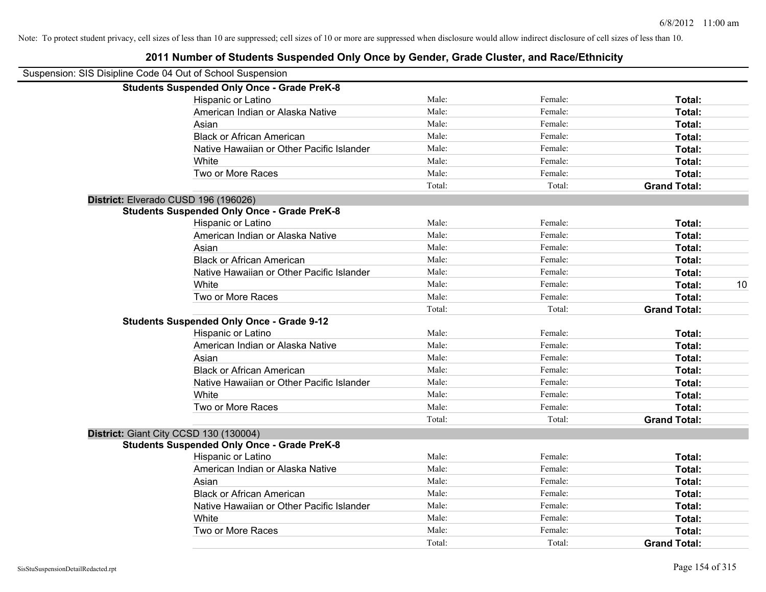| Suspension: SIS Disipline Code 04 Out of School Suspension |                                                    |        |         |                     |    |
|------------------------------------------------------------|----------------------------------------------------|--------|---------|---------------------|----|
|                                                            | <b>Students Suspended Only Once - Grade PreK-8</b> |        |         |                     |    |
|                                                            | Hispanic or Latino                                 | Male:  | Female: | Total:              |    |
|                                                            | American Indian or Alaska Native                   | Male:  | Female: | Total:              |    |
|                                                            | Asian                                              | Male:  | Female: | Total:              |    |
|                                                            | <b>Black or African American</b>                   | Male:  | Female: | Total:              |    |
|                                                            | Native Hawaiian or Other Pacific Islander          | Male:  | Female: | Total:              |    |
|                                                            | White                                              | Male:  | Female: | Total:              |    |
|                                                            | Two or More Races                                  | Male:  | Female: | Total:              |    |
|                                                            |                                                    | Total: | Total:  | <b>Grand Total:</b> |    |
|                                                            | District: Elverado CUSD 196 (196026)               |        |         |                     |    |
|                                                            | <b>Students Suspended Only Once - Grade PreK-8</b> |        |         |                     |    |
|                                                            | Hispanic or Latino                                 | Male:  | Female: | Total:              |    |
|                                                            | American Indian or Alaska Native                   | Male:  | Female: | Total:              |    |
|                                                            | Asian                                              | Male:  | Female: | Total:              |    |
|                                                            | <b>Black or African American</b>                   | Male:  | Female: | Total:              |    |
|                                                            | Native Hawaiian or Other Pacific Islander          | Male:  | Female: | Total:              |    |
|                                                            | White                                              | Male:  | Female: | Total:              | 10 |
|                                                            | Two or More Races                                  | Male:  | Female: | Total:              |    |
|                                                            |                                                    | Total: | Total:  | <b>Grand Total:</b> |    |
|                                                            | <b>Students Suspended Only Once - Grade 9-12</b>   |        |         |                     |    |
|                                                            | Hispanic or Latino                                 | Male:  | Female: | Total:              |    |
|                                                            | American Indian or Alaska Native                   | Male:  | Female: | Total:              |    |
|                                                            | Asian                                              | Male:  | Female: | Total:              |    |
|                                                            | <b>Black or African American</b>                   | Male:  | Female: | Total:              |    |
|                                                            | Native Hawaiian or Other Pacific Islander          | Male:  | Female: | Total:              |    |
|                                                            | White                                              | Male:  | Female: | Total:              |    |
|                                                            | Two or More Races                                  | Male:  | Female: | Total:              |    |
|                                                            |                                                    | Total: | Total:  | <b>Grand Total:</b> |    |
|                                                            | District: Giant City CCSD 130 (130004)             |        |         |                     |    |
|                                                            | <b>Students Suspended Only Once - Grade PreK-8</b> |        |         |                     |    |
|                                                            | Hispanic or Latino                                 | Male:  | Female: | Total:              |    |
|                                                            | American Indian or Alaska Native                   | Male:  | Female: | Total:              |    |
|                                                            | Asian                                              | Male:  | Female: | Total:              |    |
|                                                            | <b>Black or African American</b>                   | Male:  | Female: | Total:              |    |
|                                                            | Native Hawaiian or Other Pacific Islander          | Male:  | Female: | Total:              |    |
|                                                            | White                                              | Male:  | Female: | Total:              |    |
|                                                            | Two or More Races                                  | Male:  | Female: | <b>Total:</b>       |    |
|                                                            |                                                    | Total: | Total:  | <b>Grand Total:</b> |    |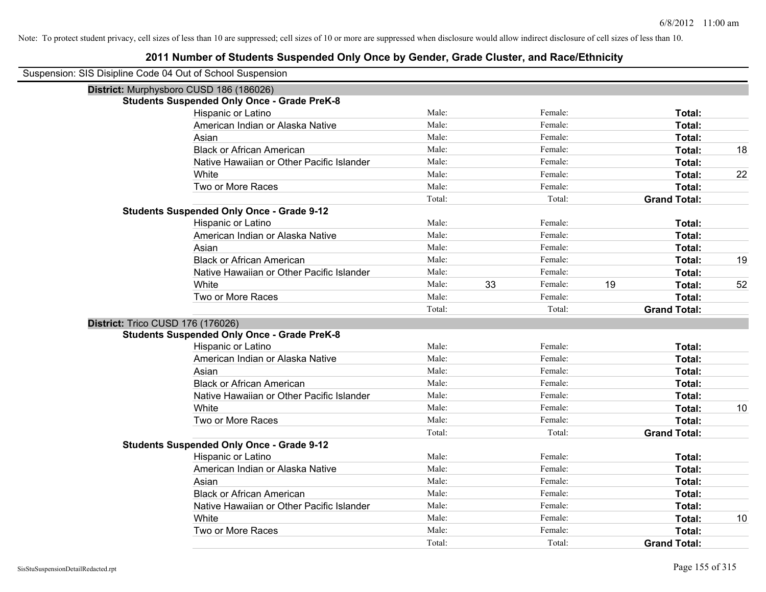| Suspension: SIS Disipline Code 04 Out of School Suspension |                                                    |                 |    |                   |    |                               |    |
|------------------------------------------------------------|----------------------------------------------------|-----------------|----|-------------------|----|-------------------------------|----|
| District: Murphysboro CUSD 186 (186026)                    |                                                    |                 |    |                   |    |                               |    |
|                                                            | <b>Students Suspended Only Once - Grade PreK-8</b> |                 |    |                   |    |                               |    |
|                                                            | Hispanic or Latino                                 | Male:           |    | Female:           |    | Total:                        |    |
|                                                            | American Indian or Alaska Native                   | Male:           |    | Female:           |    | Total:                        |    |
|                                                            | Asian                                              | Male:           |    | Female:           |    | Total:                        |    |
|                                                            | <b>Black or African American</b>                   | Male:           |    | Female:           |    | Total:                        | 18 |
|                                                            | Native Hawaiian or Other Pacific Islander          | Male:           |    | Female:           |    | Total:                        |    |
|                                                            | White                                              | Male:           |    | Female:           |    | Total:                        | 22 |
|                                                            | Two or More Races                                  | Male:           |    | Female:           |    | Total:                        |    |
|                                                            |                                                    | Total:          |    | Total:            |    | <b>Grand Total:</b>           |    |
|                                                            | <b>Students Suspended Only Once - Grade 9-12</b>   |                 |    |                   |    |                               |    |
|                                                            | Hispanic or Latino                                 | Male:           |    | Female:           |    | Total:                        |    |
|                                                            | American Indian or Alaska Native                   | Male:           |    | Female:           |    | Total:                        |    |
|                                                            | Asian                                              | Male:           |    | Female:           |    | Total:                        |    |
|                                                            | <b>Black or African American</b>                   | Male:           |    | Female:           |    | Total:                        | 19 |
|                                                            | Native Hawaiian or Other Pacific Islander          | Male:           |    | Female:           |    | Total:                        |    |
|                                                            | White                                              | Male:           | 33 | Female:           | 19 | Total:                        | 52 |
|                                                            | Two or More Races                                  | Male:           |    | Female:           |    | Total:                        |    |
|                                                            |                                                    | Total:          |    | Total:            |    | <b>Grand Total:</b>           |    |
| District: Trico CUSD 176 (176026)                          |                                                    |                 |    |                   |    |                               |    |
|                                                            | <b>Students Suspended Only Once - Grade PreK-8</b> |                 |    |                   |    |                               |    |
|                                                            | Hispanic or Latino                                 | Male:           |    | Female:           |    | Total:                        |    |
|                                                            | American Indian or Alaska Native                   | Male:           |    | Female:           |    | Total:                        |    |
|                                                            | Asian                                              | Male:           |    | Female:           |    | Total:                        |    |
|                                                            | <b>Black or African American</b>                   | Male:           |    | Female:           |    | Total:                        |    |
|                                                            | Native Hawaiian or Other Pacific Islander          | Male:           |    | Female:           |    | Total:                        |    |
|                                                            | White                                              | Male:           |    | Female:           |    | Total:                        | 10 |
|                                                            | Two or More Races                                  | Male:           |    | Female:           |    | Total:                        |    |
|                                                            |                                                    | Total:          |    | Total:            |    | <b>Grand Total:</b>           |    |
|                                                            | <b>Students Suspended Only Once - Grade 9-12</b>   |                 |    |                   |    |                               |    |
|                                                            | Hispanic or Latino                                 | Male:           |    | Female:           |    | Total:                        |    |
|                                                            | American Indian or Alaska Native                   | Male:           |    | Female:           |    | Total:                        |    |
|                                                            | Asian                                              | Male:           |    | Female:           |    | Total:                        |    |
|                                                            |                                                    |                 |    |                   |    |                               |    |
|                                                            | <b>Black or African American</b>                   | Male:           |    | Female:           |    | Total:                        |    |
|                                                            | Native Hawaiian or Other Pacific Islander          | Male:           |    | Female:           |    | Total:                        |    |
|                                                            | White                                              | Male:           |    | Female:           |    | Total:                        | 10 |
|                                                            | Two or More Races                                  | Male:<br>Total: |    | Female:<br>Total: |    | Total:<br><b>Grand Total:</b> |    |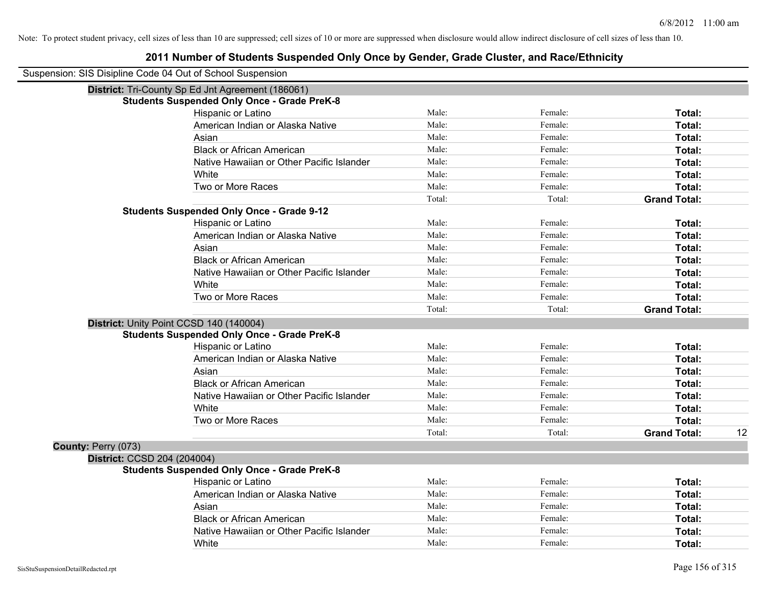| Suspension: SIS Disipline Code 04 Out of School Suspension |                                                    |        |         |                           |
|------------------------------------------------------------|----------------------------------------------------|--------|---------|---------------------------|
|                                                            | District: Tri-County Sp Ed Jnt Agreement (186061)  |        |         |                           |
|                                                            | <b>Students Suspended Only Once - Grade PreK-8</b> |        |         |                           |
|                                                            | Hispanic or Latino                                 | Male:  | Female: | Total:                    |
|                                                            | American Indian or Alaska Native                   | Male:  | Female: | Total:                    |
|                                                            | Asian                                              | Male:  | Female: | Total:                    |
|                                                            | <b>Black or African American</b>                   | Male:  | Female: | Total:                    |
|                                                            | Native Hawaiian or Other Pacific Islander          | Male:  | Female: | Total:                    |
|                                                            | White                                              | Male:  | Female: | Total:                    |
|                                                            | Two or More Races                                  | Male:  | Female: | Total:                    |
|                                                            |                                                    | Total: | Total:  | <b>Grand Total:</b>       |
|                                                            | <b>Students Suspended Only Once - Grade 9-12</b>   |        |         |                           |
|                                                            | Hispanic or Latino                                 | Male:  | Female: | Total:                    |
|                                                            | American Indian or Alaska Native                   | Male:  | Female: | Total:                    |
|                                                            | Asian                                              | Male:  | Female: | Total:                    |
|                                                            | <b>Black or African American</b>                   | Male:  | Female: | Total:                    |
|                                                            | Native Hawaiian or Other Pacific Islander          | Male:  | Female: | Total:                    |
|                                                            | White                                              | Male:  | Female: | Total:                    |
|                                                            | Two or More Races                                  | Male:  | Female: | Total:                    |
|                                                            |                                                    | Total: | Total:  | <b>Grand Total:</b>       |
|                                                            | District: Unity Point CCSD 140 (140004)            |        |         |                           |
|                                                            | <b>Students Suspended Only Once - Grade PreK-8</b> |        |         |                           |
|                                                            | Hispanic or Latino                                 | Male:  | Female: | Total:                    |
|                                                            | American Indian or Alaska Native                   | Male:  | Female: | Total:                    |
|                                                            | Asian                                              | Male:  | Female: | Total:                    |
|                                                            | <b>Black or African American</b>                   | Male:  | Female: | Total:                    |
|                                                            | Native Hawaiian or Other Pacific Islander          | Male:  | Female: | Total:                    |
|                                                            | White                                              | Male:  | Female: | Total:                    |
|                                                            | Two or More Races                                  | Male:  | Female: | Total:                    |
|                                                            |                                                    | Total: | Total:  | <b>Grand Total:</b><br>12 |
| County: Perry (073)                                        |                                                    |        |         |                           |
| District: CCSD 204 (204004)                                |                                                    |        |         |                           |
|                                                            | <b>Students Suspended Only Once - Grade PreK-8</b> |        |         |                           |
|                                                            | Hispanic or Latino                                 | Male:  | Female: | Total:                    |
|                                                            | American Indian or Alaska Native                   | Male:  | Female: | Total:                    |
|                                                            | Asian                                              | Male:  | Female: | Total:                    |
|                                                            | <b>Black or African American</b>                   | Male:  | Female: | Total:                    |
|                                                            | Native Hawaiian or Other Pacific Islander          | Male:  | Female: | Total:                    |
|                                                            | White                                              | Male:  | Female: | Total:                    |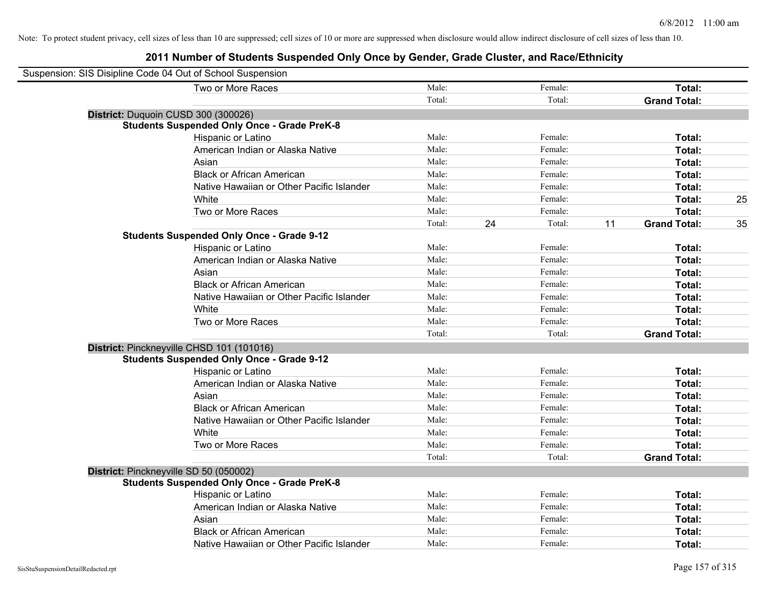| Suspension: SIS Disipline Code 04 Out of School Suspension |                                                    |        |    |         |    |                     |    |
|------------------------------------------------------------|----------------------------------------------------|--------|----|---------|----|---------------------|----|
|                                                            | Two or More Races                                  | Male:  |    | Female: |    | Total:              |    |
|                                                            |                                                    | Total: |    | Total:  |    | <b>Grand Total:</b> |    |
|                                                            | District: Duquoin CUSD 300 (300026)                |        |    |         |    |                     |    |
|                                                            | <b>Students Suspended Only Once - Grade PreK-8</b> |        |    |         |    |                     |    |
|                                                            | Hispanic or Latino                                 | Male:  |    | Female: |    | Total:              |    |
|                                                            | American Indian or Alaska Native                   | Male:  |    | Female: |    | Total:              |    |
|                                                            | Asian                                              | Male:  |    | Female: |    | Total:              |    |
|                                                            | <b>Black or African American</b>                   | Male:  |    | Female: |    | Total:              |    |
|                                                            | Native Hawaiian or Other Pacific Islander          | Male:  |    | Female: |    | Total:              |    |
|                                                            | White                                              | Male:  |    | Female: |    | Total:              | 25 |
|                                                            | Two or More Races                                  | Male:  |    | Female: |    | Total:              |    |
|                                                            |                                                    | Total: | 24 | Total:  | 11 | <b>Grand Total:</b> | 35 |
|                                                            | <b>Students Suspended Only Once - Grade 9-12</b>   |        |    |         |    |                     |    |
|                                                            | Hispanic or Latino                                 | Male:  |    | Female: |    | Total:              |    |
|                                                            | American Indian or Alaska Native                   | Male:  |    | Female: |    | Total:              |    |
|                                                            | Asian                                              | Male:  |    | Female: |    | Total:              |    |
|                                                            | <b>Black or African American</b>                   | Male:  |    | Female: |    | Total:              |    |
|                                                            | Native Hawaiian or Other Pacific Islander          | Male:  |    | Female: |    | Total:              |    |
|                                                            | White                                              | Male:  |    | Female: |    | Total:              |    |
|                                                            | Two or More Races                                  | Male:  |    | Female: |    | Total:              |    |
|                                                            |                                                    | Total: |    | Total:  |    | <b>Grand Total:</b> |    |
|                                                            | District: Pinckneyville CHSD 101 (101016)          |        |    |         |    |                     |    |
|                                                            | <b>Students Suspended Only Once - Grade 9-12</b>   |        |    |         |    |                     |    |
|                                                            | Hispanic or Latino                                 | Male:  |    | Female: |    | Total:              |    |
|                                                            | American Indian or Alaska Native                   | Male:  |    | Female: |    | Total:              |    |
|                                                            | Asian                                              | Male:  |    | Female: |    | Total:              |    |
|                                                            | <b>Black or African American</b>                   | Male:  |    | Female: |    | Total:              |    |
|                                                            | Native Hawaiian or Other Pacific Islander          | Male:  |    | Female: |    | Total:              |    |
|                                                            | White                                              | Male:  |    | Female: |    | Total:              |    |
|                                                            | Two or More Races                                  | Male:  |    | Female: |    | Total:              |    |
|                                                            |                                                    | Total: |    | Total:  |    | <b>Grand Total:</b> |    |
|                                                            | District: Pinckneyville SD 50 (050002)             |        |    |         |    |                     |    |
|                                                            | <b>Students Suspended Only Once - Grade PreK-8</b> |        |    |         |    |                     |    |
|                                                            | Hispanic or Latino                                 | Male:  |    | Female: |    | Total:              |    |
|                                                            | American Indian or Alaska Native                   | Male:  |    | Female: |    | Total:              |    |
|                                                            | Asian                                              | Male:  |    | Female: |    | Total:              |    |
|                                                            | <b>Black or African American</b>                   | Male:  |    | Female: |    | Total:              |    |
|                                                            | Native Hawaiian or Other Pacific Islander          | Male:  |    | Female: |    | Total:              |    |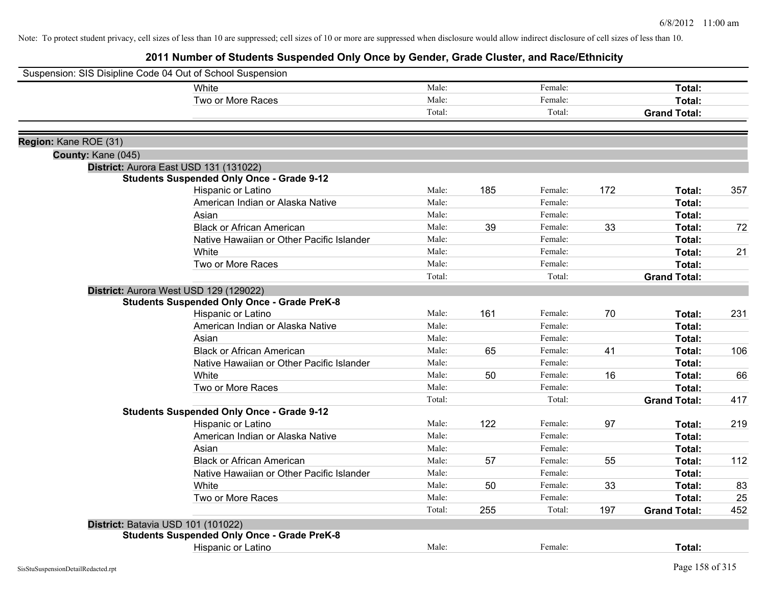| Suspension: SIS Disipline Code 04 Out of School Suspension |                                                    |        |     |         |     |                     |     |
|------------------------------------------------------------|----------------------------------------------------|--------|-----|---------|-----|---------------------|-----|
|                                                            | White                                              | Male:  |     | Female: |     | Total:              |     |
|                                                            | Two or More Races                                  | Male:  |     | Female: |     | Total:              |     |
|                                                            |                                                    | Total: |     | Total:  |     | <b>Grand Total:</b> |     |
| Region: Kane ROE (31)                                      |                                                    |        |     |         |     |                     |     |
| County: Kane (045)                                         |                                                    |        |     |         |     |                     |     |
| District: Aurora East USD 131 (131022)                     |                                                    |        |     |         |     |                     |     |
|                                                            | <b>Students Suspended Only Once - Grade 9-12</b>   |        |     |         |     |                     |     |
|                                                            | Hispanic or Latino                                 | Male:  | 185 | Female: | 172 | Total:              | 357 |
|                                                            | American Indian or Alaska Native                   | Male:  |     | Female: |     | Total:              |     |
|                                                            | Asian                                              | Male:  |     | Female: |     | Total:              |     |
|                                                            | <b>Black or African American</b>                   | Male:  | 39  | Female: | 33  | Total:              | 72  |
|                                                            | Native Hawaiian or Other Pacific Islander          | Male:  |     | Female: |     | Total:              |     |
|                                                            | White                                              | Male:  |     | Female: |     | Total:              | 21  |
|                                                            | Two or More Races                                  | Male:  |     | Female: |     | <b>Total:</b>       |     |
|                                                            |                                                    | Total: |     | Total:  |     | <b>Grand Total:</b> |     |
| District: Aurora West USD 129 (129022)                     |                                                    |        |     |         |     |                     |     |
|                                                            | <b>Students Suspended Only Once - Grade PreK-8</b> |        |     |         |     |                     |     |
|                                                            | Hispanic or Latino                                 | Male:  | 161 | Female: | 70  | Total:              | 231 |
|                                                            | American Indian or Alaska Native                   | Male:  |     | Female: |     | Total:              |     |
|                                                            | Asian                                              | Male:  |     | Female: |     | Total:              |     |
|                                                            | <b>Black or African American</b>                   | Male:  | 65  | Female: | 41  | Total:              | 106 |
|                                                            | Native Hawaiian or Other Pacific Islander          | Male:  |     | Female: |     | <b>Total:</b>       |     |
|                                                            | White                                              | Male:  | 50  | Female: | 16  | Total:              | 66  |
|                                                            | Two or More Races                                  | Male:  |     | Female: |     | Total:              |     |
|                                                            |                                                    | Total: |     | Total:  |     | <b>Grand Total:</b> | 417 |
|                                                            | <b>Students Suspended Only Once - Grade 9-12</b>   |        |     |         |     |                     |     |
|                                                            | Hispanic or Latino                                 | Male:  | 122 | Female: | 97  | Total:              | 219 |
|                                                            | American Indian or Alaska Native                   | Male:  |     | Female: |     | Total:              |     |
|                                                            | Asian                                              | Male:  |     | Female: |     | Total:              |     |
|                                                            | <b>Black or African American</b>                   | Male:  | 57  | Female: | 55  | Total:              | 112 |
|                                                            | Native Hawaiian or Other Pacific Islander          | Male:  |     | Female: |     | <b>Total:</b>       |     |
|                                                            | White                                              | Male:  | 50  | Female: | 33  | Total:              | 83  |
|                                                            | Two or More Races                                  | Male:  |     | Female: |     | <b>Total:</b>       | 25  |
|                                                            |                                                    | Total: | 255 | Total:  | 197 | <b>Grand Total:</b> | 452 |
| District: Batavia USD 101 (101022)                         |                                                    |        |     |         |     |                     |     |
|                                                            | <b>Students Suspended Only Once - Grade PreK-8</b> |        |     |         |     |                     |     |
|                                                            | Hispanic or Latino                                 | Male:  |     | Female: |     | <b>Total:</b>       |     |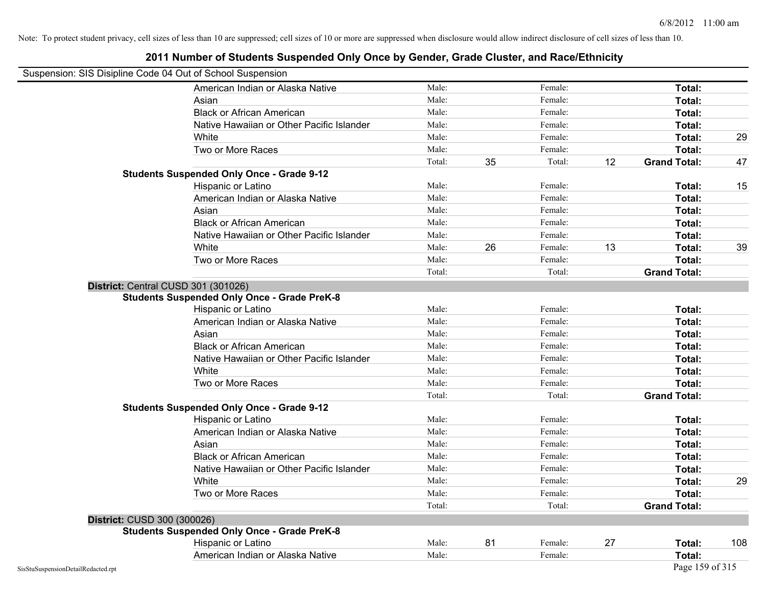| Suspension: SIS Disipline Code 04 Out of School Suspension |                                                    |        |    |         |    |                     |     |
|------------------------------------------------------------|----------------------------------------------------|--------|----|---------|----|---------------------|-----|
|                                                            | American Indian or Alaska Native                   | Male:  |    | Female: |    | <b>Total:</b>       |     |
|                                                            | Asian                                              | Male:  |    | Female: |    | Total:              |     |
|                                                            | <b>Black or African American</b>                   | Male:  |    | Female: |    | Total:              |     |
|                                                            | Native Hawaiian or Other Pacific Islander          | Male:  |    | Female: |    | Total:              |     |
|                                                            | White                                              | Male:  |    | Female: |    | Total:              | 29  |
|                                                            | Two or More Races                                  | Male:  |    | Female: |    | Total:              |     |
|                                                            |                                                    | Total: | 35 | Total:  | 12 | <b>Grand Total:</b> | 47  |
|                                                            | <b>Students Suspended Only Once - Grade 9-12</b>   |        |    |         |    |                     |     |
|                                                            | Hispanic or Latino                                 | Male:  |    | Female: |    | Total:              | 15  |
|                                                            | American Indian or Alaska Native                   | Male:  |    | Female: |    | Total:              |     |
|                                                            | Asian                                              | Male:  |    | Female: |    | Total:              |     |
|                                                            | <b>Black or African American</b>                   | Male:  |    | Female: |    | Total:              |     |
|                                                            | Native Hawaiian or Other Pacific Islander          | Male:  |    | Female: |    | Total:              |     |
|                                                            | White                                              | Male:  | 26 | Female: | 13 | Total:              | 39  |
|                                                            | Two or More Races                                  | Male:  |    | Female: |    | Total:              |     |
|                                                            |                                                    | Total: |    | Total:  |    | <b>Grand Total:</b> |     |
|                                                            | District: Central CUSD 301 (301026)                |        |    |         |    |                     |     |
|                                                            | <b>Students Suspended Only Once - Grade PreK-8</b> |        |    |         |    |                     |     |
|                                                            | Hispanic or Latino                                 | Male:  |    | Female: |    | Total:              |     |
|                                                            | American Indian or Alaska Native                   | Male:  |    | Female: |    | Total:              |     |
|                                                            | Asian                                              | Male:  |    | Female: |    | Total:              |     |
|                                                            | <b>Black or African American</b>                   | Male:  |    | Female: |    | Total:              |     |
|                                                            | Native Hawaiian or Other Pacific Islander          | Male:  |    | Female: |    | Total:              |     |
|                                                            | White                                              | Male:  |    | Female: |    | Total:              |     |
|                                                            | Two or More Races                                  | Male:  |    | Female: |    | Total:              |     |
|                                                            |                                                    | Total: |    | Total:  |    | <b>Grand Total:</b> |     |
|                                                            | <b>Students Suspended Only Once - Grade 9-12</b>   |        |    |         |    |                     |     |
|                                                            | Hispanic or Latino                                 | Male:  |    | Female: |    | Total:              |     |
|                                                            | American Indian or Alaska Native                   | Male:  |    | Female: |    | Total:              |     |
|                                                            | Asian                                              | Male:  |    | Female: |    | Total:              |     |
|                                                            | <b>Black or African American</b>                   | Male:  |    | Female: |    | Total:              |     |
|                                                            | Native Hawaiian or Other Pacific Islander          | Male:  |    | Female: |    | Total:              |     |
|                                                            | White                                              | Male:  |    | Female: |    | <b>Total:</b>       | 29  |
|                                                            | Two or More Races                                  | Male:  |    | Female: |    | Total:              |     |
|                                                            |                                                    | Total: |    | Total:  |    | <b>Grand Total:</b> |     |
| District: CUSD 300 (300026)                                |                                                    |        |    |         |    |                     |     |
|                                                            | <b>Students Suspended Only Once - Grade PreK-8</b> |        |    |         |    |                     |     |
|                                                            | Hispanic or Latino                                 | Male:  | 81 | Female: | 27 | Total:              | 108 |
|                                                            | American Indian or Alaska Native                   | Male:  |    | Female: |    | Total:              |     |
| SisStuSuspensionDetailRedacted.rpt                         |                                                    |        |    |         |    | Page 159 of 315     |     |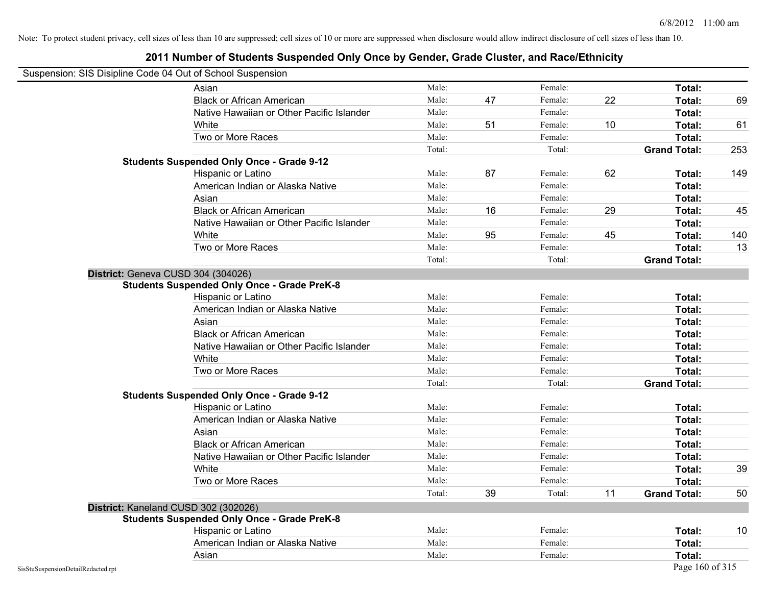Note: To protect student privacy, cell sizes of less than 10 are suppressed; cell sizes of 10 or more are suppressed when disclosure would allow indirect disclosure of cell sizes of less than 10.

## **2011 Number of Students Suspended Only Once by Gender, Grade Cluster, and Race/Ethnicity**

| Suspension: SIS Disipline Code 04 Out of School Suspension |        |    |         |    |                     |     |
|------------------------------------------------------------|--------|----|---------|----|---------------------|-----|
| Asian                                                      | Male:  |    | Female: |    | Total:              |     |
| <b>Black or African American</b>                           | Male:  | 47 | Female: | 22 | Total:              | 69  |
| Native Hawaiian or Other Pacific Islander                  | Male:  |    | Female: |    | Total:              |     |
| White                                                      | Male:  | 51 | Female: | 10 | Total:              | 61  |
| Two or More Races                                          | Male:  |    | Female: |    | Total:              |     |
|                                                            | Total: |    | Total:  |    | <b>Grand Total:</b> | 253 |
| <b>Students Suspended Only Once - Grade 9-12</b>           |        |    |         |    |                     |     |
| Hispanic or Latino                                         | Male:  | 87 | Female: | 62 | Total:              | 149 |
| American Indian or Alaska Native                           | Male:  |    | Female: |    | Total:              |     |
| Asian                                                      | Male:  |    | Female: |    | Total:              |     |
| <b>Black or African American</b>                           | Male:  | 16 | Female: | 29 | Total:              | 45  |
| Native Hawaiian or Other Pacific Islander                  | Male:  |    | Female: |    | Total:              |     |
| White                                                      | Male:  | 95 | Female: | 45 | Total:              | 140 |
| Two or More Races                                          | Male:  |    | Female: |    | Total:              | 13  |
|                                                            | Total: |    | Total:  |    | <b>Grand Total:</b> |     |
| District: Geneva CUSD 304 (304026)                         |        |    |         |    |                     |     |
| <b>Students Suspended Only Once - Grade PreK-8</b>         |        |    |         |    |                     |     |
| Hispanic or Latino                                         | Male:  |    | Female: |    | Total:              |     |
| American Indian or Alaska Native                           | Male:  |    | Female: |    | Total:              |     |
| Asian                                                      | Male:  |    | Female: |    | Total:              |     |
| <b>Black or African American</b>                           | Male:  |    | Female: |    | Total:              |     |
| Native Hawaiian or Other Pacific Islander                  | Male:  |    | Female: |    | Total:              |     |
| White                                                      | Male:  |    | Female: |    | Total:              |     |
| Two or More Races                                          | Male:  |    | Female: |    | Total:              |     |
|                                                            | Total: |    | Total:  |    | <b>Grand Total:</b> |     |
| <b>Students Suspended Only Once - Grade 9-12</b>           |        |    |         |    |                     |     |
| Hispanic or Latino                                         | Male:  |    | Female: |    | Total:              |     |
| American Indian or Alaska Native                           | Male:  |    | Female: |    | Total:              |     |
| Asian                                                      | Male:  |    | Female: |    | Total:              |     |
| <b>Black or African American</b>                           | Male:  |    | Female: |    | Total:              |     |
| Native Hawaiian or Other Pacific Islander                  | Male:  |    | Female: |    | Total:              |     |
| White                                                      | Male:  |    | Female: |    | Total:              | 39  |
| Two or More Races                                          | Male:  |    | Female: |    | Total:              |     |
|                                                            | Total: | 39 | Total:  | 11 | <b>Grand Total:</b> | 50  |
| District: Kaneland CUSD 302 (302026)                       |        |    |         |    |                     |     |
| <b>Students Suspended Only Once - Grade PreK-8</b>         |        |    |         |    |                     |     |
| Hispanic or Latino                                         | Male:  |    | Female: |    | Total:              | 10  |
| American Indian or Alaska Native                           | Male:  |    | Female: |    | Total:              |     |

Asian **Asian Male:** Total: Male: Female: **Total: Total:** Total: Total: Total: Total: Total: Total: Total: Total: Total: Total: Total: Total: Total: Total: Total: Total: Total: Total: Total: Total: Total: Total: Total: Tota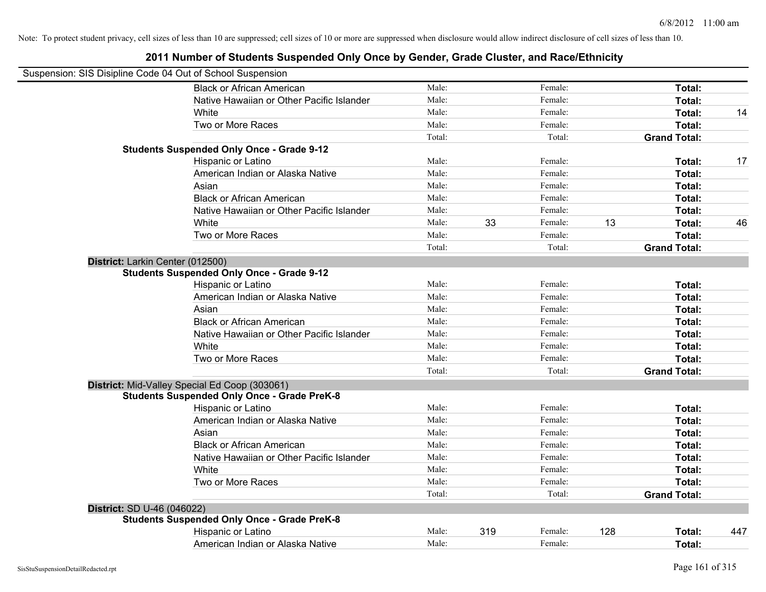|                                   | Suspension: SIS Disipline Code 04 Out of School Suspension                                          |        |     |         |     |                     |     |
|-----------------------------------|-----------------------------------------------------------------------------------------------------|--------|-----|---------|-----|---------------------|-----|
|                                   | <b>Black or African American</b>                                                                    | Male:  |     | Female: |     | Total:              |     |
|                                   | Native Hawaiian or Other Pacific Islander                                                           | Male:  |     | Female: |     | Total:              |     |
|                                   | White                                                                                               | Male:  |     | Female: |     | Total:              | 14  |
|                                   | Two or More Races                                                                                   | Male:  |     | Female: |     | Total:              |     |
|                                   |                                                                                                     | Total: |     | Total:  |     | <b>Grand Total:</b> |     |
|                                   | <b>Students Suspended Only Once - Grade 9-12</b>                                                    |        |     |         |     |                     |     |
|                                   | Hispanic or Latino                                                                                  | Male:  |     | Female: |     | Total:              | 17  |
|                                   | American Indian or Alaska Native                                                                    | Male:  |     | Female: |     | Total:              |     |
|                                   | Asian                                                                                               | Male:  |     | Female: |     | Total:              |     |
|                                   | <b>Black or African American</b>                                                                    | Male:  |     | Female: |     | Total:              |     |
|                                   | Native Hawaiian or Other Pacific Islander                                                           | Male:  |     | Female: |     | Total:              |     |
|                                   | White                                                                                               | Male:  | 33  | Female: | 13  | Total:              | 46  |
|                                   | Two or More Races                                                                                   | Male:  |     | Female: |     | Total:              |     |
|                                   |                                                                                                     | Total: |     | Total:  |     | <b>Grand Total:</b> |     |
| District: Larkin Center (012500)  |                                                                                                     |        |     |         |     |                     |     |
|                                   | <b>Students Suspended Only Once - Grade 9-12</b>                                                    |        |     |         |     |                     |     |
|                                   | Hispanic or Latino                                                                                  | Male:  |     | Female: |     | Total:              |     |
|                                   | American Indian or Alaska Native                                                                    | Male:  |     | Female: |     | Total:              |     |
|                                   | Asian                                                                                               | Male:  |     | Female: |     | Total:              |     |
|                                   | <b>Black or African American</b>                                                                    | Male:  |     | Female: |     | Total:              |     |
|                                   | Native Hawaiian or Other Pacific Islander                                                           | Male:  |     | Female: |     | Total:              |     |
|                                   | White                                                                                               | Male:  |     | Female: |     | Total:              |     |
|                                   | Two or More Races                                                                                   | Male:  |     | Female: |     | Total:              |     |
|                                   |                                                                                                     | Total: |     | Total:  |     | <b>Grand Total:</b> |     |
|                                   | District: Mid-Valley Special Ed Coop (303061)<br><b>Students Suspended Only Once - Grade PreK-8</b> |        |     |         |     |                     |     |
|                                   | Hispanic or Latino                                                                                  | Male:  |     | Female: |     | Total:              |     |
|                                   | American Indian or Alaska Native                                                                    | Male:  |     | Female: |     | Total:              |     |
|                                   | Asian                                                                                               | Male:  |     | Female: |     | Total:              |     |
|                                   | <b>Black or African American</b>                                                                    | Male:  |     | Female: |     | Total:              |     |
|                                   | Native Hawaiian or Other Pacific Islander                                                           | Male:  |     | Female: |     | Total:              |     |
|                                   | White                                                                                               | Male:  |     | Female: |     | Total:              |     |
|                                   | Two or More Races                                                                                   | Male:  |     | Female: |     | Total:              |     |
|                                   |                                                                                                     | Total: |     | Total:  |     | <b>Grand Total:</b> |     |
| <b>District: SD U-46 (046022)</b> |                                                                                                     |        |     |         |     |                     |     |
|                                   | <b>Students Suspended Only Once - Grade PreK-8</b>                                                  |        |     |         |     |                     |     |
|                                   | Hispanic or Latino                                                                                  | Male:  | 319 | Female: | 128 | Total:              | 447 |
|                                   | American Indian or Alaska Native                                                                    | Male:  |     | Female: |     | Total:              |     |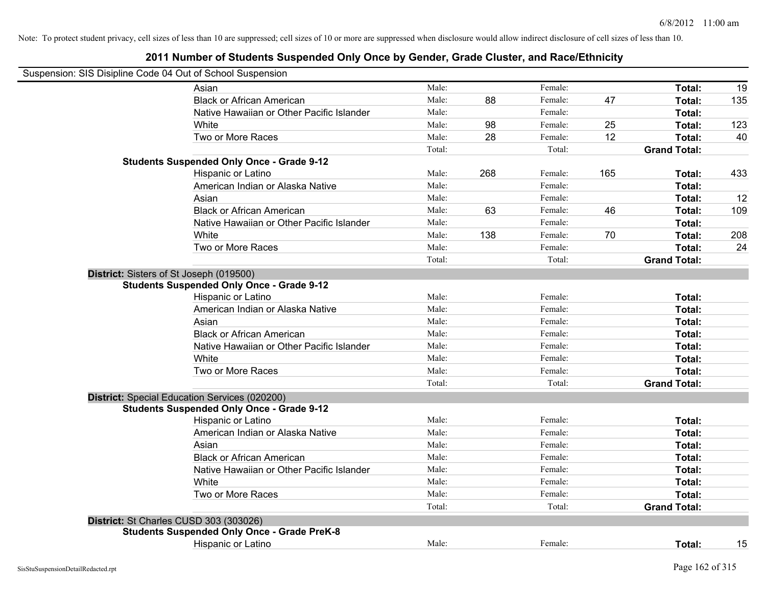| Suspension: SIS Disipline Code 04 Out of School Suspension |        |     |         |     |                     |     |
|------------------------------------------------------------|--------|-----|---------|-----|---------------------|-----|
| Asian                                                      | Male:  |     | Female: |     | Total:              | 19  |
| <b>Black or African American</b>                           | Male:  | 88  | Female: | 47  | Total:              | 135 |
| Native Hawaiian or Other Pacific Islander                  | Male:  |     | Female: |     | Total:              |     |
| White                                                      | Male:  | 98  | Female: | 25  | Total:              | 123 |
| Two or More Races                                          | Male:  | 28  | Female: | 12  | Total:              | 40  |
|                                                            | Total: |     | Total:  |     | <b>Grand Total:</b> |     |
| <b>Students Suspended Only Once - Grade 9-12</b>           |        |     |         |     |                     |     |
| Hispanic or Latino                                         | Male:  | 268 | Female: | 165 | Total:              | 433 |
| American Indian or Alaska Native                           | Male:  |     | Female: |     | Total:              |     |
| Asian                                                      | Male:  |     | Female: |     | Total:              | 12  |
| <b>Black or African American</b>                           | Male:  | 63  | Female: | 46  | Total:              | 109 |
| Native Hawaiian or Other Pacific Islander                  | Male:  |     | Female: |     | Total:              |     |
| White                                                      | Male:  | 138 | Female: | 70  | Total:              | 208 |
| Two or More Races                                          | Male:  |     | Female: |     | Total:              | 24  |
|                                                            | Total: |     | Total:  |     | <b>Grand Total:</b> |     |
| District: Sisters of St Joseph (019500)                    |        |     |         |     |                     |     |
| <b>Students Suspended Only Once - Grade 9-12</b>           |        |     |         |     |                     |     |
| Hispanic or Latino                                         | Male:  |     | Female: |     | Total:              |     |
| American Indian or Alaska Native                           | Male:  |     | Female: |     | Total:              |     |
| Asian                                                      | Male:  |     | Female: |     | Total:              |     |
| <b>Black or African American</b>                           | Male:  |     | Female: |     | Total:              |     |
| Native Hawaiian or Other Pacific Islander                  | Male:  |     | Female: |     | Total:              |     |
| White                                                      | Male:  |     | Female: |     | Total:              |     |
| Two or More Races                                          | Male:  |     | Female: |     | Total:              |     |
|                                                            | Total: |     | Total:  |     | <b>Grand Total:</b> |     |
| District: Special Education Services (020200)              |        |     |         |     |                     |     |
| <b>Students Suspended Only Once - Grade 9-12</b>           |        |     |         |     |                     |     |
| Hispanic or Latino                                         | Male:  |     | Female: |     | Total:              |     |
| American Indian or Alaska Native                           | Male:  |     | Female: |     | Total:              |     |
| Asian                                                      | Male:  |     | Female: |     | Total:              |     |
| <b>Black or African American</b>                           | Male:  |     | Female: |     | Total:              |     |
| Native Hawaiian or Other Pacific Islander                  | Male:  |     | Female: |     | Total:              |     |
| White                                                      | Male:  |     | Female: |     | Total:              |     |
| Two or More Races                                          | Male:  |     | Female: |     | Total:              |     |
|                                                            | Total: |     | Total:  |     | <b>Grand Total:</b> |     |
| District: St Charles CUSD 303 (303026)                     |        |     |         |     |                     |     |
| <b>Students Suspended Only Once - Grade PreK-8</b>         |        |     |         |     |                     |     |
| <b>Hispanic or Latino</b>                                  | Male:  |     | Female: |     | Total:              | 15  |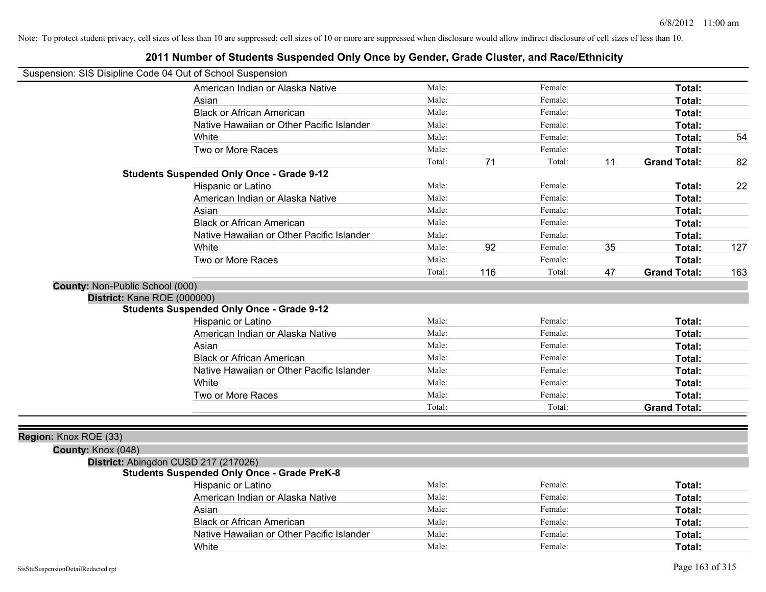| Suspension: SIS Disipline Code 04 Out of School Suspension |                                                    |        |     |         |    |                     |     |
|------------------------------------------------------------|----------------------------------------------------|--------|-----|---------|----|---------------------|-----|
|                                                            | American Indian or Alaska Native                   | Male:  |     | Female: |    | Total:              |     |
|                                                            | Asian                                              | Male:  |     | Female: |    | Total:              |     |
|                                                            | <b>Black or African American</b>                   | Male:  |     | Female: |    | Total:              |     |
|                                                            | Native Hawaiian or Other Pacific Islander          | Male:  |     | Female: |    | Total:              |     |
|                                                            | White                                              | Male:  |     | Female: |    | Total:              | 54  |
|                                                            | Two or More Races                                  | Male:  |     | Female: |    | Total:              |     |
|                                                            |                                                    | Total: | 71  | Total:  | 11 | <b>Grand Total:</b> | 82  |
|                                                            | <b>Students Suspended Only Once - Grade 9-12</b>   |        |     |         |    |                     |     |
|                                                            | Hispanic or Latino                                 | Male:  |     | Female: |    | Total:              | 22  |
|                                                            | American Indian or Alaska Native                   | Male:  |     | Female: |    | Total:              |     |
|                                                            | Asian                                              | Male:  |     | Female: |    | Total:              |     |
|                                                            | <b>Black or African American</b>                   | Male:  |     | Female: |    | Total:              |     |
|                                                            | Native Hawaiian or Other Pacific Islander          | Male:  |     | Female: |    | Total:              |     |
|                                                            | White                                              | Male:  | 92  | Female: | 35 | Total:              | 127 |
|                                                            | Two or More Races                                  | Male:  |     | Female: |    | Total:              |     |
|                                                            |                                                    | Total: | 116 | Total:  | 47 | <b>Grand Total:</b> | 163 |
| County: Non-Public School (000)                            |                                                    |        |     |         |    |                     |     |
| District: Kane ROE (000000)                                |                                                    |        |     |         |    |                     |     |
|                                                            | <b>Students Suspended Only Once - Grade 9-12</b>   |        |     |         |    |                     |     |
|                                                            | Hispanic or Latino                                 | Male:  |     | Female: |    | Total:              |     |
|                                                            | American Indian or Alaska Native                   | Male:  |     | Female: |    | Total:              |     |
|                                                            | Asian                                              | Male:  |     | Female: |    | Total:              |     |
|                                                            | <b>Black or African American</b>                   | Male:  |     | Female: |    | Total:              |     |
|                                                            | Native Hawaiian or Other Pacific Islander          | Male:  |     | Female: |    | Total:              |     |
|                                                            | White                                              | Male:  |     | Female: |    | Total:              |     |
|                                                            | Two or More Races                                  | Male:  |     | Female: |    | Total:              |     |
|                                                            |                                                    | Total: |     | Total:  |    | <b>Grand Total:</b> |     |
|                                                            |                                                    |        |     |         |    |                     |     |
| Region: Knox ROE (33)                                      |                                                    |        |     |         |    |                     |     |
| County: Knox (048)                                         |                                                    |        |     |         |    |                     |     |
|                                                            | District: Abingdon CUSD 217 (217026)               |        |     |         |    |                     |     |
|                                                            | <b>Students Suspended Only Once - Grade PreK-8</b> |        |     |         |    |                     |     |
|                                                            | Hispanic or Latino                                 | Male:  |     | Female: |    | Total:              |     |
|                                                            | American Indian or Alaska Native                   | Male:  |     | Female: |    | Total:              |     |
|                                                            | Asian                                              | Male:  |     | Female: |    | Total:              |     |
|                                                            | <b>Black or African American</b>                   | Male:  |     | Female: |    | Total:              |     |
|                                                            | Native Hawaiian or Other Pacific Islander          | Male:  |     | Female: |    | Total:              |     |
|                                                            | White                                              | Male:  |     | Female: |    | Total:              |     |
|                                                            |                                                    |        |     |         |    |                     |     |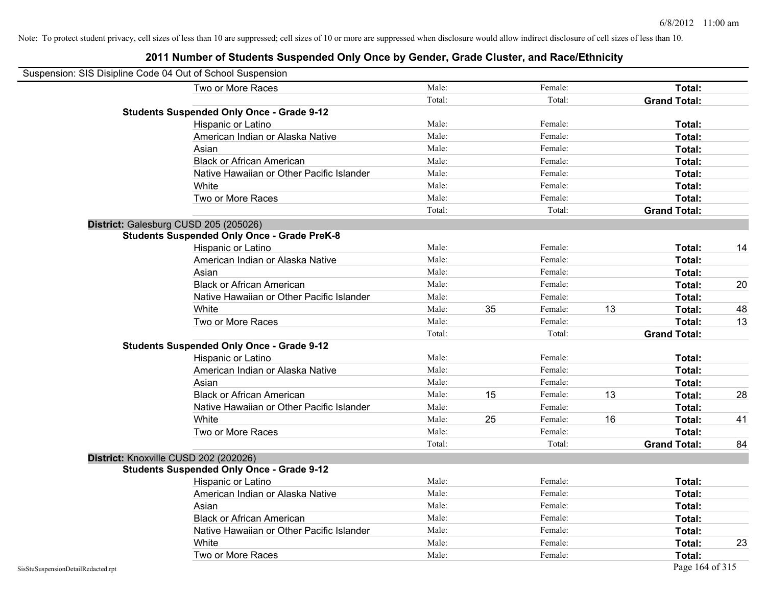| Suspension: SIS Disipline Code 04 Out of School Suspension |                                                    |        |    |         |    |                     |    |
|------------------------------------------------------------|----------------------------------------------------|--------|----|---------|----|---------------------|----|
|                                                            | Two or More Races                                  | Male:  |    | Female: |    | Total:              |    |
|                                                            |                                                    | Total: |    | Total:  |    | <b>Grand Total:</b> |    |
|                                                            | <b>Students Suspended Only Once - Grade 9-12</b>   |        |    |         |    |                     |    |
|                                                            | Hispanic or Latino                                 | Male:  |    | Female: |    | Total:              |    |
|                                                            | American Indian or Alaska Native                   | Male:  |    | Female: |    | Total:              |    |
|                                                            | Asian                                              | Male:  |    | Female: |    | Total:              |    |
|                                                            | <b>Black or African American</b>                   | Male:  |    | Female: |    | Total:              |    |
|                                                            | Native Hawaiian or Other Pacific Islander          | Male:  |    | Female: |    | Total:              |    |
|                                                            | White                                              | Male:  |    | Female: |    | Total:              |    |
|                                                            | Two or More Races                                  | Male:  |    | Female: |    | Total:              |    |
|                                                            |                                                    | Total: |    | Total:  |    | <b>Grand Total:</b> |    |
|                                                            | District: Galesburg CUSD 205 (205026)              |        |    |         |    |                     |    |
|                                                            | <b>Students Suspended Only Once - Grade PreK-8</b> |        |    |         |    |                     |    |
|                                                            | Hispanic or Latino                                 | Male:  |    | Female: |    | Total:              | 14 |
|                                                            | American Indian or Alaska Native                   | Male:  |    | Female: |    | Total:              |    |
|                                                            | Asian                                              | Male:  |    | Female: |    | Total:              |    |
|                                                            | <b>Black or African American</b>                   | Male:  |    | Female: |    | Total:              | 20 |
|                                                            | Native Hawaiian or Other Pacific Islander          | Male:  |    | Female: |    | Total:              |    |
|                                                            | White                                              | Male:  | 35 | Female: | 13 | Total:              | 48 |
|                                                            | Two or More Races                                  | Male:  |    | Female: |    | Total:              | 13 |
|                                                            |                                                    | Total: |    | Total:  |    | <b>Grand Total:</b> |    |
|                                                            | <b>Students Suspended Only Once - Grade 9-12</b>   |        |    |         |    |                     |    |
|                                                            | Hispanic or Latino                                 | Male:  |    | Female: |    | Total:              |    |
|                                                            | American Indian or Alaska Native                   | Male:  |    | Female: |    | Total:              |    |
|                                                            | Asian                                              | Male:  |    | Female: |    | Total:              |    |
|                                                            | <b>Black or African American</b>                   | Male:  | 15 | Female: | 13 | Total:              | 28 |
|                                                            | Native Hawaiian or Other Pacific Islander          | Male:  |    | Female: |    | Total:              |    |
|                                                            | White                                              | Male:  | 25 | Female: | 16 | Total:              | 41 |
|                                                            | Two or More Races                                  | Male:  |    | Female: |    | Total:              |    |
|                                                            |                                                    | Total: |    | Total:  |    | <b>Grand Total:</b> | 84 |
|                                                            | District: Knoxville CUSD 202 (202026)              |        |    |         |    |                     |    |
|                                                            | <b>Students Suspended Only Once - Grade 9-12</b>   |        |    |         |    |                     |    |
|                                                            | Hispanic or Latino                                 | Male:  |    | Female: |    | Total:              |    |
|                                                            | American Indian or Alaska Native                   | Male:  |    | Female: |    | Total:              |    |
|                                                            | Asian                                              | Male:  |    | Female: |    | Total:              |    |
|                                                            | <b>Black or African American</b>                   | Male:  |    | Female: |    | Total:              |    |
|                                                            | Native Hawaiian or Other Pacific Islander          | Male:  |    | Female: |    | Total:              |    |
|                                                            | White                                              | Male:  |    | Female: |    | Total:              | 23 |
|                                                            | Two or More Races                                  | Male:  |    | Female: |    | Total:              |    |
| SisStuSuspensionDetailRedacted.rpt                         |                                                    |        |    |         |    | Page 164 of 315     |    |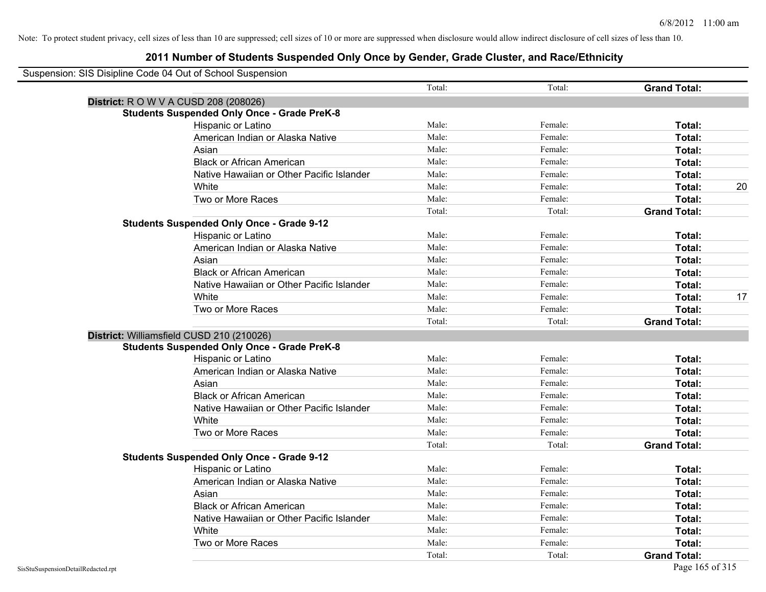| Suspension: SIS Disipline Code 04 Out of School Suspension |                                                    |        |         |                     |    |
|------------------------------------------------------------|----------------------------------------------------|--------|---------|---------------------|----|
|                                                            |                                                    | Total: | Total:  | <b>Grand Total:</b> |    |
| <b>District:</b> R O W V A CUSD 208 (208026)               |                                                    |        |         |                     |    |
|                                                            | <b>Students Suspended Only Once - Grade PreK-8</b> |        |         |                     |    |
|                                                            | Hispanic or Latino                                 | Male:  | Female: | Total:              |    |
|                                                            | American Indian or Alaska Native                   | Male:  | Female: | Total:              |    |
|                                                            | Asian                                              | Male:  | Female: | Total:              |    |
|                                                            | <b>Black or African American</b>                   | Male:  | Female: | Total:              |    |
|                                                            | Native Hawaiian or Other Pacific Islander          | Male:  | Female: | Total:              |    |
|                                                            | White                                              | Male:  | Female: | Total:              | 20 |
|                                                            | Two or More Races                                  | Male:  | Female: | Total:              |    |
|                                                            |                                                    | Total: | Total:  | <b>Grand Total:</b> |    |
|                                                            | <b>Students Suspended Only Once - Grade 9-12</b>   |        |         |                     |    |
|                                                            | Hispanic or Latino                                 | Male:  | Female: | Total:              |    |
|                                                            | American Indian or Alaska Native                   | Male:  | Female: | Total:              |    |
|                                                            | Asian                                              | Male:  | Female: | Total:              |    |
|                                                            | <b>Black or African American</b>                   | Male:  | Female: | Total:              |    |
|                                                            | Native Hawaiian or Other Pacific Islander          | Male:  | Female: | Total:              |    |
|                                                            | White                                              | Male:  | Female: | Total:              | 17 |
|                                                            | Two or More Races                                  | Male:  | Female: | Total:              |    |
|                                                            |                                                    | Total: | Total:  | <b>Grand Total:</b> |    |
|                                                            | District: Williamsfield CUSD 210 (210026)          |        |         |                     |    |
|                                                            | <b>Students Suspended Only Once - Grade PreK-8</b> |        |         |                     |    |
|                                                            | Hispanic or Latino                                 | Male:  | Female: | Total:              |    |
|                                                            | American Indian or Alaska Native                   | Male:  | Female: | Total:              |    |
|                                                            | Asian                                              | Male:  | Female: | Total:              |    |
|                                                            | <b>Black or African American</b>                   | Male:  | Female: | Total:              |    |
|                                                            | Native Hawaiian or Other Pacific Islander          | Male:  | Female: | Total:              |    |
|                                                            | White                                              | Male:  | Female: | Total:              |    |
|                                                            | Two or More Races                                  | Male:  | Female: | Total:              |    |
|                                                            |                                                    | Total: | Total:  | <b>Grand Total:</b> |    |
|                                                            | <b>Students Suspended Only Once - Grade 9-12</b>   |        |         |                     |    |
|                                                            | Hispanic or Latino                                 | Male:  | Female: | Total:              |    |
|                                                            | American Indian or Alaska Native                   | Male:  | Female: | Total:              |    |
|                                                            | Asian                                              | Male:  | Female: | Total:              |    |
|                                                            | <b>Black or African American</b>                   | Male:  | Female: | Total:              |    |
|                                                            | Native Hawaiian or Other Pacific Islander          | Male:  | Female: | Total:              |    |
|                                                            | White                                              | Male:  | Female: | Total:              |    |
|                                                            | Two or More Races                                  | Male:  | Female: | Total:              |    |
|                                                            |                                                    | Total: | Total:  | <b>Grand Total:</b> |    |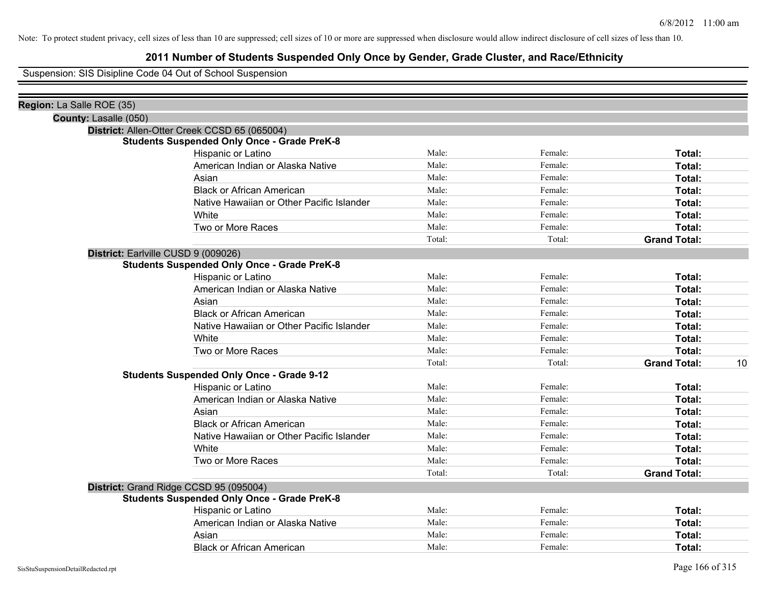### **2011 Number of Students Suspended Only Once by Gender, Grade Cluster, and Race/Ethnicity**

Suspension: SIS Disipline Code 04 Out of School Suspension

| Region: La Salle ROE (35)           |                                                    |        |         |                           |
|-------------------------------------|----------------------------------------------------|--------|---------|---------------------------|
| County: Lasalle (050)               |                                                    |        |         |                           |
|                                     | District: Allen-Otter Creek CCSD 65 (065004)       |        |         |                           |
|                                     | <b>Students Suspended Only Once - Grade PreK-8</b> |        |         |                           |
|                                     | Hispanic or Latino                                 | Male:  | Female: | Total:                    |
|                                     | American Indian or Alaska Native                   | Male:  | Female: | Total:                    |
|                                     | Asian                                              | Male:  | Female: | Total:                    |
|                                     | <b>Black or African American</b>                   | Male:  | Female: | Total:                    |
|                                     | Native Hawaiian or Other Pacific Islander          | Male:  | Female: | Total:                    |
|                                     | White                                              | Male:  | Female: | Total:                    |
|                                     | Two or More Races                                  | Male:  | Female: | Total:                    |
|                                     |                                                    | Total: | Total:  | <b>Grand Total:</b>       |
| District: Earlville CUSD 9 (009026) |                                                    |        |         |                           |
|                                     | <b>Students Suspended Only Once - Grade PreK-8</b> |        |         |                           |
|                                     | Hispanic or Latino                                 | Male:  | Female: | Total:                    |
|                                     | American Indian or Alaska Native                   | Male:  | Female: | Total:                    |
|                                     | Asian                                              | Male:  | Female: | Total:                    |
|                                     | <b>Black or African American</b>                   | Male:  | Female: | Total:                    |
|                                     | Native Hawaiian or Other Pacific Islander          | Male:  | Female: | Total:                    |
|                                     | White                                              | Male:  | Female: | Total:                    |
|                                     | Two or More Races                                  | Male:  | Female: | Total:                    |
|                                     |                                                    | Total: | Total:  | <b>Grand Total:</b><br>10 |
|                                     | <b>Students Suspended Only Once - Grade 9-12</b>   |        |         |                           |
|                                     | Hispanic or Latino                                 | Male:  | Female: | Total:                    |
|                                     | American Indian or Alaska Native                   | Male:  | Female: | Total:                    |
|                                     | Asian                                              | Male:  | Female: | Total:                    |
|                                     | <b>Black or African American</b>                   | Male:  | Female: | Total:                    |
|                                     | Native Hawaiian or Other Pacific Islander          | Male:  | Female: | Total:                    |
|                                     | White                                              | Male:  | Female: | Total:                    |
|                                     | Two or More Races                                  | Male:  | Female: | Total:                    |
|                                     |                                                    | Total: | Total:  | <b>Grand Total:</b>       |
|                                     | District: Grand Ridge CCSD 95 (095004)             |        |         |                           |
|                                     | <b>Students Suspended Only Once - Grade PreK-8</b> |        |         |                           |
|                                     | Hispanic or Latino                                 | Male:  | Female: | Total:                    |
|                                     | American Indian or Alaska Native                   | Male:  | Female: | Total:                    |
|                                     | Asian                                              | Male:  | Female: | Total:                    |
|                                     | <b>Black or African American</b>                   | Male:  | Female: | Total:                    |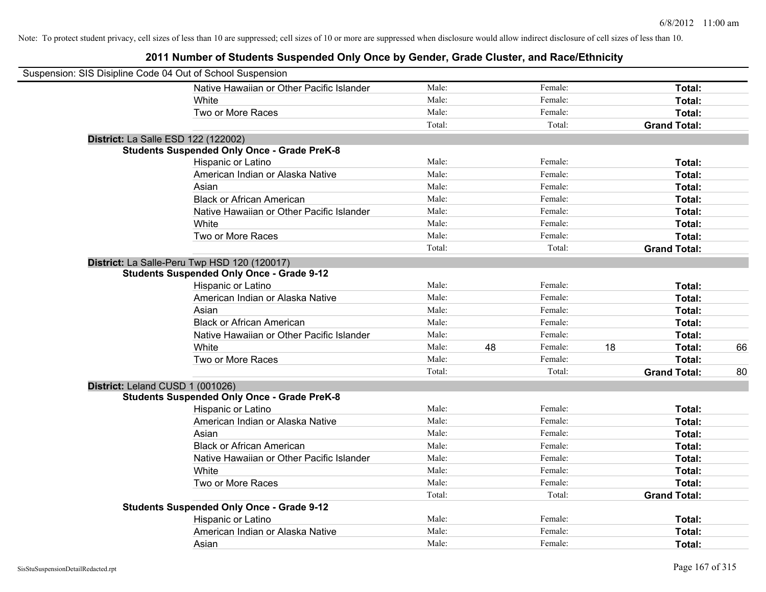| Suspension: SIS Disipline Code 04 Out of School Suspension |                                                    |        |    |         |    |                     |    |
|------------------------------------------------------------|----------------------------------------------------|--------|----|---------|----|---------------------|----|
|                                                            | Native Hawaiian or Other Pacific Islander          | Male:  |    | Female: |    | Total:              |    |
|                                                            | White                                              | Male:  |    | Female: |    | Total:              |    |
|                                                            | Two or More Races                                  | Male:  |    | Female: |    | Total:              |    |
|                                                            |                                                    | Total: |    | Total:  |    | <b>Grand Total:</b> |    |
| District: La Salle ESD 122 (122002)                        |                                                    |        |    |         |    |                     |    |
|                                                            | <b>Students Suspended Only Once - Grade PreK-8</b> |        |    |         |    |                     |    |
|                                                            | Hispanic or Latino                                 | Male:  |    | Female: |    | Total:              |    |
|                                                            | American Indian or Alaska Native                   | Male:  |    | Female: |    | Total:              |    |
|                                                            | Asian                                              | Male:  |    | Female: |    | Total:              |    |
|                                                            | <b>Black or African American</b>                   | Male:  |    | Female: |    | Total:              |    |
|                                                            | Native Hawaiian or Other Pacific Islander          | Male:  |    | Female: |    | Total:              |    |
|                                                            | White                                              | Male:  |    | Female: |    | Total:              |    |
|                                                            | Two or More Races                                  | Male:  |    | Female: |    | Total:              |    |
|                                                            |                                                    | Total: |    | Total:  |    | <b>Grand Total:</b> |    |
|                                                            | District: La Salle-Peru Twp HSD 120 (120017)       |        |    |         |    |                     |    |
|                                                            | <b>Students Suspended Only Once - Grade 9-12</b>   |        |    |         |    |                     |    |
|                                                            | Hispanic or Latino                                 | Male:  |    | Female: |    | Total:              |    |
|                                                            | American Indian or Alaska Native                   | Male:  |    | Female: |    | Total:              |    |
|                                                            | Asian                                              | Male:  |    | Female: |    | Total:              |    |
|                                                            | <b>Black or African American</b>                   | Male:  |    | Female: |    | Total:              |    |
|                                                            | Native Hawaiian or Other Pacific Islander          | Male:  |    | Female: |    | Total:              |    |
|                                                            | White                                              | Male:  | 48 | Female: | 18 | Total:              | 66 |
|                                                            | Two or More Races                                  | Male:  |    | Female: |    | Total:              |    |
|                                                            |                                                    | Total: |    | Total:  |    | <b>Grand Total:</b> | 80 |
| District: Leland CUSD 1 (001026)                           |                                                    |        |    |         |    |                     |    |
|                                                            | <b>Students Suspended Only Once - Grade PreK-8</b> |        |    |         |    |                     |    |
|                                                            | Hispanic or Latino                                 | Male:  |    | Female: |    | Total:              |    |
|                                                            | American Indian or Alaska Native                   | Male:  |    | Female: |    | Total:              |    |
|                                                            | Asian                                              | Male:  |    | Female: |    | Total:              |    |
|                                                            | <b>Black or African American</b>                   | Male:  |    | Female: |    | Total:              |    |
|                                                            | Native Hawaiian or Other Pacific Islander          | Male:  |    | Female: |    | Total:              |    |
|                                                            | White                                              | Male:  |    | Female: |    | Total:              |    |
|                                                            | Two or More Races                                  | Male:  |    | Female: |    | Total:              |    |
|                                                            |                                                    | Total: |    | Total:  |    | <b>Grand Total:</b> |    |
|                                                            | <b>Students Suspended Only Once - Grade 9-12</b>   |        |    |         |    |                     |    |
|                                                            | Hispanic or Latino                                 | Male:  |    | Female: |    | Total:              |    |
|                                                            | American Indian or Alaska Native                   | Male:  |    | Female: |    | Total:              |    |
|                                                            | Asian                                              | Male:  |    | Female: |    | Total:              |    |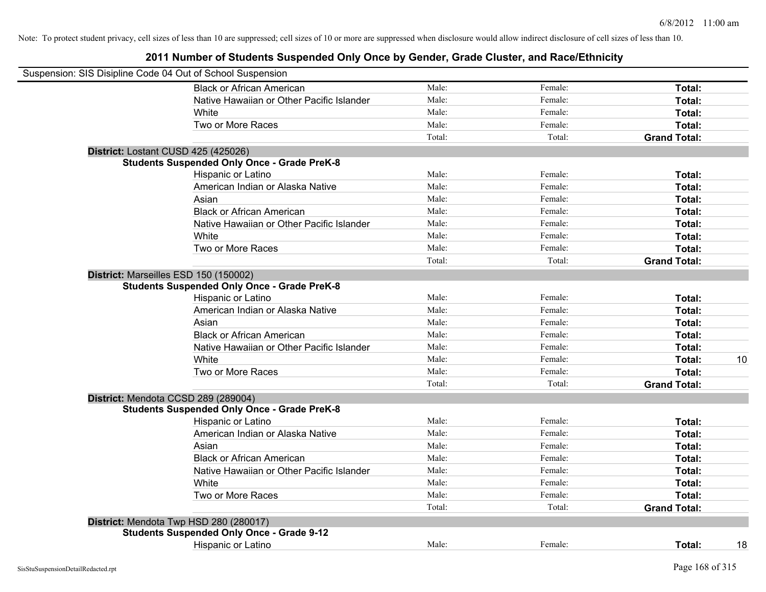|                                     | Suspension: SIS Disipline Code 04 Out of School Suspension |        |         |                     |    |
|-------------------------------------|------------------------------------------------------------|--------|---------|---------------------|----|
|                                     | <b>Black or African American</b>                           | Male:  | Female: | Total:              |    |
|                                     | Native Hawaiian or Other Pacific Islander                  | Male:  | Female: | Total:              |    |
|                                     | White                                                      | Male:  | Female: | Total:              |    |
|                                     | Two or More Races                                          | Male:  | Female: | Total:              |    |
|                                     |                                                            | Total: | Total:  | <b>Grand Total:</b> |    |
| District: Lostant CUSD 425 (425026) |                                                            |        |         |                     |    |
|                                     | <b>Students Suspended Only Once - Grade PreK-8</b>         |        |         |                     |    |
|                                     | Hispanic or Latino                                         | Male:  | Female: | Total:              |    |
|                                     | American Indian or Alaska Native                           | Male:  | Female: | Total:              |    |
|                                     | Asian                                                      | Male:  | Female: | Total:              |    |
|                                     | <b>Black or African American</b>                           | Male:  | Female: | Total:              |    |
|                                     | Native Hawaiian or Other Pacific Islander                  | Male:  | Female: | Total:              |    |
|                                     | White                                                      | Male:  | Female: | Total:              |    |
|                                     | Two or More Races                                          | Male:  | Female: | Total:              |    |
|                                     |                                                            | Total: | Total:  | <b>Grand Total:</b> |    |
|                                     | District: Marseilles ESD 150 (150002)                      |        |         |                     |    |
|                                     | <b>Students Suspended Only Once - Grade PreK-8</b>         |        |         |                     |    |
|                                     | Hispanic or Latino                                         | Male:  | Female: | Total:              |    |
|                                     | American Indian or Alaska Native                           | Male:  | Female: | Total:              |    |
|                                     | Asian                                                      | Male:  | Female: | Total:              |    |
|                                     | <b>Black or African American</b>                           | Male:  | Female: | Total:              |    |
|                                     | Native Hawaiian or Other Pacific Islander                  | Male:  | Female: | Total:              |    |
|                                     | White                                                      | Male:  | Female: | Total:              | 10 |
|                                     | Two or More Races                                          | Male:  | Female: | Total:              |    |
|                                     |                                                            | Total: | Total:  | <b>Grand Total:</b> |    |
|                                     | District: Mendota CCSD 289 (289004)                        |        |         |                     |    |
|                                     | <b>Students Suspended Only Once - Grade PreK-8</b>         |        |         |                     |    |
|                                     | Hispanic or Latino                                         | Male:  | Female: | Total:              |    |
|                                     | American Indian or Alaska Native                           | Male:  | Female: | Total:              |    |
|                                     | Asian                                                      | Male:  | Female: | Total:              |    |
|                                     | <b>Black or African American</b>                           | Male:  | Female: | Total:              |    |
|                                     | Native Hawaiian or Other Pacific Islander                  | Male:  | Female: | Total:              |    |
|                                     | White                                                      | Male:  | Female: | Total:              |    |
|                                     | Two or More Races                                          | Male:  | Female: | Total:              |    |
|                                     |                                                            | Total: | Total:  | <b>Grand Total:</b> |    |
|                                     | District: Mendota Twp HSD 280 (280017)                     |        |         |                     |    |
|                                     | <b>Students Suspended Only Once - Grade 9-12</b>           |        |         |                     |    |
|                                     | <b>Hispanic or Latino</b>                                  | Male:  | Female: | Total:              | 18 |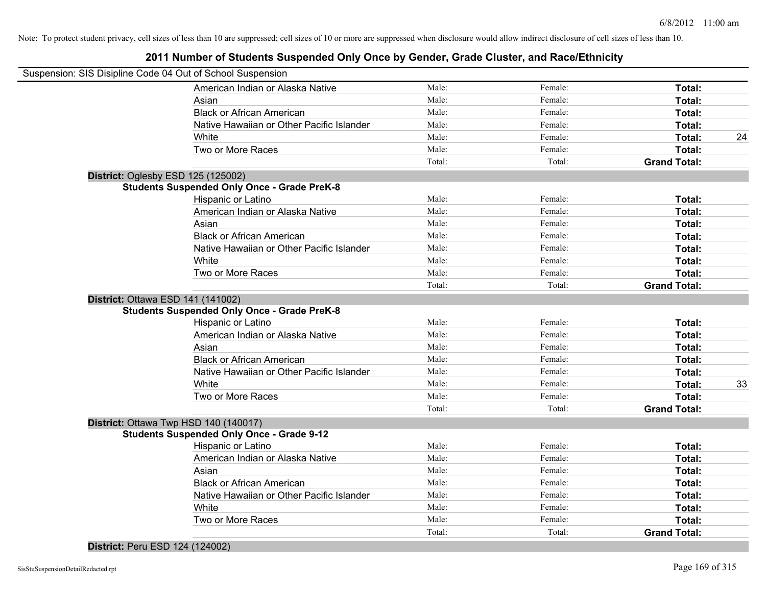### **2011 Number of Students Suspended Only Once by Gender, Grade Cluster, and Race/Ethnicity**

| Suspension: SIS Disipline Code 04 Out of School Suspension |        |         |                     |    |
|------------------------------------------------------------|--------|---------|---------------------|----|
| American Indian or Alaska Native                           | Male:  | Female: | Total:              |    |
| Asian                                                      | Male:  | Female: | Total:              |    |
| <b>Black or African American</b>                           | Male:  | Female: | Total:              |    |
| Native Hawaiian or Other Pacific Islander                  | Male:  | Female: | Total:              |    |
| White                                                      | Male:  | Female: | Total:              | 24 |
| Two or More Races                                          | Male:  | Female: | Total:              |    |
|                                                            | Total: | Total:  | <b>Grand Total:</b> |    |
| District: Oglesby ESD 125 (125002)                         |        |         |                     |    |
| <b>Students Suspended Only Once - Grade PreK-8</b>         |        |         |                     |    |
| Hispanic or Latino                                         | Male:  | Female: | Total:              |    |
| American Indian or Alaska Native                           | Male:  | Female: | Total:              |    |
| Asian                                                      | Male:  | Female: | Total:              |    |
| <b>Black or African American</b>                           | Male:  | Female: | Total:              |    |
| Native Hawaiian or Other Pacific Islander                  | Male:  | Female: | Total:              |    |
| White                                                      | Male:  | Female: | Total:              |    |
| Two or More Races                                          | Male:  | Female: | Total:              |    |
|                                                            | Total: | Total:  | <b>Grand Total:</b> |    |
| District: Ottawa ESD 141 (141002)                          |        |         |                     |    |
| <b>Students Suspended Only Once - Grade PreK-8</b>         |        |         |                     |    |
| Hispanic or Latino                                         | Male:  | Female: | Total:              |    |
| American Indian or Alaska Native                           | Male:  | Female: | Total:              |    |
| Asian                                                      | Male:  | Female: | Total:              |    |
| <b>Black or African American</b>                           | Male:  | Female: | Total:              |    |
| Native Hawaiian or Other Pacific Islander                  | Male:  | Female: | Total:              |    |
| White                                                      | Male:  | Female: | Total:              | 33 |
| Two or More Races                                          | Male:  | Female: | Total:              |    |
|                                                            | Total: | Total:  | <b>Grand Total:</b> |    |
| District: Ottawa Twp HSD 140 (140017)                      |        |         |                     |    |
| <b>Students Suspended Only Once - Grade 9-12</b>           |        |         |                     |    |
| Hispanic or Latino                                         | Male:  | Female: | Total:              |    |
| American Indian or Alaska Native                           | Male:  | Female: | Total:              |    |
| Asian                                                      | Male:  | Female: | Total:              |    |
| <b>Black or African American</b>                           | Male:  | Female: | Total:              |    |
| Native Hawaiian or Other Pacific Islander                  | Male:  | Female: | Total:              |    |
| White                                                      | Male:  | Female: | Total:              |    |
| Two or More Races                                          | Male:  | Female: | Total:              |    |
|                                                            | Total: | Total:  | <b>Grand Total:</b> |    |

#### **District:** Peru ESD 124 (124002)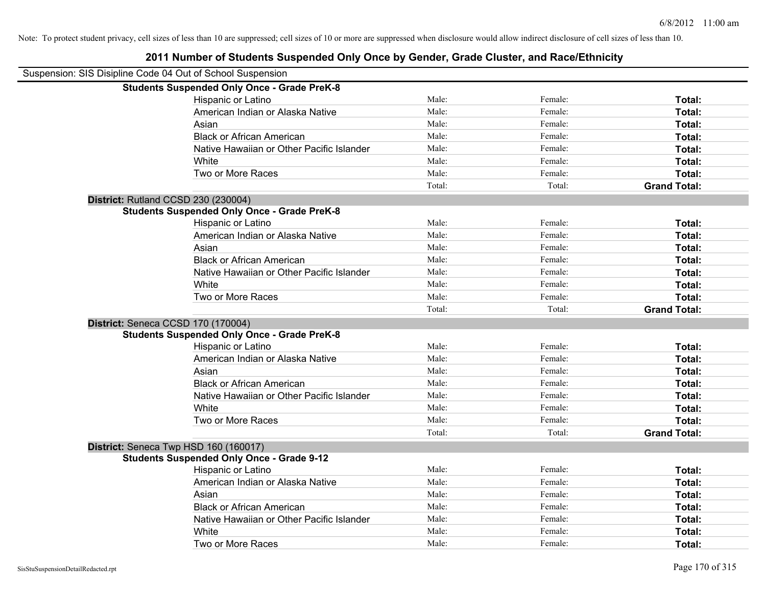| Suspension: SIS Disipline Code 04 Out of School Suspension |                                                    |        |         |                     |
|------------------------------------------------------------|----------------------------------------------------|--------|---------|---------------------|
|                                                            | <b>Students Suspended Only Once - Grade PreK-8</b> |        |         |                     |
|                                                            | Hispanic or Latino                                 | Male:  | Female: | Total:              |
|                                                            | American Indian or Alaska Native                   | Male:  | Female: | Total:              |
|                                                            | Asian                                              | Male:  | Female: | Total:              |
|                                                            | <b>Black or African American</b>                   | Male:  | Female: | Total:              |
|                                                            | Native Hawaiian or Other Pacific Islander          | Male:  | Female: | Total:              |
|                                                            | White                                              | Male:  | Female: | Total:              |
|                                                            | Two or More Races                                  | Male:  | Female: | Total:              |
|                                                            |                                                    | Total: | Total:  | <b>Grand Total:</b> |
|                                                            | District: Rutland CCSD 230 (230004)                |        |         |                     |
|                                                            | <b>Students Suspended Only Once - Grade PreK-8</b> |        |         |                     |
|                                                            | Hispanic or Latino                                 | Male:  | Female: | Total:              |
|                                                            | American Indian or Alaska Native                   | Male:  | Female: | Total:              |
|                                                            | Asian                                              | Male:  | Female: | Total:              |
|                                                            | <b>Black or African American</b>                   | Male:  | Female: | Total:              |
|                                                            | Native Hawaiian or Other Pacific Islander          | Male:  | Female: | Total:              |
|                                                            | White                                              | Male:  | Female: | Total:              |
|                                                            | Two or More Races                                  | Male:  | Female: | Total:              |
|                                                            |                                                    | Total: | Total:  | <b>Grand Total:</b> |
|                                                            | District: Seneca CCSD 170 (170004)                 |        |         |                     |
|                                                            | <b>Students Suspended Only Once - Grade PreK-8</b> |        |         |                     |
|                                                            | Hispanic or Latino                                 | Male:  | Female: | Total:              |
|                                                            | American Indian or Alaska Native                   | Male:  | Female: | Total:              |
|                                                            | Asian                                              | Male:  | Female: | Total:              |
|                                                            | <b>Black or African American</b>                   | Male:  | Female: | Total:              |
|                                                            | Native Hawaiian or Other Pacific Islander          | Male:  | Female: | Total:              |
|                                                            | White                                              | Male:  | Female: | Total:              |
|                                                            | Two or More Races                                  | Male:  | Female: | Total:              |
|                                                            |                                                    | Total: | Total:  | <b>Grand Total:</b> |
|                                                            | District: Seneca Twp HSD 160 (160017)              |        |         |                     |
|                                                            | <b>Students Suspended Only Once - Grade 9-12</b>   |        |         |                     |
|                                                            | Hispanic or Latino                                 | Male:  | Female: | Total:              |
|                                                            | American Indian or Alaska Native                   | Male:  | Female: | Total:              |
|                                                            | Asian                                              | Male:  | Female: | Total:              |
|                                                            | <b>Black or African American</b>                   | Male:  | Female: | Total:              |
|                                                            | Native Hawaiian or Other Pacific Islander          | Male:  | Female: | Total:              |
|                                                            | White                                              | Male:  | Female: | Total:              |
|                                                            | Two or More Races                                  | Male:  | Female: | Total:              |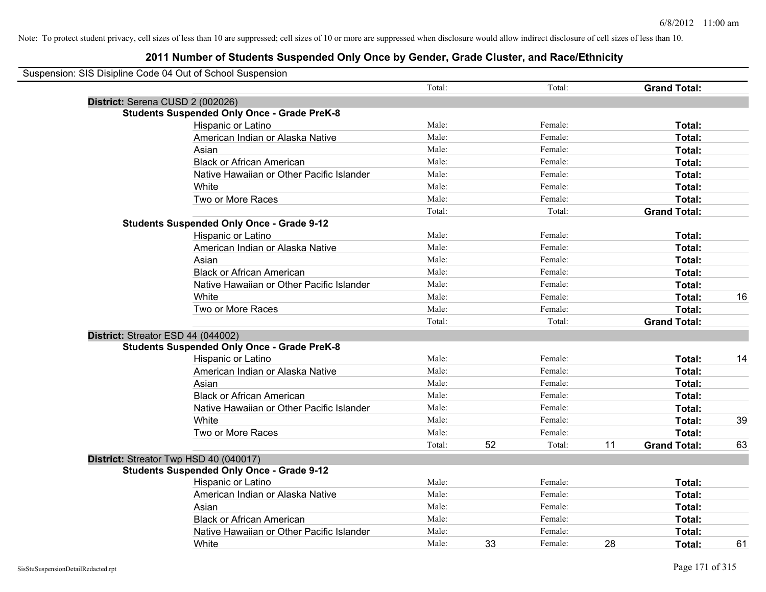| Suspension: SIS Disipline Code 04 Out of School Suspension |        |    |         |    |                     |    |
|------------------------------------------------------------|--------|----|---------|----|---------------------|----|
|                                                            | Total: |    | Total:  |    | <b>Grand Total:</b> |    |
| District: Serena CUSD 2 (002026)                           |        |    |         |    |                     |    |
| <b>Students Suspended Only Once - Grade PreK-8</b>         |        |    |         |    |                     |    |
| Hispanic or Latino                                         | Male:  |    | Female: |    | Total:              |    |
| American Indian or Alaska Native                           | Male:  |    | Female: |    | Total:              |    |
| Asian                                                      | Male:  |    | Female: |    | Total:              |    |
| <b>Black or African American</b>                           | Male:  |    | Female: |    | Total:              |    |
| Native Hawaiian or Other Pacific Islander                  | Male:  |    | Female: |    | Total:              |    |
| White                                                      | Male:  |    | Female: |    | Total:              |    |
| Two or More Races                                          | Male:  |    | Female: |    | Total:              |    |
|                                                            | Total: |    | Total:  |    | <b>Grand Total:</b> |    |
| <b>Students Suspended Only Once - Grade 9-12</b>           |        |    |         |    |                     |    |
| Hispanic or Latino                                         | Male:  |    | Female: |    | Total:              |    |
| American Indian or Alaska Native                           | Male:  |    | Female: |    | Total:              |    |
| Asian                                                      | Male:  |    | Female: |    | Total:              |    |
| <b>Black or African American</b>                           | Male:  |    | Female: |    | Total:              |    |
| Native Hawaiian or Other Pacific Islander                  | Male:  |    | Female: |    | Total:              |    |
| White                                                      | Male:  |    | Female: |    | Total:              | 16 |
| Two or More Races                                          | Male:  |    | Female: |    | Total:              |    |
|                                                            | Total: |    | Total:  |    | <b>Grand Total:</b> |    |
| District: Streator ESD 44 (044002)                         |        |    |         |    |                     |    |
| <b>Students Suspended Only Once - Grade PreK-8</b>         |        |    |         |    |                     |    |
| Hispanic or Latino                                         | Male:  |    | Female: |    | Total:              | 14 |
| American Indian or Alaska Native                           | Male:  |    | Female: |    | <b>Total:</b>       |    |
| Asian                                                      | Male:  |    | Female: |    | Total:              |    |
| <b>Black or African American</b>                           | Male:  |    | Female: |    | Total:              |    |
| Native Hawaiian or Other Pacific Islander                  | Male:  |    | Female: |    | Total:              |    |
| White                                                      | Male:  |    | Female: |    | Total:              | 39 |
| Two or More Races                                          | Male:  |    | Female: |    | <b>Total:</b>       |    |
|                                                            | Total: | 52 | Total:  | 11 | <b>Grand Total:</b> | 63 |
| District: Streator Twp HSD 40 (040017)                     |        |    |         |    |                     |    |
| <b>Students Suspended Only Once - Grade 9-12</b>           |        |    |         |    |                     |    |
| Hispanic or Latino                                         | Male:  |    | Female: |    | Total:              |    |
| American Indian or Alaska Native                           | Male:  |    | Female: |    | Total:              |    |
| Asian                                                      | Male:  |    | Female: |    | Total:              |    |
| <b>Black or African American</b>                           | Male:  |    | Female: |    | Total:              |    |
| Native Hawaiian or Other Pacific Islander                  | Male:  |    | Female: |    | Total:              |    |
| White                                                      | Male:  | 33 | Female: | 28 | Total:              | 61 |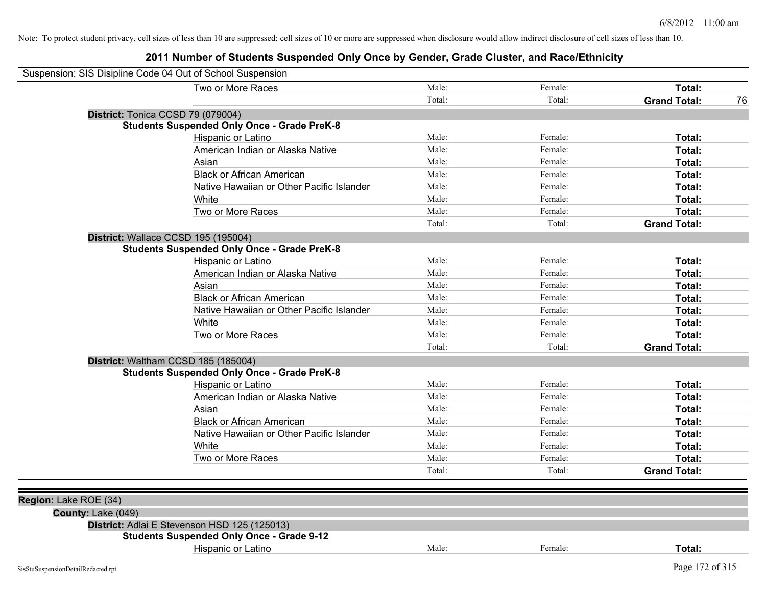| Suspension: SIS Disipline Code 04 Out of School Suspension |                                                    |        |         |                     |    |
|------------------------------------------------------------|----------------------------------------------------|--------|---------|---------------------|----|
|                                                            | Two or More Races                                  | Male:  | Female: | Total:              |    |
|                                                            |                                                    | Total: | Total:  | <b>Grand Total:</b> | 76 |
|                                                            | District: Tonica CCSD 79 (079004)                  |        |         |                     |    |
|                                                            | <b>Students Suspended Only Once - Grade PreK-8</b> |        |         |                     |    |
|                                                            | Hispanic or Latino                                 | Male:  | Female: | Total:              |    |
|                                                            | American Indian or Alaska Native                   | Male:  | Female: | Total:              |    |
|                                                            | Asian                                              | Male:  | Female: | Total:              |    |
|                                                            | <b>Black or African American</b>                   | Male:  | Female: | Total:              |    |
|                                                            | Native Hawaiian or Other Pacific Islander          | Male:  | Female: | Total:              |    |
|                                                            | White                                              | Male:  | Female: | Total:              |    |
|                                                            | Two or More Races                                  | Male:  | Female: | Total:              |    |
|                                                            |                                                    | Total: | Total:  | <b>Grand Total:</b> |    |
|                                                            | District: Wallace CCSD 195 (195004)                |        |         |                     |    |
|                                                            | <b>Students Suspended Only Once - Grade PreK-8</b> |        |         |                     |    |
|                                                            | Hispanic or Latino                                 | Male:  | Female: | Total:              |    |
|                                                            | American Indian or Alaska Native                   | Male:  | Female: | Total:              |    |
|                                                            | Asian                                              | Male:  | Female: | Total:              |    |
|                                                            | <b>Black or African American</b>                   | Male:  | Female: | Total:              |    |
|                                                            | Native Hawaiian or Other Pacific Islander          | Male:  | Female: | Total:              |    |
|                                                            | White                                              | Male:  | Female: | Total:              |    |
|                                                            | Two or More Races                                  | Male:  | Female: | Total:              |    |
|                                                            |                                                    | Total: | Total:  | <b>Grand Total:</b> |    |
|                                                            | District: Waltham CCSD 185 (185004)                |        |         |                     |    |
|                                                            | <b>Students Suspended Only Once - Grade PreK-8</b> |        |         |                     |    |
|                                                            | Hispanic or Latino                                 | Male:  | Female: | Total:              |    |
|                                                            | American Indian or Alaska Native                   | Male:  | Female: | Total:              |    |
|                                                            | Asian                                              | Male:  | Female: | Total:              |    |
|                                                            | <b>Black or African American</b>                   | Male:  | Female: | Total:              |    |
|                                                            | Native Hawaiian or Other Pacific Islander          | Male:  | Female: | Total:              |    |
|                                                            | White                                              | Male:  | Female: | Total:              |    |
|                                                            | Two or More Races                                  | Male:  | Female: | Total:              |    |
|                                                            |                                                    | Total: | Total:  | <b>Grand Total:</b> |    |
|                                                            |                                                    |        |         |                     |    |
| Region: Lake ROE (34)                                      |                                                    |        |         |                     |    |
| County: Lake (049)                                         |                                                    |        |         |                     |    |
|                                                            | District: Adlai E Stevenson HSD 125 (125013)       |        |         |                     |    |
|                                                            | <b>Students Suspended Only Once - Grade 9-12</b>   |        |         |                     |    |
|                                                            | Hispanic or Latino                                 | Male:  | Female: | Total:              |    |
| SisStuSuspensionDetailRedacted.rpt                         |                                                    |        |         | Page 172 of 315     |    |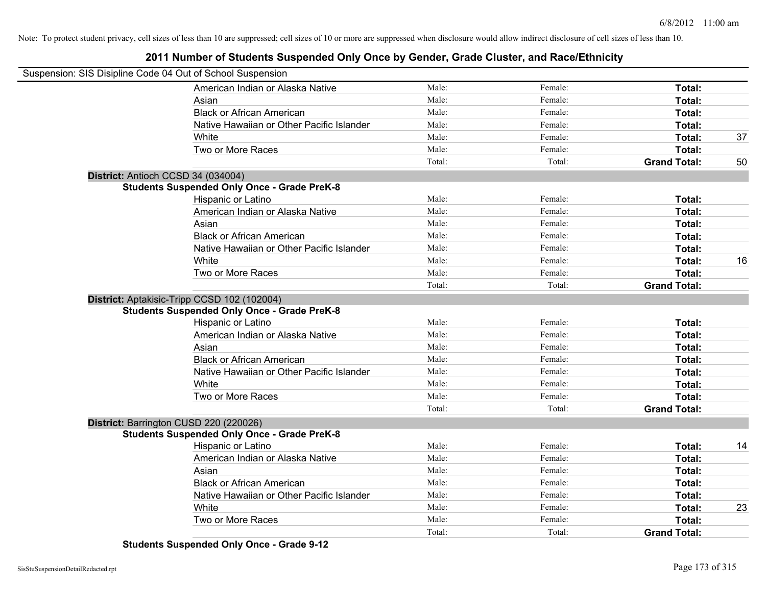### **2011 Number of Students Suspended Only Once by Gender, Grade Cluster, and Race/Ethnicity**

| Suspension: SIS Disipline Code 04 Out of School Suspension |                                                    |        |         |                     |    |
|------------------------------------------------------------|----------------------------------------------------|--------|---------|---------------------|----|
|                                                            | American Indian or Alaska Native                   | Male:  | Female: | Total:              |    |
|                                                            | Asian                                              | Male:  | Female: | Total:              |    |
|                                                            | <b>Black or African American</b>                   | Male:  | Female: | Total:              |    |
|                                                            | Native Hawaiian or Other Pacific Islander          | Male:  | Female: | Total:              |    |
|                                                            | White                                              | Male:  | Female: | Total:              | 37 |
|                                                            | Two or More Races                                  | Male:  | Female: | Total:              |    |
|                                                            |                                                    | Total: | Total:  | <b>Grand Total:</b> | 50 |
|                                                            | District: Antioch CCSD 34 (034004)                 |        |         |                     |    |
|                                                            | <b>Students Suspended Only Once - Grade PreK-8</b> |        |         |                     |    |
|                                                            | Hispanic or Latino                                 | Male:  | Female: | Total:              |    |
|                                                            | American Indian or Alaska Native                   | Male:  | Female: | Total:              |    |
|                                                            | Asian                                              | Male:  | Female: | Total:              |    |
|                                                            | <b>Black or African American</b>                   | Male:  | Female: | Total:              |    |
|                                                            | Native Hawaiian or Other Pacific Islander          | Male:  | Female: | Total:              |    |
|                                                            | White                                              | Male:  | Female: | Total:              | 16 |
|                                                            | Two or More Races                                  | Male:  | Female: | Total:              |    |
|                                                            |                                                    | Total: | Total:  | <b>Grand Total:</b> |    |
|                                                            | District: Aptakisic-Tripp CCSD 102 (102004)        |        |         |                     |    |
|                                                            | <b>Students Suspended Only Once - Grade PreK-8</b> |        |         |                     |    |
|                                                            | Hispanic or Latino                                 | Male:  | Female: | Total:              |    |
|                                                            | American Indian or Alaska Native                   | Male:  | Female: | Total:              |    |
|                                                            | Asian                                              | Male:  | Female: | Total:              |    |
|                                                            | <b>Black or African American</b>                   | Male:  | Female: | Total:              |    |
|                                                            | Native Hawaiian or Other Pacific Islander          | Male:  | Female: | Total:              |    |
|                                                            | White                                              | Male:  | Female: | Total:              |    |
|                                                            | Two or More Races                                  | Male:  | Female: | Total:              |    |
|                                                            |                                                    | Total: | Total:  | <b>Grand Total:</b> |    |
|                                                            | District: Barrington CUSD 220 (220026)             |        |         |                     |    |
|                                                            | <b>Students Suspended Only Once - Grade PreK-8</b> |        |         |                     |    |
|                                                            | Hispanic or Latino                                 | Male:  | Female: | Total:              | 14 |
|                                                            | American Indian or Alaska Native                   | Male:  | Female: | Total:              |    |
|                                                            | Asian                                              | Male:  | Female: | Total:              |    |
|                                                            | <b>Black or African American</b>                   | Male:  | Female: | Total:              |    |
|                                                            | Native Hawaiian or Other Pacific Islander          | Male:  | Female: | Total:              |    |
|                                                            | White                                              | Male:  | Female: | Total:              | 23 |
|                                                            | Two or More Races                                  | Male:  | Female: | Total:              |    |
|                                                            |                                                    | Total: | Total:  | <b>Grand Total:</b> |    |

**Students Suspended Only Once - Grade 9-12**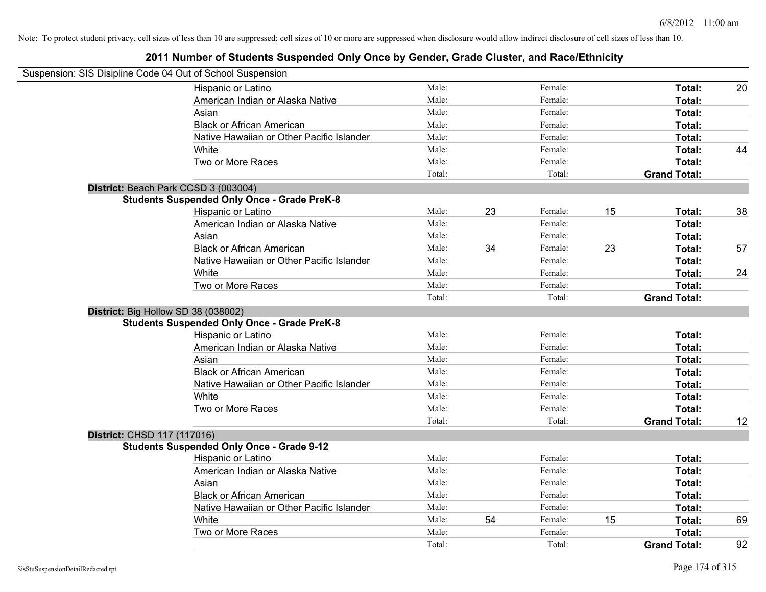| Suspension: SIS Disipline Code 04 Out of School Suspension |        |    |         |    |                     |    |
|------------------------------------------------------------|--------|----|---------|----|---------------------|----|
| Hispanic or Latino                                         | Male:  |    | Female: |    | Total:              | 20 |
| American Indian or Alaska Native                           | Male:  |    | Female: |    | Total:              |    |
| Asian                                                      | Male:  |    | Female: |    | Total:              |    |
| <b>Black or African American</b>                           | Male:  |    | Female: |    | Total:              |    |
| Native Hawaiian or Other Pacific Islander                  | Male:  |    | Female: |    | Total:              |    |
| White                                                      | Male:  |    | Female: |    | Total:              | 44 |
| Two or More Races                                          | Male:  |    | Female: |    | Total:              |    |
|                                                            | Total: |    | Total:  |    | <b>Grand Total:</b> |    |
| District: Beach Park CCSD 3 (003004)                       |        |    |         |    |                     |    |
| <b>Students Suspended Only Once - Grade PreK-8</b>         |        |    |         |    |                     |    |
| Hispanic or Latino                                         | Male:  | 23 | Female: | 15 | Total:              | 38 |
| American Indian or Alaska Native                           | Male:  |    | Female: |    | Total:              |    |
| Asian                                                      | Male:  |    | Female: |    | Total:              |    |
| <b>Black or African American</b>                           | Male:  | 34 | Female: | 23 | Total:              | 57 |
| Native Hawaiian or Other Pacific Islander                  | Male:  |    | Female: |    | Total:              |    |
| White                                                      | Male:  |    | Female: |    | Total:              | 24 |
| Two or More Races                                          | Male:  |    | Female: |    | Total:              |    |
|                                                            | Total: |    | Total:  |    | <b>Grand Total:</b> |    |
| District: Big Hollow SD 38 (038002)                        |        |    |         |    |                     |    |
| <b>Students Suspended Only Once - Grade PreK-8</b>         |        |    |         |    |                     |    |
| Hispanic or Latino                                         | Male:  |    | Female: |    | Total:              |    |
| American Indian or Alaska Native                           | Male:  |    | Female: |    | Total:              |    |
| Asian                                                      | Male:  |    | Female: |    | Total:              |    |
| <b>Black or African American</b>                           | Male:  |    | Female: |    | Total:              |    |
| Native Hawaiian or Other Pacific Islander                  | Male:  |    | Female: |    | Total:              |    |
| White                                                      | Male:  |    | Female: |    | Total:              |    |
| Two or More Races                                          | Male:  |    | Female: |    | Total:              |    |
|                                                            | Total: |    | Total:  |    | <b>Grand Total:</b> | 12 |
| District: CHSD 117 (117016)                                |        |    |         |    |                     |    |
| <b>Students Suspended Only Once - Grade 9-12</b>           |        |    |         |    |                     |    |
| Hispanic or Latino                                         | Male:  |    | Female: |    | Total:              |    |
| American Indian or Alaska Native                           | Male:  |    | Female: |    | Total:              |    |
| Asian                                                      | Male:  |    | Female: |    | Total:              |    |
| <b>Black or African American</b>                           | Male:  |    | Female: |    | Total:              |    |
| Native Hawaiian or Other Pacific Islander                  | Male:  |    | Female: |    | Total:              |    |
| White                                                      | Male:  | 54 | Female: | 15 | Total:              | 69 |
| Two or More Races                                          | Male:  |    | Female: |    | Total:              |    |
|                                                            | Total: |    | Total:  |    | <b>Grand Total:</b> | 92 |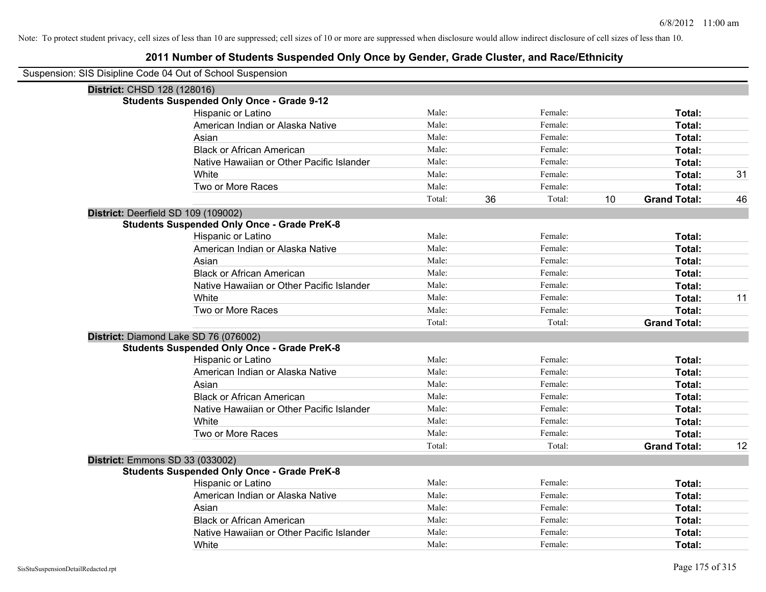| Suspension: SIS Disipline Code 04 Out of School Suspension |                                                    |        |    |         |    |                     |    |
|------------------------------------------------------------|----------------------------------------------------|--------|----|---------|----|---------------------|----|
| District: CHSD 128 (128016)                                |                                                    |        |    |         |    |                     |    |
|                                                            | <b>Students Suspended Only Once - Grade 9-12</b>   |        |    |         |    |                     |    |
|                                                            | Hispanic or Latino                                 | Male:  |    | Female: |    | Total:              |    |
|                                                            | American Indian or Alaska Native                   | Male:  |    | Female: |    | Total:              |    |
|                                                            | Asian                                              | Male:  |    | Female: |    | Total:              |    |
|                                                            | <b>Black or African American</b>                   | Male:  |    | Female: |    | Total:              |    |
|                                                            | Native Hawaiian or Other Pacific Islander          | Male:  |    | Female: |    | Total:              |    |
|                                                            | White                                              | Male:  |    | Female: |    | Total:              | 31 |
|                                                            | Two or More Races                                  | Male:  |    | Female: |    | Total:              |    |
|                                                            |                                                    | Total: | 36 | Total:  | 10 | <b>Grand Total:</b> | 46 |
| District: Deerfield SD 109 (109002)                        |                                                    |        |    |         |    |                     |    |
|                                                            | <b>Students Suspended Only Once - Grade PreK-8</b> |        |    |         |    |                     |    |
|                                                            | Hispanic or Latino                                 | Male:  |    | Female: |    | Total:              |    |
|                                                            | American Indian or Alaska Native                   | Male:  |    | Female: |    | Total:              |    |
|                                                            | Asian                                              | Male:  |    | Female: |    | Total:              |    |
|                                                            | <b>Black or African American</b>                   | Male:  |    | Female: |    | Total:              |    |
|                                                            | Native Hawaiian or Other Pacific Islander          | Male:  |    | Female: |    | Total:              |    |
|                                                            | White                                              | Male:  |    | Female: |    | Total:              | 11 |
|                                                            | Two or More Races                                  | Male:  |    | Female: |    | Total:              |    |
|                                                            |                                                    | Total: |    | Total:  |    | <b>Grand Total:</b> |    |
|                                                            | District: Diamond Lake SD 76 (076002)              |        |    |         |    |                     |    |
|                                                            | <b>Students Suspended Only Once - Grade PreK-8</b> |        |    |         |    |                     |    |
|                                                            | Hispanic or Latino                                 | Male:  |    | Female: |    | Total:              |    |
|                                                            | American Indian or Alaska Native                   | Male:  |    | Female: |    | Total:              |    |
|                                                            | Asian                                              | Male:  |    | Female: |    | Total:              |    |
|                                                            | <b>Black or African American</b>                   | Male:  |    | Female: |    | Total:              |    |
|                                                            | Native Hawaiian or Other Pacific Islander          | Male:  |    | Female: |    | Total:              |    |
|                                                            | White                                              | Male:  |    | Female: |    | Total:              |    |
|                                                            | Two or More Races                                  | Male:  |    | Female: |    | Total:              |    |
|                                                            |                                                    | Total: |    | Total:  |    | <b>Grand Total:</b> | 12 |
| District: Emmons SD 33 (033002)                            |                                                    |        |    |         |    |                     |    |
|                                                            | <b>Students Suspended Only Once - Grade PreK-8</b> |        |    |         |    |                     |    |
|                                                            | Hispanic or Latino                                 | Male:  |    | Female: |    | Total:              |    |
|                                                            | American Indian or Alaska Native                   | Male:  |    | Female: |    | Total:              |    |
|                                                            | Asian                                              | Male:  |    | Female: |    | Total:              |    |
|                                                            | <b>Black or African American</b>                   | Male:  |    | Female: |    | Total:              |    |
|                                                            | Native Hawaiian or Other Pacific Islander          | Male:  |    | Female: |    | Total:              |    |
|                                                            | White                                              | Male:  |    | Female: |    | Total:              |    |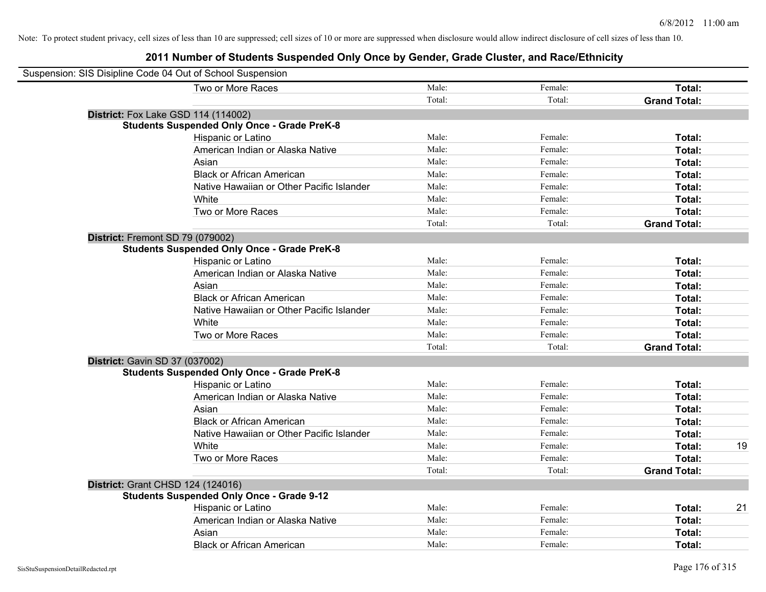| Suspension: SIS Disipline Code 04 Out of School Suspension |        |         |                     |    |
|------------------------------------------------------------|--------|---------|---------------------|----|
| Two or More Races                                          | Male:  | Female: | Total:              |    |
|                                                            | Total: | Total:  | <b>Grand Total:</b> |    |
| <b>District:</b> Fox Lake GSD 114 (114002)                 |        |         |                     |    |
| <b>Students Suspended Only Once - Grade PreK-8</b>         |        |         |                     |    |
| Hispanic or Latino                                         | Male:  | Female: | Total:              |    |
| American Indian or Alaska Native                           | Male:  | Female: | Total:              |    |
| Asian                                                      | Male:  | Female: | Total:              |    |
| <b>Black or African American</b>                           | Male:  | Female: | Total:              |    |
| Native Hawaiian or Other Pacific Islander                  | Male:  | Female: | Total:              |    |
| White                                                      | Male:  | Female: | Total:              |    |
| Two or More Races                                          | Male:  | Female: | Total:              |    |
|                                                            | Total: | Total:  | <b>Grand Total:</b> |    |
| District: Fremont SD 79 (079002)                           |        |         |                     |    |
| <b>Students Suspended Only Once - Grade PreK-8</b>         |        |         |                     |    |
| Hispanic or Latino                                         | Male:  | Female: | Total:              |    |
| American Indian or Alaska Native                           | Male:  | Female: | Total:              |    |
| Asian                                                      | Male:  | Female: | Total:              |    |
| <b>Black or African American</b>                           | Male:  | Female: | Total:              |    |
| Native Hawaiian or Other Pacific Islander                  | Male:  | Female: | Total:              |    |
| White                                                      | Male:  | Female: | Total:              |    |
| Two or More Races                                          | Male:  | Female: | Total:              |    |
|                                                            | Total: | Total:  | <b>Grand Total:</b> |    |
| <b>District: Gavin SD 37 (037002)</b>                      |        |         |                     |    |
| <b>Students Suspended Only Once - Grade PreK-8</b>         |        |         |                     |    |
| Hispanic or Latino                                         | Male:  | Female: | Total:              |    |
| American Indian or Alaska Native                           | Male:  | Female: | Total:              |    |
| Asian                                                      | Male:  | Female: | Total:              |    |
| <b>Black or African American</b>                           | Male:  | Female: | Total:              |    |
| Native Hawaiian or Other Pacific Islander                  | Male:  | Female: | Total:              |    |
| White                                                      | Male:  | Female: | Total:              | 19 |
| Two or More Races                                          | Male:  | Female: | Total:              |    |
|                                                            | Total: | Total:  | <b>Grand Total:</b> |    |
| <b>District: Grant CHSD 124 (124016)</b>                   |        |         |                     |    |
| <b>Students Suspended Only Once - Grade 9-12</b>           |        |         |                     |    |
| Hispanic or Latino                                         | Male:  | Female: | Total:              | 21 |
| American Indian or Alaska Native                           | Male:  | Female: | Total:              |    |
| Asian                                                      | Male:  | Female: | Total:              |    |
| <b>Black or African American</b>                           | Male:  | Female: | Total:              |    |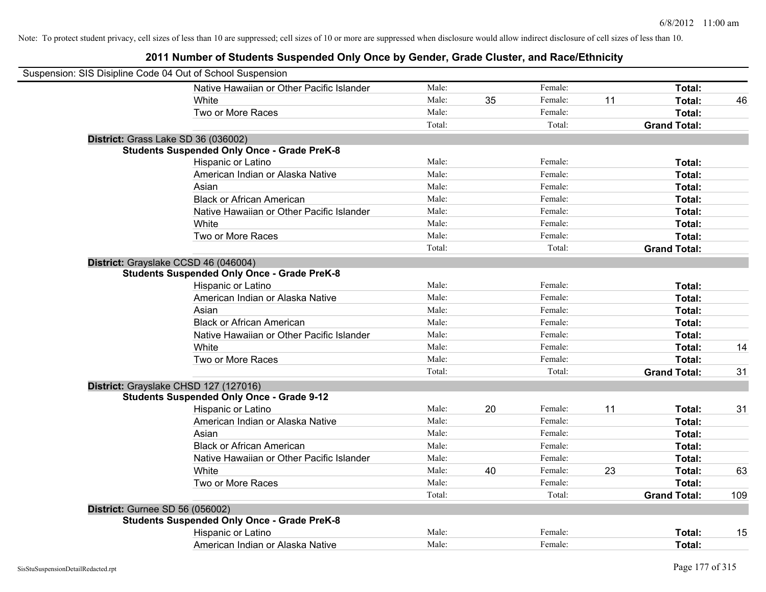| Suspension: SIS Disipline Code 04 Out of School Suspension |        |    |         |    |                     |     |
|------------------------------------------------------------|--------|----|---------|----|---------------------|-----|
| Native Hawaiian or Other Pacific Islander                  | Male:  |    | Female: |    | Total:              |     |
| White                                                      | Male:  | 35 | Female: | 11 | Total:              | 46  |
| Two or More Races                                          | Male:  |    | Female: |    | Total:              |     |
|                                                            | Total: |    | Total:  |    | <b>Grand Total:</b> |     |
| District: Grass Lake SD 36 (036002)                        |        |    |         |    |                     |     |
| <b>Students Suspended Only Once - Grade PreK-8</b>         |        |    |         |    |                     |     |
| Hispanic or Latino                                         | Male:  |    | Female: |    | Total:              |     |
| American Indian or Alaska Native                           | Male:  |    | Female: |    | Total:              |     |
| Asian                                                      | Male:  |    | Female: |    | Total:              |     |
| <b>Black or African American</b>                           | Male:  |    | Female: |    | Total:              |     |
| Native Hawaiian or Other Pacific Islander                  | Male:  |    | Female: |    | Total:              |     |
| White                                                      | Male:  |    | Female: |    | Total:              |     |
| Two or More Races                                          | Male:  |    | Female: |    | Total:              |     |
|                                                            | Total: |    | Total:  |    | <b>Grand Total:</b> |     |
| District: Grayslake CCSD 46 (046004)                       |        |    |         |    |                     |     |
| <b>Students Suspended Only Once - Grade PreK-8</b>         |        |    |         |    |                     |     |
| Hispanic or Latino                                         | Male:  |    | Female: |    | Total:              |     |
| American Indian or Alaska Native                           | Male:  |    | Female: |    | Total:              |     |
| Asian                                                      | Male:  |    | Female: |    | Total:              |     |
| <b>Black or African American</b>                           | Male:  |    | Female: |    | Total:              |     |
| Native Hawaiian or Other Pacific Islander                  | Male:  |    | Female: |    | Total:              |     |
| White                                                      | Male:  |    | Female: |    | Total:              | 14  |
| Two or More Races                                          | Male:  |    | Female: |    | Total:              |     |
|                                                            | Total: |    | Total:  |    | <b>Grand Total:</b> | 31  |
| District: Grayslake CHSD 127 (127016)                      |        |    |         |    |                     |     |
| <b>Students Suspended Only Once - Grade 9-12</b>           |        |    |         |    |                     |     |
| Hispanic or Latino                                         | Male:  | 20 | Female: | 11 | Total:              | 31  |
| American Indian or Alaska Native                           | Male:  |    | Female: |    | Total:              |     |
| Asian                                                      | Male:  |    | Female: |    | Total:              |     |
| <b>Black or African American</b>                           | Male:  |    | Female: |    | Total:              |     |
| Native Hawaiian or Other Pacific Islander                  | Male:  |    | Female: |    | Total:              |     |
| White                                                      | Male:  | 40 | Female: | 23 | Total:              | 63  |
| Two or More Races                                          | Male:  |    | Female: |    | Total:              |     |
|                                                            | Total: |    | Total:  |    | <b>Grand Total:</b> | 109 |
| <b>District: Gurnee SD 56 (056002)</b>                     |        |    |         |    |                     |     |
| <b>Students Suspended Only Once - Grade PreK-8</b>         |        |    |         |    |                     |     |
| Hispanic or Latino                                         | Male:  |    | Female: |    | Total:              | 15  |
| American Indian or Alaska Native                           | Male:  |    | Female: |    | Total:              |     |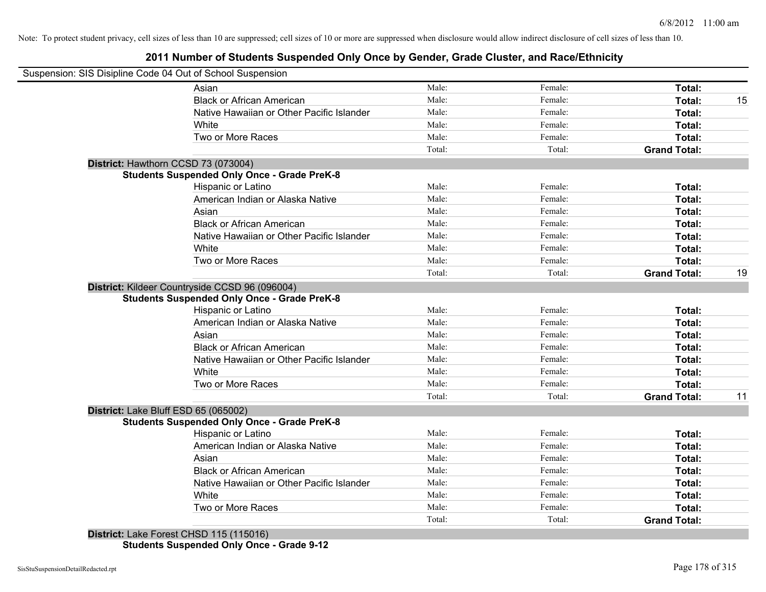# **2011 Number of Students Suspended Only Once by Gender, Grade Cluster, and Race/Ethnicity**

| Suspension: SIS Disipline Code 04 Out of School Suspension |                                                                          |        |         |                     |    |
|------------------------------------------------------------|--------------------------------------------------------------------------|--------|---------|---------------------|----|
| Asian                                                      |                                                                          | Male:  | Female: | Total:              |    |
|                                                            | <b>Black or African American</b>                                         | Male:  | Female: | Total:              | 15 |
|                                                            | Native Hawaiian or Other Pacific Islander                                | Male:  | Female: | Total:              |    |
| White                                                      |                                                                          | Male:  | Female: | Total:              |    |
|                                                            | Two or More Races                                                        | Male:  | Female: | Total:              |    |
|                                                            |                                                                          | Total: | Total:  | <b>Grand Total:</b> |    |
| District: Hawthorn CCSD 73 (073004)                        |                                                                          |        |         |                     |    |
|                                                            | <b>Students Suspended Only Once - Grade PreK-8</b>                       |        |         |                     |    |
|                                                            | Hispanic or Latino                                                       | Male:  | Female: | Total:              |    |
|                                                            | American Indian or Alaska Native                                         | Male:  | Female: | Total:              |    |
| Asian                                                      |                                                                          | Male:  | Female: | Total:              |    |
|                                                            | <b>Black or African American</b>                                         | Male:  | Female: | Total:              |    |
|                                                            | Native Hawaiian or Other Pacific Islander                                | Male:  | Female: | Total:              |    |
| White                                                      |                                                                          | Male:  | Female: | Total:              |    |
|                                                            | Two or More Races                                                        | Male:  | Female: | <b>Total:</b>       |    |
|                                                            |                                                                          | Total: | Total:  | <b>Grand Total:</b> | 19 |
| District: Kildeer Countryside CCSD 96 (096004)             | <b>Students Suspended Only Once - Grade PreK-8</b><br>Hispanic or Latino | Male:  | Female: | Total:              |    |
|                                                            | American Indian or Alaska Native                                         | Male:  | Female: | Total:              |    |
| Asian                                                      |                                                                          | Male:  | Female: | Total:              |    |
|                                                            | <b>Black or African American</b>                                         | Male:  | Female: | Total:              |    |
|                                                            | Native Hawaiian or Other Pacific Islander                                | Male:  | Female: | Total:              |    |
| White                                                      |                                                                          | Male:  | Female: | Total:              |    |
|                                                            | Two or More Races                                                        | Male:  | Female: | Total:              |    |
|                                                            |                                                                          | Total: | Total:  | <b>Grand Total:</b> | 11 |
| District: Lake Bluff ESD 65 (065002)                       |                                                                          |        |         |                     |    |
|                                                            | <b>Students Suspended Only Once - Grade PreK-8</b>                       |        |         |                     |    |
|                                                            | Hispanic or Latino                                                       | Male:  | Female: | Total:              |    |
|                                                            | American Indian or Alaska Native                                         | Male:  | Female: | Total:              |    |
| Asian                                                      |                                                                          | Male:  | Female: | Total:              |    |
|                                                            | <b>Black or African American</b>                                         | Male:  | Female: | Total:              |    |
|                                                            | Native Hawaiian or Other Pacific Islander                                | Male:  | Female: | Total:              |    |
| White                                                      |                                                                          | Male:  | Female: | Total:              |    |
|                                                            | Two or More Races                                                        | Male:  | Female: | <b>Total:</b>       |    |
|                                                            |                                                                          | Total: | Total:  | <b>Grand Total:</b> |    |
| District: Lake Forest CHSD 115 (115016)                    |                                                                          |        |         |                     |    |

**Students Suspended Only Once - Grade 9-12**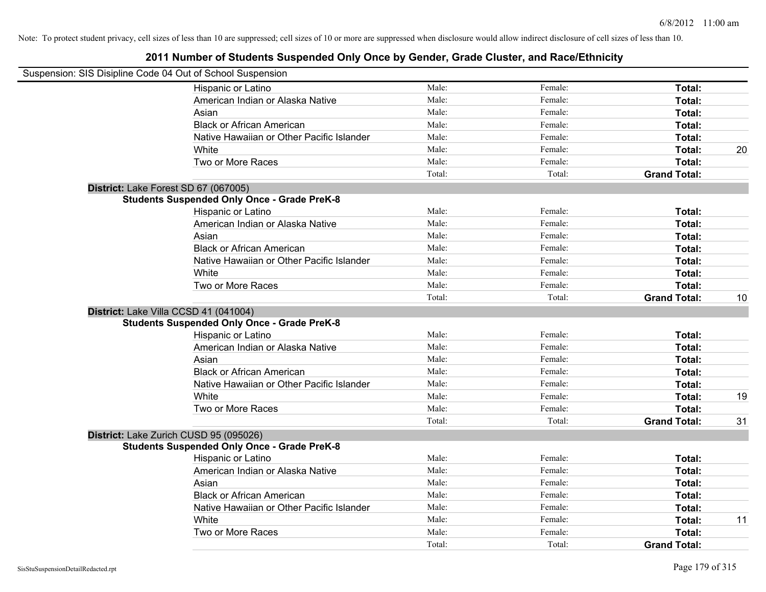| Suspension: SIS Disipline Code 04 Out of School Suspension |        |         |                     |    |
|------------------------------------------------------------|--------|---------|---------------------|----|
| Hispanic or Latino                                         | Male:  | Female: | Total:              |    |
| American Indian or Alaska Native                           | Male:  | Female: | Total:              |    |
| Asian                                                      | Male:  | Female: | Total:              |    |
| <b>Black or African American</b>                           | Male:  | Female: | Total:              |    |
| Native Hawaiian or Other Pacific Islander                  | Male:  | Female: | Total:              |    |
| White                                                      | Male:  | Female: | Total:              | 20 |
| Two or More Races                                          | Male:  | Female: | Total:              |    |
|                                                            | Total: | Total:  | <b>Grand Total:</b> |    |
| District: Lake Forest SD 67 (067005)                       |        |         |                     |    |
| <b>Students Suspended Only Once - Grade PreK-8</b>         |        |         |                     |    |
| Hispanic or Latino                                         | Male:  | Female: | Total:              |    |
| American Indian or Alaska Native                           | Male:  | Female: | Total:              |    |
| Asian                                                      | Male:  | Female: | Total:              |    |
| <b>Black or African American</b>                           | Male:  | Female: | Total:              |    |
| Native Hawaiian or Other Pacific Islander                  | Male:  | Female: | Total:              |    |
| White                                                      | Male:  | Female: | Total:              |    |
| Two or More Races                                          | Male:  | Female: | Total:              |    |
|                                                            | Total: | Total:  | <b>Grand Total:</b> | 10 |
| District: Lake Villa CCSD 41 (041004)                      |        |         |                     |    |
| <b>Students Suspended Only Once - Grade PreK-8</b>         |        |         |                     |    |
| Hispanic or Latino                                         | Male:  | Female: | Total:              |    |
| American Indian or Alaska Native                           | Male:  | Female: | Total:              |    |
| Asian                                                      | Male:  | Female: | Total:              |    |
| <b>Black or African American</b>                           | Male:  | Female: | Total:              |    |
| Native Hawaiian or Other Pacific Islander                  | Male:  | Female: | Total:              |    |
| White                                                      | Male:  | Female: | Total:              | 19 |
| Two or More Races                                          | Male:  | Female: | Total:              |    |
|                                                            | Total: | Total:  | <b>Grand Total:</b> | 31 |
| District: Lake Zurich CUSD 95 (095026)                     |        |         |                     |    |
| <b>Students Suspended Only Once - Grade PreK-8</b>         |        |         |                     |    |
| Hispanic or Latino                                         | Male:  | Female: | Total:              |    |
| American Indian or Alaska Native                           | Male:  | Female: | Total:              |    |
| Asian                                                      | Male:  | Female: | Total:              |    |
| <b>Black or African American</b>                           | Male:  | Female: | Total:              |    |
| Native Hawaiian or Other Pacific Islander                  | Male:  | Female: | Total:              |    |
| White                                                      | Male:  | Female: | Total:              | 11 |
| Two or More Races                                          | Male:  | Female: | Total:              |    |
|                                                            | Total: | Total:  | <b>Grand Total:</b> |    |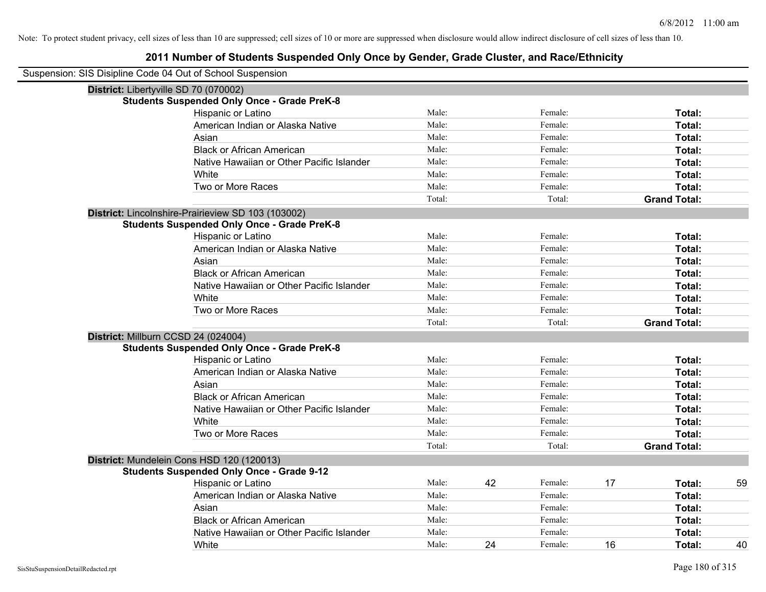| Suspension: SIS Disipline Code 04 Out of School Suspension |        |    |         |    |                     |    |
|------------------------------------------------------------|--------|----|---------|----|---------------------|----|
| District: Libertyville SD 70 (070002)                      |        |    |         |    |                     |    |
| <b>Students Suspended Only Once - Grade PreK-8</b>         |        |    |         |    |                     |    |
| Hispanic or Latino                                         | Male:  |    | Female: |    | Total:              |    |
| American Indian or Alaska Native                           | Male:  |    | Female: |    | Total:              |    |
| Asian                                                      | Male:  |    | Female: |    | Total:              |    |
| <b>Black or African American</b>                           | Male:  |    | Female: |    | Total:              |    |
| Native Hawaiian or Other Pacific Islander                  | Male:  |    | Female: |    | Total:              |    |
| White                                                      | Male:  |    | Female: |    | Total:              |    |
| Two or More Races                                          | Male:  |    | Female: |    | Total:              |    |
|                                                            | Total: |    | Total:  |    | <b>Grand Total:</b> |    |
| District: Lincolnshire-Prairieview SD 103 (103002)         |        |    |         |    |                     |    |
| <b>Students Suspended Only Once - Grade PreK-8</b>         |        |    |         |    |                     |    |
| Hispanic or Latino                                         | Male:  |    | Female: |    | Total:              |    |
| American Indian or Alaska Native                           | Male:  |    | Female: |    | Total:              |    |
| Asian                                                      | Male:  |    | Female: |    | Total:              |    |
| <b>Black or African American</b>                           | Male:  |    | Female: |    | Total:              |    |
| Native Hawaiian or Other Pacific Islander                  | Male:  |    | Female: |    | Total:              |    |
| White                                                      | Male:  |    | Female: |    | Total:              |    |
| Two or More Races                                          | Male:  |    | Female: |    | Total:              |    |
|                                                            | Total: |    | Total:  |    | <b>Grand Total:</b> |    |
| District: Millburn CCSD 24 (024004)                        |        |    |         |    |                     |    |
| <b>Students Suspended Only Once - Grade PreK-8</b>         |        |    |         |    |                     |    |
| Hispanic or Latino                                         | Male:  |    | Female: |    | Total:              |    |
| American Indian or Alaska Native                           | Male:  |    | Female: |    | Total:              |    |
| Asian                                                      | Male:  |    | Female: |    | Total:              |    |
| <b>Black or African American</b>                           | Male:  |    | Female: |    | Total:              |    |
| Native Hawaiian or Other Pacific Islander                  | Male:  |    | Female: |    | Total:              |    |
| White                                                      | Male:  |    | Female: |    | Total:              |    |
| Two or More Races                                          | Male:  |    | Female: |    | Total:              |    |
|                                                            | Total: |    | Total:  |    | <b>Grand Total:</b> |    |
| District: Mundelein Cons HSD 120 (120013)                  |        |    |         |    |                     |    |
| <b>Students Suspended Only Once - Grade 9-12</b>           |        |    |         |    |                     |    |
| Hispanic or Latino                                         | Male:  | 42 | Female: | 17 | Total:              | 59 |
| American Indian or Alaska Native                           | Male:  |    | Female: |    | Total:              |    |
| Asian                                                      | Male:  |    | Female: |    | Total:              |    |
| <b>Black or African American</b>                           | Male:  |    | Female: |    | Total:              |    |
| Native Hawaiian or Other Pacific Islander                  | Male:  |    | Female: |    | Total:              |    |
| White                                                      | Male:  | 24 | Female: | 16 | Total:              | 40 |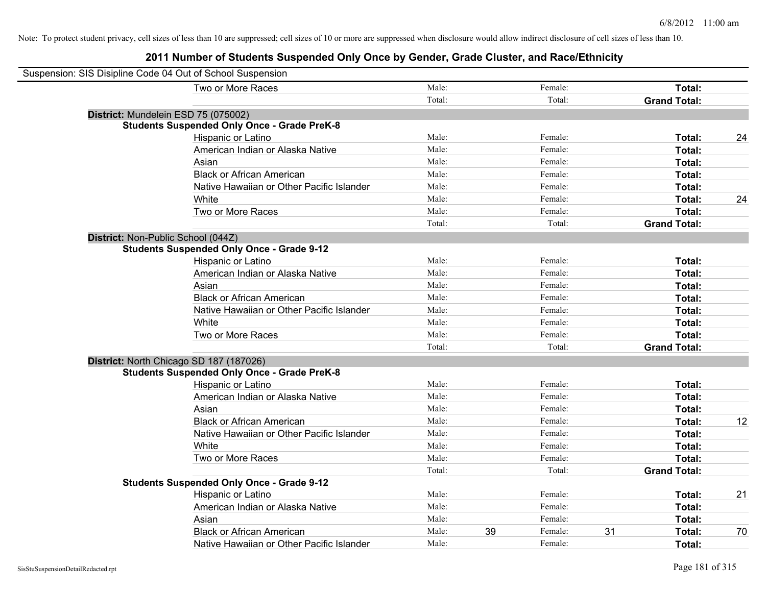| Suspension: SIS Disipline Code 04 Out of School Suspension |                                                    |        |    |         |                     |    |
|------------------------------------------------------------|----------------------------------------------------|--------|----|---------|---------------------|----|
|                                                            | Two or More Races                                  | Male:  |    | Female: | Total:              |    |
|                                                            |                                                    | Total: |    | Total:  | <b>Grand Total:</b> |    |
| District: Mundelein ESD 75 (075002)                        |                                                    |        |    |         |                     |    |
|                                                            | <b>Students Suspended Only Once - Grade PreK-8</b> |        |    |         |                     |    |
|                                                            | Hispanic or Latino                                 | Male:  |    | Female: | Total:              | 24 |
|                                                            | American Indian or Alaska Native                   | Male:  |    | Female: | Total:              |    |
|                                                            | Asian                                              | Male:  |    | Female: | Total:              |    |
|                                                            | <b>Black or African American</b>                   | Male:  |    | Female: | Total:              |    |
|                                                            | Native Hawaiian or Other Pacific Islander          | Male:  |    | Female: | Total:              |    |
|                                                            | White                                              | Male:  |    | Female: | Total:              | 24 |
|                                                            | Two or More Races                                  | Male:  |    | Female: | Total:              |    |
|                                                            |                                                    | Total: |    | Total:  | <b>Grand Total:</b> |    |
| District: Non-Public School (044Z)                         |                                                    |        |    |         |                     |    |
|                                                            | <b>Students Suspended Only Once - Grade 9-12</b>   |        |    |         |                     |    |
|                                                            | Hispanic or Latino                                 | Male:  |    | Female: | Total:              |    |
|                                                            | American Indian or Alaska Native                   | Male:  |    | Female: | Total:              |    |
|                                                            | Asian                                              | Male:  |    | Female: | Total:              |    |
|                                                            | <b>Black or African American</b>                   | Male:  |    | Female: | Total:              |    |
|                                                            | Native Hawaiian or Other Pacific Islander          | Male:  |    | Female: | Total:              |    |
|                                                            | White                                              | Male:  |    | Female: | Total:              |    |
|                                                            | Two or More Races                                  | Male:  |    | Female: | Total:              |    |
|                                                            |                                                    | Total: |    | Total:  | <b>Grand Total:</b> |    |
| District: North Chicago SD 187 (187026)                    |                                                    |        |    |         |                     |    |
|                                                            | <b>Students Suspended Only Once - Grade PreK-8</b> |        |    |         |                     |    |
|                                                            | Hispanic or Latino                                 | Male:  |    | Female: | Total:              |    |
|                                                            | American Indian or Alaska Native                   | Male:  |    | Female: | Total:              |    |
|                                                            | Asian                                              | Male:  |    | Female: | Total:              |    |
|                                                            | <b>Black or African American</b>                   | Male:  |    | Female: | Total:              | 12 |
|                                                            | Native Hawaiian or Other Pacific Islander          | Male:  |    | Female: | Total:              |    |
|                                                            | White                                              | Male:  |    | Female: | Total:              |    |
|                                                            | Two or More Races                                  | Male:  |    | Female: | Total:              |    |
|                                                            |                                                    | Total: |    | Total:  | <b>Grand Total:</b> |    |
|                                                            | <b>Students Suspended Only Once - Grade 9-12</b>   |        |    |         |                     |    |
|                                                            | Hispanic or Latino                                 | Male:  |    | Female: | Total:              | 21 |
|                                                            | American Indian or Alaska Native                   | Male:  |    | Female: | Total:              |    |
|                                                            | Asian                                              | Male:  |    | Female: | Total:              |    |
|                                                            | <b>Black or African American</b>                   | Male:  | 39 | Female: | 31<br>Total:        | 70 |
|                                                            | Native Hawaiian or Other Pacific Islander          | Male:  |    | Female: | Total:              |    |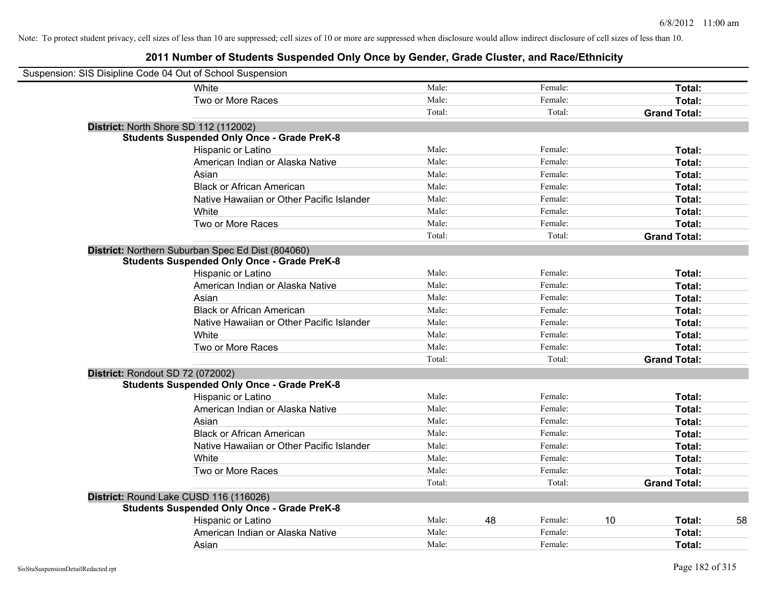| Suspension: SIS Disipline Code 04 Out of School Suspension |                                                    |        |               |                     |    |
|------------------------------------------------------------|----------------------------------------------------|--------|---------------|---------------------|----|
|                                                            | <b>White</b>                                       | Male:  | Female:       | Total:              |    |
|                                                            | Two or More Races                                  | Male:  | Female:       | Total:              |    |
|                                                            |                                                    | Total: | Total:        | <b>Grand Total:</b> |    |
| District: North Shore SD 112 (112002)                      |                                                    |        |               |                     |    |
|                                                            | <b>Students Suspended Only Once - Grade PreK-8</b> |        |               |                     |    |
|                                                            | Hispanic or Latino                                 | Male:  | Female:       | Total:              |    |
|                                                            | American Indian or Alaska Native                   | Male:  | Female:       | Total:              |    |
|                                                            | Asian                                              | Male:  | Female:       | Total:              |    |
|                                                            | <b>Black or African American</b>                   | Male:  | Female:       | Total:              |    |
|                                                            | Native Hawaiian or Other Pacific Islander          | Male:  | Female:       | Total:              |    |
|                                                            | White                                              | Male:  | Female:       | Total:              |    |
|                                                            | Two or More Races                                  | Male:  | Female:       | Total:              |    |
|                                                            |                                                    | Total: | Total:        | <b>Grand Total:</b> |    |
|                                                            | District: Northern Suburban Spec Ed Dist (804060)  |        |               |                     |    |
|                                                            | <b>Students Suspended Only Once - Grade PreK-8</b> |        |               |                     |    |
|                                                            | Hispanic or Latino                                 | Male:  | Female:       | Total:              |    |
|                                                            | American Indian or Alaska Native                   | Male:  | Female:       | Total:              |    |
|                                                            | Asian                                              | Male:  | Female:       | Total:              |    |
|                                                            | <b>Black or African American</b>                   | Male:  | Female:       | Total:              |    |
|                                                            | Native Hawaiian or Other Pacific Islander          | Male:  | Female:       | Total:              |    |
|                                                            | White                                              | Male:  | Female:       | Total:              |    |
|                                                            | Two or More Races                                  | Male:  | Female:       | Total:              |    |
|                                                            |                                                    | Total: | Total:        | <b>Grand Total:</b> |    |
| District: Rondout SD 72 (072002)                           |                                                    |        |               |                     |    |
|                                                            | <b>Students Suspended Only Once - Grade PreK-8</b> |        |               |                     |    |
|                                                            | Hispanic or Latino                                 | Male:  | Female:       | Total:              |    |
|                                                            | American Indian or Alaska Native                   | Male:  | Female:       | Total:              |    |
|                                                            | Asian                                              | Male:  | Female:       | Total:              |    |
|                                                            | <b>Black or African American</b>                   | Male:  | Female:       | Total:              |    |
|                                                            | Native Hawaiian or Other Pacific Islander          | Male:  | Female:       | Total:              |    |
|                                                            | White                                              | Male:  | Female:       | Total:              |    |
|                                                            | Two or More Races                                  | Male:  | Female:       | Total:              |    |
|                                                            |                                                    | Total: | Total:        | <b>Grand Total:</b> |    |
| District: Round Lake CUSD 116 (116026)                     |                                                    |        |               |                     |    |
|                                                            | <b>Students Suspended Only Once - Grade PreK-8</b> |        |               |                     |    |
|                                                            | Hispanic or Latino                                 | Male:  | 48<br>Female: | 10<br>Total:        | 58 |
|                                                            | American Indian or Alaska Native                   | Male:  | Female:       | Total:              |    |
|                                                            | Asian                                              | Male:  | Female:       | Total:              |    |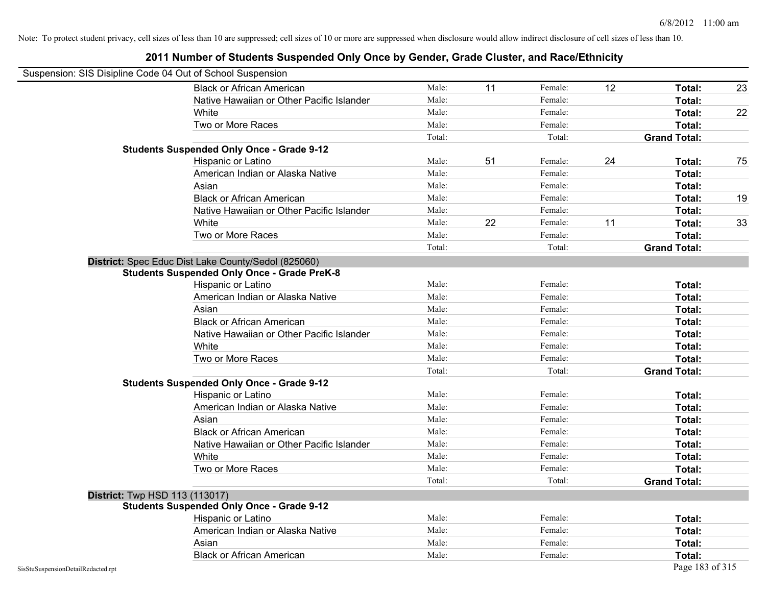| Suspension: SIS Disipline Code 04 Out of School Suspension |                                                     |        |    |         |    |                     |    |
|------------------------------------------------------------|-----------------------------------------------------|--------|----|---------|----|---------------------|----|
|                                                            | <b>Black or African American</b>                    | Male:  | 11 | Female: | 12 | Total:              | 23 |
|                                                            | Native Hawaiian or Other Pacific Islander           | Male:  |    | Female: |    | Total:              |    |
|                                                            | White                                               | Male:  |    | Female: |    | Total:              | 22 |
|                                                            | Two or More Races                                   | Male:  |    | Female: |    | Total:              |    |
|                                                            |                                                     | Total: |    | Total:  |    | <b>Grand Total:</b> |    |
|                                                            | <b>Students Suspended Only Once - Grade 9-12</b>    |        |    |         |    |                     |    |
|                                                            | Hispanic or Latino                                  | Male:  | 51 | Female: | 24 | Total:              | 75 |
|                                                            | American Indian or Alaska Native                    | Male:  |    | Female: |    | Total:              |    |
|                                                            | Asian                                               | Male:  |    | Female: |    | Total:              |    |
|                                                            | <b>Black or African American</b>                    | Male:  |    | Female: |    | Total:              | 19 |
|                                                            | Native Hawaiian or Other Pacific Islander           | Male:  |    | Female: |    | Total:              |    |
|                                                            | White                                               | Male:  | 22 | Female: | 11 | Total:              | 33 |
|                                                            | Two or More Races                                   | Male:  |    | Female: |    | Total:              |    |
|                                                            |                                                     | Total: |    | Total:  |    | <b>Grand Total:</b> |    |
|                                                            | District: Spec Educ Dist Lake County/Sedol (825060) |        |    |         |    |                     |    |
|                                                            | <b>Students Suspended Only Once - Grade PreK-8</b>  |        |    |         |    |                     |    |
|                                                            | Hispanic or Latino                                  | Male:  |    | Female: |    | Total:              |    |
|                                                            | American Indian or Alaska Native                    | Male:  |    | Female: |    | Total:              |    |
|                                                            | Asian                                               | Male:  |    | Female: |    | Total:              |    |
|                                                            | <b>Black or African American</b>                    | Male:  |    | Female: |    | Total:              |    |
|                                                            | Native Hawaiian or Other Pacific Islander           | Male:  |    | Female: |    | Total:              |    |
|                                                            | White                                               | Male:  |    | Female: |    | Total:              |    |
|                                                            | Two or More Races                                   | Male:  |    | Female: |    | Total:              |    |
|                                                            |                                                     | Total: |    | Total:  |    | <b>Grand Total:</b> |    |
|                                                            | <b>Students Suspended Only Once - Grade 9-12</b>    |        |    |         |    |                     |    |
|                                                            | Hispanic or Latino                                  | Male:  |    | Female: |    | Total:              |    |
|                                                            | American Indian or Alaska Native                    | Male:  |    | Female: |    | Total:              |    |
|                                                            | Asian                                               | Male:  |    | Female: |    | Total:              |    |
|                                                            | <b>Black or African American</b>                    | Male:  |    | Female: |    | Total:              |    |
|                                                            | Native Hawaiian or Other Pacific Islander           | Male:  |    | Female: |    | Total:              |    |
|                                                            | White                                               | Male:  |    | Female: |    | Total:              |    |
|                                                            | Two or More Races                                   | Male:  |    | Female: |    | Total:              |    |
|                                                            |                                                     | Total: |    | Total:  |    | <b>Grand Total:</b> |    |
|                                                            | <b>District:</b> Twp HSD 113 (113017)               |        |    |         |    |                     |    |
|                                                            | <b>Students Suspended Only Once - Grade 9-12</b>    |        |    |         |    |                     |    |
|                                                            | Hispanic or Latino                                  | Male:  |    | Female: |    | Total:              |    |
|                                                            | American Indian or Alaska Native                    | Male:  |    | Female: |    | Total:              |    |
|                                                            | Asian                                               | Male:  |    | Female: |    | Total:              |    |
|                                                            | <b>Black or African American</b>                    | Male:  |    | Female: |    | Total:              |    |
| SisStuSuspensionDetailRedacted.rpt                         |                                                     |        |    |         |    | Page 183 of 315     |    |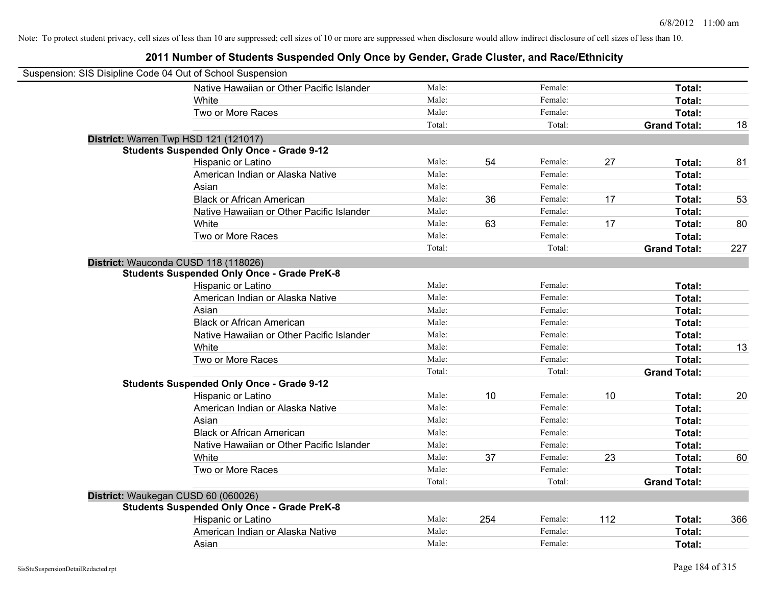| Suspension: SIS Disipline Code 04 Out of School Suspension |                                                    |        |     |         |     |                     |     |
|------------------------------------------------------------|----------------------------------------------------|--------|-----|---------|-----|---------------------|-----|
|                                                            | Native Hawaiian or Other Pacific Islander          | Male:  |     | Female: |     | Total:              |     |
|                                                            | White                                              | Male:  |     | Female: |     | Total:              |     |
|                                                            | Two or More Races                                  | Male:  |     | Female: |     | Total:              |     |
|                                                            |                                                    | Total: |     | Total:  |     | <b>Grand Total:</b> | 18  |
| District: Warren Twp HSD 121 (121017)                      |                                                    |        |     |         |     |                     |     |
|                                                            | <b>Students Suspended Only Once - Grade 9-12</b>   |        |     |         |     |                     |     |
|                                                            | Hispanic or Latino                                 | Male:  | 54  | Female: | 27  | Total:              | 81  |
|                                                            | American Indian or Alaska Native                   | Male:  |     | Female: |     | Total:              |     |
|                                                            | Asian                                              | Male:  |     | Female: |     | Total:              |     |
|                                                            | <b>Black or African American</b>                   | Male:  | 36  | Female: | 17  | Total:              | 53  |
|                                                            | Native Hawaiian or Other Pacific Islander          | Male:  |     | Female: |     | Total:              |     |
|                                                            | White                                              | Male:  | 63  | Female: | 17  | Total:              | 80  |
|                                                            | Two or More Races                                  | Male:  |     | Female: |     | Total:              |     |
|                                                            |                                                    | Total: |     | Total:  |     | <b>Grand Total:</b> | 227 |
| District: Wauconda CUSD 118 (118026)                       |                                                    |        |     |         |     |                     |     |
|                                                            | <b>Students Suspended Only Once - Grade PreK-8</b> |        |     |         |     |                     |     |
|                                                            | Hispanic or Latino                                 | Male:  |     | Female: |     | Total:              |     |
|                                                            | American Indian or Alaska Native                   | Male:  |     | Female: |     | Total:              |     |
|                                                            | Asian                                              | Male:  |     | Female: |     | Total:              |     |
|                                                            | <b>Black or African American</b>                   | Male:  |     | Female: |     | Total:              |     |
|                                                            | Native Hawaiian or Other Pacific Islander          | Male:  |     | Female: |     | Total:              |     |
|                                                            | White                                              | Male:  |     | Female: |     | Total:              | 13  |
|                                                            | Two or More Races                                  | Male:  |     | Female: |     | Total:              |     |
|                                                            |                                                    | Total: |     | Total:  |     | <b>Grand Total:</b> |     |
|                                                            | <b>Students Suspended Only Once - Grade 9-12</b>   |        |     |         |     |                     |     |
|                                                            | Hispanic or Latino                                 | Male:  | 10  | Female: | 10  | Total:              | 20  |
|                                                            | American Indian or Alaska Native                   | Male:  |     | Female: |     | Total:              |     |
|                                                            | Asian                                              | Male:  |     | Female: |     | Total:              |     |
|                                                            | <b>Black or African American</b>                   | Male:  |     | Female: |     | Total:              |     |
|                                                            | Native Hawaiian or Other Pacific Islander          | Male:  |     | Female: |     | Total:              |     |
|                                                            | White                                              | Male:  | 37  | Female: | 23  | Total:              | 60  |
|                                                            | Two or More Races                                  | Male:  |     | Female: |     | Total:              |     |
|                                                            |                                                    | Total: |     | Total:  |     | <b>Grand Total:</b> |     |
| District: Waukegan CUSD 60 (060026)                        |                                                    |        |     |         |     |                     |     |
|                                                            | <b>Students Suspended Only Once - Grade PreK-8</b> |        |     |         |     |                     |     |
|                                                            | Hispanic or Latino                                 | Male:  | 254 | Female: | 112 | Total:              | 366 |
|                                                            | American Indian or Alaska Native                   | Male:  |     | Female: |     | Total:              |     |
|                                                            | Asian                                              | Male:  |     | Female: |     | Total:              |     |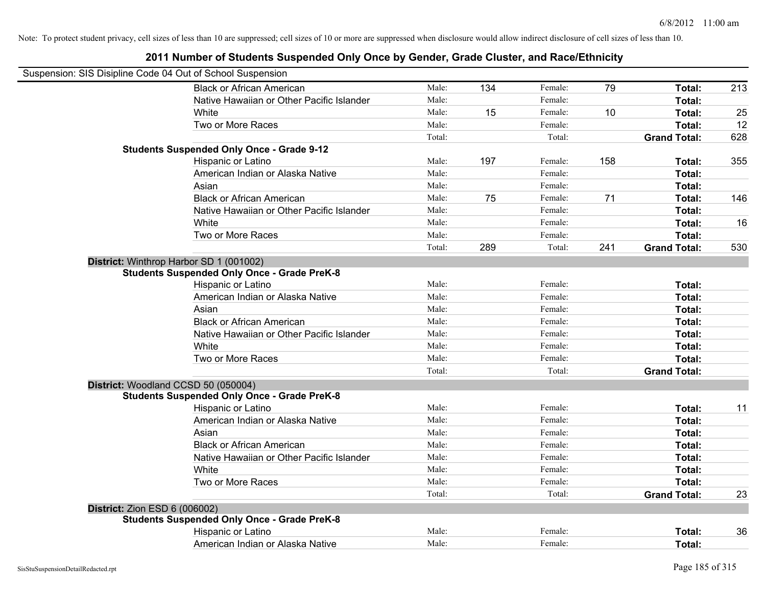|                                      | Suspension: SIS Disipline Code 04 Out of School Suspension |        |     |         |     |                     |     |
|--------------------------------------|------------------------------------------------------------|--------|-----|---------|-----|---------------------|-----|
|                                      | <b>Black or African American</b>                           | Male:  | 134 | Female: | 79  | Total:              | 213 |
|                                      | Native Hawaiian or Other Pacific Islander                  | Male:  |     | Female: |     | Total:              |     |
|                                      | White                                                      | Male:  | 15  | Female: | 10  | Total:              | 25  |
|                                      | Two or More Races                                          | Male:  |     | Female: |     | Total:              | 12  |
|                                      |                                                            | Total: |     | Total:  |     | <b>Grand Total:</b> | 628 |
|                                      | <b>Students Suspended Only Once - Grade 9-12</b>           |        |     |         |     |                     |     |
|                                      | Hispanic or Latino                                         | Male:  | 197 | Female: | 158 | Total:              | 355 |
|                                      | American Indian or Alaska Native                           | Male:  |     | Female: |     | Total:              |     |
|                                      | Asian                                                      | Male:  |     | Female: |     | Total:              |     |
|                                      | <b>Black or African American</b>                           | Male:  | 75  | Female: | 71  | Total:              | 146 |
|                                      | Native Hawaiian or Other Pacific Islander                  | Male:  |     | Female: |     | Total:              |     |
|                                      | White                                                      | Male:  |     | Female: |     | Total:              | 16  |
|                                      | Two or More Races                                          | Male:  |     | Female: |     | Total:              |     |
|                                      |                                                            | Total: | 289 | Total:  | 241 | <b>Grand Total:</b> | 530 |
|                                      | District: Winthrop Harbor SD 1 (001002)                    |        |     |         |     |                     |     |
|                                      | <b>Students Suspended Only Once - Grade PreK-8</b>         |        |     |         |     |                     |     |
|                                      | Hispanic or Latino                                         | Male:  |     | Female: |     | Total:              |     |
|                                      | American Indian or Alaska Native                           | Male:  |     | Female: |     | Total:              |     |
|                                      | Asian                                                      | Male:  |     | Female: |     | Total:              |     |
|                                      | <b>Black or African American</b>                           | Male:  |     | Female: |     | Total:              |     |
|                                      | Native Hawaiian or Other Pacific Islander                  | Male:  |     | Female: |     | Total:              |     |
|                                      | White                                                      | Male:  |     | Female: |     | Total:              |     |
|                                      | Two or More Races                                          | Male:  |     | Female: |     | Total:              |     |
|                                      |                                                            | Total: |     | Total:  |     | <b>Grand Total:</b> |     |
| District: Woodland CCSD 50 (050004)  |                                                            |        |     |         |     |                     |     |
|                                      | <b>Students Suspended Only Once - Grade PreK-8</b>         |        |     |         |     |                     |     |
|                                      | Hispanic or Latino                                         | Male:  |     | Female: |     | Total:              | 11  |
|                                      | American Indian or Alaska Native                           | Male:  |     | Female: |     | Total:              |     |
|                                      | Asian                                                      | Male:  |     | Female: |     | Total:              |     |
|                                      | <b>Black or African American</b>                           | Male:  |     | Female: |     | Total:              |     |
|                                      | Native Hawaiian or Other Pacific Islander                  | Male:  |     | Female: |     | Total:              |     |
|                                      | White                                                      | Male:  |     | Female: |     | Total:              |     |
|                                      | Two or More Races                                          | Male:  |     | Female: |     | Total:              |     |
|                                      |                                                            | Total: |     | Total:  |     | <b>Grand Total:</b> | 23  |
| <b>District: Zion ESD 6 (006002)</b> |                                                            |        |     |         |     |                     |     |
|                                      | <b>Students Suspended Only Once - Grade PreK-8</b>         |        |     |         |     |                     |     |
|                                      | Hispanic or Latino                                         | Male:  |     | Female: |     | Total:              | 36  |
|                                      | American Indian or Alaska Native                           | Male:  |     | Female: |     | Total:              |     |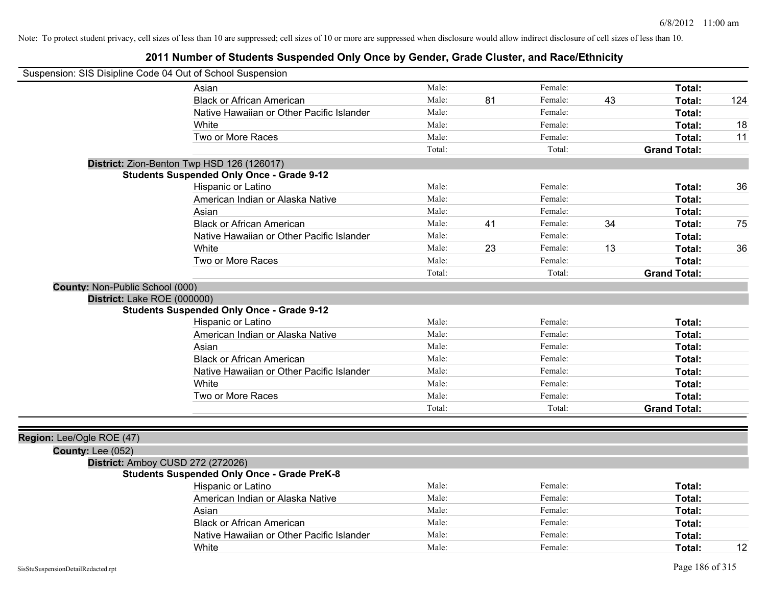| Suspension: SIS Disipline Code 04 Out of School Suspension |                                                    |        |    |         |    |                     |     |
|------------------------------------------------------------|----------------------------------------------------|--------|----|---------|----|---------------------|-----|
|                                                            | Asian                                              | Male:  |    | Female: |    | Total:              |     |
|                                                            | <b>Black or African American</b>                   | Male:  | 81 | Female: | 43 | Total:              | 124 |
|                                                            | Native Hawaiian or Other Pacific Islander          | Male:  |    | Female: |    | Total:              |     |
|                                                            | White                                              | Male:  |    | Female: |    | Total:              | 18  |
|                                                            | Two or More Races                                  | Male:  |    | Female: |    | Total:              | 11  |
|                                                            |                                                    | Total: |    | Total:  |    | <b>Grand Total:</b> |     |
|                                                            | District: Zion-Benton Twp HSD 126 (126017)         |        |    |         |    |                     |     |
|                                                            | <b>Students Suspended Only Once - Grade 9-12</b>   |        |    |         |    |                     |     |
|                                                            | Hispanic or Latino                                 | Male:  |    | Female: |    | Total:              | 36  |
|                                                            | American Indian or Alaska Native                   | Male:  |    | Female: |    | Total:              |     |
|                                                            | Asian                                              | Male:  |    | Female: |    | Total:              |     |
|                                                            | <b>Black or African American</b>                   | Male:  | 41 | Female: | 34 | Total:              | 75  |
|                                                            | Native Hawaiian or Other Pacific Islander          | Male:  |    | Female: |    | Total:              |     |
|                                                            | White                                              | Male:  | 23 | Female: | 13 | Total:              | 36  |
|                                                            | Two or More Races                                  | Male:  |    | Female: |    | Total:              |     |
|                                                            |                                                    | Total: |    | Total:  |    | <b>Grand Total:</b> |     |
| County: Non-Public School (000)                            |                                                    |        |    |         |    |                     |     |
| District: Lake ROE (000000)                                | <b>Students Suspended Only Once - Grade 9-12</b>   |        |    |         |    |                     |     |
|                                                            | Hispanic or Latino                                 | Male:  |    | Female: |    | Total:              |     |
|                                                            | American Indian or Alaska Native                   | Male:  |    | Female: |    | Total:              |     |
|                                                            | Asian                                              | Male:  |    | Female: |    | Total:              |     |
|                                                            | <b>Black or African American</b>                   | Male:  |    | Female: |    | Total:              |     |
|                                                            | Native Hawaiian or Other Pacific Islander          | Male:  |    | Female: |    | Total:              |     |
|                                                            | White                                              | Male:  |    | Female: |    | Total:              |     |
|                                                            | Two or More Races                                  | Male:  |    | Female: |    | Total:              |     |
|                                                            |                                                    | Total: |    | Total:  |    | <b>Grand Total:</b> |     |
|                                                            |                                                    |        |    |         |    |                     |     |
| Region: Lee/Ogle ROE (47)                                  |                                                    |        |    |         |    |                     |     |
| <b>County: Lee (052)</b>                                   |                                                    |        |    |         |    |                     |     |
| District: Amboy CUSD 272 (272026)                          |                                                    |        |    |         |    |                     |     |
|                                                            | <b>Students Suspended Only Once - Grade PreK-8</b> |        |    |         |    |                     |     |
|                                                            | Hispanic or Latino                                 | Male:  |    | Female: |    | Total:              |     |
|                                                            | American Indian or Alaska Native                   | Male:  |    | Female: |    | Total:              |     |
|                                                            | Asian                                              | Male:  |    | Female: |    | Total:              |     |
|                                                            | <b>Black or African American</b>                   | Male:  |    | Female: |    | Total:              |     |
|                                                            | Native Hawaiian or Other Pacific Islander          | Male:  |    | Female: |    | Total:              |     |
|                                                            | White                                              | Male:  |    | Female: |    | Total:              | 12  |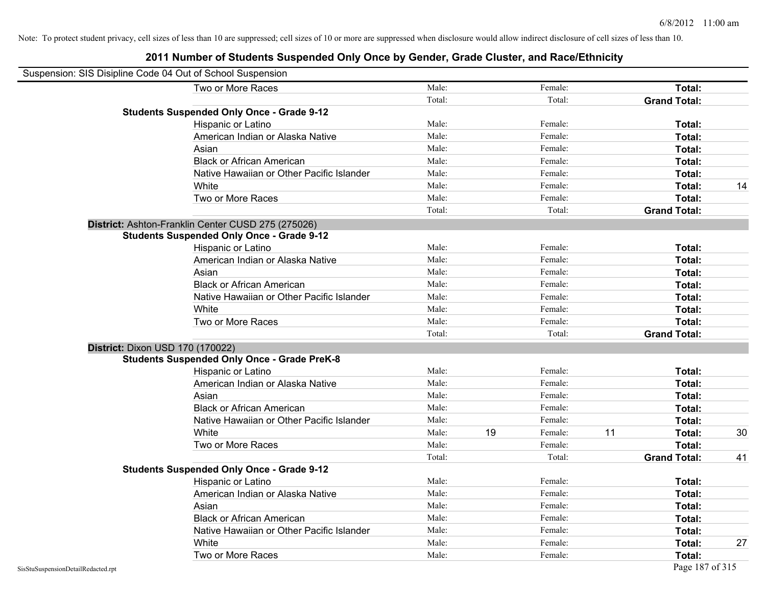| Suspension: SIS Disipline Code 04 Out of School Suspension |                                                    |        |    |         |    |                     |    |
|------------------------------------------------------------|----------------------------------------------------|--------|----|---------|----|---------------------|----|
|                                                            | Two or More Races                                  | Male:  |    | Female: |    | Total:              |    |
|                                                            |                                                    | Total: |    | Total:  |    | <b>Grand Total:</b> |    |
|                                                            | <b>Students Suspended Only Once - Grade 9-12</b>   |        |    |         |    |                     |    |
|                                                            | Hispanic or Latino                                 | Male:  |    | Female: |    | Total:              |    |
|                                                            | American Indian or Alaska Native                   | Male:  |    | Female: |    | <b>Total:</b>       |    |
|                                                            | Asian                                              | Male:  |    | Female: |    | <b>Total:</b>       |    |
|                                                            | <b>Black or African American</b>                   | Male:  |    | Female: |    | Total:              |    |
|                                                            | Native Hawaiian or Other Pacific Islander          | Male:  |    | Female: |    | Total:              |    |
|                                                            | White                                              | Male:  |    | Female: |    | Total:              | 14 |
|                                                            | Two or More Races                                  | Male:  |    | Female: |    | Total:              |    |
|                                                            |                                                    | Total: |    | Total:  |    | <b>Grand Total:</b> |    |
|                                                            | District: Ashton-Franklin Center CUSD 275 (275026) |        |    |         |    |                     |    |
|                                                            | <b>Students Suspended Only Once - Grade 9-12</b>   |        |    |         |    |                     |    |
|                                                            | Hispanic or Latino                                 | Male:  |    | Female: |    | Total:              |    |
|                                                            | American Indian or Alaska Native                   | Male:  |    | Female: |    | Total:              |    |
|                                                            | Asian                                              | Male:  |    | Female: |    | Total:              |    |
|                                                            | <b>Black or African American</b>                   | Male:  |    | Female: |    | Total:              |    |
|                                                            | Native Hawaiian or Other Pacific Islander          | Male:  |    | Female: |    | <b>Total:</b>       |    |
|                                                            | White                                              | Male:  |    | Female: |    | <b>Total:</b>       |    |
|                                                            | Two or More Races                                  | Male:  |    | Female: |    | Total:              |    |
|                                                            |                                                    | Total: |    | Total:  |    | <b>Grand Total:</b> |    |
|                                                            | District: Dixon USD 170 (170022)                   |        |    |         |    |                     |    |
|                                                            | <b>Students Suspended Only Once - Grade PreK-8</b> |        |    |         |    |                     |    |
|                                                            | Hispanic or Latino                                 | Male:  |    | Female: |    | Total:              |    |
|                                                            | American Indian or Alaska Native                   | Male:  |    | Female: |    | Total:              |    |
|                                                            | Asian                                              | Male:  |    | Female: |    | <b>Total:</b>       |    |
|                                                            | <b>Black or African American</b>                   | Male:  |    | Female: |    | Total:              |    |
|                                                            | Native Hawaiian or Other Pacific Islander          | Male:  |    | Female: |    | Total:              |    |
|                                                            | White                                              | Male:  | 19 | Female: | 11 | <b>Total:</b>       | 30 |
|                                                            | Two or More Races                                  | Male:  |    | Female: |    | <b>Total:</b>       |    |
|                                                            |                                                    | Total: |    | Total:  |    | <b>Grand Total:</b> | 41 |
|                                                            | <b>Students Suspended Only Once - Grade 9-12</b>   |        |    |         |    |                     |    |
|                                                            | Hispanic or Latino                                 | Male:  |    | Female: |    | Total:              |    |
|                                                            | American Indian or Alaska Native                   | Male:  |    | Female: |    | <b>Total:</b>       |    |
|                                                            | Asian                                              | Male:  |    | Female: |    | Total:              |    |
|                                                            | <b>Black or African American</b>                   | Male:  |    | Female: |    | Total:              |    |
|                                                            | Native Hawaiian or Other Pacific Islander          | Male:  |    | Female: |    | Total:              |    |
|                                                            | White                                              | Male:  |    | Female: |    | <b>Total:</b>       | 27 |
|                                                            | Two or More Races                                  | Male:  |    | Female: |    | <b>Total:</b>       |    |
| SisStuSuspensionDetailRedacted.rpt                         |                                                    |        |    |         |    | Page 187 of 315     |    |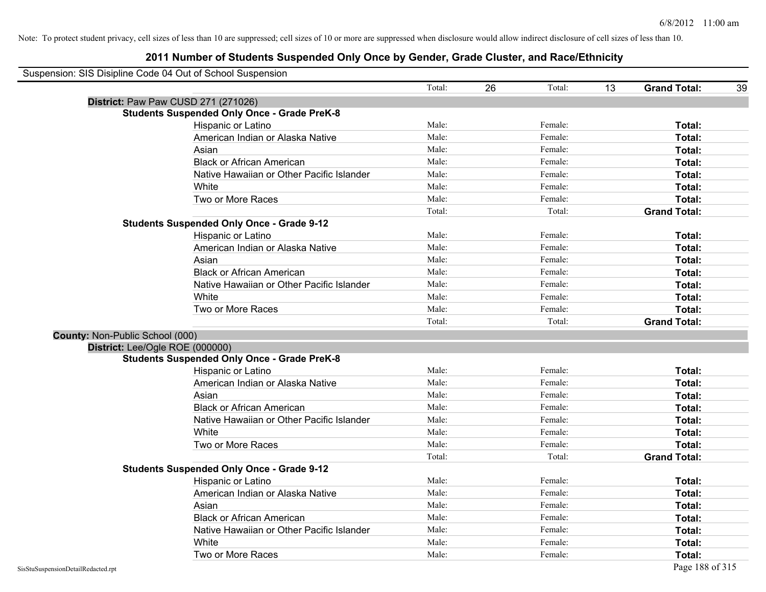| Suspension: SIS Disipline Code 04 Out of School Suspension |                                                    |        |              |                                 |
|------------------------------------------------------------|----------------------------------------------------|--------|--------------|---------------------------------|
|                                                            |                                                    | Total: | 26<br>Total: | 13<br><b>Grand Total:</b><br>39 |
| District: Paw Paw CUSD 271 (271026)                        |                                                    |        |              |                                 |
|                                                            | <b>Students Suspended Only Once - Grade PreK-8</b> |        |              |                                 |
|                                                            | Hispanic or Latino                                 | Male:  | Female:      | Total:                          |
|                                                            | American Indian or Alaska Native                   | Male:  | Female:      | Total:                          |
|                                                            | Asian                                              | Male:  | Female:      | Total:                          |
|                                                            | <b>Black or African American</b>                   | Male:  | Female:      | Total:                          |
|                                                            | Native Hawaiian or Other Pacific Islander          | Male:  | Female:      | Total:                          |
|                                                            | White                                              | Male:  | Female:      | Total:                          |
|                                                            | Two or More Races                                  | Male:  | Female:      | Total:                          |
|                                                            |                                                    | Total: | Total:       | <b>Grand Total:</b>             |
|                                                            | <b>Students Suspended Only Once - Grade 9-12</b>   |        |              |                                 |
|                                                            | Hispanic or Latino                                 | Male:  | Female:      | Total:                          |
|                                                            | American Indian or Alaska Native                   | Male:  | Female:      | Total:                          |
|                                                            | Asian                                              | Male:  | Female:      | Total:                          |
|                                                            | <b>Black or African American</b>                   | Male:  | Female:      | Total:                          |
|                                                            | Native Hawaiian or Other Pacific Islander          | Male:  | Female:      | Total:                          |
|                                                            | White                                              | Male:  | Female:      | Total:                          |
|                                                            | Two or More Races                                  | Male:  | Female:      | Total:                          |
|                                                            |                                                    | Total: | Total:       | <b>Grand Total:</b>             |
| County: Non-Public School (000)                            |                                                    |        |              |                                 |
| District: Lee/Ogle ROE (000000)                            |                                                    |        |              |                                 |
|                                                            | <b>Students Suspended Only Once - Grade PreK-8</b> |        |              |                                 |
|                                                            | Hispanic or Latino                                 | Male:  | Female:      | Total:                          |
|                                                            | American Indian or Alaska Native                   | Male:  | Female:      | Total:                          |
|                                                            | Asian                                              | Male:  | Female:      | Total:                          |
|                                                            | <b>Black or African American</b>                   | Male:  | Female:      | Total:                          |
|                                                            | Native Hawaiian or Other Pacific Islander          | Male:  | Female:      | Total:                          |
|                                                            | White                                              | Male:  | Female:      | Total:                          |
|                                                            | Two or More Races                                  | Male:  | Female:      | Total:                          |
|                                                            |                                                    | Total: | Total:       | <b>Grand Total:</b>             |
|                                                            | <b>Students Suspended Only Once - Grade 9-12</b>   |        |              |                                 |
|                                                            | Hispanic or Latino                                 | Male:  | Female:      | Total:                          |
|                                                            | American Indian or Alaska Native                   | Male:  | Female:      | Total:                          |
|                                                            | Asian                                              | Male:  | Female:      | Total:                          |
|                                                            | <b>Black or African American</b>                   | Male:  | Female:      | Total:                          |
|                                                            | Native Hawaiian or Other Pacific Islander          | Male:  | Female:      | Total:                          |
|                                                            | White                                              | Male:  | Female:      | Total:                          |
|                                                            | Two or More Races                                  | Male:  | Female:      | Total:                          |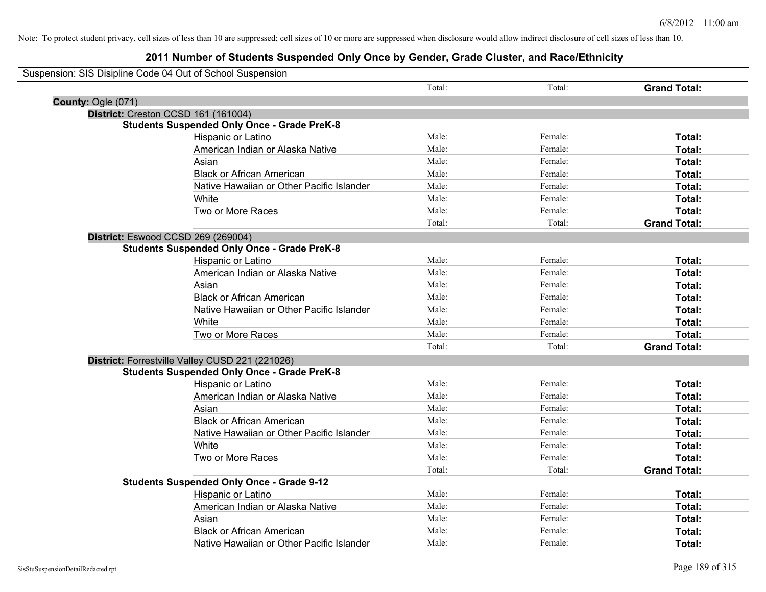| Suspension: SIS Disipline Code 04 Out of School Suspension |                                                    |        |         |                     |
|------------------------------------------------------------|----------------------------------------------------|--------|---------|---------------------|
|                                                            |                                                    | Total: | Total:  | <b>Grand Total:</b> |
| County: Ogle (071)                                         |                                                    |        |         |                     |
| District: Creston CCSD 161 (161004)                        |                                                    |        |         |                     |
|                                                            | <b>Students Suspended Only Once - Grade PreK-8</b> |        |         |                     |
|                                                            | Hispanic or Latino                                 | Male:  | Female: | Total:              |
|                                                            | American Indian or Alaska Native                   | Male:  | Female: | Total:              |
|                                                            | Asian                                              | Male:  | Female: | Total:              |
|                                                            | <b>Black or African American</b>                   | Male:  | Female: | Total:              |
|                                                            | Native Hawaiian or Other Pacific Islander          | Male:  | Female: | Total:              |
|                                                            | White                                              | Male:  | Female: | Total:              |
|                                                            | Two or More Races                                  | Male:  | Female: | Total:              |
|                                                            |                                                    | Total: | Total:  | <b>Grand Total:</b> |
| District: Eswood CCSD 269 (269004)                         |                                                    |        |         |                     |
|                                                            | <b>Students Suspended Only Once - Grade PreK-8</b> |        |         |                     |
|                                                            | Hispanic or Latino                                 | Male:  | Female: | Total:              |
|                                                            | American Indian or Alaska Native                   | Male:  | Female: | Total:              |
|                                                            | Asian                                              | Male:  | Female: | Total:              |
|                                                            | <b>Black or African American</b>                   | Male:  | Female: | Total:              |
|                                                            | Native Hawaiian or Other Pacific Islander          | Male:  | Female: | Total:              |
|                                                            | White                                              | Male:  | Female: | Total:              |
|                                                            | Two or More Races                                  | Male:  | Female: | Total:              |
|                                                            |                                                    | Total: | Total:  | <b>Grand Total:</b> |
|                                                            | District: Forrestville Valley CUSD 221 (221026)    |        |         |                     |
|                                                            | <b>Students Suspended Only Once - Grade PreK-8</b> |        |         |                     |
|                                                            | Hispanic or Latino                                 | Male:  | Female: | Total:              |
|                                                            | American Indian or Alaska Native                   | Male:  | Female: | Total:              |
|                                                            | Asian                                              | Male:  | Female: | Total:              |
|                                                            | <b>Black or African American</b>                   | Male:  | Female: | Total:              |
|                                                            | Native Hawaiian or Other Pacific Islander          | Male:  | Female: | Total:              |
|                                                            | White                                              | Male:  | Female: | Total:              |
|                                                            | Two or More Races                                  | Male:  | Female: | Total:              |
|                                                            |                                                    | Total: | Total:  | <b>Grand Total:</b> |
|                                                            | <b>Students Suspended Only Once - Grade 9-12</b>   |        |         |                     |
|                                                            | Hispanic or Latino                                 | Male:  | Female: | Total:              |
|                                                            | American Indian or Alaska Native                   | Male:  | Female: | Total:              |
|                                                            | Asian                                              | Male:  | Female: | Total:              |
|                                                            | <b>Black or African American</b>                   | Male:  | Female: | <b>Total:</b>       |
|                                                            | Native Hawaiian or Other Pacific Islander          | Male:  | Female: | Total:              |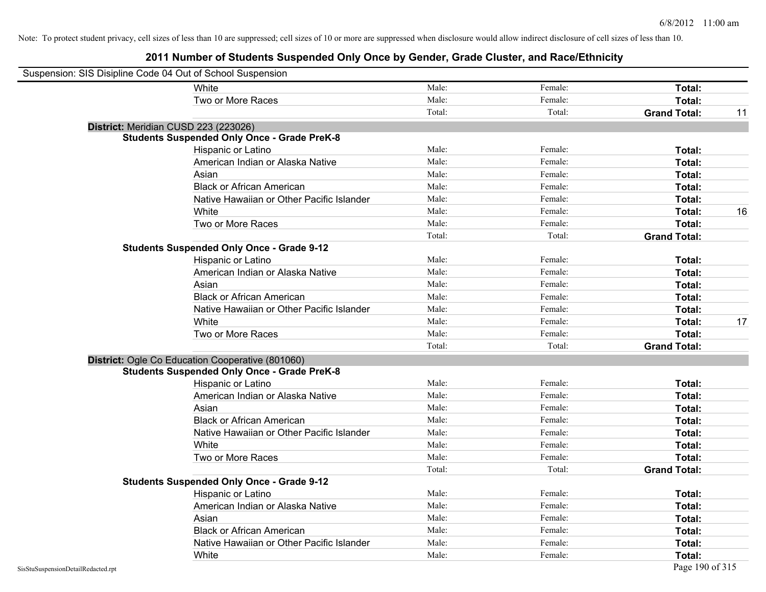| Suspension: SIS Disipline Code 04 Out of School Suspension |                                                    |        |         |                           |
|------------------------------------------------------------|----------------------------------------------------|--------|---------|---------------------------|
|                                                            | White                                              | Male:  | Female: | Total:                    |
|                                                            | Two or More Races                                  | Male:  | Female: | Total:                    |
|                                                            |                                                    | Total: | Total:  | <b>Grand Total:</b><br>11 |
|                                                            | District: Meridian CUSD 223 (223026)               |        |         |                           |
|                                                            | <b>Students Suspended Only Once - Grade PreK-8</b> |        |         |                           |
|                                                            | Hispanic or Latino                                 | Male:  | Female: | Total:                    |
|                                                            | American Indian or Alaska Native                   | Male:  | Female: | Total:                    |
|                                                            | Asian                                              | Male:  | Female: | Total:                    |
|                                                            | <b>Black or African American</b>                   | Male:  | Female: | Total:                    |
|                                                            | Native Hawaiian or Other Pacific Islander          | Male:  | Female: | Total:                    |
|                                                            | White                                              | Male:  | Female: | 16<br>Total:              |
|                                                            | Two or More Races                                  | Male:  | Female: | Total:                    |
|                                                            |                                                    | Total: | Total:  | <b>Grand Total:</b>       |
|                                                            | <b>Students Suspended Only Once - Grade 9-12</b>   |        |         |                           |
|                                                            | Hispanic or Latino                                 | Male:  | Female: | Total:                    |
|                                                            | American Indian or Alaska Native                   | Male:  | Female: | Total:                    |
|                                                            | Asian                                              | Male:  | Female: | Total:                    |
|                                                            | <b>Black or African American</b>                   | Male:  | Female: | Total:                    |
|                                                            | Native Hawaiian or Other Pacific Islander          | Male:  | Female: | Total:                    |
|                                                            | White                                              | Male:  | Female: | 17<br>Total:              |
|                                                            | Two or More Races                                  | Male:  | Female: | Total:                    |
|                                                            |                                                    | Total: | Total:  | <b>Grand Total:</b>       |
|                                                            | District: Ogle Co Education Cooperative (801060)   |        |         |                           |
|                                                            | <b>Students Suspended Only Once - Grade PreK-8</b> |        |         |                           |
|                                                            | Hispanic or Latino                                 | Male:  | Female: | Total:                    |
|                                                            | American Indian or Alaska Native                   | Male:  | Female: | Total:                    |
|                                                            | Asian                                              | Male:  | Female: | Total:                    |
|                                                            | <b>Black or African American</b>                   | Male:  | Female: | Total:                    |
|                                                            | Native Hawaiian or Other Pacific Islander          | Male:  | Female: | Total:                    |
|                                                            | White                                              | Male:  | Female: | Total:                    |
|                                                            | Two or More Races                                  | Male:  | Female: | Total:                    |
|                                                            |                                                    | Total: | Total:  | <b>Grand Total:</b>       |
|                                                            | <b>Students Suspended Only Once - Grade 9-12</b>   |        |         |                           |
|                                                            | Hispanic or Latino                                 | Male:  | Female: | Total:                    |
|                                                            | American Indian or Alaska Native                   | Male:  | Female: | Total:                    |
|                                                            | Asian                                              | Male:  | Female: | Total:                    |
|                                                            | <b>Black or African American</b>                   | Male:  | Female: | Total:                    |
|                                                            | Native Hawaiian or Other Pacific Islander          | Male:  | Female: | Total:                    |
|                                                            | White                                              | Male:  | Female: | Total:                    |
| SisStuSuspensionDetailRedacted.rpt                         |                                                    |        |         | Page 190 of 315           |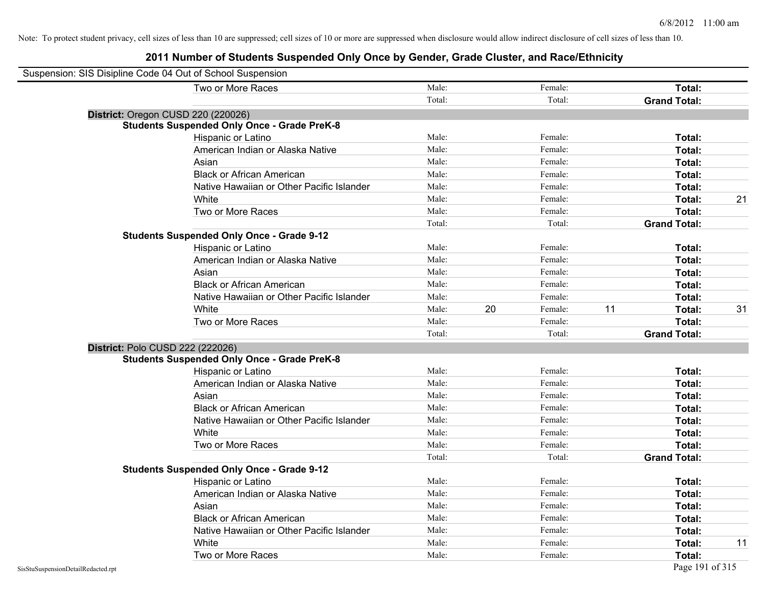| Suspension: SIS Disipline Code 04 Out of School Suspension |                                                    |        |    |         |    |                     |    |
|------------------------------------------------------------|----------------------------------------------------|--------|----|---------|----|---------------------|----|
|                                                            | Two or More Races                                  | Male:  |    | Female: |    | Total:              |    |
|                                                            |                                                    | Total: |    | Total:  |    | <b>Grand Total:</b> |    |
| District: Oregon CUSD 220 (220026)                         |                                                    |        |    |         |    |                     |    |
|                                                            | <b>Students Suspended Only Once - Grade PreK-8</b> |        |    |         |    |                     |    |
|                                                            | Hispanic or Latino                                 | Male:  |    | Female: |    | Total:              |    |
|                                                            | American Indian or Alaska Native                   | Male:  |    | Female: |    | Total:              |    |
|                                                            | Asian                                              | Male:  |    | Female: |    | Total:              |    |
|                                                            | <b>Black or African American</b>                   | Male:  |    | Female: |    | Total:              |    |
|                                                            | Native Hawaiian or Other Pacific Islander          | Male:  |    | Female: |    | Total:              |    |
|                                                            | White                                              | Male:  |    | Female: |    | Total:              | 21 |
|                                                            | Two or More Races                                  | Male:  |    | Female: |    | Total:              |    |
|                                                            |                                                    | Total: |    | Total:  |    | <b>Grand Total:</b> |    |
|                                                            | <b>Students Suspended Only Once - Grade 9-12</b>   |        |    |         |    |                     |    |
|                                                            | Hispanic or Latino                                 | Male:  |    | Female: |    | Total:              |    |
|                                                            | American Indian or Alaska Native                   | Male:  |    | Female: |    | Total:              |    |
|                                                            | Asian                                              | Male:  |    | Female: |    | Total:              |    |
|                                                            | <b>Black or African American</b>                   | Male:  |    | Female: |    | Total:              |    |
|                                                            | Native Hawaiian or Other Pacific Islander          | Male:  |    | Female: |    | Total:              |    |
|                                                            | White                                              | Male:  | 20 | Female: | 11 | Total:              | 31 |
|                                                            | Two or More Races                                  | Male:  |    | Female: |    | Total:              |    |
|                                                            |                                                    | Total: |    | Total:  |    | <b>Grand Total:</b> |    |
| District: Polo CUSD 222 (222026)                           |                                                    |        |    |         |    |                     |    |
|                                                            | <b>Students Suspended Only Once - Grade PreK-8</b> |        |    |         |    |                     |    |
|                                                            | Hispanic or Latino                                 | Male:  |    | Female: |    | Total:              |    |
|                                                            | American Indian or Alaska Native                   | Male:  |    | Female: |    | Total:              |    |
|                                                            | Asian                                              | Male:  |    | Female: |    | Total:              |    |
|                                                            | <b>Black or African American</b>                   | Male:  |    | Female: |    | Total:              |    |
|                                                            | Native Hawaiian or Other Pacific Islander          | Male:  |    | Female: |    | Total:              |    |
|                                                            | White                                              | Male:  |    | Female: |    | Total:              |    |
|                                                            | Two or More Races                                  | Male:  |    | Female: |    | Total:              |    |
|                                                            |                                                    | Total: |    | Total:  |    | <b>Grand Total:</b> |    |
|                                                            | <b>Students Suspended Only Once - Grade 9-12</b>   |        |    |         |    |                     |    |
|                                                            | Hispanic or Latino                                 | Male:  |    | Female: |    | Total:              |    |
|                                                            | American Indian or Alaska Native                   | Male:  |    | Female: |    | Total:              |    |
|                                                            | Asian                                              | Male:  |    | Female: |    | Total:              |    |
|                                                            | <b>Black or African American</b>                   | Male:  |    | Female: |    | Total:              |    |
|                                                            | Native Hawaiian or Other Pacific Islander          | Male:  |    | Female: |    | Total:              |    |
|                                                            | White                                              | Male:  |    | Female: |    | Total:              | 11 |
|                                                            | Two or More Races                                  | Male:  |    | Female: |    | Total:              |    |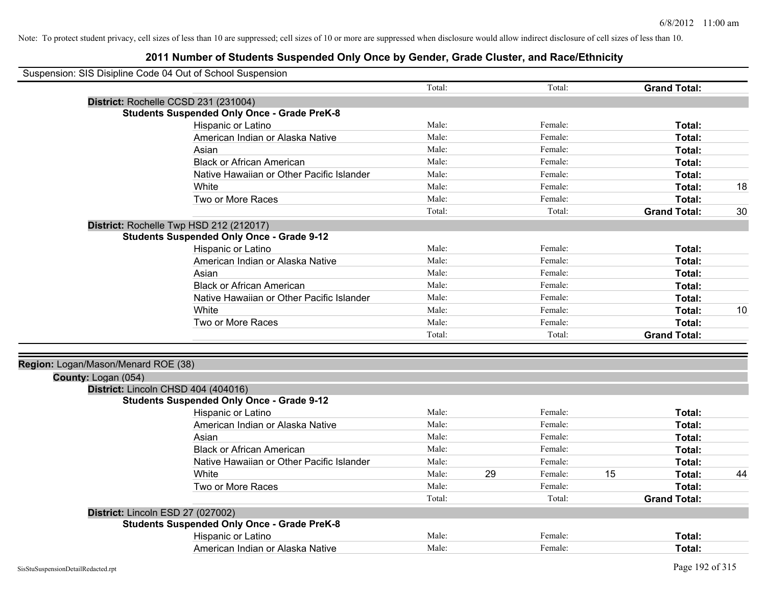| Suspension: SIS Disipline Code 04 Out of School Suspension |                                                    |        |    |         |    |                     |    |
|------------------------------------------------------------|----------------------------------------------------|--------|----|---------|----|---------------------|----|
|                                                            |                                                    | Total: |    | Total:  |    | <b>Grand Total:</b> |    |
|                                                            | District: Rochelle CCSD 231 (231004)               |        |    |         |    |                     |    |
|                                                            | <b>Students Suspended Only Once - Grade PreK-8</b> |        |    |         |    |                     |    |
|                                                            | Hispanic or Latino                                 | Male:  |    | Female: |    | Total:              |    |
|                                                            | American Indian or Alaska Native                   | Male:  |    | Female: |    | Total:              |    |
|                                                            | Asian                                              | Male:  |    | Female: |    | Total:              |    |
|                                                            | <b>Black or African American</b>                   | Male:  |    | Female: |    | Total:              |    |
|                                                            | Native Hawaiian or Other Pacific Islander          | Male:  |    | Female: |    | Total:              |    |
|                                                            | White                                              | Male:  |    | Female: |    | Total:              | 18 |
|                                                            | Two or More Races                                  | Male:  |    | Female: |    | Total:              |    |
|                                                            |                                                    | Total: |    | Total:  |    | <b>Grand Total:</b> | 30 |
|                                                            | District: Rochelle Twp HSD 212 (212017)            |        |    |         |    |                     |    |
|                                                            | <b>Students Suspended Only Once - Grade 9-12</b>   |        |    |         |    |                     |    |
|                                                            | Hispanic or Latino                                 | Male:  |    | Female: |    | Total:              |    |
|                                                            | American Indian or Alaska Native                   | Male:  |    | Female: |    | Total:              |    |
|                                                            | Asian                                              | Male:  |    | Female: |    | Total:              |    |
|                                                            | <b>Black or African American</b>                   | Male:  |    | Female: |    | Total:              |    |
|                                                            | Native Hawaiian or Other Pacific Islander          | Male:  |    | Female: |    | Total:              |    |
|                                                            | White                                              | Male:  |    | Female: |    | Total:              | 10 |
|                                                            | Two or More Races                                  | Male:  |    | Female: |    | <b>Total:</b>       |    |
|                                                            |                                                    | Total: |    | Total:  |    | <b>Grand Total:</b> |    |
|                                                            |                                                    |        |    |         |    |                     |    |
| Region: Logan/Mason/Menard ROE (38)                        |                                                    |        |    |         |    |                     |    |
| County: Logan (054)                                        |                                                    |        |    |         |    |                     |    |
|                                                            | District: Lincoln CHSD 404 (404016)                |        |    |         |    |                     |    |
|                                                            | <b>Students Suspended Only Once - Grade 9-12</b>   |        |    |         |    |                     |    |
|                                                            | Hispanic or Latino                                 | Male:  |    | Female: |    | Total:              |    |
|                                                            | American Indian or Alaska Native                   | Male:  |    | Female: |    | Total:              |    |
|                                                            | Asian                                              | Male:  |    | Female: |    | Total:              |    |
|                                                            | <b>Black or African American</b>                   | Male:  |    | Female: |    | <b>Total:</b>       |    |
|                                                            | Native Hawaiian or Other Pacific Islander          | Male:  |    | Female: |    | Total:              |    |
|                                                            | White                                              | Male:  | 29 | Female: | 15 | Total:              | 44 |
|                                                            | Two or More Races                                  | Male:  |    | Female: |    | Total:              |    |
|                                                            |                                                    | Total: |    | Total:  |    | <b>Grand Total:</b> |    |
|                                                            | District: Lincoln ESD 27 (027002)                  |        |    |         |    |                     |    |
|                                                            | <b>Students Suspended Only Once - Grade PreK-8</b> |        |    |         |    |                     |    |
|                                                            | Hispanic or Latino                                 | Male:  |    | Female: |    | <b>Total:</b>       |    |
|                                                            | American Indian or Alaska Native                   | Male:  |    | Female: |    | Total:              |    |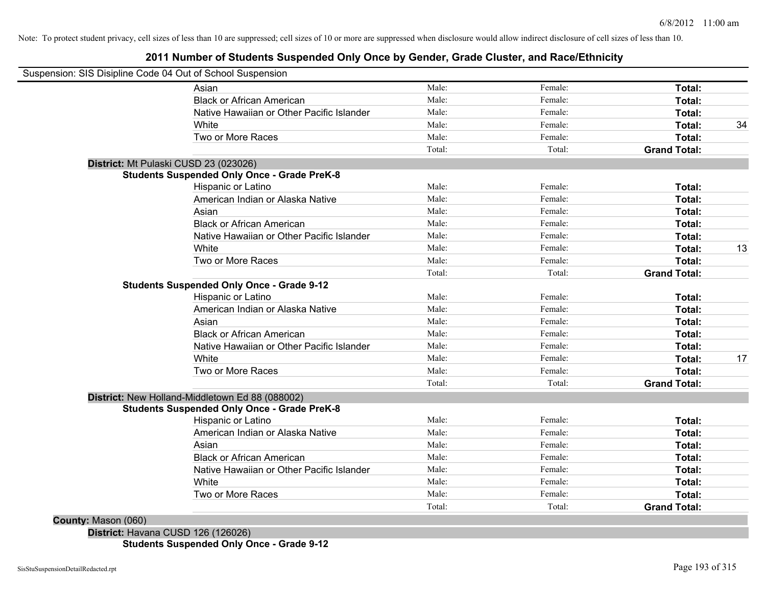# **2011 Number of Students Suspended Only Once by Gender, Grade Cluster, and Race/Ethnicity**

| Suspension: SIS Disipline Code 04 Out of School Suspension |        |         |                     |  |
|------------------------------------------------------------|--------|---------|---------------------|--|
| Asian                                                      | Male:  | Female: | Total:              |  |
| <b>Black or African American</b>                           | Male:  | Female: | Total:              |  |
| Native Hawaiian or Other Pacific Islander                  | Male:  | Female: | Total:              |  |
| White                                                      | Male:  | Female: | Total:              |  |
| Two or More Races                                          | Male:  | Female: | Total:              |  |
|                                                            | Total: | Total:  | <b>Grand Total:</b> |  |
| District: Mt Pulaski CUSD 23 (023026)                      |        |         |                     |  |
| <b>Students Suspended Only Once - Grade PreK-8</b>         |        |         |                     |  |
| Hispanic or Latino                                         | Male:  | Female: | Total:              |  |
| American Indian or Alaska Native                           | Male:  | Female: | Total:              |  |
| Asian                                                      | Male:  | Female: | Total:              |  |
| <b>Black or African American</b>                           | Male:  | Female: | Total:              |  |
| Native Hawaiian or Other Pacific Islander                  | Male:  | Female: | Total:              |  |
| White                                                      | Male:  | Female: | Total:              |  |
| Two or More Races                                          | Male:  | Female: | <b>Total:</b>       |  |
|                                                            | Total: | Total:  | <b>Grand Total:</b> |  |
| <b>Students Suspended Only Once - Grade 9-12</b>           |        |         |                     |  |
| Hispanic or Latino                                         | Male:  | Female: | Total:              |  |
| American Indian or Alaska Native                           | Male:  | Female: | Total:              |  |
| Asian                                                      | Male:  | Female: | Total:              |  |
| <b>Black or African American</b>                           | Male:  | Female: | Total:              |  |
| Native Hawaiian or Other Pacific Islander                  | Male:  | Female: | Total:              |  |
| White                                                      | Male:  | Female: | Total:              |  |
| Two or More Races                                          | Male:  | Female: | Total:              |  |
|                                                            | Total: | Total:  | <b>Grand Total:</b> |  |
| District: New Holland-Middletown Ed 88 (088002)            |        |         |                     |  |
| <b>Students Suspended Only Once - Grade PreK-8</b>         |        |         |                     |  |
| Hispanic or Latino                                         | Male:  | Female: | Total:              |  |
| American Indian or Alaska Native                           | Male:  | Female: | Total:              |  |
| Asian                                                      | Male:  | Female: | Total:              |  |
| <b>Black or African American</b>                           | Male:  | Female: | Total:              |  |
| Native Hawaiian or Other Pacific Islander                  | Male:  | Female: | Total:              |  |
| White                                                      | Male:  | Female: | Total:              |  |
| Two or More Races                                          | Male:  | Female: | Total:              |  |
|                                                            | Total: | Total:  | <b>Grand Total:</b> |  |

**Students Suspended Only Once - Grade 9-12**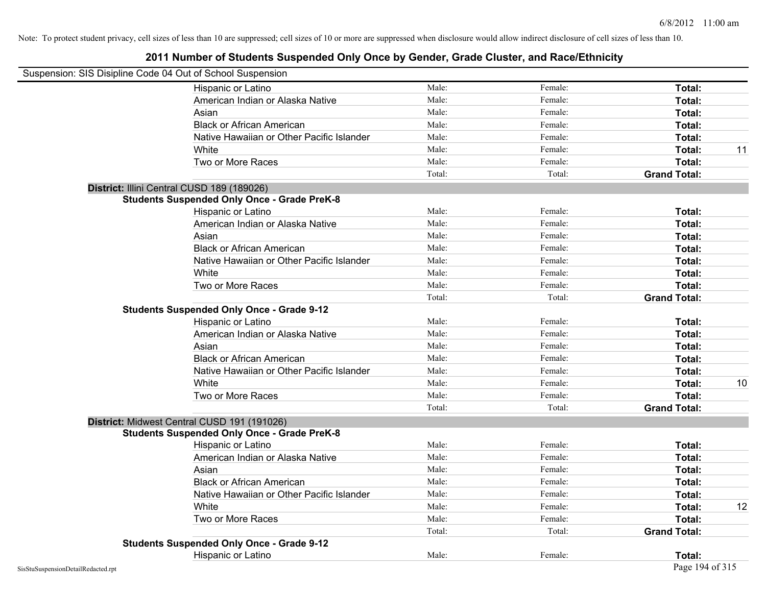| Suspension: SIS Disipline Code 04 Out of School Suspension |                                                    |        |         |                     |    |
|------------------------------------------------------------|----------------------------------------------------|--------|---------|---------------------|----|
|                                                            | Hispanic or Latino                                 | Male:  | Female: | Total:              |    |
|                                                            | American Indian or Alaska Native                   | Male:  | Female: | Total:              |    |
|                                                            | Asian                                              | Male:  | Female: | Total:              |    |
|                                                            | <b>Black or African American</b>                   | Male:  | Female: | Total:              |    |
|                                                            | Native Hawaiian or Other Pacific Islander          | Male:  | Female: | Total:              |    |
|                                                            | White                                              | Male:  | Female: | Total:              | 11 |
|                                                            | Two or More Races                                  | Male:  | Female: | Total:              |    |
|                                                            |                                                    | Total: | Total:  | <b>Grand Total:</b> |    |
|                                                            | District: Illini Central CUSD 189 (189026)         |        |         |                     |    |
|                                                            | <b>Students Suspended Only Once - Grade PreK-8</b> |        |         |                     |    |
|                                                            | Hispanic or Latino                                 | Male:  | Female: | Total:              |    |
|                                                            | American Indian or Alaska Native                   | Male:  | Female: | Total:              |    |
|                                                            | Asian                                              | Male:  | Female: | Total:              |    |
|                                                            | <b>Black or African American</b>                   | Male:  | Female: | Total:              |    |
|                                                            | Native Hawaiian or Other Pacific Islander          | Male:  | Female: | Total:              |    |
|                                                            | White                                              | Male:  | Female: | Total:              |    |
|                                                            | Two or More Races                                  | Male:  | Female: | Total:              |    |
|                                                            |                                                    | Total: | Total:  | <b>Grand Total:</b> |    |
|                                                            | <b>Students Suspended Only Once - Grade 9-12</b>   |        |         |                     |    |
|                                                            | Hispanic or Latino                                 | Male:  | Female: | Total:              |    |
|                                                            | American Indian or Alaska Native                   | Male:  | Female: | Total:              |    |
|                                                            | Asian                                              | Male:  | Female: | Total:              |    |
|                                                            | <b>Black or African American</b>                   | Male:  | Female: | Total:              |    |
|                                                            | Native Hawaiian or Other Pacific Islander          | Male:  | Female: | Total:              |    |
|                                                            | White                                              | Male:  | Female: | Total:              | 10 |
|                                                            | Two or More Races                                  | Male:  | Female: | Total:              |    |
|                                                            |                                                    | Total: | Total:  | <b>Grand Total:</b> |    |
|                                                            | District: Midwest Central CUSD 191 (191026)        |        |         |                     |    |
|                                                            | <b>Students Suspended Only Once - Grade PreK-8</b> |        |         |                     |    |
|                                                            | Hispanic or Latino                                 | Male:  | Female: | Total:              |    |
|                                                            | American Indian or Alaska Native                   | Male:  | Female: | Total:              |    |
|                                                            | Asian                                              | Male:  | Female: | Total:              |    |
|                                                            | <b>Black or African American</b>                   | Male:  | Female: | Total:              |    |
|                                                            | Native Hawaiian or Other Pacific Islander          | Male:  | Female: | Total:              |    |
|                                                            | White                                              | Male:  | Female: | Total:              | 12 |
|                                                            | Two or More Races                                  | Male:  | Female: | Total:              |    |
|                                                            |                                                    | Total: | Total:  | <b>Grand Total:</b> |    |
|                                                            | <b>Students Suspended Only Once - Grade 9-12</b>   |        |         |                     |    |
|                                                            | Hispanic or Latino                                 | Male:  | Female: | Total:              |    |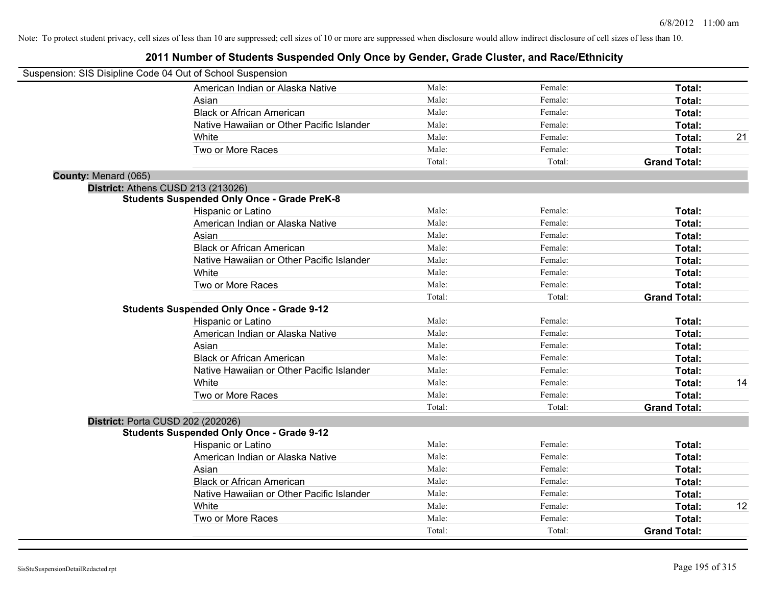| Suspension: SIS Disipline Code 04 Out of School Suspension |                                                    |        |         |                     |    |
|------------------------------------------------------------|----------------------------------------------------|--------|---------|---------------------|----|
|                                                            | American Indian or Alaska Native                   | Male:  | Female: | Total:              |    |
|                                                            | Asian                                              | Male:  | Female: | Total:              |    |
|                                                            | <b>Black or African American</b>                   | Male:  | Female: | Total:              |    |
|                                                            | Native Hawaiian or Other Pacific Islander          | Male:  | Female: | Total:              |    |
|                                                            | White                                              | Male:  | Female: | Total:              | 21 |
|                                                            | Two or More Races                                  | Male:  | Female: | Total:              |    |
|                                                            |                                                    | Total: | Total:  | <b>Grand Total:</b> |    |
| County: Menard (065)                                       |                                                    |        |         |                     |    |
| District: Athens CUSD 213 (213026)                         |                                                    |        |         |                     |    |
|                                                            | <b>Students Suspended Only Once - Grade PreK-8</b> |        |         |                     |    |
|                                                            | Hispanic or Latino                                 | Male:  | Female: | Total:              |    |
|                                                            | American Indian or Alaska Native                   | Male:  | Female: | Total:              |    |
|                                                            | Asian                                              | Male:  | Female: | Total:              |    |
|                                                            | <b>Black or African American</b>                   | Male:  | Female: | Total:              |    |
|                                                            | Native Hawaiian or Other Pacific Islander          | Male:  | Female: | Total:              |    |
|                                                            | White                                              | Male:  | Female: | Total:              |    |
|                                                            | Two or More Races                                  | Male:  | Female: | Total:              |    |
|                                                            |                                                    | Total: | Total:  | <b>Grand Total:</b> |    |
|                                                            | <b>Students Suspended Only Once - Grade 9-12</b>   |        |         |                     |    |
|                                                            | Hispanic or Latino                                 | Male:  | Female: | Total:              |    |
|                                                            | American Indian or Alaska Native                   | Male:  | Female: | Total:              |    |
|                                                            | Asian                                              | Male:  | Female: | Total:              |    |
|                                                            | <b>Black or African American</b>                   | Male:  | Female: | Total:              |    |
|                                                            | Native Hawaiian or Other Pacific Islander          | Male:  | Female: | Total:              |    |
|                                                            | White                                              | Male:  | Female: | Total:              | 14 |
|                                                            | Two or More Races                                  | Male:  | Female: | Total:              |    |
|                                                            |                                                    | Total: | Total:  | <b>Grand Total:</b> |    |
| District: Porta CUSD 202 (202026)                          |                                                    |        |         |                     |    |
|                                                            | <b>Students Suspended Only Once - Grade 9-12</b>   |        |         |                     |    |
|                                                            | Hispanic or Latino                                 | Male:  | Female: | Total:              |    |
|                                                            | American Indian or Alaska Native                   | Male:  | Female: | Total:              |    |
|                                                            | Asian                                              | Male:  | Female: | Total:              |    |
|                                                            | <b>Black or African American</b>                   | Male:  | Female: | Total:              |    |
|                                                            | Native Hawaiian or Other Pacific Islander          | Male:  | Female: | Total:              |    |
|                                                            | White                                              | Male:  | Female: | Total:              | 12 |
|                                                            | Two or More Races                                  | Male:  | Female: | Total:              |    |
|                                                            |                                                    | Total: | Total:  | <b>Grand Total:</b> |    |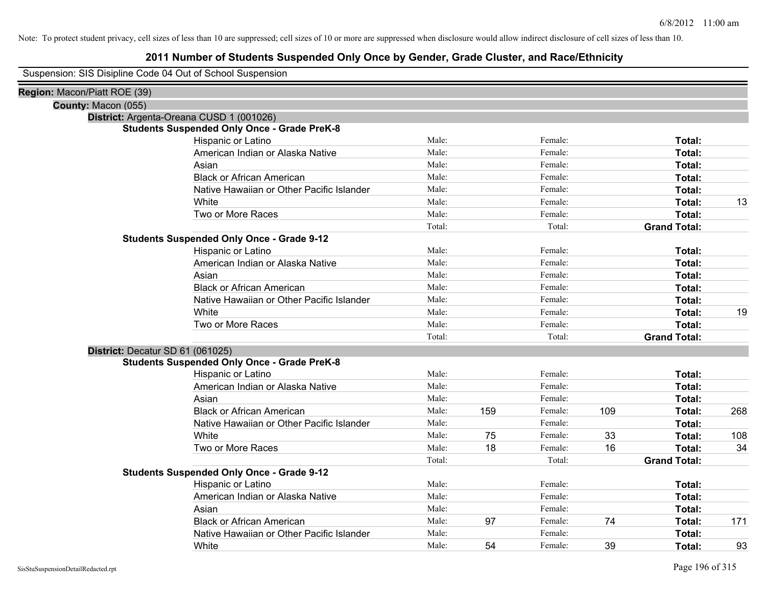## **2011 Number of Students Suspended Only Once by Gender, Grade Cluster, and Race/Ethnicity**

Suspension: SIS Disipline Code 04 Out of School Suspension

| Region: Macon/Piatt ROE (39) |                                                    |        |     |         |     |                     |     |
|------------------------------|----------------------------------------------------|--------|-----|---------|-----|---------------------|-----|
| County: Macon (055)          |                                                    |        |     |         |     |                     |     |
|                              | District: Argenta-Oreana CUSD 1 (001026)           |        |     |         |     |                     |     |
|                              | <b>Students Suspended Only Once - Grade PreK-8</b> |        |     |         |     |                     |     |
|                              | Hispanic or Latino                                 | Male:  |     | Female: |     | Total:              |     |
|                              | American Indian or Alaska Native                   | Male:  |     | Female: |     | Total:              |     |
|                              | Asian                                              | Male:  |     | Female: |     | Total:              |     |
|                              | <b>Black or African American</b>                   | Male:  |     | Female: |     | Total:              |     |
|                              | Native Hawaiian or Other Pacific Islander          | Male:  |     | Female: |     | Total:              |     |
|                              | White                                              | Male:  |     | Female: |     | Total:              | 13  |
|                              | Two or More Races                                  | Male:  |     | Female: |     | Total:              |     |
|                              |                                                    | Total: |     | Total:  |     | <b>Grand Total:</b> |     |
|                              | <b>Students Suspended Only Once - Grade 9-12</b>   |        |     |         |     |                     |     |
|                              | Hispanic or Latino                                 | Male:  |     | Female: |     | Total:              |     |
|                              | American Indian or Alaska Native                   | Male:  |     | Female: |     | Total:              |     |
|                              | Asian                                              | Male:  |     | Female: |     | Total:              |     |
|                              | <b>Black or African American</b>                   | Male:  |     | Female: |     | Total:              |     |
|                              | Native Hawaiian or Other Pacific Islander          | Male:  |     | Female: |     | Total:              |     |
|                              | White                                              | Male:  |     | Female: |     | Total:              | 19  |
|                              | Two or More Races                                  | Male:  |     | Female: |     | Total:              |     |
|                              |                                                    | Total: |     | Total:  |     | <b>Grand Total:</b> |     |
|                              | District: Decatur SD 61 (061025)                   |        |     |         |     |                     |     |
|                              | <b>Students Suspended Only Once - Grade PreK-8</b> |        |     |         |     |                     |     |
|                              | Hispanic or Latino                                 | Male:  |     | Female: |     | Total:              |     |
|                              | American Indian or Alaska Native                   | Male:  |     | Female: |     | Total:              |     |
|                              | Asian                                              | Male:  |     | Female: |     | Total:              |     |
|                              | <b>Black or African American</b>                   | Male:  | 159 | Female: | 109 | Total:              | 268 |
|                              | Native Hawaiian or Other Pacific Islander          | Male:  |     | Female: |     | Total:              |     |
|                              | White                                              | Male:  | 75  | Female: | 33  | Total:              | 108 |
|                              | Two or More Races                                  | Male:  | 18  | Female: | 16  | <b>Total:</b>       | 34  |
|                              |                                                    | Total: |     | Total:  |     | <b>Grand Total:</b> |     |
|                              | <b>Students Suspended Only Once - Grade 9-12</b>   |        |     |         |     |                     |     |
|                              | Hispanic or Latino                                 | Male:  |     | Female: |     | Total:              |     |
|                              | American Indian or Alaska Native                   | Male:  |     | Female: |     | Total:              |     |
|                              | Asian                                              | Male:  |     | Female: |     | Total:              |     |
|                              | <b>Black or African American</b>                   | Male:  | 97  | Female: | 74  | Total:              | 171 |
|                              | Native Hawaiian or Other Pacific Islander          | Male:  |     | Female: |     | Total:              |     |
|                              | White                                              | Male:  | 54  | Female: | 39  | Total:              | 93  |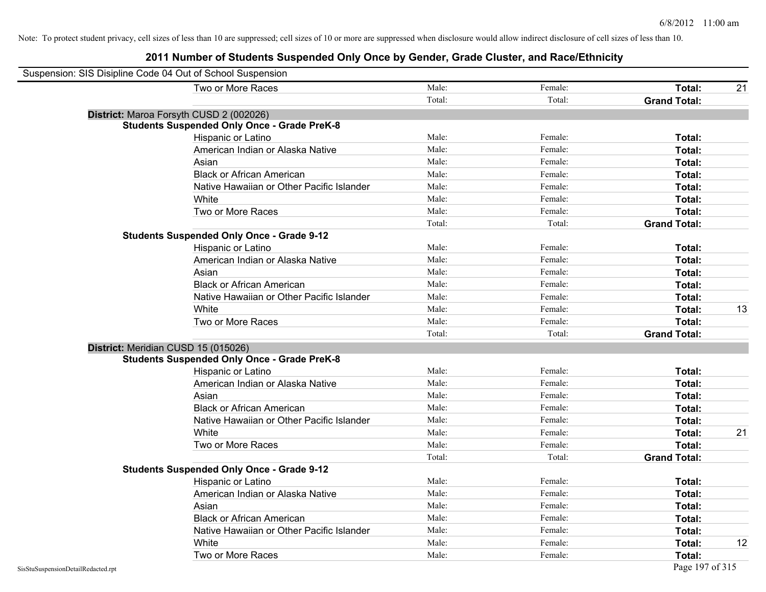| Suspension: SIS Disipline Code 04 Out of School Suspension |                                                    |        |         |                     |    |
|------------------------------------------------------------|----------------------------------------------------|--------|---------|---------------------|----|
|                                                            | Two or More Races                                  | Male:  | Female: | Total:              | 21 |
|                                                            |                                                    | Total: | Total:  | <b>Grand Total:</b> |    |
|                                                            | District: Maroa Forsyth CUSD 2 (002026)            |        |         |                     |    |
|                                                            | <b>Students Suspended Only Once - Grade PreK-8</b> |        |         |                     |    |
|                                                            | Hispanic or Latino                                 | Male:  | Female: | Total:              |    |
|                                                            | American Indian or Alaska Native                   | Male:  | Female: | Total:              |    |
|                                                            | Asian                                              | Male:  | Female: | Total:              |    |
|                                                            | <b>Black or African American</b>                   | Male:  | Female: | Total:              |    |
|                                                            | Native Hawaiian or Other Pacific Islander          | Male:  | Female: | Total:              |    |
|                                                            | White                                              | Male:  | Female: | Total:              |    |
|                                                            | Two or More Races                                  | Male:  | Female: | Total:              |    |
|                                                            |                                                    | Total: | Total:  | <b>Grand Total:</b> |    |
|                                                            | <b>Students Suspended Only Once - Grade 9-12</b>   |        |         |                     |    |
|                                                            | Hispanic or Latino                                 | Male:  | Female: | Total:              |    |
|                                                            | American Indian or Alaska Native                   | Male:  | Female: | Total:              |    |
|                                                            | Asian                                              | Male:  | Female: | Total:              |    |
|                                                            | <b>Black or African American</b>                   | Male:  | Female: | Total:              |    |
|                                                            | Native Hawaiian or Other Pacific Islander          | Male:  | Female: | Total:              |    |
|                                                            | White                                              | Male:  | Female: | Total:              | 13 |
|                                                            | Two or More Races                                  | Male:  | Female: | Total:              |    |
|                                                            |                                                    | Total: | Total:  | <b>Grand Total:</b> |    |
| District: Meridian CUSD 15 (015026)                        |                                                    |        |         |                     |    |
|                                                            | <b>Students Suspended Only Once - Grade PreK-8</b> |        |         |                     |    |
|                                                            | Hispanic or Latino                                 | Male:  | Female: | Total:              |    |
|                                                            | American Indian or Alaska Native                   | Male:  | Female: | Total:              |    |
|                                                            | Asian                                              | Male:  | Female: | Total:              |    |
|                                                            | <b>Black or African American</b>                   | Male:  | Female: | Total:              |    |
|                                                            | Native Hawaiian or Other Pacific Islander          | Male:  | Female: | Total:              |    |
|                                                            | White                                              | Male:  | Female: | Total:              | 21 |
|                                                            | Two or More Races                                  | Male:  | Female: | Total:              |    |
|                                                            |                                                    | Total: | Total:  | <b>Grand Total:</b> |    |
|                                                            | <b>Students Suspended Only Once - Grade 9-12</b>   |        |         |                     |    |
|                                                            | Hispanic or Latino                                 | Male:  | Female: | Total:              |    |
|                                                            | American Indian or Alaska Native                   | Male:  | Female: | Total:              |    |
|                                                            | Asian                                              | Male:  | Female: | Total:              |    |
|                                                            | <b>Black or African American</b>                   | Male:  | Female: | Total:              |    |
|                                                            | Native Hawaiian or Other Pacific Islander          | Male:  | Female: | Total:              |    |
|                                                            | White                                              | Male:  | Female: | Total:              | 12 |
|                                                            | Two or More Races                                  | Male:  | Female: | Total:              |    |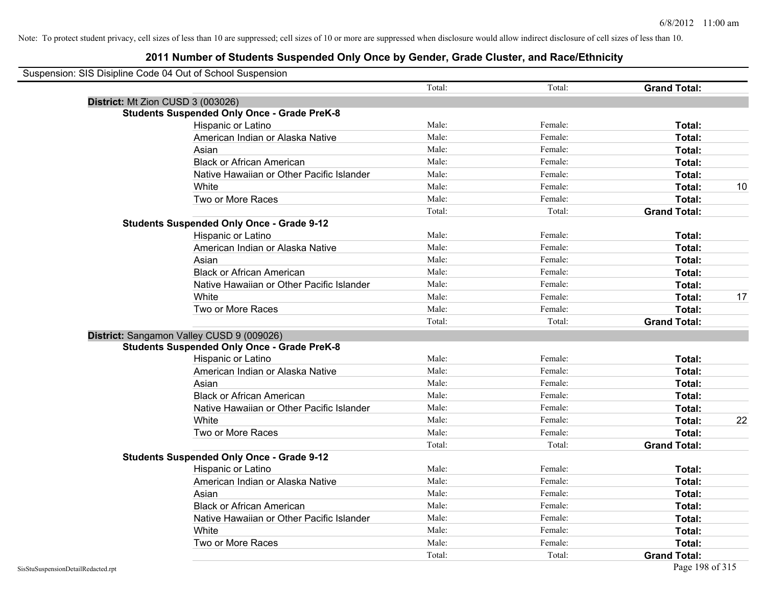| Suspension: SIS Disipline Code 04 Out of School Suspension |                                                    |        |         |                     |    |
|------------------------------------------------------------|----------------------------------------------------|--------|---------|---------------------|----|
|                                                            |                                                    | Total: | Total:  | <b>Grand Total:</b> |    |
| District: Mt Zion CUSD 3 (003026)                          |                                                    |        |         |                     |    |
|                                                            | <b>Students Suspended Only Once - Grade PreK-8</b> |        |         |                     |    |
|                                                            | Hispanic or Latino                                 | Male:  | Female: | Total:              |    |
|                                                            | American Indian or Alaska Native                   | Male:  | Female: | Total:              |    |
|                                                            | Asian                                              | Male:  | Female: | Total:              |    |
|                                                            | <b>Black or African American</b>                   | Male:  | Female: | Total:              |    |
|                                                            | Native Hawaiian or Other Pacific Islander          | Male:  | Female: | Total:              |    |
|                                                            | White                                              | Male:  | Female: | Total:              | 10 |
|                                                            | Two or More Races                                  | Male:  | Female: | Total:              |    |
|                                                            |                                                    | Total: | Total:  | <b>Grand Total:</b> |    |
|                                                            | <b>Students Suspended Only Once - Grade 9-12</b>   |        |         |                     |    |
|                                                            | Hispanic or Latino                                 | Male:  | Female: | Total:              |    |
|                                                            | American Indian or Alaska Native                   | Male:  | Female: | Total:              |    |
|                                                            | Asian                                              | Male:  | Female: | Total:              |    |
|                                                            | <b>Black or African American</b>                   | Male:  | Female: | Total:              |    |
|                                                            | Native Hawaiian or Other Pacific Islander          | Male:  | Female: | Total:              |    |
|                                                            | White                                              | Male:  | Female: | Total:              | 17 |
|                                                            | Two or More Races                                  | Male:  | Female: | Total:              |    |
|                                                            |                                                    | Total: | Total:  | <b>Grand Total:</b> |    |
|                                                            | District: Sangamon Valley CUSD 9 (009026)          |        |         |                     |    |
|                                                            | <b>Students Suspended Only Once - Grade PreK-8</b> |        |         |                     |    |
|                                                            | Hispanic or Latino                                 | Male:  | Female: | Total:              |    |
|                                                            | American Indian or Alaska Native                   | Male:  | Female: | Total:              |    |
|                                                            | Asian                                              | Male:  | Female: | Total:              |    |
|                                                            | <b>Black or African American</b>                   | Male:  | Female: | Total:              |    |
|                                                            | Native Hawaiian or Other Pacific Islander          | Male:  | Female: | Total:              |    |
|                                                            | White                                              | Male:  | Female: | Total:              | 22 |
|                                                            | Two or More Races                                  | Male:  | Female: | Total:              |    |
|                                                            |                                                    | Total: | Total:  | <b>Grand Total:</b> |    |
|                                                            | <b>Students Suspended Only Once - Grade 9-12</b>   |        |         |                     |    |
|                                                            | Hispanic or Latino                                 | Male:  | Female: | Total:              |    |
|                                                            | American Indian or Alaska Native                   | Male:  | Female: | Total:              |    |
|                                                            | Asian                                              | Male:  | Female: | Total:              |    |
|                                                            | <b>Black or African American</b>                   | Male:  | Female: | Total:              |    |
|                                                            | Native Hawaiian or Other Pacific Islander          | Male:  | Female: | Total:              |    |
|                                                            | White                                              | Male:  | Female: | Total:              |    |
|                                                            | Two or More Races                                  | Male:  | Female: | <b>Total:</b>       |    |
|                                                            |                                                    | Total: | Total:  | <b>Grand Total:</b> |    |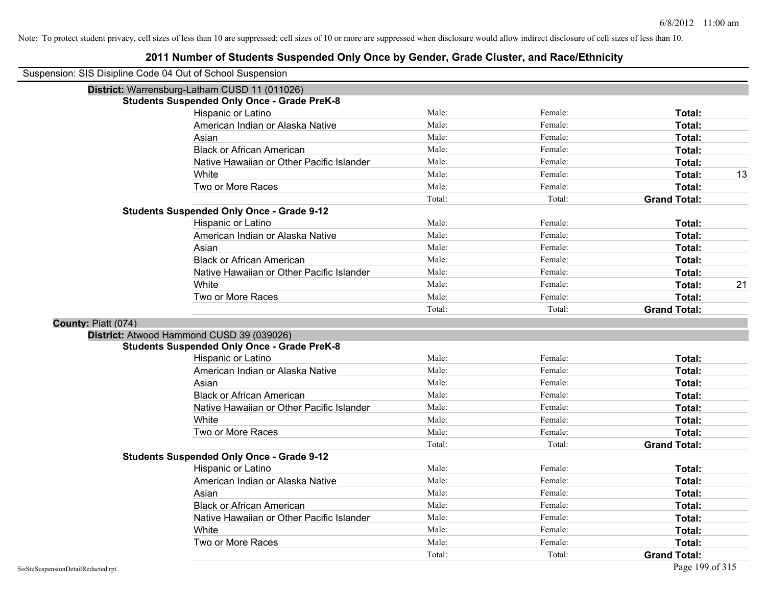| Suspension: SIS Disipline Code 04 Out of School Suspension |                                                    |        |         |                     |    |
|------------------------------------------------------------|----------------------------------------------------|--------|---------|---------------------|----|
|                                                            | District: Warrensburg-Latham CUSD 11 (011026)      |        |         |                     |    |
|                                                            | <b>Students Suspended Only Once - Grade PreK-8</b> |        |         |                     |    |
|                                                            | Hispanic or Latino                                 | Male:  | Female: | Total:              |    |
|                                                            | American Indian or Alaska Native                   | Male:  | Female: | Total:              |    |
|                                                            | Asian                                              | Male:  | Female: | Total:              |    |
|                                                            | <b>Black or African American</b>                   | Male:  | Female: | Total:              |    |
|                                                            | Native Hawaiian or Other Pacific Islander          | Male:  | Female: | Total:              |    |
|                                                            | White                                              | Male:  | Female: | Total:              | 13 |
|                                                            | Two or More Races                                  | Male:  | Female: | Total:              |    |
|                                                            |                                                    | Total: | Total:  | <b>Grand Total:</b> |    |
|                                                            | <b>Students Suspended Only Once - Grade 9-12</b>   |        |         |                     |    |
|                                                            | Hispanic or Latino                                 | Male:  | Female: | Total:              |    |
|                                                            | American Indian or Alaska Native                   | Male:  | Female: | Total:              |    |
|                                                            | Asian                                              | Male:  | Female: | Total:              |    |
|                                                            | <b>Black or African American</b>                   | Male:  | Female: | Total:              |    |
|                                                            | Native Hawaiian or Other Pacific Islander          | Male:  | Female: | Total:              |    |
|                                                            | White                                              | Male:  | Female: | Total:              | 21 |
|                                                            | Two or More Races                                  | Male:  | Female: | Total:              |    |
|                                                            |                                                    | Total: | Total:  | <b>Grand Total:</b> |    |
| County: Piatt (074)                                        |                                                    |        |         |                     |    |
|                                                            | District: Atwood Hammond CUSD 39 (039026)          |        |         |                     |    |
|                                                            | <b>Students Suspended Only Once - Grade PreK-8</b> |        |         |                     |    |
|                                                            | <b>Hispanic or Latino</b>                          | Male:  | Female: | Total:              |    |
|                                                            | American Indian or Alaska Native                   | Male:  | Female: | Total:              |    |
|                                                            | Asian                                              | Male:  | Female: | Total:              |    |
|                                                            | <b>Black or African American</b>                   | Male:  | Female: | Total:              |    |
|                                                            | Native Hawaiian or Other Pacific Islander          | Male:  | Female: | Total:              |    |
|                                                            | White                                              | Male:  | Female: | Total:              |    |
|                                                            | Two or More Races                                  | Male:  | Female: | Total:              |    |
|                                                            |                                                    | Total: | Total:  | <b>Grand Total:</b> |    |
|                                                            | <b>Students Suspended Only Once - Grade 9-12</b>   |        |         |                     |    |
|                                                            | Hispanic or Latino                                 | Male:  | Female: | Total:              |    |
|                                                            | American Indian or Alaska Native                   | Male:  | Female: | Total:              |    |
|                                                            | Asian                                              | Male:  | Female: | Total:              |    |
|                                                            | <b>Black or African American</b>                   | Male:  | Female: | Total:              |    |
|                                                            | Native Hawaiian or Other Pacific Islander          | Male:  | Female: | Total:              |    |
|                                                            | White                                              | Male:  | Female: | Total:              |    |
|                                                            | Two or More Races                                  | Male:  | Female: | Total:              |    |
|                                                            |                                                    | Total: | Total:  | <b>Grand Total:</b> |    |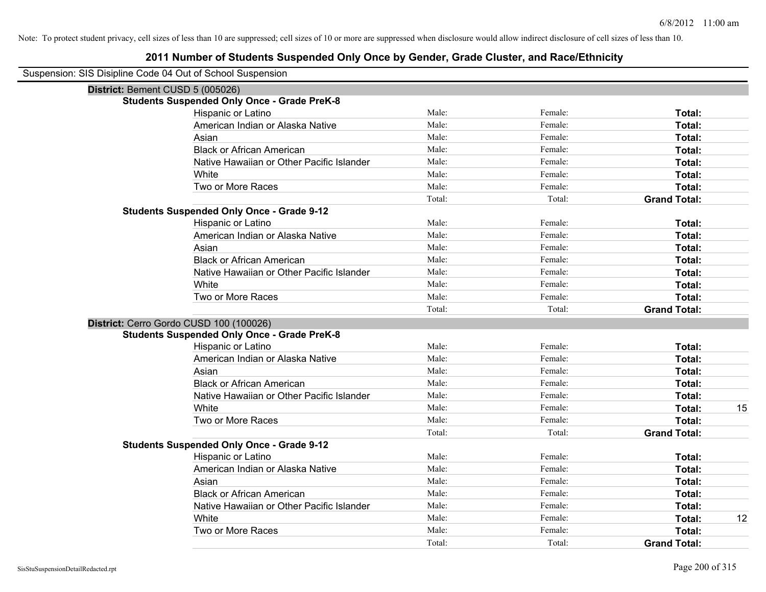| District: Bement CUSD 5 (005026) |                                                    |        |         |                     |    |
|----------------------------------|----------------------------------------------------|--------|---------|---------------------|----|
|                                  | <b>Students Suspended Only Once - Grade PreK-8</b> |        |         |                     |    |
|                                  | Hispanic or Latino                                 | Male:  | Female: | Total:              |    |
|                                  | American Indian or Alaska Native                   | Male:  | Female: | Total:              |    |
|                                  | Asian                                              | Male:  | Female: | Total:              |    |
|                                  | <b>Black or African American</b>                   | Male:  | Female: | Total:              |    |
|                                  | Native Hawaiian or Other Pacific Islander          | Male:  | Female: | Total:              |    |
|                                  | White                                              | Male:  | Female: | Total:              |    |
|                                  | Two or More Races                                  | Male:  | Female: | Total:              |    |
|                                  |                                                    | Total: | Total:  | <b>Grand Total:</b> |    |
|                                  | <b>Students Suspended Only Once - Grade 9-12</b>   |        |         |                     |    |
|                                  | Hispanic or Latino                                 | Male:  | Female: | Total:              |    |
|                                  | American Indian or Alaska Native                   | Male:  | Female: | Total:              |    |
|                                  | Asian                                              | Male:  | Female: | Total:              |    |
|                                  | <b>Black or African American</b>                   | Male:  | Female: | Total:              |    |
|                                  | Native Hawaiian or Other Pacific Islander          | Male:  | Female: | Total:              |    |
|                                  | White                                              | Male:  | Female: | Total:              |    |
|                                  | Two or More Races                                  | Male:  | Female: | Total:              |    |
|                                  |                                                    | Total: | Total:  | <b>Grand Total:</b> |    |
|                                  | District: Cerro Gordo CUSD 100 (100026)            |        |         |                     |    |
|                                  | <b>Students Suspended Only Once - Grade PreK-8</b> |        |         |                     |    |
|                                  | Hispanic or Latino                                 | Male:  | Female: | Total:              |    |
|                                  | American Indian or Alaska Native                   | Male:  | Female: | Total:              |    |
|                                  | Asian                                              | Male:  | Female: | Total:              |    |
|                                  | <b>Black or African American</b>                   | Male:  | Female: | Total:              |    |
|                                  | Native Hawaiian or Other Pacific Islander          | Male:  | Female: | Total:              |    |
|                                  | White                                              | Male:  | Female: | Total:              | 15 |
|                                  | Two or More Races                                  | Male:  | Female: | Total:              |    |
|                                  |                                                    | Total: | Total:  | <b>Grand Total:</b> |    |
|                                  | <b>Students Suspended Only Once - Grade 9-12</b>   |        |         |                     |    |
|                                  | Hispanic or Latino                                 | Male:  | Female: | Total:              |    |
|                                  | American Indian or Alaska Native                   | Male:  | Female: | Total:              |    |
|                                  | Asian                                              | Male:  | Female: | Total:              |    |
|                                  | <b>Black or African American</b>                   | Male:  | Female: | Total:              |    |
|                                  | Native Hawaiian or Other Pacific Islander          | Male:  | Female: | Total:              |    |
|                                  | White                                              | Male:  | Female: | Total:              | 12 |
|                                  | Two or More Races                                  | Male:  | Female: | Total:              |    |
|                                  |                                                    | Total: | Total:  | <b>Grand Total:</b> |    |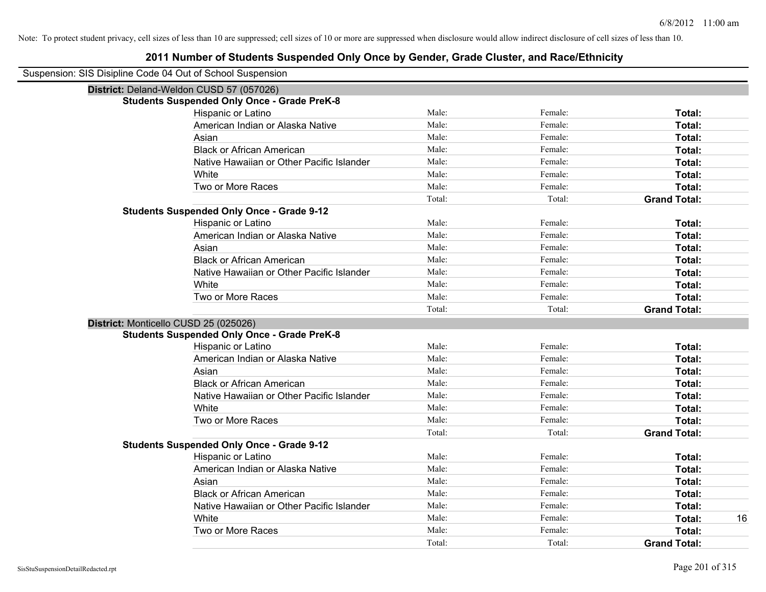| Suspension: SIS Disipline Code 04 Out of School Suspension |                                                    |        |         |                     |
|------------------------------------------------------------|----------------------------------------------------|--------|---------|---------------------|
| District: Deland-Weldon CUSD 57 (057026)                   |                                                    |        |         |                     |
|                                                            | <b>Students Suspended Only Once - Grade PreK-8</b> |        |         |                     |
|                                                            | Hispanic or Latino                                 | Male:  | Female: | Total:              |
|                                                            | American Indian or Alaska Native                   | Male:  | Female: | Total:              |
|                                                            | Asian                                              | Male:  | Female: | Total:              |
|                                                            | <b>Black or African American</b>                   | Male:  | Female: | Total:              |
|                                                            | Native Hawaiian or Other Pacific Islander          | Male:  | Female: | Total:              |
|                                                            | White                                              | Male:  | Female: | Total:              |
|                                                            | Two or More Races                                  | Male:  | Female: | Total:              |
|                                                            |                                                    | Total: | Total:  | <b>Grand Total:</b> |
|                                                            | <b>Students Suspended Only Once - Grade 9-12</b>   |        |         |                     |
|                                                            | Hispanic or Latino                                 | Male:  | Female: | Total:              |
|                                                            | American Indian or Alaska Native                   | Male:  | Female: | Total:              |
|                                                            | Asian                                              | Male:  | Female: | Total:              |
|                                                            | <b>Black or African American</b>                   | Male:  | Female: | Total:              |
|                                                            | Native Hawaiian or Other Pacific Islander          | Male:  | Female: | Total:              |
|                                                            | White                                              | Male:  | Female: | Total:              |
|                                                            | Two or More Races                                  | Male:  | Female: | Total:              |
|                                                            |                                                    | Total: | Total:  | <b>Grand Total:</b> |
| District: Monticello CUSD 25 (025026)                      |                                                    |        |         |                     |
|                                                            | <b>Students Suspended Only Once - Grade PreK-8</b> |        |         |                     |
|                                                            | Hispanic or Latino                                 | Male:  | Female: | Total:              |
|                                                            | American Indian or Alaska Native                   | Male:  | Female: | Total:              |
|                                                            | Asian                                              | Male:  | Female: | Total:              |
|                                                            | <b>Black or African American</b>                   | Male:  | Female: | Total:              |
|                                                            | Native Hawaiian or Other Pacific Islander          | Male:  | Female: | Total:              |
|                                                            | White                                              | Male:  | Female: | Total:              |
|                                                            | Two or More Races                                  | Male:  | Female: | Total:              |
|                                                            |                                                    | Total: | Total:  | <b>Grand Total:</b> |
|                                                            | <b>Students Suspended Only Once - Grade 9-12</b>   |        |         |                     |
|                                                            | Hispanic or Latino                                 | Male:  | Female: | Total:              |
|                                                            | American Indian or Alaska Native                   | Male:  | Female: | Total:              |
|                                                            | Asian                                              | Male:  | Female: | Total:              |
|                                                            | <b>Black or African American</b>                   | Male:  | Female: | Total:              |
|                                                            | Native Hawaiian or Other Pacific Islander          | Male:  | Female: | Total:              |
|                                                            | White                                              | Male:  | Female: | Total:<br>16        |
|                                                            | Two or More Races                                  | Male:  | Female: | Total:              |
|                                                            |                                                    | Total: | Total:  | <b>Grand Total:</b> |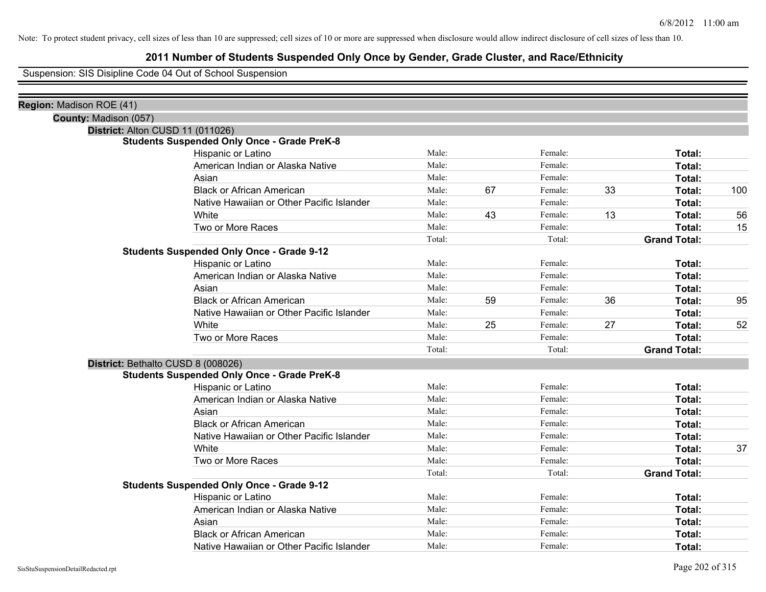## **2011 Number of Students Suspended Only Once by Gender, Grade Cluster, and Race/Ethnicity**

Suspension: SIS Disipline Code 04 Out of School Suspension

| District: Alton CUSD 11 (011026)                   |        |       |         |    |                     |     |
|----------------------------------------------------|--------|-------|---------|----|---------------------|-----|
| <b>Students Suspended Only Once - Grade PreK-8</b> |        |       |         |    |                     |     |
| Hispanic or Latino                                 | Male:  |       | Female: |    | Total:              |     |
| American Indian or Alaska Native                   |        |       | Female: |    | Total:              |     |
| Asian                                              | Male:  |       | Female: |    | Total:              |     |
| <b>Black or African American</b>                   | Male:  | 67    | Female: | 33 | Total:              | 100 |
| Native Hawaiian or Other Pacific Islander          | Male:  |       | Female: |    | Total:              |     |
| White                                              | Male:  | 43    | Female: | 13 | Total:              | 56  |
| Two or More Races                                  | Male:  |       | Female: |    | Total:              | 15  |
|                                                    | Total: |       | Total:  |    | <b>Grand Total:</b> |     |
| <b>Students Suspended Only Once - Grade 9-12</b>   |        |       |         |    |                     |     |
| Hispanic or Latino                                 | Male:  |       | Female: |    | Total:              |     |
| American Indian or Alaska Native                   | Male:  |       | Female: |    | Total:              |     |
| Asian                                              | Male:  |       | Female: |    | Total:              |     |
| <b>Black or African American</b>                   | Male:  | 59    | Female: | 36 | Total:              | 95  |
| Native Hawaiian or Other Pacific Islander          | Male:  |       | Female: |    | Total:              |     |
| White                                              | Male:  | 25    | Female: | 27 | Total:              | 52  |
| Two or More Races                                  | Male:  |       | Female: |    | Total:              |     |
|                                                    | Total: |       | Total:  |    | <b>Grand Total:</b> |     |
| District: Bethalto CUSD 8 (008026)                 |        |       |         |    |                     |     |
| <b>Students Suspended Only Once - Grade PreK-8</b> |        |       |         |    |                     |     |
| Hispanic or Latino                                 | Male:  |       | Female: |    | Total:              |     |
| American Indian or Alaska Native                   | Male:  |       | Female: |    | Total:              |     |
| Asian                                              | Male:  |       | Female: |    | Total:              |     |
| <b>Black or African American</b>                   | Male:  |       | Female: |    | Total:              |     |
| Native Hawaiian or Other Pacific Islander          | Male:  |       | Female: |    | Total:              |     |
| White                                              | Male:  |       | Female: |    | Total:              | 37  |
| Two or More Races                                  | Male:  |       | Female: |    | Total:              |     |
|                                                    | Total: |       | Total:  |    | <b>Grand Total:</b> |     |
| <b>Students Suspended Only Once - Grade 9-12</b>   |        |       |         |    |                     |     |
| Hispanic or Latino                                 | Male:  |       | Female: |    | Total:              |     |
| American Indian or Alaska Native                   | Male:  |       | Female: |    | Total:              |     |
| Asian                                              | Male:  |       | Female: |    | Total:              |     |
| <b>Black or African American</b>                   | Male:  |       | Female: |    | Total:              |     |
| Native Hawaiian or Other Pacific Islander          | Male:  |       | Female: |    | Total:              |     |
|                                                    |        | Male: |         |    |                     |     |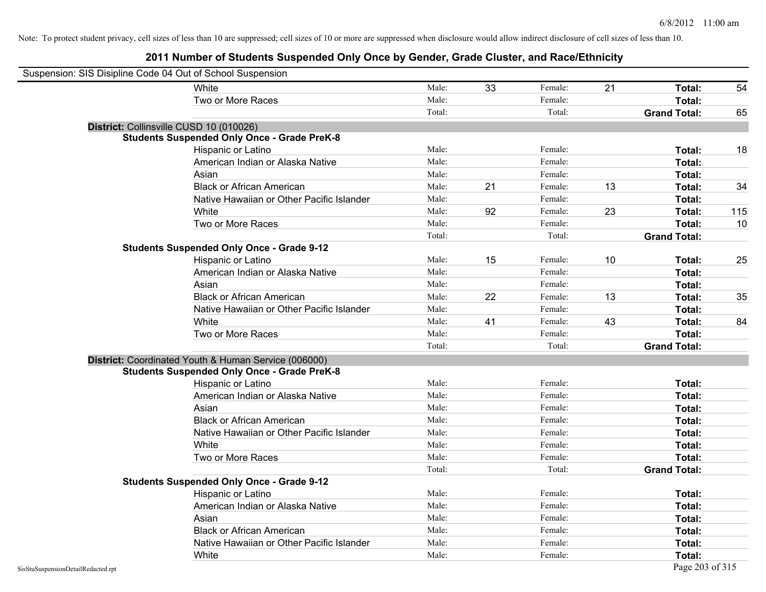| Suspension: SIS Disipline Code 04 Out of School Suspension |                                                      |        |    |         |    |                     |     |
|------------------------------------------------------------|------------------------------------------------------|--------|----|---------|----|---------------------|-----|
|                                                            | White                                                | Male:  | 33 | Female: | 21 | Total:              | 54  |
|                                                            | Two or More Races                                    | Male:  |    | Female: |    | Total:              |     |
|                                                            |                                                      | Total: |    | Total:  |    | <b>Grand Total:</b> | 65  |
|                                                            | District: Collinsville CUSD 10 (010026)              |        |    |         |    |                     |     |
|                                                            | <b>Students Suspended Only Once - Grade PreK-8</b>   |        |    |         |    |                     |     |
|                                                            | Hispanic or Latino                                   | Male:  |    | Female: |    | Total:              | 18  |
|                                                            | American Indian or Alaska Native                     | Male:  |    | Female: |    | Total:              |     |
|                                                            | Asian                                                | Male:  |    | Female: |    | Total:              |     |
|                                                            | <b>Black or African American</b>                     | Male:  | 21 | Female: | 13 | Total:              | 34  |
|                                                            | Native Hawaiian or Other Pacific Islander            | Male:  |    | Female: |    | Total:              |     |
|                                                            | White                                                | Male:  | 92 | Female: | 23 | Total:              | 115 |
|                                                            | Two or More Races                                    | Male:  |    | Female: |    | Total:              | 10  |
|                                                            |                                                      | Total: |    | Total:  |    | <b>Grand Total:</b> |     |
|                                                            | <b>Students Suspended Only Once - Grade 9-12</b>     |        |    |         |    |                     |     |
|                                                            | Hispanic or Latino                                   | Male:  | 15 | Female: | 10 | Total:              | 25  |
|                                                            | American Indian or Alaska Native                     | Male:  |    | Female: |    | Total:              |     |
|                                                            | Asian                                                | Male:  |    | Female: |    | Total:              |     |
|                                                            | <b>Black or African American</b>                     | Male:  | 22 | Female: | 13 | Total:              | 35  |
|                                                            | Native Hawaiian or Other Pacific Islander            | Male:  |    | Female: |    | Total:              |     |
|                                                            | White                                                | Male:  | 41 | Female: | 43 | Total:              | 84  |
|                                                            | Two or More Races                                    | Male:  |    | Female: |    | Total:              |     |
|                                                            |                                                      | Total: |    | Total:  |    | <b>Grand Total:</b> |     |
|                                                            | District: Coordinated Youth & Human Service (006000) |        |    |         |    |                     |     |
|                                                            | <b>Students Suspended Only Once - Grade PreK-8</b>   |        |    |         |    |                     |     |
|                                                            | Hispanic or Latino                                   | Male:  |    | Female: |    | Total:              |     |
|                                                            | American Indian or Alaska Native                     | Male:  |    | Female: |    | Total:              |     |
|                                                            | Asian                                                | Male:  |    | Female: |    | Total:              |     |
|                                                            | <b>Black or African American</b>                     | Male:  |    | Female: |    | Total:              |     |
|                                                            | Native Hawaiian or Other Pacific Islander            | Male:  |    | Female: |    | Total:              |     |
|                                                            | White                                                | Male:  |    | Female: |    | Total:              |     |
|                                                            | Two or More Races                                    | Male:  |    | Female: |    | Total:              |     |
|                                                            |                                                      | Total: |    | Total:  |    | <b>Grand Total:</b> |     |
|                                                            | <b>Students Suspended Only Once - Grade 9-12</b>     |        |    |         |    |                     |     |
|                                                            | Hispanic or Latino                                   | Male:  |    | Female: |    | Total:              |     |
|                                                            | American Indian or Alaska Native                     | Male:  |    | Female: |    | Total:              |     |
|                                                            | Asian                                                | Male:  |    | Female: |    | Total:              |     |
|                                                            | <b>Black or African American</b>                     | Male:  |    | Female: |    | Total:              |     |
|                                                            | Native Hawaiian or Other Pacific Islander            | Male:  |    | Female: |    | Total:              |     |
|                                                            | White                                                | Male:  |    | Female: |    | Total:              |     |
| SisStuSuspensionDetailRedacted.rpt                         |                                                      |        |    |         |    | Page 203 of 315     |     |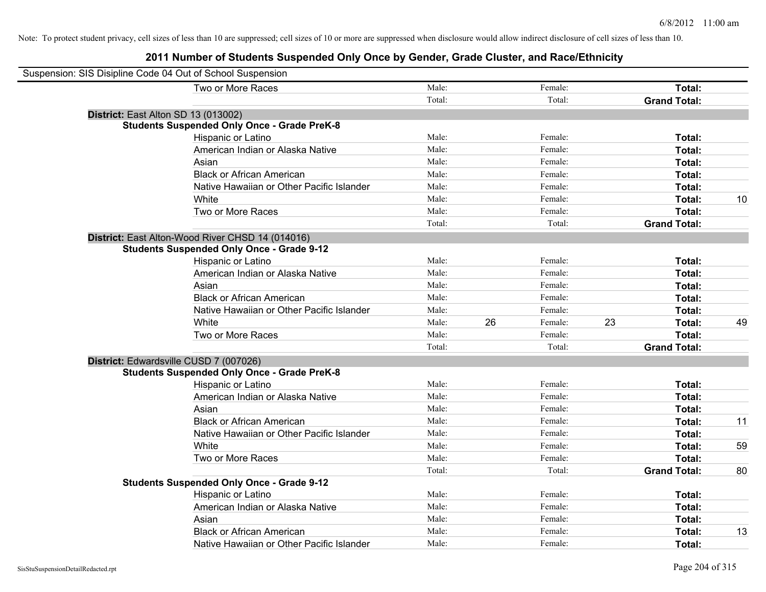| Suspension: SIS Disipline Code 04 Out of School Suspension |                                                    |        |    |         |    |                     |    |
|------------------------------------------------------------|----------------------------------------------------|--------|----|---------|----|---------------------|----|
|                                                            | Two or More Races                                  | Male:  |    | Female: |    | Total:              |    |
|                                                            |                                                    | Total: |    | Total:  |    | <b>Grand Total:</b> |    |
| District: East Alton SD 13 (013002)                        |                                                    |        |    |         |    |                     |    |
|                                                            | <b>Students Suspended Only Once - Grade PreK-8</b> |        |    |         |    |                     |    |
|                                                            | Hispanic or Latino                                 | Male:  |    | Female: |    | Total:              |    |
|                                                            | American Indian or Alaska Native                   | Male:  |    | Female: |    | Total:              |    |
|                                                            | Asian                                              | Male:  |    | Female: |    | Total:              |    |
|                                                            | <b>Black or African American</b>                   | Male:  |    | Female: |    | Total:              |    |
|                                                            | Native Hawaiian or Other Pacific Islander          | Male:  |    | Female: |    | Total:              |    |
|                                                            | White                                              | Male:  |    | Female: |    | Total:              | 10 |
|                                                            | Two or More Races                                  | Male:  |    | Female: |    | Total:              |    |
|                                                            |                                                    | Total: |    | Total:  |    | <b>Grand Total:</b> |    |
|                                                            | District: East Alton-Wood River CHSD 14 (014016)   |        |    |         |    |                     |    |
|                                                            | <b>Students Suspended Only Once - Grade 9-12</b>   |        |    |         |    |                     |    |
|                                                            | Hispanic or Latino                                 | Male:  |    | Female: |    | Total:              |    |
|                                                            | American Indian or Alaska Native                   | Male:  |    | Female: |    | Total:              |    |
|                                                            | Asian                                              | Male:  |    | Female: |    | Total:              |    |
|                                                            | <b>Black or African American</b>                   | Male:  |    | Female: |    | Total:              |    |
|                                                            | Native Hawaiian or Other Pacific Islander          | Male:  |    | Female: |    | Total:              |    |
|                                                            | White                                              | Male:  | 26 | Female: | 23 | Total:              | 49 |
|                                                            | Two or More Races                                  | Male:  |    | Female: |    | Total:              |    |
|                                                            |                                                    | Total: |    | Total:  |    | <b>Grand Total:</b> |    |
| District: Edwardsville CUSD 7 (007026)                     |                                                    |        |    |         |    |                     |    |
|                                                            | <b>Students Suspended Only Once - Grade PreK-8</b> |        |    |         |    |                     |    |
|                                                            | <b>Hispanic or Latino</b>                          | Male:  |    | Female: |    | Total:              |    |
|                                                            | American Indian or Alaska Native                   | Male:  |    | Female: |    | Total:              |    |
|                                                            | Asian                                              | Male:  |    | Female: |    | Total:              |    |
|                                                            | <b>Black or African American</b>                   | Male:  |    | Female: |    | Total:              | 11 |
|                                                            | Native Hawaiian or Other Pacific Islander          | Male:  |    | Female: |    | Total:              |    |
|                                                            | White                                              | Male:  |    | Female: |    | Total:              | 59 |
|                                                            | Two or More Races                                  | Male:  |    | Female: |    | Total:              |    |
|                                                            |                                                    | Total: |    | Total:  |    | <b>Grand Total:</b> | 80 |
|                                                            | <b>Students Suspended Only Once - Grade 9-12</b>   |        |    |         |    |                     |    |
|                                                            | Hispanic or Latino                                 | Male:  |    | Female: |    | Total:              |    |
|                                                            | American Indian or Alaska Native                   | Male:  |    | Female: |    | Total:              |    |
|                                                            | Asian                                              | Male:  |    | Female: |    | Total:              |    |
|                                                            | <b>Black or African American</b>                   | Male:  |    | Female: |    | Total:              | 13 |
|                                                            | Native Hawaiian or Other Pacific Islander          | Male:  |    | Female: |    | Total:              |    |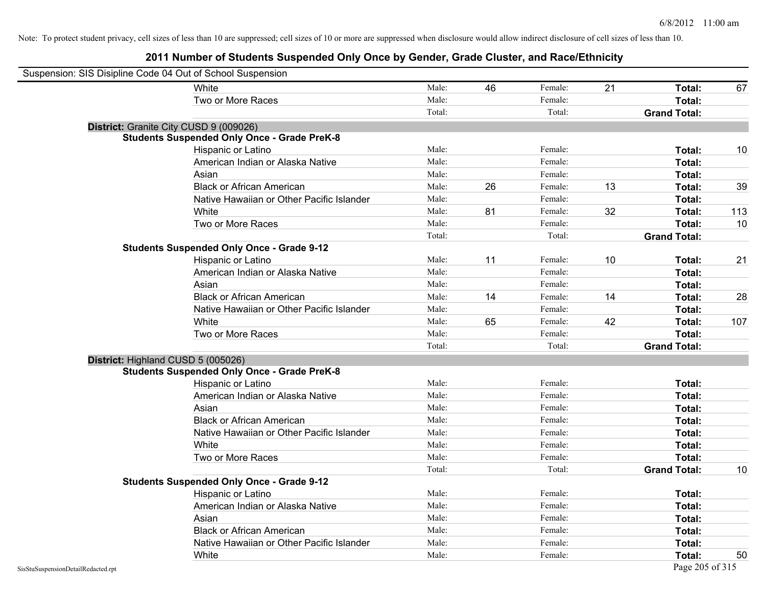| Suspension: SIS Disipline Code 04 Out of School Suspension |                                                    |        |    |         |    |                     |     |
|------------------------------------------------------------|----------------------------------------------------|--------|----|---------|----|---------------------|-----|
|                                                            | White                                              | Male:  | 46 | Female: | 21 | Total:              | 67  |
|                                                            | Two or More Races                                  | Male:  |    | Female: |    | Total:              |     |
|                                                            |                                                    | Total: |    | Total:  |    | <b>Grand Total:</b> |     |
|                                                            | District: Granite City CUSD 9 (009026)             |        |    |         |    |                     |     |
|                                                            | <b>Students Suspended Only Once - Grade PreK-8</b> |        |    |         |    |                     |     |
|                                                            | Hispanic or Latino                                 | Male:  |    | Female: |    | Total:              | 10  |
|                                                            | American Indian or Alaska Native                   | Male:  |    | Female: |    | Total:              |     |
|                                                            | Asian                                              | Male:  |    | Female: |    | Total:              |     |
|                                                            | <b>Black or African American</b>                   | Male:  | 26 | Female: | 13 | Total:              | 39  |
|                                                            | Native Hawaiian or Other Pacific Islander          | Male:  |    | Female: |    | Total:              |     |
|                                                            | White                                              | Male:  | 81 | Female: | 32 | Total:              | 113 |
|                                                            | Two or More Races                                  | Male:  |    | Female: |    | Total:              | 10  |
|                                                            |                                                    | Total: |    | Total:  |    | <b>Grand Total:</b> |     |
|                                                            | <b>Students Suspended Only Once - Grade 9-12</b>   |        |    |         |    |                     |     |
|                                                            | Hispanic or Latino                                 | Male:  | 11 | Female: | 10 | Total:              | 21  |
|                                                            | American Indian or Alaska Native                   | Male:  |    | Female: |    | Total:              |     |
|                                                            | Asian                                              | Male:  |    | Female: |    | Total:              |     |
|                                                            | <b>Black or African American</b>                   | Male:  | 14 | Female: | 14 | Total:              | 28  |
|                                                            | Native Hawaiian or Other Pacific Islander          | Male:  |    | Female: |    | Total:              |     |
|                                                            | White                                              | Male:  | 65 | Female: | 42 | Total:              | 107 |
|                                                            | Two or More Races                                  | Male:  |    | Female: |    | Total:              |     |
|                                                            |                                                    | Total: |    | Total:  |    | <b>Grand Total:</b> |     |
|                                                            | District: Highland CUSD 5 (005026)                 |        |    |         |    |                     |     |
|                                                            | <b>Students Suspended Only Once - Grade PreK-8</b> |        |    |         |    |                     |     |
|                                                            | Hispanic or Latino                                 | Male:  |    | Female: |    | Total:              |     |
|                                                            | American Indian or Alaska Native                   | Male:  |    | Female: |    | Total:              |     |
|                                                            | Asian                                              | Male:  |    | Female: |    | Total:              |     |
|                                                            | <b>Black or African American</b>                   | Male:  |    | Female: |    | Total:              |     |
|                                                            | Native Hawaiian or Other Pacific Islander          | Male:  |    | Female: |    | Total:              |     |
|                                                            | White                                              | Male:  |    | Female: |    | Total:              |     |
|                                                            | Two or More Races                                  | Male:  |    | Female: |    | Total:              |     |
|                                                            |                                                    | Total: |    | Total:  |    | <b>Grand Total:</b> | 10  |
|                                                            | <b>Students Suspended Only Once - Grade 9-12</b>   |        |    |         |    |                     |     |
|                                                            | Hispanic or Latino                                 | Male:  |    | Female: |    | Total:              |     |
|                                                            | American Indian or Alaska Native                   | Male:  |    | Female: |    | Total:              |     |
|                                                            | Asian                                              | Male:  |    | Female: |    | Total:              |     |
|                                                            | <b>Black or African American</b>                   | Male:  |    | Female: |    | Total:              |     |
|                                                            | Native Hawaiian or Other Pacific Islander          | Male:  |    | Female: |    | Total:              |     |
|                                                            | White                                              | Male:  |    | Female: |    | Total:              | 50  |
| SisStuSuspensionDetailRedacted.rpt                         |                                                    |        |    |         |    | Page 205 of 315     |     |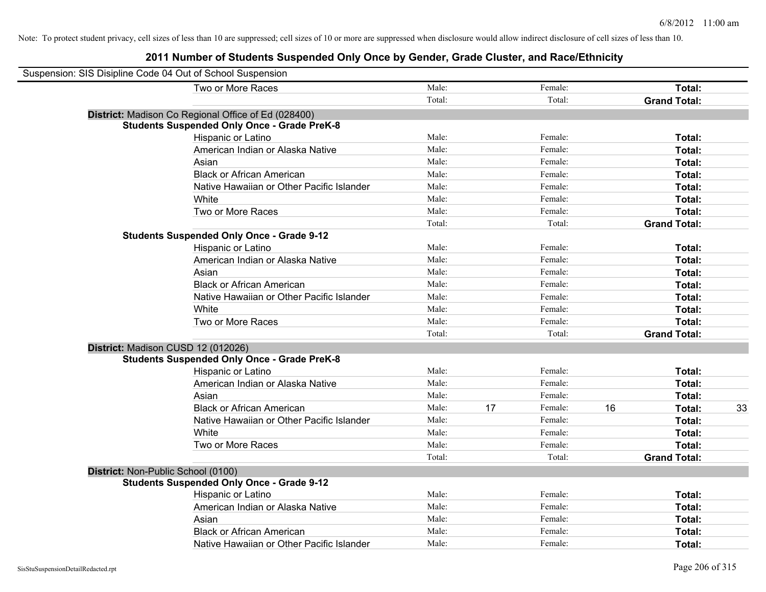| Suspension: SIS Disipline Code 04 Out of School Suspension                               |        |    |         |    |                     |    |
|------------------------------------------------------------------------------------------|--------|----|---------|----|---------------------|----|
| Two or More Races                                                                        | Male:  |    | Female: |    | Total:              |    |
|                                                                                          | Total: |    | Total:  |    | <b>Grand Total:</b> |    |
| District: Madison Co Regional Office of Ed (028400)                                      |        |    |         |    |                     |    |
| <b>Students Suspended Only Once - Grade PreK-8</b>                                       |        |    |         |    |                     |    |
| Hispanic or Latino                                                                       | Male:  |    | Female: |    | Total:              |    |
| American Indian or Alaska Native                                                         | Male:  |    | Female: |    | Total:              |    |
| Asian                                                                                    | Male:  |    | Female: |    | Total:              |    |
| <b>Black or African American</b>                                                         | Male:  |    | Female: |    | Total:              |    |
| Native Hawaiian or Other Pacific Islander                                                | Male:  |    | Female: |    | Total:              |    |
| White                                                                                    | Male:  |    | Female: |    | Total:              |    |
| Two or More Races                                                                        | Male:  |    | Female: |    | Total:              |    |
|                                                                                          | Total: |    | Total:  |    | <b>Grand Total:</b> |    |
| <b>Students Suspended Only Once - Grade 9-12</b>                                         |        |    |         |    |                     |    |
| Hispanic or Latino                                                                       | Male:  |    | Female: |    | Total:              |    |
| American Indian or Alaska Native                                                         | Male:  |    | Female: |    | Total:              |    |
| Asian                                                                                    | Male:  |    | Female: |    | Total:              |    |
| <b>Black or African American</b>                                                         | Male:  |    | Female: |    | Total:              |    |
| Native Hawaiian or Other Pacific Islander                                                | Male:  |    | Female: |    | Total:              |    |
| White                                                                                    | Male:  |    | Female: |    | Total:              |    |
| Two or More Races                                                                        | Male:  |    | Female: |    | Total:              |    |
|                                                                                          | Total: |    | Total:  |    | <b>Grand Total:</b> |    |
| District: Madison CUSD 12 (012026)<br><b>Students Suspended Only Once - Grade PreK-8</b> |        |    |         |    |                     |    |
| Hispanic or Latino                                                                       | Male:  |    | Female: |    | Total:              |    |
| American Indian or Alaska Native                                                         | Male:  |    | Female: |    | Total:              |    |
| Asian                                                                                    | Male:  |    | Female: |    | Total:              |    |
| <b>Black or African American</b>                                                         | Male:  | 17 | Female: | 16 | Total:              | 33 |
| Native Hawaiian or Other Pacific Islander                                                | Male:  |    | Female: |    | Total:              |    |
| White                                                                                    | Male:  |    | Female: |    | Total:              |    |
| Two or More Races                                                                        | Male:  |    | Female: |    | Total:              |    |
|                                                                                          | Total: |    | Total:  |    | <b>Grand Total:</b> |    |
| District: Non-Public School (0100)                                                       |        |    |         |    |                     |    |
| <b>Students Suspended Only Once - Grade 9-12</b>                                         |        |    |         |    |                     |    |
| Hispanic or Latino                                                                       | Male:  |    | Female: |    | Total:              |    |
| American Indian or Alaska Native                                                         | Male:  |    | Female: |    | Total:              |    |
| Asian                                                                                    | Male:  |    | Female: |    | Total:              |    |
| <b>Black or African American</b>                                                         | Male:  |    | Female: |    | Total:              |    |
| Native Hawaiian or Other Pacific Islander                                                | Male:  |    | Female: |    | Total:              |    |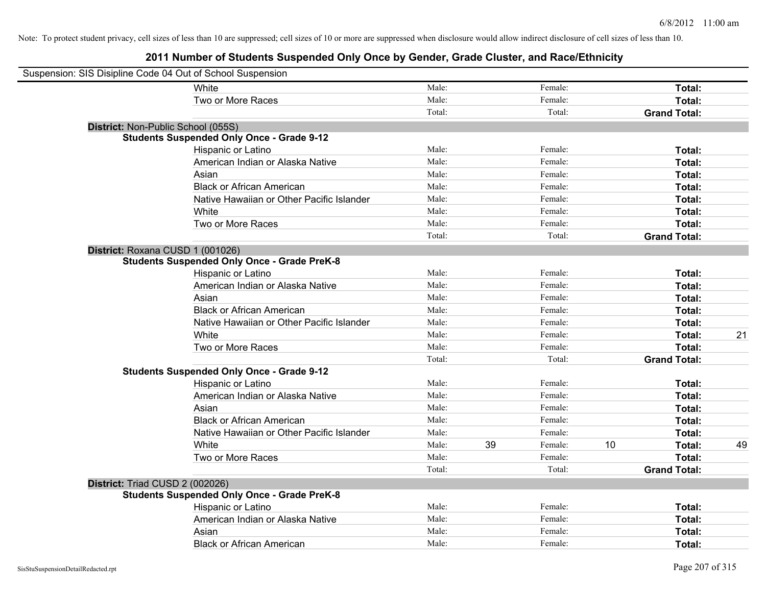| Suspension: SIS Disipline Code 04 Out of School Suspension |                                                    |        |    |         |    |                     |    |
|------------------------------------------------------------|----------------------------------------------------|--------|----|---------|----|---------------------|----|
|                                                            | White                                              | Male:  |    | Female: |    | Total:              |    |
|                                                            | Two or More Races                                  | Male:  |    | Female: |    | Total:              |    |
|                                                            |                                                    | Total: |    | Total:  |    | <b>Grand Total:</b> |    |
| District: Non-Public School (055S)                         |                                                    |        |    |         |    |                     |    |
|                                                            | <b>Students Suspended Only Once - Grade 9-12</b>   |        |    |         |    |                     |    |
|                                                            | Hispanic or Latino                                 | Male:  |    | Female: |    | Total:              |    |
|                                                            | American Indian or Alaska Native                   | Male:  |    | Female: |    | Total:              |    |
|                                                            | Asian                                              | Male:  |    | Female: |    | Total:              |    |
|                                                            | <b>Black or African American</b>                   | Male:  |    | Female: |    | Total:              |    |
|                                                            | Native Hawaiian or Other Pacific Islander          | Male:  |    | Female: |    | Total:              |    |
|                                                            | White                                              | Male:  |    | Female: |    | Total:              |    |
|                                                            | Two or More Races                                  | Male:  |    | Female: |    | Total:              |    |
|                                                            |                                                    | Total: |    | Total:  |    | <b>Grand Total:</b> |    |
| District: Roxana CUSD 1 (001026)                           |                                                    |        |    |         |    |                     |    |
|                                                            | <b>Students Suspended Only Once - Grade PreK-8</b> |        |    |         |    |                     |    |
|                                                            | Hispanic or Latino                                 | Male:  |    | Female: |    | Total:              |    |
|                                                            | American Indian or Alaska Native                   | Male:  |    | Female: |    | Total:              |    |
|                                                            | Asian                                              | Male:  |    | Female: |    | Total:              |    |
|                                                            | <b>Black or African American</b>                   | Male:  |    | Female: |    | Total:              |    |
|                                                            | Native Hawaiian or Other Pacific Islander          | Male:  |    | Female: |    | Total:              |    |
|                                                            | White                                              | Male:  |    | Female: |    | Total:              | 21 |
|                                                            | Two or More Races                                  | Male:  |    | Female: |    | Total:              |    |
|                                                            |                                                    | Total: |    | Total:  |    | <b>Grand Total:</b> |    |
|                                                            | <b>Students Suspended Only Once - Grade 9-12</b>   |        |    |         |    |                     |    |
|                                                            | Hispanic or Latino                                 | Male:  |    | Female: |    | Total:              |    |
|                                                            | American Indian or Alaska Native                   | Male:  |    | Female: |    | Total:              |    |
|                                                            | Asian                                              | Male:  |    | Female: |    | Total:              |    |
|                                                            | <b>Black or African American</b>                   | Male:  |    | Female: |    | Total:              |    |
|                                                            | Native Hawaiian or Other Pacific Islander          | Male:  |    | Female: |    | Total:              |    |
|                                                            | White                                              | Male:  | 39 | Female: | 10 | Total:              | 49 |
|                                                            | Two or More Races                                  | Male:  |    | Female: |    | Total:              |    |
|                                                            |                                                    | Total: |    | Total:  |    | <b>Grand Total:</b> |    |
| District: Triad CUSD 2 (002026)                            |                                                    |        |    |         |    |                     |    |
|                                                            | <b>Students Suspended Only Once - Grade PreK-8</b> |        |    |         |    |                     |    |
|                                                            | Hispanic or Latino                                 | Male:  |    | Female: |    | Total:              |    |
|                                                            | American Indian or Alaska Native                   | Male:  |    | Female: |    | Total:              |    |
|                                                            | Asian                                              | Male:  |    | Female: |    | Total:              |    |
|                                                            | <b>Black or African American</b>                   | Male:  |    | Female: |    | Total:              |    |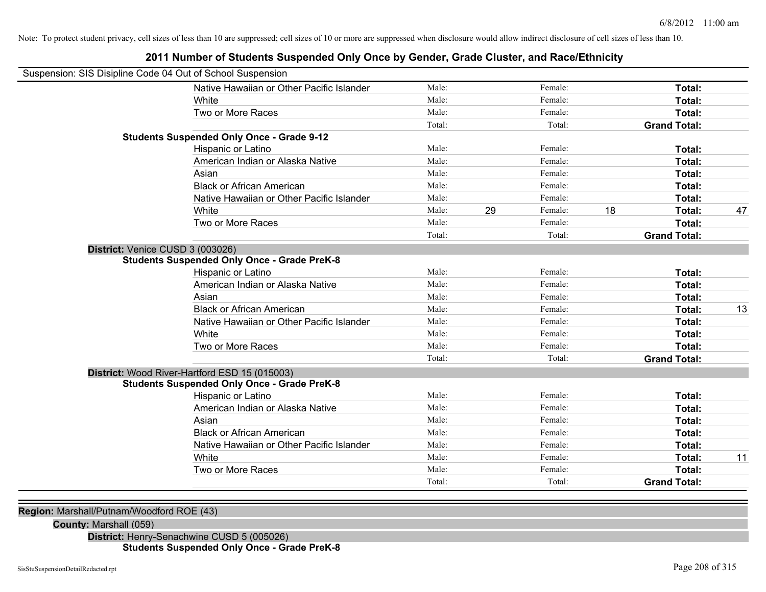| Suspension: SIS Disipline Code 04 Out of School Suspension |                                                    |        |    |         |    |                     |    |
|------------------------------------------------------------|----------------------------------------------------|--------|----|---------|----|---------------------|----|
|                                                            | Native Hawaiian or Other Pacific Islander          | Male:  |    | Female: |    | Total:              |    |
|                                                            | White                                              | Male:  |    | Female: |    | Total:              |    |
|                                                            | Two or More Races                                  | Male:  |    | Female: |    | Total:              |    |
|                                                            |                                                    | Total: |    | Total:  |    | <b>Grand Total:</b> |    |
|                                                            | <b>Students Suspended Only Once - Grade 9-12</b>   |        |    |         |    |                     |    |
|                                                            | Hispanic or Latino                                 | Male:  |    | Female: |    | Total:              |    |
|                                                            | American Indian or Alaska Native                   | Male:  |    | Female: |    | Total:              |    |
|                                                            | Asian                                              | Male:  |    | Female: |    | Total:              |    |
|                                                            | <b>Black or African American</b>                   | Male:  |    | Female: |    | Total:              |    |
|                                                            | Native Hawaiian or Other Pacific Islander          | Male:  |    | Female: |    | Total:              |    |
|                                                            | White                                              | Male:  | 29 | Female: | 18 | Total:              | 47 |
|                                                            | Two or More Races                                  | Male:  |    | Female: |    | Total:              |    |
|                                                            |                                                    | Total: |    | Total:  |    | <b>Grand Total:</b> |    |
| District: Venice CUSD 3 (003026)                           |                                                    |        |    |         |    |                     |    |
|                                                            | <b>Students Suspended Only Once - Grade PreK-8</b> |        |    |         |    |                     |    |
|                                                            | Hispanic or Latino                                 | Male:  |    | Female: |    | Total:              |    |
|                                                            | American Indian or Alaska Native                   | Male:  |    | Female: |    | Total:              |    |
|                                                            | Asian                                              | Male:  |    | Female: |    | Total:              |    |
|                                                            | <b>Black or African American</b>                   | Male:  |    | Female: |    | Total:              | 13 |
|                                                            | Native Hawaiian or Other Pacific Islander          | Male:  |    | Female: |    | Total:              |    |
|                                                            | White                                              | Male:  |    | Female: |    | Total:              |    |
|                                                            | Two or More Races                                  | Male:  |    | Female: |    | Total:              |    |
|                                                            |                                                    | Total: |    | Total:  |    | <b>Grand Total:</b> |    |
|                                                            | District: Wood River-Hartford ESD 15 (015003)      |        |    |         |    |                     |    |
|                                                            | <b>Students Suspended Only Once - Grade PreK-8</b> |        |    |         |    |                     |    |
|                                                            | Hispanic or Latino                                 | Male:  |    | Female: |    | Total:              |    |
|                                                            | American Indian or Alaska Native                   | Male:  |    | Female: |    | Total:              |    |
|                                                            | Asian                                              | Male:  |    | Female: |    | Total:              |    |
|                                                            | <b>Black or African American</b>                   | Male:  |    | Female: |    | Total:              |    |
|                                                            | Native Hawaiian or Other Pacific Islander          | Male:  |    | Female: |    | Total:              |    |
|                                                            | White                                              | Male:  |    | Female: |    | Total:              | 11 |
|                                                            | Two or More Races                                  | Male:  |    | Female: |    | Total:              |    |
|                                                            |                                                    | Total: |    | Total:  |    | <b>Grand Total:</b> |    |

## **2011 Number of Students Suspended Only Once by Gender, Grade Cluster, and Race/Ethnicity**

**Region:** Marshall/Putnam/Woodford ROE (43)

**County:** Marshall (059)

**District:** Henry-Senachwine CUSD 5 (005026) **Students Suspended Only Once - Grade PreK-8**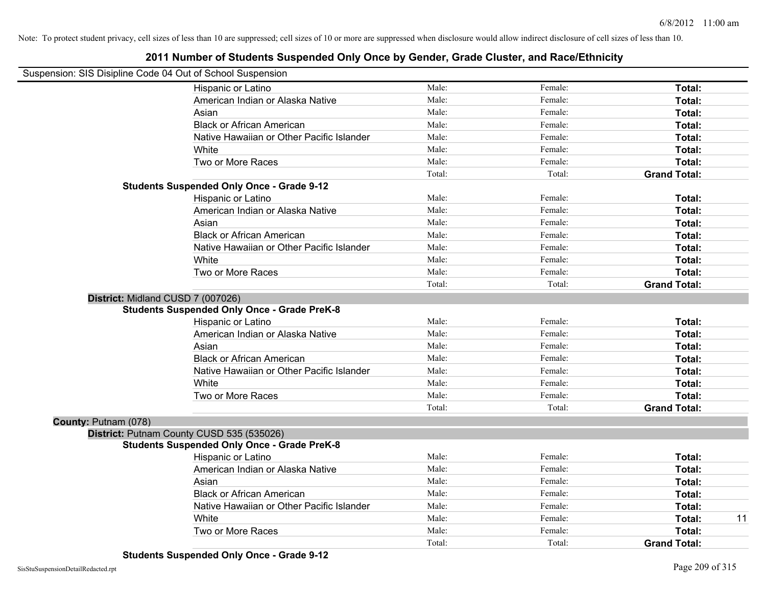|                      | Suspension: SIS Disipline Code 04 Out of School Suspension |        |         |                     |    |
|----------------------|------------------------------------------------------------|--------|---------|---------------------|----|
|                      | Hispanic or Latino                                         | Male:  | Female: | Total:              |    |
|                      | American Indian or Alaska Native                           | Male:  | Female: | Total:              |    |
|                      | Asian                                                      | Male:  | Female: | Total:              |    |
|                      | <b>Black or African American</b>                           | Male:  | Female: | Total:              |    |
|                      | Native Hawaiian or Other Pacific Islander                  | Male:  | Female: | Total:              |    |
|                      | White                                                      | Male:  | Female: | Total:              |    |
|                      | Two or More Races                                          | Male:  | Female: | Total:              |    |
|                      |                                                            | Total: | Total:  | <b>Grand Total:</b> |    |
|                      | <b>Students Suspended Only Once - Grade 9-12</b>           |        |         |                     |    |
|                      | Hispanic or Latino                                         | Male:  | Female: | Total:              |    |
|                      | American Indian or Alaska Native                           | Male:  | Female: | Total:              |    |
|                      | Asian                                                      | Male:  | Female: | Total:              |    |
|                      | <b>Black or African American</b>                           | Male:  | Female: | Total:              |    |
|                      | Native Hawaiian or Other Pacific Islander                  | Male:  | Female: | Total:              |    |
|                      | White                                                      | Male:  | Female: | Total:              |    |
|                      | Two or More Races                                          | Male:  | Female: | Total:              |    |
|                      |                                                            | Total: | Total:  | <b>Grand Total:</b> |    |
|                      | District: Midland CUSD 7 (007026)                          |        |         |                     |    |
|                      | <b>Students Suspended Only Once - Grade PreK-8</b>         |        |         |                     |    |
|                      | Hispanic or Latino                                         | Male:  | Female: | Total:              |    |
|                      | American Indian or Alaska Native                           | Male:  | Female: | Total:              |    |
|                      | Asian                                                      | Male:  | Female: | Total:              |    |
|                      | <b>Black or African American</b>                           | Male:  | Female: | Total:              |    |
|                      | Native Hawaiian or Other Pacific Islander                  | Male:  | Female: | Total:              |    |
|                      | White                                                      | Male:  | Female: | Total:              |    |
|                      | Two or More Races                                          | Male:  | Female: | Total:              |    |
|                      |                                                            | Total: | Total:  | <b>Grand Total:</b> |    |
| County: Putnam (078) |                                                            |        |         |                     |    |
|                      | District: Putnam County CUSD 535 (535026)                  |        |         |                     |    |
|                      | <b>Students Suspended Only Once - Grade PreK-8</b>         |        |         |                     |    |
|                      | Hispanic or Latino                                         | Male:  | Female: | Total:              |    |
|                      | American Indian or Alaska Native                           | Male:  | Female: | Total:              |    |
|                      | Asian                                                      | Male:  | Female: | Total:              |    |
|                      | <b>Black or African American</b>                           | Male:  | Female: | Total:              |    |
|                      | Native Hawaiian or Other Pacific Islander                  | Male:  | Female: | Total:              |    |
|                      | White                                                      | Male:  | Female: | Total:              | 11 |
|                      | Two or More Races                                          | Male:  | Female: | Total:              |    |
|                      |                                                            | Total: | Total:  | <b>Grand Total:</b> |    |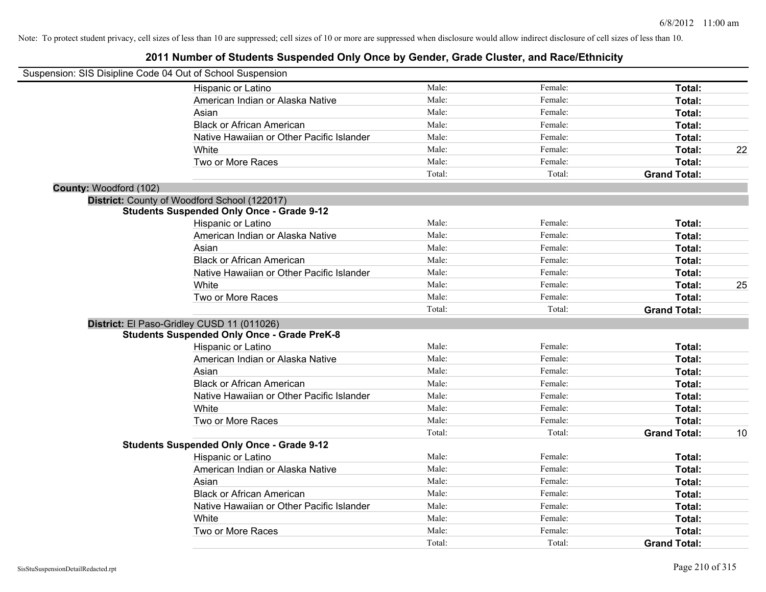|                        | Suspension: SIS Disipline Code 04 Out of School Suspension |        |         |                     |    |
|------------------------|------------------------------------------------------------|--------|---------|---------------------|----|
|                        | Hispanic or Latino                                         | Male:  | Female: | Total:              |    |
|                        | American Indian or Alaska Native                           | Male:  | Female: | Total:              |    |
|                        | Asian                                                      | Male:  | Female: | Total:              |    |
|                        | <b>Black or African American</b>                           | Male:  | Female: | Total:              |    |
|                        | Native Hawaiian or Other Pacific Islander                  | Male:  | Female: | Total:              |    |
|                        | White                                                      | Male:  | Female: | Total:              | 22 |
|                        | Two or More Races                                          | Male:  | Female: | Total:              |    |
|                        |                                                            | Total: | Total:  | <b>Grand Total:</b> |    |
| County: Woodford (102) |                                                            |        |         |                     |    |
|                        | District: County of Woodford School (122017)               |        |         |                     |    |
|                        | <b>Students Suspended Only Once - Grade 9-12</b>           |        |         |                     |    |
|                        | Hispanic or Latino                                         | Male:  | Female: | Total:              |    |
|                        | American Indian or Alaska Native                           | Male:  | Female: | Total:              |    |
|                        | Asian                                                      | Male:  | Female: | Total:              |    |
|                        | <b>Black or African American</b>                           | Male:  | Female: | Total:              |    |
|                        | Native Hawaiian or Other Pacific Islander                  | Male:  | Female: | Total:              |    |
|                        | White                                                      | Male:  | Female: | Total:              | 25 |
|                        | Two or More Races                                          | Male:  | Female: | Total:              |    |
|                        |                                                            | Total: | Total:  | <b>Grand Total:</b> |    |
|                        | District: El Paso-Gridley CUSD 11 (011026)                 |        |         |                     |    |
|                        | <b>Students Suspended Only Once - Grade PreK-8</b>         |        |         |                     |    |
|                        | Hispanic or Latino                                         | Male:  | Female: | Total:              |    |
|                        | American Indian or Alaska Native                           | Male:  | Female: | Total:              |    |
|                        | Asian                                                      | Male:  | Female: | Total:              |    |
|                        | <b>Black or African American</b>                           | Male:  | Female: | Total:              |    |
|                        | Native Hawaiian or Other Pacific Islander                  | Male:  | Female: | Total:              |    |
|                        | White                                                      | Male:  | Female: | Total:              |    |
|                        | Two or More Races                                          | Male:  | Female: | Total:              |    |
|                        |                                                            | Total: | Total:  | <b>Grand Total:</b> | 10 |
|                        | <b>Students Suspended Only Once - Grade 9-12</b>           |        |         |                     |    |
|                        | Hispanic or Latino                                         | Male:  | Female: | Total:              |    |
|                        | American Indian or Alaska Native                           | Male:  | Female: | Total:              |    |
|                        | Asian                                                      | Male:  | Female: | Total:              |    |
|                        | <b>Black or African American</b>                           | Male:  | Female: | Total:              |    |
|                        | Native Hawaiian or Other Pacific Islander                  | Male:  | Female: | Total:              |    |
|                        | White                                                      | Male:  | Female: | Total:              |    |
|                        | Two or More Races                                          | Male:  | Female: | Total:              |    |
|                        |                                                            | Total: | Total:  | <b>Grand Total:</b> |    |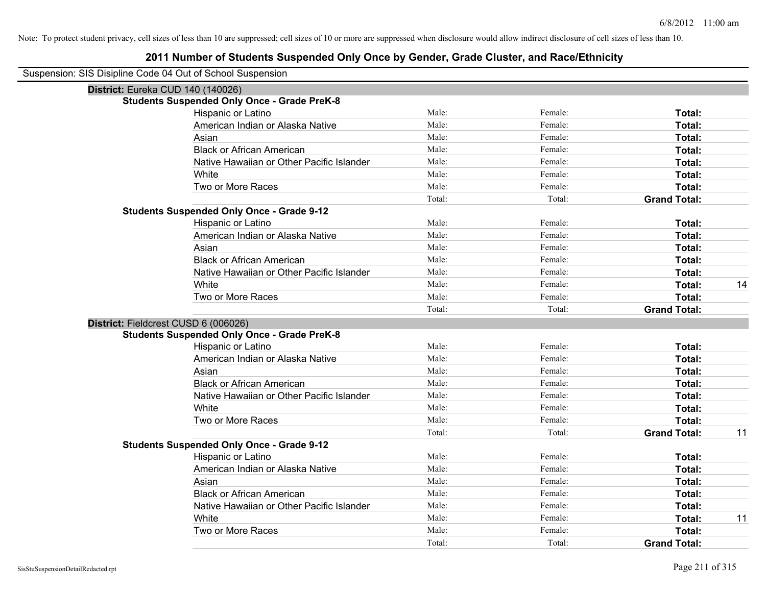| Suspension: SIS Disipline Code 04 Out of School Suspension |
|------------------------------------------------------------|
|------------------------------------------------------------|

| District: Eureka CUD 140 (140026)                  |        |         |                     |    |
|----------------------------------------------------|--------|---------|---------------------|----|
| <b>Students Suspended Only Once - Grade PreK-8</b> |        |         |                     |    |
| Hispanic or Latino                                 | Male:  | Female: | Total:              |    |
| American Indian or Alaska Native                   | Male:  | Female: | Total:              |    |
| Asian                                              | Male:  | Female: | Total:              |    |
| <b>Black or African American</b>                   | Male:  | Female: | <b>Total:</b>       |    |
| Native Hawaiian or Other Pacific Islander          | Male:  | Female: | <b>Total:</b>       |    |
| White                                              | Male:  | Female: | Total:              |    |
| Two or More Races                                  | Male:  | Female: | <b>Total:</b>       |    |
|                                                    | Total: | Total:  | <b>Grand Total:</b> |    |
| <b>Students Suspended Only Once - Grade 9-12</b>   |        |         |                     |    |
| Hispanic or Latino                                 | Male:  | Female: | Total:              |    |
| American Indian or Alaska Native                   | Male:  | Female: | <b>Total:</b>       |    |
| Asian                                              | Male:  | Female: | Total:              |    |
| <b>Black or African American</b>                   | Male:  | Female: | <b>Total:</b>       |    |
| Native Hawaiian or Other Pacific Islander          | Male:  | Female: | <b>Total:</b>       |    |
| White                                              | Male:  | Female: | <b>Total:</b>       | 14 |
| Two or More Races                                  | Male:  | Female: | <b>Total:</b>       |    |
|                                                    | Total: | Total:  | <b>Grand Total:</b> |    |
| District: Fieldcrest CUSD 6 (006026)               |        |         |                     |    |
| <b>Students Suspended Only Once - Grade PreK-8</b> |        |         |                     |    |
| Hispanic or Latino                                 | Male:  | Female: | <b>Total:</b>       |    |
| American Indian or Alaska Native                   | Male:  | Female: | Total:              |    |
| Asian                                              | Male:  | Female: | <b>Total:</b>       |    |
| <b>Black or African American</b>                   | Male:  | Female: | Total:              |    |
| Native Hawaiian or Other Pacific Islander          | Male:  | Female: | Total:              |    |
| White                                              | Male:  | Female: | <b>Total:</b>       |    |
| Two or More Races                                  | Male:  | Female: | <b>Total:</b>       |    |
|                                                    | Total: | Total:  | <b>Grand Total:</b> | 11 |
| <b>Students Suspended Only Once - Grade 9-12</b>   |        |         |                     |    |
| Hispanic or Latino                                 | Male:  | Female: | Total:              |    |
| American Indian or Alaska Native                   | Male:  | Female: | <b>Total:</b>       |    |
| Asian                                              | Male:  | Female: | <b>Total:</b>       |    |
| <b>Black or African American</b>                   | Male:  | Female: | <b>Total:</b>       |    |
| Native Hawaiian or Other Pacific Islander          | Male:  | Female: | <b>Total:</b>       |    |
| White                                              | Male:  | Female: | <b>Total:</b>       | 11 |
| Two or More Races                                  | Male:  | Female: | <b>Total:</b>       |    |
|                                                    | Total: | Total:  | <b>Grand Total:</b> |    |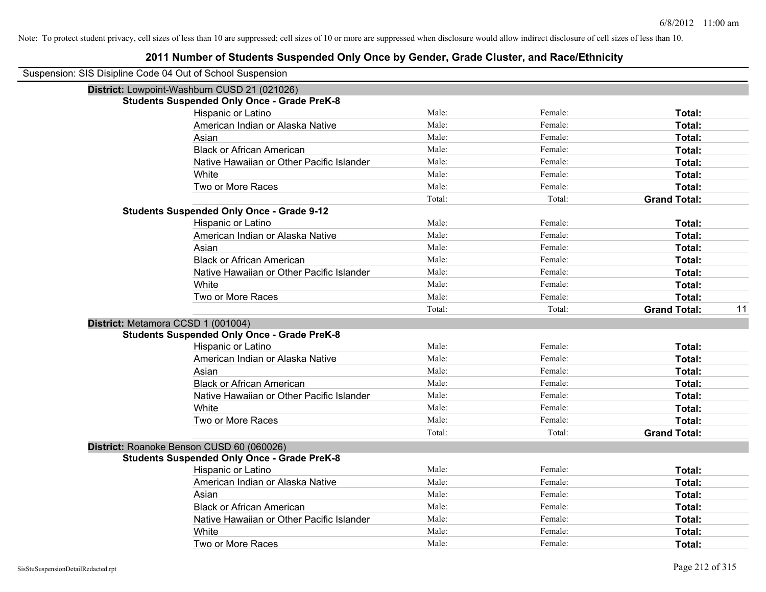| Suspension: SIS Disipline Code 04 Out of School Suspension |        |         |                           |
|------------------------------------------------------------|--------|---------|---------------------------|
| District: Lowpoint-Washburn CUSD 21 (021026)               |        |         |                           |
| <b>Students Suspended Only Once - Grade PreK-8</b>         |        |         |                           |
| Hispanic or Latino                                         | Male:  | Female: | Total:                    |
| American Indian or Alaska Native                           | Male:  | Female: | Total:                    |
| Asian                                                      | Male:  | Female: | Total:                    |
| <b>Black or African American</b>                           | Male:  | Female: | Total:                    |
| Native Hawaiian or Other Pacific Islander                  | Male:  | Female: | Total:                    |
| White                                                      | Male:  | Female: | Total:                    |
| Two or More Races                                          | Male:  | Female: | Total:                    |
|                                                            | Total: | Total:  | <b>Grand Total:</b>       |
| <b>Students Suspended Only Once - Grade 9-12</b>           |        |         |                           |
| Hispanic or Latino                                         | Male:  | Female: | Total:                    |
| American Indian or Alaska Native                           | Male:  | Female: | Total:                    |
| Asian                                                      | Male:  | Female: | Total:                    |
| <b>Black or African American</b>                           | Male:  | Female: | Total:                    |
| Native Hawaiian or Other Pacific Islander                  | Male:  | Female: | Total:                    |
| White                                                      | Male:  | Female: | Total:                    |
| Two or More Races                                          | Male:  | Female: | Total:                    |
|                                                            | Total: | Total:  | <b>Grand Total:</b><br>11 |
| District: Metamora CCSD 1 (001004)                         |        |         |                           |
| <b>Students Suspended Only Once - Grade PreK-8</b>         |        |         |                           |
| Hispanic or Latino                                         | Male:  | Female: | Total:                    |
| American Indian or Alaska Native                           | Male:  | Female: | Total:                    |
| Asian                                                      | Male:  | Female: | Total:                    |
| <b>Black or African American</b>                           | Male:  | Female: | Total:                    |
| Native Hawaiian or Other Pacific Islander                  | Male:  | Female: | Total:                    |
| White                                                      | Male:  | Female: | Total:                    |
| Two or More Races                                          | Male:  | Female: | Total:                    |
|                                                            | Total: | Total:  | <b>Grand Total:</b>       |
| District: Roanoke Benson CUSD 60 (060026)                  |        |         |                           |
| <b>Students Suspended Only Once - Grade PreK-8</b>         |        |         |                           |
| Hispanic or Latino                                         | Male:  | Female: | Total:                    |
| American Indian or Alaska Native                           | Male:  | Female: | Total:                    |
| Asian                                                      | Male:  | Female: | Total:                    |
| <b>Black or African American</b>                           | Male:  | Female: | Total:                    |
| Native Hawaiian or Other Pacific Islander                  | Male:  | Female: | Total:                    |
| White                                                      | Male:  | Female: | Total:                    |
| Two or More Races                                          | Male:  | Female: | Total:                    |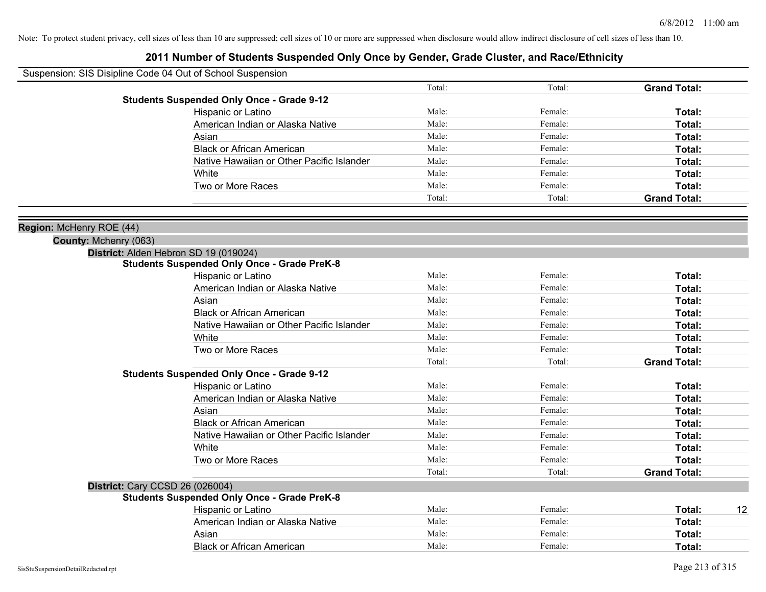| Suspension: SIS Disipline Code 04 Out of School Suspension |                                                    |        |         |                     |    |
|------------------------------------------------------------|----------------------------------------------------|--------|---------|---------------------|----|
|                                                            |                                                    | Total: | Total:  | <b>Grand Total:</b> |    |
|                                                            | <b>Students Suspended Only Once - Grade 9-12</b>   |        |         |                     |    |
|                                                            | Hispanic or Latino                                 | Male:  | Female: | Total:              |    |
|                                                            | American Indian or Alaska Native                   | Male:  | Female: | Total:              |    |
|                                                            | Asian                                              | Male:  | Female: | Total:              |    |
|                                                            | <b>Black or African American</b>                   | Male:  | Female: | Total:              |    |
|                                                            | Native Hawaiian or Other Pacific Islander          | Male:  | Female: | Total:              |    |
|                                                            | White                                              | Male:  | Female: | Total:              |    |
|                                                            | Two or More Races                                  | Male:  | Female: | Total:              |    |
|                                                            |                                                    | Total: | Total:  | <b>Grand Total:</b> |    |
|                                                            |                                                    |        |         |                     |    |
| Region: McHenry ROE (44)                                   |                                                    |        |         |                     |    |
| County: Mchenry (063)                                      |                                                    |        |         |                     |    |
|                                                            | District: Alden Hebron SD 19 (019024)              |        |         |                     |    |
|                                                            | <b>Students Suspended Only Once - Grade PreK-8</b> |        |         |                     |    |
|                                                            | Hispanic or Latino                                 | Male:  | Female: | Total:              |    |
|                                                            | American Indian or Alaska Native                   | Male:  | Female: | Total:              |    |
|                                                            | Asian                                              | Male:  | Female: | Total:              |    |
|                                                            | <b>Black or African American</b>                   | Male:  | Female: | Total:              |    |
|                                                            | Native Hawaiian or Other Pacific Islander          | Male:  | Female: | Total:              |    |
|                                                            | White                                              | Male:  | Female: | Total:              |    |
|                                                            | Two or More Races                                  | Male:  | Female: | Total:              |    |
|                                                            |                                                    | Total: | Total:  | <b>Grand Total:</b> |    |
|                                                            | <b>Students Suspended Only Once - Grade 9-12</b>   |        |         |                     |    |
|                                                            | Hispanic or Latino                                 | Male:  | Female: | Total:              |    |
|                                                            | American Indian or Alaska Native                   | Male:  | Female: | Total:              |    |
|                                                            | Asian                                              | Male:  | Female: | Total:              |    |
|                                                            | <b>Black or African American</b>                   | Male:  | Female: | Total:              |    |
|                                                            | Native Hawaiian or Other Pacific Islander          | Male:  | Female: | Total:              |    |
|                                                            | White                                              | Male:  | Female: | Total:              |    |
|                                                            | Two or More Races                                  | Male:  | Female: | Total:              |    |
|                                                            |                                                    | Total: | Total:  | <b>Grand Total:</b> |    |
| District: Cary CCSD 26 (026004)                            |                                                    |        |         |                     |    |
|                                                            | <b>Students Suspended Only Once - Grade PreK-8</b> |        |         |                     |    |
|                                                            | Hispanic or Latino                                 | Male:  | Female: | Total:              | 12 |
|                                                            | American Indian or Alaska Native                   | Male:  | Female: | Total:              |    |
|                                                            | Asian                                              | Male:  | Female: | Total:              |    |
|                                                            | <b>Black or African American</b>                   | Male:  | Female: | Total:              |    |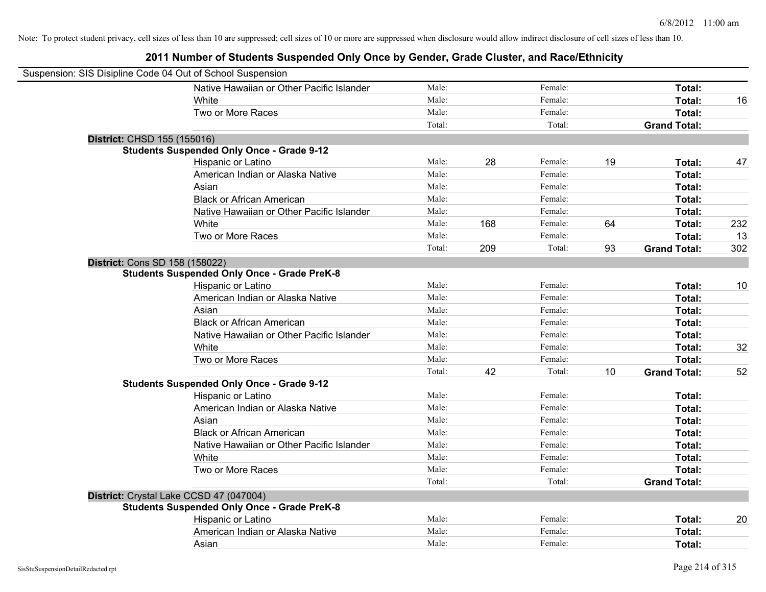| Suspension: SIS Disipline Code 04 Out of School Suspension |                                                    |        |     |         |    |                     |     |
|------------------------------------------------------------|----------------------------------------------------|--------|-----|---------|----|---------------------|-----|
|                                                            | Native Hawaiian or Other Pacific Islander          | Male:  |     | Female: |    | Total:              |     |
|                                                            | White                                              | Male:  |     | Female: |    | Total:              | 16  |
|                                                            | Two or More Races                                  | Male:  |     | Female: |    | Total:              |     |
|                                                            |                                                    | Total: |     | Total:  |    | <b>Grand Total:</b> |     |
| District: CHSD 155 (155016)                                |                                                    |        |     |         |    |                     |     |
|                                                            | <b>Students Suspended Only Once - Grade 9-12</b>   |        |     |         |    |                     |     |
|                                                            | Hispanic or Latino                                 | Male:  | 28  | Female: | 19 | Total:              | 47  |
|                                                            | American Indian or Alaska Native                   | Male:  |     | Female: |    | Total:              |     |
|                                                            | Asian                                              | Male:  |     | Female: |    | Total:              |     |
|                                                            | <b>Black or African American</b>                   | Male:  |     | Female: |    | Total:              |     |
|                                                            | Native Hawaiian or Other Pacific Islander          | Male:  |     | Female: |    | Total:              |     |
|                                                            | White                                              | Male:  | 168 | Female: | 64 | Total:              | 232 |
|                                                            | Two or More Races                                  | Male:  |     | Female: |    | Total:              | 13  |
|                                                            |                                                    | Total: | 209 | Total:  | 93 | <b>Grand Total:</b> | 302 |
| <b>District: Cons SD 158 (158022)</b>                      |                                                    |        |     |         |    |                     |     |
|                                                            | <b>Students Suspended Only Once - Grade PreK-8</b> |        |     |         |    |                     |     |
|                                                            | Hispanic or Latino                                 | Male:  |     | Female: |    | Total:              | 10  |
|                                                            | American Indian or Alaska Native                   | Male:  |     | Female: |    | Total:              |     |
|                                                            | Asian                                              | Male:  |     | Female: |    | Total:              |     |
|                                                            | <b>Black or African American</b>                   | Male:  |     | Female: |    | Total:              |     |
|                                                            | Native Hawaiian or Other Pacific Islander          | Male:  |     | Female: |    | Total:              |     |
|                                                            | White                                              | Male:  |     | Female: |    | Total:              | 32  |
|                                                            | Two or More Races                                  | Male:  |     | Female: |    | Total:              |     |
|                                                            |                                                    | Total: | 42  | Total:  | 10 | <b>Grand Total:</b> | 52  |
|                                                            | <b>Students Suspended Only Once - Grade 9-12</b>   |        |     |         |    |                     |     |
|                                                            | Hispanic or Latino                                 | Male:  |     | Female: |    | Total:              |     |
|                                                            | American Indian or Alaska Native                   | Male:  |     | Female: |    | Total:              |     |
|                                                            | Asian                                              | Male:  |     | Female: |    | Total:              |     |
|                                                            | <b>Black or African American</b>                   | Male:  |     | Female: |    | Total:              |     |
|                                                            | Native Hawaiian or Other Pacific Islander          | Male:  |     | Female: |    | Total:              |     |
|                                                            | White                                              | Male:  |     | Female: |    | Total:              |     |
|                                                            | Two or More Races                                  | Male:  |     | Female: |    | Total:              |     |
|                                                            |                                                    | Total: |     | Total:  |    | <b>Grand Total:</b> |     |
| District: Crystal Lake CCSD 47 (047004)                    |                                                    |        |     |         |    |                     |     |
|                                                            | <b>Students Suspended Only Once - Grade PreK-8</b> |        |     |         |    |                     |     |
|                                                            | Hispanic or Latino                                 | Male:  |     | Female: |    | Total:              | 20  |
|                                                            | American Indian or Alaska Native                   | Male:  |     | Female: |    | Total:              |     |
|                                                            | Asian                                              | Male:  |     | Female: |    | Total:              |     |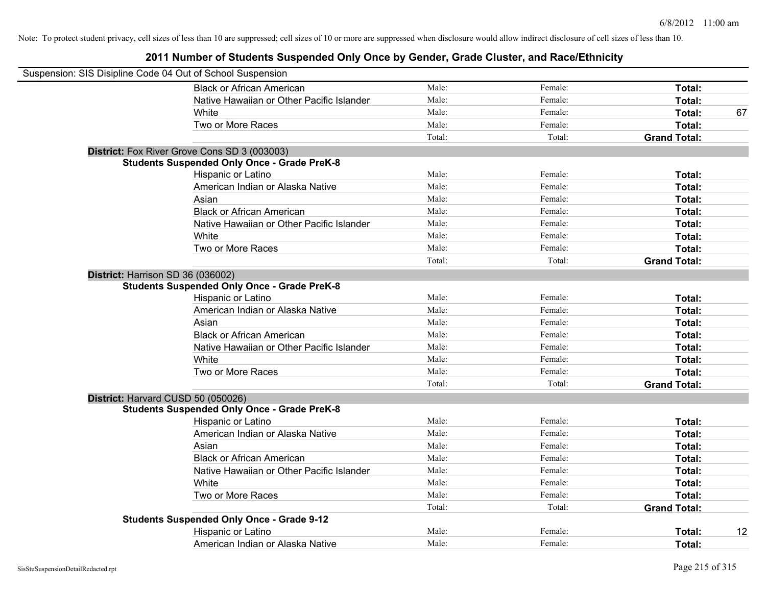| Suspension: SIS Disipline Code 04 Out of School Suspension |                                                    |        |         |                     |    |
|------------------------------------------------------------|----------------------------------------------------|--------|---------|---------------------|----|
|                                                            | <b>Black or African American</b>                   | Male:  | Female: | Total:              |    |
|                                                            | Native Hawaiian or Other Pacific Islander          | Male:  | Female: | Total:              |    |
|                                                            | White                                              | Male:  | Female: | Total:              | 67 |
|                                                            | Two or More Races                                  | Male:  | Female: | Total:              |    |
|                                                            |                                                    | Total: | Total:  | <b>Grand Total:</b> |    |
|                                                            | District: Fox River Grove Cons SD 3 (003003)       |        |         |                     |    |
|                                                            | <b>Students Suspended Only Once - Grade PreK-8</b> |        |         |                     |    |
|                                                            | Hispanic or Latino                                 | Male:  | Female: | Total:              |    |
|                                                            | American Indian or Alaska Native                   | Male:  | Female: | Total:              |    |
|                                                            | Asian                                              | Male:  | Female: | Total:              |    |
|                                                            | <b>Black or African American</b>                   | Male:  | Female: | Total:              |    |
|                                                            | Native Hawaiian or Other Pacific Islander          | Male:  | Female: | Total:              |    |
|                                                            | White                                              | Male:  | Female: | Total:              |    |
|                                                            | Two or More Races                                  | Male:  | Female: | Total:              |    |
|                                                            |                                                    | Total: | Total:  | <b>Grand Total:</b> |    |
|                                                            | District: Harrison SD 36 (036002)                  |        |         |                     |    |
|                                                            | <b>Students Suspended Only Once - Grade PreK-8</b> |        |         |                     |    |
|                                                            | Hispanic or Latino                                 | Male:  | Female: | Total:              |    |
|                                                            | American Indian or Alaska Native                   | Male:  | Female: | Total:              |    |
|                                                            | Asian                                              | Male:  | Female: | Total:              |    |
|                                                            | <b>Black or African American</b>                   | Male:  | Female: | Total:              |    |
|                                                            | Native Hawaiian or Other Pacific Islander          | Male:  | Female: | Total:              |    |
|                                                            | White                                              | Male:  | Female: | Total:              |    |
|                                                            | Two or More Races                                  | Male:  | Female: | Total:              |    |
|                                                            |                                                    | Total: | Total:  | <b>Grand Total:</b> |    |
|                                                            | District: Harvard CUSD 50 (050026)                 |        |         |                     |    |
|                                                            | <b>Students Suspended Only Once - Grade PreK-8</b> |        |         |                     |    |
|                                                            | Hispanic or Latino                                 | Male:  | Female: | Total:              |    |
|                                                            | American Indian or Alaska Native                   | Male:  | Female: | Total:              |    |
|                                                            | Asian                                              | Male:  | Female: | Total:              |    |
|                                                            | <b>Black or African American</b>                   | Male:  | Female: | Total:              |    |
|                                                            | Native Hawaiian or Other Pacific Islander          | Male:  | Female: | Total:              |    |
|                                                            | White                                              | Male:  | Female: | Total:              |    |
|                                                            | Two or More Races                                  | Male:  | Female: | Total:              |    |
|                                                            |                                                    | Total: | Total:  | <b>Grand Total:</b> |    |
|                                                            | <b>Students Suspended Only Once - Grade 9-12</b>   |        |         |                     |    |
|                                                            | Hispanic or Latino                                 | Male:  | Female: | Total:              | 12 |
|                                                            | American Indian or Alaska Native                   | Male:  | Female: | Total:              |    |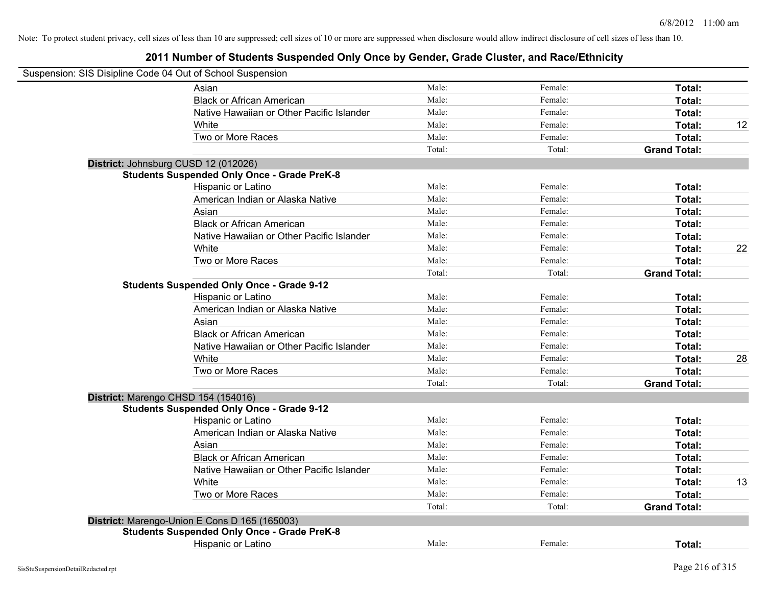| Suspension: SIS Disipline Code 04 Out of School Suspension |                                                    |        |         |                     |    |
|------------------------------------------------------------|----------------------------------------------------|--------|---------|---------------------|----|
|                                                            | Asian                                              | Male:  | Female: | Total:              |    |
|                                                            | <b>Black or African American</b>                   | Male:  | Female: | Total:              |    |
|                                                            | Native Hawaiian or Other Pacific Islander          | Male:  | Female: | Total:              |    |
|                                                            | White                                              | Male:  | Female: | Total:              | 12 |
|                                                            | Two or More Races                                  | Male:  | Female: | Total:              |    |
|                                                            |                                                    | Total: | Total:  | <b>Grand Total:</b> |    |
| District: Johnsburg CUSD 12 (012026)                       |                                                    |        |         |                     |    |
|                                                            | <b>Students Suspended Only Once - Grade PreK-8</b> |        |         |                     |    |
|                                                            | Hispanic or Latino                                 | Male:  | Female: | Total:              |    |
|                                                            | American Indian or Alaska Native                   | Male:  | Female: | Total:              |    |
|                                                            | Asian                                              | Male:  | Female: | Total:              |    |
|                                                            | <b>Black or African American</b>                   | Male:  | Female: | Total:              |    |
|                                                            | Native Hawaiian or Other Pacific Islander          | Male:  | Female: | Total:              |    |
|                                                            | White                                              | Male:  | Female: | Total:              | 22 |
|                                                            | Two or More Races                                  | Male:  | Female: | Total:              |    |
|                                                            |                                                    | Total: | Total:  | <b>Grand Total:</b> |    |
|                                                            | <b>Students Suspended Only Once - Grade 9-12</b>   |        |         |                     |    |
|                                                            | Hispanic or Latino                                 | Male:  | Female: | Total:              |    |
|                                                            | American Indian or Alaska Native                   | Male:  | Female: | Total:              |    |
|                                                            | Asian                                              | Male:  | Female: | Total:              |    |
|                                                            | <b>Black or African American</b>                   | Male:  | Female: | Total:              |    |
|                                                            | Native Hawaiian or Other Pacific Islander          | Male:  | Female: | Total:              |    |
|                                                            | White                                              | Male:  | Female: | Total:              | 28 |
|                                                            | Two or More Races                                  | Male:  | Female: | Total:              |    |
|                                                            |                                                    | Total: | Total:  | <b>Grand Total:</b> |    |
| District: Marengo CHSD 154 (154016)                        |                                                    |        |         |                     |    |
|                                                            | <b>Students Suspended Only Once - Grade 9-12</b>   |        |         |                     |    |
|                                                            | <b>Hispanic or Latino</b>                          | Male:  | Female: | Total:              |    |
|                                                            | American Indian or Alaska Native                   | Male:  | Female: | Total:              |    |
|                                                            | Asian                                              | Male:  | Female: | Total:              |    |
|                                                            | <b>Black or African American</b>                   | Male:  | Female: | Total:              |    |
|                                                            | Native Hawaiian or Other Pacific Islander          | Male:  | Female: | Total:              |    |
|                                                            | White                                              | Male:  | Female: | Total:              | 13 |
|                                                            | Two or More Races                                  | Male:  | Female: | Total:              |    |
|                                                            |                                                    | Total: | Total:  | <b>Grand Total:</b> |    |
|                                                            | District: Marengo-Union E Cons D 165 (165003)      |        |         |                     |    |
|                                                            | <b>Students Suspended Only Once - Grade PreK-8</b> |        |         |                     |    |
|                                                            | Hispanic or Latino                                 | Male:  | Female: | Total:              |    |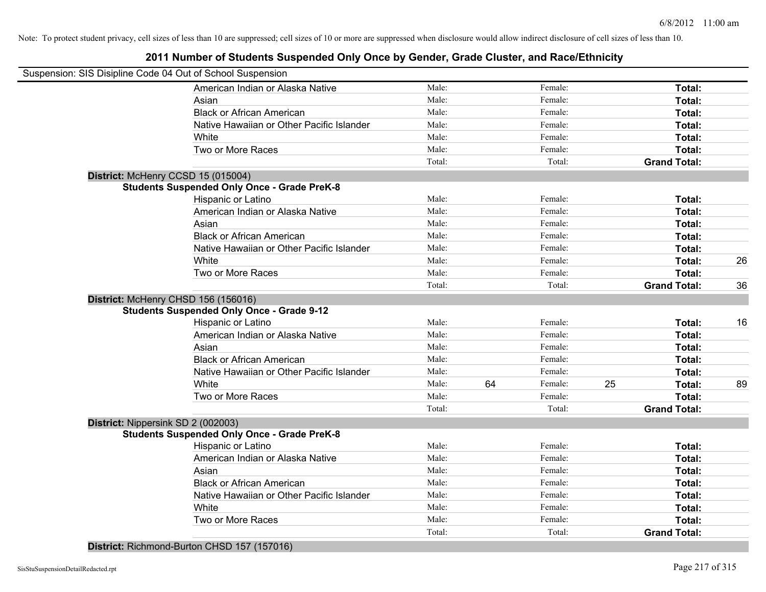### **2011 Number of Students Suspended Only Once by Gender, Grade Cluster, and Race/Ethnicity**

|                                     | Suspension: SIS Disipline Code 04 Out of School Suspension |        |    |         |    |                     |    |
|-------------------------------------|------------------------------------------------------------|--------|----|---------|----|---------------------|----|
|                                     | American Indian or Alaska Native                           | Male:  |    | Female: |    | Total:              |    |
|                                     | Asian                                                      | Male:  |    | Female: |    | Total:              |    |
|                                     | <b>Black or African American</b>                           | Male:  |    | Female: |    | Total:              |    |
|                                     | Native Hawaiian or Other Pacific Islander                  | Male:  |    | Female: |    | Total:              |    |
|                                     | White                                                      | Male:  |    | Female: |    | Total:              |    |
|                                     | Two or More Races                                          | Male:  |    | Female: |    | Total:              |    |
|                                     |                                                            | Total: |    | Total:  |    | <b>Grand Total:</b> |    |
| District: McHenry CCSD 15 (015004)  |                                                            |        |    |         |    |                     |    |
|                                     | <b>Students Suspended Only Once - Grade PreK-8</b>         |        |    |         |    |                     |    |
|                                     | Hispanic or Latino                                         | Male:  |    | Female: |    | Total:              |    |
|                                     | American Indian or Alaska Native                           | Male:  |    | Female: |    | Total:              |    |
|                                     | Asian                                                      | Male:  |    | Female: |    | Total:              |    |
|                                     | <b>Black or African American</b>                           | Male:  |    | Female: |    | Total:              |    |
|                                     | Native Hawaiian or Other Pacific Islander                  | Male:  |    | Female: |    | Total:              |    |
|                                     | White                                                      | Male:  |    | Female: |    | Total:              | 26 |
|                                     | Two or More Races                                          | Male:  |    | Female: |    | Total:              |    |
|                                     |                                                            | Total: |    | Total:  |    | <b>Grand Total:</b> | 36 |
| District: McHenry CHSD 156 (156016) |                                                            |        |    |         |    |                     |    |
|                                     | <b>Students Suspended Only Once - Grade 9-12</b>           |        |    |         |    |                     |    |
|                                     | Hispanic or Latino                                         | Male:  |    | Female: |    | Total:              | 16 |
|                                     | American Indian or Alaska Native                           | Male:  |    | Female: |    | Total:              |    |
|                                     | Asian                                                      | Male:  |    | Female: |    | Total:              |    |
|                                     | <b>Black or African American</b>                           | Male:  |    | Female: |    | Total:              |    |
|                                     | Native Hawaiian or Other Pacific Islander                  | Male:  |    | Female: |    | Total:              |    |
|                                     | White                                                      | Male:  | 64 | Female: | 25 | Total:              | 89 |
|                                     | Two or More Races                                          | Male:  |    | Female: |    | Total:              |    |
|                                     |                                                            | Total: |    | Total:  |    | <b>Grand Total:</b> |    |
| District: Nippersink SD 2 (002003)  |                                                            |        |    |         |    |                     |    |
|                                     | <b>Students Suspended Only Once - Grade PreK-8</b>         |        |    |         |    |                     |    |
|                                     | Hispanic or Latino                                         | Male:  |    | Female: |    | Total:              |    |
|                                     | American Indian or Alaska Native                           | Male:  |    | Female: |    | Total:              |    |
|                                     | Asian                                                      | Male:  |    | Female: |    | Total:              |    |
|                                     | <b>Black or African American</b>                           | Male:  |    | Female: |    | Total:              |    |
|                                     | Native Hawaiian or Other Pacific Islander                  | Male:  |    | Female: |    | Total:              |    |
|                                     | White                                                      | Male:  |    | Female: |    | Total:              |    |
|                                     | Two or More Races                                          | Male:  |    | Female: |    | <b>Total:</b>       |    |
|                                     |                                                            | Total: |    | Total:  |    | <b>Grand Total:</b> |    |

**District:** Richmond-Burton CHSD 157 (157016)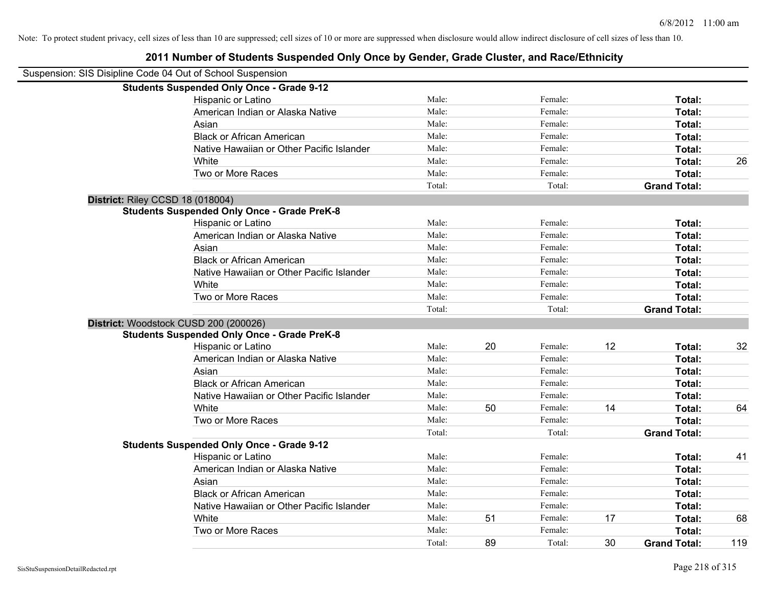### Suspension: SIS Disipline Code 04 Out of School Suspension **Students Suspended Only Once - Grade 9-12** Hispanic or Latino **Finally Hispanic or Latino** *Total:* Male: Female: **Female: Total: Total:** Female: **Total:** American Indian or Alaska Native **Male:** Male: Female: Female: **Total:** Total: Asian **Female:** Total: Male: Female: **Total:** Total: Total: Total: Total: Total: Total: Total: Total: Total: Total: Total: Total: Total: Total: Total: Total: Total: Total: Total: Total: Total: Total: Total: Total: Total: T Black or African American **Figure 1.1 and Total:** Male: Female: Female: **Total:** Total: Native Hawaiian or Other Pacific Islander Male: Total: Female: Female: Total: Total: White **Male:** Male: **Total: 26** Male: **Total: 26** Male: **Total: 26** Male: **Total: 26** Two or More Races **Total:** Total: Male: Female: Female: **Total:** Female: **Total:** Total: Total: Total: **Grand Total: District:** Riley CCSD 18 (018004) **Students Suspended Only Once - Grade PreK-8** Hispanic or Latino **Finally Contract Contract Contract Contract Contract Contract Contract Contract Contract Contract Contract Contract Contract Contract Contract Contract Contract Contract Contract Contract Contract Contr** American Indian or Alaska Native **Male:** Male: Female: Female: **Total:** Total: Asian **Female:** Total: Male: Female: **Total: Total:** Total: Total: Female: Total: Total: Total: Total: Total: Total: Total: Total: Total: Total: Total: Total: Total: Total: Total: Total: Total: Total: Total: Total: Total: Black or African American **Figure 1.1 and Total:** Male: Female: Female: **Total:** Total: Native Hawaiian or Other Pacific Islander **Male:** Male: Female: Female: **Total:** Total: White **Total:** Male: Female: **Total:** Total: **Total:** Female: **Total:** Total: Two or More Races **Total:** Total: Male: Female: Female: **Total:** Total: Total: Total: **Grand Total: District:** Woodstock CUSD 200 (200026) **Students Suspended Only Once - Grade PreK-8** Hispanic or Latino **Male:** 20 Female: 12 Total: 32 American Indian or Alaska Native **Male:** Male: Female: Female: **Total:** Total: Asian **Asian Male:** Total: Male: Female: **Total: Total:** Total: Total: Total: Total: Total: Total: Total: Total: Total: Total: Total: Total: Total: Total: Total: Total: Total: Total: Total: Total: Total: Total: Total: Tota Black or African American **Figure 1.1 and Total:** Male: Female: Female: **Total:** Total: Native Hawaiian or Other Pacific Islander **Male:** Male: Female: Female: **Total:** Total: White **Male:** 50 Female: 14 **Total:** 64 Two or More Races **Total:** Total: Male: Female: Female: **Total:** Total: Total: Total: **Grand Total: Students Suspended Only Once - Grade 9-12** Hispanic or Latino **Male:** Male: **Female:** Female: **Total: 41** and the state of the Male: 41 American Indian or Alaska Native **Male:** Male: Female: Female: **Total:** Total: Asian **Asian Male:** Total: Male: Female: **Total: Total:** Total: Total: Total: Total: Total: Total: Total: Total: Total: Total: Total: Total: Total: Total: Total: Total: Total: Total: Total: Total: Total: Total: Total: Tota Black or African American **Figure 1.1 and Total:** Male: Female: Female: **Total:** Total: Native Hawaiian or Other Pacific Islander **Male:** Male: Female: Female: **Total:** Total: White **Male:** 51 Female: 17 Total: 68 Two or More Races **Total:** Total: Male: Female: Female: **Total:** Total: Female: Total: Total: 89 Total: 30 **Grand Total:** 119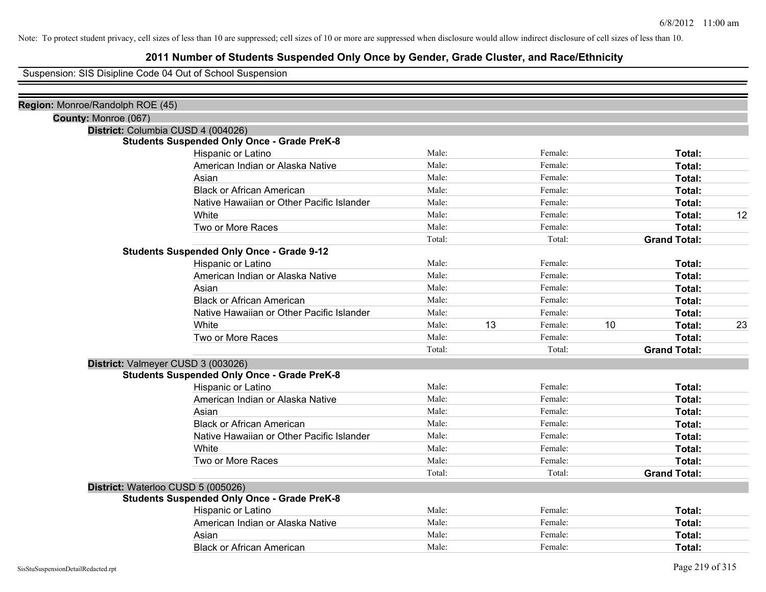### **2011 Number of Students Suspended Only Once by Gender, Grade Cluster, and Race/Ethnicity**

Suspension: SIS Disipline Code 04 Out of School Suspension

| Region: Monroe/Randolph ROE (45) |                                                    |        |    |         |    |                     |    |
|----------------------------------|----------------------------------------------------|--------|----|---------|----|---------------------|----|
| County: Monroe (067)             |                                                    |        |    |         |    |                     |    |
|                                  | District: Columbia CUSD 4 (004026)                 |        |    |         |    |                     |    |
|                                  | <b>Students Suspended Only Once - Grade PreK-8</b> |        |    |         |    |                     |    |
|                                  | Hispanic or Latino                                 | Male:  |    | Female: |    | Total:              |    |
|                                  | American Indian or Alaska Native                   | Male:  |    | Female: |    | Total:              |    |
|                                  | Asian                                              | Male:  |    | Female: |    | Total:              |    |
|                                  | <b>Black or African American</b>                   | Male:  |    | Female: |    | Total:              |    |
|                                  | Native Hawaiian or Other Pacific Islander          | Male:  |    | Female: |    | <b>Total:</b>       |    |
|                                  | White                                              | Male:  |    | Female: |    | Total:              | 12 |
|                                  | Two or More Races                                  | Male:  |    | Female: |    | <b>Total:</b>       |    |
|                                  |                                                    | Total: |    | Total:  |    | <b>Grand Total:</b> |    |
|                                  | <b>Students Suspended Only Once - Grade 9-12</b>   |        |    |         |    |                     |    |
|                                  | Hispanic or Latino                                 | Male:  |    | Female: |    | Total:              |    |
|                                  | American Indian or Alaska Native                   | Male:  |    | Female: |    | <b>Total:</b>       |    |
|                                  | Asian                                              | Male:  |    | Female: |    | Total:              |    |
|                                  | <b>Black or African American</b>                   | Male:  |    | Female: |    | <b>Total:</b>       |    |
|                                  | Native Hawaiian or Other Pacific Islander          | Male:  |    | Female: |    | <b>Total:</b>       |    |
|                                  | White                                              | Male:  | 13 | Female: | 10 | Total:              | 23 |
|                                  | Two or More Races                                  | Male:  |    | Female: |    | <b>Total:</b>       |    |
|                                  |                                                    | Total: |    | Total:  |    | <b>Grand Total:</b> |    |
|                                  | District: Valmeyer CUSD 3 (003026)                 |        |    |         |    |                     |    |
|                                  | <b>Students Suspended Only Once - Grade PreK-8</b> |        |    |         |    |                     |    |
|                                  | Hispanic or Latino                                 | Male:  |    | Female: |    | Total:              |    |
|                                  | American Indian or Alaska Native                   | Male:  |    | Female: |    | Total:              |    |
|                                  | Asian                                              | Male:  |    | Female: |    | Total:              |    |
|                                  | <b>Black or African American</b>                   | Male:  |    | Female: |    | Total:              |    |
|                                  | Native Hawaiian or Other Pacific Islander          | Male:  |    | Female: |    | Total:              |    |
|                                  | White                                              | Male:  |    | Female: |    | Total:              |    |
|                                  | Two or More Races                                  | Male:  |    | Female: |    | Total:              |    |
|                                  |                                                    | Total: |    | Total:  |    | <b>Grand Total:</b> |    |
|                                  | District: Waterloo CUSD 5 (005026)                 |        |    |         |    |                     |    |
|                                  | <b>Students Suspended Only Once - Grade PreK-8</b> |        |    |         |    |                     |    |
|                                  | Hispanic or Latino                                 | Male:  |    | Female: |    | Total:              |    |
|                                  | American Indian or Alaska Native                   | Male:  |    | Female: |    | Total:              |    |
|                                  | Asian                                              | Male:  |    | Female: |    | Total:              |    |
|                                  | <b>Black or African American</b>                   | Male:  |    | Female: |    | Total:              |    |
|                                  |                                                    |        |    |         |    |                     |    |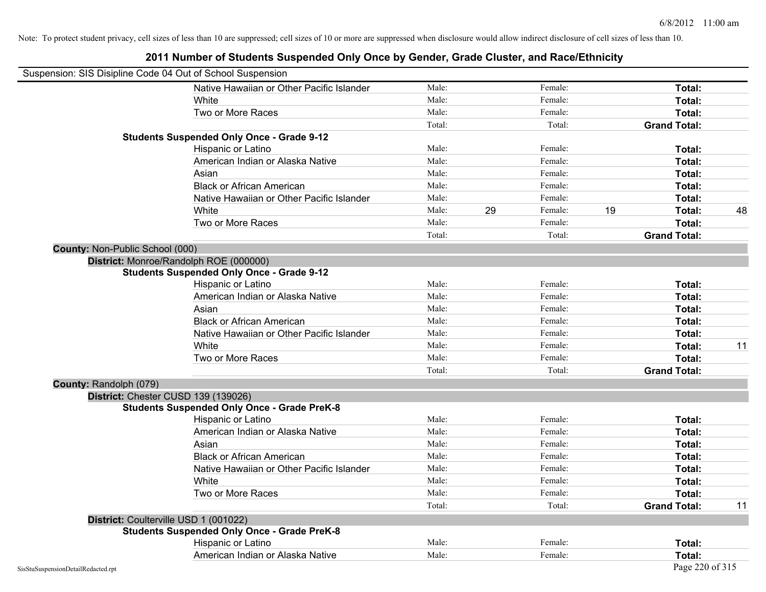| Suspension: SIS Disipline Code 04 Out of School Suspension |                                                    |        |    |         |                     |    |
|------------------------------------------------------------|----------------------------------------------------|--------|----|---------|---------------------|----|
|                                                            | Native Hawaiian or Other Pacific Islander          | Male:  |    | Female: | Total:              |    |
|                                                            | White                                              | Male:  |    | Female: | Total:              |    |
|                                                            | Two or More Races                                  | Male:  |    | Female: | Total:              |    |
|                                                            |                                                    | Total: |    | Total:  | <b>Grand Total:</b> |    |
|                                                            | <b>Students Suspended Only Once - Grade 9-12</b>   |        |    |         |                     |    |
|                                                            | Hispanic or Latino                                 | Male:  |    | Female: | Total:              |    |
|                                                            | American Indian or Alaska Native                   | Male:  |    | Female: | Total:              |    |
|                                                            | Asian                                              | Male:  |    | Female: | Total:              |    |
|                                                            | <b>Black or African American</b>                   | Male:  |    | Female: | Total:              |    |
|                                                            | Native Hawaiian or Other Pacific Islander          | Male:  |    | Female: | Total:              |    |
|                                                            | White                                              | Male:  | 29 | Female: | 19<br>Total:        | 48 |
|                                                            | Two or More Races                                  | Male:  |    | Female: | Total:              |    |
|                                                            |                                                    | Total: |    | Total:  | <b>Grand Total:</b> |    |
| <b>County: Non-Public School (000)</b>                     |                                                    |        |    |         |                     |    |
|                                                            | District: Monroe/Randolph ROE (000000)             |        |    |         |                     |    |
|                                                            | <b>Students Suspended Only Once - Grade 9-12</b>   |        |    |         |                     |    |
|                                                            | Hispanic or Latino                                 | Male:  |    | Female: | Total:              |    |
|                                                            | American Indian or Alaska Native                   | Male:  |    | Female: | Total:              |    |
|                                                            | Asian                                              | Male:  |    | Female: | Total:              |    |
|                                                            | <b>Black or African American</b>                   | Male:  |    | Female: | Total:              |    |
|                                                            | Native Hawaiian or Other Pacific Islander          | Male:  |    | Female: | Total:              |    |
|                                                            | White                                              | Male:  |    | Female: | Total:              | 11 |
|                                                            | Two or More Races                                  | Male:  |    | Female: | Total:              |    |
|                                                            |                                                    | Total: |    | Total:  | <b>Grand Total:</b> |    |
| <b>County: Randolph (079)</b>                              |                                                    |        |    |         |                     |    |
|                                                            | District: Chester CUSD 139 (139026)                |        |    |         |                     |    |
|                                                            | <b>Students Suspended Only Once - Grade PreK-8</b> |        |    |         |                     |    |
|                                                            | Hispanic or Latino                                 | Male:  |    | Female: | Total:              |    |
|                                                            | American Indian or Alaska Native                   | Male:  |    | Female: | Total:              |    |
|                                                            | Asian                                              | Male:  |    | Female: | Total:              |    |
|                                                            | <b>Black or African American</b>                   | Male:  |    | Female: | Total:              |    |
|                                                            | Native Hawaiian or Other Pacific Islander          | Male:  |    | Female: | Total:              |    |
|                                                            | White                                              | Male:  |    | Female: | Total:              |    |
|                                                            | Two or More Races                                  | Male:  |    | Female: | Total:              |    |
|                                                            |                                                    | Total: |    | Total:  | <b>Grand Total:</b> | 11 |
|                                                            | District: Coulterville USD 1 (001022)              |        |    |         |                     |    |
|                                                            | <b>Students Suspended Only Once - Grade PreK-8</b> |        |    |         |                     |    |
|                                                            | Hispanic or Latino                                 | Male:  |    | Female: | Total:              |    |
|                                                            | American Indian or Alaska Native                   | Male:  |    | Female: | Total:              |    |
| SisStuSuspensionDetailRedacted.rpt                         |                                                    |        |    |         | Page 220 of 315     |    |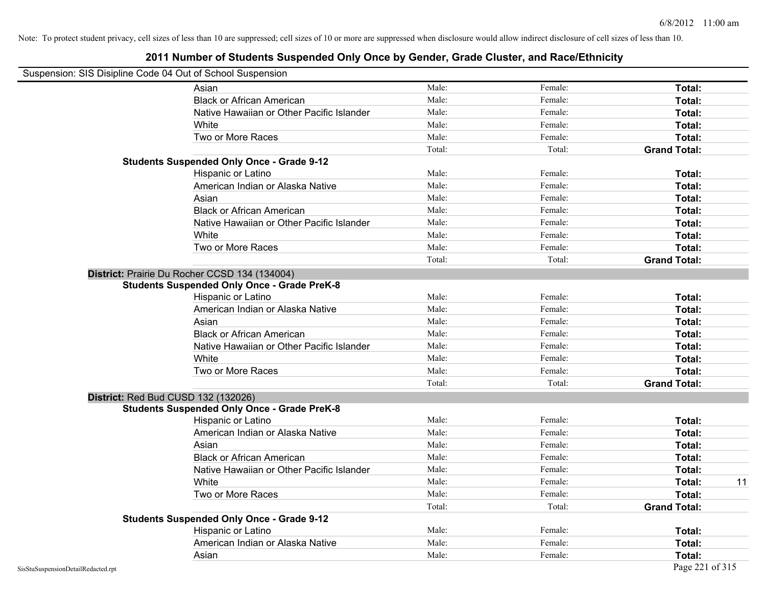### **2011 Number of Students Suspended Only Once by Gender, Grade Cluster, and Race/Ethnicity**

# Suspension: SIS Disipline Code 04 Out of School Suspension

| Asian                                              | Male:  | Female: | Total:              |    |
|----------------------------------------------------|--------|---------|---------------------|----|
| <b>Black or African American</b>                   | Male:  | Female: | Total:              |    |
| Native Hawaiian or Other Pacific Islander          | Male:  | Female: | Total:              |    |
| White                                              | Male:  | Female: | Total:              |    |
| Two or More Races                                  | Male:  | Female: | Total:              |    |
|                                                    | Total: | Total:  | <b>Grand Total:</b> |    |
| <b>Students Suspended Only Once - Grade 9-12</b>   |        |         |                     |    |
| Hispanic or Latino                                 | Male:  | Female: | Total:              |    |
| American Indian or Alaska Native                   | Male:  | Female: | Total:              |    |
| Asian                                              | Male:  | Female: | Total:              |    |
| <b>Black or African American</b>                   | Male:  | Female: | Total:              |    |
| Native Hawaiian or Other Pacific Islander          | Male:  | Female: | Total:              |    |
| White                                              | Male:  | Female: | Total:              |    |
| Two or More Races                                  | Male:  | Female: | Total:              |    |
|                                                    | Total: | Total:  | <b>Grand Total:</b> |    |
| District: Prairie Du Rocher CCSD 134 (134004)      |        |         |                     |    |
| <b>Students Suspended Only Once - Grade PreK-8</b> |        |         |                     |    |
| Hispanic or Latino                                 | Male:  | Female: | Total:              |    |
| American Indian or Alaska Native                   | Male:  | Female: | Total:              |    |
| Asian                                              | Male:  | Female: | Total:              |    |
| <b>Black or African American</b>                   | Male:  | Female: | Total:              |    |
| Native Hawaiian or Other Pacific Islander          | Male:  | Female: | Total:              |    |
| White                                              | Male:  | Female: | Total:              |    |
| Two or More Races                                  | Male:  | Female: | Total:              |    |
|                                                    | Total: | Total:  | <b>Grand Total:</b> |    |
| District: Red Bud CUSD 132 (132026)                |        |         |                     |    |
| <b>Students Suspended Only Once - Grade PreK-8</b> |        |         |                     |    |
| Hispanic or Latino                                 | Male:  | Female: | Total:              |    |
| American Indian or Alaska Native                   | Male:  | Female: | Total:              |    |
| Asian                                              | Male:  | Female: | Total:              |    |
| <b>Black or African American</b>                   | Male:  | Female: | Total:              |    |
| Native Hawaiian or Other Pacific Islander          | Male:  | Female: | Total:              |    |
| <b>White</b>                                       | Male:  | Female: | Total:              | 11 |
| Two or More Races                                  | Male:  | Female: | Total:              |    |
|                                                    | Total: | Total:  | <b>Grand Total:</b> |    |
| <b>Students Suspended Only Once - Grade 9-12</b>   |        |         |                     |    |
| Hispanic or Latino                                 | Male:  | Female: | Total:              |    |
| American Indian or Alaska Native                   | Male:  | Female: | Total:              |    |
| Asian                                              | Male:  | Female: | Total:              |    |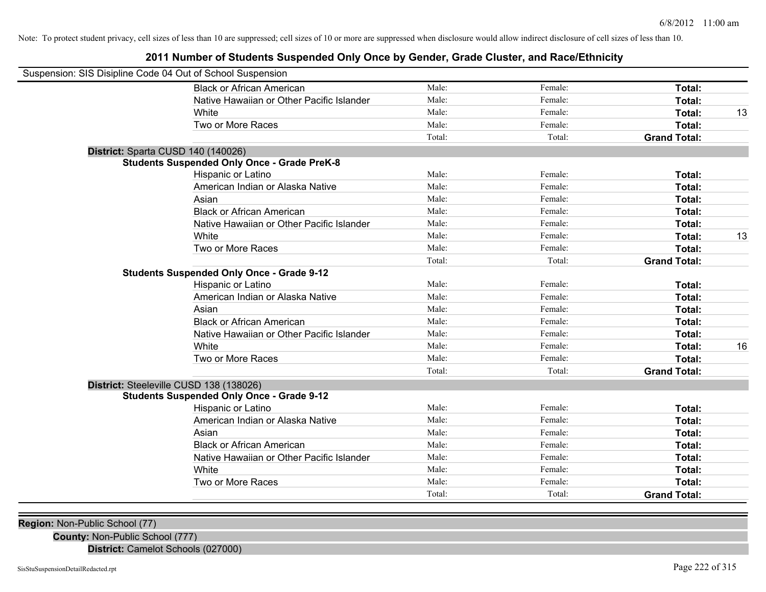### **2011 Number of Students Suspended Only Once by Gender, Grade Cluster, and Race/Ethnicity**

| Suspension: SIS Disipline Code 04 Out of School Suspension |        |         |                     |    |
|------------------------------------------------------------|--------|---------|---------------------|----|
| <b>Black or African American</b>                           | Male:  | Female: | <b>Total:</b>       |    |
| Native Hawaiian or Other Pacific Islander                  | Male:  | Female: | <b>Total:</b>       |    |
| White                                                      | Male:  | Female: | <b>Total:</b>       | 13 |
| Two or More Races                                          | Male:  | Female: | Total:              |    |
|                                                            | Total: | Total:  | <b>Grand Total:</b> |    |
| District: Sparta CUSD 140 (140026)                         |        |         |                     |    |
| <b>Students Suspended Only Once - Grade PreK-8</b>         |        |         |                     |    |
| Hispanic or Latino                                         | Male:  | Female: | Total:              |    |
| American Indian or Alaska Native                           | Male:  | Female: | Total:              |    |
| Asian                                                      | Male:  | Female: | Total:              |    |
| <b>Black or African American</b>                           | Male:  | Female: | Total:              |    |
| Native Hawaiian or Other Pacific Islander                  | Male:  | Female: | Total:              |    |
| White                                                      | Male:  | Female: | Total:              | 13 |
| Two or More Races                                          | Male:  | Female: | Total:              |    |
|                                                            | Total: | Total:  | <b>Grand Total:</b> |    |
| <b>Students Suspended Only Once - Grade 9-12</b>           |        |         |                     |    |
| Hispanic or Latino                                         | Male:  | Female: | Total:              |    |
| American Indian or Alaska Native                           | Male:  | Female: | Total:              |    |
| Asian                                                      | Male:  | Female: | <b>Total:</b>       |    |
| <b>Black or African American</b>                           | Male:  | Female: | Total:              |    |
| Native Hawaiian or Other Pacific Islander                  | Male:  | Female: | Total:              |    |
| White                                                      | Male:  | Female: | Total:              | 16 |
| Two or More Races                                          | Male:  | Female: | Total:              |    |
|                                                            | Total: | Total:  | <b>Grand Total:</b> |    |
| District: Steeleville CUSD 138 (138026)                    |        |         |                     |    |
| <b>Students Suspended Only Once - Grade 9-12</b>           |        |         |                     |    |
| Hispanic or Latino                                         | Male:  | Female: | Total:              |    |
| American Indian or Alaska Native                           | Male:  | Female: | Total:              |    |
| Asian                                                      | Male:  | Female: | Total:              |    |
| <b>Black or African American</b>                           | Male:  | Female: | Total:              |    |
| Native Hawaiian or Other Pacific Islander                  | Male:  | Female: | Total:              |    |
| White                                                      | Male:  | Female: | Total:              |    |
| Two or More Races                                          | Male:  | Female: | Total:              |    |
|                                                            | Total: | Total:  | <b>Grand Total:</b> |    |

**Region:** Non-Public School (77)

**County:** Non-Public School (777)

**District:** Camelot Schools (027000)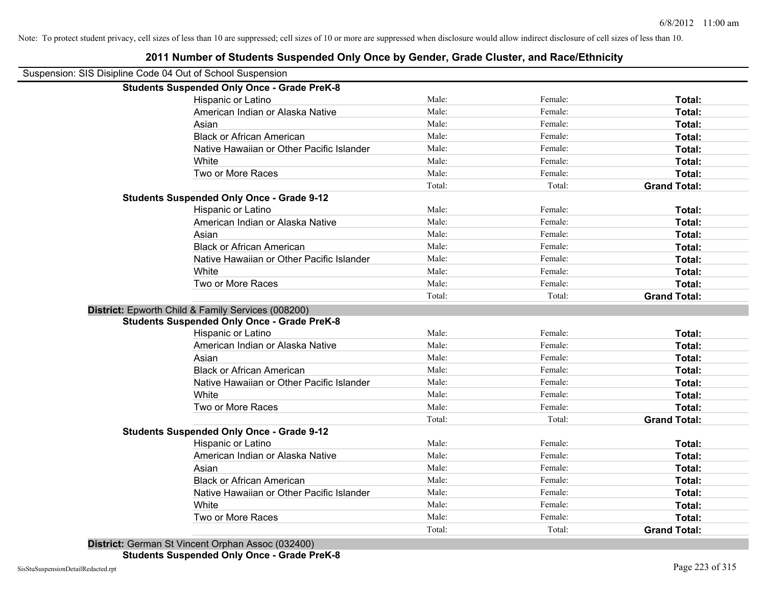| 2011 Number of Students Suspended Only Once by Gender, Grade Cluster, and Race/Ethnicity |        |         |                     |
|------------------------------------------------------------------------------------------|--------|---------|---------------------|
| Suspension: SIS Disipline Code 04 Out of School Suspension                               |        |         |                     |
| <b>Students Suspended Only Once - Grade PreK-8</b>                                       |        |         |                     |
| Hispanic or Latino                                                                       | Male:  | Female: | Total:              |
| American Indian or Alaska Native                                                         | Male:  | Female: | Total:              |
| Asian                                                                                    | Male:  | Female: | Total:              |
| <b>Black or African American</b>                                                         | Male:  | Female: | Total:              |
| Native Hawaiian or Other Pacific Islander                                                | Male:  | Female: | Total:              |
| White                                                                                    | Male:  | Female: | Total:              |
| Two or More Races                                                                        | Male:  | Female: | Total:              |
|                                                                                          | Total: | Total:  | <b>Grand Total:</b> |
| <b>Students Suspended Only Once - Grade 9-12</b>                                         |        |         |                     |
| Hispanic or Latino                                                                       | Male:  | Female: | Total:              |
| American Indian or Alaska Native                                                         | Male:  | Female: | Total:              |
| Asian                                                                                    | Male:  | Female: | Total:              |
| <b>Black or African American</b>                                                         | Male:  | Female: | Total:              |
| Native Hawaiian or Other Pacific Islander                                                | Male:  | Female: | Total:              |
| White                                                                                    | Male:  | Female: | Total:              |
| Two or More Races                                                                        | Male:  | Female: | Total:              |
|                                                                                          | Total: | Total:  | <b>Grand Total:</b> |
| District: Epworth Child & Family Services (008200)                                       |        |         |                     |
| <b>Students Suspended Only Once - Grade PreK-8</b>                                       |        |         |                     |
| Hispanic or Latino                                                                       | Male:  | Female: | Total:              |
| American Indian or Alaska Native                                                         | Male:  | Female: | Total:              |
| Asian                                                                                    | Male:  | Female: | Total:              |
| <b>Black or African American</b>                                                         | Male:  | Female: | Total:              |
| Native Hawaiian or Other Pacific Islander                                                | Male:  | Female: | Total:              |
| White                                                                                    | Male:  | Female: | Total:              |
| Two or More Races                                                                        | Male:  | Female: | Total:              |
|                                                                                          | Total: | Total:  | <b>Grand Total:</b> |
| <b>Students Suspended Only Once - Grade 9-12</b>                                         |        |         |                     |
| Hispanic or Latino                                                                       | Male:  | Female: | Total:              |
| American Indian or Alaska Native                                                         | Male:  | Female: | Total:              |
| Asian                                                                                    | Male:  | Female: | Total:              |
| <b>Black or African American</b>                                                         | Male:  | Female: | Total:              |
| Native Hawaiian or Other Pacific Islander                                                | Male:  | Female: | Total:              |
| White                                                                                    | Male:  | Female: | Total:              |
| Two or More Races                                                                        | Male:  | Female: | Total:              |
|                                                                                          | Total: | Total:  | <b>Grand Total:</b> |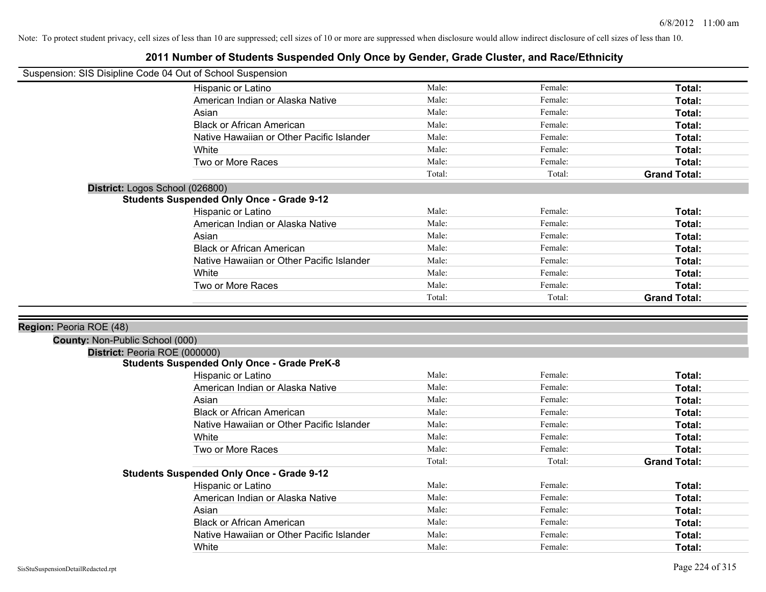| Suspension: SIS Disipline Code 04 Out of School Suspension |                                                    |        |         |                     |
|------------------------------------------------------------|----------------------------------------------------|--------|---------|---------------------|
|                                                            | Hispanic or Latino                                 | Male:  | Female: | Total:              |
|                                                            | American Indian or Alaska Native                   | Male:  | Female: | Total:              |
|                                                            | Asian                                              | Male:  | Female: | Total:              |
|                                                            | <b>Black or African American</b>                   | Male:  | Female: | Total:              |
|                                                            | Native Hawaiian or Other Pacific Islander          | Male:  | Female: | Total:              |
|                                                            | White                                              | Male:  | Female: | Total:              |
|                                                            | Two or More Races                                  | Male:  | Female: | Total:              |
|                                                            |                                                    | Total: | Total:  | <b>Grand Total:</b> |
| District: Logos School (026800)                            |                                                    |        |         |                     |
|                                                            | <b>Students Suspended Only Once - Grade 9-12</b>   |        |         |                     |
|                                                            | Hispanic or Latino                                 | Male:  | Female: | Total:              |
|                                                            | American Indian or Alaska Native                   | Male:  | Female: | Total:              |
|                                                            | Asian                                              | Male:  | Female: | Total:              |
|                                                            | <b>Black or African American</b>                   | Male:  | Female: | Total:              |
|                                                            | Native Hawaiian or Other Pacific Islander          | Male:  | Female: | Total:              |
|                                                            | White                                              | Male:  | Female: | Total:              |
|                                                            | Two or More Races                                  | Male:  | Female: | Total:              |
|                                                            |                                                    | Total: | Total:  | <b>Grand Total:</b> |
|                                                            |                                                    |        |         |                     |
|                                                            |                                                    |        |         |                     |
| Region: Peoria ROE (48)                                    |                                                    |        |         |                     |
| County: Non-Public School (000)                            |                                                    |        |         |                     |
| District: Peoria ROE (000000)                              |                                                    |        |         |                     |
|                                                            | <b>Students Suspended Only Once - Grade PreK-8</b> |        |         |                     |
|                                                            | Hispanic or Latino                                 | Male:  | Female: | Total:              |
|                                                            | American Indian or Alaska Native                   | Male:  | Female: | Total:              |
|                                                            | Asian                                              | Male:  | Female: | Total:              |
|                                                            | <b>Black or African American</b>                   | Male:  | Female: | Total:              |
|                                                            | Native Hawaiian or Other Pacific Islander          | Male:  | Female: | <b>Total:</b>       |
|                                                            | White                                              | Male:  | Female: | Total:              |
|                                                            | Two or More Races                                  | Male:  | Female: | Total:              |
|                                                            |                                                    | Total: | Total:  | <b>Grand Total:</b> |
|                                                            | <b>Students Suspended Only Once - Grade 9-12</b>   |        |         |                     |
|                                                            | Hispanic or Latino                                 | Male:  | Female: | Total:              |
|                                                            | American Indian or Alaska Native                   | Male:  | Female: | Total:              |
|                                                            | Asian                                              | Male:  | Female: | Total:              |
|                                                            | <b>Black or African American</b>                   | Male:  | Female: | Total:              |
|                                                            | Native Hawaiian or Other Pacific Islander<br>White | Male:  | Female: | Total:              |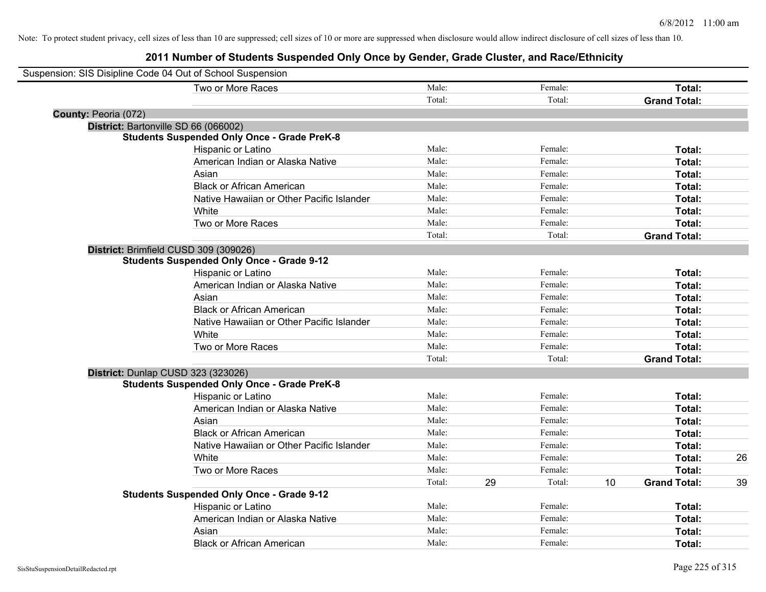| Suspension: SIS Disipline Code 04 Out of School Suspension |                                                    |        |    |         |    |                     |    |
|------------------------------------------------------------|----------------------------------------------------|--------|----|---------|----|---------------------|----|
|                                                            | Two or More Races                                  | Male:  |    | Female: |    | Total:              |    |
|                                                            |                                                    | Total: |    | Total:  |    | <b>Grand Total:</b> |    |
| County: Peoria (072)                                       |                                                    |        |    |         |    |                     |    |
|                                                            | District: Bartonville SD 66 (066002)               |        |    |         |    |                     |    |
|                                                            | <b>Students Suspended Only Once - Grade PreK-8</b> |        |    |         |    |                     |    |
|                                                            | Hispanic or Latino                                 | Male:  |    | Female: |    | Total:              |    |
|                                                            | American Indian or Alaska Native                   | Male:  |    | Female: |    | Total:              |    |
|                                                            | Asian                                              | Male:  |    | Female: |    | Total:              |    |
|                                                            | <b>Black or African American</b>                   | Male:  |    | Female: |    | Total:              |    |
|                                                            | Native Hawaiian or Other Pacific Islander          | Male:  |    | Female: |    | Total:              |    |
|                                                            | White                                              | Male:  |    | Female: |    | Total:              |    |
|                                                            | Two or More Races                                  | Male:  |    | Female: |    | Total:              |    |
|                                                            |                                                    | Total: |    | Total:  |    | <b>Grand Total:</b> |    |
|                                                            | District: Brimfield CUSD 309 (309026)              |        |    |         |    |                     |    |
|                                                            | <b>Students Suspended Only Once - Grade 9-12</b>   |        |    |         |    |                     |    |
|                                                            | Hispanic or Latino                                 | Male:  |    | Female: |    | Total:              |    |
|                                                            | American Indian or Alaska Native                   | Male:  |    | Female: |    | Total:              |    |
|                                                            | Asian                                              | Male:  |    | Female: |    | Total:              |    |
|                                                            | <b>Black or African American</b>                   | Male:  |    | Female: |    | Total:              |    |
|                                                            | Native Hawaiian or Other Pacific Islander          | Male:  |    | Female: |    | Total:              |    |
|                                                            | White                                              | Male:  |    | Female: |    | Total:              |    |
|                                                            | Two or More Races                                  | Male:  |    | Female: |    | Total:              |    |
|                                                            |                                                    | Total: |    | Total:  |    | <b>Grand Total:</b> |    |
|                                                            | District: Dunlap CUSD 323 (323026)                 |        |    |         |    |                     |    |
|                                                            | <b>Students Suspended Only Once - Grade PreK-8</b> |        |    |         |    |                     |    |
|                                                            | Hispanic or Latino                                 | Male:  |    | Female: |    | Total:              |    |
|                                                            | American Indian or Alaska Native                   | Male:  |    | Female: |    | Total:              |    |
|                                                            | Asian                                              | Male:  |    | Female: |    | Total:              |    |
|                                                            | <b>Black or African American</b>                   | Male:  |    | Female: |    | Total:              |    |
|                                                            | Native Hawaiian or Other Pacific Islander          | Male:  |    | Female: |    | Total:              |    |
|                                                            | White                                              | Male:  |    | Female: |    | Total:              | 26 |
|                                                            | Two or More Races                                  | Male:  |    | Female: |    | Total:              |    |
|                                                            |                                                    | Total: | 29 | Total:  | 10 | <b>Grand Total:</b> | 39 |
|                                                            | <b>Students Suspended Only Once - Grade 9-12</b>   |        |    |         |    |                     |    |
|                                                            | Hispanic or Latino                                 | Male:  |    | Female: |    | Total:              |    |
|                                                            | American Indian or Alaska Native                   | Male:  |    | Female: |    | Total:              |    |
|                                                            | Asian                                              | Male:  |    | Female: |    | Total:              |    |
|                                                            | <b>Black or African American</b>                   | Male:  |    | Female: |    | Total:              |    |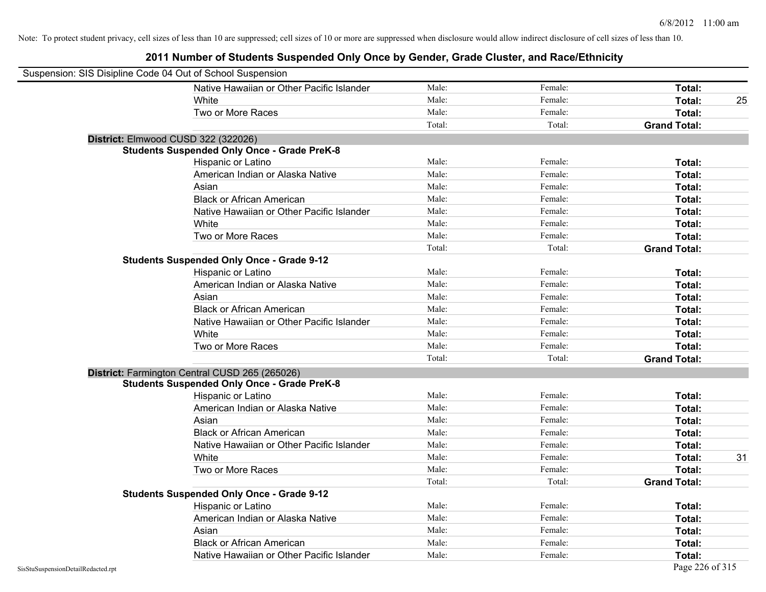| Suspension: SIS Disipline Code 04 Out of School Suspension |                                                    |        |         |                     |    |
|------------------------------------------------------------|----------------------------------------------------|--------|---------|---------------------|----|
|                                                            | Native Hawaiian or Other Pacific Islander          | Male:  | Female: | Total:              |    |
|                                                            | White                                              | Male:  | Female: | <b>Total:</b>       | 25 |
|                                                            | Two or More Races                                  | Male:  | Female: | Total:              |    |
|                                                            |                                                    | Total: | Total:  | <b>Grand Total:</b> |    |
| District: Elmwood CUSD 322 (322026)                        |                                                    |        |         |                     |    |
|                                                            | <b>Students Suspended Only Once - Grade PreK-8</b> |        |         |                     |    |
|                                                            | Hispanic or Latino                                 | Male:  | Female: | Total:              |    |
|                                                            | American Indian or Alaska Native                   | Male:  | Female: | Total:              |    |
|                                                            | Asian                                              | Male:  | Female: | Total:              |    |
|                                                            | <b>Black or African American</b>                   | Male:  | Female: | Total:              |    |
|                                                            | Native Hawaiian or Other Pacific Islander          | Male:  | Female: | Total:              |    |
|                                                            | White                                              | Male:  | Female: | Total:              |    |
|                                                            | Two or More Races                                  | Male:  | Female: | Total:              |    |
|                                                            |                                                    | Total: | Total:  | <b>Grand Total:</b> |    |
|                                                            | <b>Students Suspended Only Once - Grade 9-12</b>   |        |         |                     |    |
|                                                            | Hispanic or Latino                                 | Male:  | Female: | Total:              |    |
|                                                            | American Indian or Alaska Native                   | Male:  | Female: | Total:              |    |
|                                                            | Asian                                              | Male:  | Female: | Total:              |    |
|                                                            | <b>Black or African American</b>                   | Male:  | Female: | Total:              |    |
|                                                            | Native Hawaiian or Other Pacific Islander          | Male:  | Female: | Total:              |    |
|                                                            | White                                              | Male:  | Female: | Total:              |    |
|                                                            | Two or More Races                                  | Male:  | Female: | Total:              |    |
|                                                            |                                                    | Total: | Total:  | <b>Grand Total:</b> |    |
|                                                            | District: Farmington Central CUSD 265 (265026)     |        |         |                     |    |
|                                                            | <b>Students Suspended Only Once - Grade PreK-8</b> |        |         |                     |    |
|                                                            | Hispanic or Latino                                 | Male:  | Female: | Total:              |    |
|                                                            | American Indian or Alaska Native                   | Male:  | Female: | Total:              |    |
|                                                            | Asian                                              | Male:  | Female: | Total:              |    |
|                                                            | <b>Black or African American</b>                   | Male:  | Female: | Total:              |    |
|                                                            | Native Hawaiian or Other Pacific Islander          | Male:  | Female: | Total:              |    |
|                                                            | White                                              | Male:  | Female: | Total:              | 31 |
|                                                            | Two or More Races                                  | Male:  | Female: | Total:              |    |
|                                                            |                                                    | Total: | Total:  | <b>Grand Total:</b> |    |
|                                                            | <b>Students Suspended Only Once - Grade 9-12</b>   |        |         |                     |    |
|                                                            | Hispanic or Latino                                 | Male:  | Female: | Total:              |    |
|                                                            | American Indian or Alaska Native                   | Male:  | Female: | Total:              |    |
|                                                            | Asian                                              | Male:  | Female: | Total:              |    |
|                                                            | <b>Black or African American</b>                   | Male:  | Female: | Total:              |    |
|                                                            | Native Hawaiian or Other Pacific Islander          | Male:  | Female: | Total:              |    |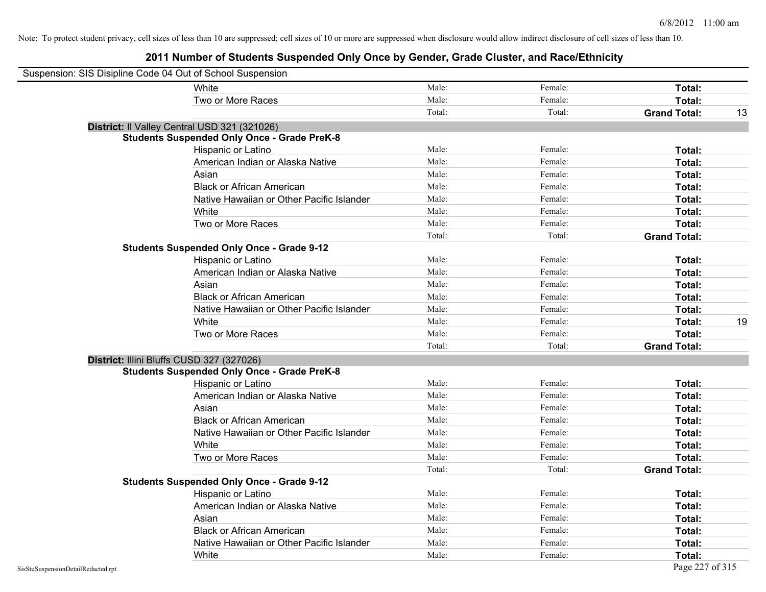| Suspension: SIS Disipline Code 04 Out of School Suspension |                                                    |        |         |                     |    |
|------------------------------------------------------------|----------------------------------------------------|--------|---------|---------------------|----|
|                                                            | White                                              | Male:  | Female: | Total:              |    |
|                                                            | Two or More Races                                  | Male:  | Female: | Total:              |    |
|                                                            |                                                    | Total: | Total:  | <b>Grand Total:</b> | 13 |
|                                                            | District: Il Valley Central USD 321 (321026)       |        |         |                     |    |
|                                                            | <b>Students Suspended Only Once - Grade PreK-8</b> |        |         |                     |    |
|                                                            | Hispanic or Latino                                 | Male:  | Female: | Total:              |    |
|                                                            | American Indian or Alaska Native                   | Male:  | Female: | Total:              |    |
|                                                            | Asian                                              | Male:  | Female: | Total:              |    |
|                                                            | <b>Black or African American</b>                   | Male:  | Female: | Total:              |    |
|                                                            | Native Hawaiian or Other Pacific Islander          | Male:  | Female: | Total:              |    |
|                                                            | White                                              | Male:  | Female: | Total:              |    |
|                                                            | Two or More Races                                  | Male:  | Female: | Total:              |    |
|                                                            |                                                    | Total: | Total:  | <b>Grand Total:</b> |    |
|                                                            | <b>Students Suspended Only Once - Grade 9-12</b>   |        |         |                     |    |
|                                                            | Hispanic or Latino                                 | Male:  | Female: | Total:              |    |
|                                                            | American Indian or Alaska Native                   | Male:  | Female: | Total:              |    |
|                                                            | Asian                                              | Male:  | Female: | Total:              |    |
|                                                            | <b>Black or African American</b>                   | Male:  | Female: | Total:              |    |
|                                                            | Native Hawaiian or Other Pacific Islander          | Male:  | Female: | Total:              |    |
|                                                            | White                                              | Male:  | Female: | Total:              | 19 |
|                                                            | Two or More Races                                  | Male:  | Female: | Total:              |    |
|                                                            |                                                    | Total: | Total:  | <b>Grand Total:</b> |    |
| District: Illini Bluffs CUSD 327 (327026)                  |                                                    |        |         |                     |    |
|                                                            | <b>Students Suspended Only Once - Grade PreK-8</b> |        |         |                     |    |
|                                                            | Hispanic or Latino                                 | Male:  | Female: | Total:              |    |
|                                                            | American Indian or Alaska Native                   | Male:  | Female: | Total:              |    |
|                                                            | Asian                                              | Male:  | Female: | Total:              |    |
|                                                            | <b>Black or African American</b>                   | Male:  | Female: | Total:              |    |
|                                                            | Native Hawaiian or Other Pacific Islander          | Male:  | Female: | Total:              |    |
|                                                            | White                                              | Male:  | Female: | Total:              |    |
|                                                            | Two or More Races                                  | Male:  | Female: | Total:              |    |
|                                                            |                                                    | Total: | Total:  | <b>Grand Total:</b> |    |
|                                                            | <b>Students Suspended Only Once - Grade 9-12</b>   |        |         |                     |    |
|                                                            | Hispanic or Latino                                 | Male:  | Female: | Total:              |    |
|                                                            | American Indian or Alaska Native                   | Male:  | Female: | Total:              |    |
|                                                            | Asian                                              | Male:  | Female: | Total:              |    |
|                                                            | <b>Black or African American</b>                   | Male:  | Female: | Total:              |    |
|                                                            | Native Hawaiian or Other Pacific Islander          | Male:  | Female: | Total:              |    |
|                                                            | White                                              | Male:  | Female: | Total:              |    |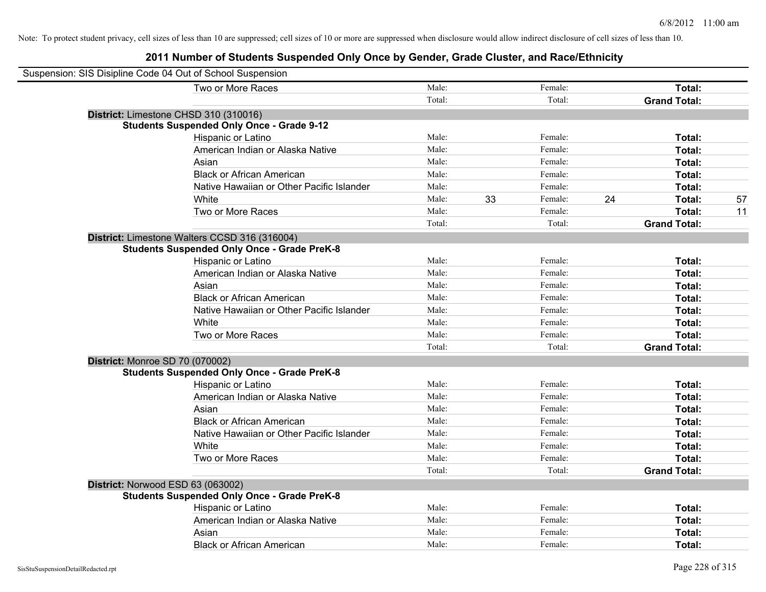| Suspension: SIS Disipline Code 04 Out of School Suspension |                                           |        |    |         |    |                     |    |
|------------------------------------------------------------|-------------------------------------------|--------|----|---------|----|---------------------|----|
| Two or More Races                                          |                                           | Male:  |    | Female: |    | Total:              |    |
|                                                            |                                           | Total: |    | Total:  |    | <b>Grand Total:</b> |    |
| District: Limestone CHSD 310 (310016)                      |                                           |        |    |         |    |                     |    |
| <b>Students Suspended Only Once - Grade 9-12</b>           |                                           |        |    |         |    |                     |    |
| Hispanic or Latino                                         |                                           | Male:  |    | Female: |    | Total:              |    |
|                                                            | American Indian or Alaska Native          | Male:  |    | Female: |    | Total:              |    |
| Asian                                                      |                                           | Male:  |    | Female: |    | Total:              |    |
| <b>Black or African American</b>                           |                                           | Male:  |    | Female: |    | Total:              |    |
|                                                            | Native Hawaiian or Other Pacific Islander | Male:  |    | Female: |    | Total:              |    |
| White                                                      |                                           | Male:  | 33 | Female: | 24 | Total:              | 57 |
| Two or More Races                                          |                                           | Male:  |    | Female: |    | Total:              | 11 |
|                                                            |                                           | Total: |    | Total:  |    | <b>Grand Total:</b> |    |
| District: Limestone Walters CCSD 316 (316004)              |                                           |        |    |         |    |                     |    |
| <b>Students Suspended Only Once - Grade PreK-8</b>         |                                           |        |    |         |    |                     |    |
| Hispanic or Latino                                         |                                           | Male:  |    | Female: |    | Total:              |    |
|                                                            | American Indian or Alaska Native          | Male:  |    | Female: |    | Total:              |    |
| Asian                                                      |                                           | Male:  |    | Female: |    | Total:              |    |
| <b>Black or African American</b>                           |                                           | Male:  |    | Female: |    | Total:              |    |
|                                                            | Native Hawaiian or Other Pacific Islander | Male:  |    | Female: |    | Total:              |    |
| White                                                      |                                           | Male:  |    | Female: |    | Total:              |    |
| Two or More Races                                          |                                           | Male:  |    | Female: |    | Total:              |    |
|                                                            |                                           | Total: |    | Total:  |    | <b>Grand Total:</b> |    |
| District: Monroe SD 70 (070002)                            |                                           |        |    |         |    |                     |    |
| <b>Students Suspended Only Once - Grade PreK-8</b>         |                                           |        |    |         |    |                     |    |
| Hispanic or Latino                                         |                                           | Male:  |    | Female: |    | Total:              |    |
|                                                            | American Indian or Alaska Native          | Male:  |    | Female: |    | Total:              |    |
| Asian                                                      |                                           | Male:  |    | Female: |    | Total:              |    |
| <b>Black or African American</b>                           |                                           | Male:  |    | Female: |    | Total:              |    |
|                                                            | Native Hawaiian or Other Pacific Islander | Male:  |    | Female: |    | Total:              |    |
| White                                                      |                                           | Male:  |    | Female: |    | Total:              |    |
| Two or More Races                                          |                                           | Male:  |    | Female: |    | Total:              |    |
|                                                            |                                           | Total: |    | Total:  |    | <b>Grand Total:</b> |    |
| District: Norwood ESD 63 (063002)                          |                                           |        |    |         |    |                     |    |
| <b>Students Suspended Only Once - Grade PreK-8</b>         |                                           |        |    |         |    |                     |    |
| Hispanic or Latino                                         |                                           | Male:  |    | Female: |    | Total:              |    |
|                                                            | American Indian or Alaska Native          | Male:  |    | Female: |    | Total:              |    |
| Asian                                                      |                                           | Male:  |    | Female: |    | Total:              |    |
| <b>Black or African American</b>                           |                                           | Male:  |    | Female: |    | Total:              |    |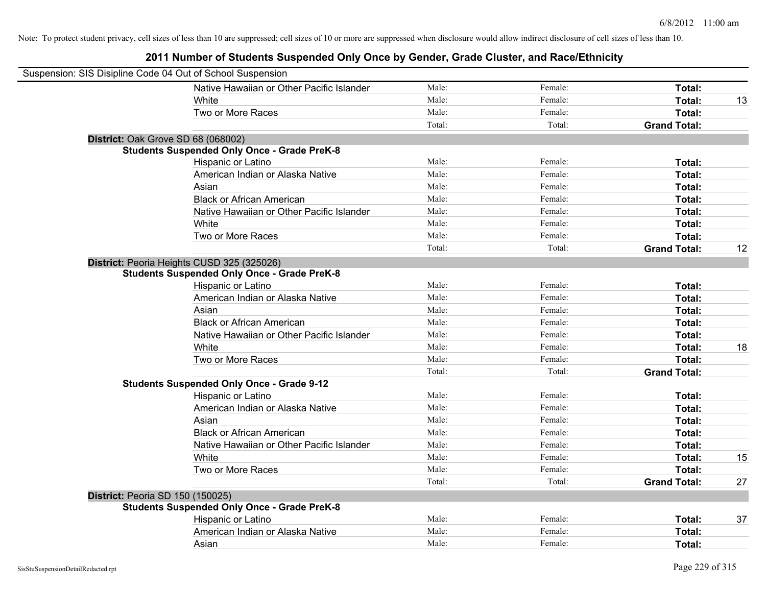| Suspension: SIS Disipline Code 04 Out of School Suspension |                                                    |        |         |                     |    |
|------------------------------------------------------------|----------------------------------------------------|--------|---------|---------------------|----|
|                                                            | Native Hawaiian or Other Pacific Islander          | Male:  | Female: | Total:              |    |
|                                                            | White                                              | Male:  | Female: | Total:              | 13 |
|                                                            | Two or More Races                                  | Male:  | Female: | Total:              |    |
|                                                            |                                                    | Total: | Total:  | <b>Grand Total:</b> |    |
| District: Oak Grove SD 68 (068002)                         |                                                    |        |         |                     |    |
|                                                            | <b>Students Suspended Only Once - Grade PreK-8</b> |        |         |                     |    |
|                                                            | Hispanic or Latino                                 | Male:  | Female: | Total:              |    |
|                                                            | American Indian or Alaska Native                   | Male:  | Female: | Total:              |    |
|                                                            | Asian                                              | Male:  | Female: | Total:              |    |
|                                                            | <b>Black or African American</b>                   | Male:  | Female: | Total:              |    |
|                                                            | Native Hawaiian or Other Pacific Islander          | Male:  | Female: | Total:              |    |
|                                                            | White                                              | Male:  | Female: | Total:              |    |
|                                                            | Two or More Races                                  | Male:  | Female: | Total:              |    |
|                                                            |                                                    | Total: | Total:  | <b>Grand Total:</b> | 12 |
|                                                            | District: Peoria Heights CUSD 325 (325026)         |        |         |                     |    |
|                                                            | <b>Students Suspended Only Once - Grade PreK-8</b> |        |         |                     |    |
|                                                            | Hispanic or Latino                                 | Male:  | Female: | Total:              |    |
|                                                            | American Indian or Alaska Native                   | Male:  | Female: | Total:              |    |
|                                                            | Asian                                              | Male:  | Female: | Total:              |    |
|                                                            | <b>Black or African American</b>                   | Male:  | Female: | Total:              |    |
|                                                            | Native Hawaiian or Other Pacific Islander          | Male:  | Female: | Total:              |    |
|                                                            | White                                              | Male:  | Female: | Total:              | 18 |
|                                                            | Two or More Races                                  | Male:  | Female: | Total:              |    |
|                                                            |                                                    | Total: | Total:  | <b>Grand Total:</b> |    |
|                                                            | <b>Students Suspended Only Once - Grade 9-12</b>   |        |         |                     |    |
|                                                            | Hispanic or Latino                                 | Male:  | Female: | Total:              |    |
|                                                            | American Indian or Alaska Native                   | Male:  | Female: | Total:              |    |
|                                                            | Asian                                              | Male:  | Female: | Total:              |    |
|                                                            | <b>Black or African American</b>                   | Male:  | Female: | Total:              |    |
|                                                            | Native Hawaiian or Other Pacific Islander          | Male:  | Female: | Total:              |    |
|                                                            | White                                              | Male:  | Female: | Total:              | 15 |
|                                                            | Two or More Races                                  | Male:  | Female: | Total:              |    |
|                                                            |                                                    | Total: | Total:  | <b>Grand Total:</b> | 27 |
| District: Peoria SD 150 (150025)                           |                                                    |        |         |                     |    |
|                                                            | <b>Students Suspended Only Once - Grade PreK-8</b> |        |         |                     |    |
|                                                            | Hispanic or Latino                                 | Male:  | Female: | Total:              | 37 |
|                                                            | American Indian or Alaska Native                   | Male:  | Female: | Total:              |    |
|                                                            | Asian                                              | Male:  | Female: | Total:              |    |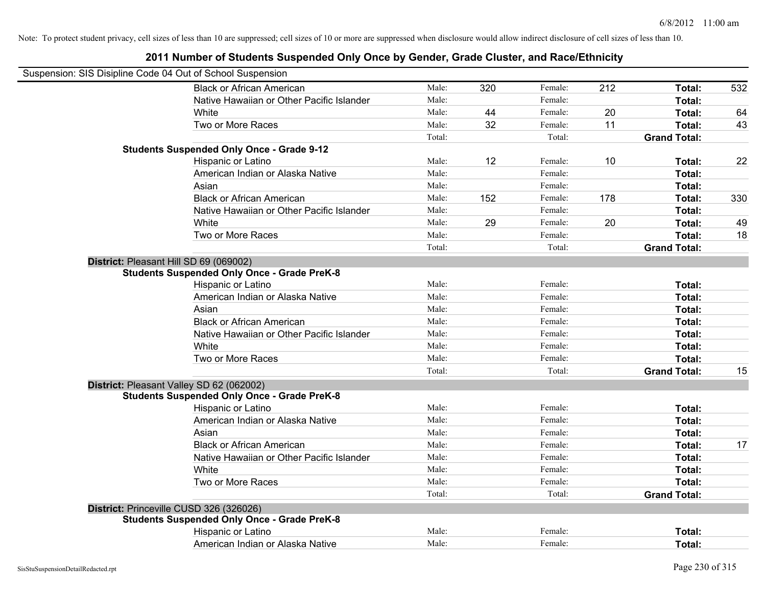| Suspension: SIS Disipline Code 04 Out of School Suspension                                     |        |     |         |     |                     |     |
|------------------------------------------------------------------------------------------------|--------|-----|---------|-----|---------------------|-----|
| <b>Black or African American</b>                                                               | Male:  | 320 | Female: | 212 | Total:              | 532 |
| Native Hawaiian or Other Pacific Islander                                                      | Male:  |     | Female: |     | Total:              |     |
| White                                                                                          | Male:  | 44  | Female: | 20  | Total:              | 64  |
| Two or More Races                                                                              | Male:  | 32  | Female: | 11  | Total:              | 43  |
|                                                                                                | Total: |     | Total:  |     | <b>Grand Total:</b> |     |
| <b>Students Suspended Only Once - Grade 9-12</b>                                               |        |     |         |     |                     |     |
| Hispanic or Latino                                                                             | Male:  | 12  | Female: | 10  | Total:              | 22  |
| American Indian or Alaska Native                                                               | Male:  |     | Female: |     | Total:              |     |
| Asian                                                                                          | Male:  |     | Female: |     | Total:              |     |
| <b>Black or African American</b>                                                               | Male:  | 152 | Female: | 178 | Total:              | 330 |
| Native Hawaiian or Other Pacific Islander                                                      | Male:  |     | Female: |     | Total:              |     |
| White                                                                                          | Male:  | 29  | Female: | 20  | Total:              | 49  |
| Two or More Races                                                                              | Male:  |     | Female: |     | Total:              | 18  |
|                                                                                                | Total: |     | Total:  |     | <b>Grand Total:</b> |     |
| District: Pleasant Hill SD 69 (069002)                                                         |        |     |         |     |                     |     |
| <b>Students Suspended Only Once - Grade PreK-8</b>                                             |        |     |         |     |                     |     |
| Hispanic or Latino                                                                             | Male:  |     | Female: |     | Total:              |     |
| American Indian or Alaska Native                                                               | Male:  |     | Female: |     | Total:              |     |
| Asian                                                                                          | Male:  |     | Female: |     | Total:              |     |
| <b>Black or African American</b>                                                               | Male:  |     | Female: |     | Total:              |     |
| Native Hawaiian or Other Pacific Islander                                                      | Male:  |     | Female: |     | Total:              |     |
| White                                                                                          | Male:  |     | Female: |     | Total:              |     |
| Two or More Races                                                                              | Male:  |     | Female: |     | Total:              |     |
|                                                                                                | Total: |     | Total:  |     | <b>Grand Total:</b> | 15  |
| District: Pleasant Valley SD 62 (062002)<br><b>Students Suspended Only Once - Grade PreK-8</b> |        |     |         |     |                     |     |
| Hispanic or Latino                                                                             | Male:  |     | Female: |     | Total:              |     |
| American Indian or Alaska Native                                                               | Male:  |     | Female: |     | Total:              |     |
| Asian                                                                                          | Male:  |     | Female: |     | Total:              |     |
| <b>Black or African American</b>                                                               | Male:  |     | Female: |     | Total:              | 17  |
| Native Hawaiian or Other Pacific Islander                                                      | Male:  |     | Female: |     | Total:              |     |
| White                                                                                          | Male:  |     | Female: |     | Total:              |     |
| Two or More Races                                                                              | Male:  |     | Female: |     | Total:              |     |
|                                                                                                | Total: |     | Total:  |     | <b>Grand Total:</b> |     |
| District: Princeville CUSD 326 (326026)                                                        |        |     |         |     |                     |     |
| <b>Students Suspended Only Once - Grade PreK-8</b>                                             |        |     |         |     |                     |     |
| Hispanic or Latino                                                                             | Male:  |     | Female: |     | Total:              |     |
| American Indian or Alaska Native                                                               | Male:  |     | Female: |     | Total:              |     |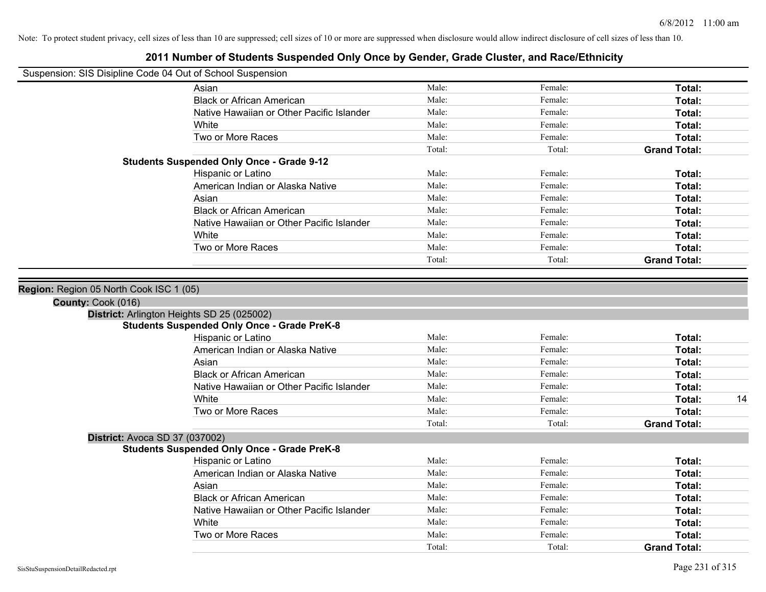#### **2011 Number of Students Suspended Only Once by Gender, Grade Cluster, and Race/Ethnicity**

| Suspension: SIS Disipline Code 04 Out of School Suspension |  |
|------------------------------------------------------------|--|
|                                                            |  |

**District:** Avoca SD 37 (037002)

**Students Suspended Only Once - Grade PreK-8**

| Susperision. Sis Disiplifie Code 04 Out of Scribol Susperision |        |         |                     |
|----------------------------------------------------------------|--------|---------|---------------------|
| Asian                                                          | Male:  | Female: | Total:              |
| <b>Black or African American</b>                               | Male:  | Female: | Total:              |
| Native Hawaiian or Other Pacific Islander                      | Male:  | Female: | Total:              |
| White                                                          | Male:  | Female: | Total:              |
| Two or More Races                                              | Male:  | Female: | Total:              |
|                                                                | Total: | Total:  | <b>Grand Total:</b> |
| <b>Students Suspended Only Once - Grade 9-12</b>               |        |         |                     |
| Hispanic or Latino                                             | Male:  | Female: | Total:              |
| American Indian or Alaska Native                               | Male:  | Female: | Total:              |
| Asian                                                          | Male:  | Female: | Total:              |
| <b>Black or African American</b>                               | Male:  | Female: | Total:              |
| Native Hawaiian or Other Pacific Islander                      | Male:  | Female: | Total:              |
| White                                                          | Male:  | Female: | Total:              |
| Two or More Races                                              | Male:  | Female: | Total:              |
|                                                                | Total: | Total:  | <b>Grand Total:</b> |
|                                                                |        |         |                     |
| <b>Region: Region 05 North Cook ISC 1 (05)</b>                 |        |         |                     |
| County: Cook (016)                                             |        |         |                     |
| District: Arlington Heights SD 25 (025002)                     |        |         |                     |
| <b>Students Suspended Only Once - Grade PreK-8</b>             |        |         |                     |
| Hispanic or Latino                                             | Male:  | Female: | Total:              |
| American Indian or Alaska Native                               | Male:  | Female: | Total:              |
| Asian                                                          | Male:  | Female: | Total:              |
| <b>Black or African American</b>                               | Male:  | Female: | Total:              |
| Native Hawaiian or Other Pacific Islander                      | Male:  | Female: | Total:              |
| White                                                          | Male:  | Female: | Total:<br>14        |

Two or More Races **Total:** Total: Male: Female: Female: **Total:** Total:

Hispanic or Latino **Finally** Male: **Female:** Female: **Total: Total:** Female: **Total:** Female: **Female:** Female: **Fotal:** Female: **Fotal:** Female: **Fotal:** Female: **Fotal:** Female: **Fotal:** Female: **Fotal:** Female: **Fotal** American Indian or Alaska Native **Male:** Male: Female: Female: **Total:** Total: Asian **Asian Male:** Total: Male: Female: **Total: Total:** Total: Total: Total: Total: Total: Total: Total: Total: Total: Total: Total: Total: Total: Total: Total: Total: Total: Total: Total: Total: Total: Total: Total: Tota Black or African American **Figure 1.1 and Total:** Male: Female: Female: **Total: Total:** Total: Native Hawaiian or Other Pacific Islander Male: Female: Female: **Fotal:** Total: White **Total:** Male: Female: **Total:** Total: **Total:** Female: **Total:** Total: Two or More Races **Total:** Total: Male: Female: Female: **Total:** Total: Female: Total:

Total: Total: **Grand Total:**

Total: Total: **Grand Total:**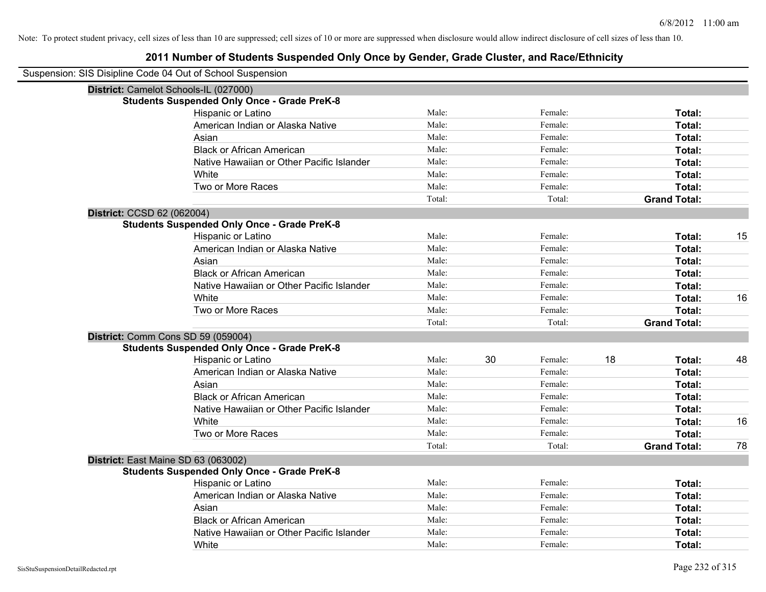| Suspension: SIS Disipline Code 04 Out of School Suspension |                                                    |        |               |                     |    |
|------------------------------------------------------------|----------------------------------------------------|--------|---------------|---------------------|----|
| District: Camelot Schools-IL (027000)                      |                                                    |        |               |                     |    |
|                                                            | <b>Students Suspended Only Once - Grade PreK-8</b> |        |               |                     |    |
|                                                            | Hispanic or Latino                                 | Male:  | Female:       | Total:              |    |
|                                                            | American Indian or Alaska Native                   | Male:  | Female:       | Total:              |    |
|                                                            | Asian                                              | Male:  | Female:       | Total:              |    |
|                                                            | <b>Black or African American</b>                   | Male:  | Female:       | Total:              |    |
|                                                            | Native Hawaiian or Other Pacific Islander          | Male:  | Female:       | Total:              |    |
|                                                            | White                                              | Male:  | Female:       | Total:              |    |
|                                                            | Two or More Races                                  | Male:  | Female:       | Total:              |    |
|                                                            |                                                    | Total: | Total:        | <b>Grand Total:</b> |    |
| District: CCSD 62 (062004)                                 |                                                    |        |               |                     |    |
|                                                            | <b>Students Suspended Only Once - Grade PreK-8</b> |        |               |                     |    |
|                                                            | Hispanic or Latino                                 | Male:  | Female:       | Total:              | 15 |
|                                                            | American Indian or Alaska Native                   | Male:  | Female:       | Total:              |    |
|                                                            | Asian                                              | Male:  | Female:       | Total:              |    |
|                                                            | <b>Black or African American</b>                   | Male:  | Female:       | Total:              |    |
|                                                            | Native Hawaiian or Other Pacific Islander          | Male:  | Female:       | Total:              |    |
|                                                            | White                                              | Male:  | Female:       | Total:              | 16 |
|                                                            | Two or More Races                                  | Male:  | Female:       | Total:              |    |
|                                                            |                                                    | Total: | Total:        | <b>Grand Total:</b> |    |
| District: Comm Cons SD 59 (059004)                         |                                                    |        |               |                     |    |
|                                                            | <b>Students Suspended Only Once - Grade PreK-8</b> |        |               |                     |    |
|                                                            | Hispanic or Latino                                 | Male:  | 30<br>Female: | 18<br>Total:        | 48 |
|                                                            | American Indian or Alaska Native                   | Male:  | Female:       | Total:              |    |
|                                                            | Asian                                              | Male:  | Female:       | Total:              |    |
|                                                            | <b>Black or African American</b>                   | Male:  | Female:       | Total:              |    |
|                                                            | Native Hawaiian or Other Pacific Islander          | Male:  | Female:       | Total:              |    |
|                                                            | White                                              | Male:  | Female:       | Total:              | 16 |
|                                                            | Two or More Races                                  | Male:  | Female:       | Total:              |    |
|                                                            |                                                    | Total: | Total:        | <b>Grand Total:</b> | 78 |
| District: East Maine SD 63 (063002)                        |                                                    |        |               |                     |    |
|                                                            | <b>Students Suspended Only Once - Grade PreK-8</b> |        |               |                     |    |
|                                                            | Hispanic or Latino                                 | Male:  | Female:       | Total:              |    |
|                                                            | American Indian or Alaska Native                   | Male:  | Female:       | Total:              |    |
|                                                            | Asian                                              | Male:  | Female:       | Total:              |    |
|                                                            | <b>Black or African American</b>                   | Male:  | Female:       | Total:              |    |
|                                                            | Native Hawaiian or Other Pacific Islander          | Male:  | Female:       | Total:              |    |
|                                                            | White                                              | Male:  | Female:       | Total:              |    |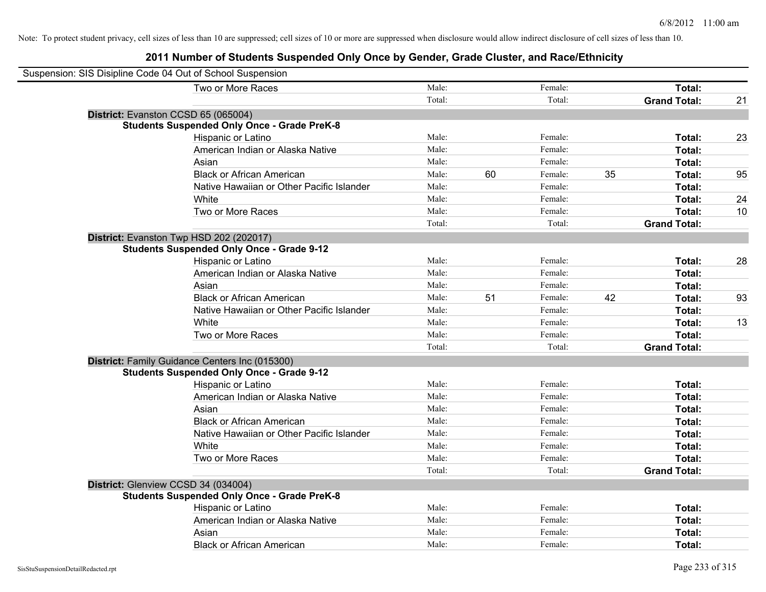| Suspension: SIS Disipline Code 04 Out of School Suspension |        |    |         |    |                     |    |
|------------------------------------------------------------|--------|----|---------|----|---------------------|----|
| Two or More Races                                          | Male:  |    | Female: |    | Total:              |    |
|                                                            | Total: |    | Total:  |    | <b>Grand Total:</b> | 21 |
| District: Evanston CCSD 65 (065004)                        |        |    |         |    |                     |    |
| <b>Students Suspended Only Once - Grade PreK-8</b>         |        |    |         |    |                     |    |
| Hispanic or Latino                                         | Male:  |    | Female: |    | Total:              | 23 |
| American Indian or Alaska Native                           | Male:  |    | Female: |    | Total:              |    |
| Asian                                                      | Male:  |    | Female: |    | Total:              |    |
| <b>Black or African American</b>                           | Male:  | 60 | Female: | 35 | Total:              | 95 |
| Native Hawaiian or Other Pacific Islander                  | Male:  |    | Female: |    | Total:              |    |
| White                                                      | Male:  |    | Female: |    | Total:              | 24 |
| Two or More Races                                          | Male:  |    | Female: |    | Total:              | 10 |
|                                                            | Total: |    | Total:  |    | <b>Grand Total:</b> |    |
| District: Evanston Twp HSD 202 (202017)                    |        |    |         |    |                     |    |
| <b>Students Suspended Only Once - Grade 9-12</b>           |        |    |         |    |                     |    |
| Hispanic or Latino                                         | Male:  |    | Female: |    | Total:              | 28 |
| American Indian or Alaska Native                           | Male:  |    | Female: |    | Total:              |    |
| Asian                                                      | Male:  |    | Female: |    | Total:              |    |
| <b>Black or African American</b>                           | Male:  | 51 | Female: | 42 | Total:              | 93 |
| Native Hawaiian or Other Pacific Islander                  | Male:  |    | Female: |    | Total:              |    |
| White                                                      | Male:  |    | Female: |    | Total:              | 13 |
| Two or More Races                                          | Male:  |    | Female: |    | Total:              |    |
|                                                            | Total: |    | Total:  |    | <b>Grand Total:</b> |    |
| District: Family Guidance Centers Inc (015300)             |        |    |         |    |                     |    |
| <b>Students Suspended Only Once - Grade 9-12</b>           |        |    |         |    |                     |    |
| Hispanic or Latino                                         | Male:  |    | Female: |    | Total:              |    |
| American Indian or Alaska Native                           | Male:  |    | Female: |    | Total:              |    |
| Asian                                                      | Male:  |    | Female: |    | Total:              |    |
| <b>Black or African American</b>                           | Male:  |    | Female: |    | Total:              |    |
| Native Hawaiian or Other Pacific Islander                  | Male:  |    | Female: |    | Total:              |    |
| White                                                      | Male:  |    | Female: |    | Total:              |    |
| Two or More Races                                          | Male:  |    | Female: |    | Total:              |    |
|                                                            | Total: |    | Total:  |    | <b>Grand Total:</b> |    |
| District: Glenview CCSD 34 (034004)                        |        |    |         |    |                     |    |
| <b>Students Suspended Only Once - Grade PreK-8</b>         |        |    |         |    |                     |    |
| Hispanic or Latino                                         | Male:  |    | Female: |    | Total:              |    |
| American Indian or Alaska Native                           | Male:  |    | Female: |    | Total:              |    |
| Asian                                                      | Male:  |    | Female: |    | Total:              |    |
| <b>Black or African American</b>                           | Male:  |    | Female: |    | Total:              |    |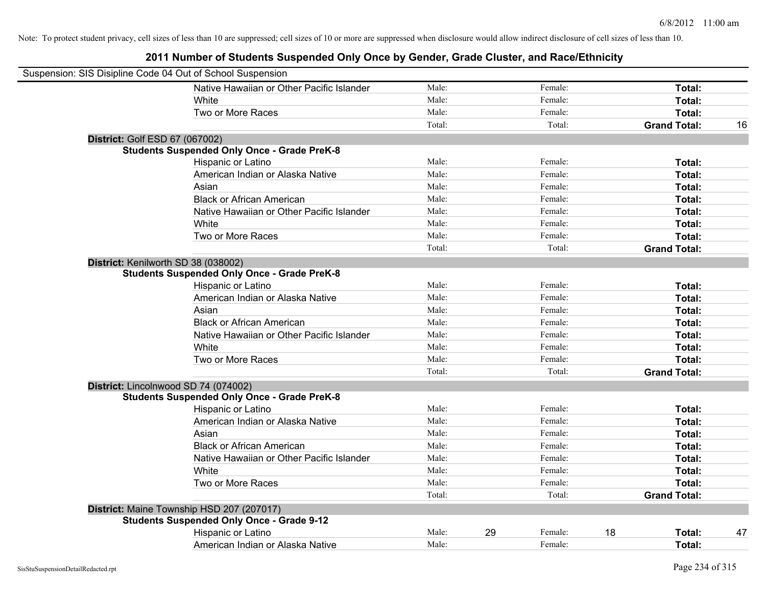| Suspension: SIS Disipline Code 04 Out of School Suspension |                                                    |        |    |         |    |                     |    |
|------------------------------------------------------------|----------------------------------------------------|--------|----|---------|----|---------------------|----|
|                                                            | Native Hawaiian or Other Pacific Islander          | Male:  |    | Female: |    | Total:              |    |
|                                                            | White                                              | Male:  |    | Female: |    | Total:              |    |
|                                                            | Two or More Races                                  | Male:  |    | Female: |    | Total:              |    |
|                                                            |                                                    | Total: |    | Total:  |    | <b>Grand Total:</b> | 16 |
| <b>District: Golf ESD 67 (067002)</b>                      |                                                    |        |    |         |    |                     |    |
|                                                            | <b>Students Suspended Only Once - Grade PreK-8</b> |        |    |         |    |                     |    |
|                                                            | Hispanic or Latino                                 | Male:  |    | Female: |    | Total:              |    |
|                                                            | American Indian or Alaska Native                   | Male:  |    | Female: |    | Total:              |    |
|                                                            | Asian                                              | Male:  |    | Female: |    | Total:              |    |
|                                                            | <b>Black or African American</b>                   | Male:  |    | Female: |    | Total:              |    |
|                                                            | Native Hawaiian or Other Pacific Islander          | Male:  |    | Female: |    | Total:              |    |
|                                                            | White                                              | Male:  |    | Female: |    | Total:              |    |
|                                                            | Two or More Races                                  | Male:  |    | Female: |    | Total:              |    |
|                                                            |                                                    | Total: |    | Total:  |    | <b>Grand Total:</b> |    |
| District: Kenilworth SD 38 (038002)                        |                                                    |        |    |         |    |                     |    |
|                                                            | <b>Students Suspended Only Once - Grade PreK-8</b> |        |    |         |    |                     |    |
|                                                            | Hispanic or Latino                                 | Male:  |    | Female: |    | Total:              |    |
|                                                            | American Indian or Alaska Native                   | Male:  |    | Female: |    | Total:              |    |
|                                                            | Asian                                              | Male:  |    | Female: |    | Total:              |    |
|                                                            | <b>Black or African American</b>                   | Male:  |    | Female: |    | Total:              |    |
|                                                            | Native Hawaiian or Other Pacific Islander          | Male:  |    | Female: |    | Total:              |    |
|                                                            | White                                              | Male:  |    | Female: |    | Total:              |    |
|                                                            | Two or More Races                                  | Male:  |    | Female: |    | Total:              |    |
|                                                            |                                                    | Total: |    | Total:  |    | <b>Grand Total:</b> |    |
|                                                            | District: Lincolnwood SD 74 (074002)               |        |    |         |    |                     |    |
|                                                            | <b>Students Suspended Only Once - Grade PreK-8</b> |        |    |         |    |                     |    |
|                                                            | Hispanic or Latino                                 | Male:  |    | Female: |    | Total:              |    |
|                                                            | American Indian or Alaska Native                   | Male:  |    | Female: |    | Total:              |    |
|                                                            | Asian                                              | Male:  |    | Female: |    | Total:              |    |
|                                                            | <b>Black or African American</b>                   | Male:  |    | Female: |    | Total:              |    |
|                                                            | Native Hawaiian or Other Pacific Islander          | Male:  |    | Female: |    | Total:              |    |
|                                                            | White                                              | Male:  |    | Female: |    | Total:              |    |
|                                                            | Two or More Races                                  | Male:  |    | Female: |    | Total:              |    |
|                                                            |                                                    | Total: |    | Total:  |    | <b>Grand Total:</b> |    |
|                                                            | District: Maine Township HSD 207 (207017)          |        |    |         |    |                     |    |
|                                                            | <b>Students Suspended Only Once - Grade 9-12</b>   |        |    |         |    |                     |    |
|                                                            | Hispanic or Latino                                 | Male:  | 29 | Female: | 18 | Total:              | 47 |
|                                                            | American Indian or Alaska Native                   | Male:  |    | Female: |    | Total:              |    |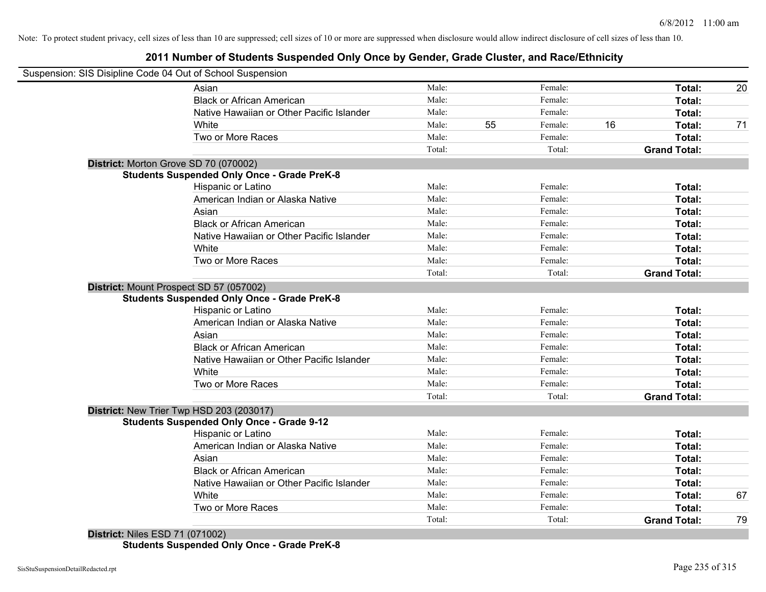# **2011 Number of Students Suspended Only Once by Gender, Grade Cluster, and Race/Ethnicity**

|                                       | Suspension: SIS Disipline Code 04 Out of School Suspension                                    |        |    |         |    |                     |    |
|---------------------------------------|-----------------------------------------------------------------------------------------------|--------|----|---------|----|---------------------|----|
|                                       | Asian                                                                                         | Male:  |    | Female: |    | Total:              | 20 |
|                                       | <b>Black or African American</b>                                                              | Male:  |    | Female: |    | Total:              |    |
|                                       | Native Hawaiian or Other Pacific Islander                                                     | Male:  |    | Female: |    | Total:              |    |
|                                       | White                                                                                         | Male:  | 55 | Female: | 16 | Total:              | 71 |
|                                       | Two or More Races                                                                             | Male:  |    | Female: |    | Total:              |    |
|                                       |                                                                                               | Total: |    | Total:  |    | <b>Grand Total:</b> |    |
| District: Morton Grove SD 70 (070002) |                                                                                               |        |    |         |    |                     |    |
|                                       | <b>Students Suspended Only Once - Grade PreK-8</b>                                            |        |    |         |    |                     |    |
|                                       | Hispanic or Latino                                                                            | Male:  |    | Female: |    | Total:              |    |
|                                       | American Indian or Alaska Native                                                              | Male:  |    | Female: |    | Total:              |    |
|                                       | Asian                                                                                         | Male:  |    | Female: |    | Total:              |    |
|                                       | <b>Black or African American</b>                                                              | Male:  |    | Female: |    | Total:              |    |
|                                       | Native Hawaiian or Other Pacific Islander                                                     | Male:  |    | Female: |    | Total:              |    |
|                                       | White                                                                                         | Male:  |    | Female: |    | Total:              |    |
|                                       | Two or More Races                                                                             | Male:  |    | Female: |    | Total:              |    |
|                                       |                                                                                               | Total: |    | Total:  |    | <b>Grand Total:</b> |    |
|                                       | District: Mount Prospect SD 57 (057002)<br><b>Students Suspended Only Once - Grade PreK-8</b> |        |    |         |    |                     |    |
|                                       | <b>Hispanic or Latino</b>                                                                     | Male:  |    | Female: |    | Total:              |    |
|                                       | American Indian or Alaska Native                                                              | Male:  |    | Female: |    | Total:              |    |
|                                       | Asian                                                                                         | Male:  |    | Female: |    | Total:              |    |
|                                       | <b>Black or African American</b>                                                              | Male:  |    | Female: |    | Total:              |    |
|                                       | Native Hawaiian or Other Pacific Islander                                                     | Male:  |    | Female: |    | Total:              |    |
|                                       | White                                                                                         | Male:  |    | Female: |    | Total:              |    |
|                                       | Two or More Races                                                                             | Male:  |    | Female: |    | Total:              |    |
|                                       |                                                                                               | Total: |    | Total:  |    | <b>Grand Total:</b> |    |
|                                       | District: New Trier Twp HSD 203 (203017)                                                      |        |    |         |    |                     |    |
|                                       | <b>Students Suspended Only Once - Grade 9-12</b>                                              |        |    |         |    |                     |    |
|                                       | Hispanic or Latino                                                                            | Male:  |    | Female: |    | Total:              |    |
|                                       | American Indian or Alaska Native                                                              | Male:  |    | Female: |    | Total:              |    |
|                                       | Asian                                                                                         | Male:  |    | Female: |    | Total:              |    |
|                                       | <b>Black or African American</b>                                                              | Male:  |    | Female: |    | Total:              |    |
|                                       | Native Hawaiian or Other Pacific Islander                                                     | Male:  |    | Female: |    | Total:              |    |
|                                       | White                                                                                         | Male:  |    | Female: |    | Total:              | 67 |
|                                       | Two or More Races                                                                             | Male:  |    | Female: |    | Total:              |    |
|                                       |                                                                                               | Total: |    | Total:  |    | <b>Grand Total:</b> | 79 |

**District:** Niles ESD 71 (071002) **Students Suspended Only Once - Grade PreK-8**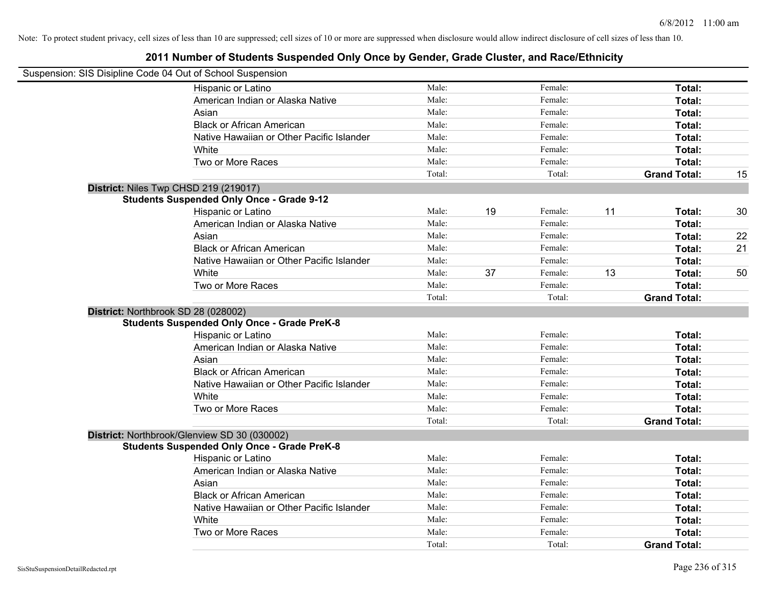| Suspension: SIS Disipline Code 04 Out of School Suspension |        |    |         |    |                     |    |
|------------------------------------------------------------|--------|----|---------|----|---------------------|----|
| Hispanic or Latino                                         | Male:  |    | Female: |    | Total:              |    |
| American Indian or Alaska Native                           | Male:  |    | Female: |    | Total:              |    |
| Asian                                                      | Male:  |    | Female: |    | Total:              |    |
| <b>Black or African American</b>                           | Male:  |    | Female: |    | Total:              |    |
| Native Hawaiian or Other Pacific Islander                  | Male:  |    | Female: |    | Total:              |    |
| White                                                      | Male:  |    | Female: |    | Total:              |    |
| Two or More Races                                          | Male:  |    | Female: |    | Total:              |    |
|                                                            | Total: |    | Total:  |    | <b>Grand Total:</b> | 15 |
| District: Niles Twp CHSD 219 (219017)                      |        |    |         |    |                     |    |
| <b>Students Suspended Only Once - Grade 9-12</b>           |        |    |         |    |                     |    |
| Hispanic or Latino                                         | Male:  | 19 | Female: | 11 | Total:              | 30 |
| American Indian or Alaska Native                           | Male:  |    | Female: |    | Total:              |    |
| Asian                                                      | Male:  |    | Female: |    | Total:              | 22 |
| <b>Black or African American</b>                           | Male:  |    | Female: |    | Total:              | 21 |
| Native Hawaiian or Other Pacific Islander                  | Male:  |    | Female: |    | Total:              |    |
| White                                                      | Male:  | 37 | Female: | 13 | Total:              | 50 |
| Two or More Races                                          | Male:  |    | Female: |    | Total:              |    |
|                                                            | Total: |    | Total:  |    | <b>Grand Total:</b> |    |
| District: Northbrook SD 28 (028002)                        |        |    |         |    |                     |    |
| <b>Students Suspended Only Once - Grade PreK-8</b>         |        |    |         |    |                     |    |
| Hispanic or Latino                                         | Male:  |    | Female: |    | Total:              |    |
| American Indian or Alaska Native                           | Male:  |    | Female: |    | Total:              |    |
| Asian                                                      | Male:  |    | Female: |    | Total:              |    |
| <b>Black or African American</b>                           | Male:  |    | Female: |    | Total:              |    |
| Native Hawaiian or Other Pacific Islander                  | Male:  |    | Female: |    | Total:              |    |
| White                                                      | Male:  |    | Female: |    | Total:              |    |
| Two or More Races                                          | Male:  |    | Female: |    | Total:              |    |
|                                                            | Total: |    | Total:  |    | <b>Grand Total:</b> |    |
| District: Northbrook/Glenview SD 30 (030002)               |        |    |         |    |                     |    |
| <b>Students Suspended Only Once - Grade PreK-8</b>         |        |    |         |    |                     |    |
| Hispanic or Latino                                         | Male:  |    | Female: |    | Total:              |    |
| American Indian or Alaska Native                           | Male:  |    | Female: |    | Total:              |    |
| Asian                                                      | Male:  |    | Female: |    | Total:              |    |
| <b>Black or African American</b>                           | Male:  |    | Female: |    | Total:              |    |
| Native Hawaiian or Other Pacific Islander                  | Male:  |    | Female: |    | Total:              |    |
| White                                                      | Male:  |    | Female: |    | Total:              |    |
| Two or More Races                                          | Male:  |    | Female: |    | <b>Total:</b>       |    |
|                                                            | Total: |    | Total:  |    | <b>Grand Total:</b> |    |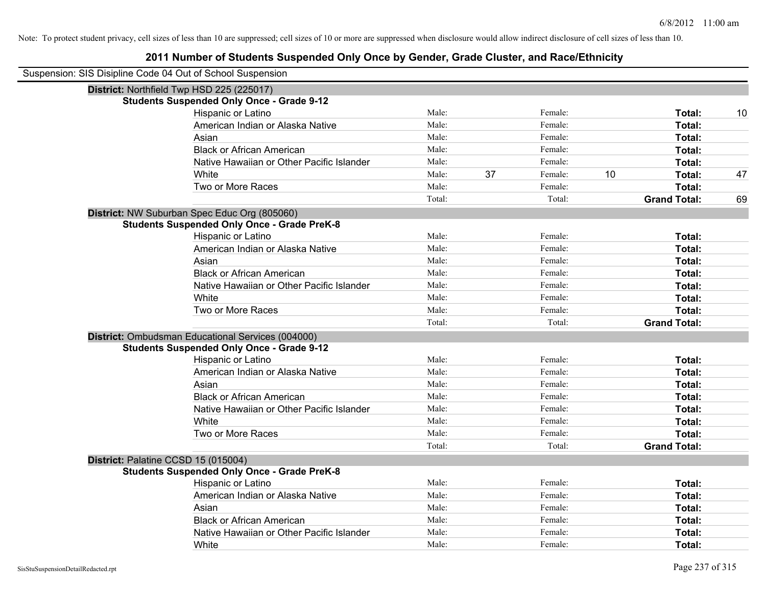| Suspension: SIS Disipline Code 04 Out of School Suspension |                                                    |        |    |         |    |                     |    |
|------------------------------------------------------------|----------------------------------------------------|--------|----|---------|----|---------------------|----|
|                                                            | District: Northfield Twp HSD 225 (225017)          |        |    |         |    |                     |    |
|                                                            | <b>Students Suspended Only Once - Grade 9-12</b>   |        |    |         |    |                     |    |
|                                                            | Hispanic or Latino                                 | Male:  |    | Female: |    | Total:              | 10 |
|                                                            | American Indian or Alaska Native                   | Male:  |    | Female: |    | Total:              |    |
|                                                            | Asian                                              | Male:  |    | Female: |    | Total:              |    |
|                                                            | <b>Black or African American</b>                   | Male:  |    | Female: |    | Total:              |    |
|                                                            | Native Hawaiian or Other Pacific Islander          | Male:  |    | Female: |    | Total:              |    |
|                                                            | White                                              | Male:  | 37 | Female: | 10 | Total:              | 47 |
|                                                            | Two or More Races                                  | Male:  |    | Female: |    | Total:              |    |
|                                                            |                                                    | Total: |    | Total:  |    | <b>Grand Total:</b> | 69 |
|                                                            | District: NW Suburban Spec Educ Org (805060)       |        |    |         |    |                     |    |
|                                                            | <b>Students Suspended Only Once - Grade PreK-8</b> |        |    |         |    |                     |    |
|                                                            | Hispanic or Latino                                 | Male:  |    | Female: |    | Total:              |    |
|                                                            | American Indian or Alaska Native                   | Male:  |    | Female: |    | Total:              |    |
|                                                            | Asian                                              | Male:  |    | Female: |    | Total:              |    |
|                                                            | <b>Black or African American</b>                   | Male:  |    | Female: |    | Total:              |    |
|                                                            | Native Hawaiian or Other Pacific Islander          | Male:  |    | Female: |    | Total:              |    |
|                                                            | White                                              | Male:  |    | Female: |    | Total:              |    |
|                                                            | Two or More Races                                  | Male:  |    | Female: |    | Total:              |    |
|                                                            |                                                    | Total: |    | Total:  |    | <b>Grand Total:</b> |    |
|                                                            | District: Ombudsman Educational Services (004000)  |        |    |         |    |                     |    |
|                                                            | <b>Students Suspended Only Once - Grade 9-12</b>   |        |    |         |    |                     |    |
|                                                            | Hispanic or Latino                                 | Male:  |    | Female: |    | Total:              |    |
|                                                            | American Indian or Alaska Native                   | Male:  |    | Female: |    | Total:              |    |
|                                                            | Asian                                              | Male:  |    | Female: |    | Total:              |    |
|                                                            | <b>Black or African American</b>                   | Male:  |    | Female: |    | Total:              |    |
|                                                            | Native Hawaiian or Other Pacific Islander          | Male:  |    | Female: |    | Total:              |    |
|                                                            | White                                              | Male:  |    | Female: |    | Total:              |    |
|                                                            | Two or More Races                                  | Male:  |    | Female: |    | Total:              |    |
|                                                            |                                                    | Total: |    | Total:  |    | <b>Grand Total:</b> |    |
|                                                            | District: Palatine CCSD 15 (015004)                |        |    |         |    |                     |    |
|                                                            | <b>Students Suspended Only Once - Grade PreK-8</b> |        |    |         |    |                     |    |
|                                                            | Hispanic or Latino                                 | Male:  |    | Female: |    | Total:              |    |
|                                                            | American Indian or Alaska Native                   | Male:  |    | Female: |    | Total:              |    |
|                                                            | Asian                                              | Male:  |    | Female: |    | Total:              |    |
|                                                            | <b>Black or African American</b>                   | Male:  |    | Female: |    | Total:              |    |
|                                                            | Native Hawaiian or Other Pacific Islander          | Male:  |    | Female: |    | Total:              |    |
|                                                            | White                                              | Male:  |    | Female: |    | Total:              |    |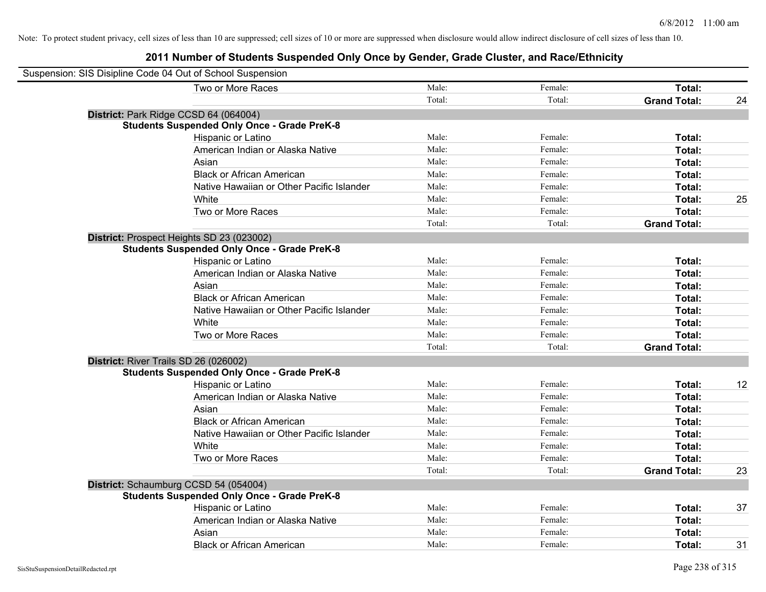| Suspension: SIS Disipline Code 04 Out of School Suspension |        |         |                     |    |
|------------------------------------------------------------|--------|---------|---------------------|----|
| Two or More Races                                          | Male:  | Female: | Total:              |    |
|                                                            | Total: | Total:  | <b>Grand Total:</b> | 24 |
| District: Park Ridge CCSD 64 (064004)                      |        |         |                     |    |
| <b>Students Suspended Only Once - Grade PreK-8</b>         |        |         |                     |    |
| Hispanic or Latino                                         | Male:  | Female: | Total:              |    |
| American Indian or Alaska Native                           | Male:  | Female: | Total:              |    |
| Asian                                                      | Male:  | Female: | Total:              |    |
| <b>Black or African American</b>                           | Male:  | Female: | Total:              |    |
| Native Hawaiian or Other Pacific Islander                  | Male:  | Female: | Total:              |    |
| White                                                      | Male:  | Female: | Total:              | 25 |
| Two or More Races                                          | Male:  | Female: | Total:              |    |
|                                                            | Total: | Total:  | <b>Grand Total:</b> |    |
| District: Prospect Heights SD 23 (023002)                  |        |         |                     |    |
| <b>Students Suspended Only Once - Grade PreK-8</b>         |        |         |                     |    |
| Hispanic or Latino                                         | Male:  | Female: | Total:              |    |
| American Indian or Alaska Native                           | Male:  | Female: | Total:              |    |
| Asian                                                      | Male:  | Female: | Total:              |    |
| <b>Black or African American</b>                           | Male:  | Female: | Total:              |    |
| Native Hawaiian or Other Pacific Islander                  | Male:  | Female: | Total:              |    |
| White                                                      | Male:  | Female: | Total:              |    |
| Two or More Races                                          | Male:  | Female: | Total:              |    |
|                                                            | Total: | Total:  | <b>Grand Total:</b> |    |
| District: River Trails SD 26 (026002)                      |        |         |                     |    |
| <b>Students Suspended Only Once - Grade PreK-8</b>         |        |         |                     |    |
| Hispanic or Latino                                         | Male:  | Female: | Total:              | 12 |
| American Indian or Alaska Native                           | Male:  | Female: | Total:              |    |
| Asian                                                      | Male:  | Female: | Total:              |    |
| <b>Black or African American</b>                           | Male:  | Female: | Total:              |    |
| Native Hawaiian or Other Pacific Islander                  | Male:  | Female: | Total:              |    |
| White                                                      | Male:  | Female: | Total:              |    |
| Two or More Races                                          | Male:  | Female: | Total:              |    |
|                                                            | Total: | Total:  | <b>Grand Total:</b> | 23 |
| District: Schaumburg CCSD 54 (054004)                      |        |         |                     |    |
| <b>Students Suspended Only Once - Grade PreK-8</b>         |        |         |                     |    |
| Hispanic or Latino                                         | Male:  | Female: | Total:              | 37 |
| American Indian or Alaska Native                           | Male:  | Female: | Total:              |    |
| Asian                                                      | Male:  | Female: | Total:              |    |
| <b>Black or African American</b>                           | Male:  | Female: | Total:              | 31 |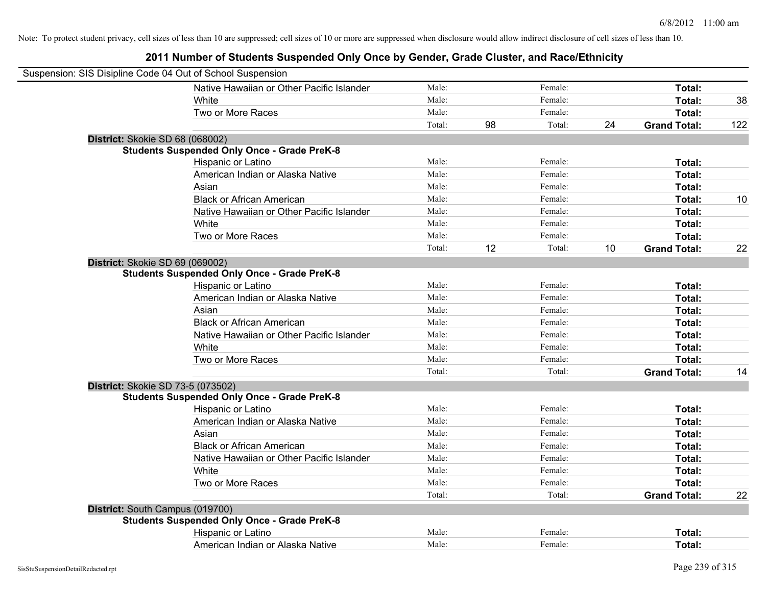| Suspension: SIS Disipline Code 04 Out of School Suspension |        |    |         |    |                     |     |
|------------------------------------------------------------|--------|----|---------|----|---------------------|-----|
| Native Hawaiian or Other Pacific Islander                  | Male:  |    | Female: |    | Total:              |     |
| White                                                      | Male:  |    | Female: |    | <b>Total:</b>       | 38  |
| Two or More Races                                          | Male:  |    | Female: |    | Total:              |     |
|                                                            | Total: | 98 | Total:  | 24 | <b>Grand Total:</b> | 122 |
| District: Skokie SD 68 (068002)                            |        |    |         |    |                     |     |
| <b>Students Suspended Only Once - Grade PreK-8</b>         |        |    |         |    |                     |     |
| Hispanic or Latino                                         | Male:  |    | Female: |    | Total:              |     |
| American Indian or Alaska Native                           | Male:  |    | Female: |    | Total:              |     |
| Asian                                                      | Male:  |    | Female: |    | Total:              |     |
| <b>Black or African American</b>                           | Male:  |    | Female: |    | Total:              | 10  |
| Native Hawaiian or Other Pacific Islander                  | Male:  |    | Female: |    | Total:              |     |
| White                                                      | Male:  |    | Female: |    | Total:              |     |
| Two or More Races                                          | Male:  |    | Female: |    | Total:              |     |
|                                                            | Total: | 12 | Total:  | 10 | <b>Grand Total:</b> | 22  |
| District: Skokie SD 69 (069002)                            |        |    |         |    |                     |     |
| <b>Students Suspended Only Once - Grade PreK-8</b>         |        |    |         |    |                     |     |
| Hispanic or Latino                                         | Male:  |    | Female: |    | Total:              |     |
| American Indian or Alaska Native                           | Male:  |    | Female: |    | Total:              |     |
| Asian                                                      | Male:  |    | Female: |    | Total:              |     |
| <b>Black or African American</b>                           | Male:  |    | Female: |    | Total:              |     |
| Native Hawaiian or Other Pacific Islander                  | Male:  |    | Female: |    | Total:              |     |
| White                                                      | Male:  |    | Female: |    | Total:              |     |
| Two or More Races                                          | Male:  |    | Female: |    | Total:              |     |
|                                                            | Total: |    | Total:  |    | <b>Grand Total:</b> | 14  |
| District: Skokie SD 73-5 (073502)                          |        |    |         |    |                     |     |
| <b>Students Suspended Only Once - Grade PreK-8</b>         |        |    |         |    |                     |     |
| Hispanic or Latino                                         | Male:  |    | Female: |    | Total:              |     |
| American Indian or Alaska Native                           | Male:  |    | Female: |    | Total:              |     |
| Asian                                                      | Male:  |    | Female: |    | Total:              |     |
| <b>Black or African American</b>                           | Male:  |    | Female: |    | Total:              |     |
| Native Hawaiian or Other Pacific Islander                  | Male:  |    | Female: |    | Total:              |     |
| White                                                      | Male:  |    | Female: |    | Total:              |     |
| Two or More Races                                          | Male:  |    | Female: |    | Total:              |     |
|                                                            | Total: |    | Total:  |    | <b>Grand Total:</b> | 22  |
| District: South Campus (019700)                            |        |    |         |    |                     |     |
| <b>Students Suspended Only Once - Grade PreK-8</b>         |        |    |         |    |                     |     |
| Hispanic or Latino                                         | Male:  |    | Female: |    | Total:              |     |
| American Indian or Alaska Native                           | Male:  |    | Female: |    | Total:              |     |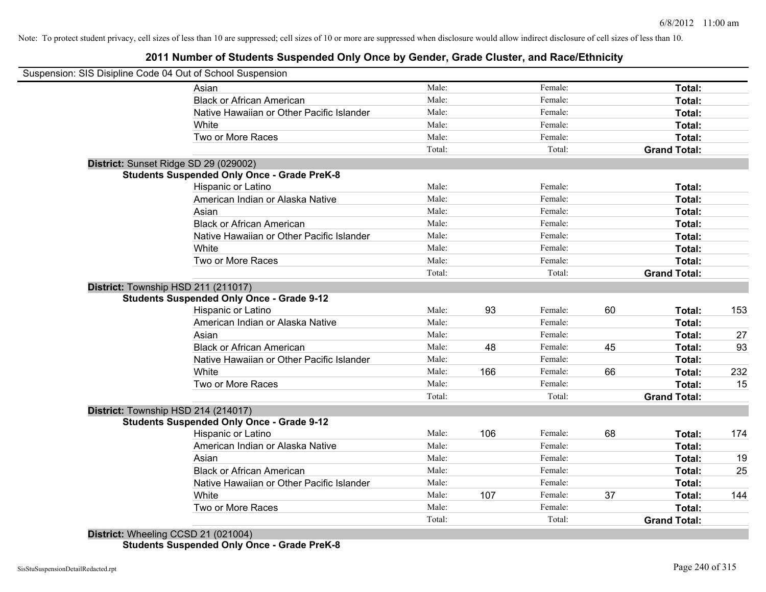### **2011 Number of Students Suspended Only Once by Gender, Grade Cluster, and Race/Ethnicity**

| Suspension: SIS Disipline Code 04 Out of School Suspension |        |     |         |    |                     |     |
|------------------------------------------------------------|--------|-----|---------|----|---------------------|-----|
| Asian                                                      | Male:  |     | Female: |    | Total:              |     |
| <b>Black or African American</b>                           | Male:  |     | Female: |    | Total:              |     |
| Native Hawaiian or Other Pacific Islander                  | Male:  |     | Female: |    | Total:              |     |
| White                                                      | Male:  |     | Female: |    | Total:              |     |
| Two or More Races                                          | Male:  |     | Female: |    | Total:              |     |
|                                                            | Total: |     | Total:  |    | <b>Grand Total:</b> |     |
| District: Sunset Ridge SD 29 (029002)                      |        |     |         |    |                     |     |
| <b>Students Suspended Only Once - Grade PreK-8</b>         |        |     |         |    |                     |     |
| <b>Hispanic or Latino</b>                                  | Male:  |     | Female: |    | Total:              |     |
| American Indian or Alaska Native                           | Male:  |     | Female: |    | Total:              |     |
| Asian                                                      | Male:  |     | Female: |    | Total:              |     |
| <b>Black or African American</b>                           | Male:  |     | Female: |    | Total:              |     |
| Native Hawaiian or Other Pacific Islander                  | Male:  |     | Female: |    | Total:              |     |
| White                                                      | Male:  |     | Female: |    | Total:              |     |
| Two or More Races                                          | Male:  |     | Female: |    | Total:              |     |
|                                                            | Total: |     | Total:  |    | <b>Grand Total:</b> |     |
| District: Township HSD 211 (211017)                        |        |     |         |    |                     |     |
| <b>Students Suspended Only Once - Grade 9-12</b>           |        |     |         |    |                     |     |
| Hispanic or Latino                                         | Male:  | 93  | Female: | 60 | Total:              | 153 |
| American Indian or Alaska Native                           | Male:  |     | Female: |    | Total:              |     |
| Asian                                                      | Male:  |     | Female: |    | Total:              | 27  |
| <b>Black or African American</b>                           | Male:  | 48  | Female: | 45 | Total:              | 93  |
| Native Hawaiian or Other Pacific Islander                  | Male:  |     | Female: |    | Total:              |     |
| White                                                      | Male:  | 166 | Female: | 66 | Total:              | 232 |
| Two or More Races                                          | Male:  |     | Female: |    | Total:              | 15  |
|                                                            | Total: |     | Total:  |    | <b>Grand Total:</b> |     |
| District: Township HSD 214 (214017)                        |        |     |         |    |                     |     |
| <b>Students Suspended Only Once - Grade 9-12</b>           |        |     |         |    |                     |     |
| Hispanic or Latino                                         | Male:  | 106 | Female: | 68 | Total:              | 174 |
| American Indian or Alaska Native                           | Male:  |     | Female: |    | Total:              |     |
| Asian                                                      | Male:  |     | Female: |    | Total:              | 19  |
| <b>Black or African American</b>                           | Male:  |     | Female: |    | Total:              | 25  |
| Native Hawaiian or Other Pacific Islander                  | Male:  |     | Female: |    | Total:              |     |
| White                                                      | Male:  | 107 | Female: | 37 | Total:              | 144 |
| Two or More Races                                          | Male:  |     | Female: |    | Total:              |     |
|                                                            | Total: |     | Total:  |    | <b>Grand Total:</b> |     |
| District: Wheeling CCSD 21 (021004)                        |        |     |         |    |                     |     |

**Students Suspended Only Once - Grade PreK-8**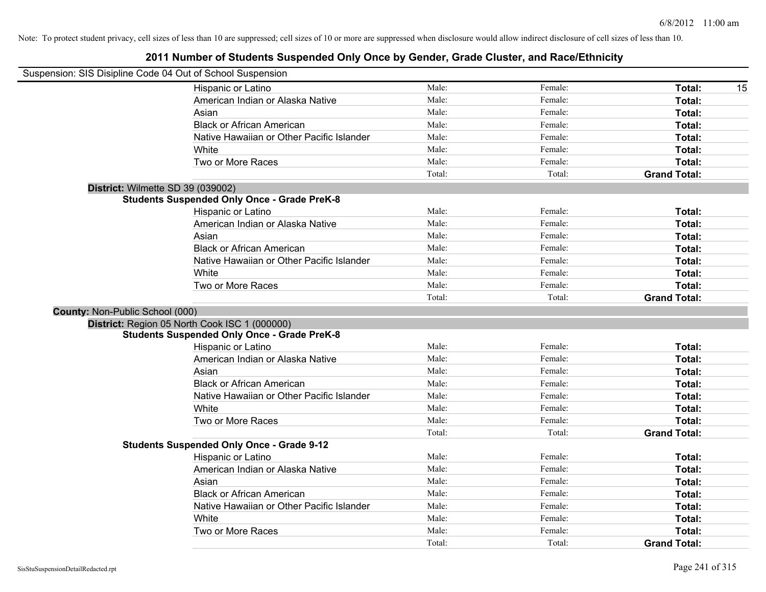|                                 | Suspension: SIS Disipline Code 04 Out of School Suspension |        |         |                     |
|---------------------------------|------------------------------------------------------------|--------|---------|---------------------|
|                                 | Hispanic or Latino                                         | Male:  | Female: | Total:<br>15        |
|                                 | American Indian or Alaska Native                           | Male:  | Female: | Total:              |
|                                 | Asian                                                      | Male:  | Female: | Total:              |
|                                 | <b>Black or African American</b>                           | Male:  | Female: | Total:              |
|                                 | Native Hawaiian or Other Pacific Islander                  | Male:  | Female: | Total:              |
|                                 | White                                                      | Male:  | Female: | Total:              |
|                                 | Two or More Races                                          | Male:  | Female: | Total:              |
|                                 |                                                            | Total: | Total:  | <b>Grand Total:</b> |
|                                 | District: Wilmette SD 39 (039002)                          |        |         |                     |
|                                 | <b>Students Suspended Only Once - Grade PreK-8</b>         |        |         |                     |
|                                 | Hispanic or Latino                                         | Male:  | Female: | Total:              |
|                                 | American Indian or Alaska Native                           | Male:  | Female: | Total:              |
|                                 | Asian                                                      | Male:  | Female: | Total:              |
|                                 | <b>Black or African American</b>                           | Male:  | Female: | Total:              |
|                                 | Native Hawaiian or Other Pacific Islander                  | Male:  | Female: | Total:              |
|                                 | White                                                      | Male:  | Female: | Total:              |
|                                 | Two or More Races                                          | Male:  | Female: | Total:              |
|                                 |                                                            | Total: | Total:  | <b>Grand Total:</b> |
| County: Non-Public School (000) |                                                            |        |         |                     |
|                                 | District: Region 05 North Cook ISC 1 (000000)              |        |         |                     |
|                                 | <b>Students Suspended Only Once - Grade PreK-8</b>         |        |         |                     |
|                                 | Hispanic or Latino                                         | Male:  | Female: | Total:              |
|                                 | American Indian or Alaska Native                           | Male:  | Female: | Total:              |
|                                 | Asian                                                      | Male:  | Female: | Total:              |
|                                 | <b>Black or African American</b>                           | Male:  | Female: | Total:              |
|                                 | Native Hawaiian or Other Pacific Islander                  | Male:  | Female: | Total:              |
|                                 | White                                                      | Male:  | Female: | Total:              |
|                                 | Two or More Races                                          | Male:  | Female: | Total:              |
|                                 |                                                            | Total: | Total:  | <b>Grand Total:</b> |
|                                 | <b>Students Suspended Only Once - Grade 9-12</b>           |        |         |                     |
|                                 | Hispanic or Latino                                         | Male:  | Female: | Total:              |
|                                 | American Indian or Alaska Native                           | Male:  | Female: | Total:              |
|                                 | Asian                                                      | Male:  | Female: | Total:              |
|                                 | <b>Black or African American</b>                           | Male:  | Female: | Total:              |
|                                 | Native Hawaiian or Other Pacific Islander                  | Male:  | Female: | Total:              |
|                                 | White                                                      | Male:  | Female: | Total:              |
|                                 | Two or More Races                                          | Male:  | Female: | Total:              |
|                                 |                                                            | Total: | Total:  | <b>Grand Total:</b> |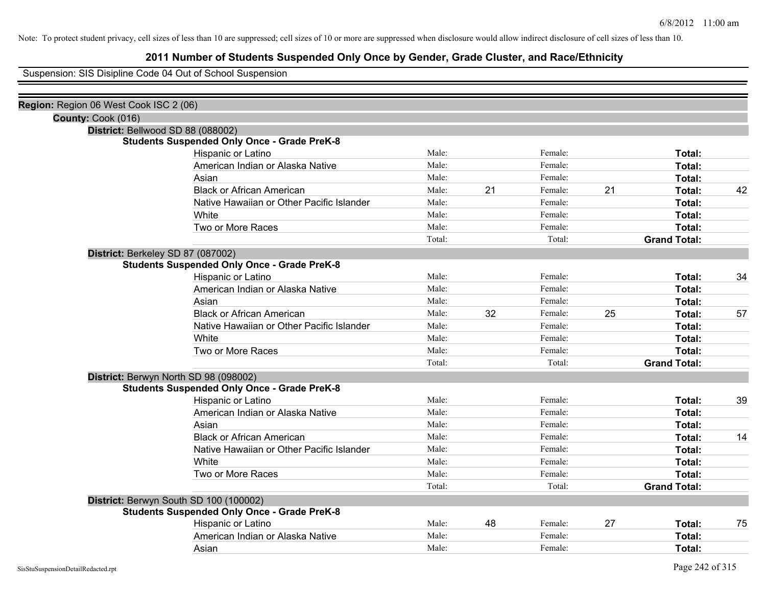### **2011 Number of Students Suspended Only Once by Gender, Grade Cluster, and Race/Ethnicity**

Suspension: SIS Disipline Code 04 Out of School Suspension

| Region: Region 06 West Cook ISC 2 (06)             |        |                                   |         |                    |                     |    |
|----------------------------------------------------|--------|-----------------------------------|---------|--------------------|---------------------|----|
|                                                    |        |                                   |         |                    |                     |    |
| District: Bellwood SD 88 (088002)                  |        |                                   |         |                    |                     |    |
| <b>Students Suspended Only Once - Grade PreK-8</b> |        |                                   |         |                    |                     |    |
| Hispanic or Latino                                 | Male:  |                                   | Female: |                    | Total:              |    |
| American Indian or Alaska Native                   | Male:  |                                   | Female: |                    | <b>Total:</b>       |    |
| Asian                                              | Male:  |                                   | Female: |                    | Total:              |    |
| <b>Black or African American</b>                   | Male:  | 21                                | Female: | 21                 | Total:              | 42 |
| Native Hawaiian or Other Pacific Islander          | Male:  |                                   | Female: |                    | Total:              |    |
| White                                              |        |                                   | Female: |                    | Total:              |    |
| Two or More Races                                  | Male:  |                                   | Female: |                    | Total:              |    |
|                                                    | Total: |                                   | Total:  |                    | <b>Grand Total:</b> |    |
| District: Berkeley SD 87 (087002)                  |        |                                   |         |                    |                     |    |
| <b>Students Suspended Only Once - Grade PreK-8</b> |        |                                   |         |                    |                     |    |
| Hispanic or Latino                                 | Male:  |                                   | Female: |                    | Total:              | 34 |
| American Indian or Alaska Native                   |        |                                   |         |                    | Total:              |    |
| Asian                                              | Male:  |                                   | Female: |                    | Total:              |    |
| <b>Black or African American</b>                   | Male:  |                                   | Female: | 25                 | Total:              | 57 |
| Native Hawaiian or Other Pacific Islander          | Male:  |                                   | Female: |                    | Total:              |    |
| White                                              | Male:  |                                   | Female: |                    | Total:              |    |
| Two or More Races                                  | Male:  |                                   | Female: |                    | <b>Total:</b>       |    |
|                                                    | Total: |                                   | Total:  |                    | <b>Grand Total:</b> |    |
| District: Berwyn North SD 98 (098002)              |        |                                   |         |                    |                     |    |
| <b>Students Suspended Only Once - Grade PreK-8</b> |        |                                   |         |                    |                     |    |
| Hispanic or Latino                                 |        |                                   |         |                    | Total:              | 39 |
| American Indian or Alaska Native                   | Male:  |                                   | Female: |                    | Total:              |    |
| Asian                                              | Male:  |                                   | Female: |                    | Total:              |    |
| <b>Black or African American</b>                   | Male:  |                                   | Female: |                    | Total:              | 14 |
| Native Hawaiian or Other Pacific Islander          | Male:  |                                   | Female: |                    | Total:              |    |
| White                                              | Male:  |                                   | Female: |                    | <b>Total:</b>       |    |
| Two or More Races                                  | Male:  |                                   | Female: |                    | Total:              |    |
|                                                    |        |                                   | Total:  |                    | <b>Grand Total:</b> |    |
| District: Berwyn South SD 100 (100002)             |        |                                   |         |                    |                     |    |
| <b>Students Suspended Only Once - Grade PreK-8</b> |        |                                   |         |                    |                     |    |
| Hispanic or Latino                                 | Male:  | 48                                | Female: | 27                 | Total:              | 75 |
| American Indian or Alaska Native                   | Male:  |                                   | Female: |                    | <b>Total:</b>       |    |
| Asian                                              | Male:  |                                   | Female: |                    | Total:              |    |
|                                                    |        | Male:<br>Male:<br>Male:<br>Total: | 32      | Female:<br>Female: |                     |    |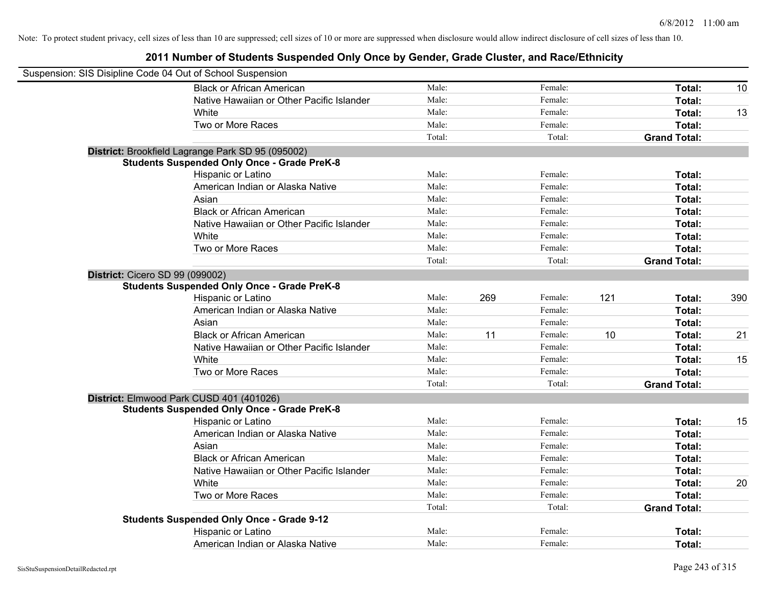| Suspension: SIS Disipline Code 04 Out of School Suspension |                                                    |        |     |         |     |                     |     |
|------------------------------------------------------------|----------------------------------------------------|--------|-----|---------|-----|---------------------|-----|
|                                                            | <b>Black or African American</b>                   | Male:  |     | Female: |     | Total:              | 10  |
|                                                            | Native Hawaiian or Other Pacific Islander          | Male:  |     | Female: |     | Total:              |     |
|                                                            | White                                              | Male:  |     | Female: |     | Total:              | 13  |
|                                                            | Two or More Races                                  | Male:  |     | Female: |     | Total:              |     |
|                                                            |                                                    | Total: |     | Total:  |     | <b>Grand Total:</b> |     |
|                                                            | District: Brookfield Lagrange Park SD 95 (095002)  |        |     |         |     |                     |     |
|                                                            | <b>Students Suspended Only Once - Grade PreK-8</b> |        |     |         |     |                     |     |
|                                                            | Hispanic or Latino                                 | Male:  |     | Female: |     | Total:              |     |
|                                                            | American Indian or Alaska Native                   | Male:  |     | Female: |     | Total:              |     |
|                                                            | Asian                                              | Male:  |     | Female: |     | Total:              |     |
|                                                            | <b>Black or African American</b>                   | Male:  |     | Female: |     | Total:              |     |
|                                                            | Native Hawaiian or Other Pacific Islander          | Male:  |     | Female: |     | Total:              |     |
|                                                            | White                                              | Male:  |     | Female: |     | Total:              |     |
|                                                            | Two or More Races                                  | Male:  |     | Female: |     | Total:              |     |
|                                                            |                                                    | Total: |     | Total:  |     | <b>Grand Total:</b> |     |
| District: Cicero SD 99 (099002)                            |                                                    |        |     |         |     |                     |     |
|                                                            | <b>Students Suspended Only Once - Grade PreK-8</b> |        |     |         |     |                     |     |
|                                                            | Hispanic or Latino                                 | Male:  | 269 | Female: | 121 | Total:              | 390 |
|                                                            | American Indian or Alaska Native                   | Male:  |     | Female: |     | Total:              |     |
|                                                            | Asian                                              | Male:  |     | Female: |     | Total:              |     |
|                                                            | <b>Black or African American</b>                   | Male:  | 11  | Female: | 10  | Total:              | 21  |
|                                                            | Native Hawaiian or Other Pacific Islander          | Male:  |     | Female: |     | Total:              |     |
|                                                            | White                                              | Male:  |     | Female: |     | Total:              | 15  |
|                                                            | Two or More Races                                  | Male:  |     | Female: |     | Total:              |     |
|                                                            |                                                    | Total: |     | Total:  |     | <b>Grand Total:</b> |     |
|                                                            | District: Elmwood Park CUSD 401 (401026)           |        |     |         |     |                     |     |
|                                                            | <b>Students Suspended Only Once - Grade PreK-8</b> |        |     |         |     |                     |     |
|                                                            | Hispanic or Latino                                 | Male:  |     | Female: |     | Total:              | 15  |
|                                                            | American Indian or Alaska Native                   | Male:  |     | Female: |     | Total:              |     |
|                                                            | Asian                                              | Male:  |     | Female: |     | Total:              |     |
|                                                            | <b>Black or African American</b>                   | Male:  |     | Female: |     | Total:              |     |
|                                                            | Native Hawaiian or Other Pacific Islander          | Male:  |     | Female: |     | Total:              |     |
|                                                            | White                                              | Male:  |     | Female: |     | Total:              | 20  |
|                                                            | Two or More Races                                  | Male:  |     | Female: |     | Total:              |     |
|                                                            |                                                    | Total: |     | Total:  |     | <b>Grand Total:</b> |     |
|                                                            | <b>Students Suspended Only Once - Grade 9-12</b>   |        |     |         |     |                     |     |
|                                                            | Hispanic or Latino                                 | Male:  |     | Female: |     | Total:              |     |
|                                                            | American Indian or Alaska Native                   | Male:  |     | Female: |     | Total:              |     |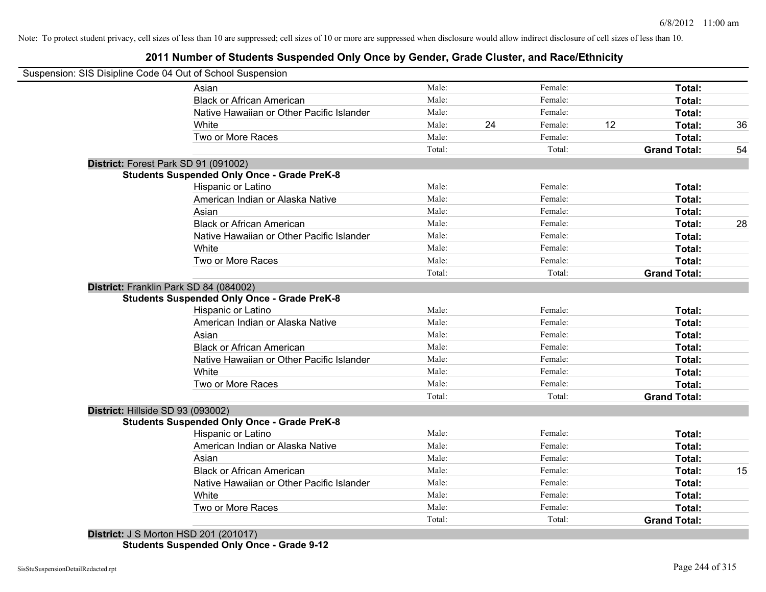# **2011 Number of Students Suspended Only Once by Gender, Grade Cluster, and Race/Ethnicity**

| Male:                                              | Female:                                                                                                                                                                                                                                                                                                                                                                                                                                                                                                                                                                                                                                                                                                             |    |                                                                                                                                                                                                                                                                                                              |                                                                                                                                                                                        |
|----------------------------------------------------|---------------------------------------------------------------------------------------------------------------------------------------------------------------------------------------------------------------------------------------------------------------------------------------------------------------------------------------------------------------------------------------------------------------------------------------------------------------------------------------------------------------------------------------------------------------------------------------------------------------------------------------------------------------------------------------------------------------------|----|--------------------------------------------------------------------------------------------------------------------------------------------------------------------------------------------------------------------------------------------------------------------------------------------------------------|----------------------------------------------------------------------------------------------------------------------------------------------------------------------------------------|
|                                                    |                                                                                                                                                                                                                                                                                                                                                                                                                                                                                                                                                                                                                                                                                                                     |    | Total:                                                                                                                                                                                                                                                                                                       |                                                                                                                                                                                        |
| <b>Black or African American</b><br>Male:          | Female:                                                                                                                                                                                                                                                                                                                                                                                                                                                                                                                                                                                                                                                                                                             |    | Total:                                                                                                                                                                                                                                                                                                       |                                                                                                                                                                                        |
| Native Hawaiian or Other Pacific Islander<br>Male: |                                                                                                                                                                                                                                                                                                                                                                                                                                                                                                                                                                                                                                                                                                                     |    | Total:                                                                                                                                                                                                                                                                                                       |                                                                                                                                                                                        |
| Male:                                              | 24                                                                                                                                                                                                                                                                                                                                                                                                                                                                                                                                                                                                                                                                                                                  | 12 | Total:                                                                                                                                                                                                                                                                                                       | 36                                                                                                                                                                                     |
| Male:                                              |                                                                                                                                                                                                                                                                                                                                                                                                                                                                                                                                                                                                                                                                                                                     |    | Total:                                                                                                                                                                                                                                                                                                       |                                                                                                                                                                                        |
| Total:                                             |                                                                                                                                                                                                                                                                                                                                                                                                                                                                                                                                                                                                                                                                                                                     |    | <b>Grand Total:</b>                                                                                                                                                                                                                                                                                          | 54                                                                                                                                                                                     |
|                                                    |                                                                                                                                                                                                                                                                                                                                                                                                                                                                                                                                                                                                                                                                                                                     |    |                                                                                                                                                                                                                                                                                                              |                                                                                                                                                                                        |
|                                                    |                                                                                                                                                                                                                                                                                                                                                                                                                                                                                                                                                                                                                                                                                                                     |    |                                                                                                                                                                                                                                                                                                              |                                                                                                                                                                                        |
|                                                    |                                                                                                                                                                                                                                                                                                                                                                                                                                                                                                                                                                                                                                                                                                                     |    | Total:                                                                                                                                                                                                                                                                                                       |                                                                                                                                                                                        |
|                                                    |                                                                                                                                                                                                                                                                                                                                                                                                                                                                                                                                                                                                                                                                                                                     |    | Total:                                                                                                                                                                                                                                                                                                       |                                                                                                                                                                                        |
|                                                    |                                                                                                                                                                                                                                                                                                                                                                                                                                                                                                                                                                                                                                                                                                                     |    | Total:                                                                                                                                                                                                                                                                                                       |                                                                                                                                                                                        |
|                                                    |                                                                                                                                                                                                                                                                                                                                                                                                                                                                                                                                                                                                                                                                                                                     |    | Total:                                                                                                                                                                                                                                                                                                       | 28                                                                                                                                                                                     |
| Male:                                              |                                                                                                                                                                                                                                                                                                                                                                                                                                                                                                                                                                                                                                                                                                                     |    | Total:                                                                                                                                                                                                                                                                                                       |                                                                                                                                                                                        |
| Male:                                              |                                                                                                                                                                                                                                                                                                                                                                                                                                                                                                                                                                                                                                                                                                                     |    | Total:                                                                                                                                                                                                                                                                                                       |                                                                                                                                                                                        |
| Male:                                              |                                                                                                                                                                                                                                                                                                                                                                                                                                                                                                                                                                                                                                                                                                                     |    | Total:                                                                                                                                                                                                                                                                                                       |                                                                                                                                                                                        |
| Total:                                             |                                                                                                                                                                                                                                                                                                                                                                                                                                                                                                                                                                                                                                                                                                                     |    | <b>Grand Total:</b>                                                                                                                                                                                                                                                                                          |                                                                                                                                                                                        |
|                                                    |                                                                                                                                                                                                                                                                                                                                                                                                                                                                                                                                                                                                                                                                                                                     |    |                                                                                                                                                                                                                                                                                                              |                                                                                                                                                                                        |
|                                                    |                                                                                                                                                                                                                                                                                                                                                                                                                                                                                                                                                                                                                                                                                                                     |    |                                                                                                                                                                                                                                                                                                              |                                                                                                                                                                                        |
|                                                    |                                                                                                                                                                                                                                                                                                                                                                                                                                                                                                                                                                                                                                                                                                                     |    |                                                                                                                                                                                                                                                                                                              |                                                                                                                                                                                        |
|                                                    |                                                                                                                                                                                                                                                                                                                                                                                                                                                                                                                                                                                                                                                                                                                     |    |                                                                                                                                                                                                                                                                                                              |                                                                                                                                                                                        |
|                                                    |                                                                                                                                                                                                                                                                                                                                                                                                                                                                                                                                                                                                                                                                                                                     |    |                                                                                                                                                                                                                                                                                                              |                                                                                                                                                                                        |
|                                                    |                                                                                                                                                                                                                                                                                                                                                                                                                                                                                                                                                                                                                                                                                                                     |    |                                                                                                                                                                                                                                                                                                              |                                                                                                                                                                                        |
|                                                    |                                                                                                                                                                                                                                                                                                                                                                                                                                                                                                                                                                                                                                                                                                                     |    |                                                                                                                                                                                                                                                                                                              |                                                                                                                                                                                        |
|                                                    |                                                                                                                                                                                                                                                                                                                                                                                                                                                                                                                                                                                                                                                                                                                     |    |                                                                                                                                                                                                                                                                                                              |                                                                                                                                                                                        |
|                                                    |                                                                                                                                                                                                                                                                                                                                                                                                                                                                                                                                                                                                                                                                                                                     |    |                                                                                                                                                                                                                                                                                                              |                                                                                                                                                                                        |
|                                                    |                                                                                                                                                                                                                                                                                                                                                                                                                                                                                                                                                                                                                                                                                                                     |    |                                                                                                                                                                                                                                                                                                              |                                                                                                                                                                                        |
|                                                    |                                                                                                                                                                                                                                                                                                                                                                                                                                                                                                                                                                                                                                                                                                                     |    |                                                                                                                                                                                                                                                                                                              |                                                                                                                                                                                        |
|                                                    |                                                                                                                                                                                                                                                                                                                                                                                                                                                                                                                                                                                                                                                                                                                     |    |                                                                                                                                                                                                                                                                                                              |                                                                                                                                                                                        |
|                                                    |                                                                                                                                                                                                                                                                                                                                                                                                                                                                                                                                                                                                                                                                                                                     |    |                                                                                                                                                                                                                                                                                                              |                                                                                                                                                                                        |
|                                                    |                                                                                                                                                                                                                                                                                                                                                                                                                                                                                                                                                                                                                                                                                                                     |    |                                                                                                                                                                                                                                                                                                              |                                                                                                                                                                                        |
|                                                    |                                                                                                                                                                                                                                                                                                                                                                                                                                                                                                                                                                                                                                                                                                                     |    |                                                                                                                                                                                                                                                                                                              |                                                                                                                                                                                        |
|                                                    |                                                                                                                                                                                                                                                                                                                                                                                                                                                                                                                                                                                                                                                                                                                     |    |                                                                                                                                                                                                                                                                                                              | 15                                                                                                                                                                                     |
|                                                    |                                                                                                                                                                                                                                                                                                                                                                                                                                                                                                                                                                                                                                                                                                                     |    |                                                                                                                                                                                                                                                                                                              |                                                                                                                                                                                        |
|                                                    |                                                                                                                                                                                                                                                                                                                                                                                                                                                                                                                                                                                                                                                                                                                     |    |                                                                                                                                                                                                                                                                                                              |                                                                                                                                                                                        |
|                                                    |                                                                                                                                                                                                                                                                                                                                                                                                                                                                                                                                                                                                                                                                                                                     |    |                                                                                                                                                                                                                                                                                                              |                                                                                                                                                                                        |
|                                                    |                                                                                                                                                                                                                                                                                                                                                                                                                                                                                                                                                                                                                                                                                                                     |    |                                                                                                                                                                                                                                                                                                              |                                                                                                                                                                                        |
|                                                    | <b>Students Suspended Only Once - Grade PreK-8</b><br>Male:<br>Male:<br>American Indian or Alaska Native<br>Male:<br>Male:<br><b>Black or African American</b><br>Native Hawaiian or Other Pacific Islander<br><b>Students Suspended Only Once - Grade PreK-8</b><br>Male:<br>Male:<br>American Indian or Alaska Native<br>Male:<br><b>Black or African American</b><br>Male:<br>Native Hawaiian or Other Pacific Islander<br>Male:<br>Male:<br>Male:<br>Total:<br><b>Students Suspended Only Once - Grade PreK-8</b><br>Male:<br>American Indian or Alaska Native<br>Male:<br>Male:<br><b>Black or African American</b><br>Male:<br>Native Hawaiian or Other Pacific Islander<br>Male:<br>Male:<br>Male:<br>Total: |    | Female:<br>Female:<br>Female:<br>Total:<br>Female:<br>Female:<br>Female:<br>Female:<br>Female:<br>Female:<br>Female:<br>Total:<br>Female:<br>Female:<br>Female:<br>Female:<br>Female:<br>Female:<br>Female:<br>Total:<br>Female:<br>Female:<br>Female:<br>Female:<br>Female:<br>Female:<br>Female:<br>Total: | Total:<br>Total:<br>Total:<br>Total:<br>Total:<br>Total:<br>Total:<br><b>Grand Total:</b><br>Total:<br>Total:<br>Total:<br>Total:<br>Total:<br>Total:<br>Total:<br><b>Grand Total:</b> |

**Students Suspended Only Once - Grade 9-12**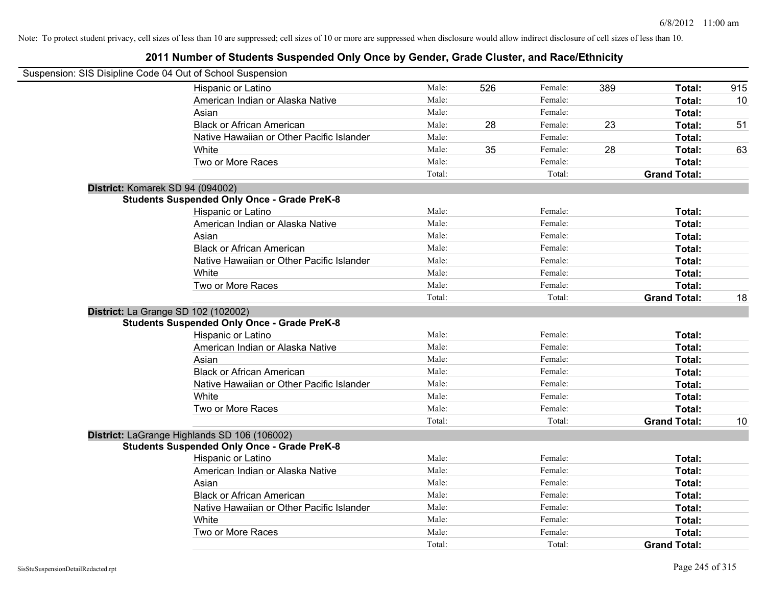| Suspension: SIS Disipline Code 04 Out of School Suspension |                                                    |        |     |         |     |                     |     |
|------------------------------------------------------------|----------------------------------------------------|--------|-----|---------|-----|---------------------|-----|
|                                                            | Hispanic or Latino                                 | Male:  | 526 | Female: | 389 | Total:              | 915 |
|                                                            | American Indian or Alaska Native                   | Male:  |     | Female: |     | Total:              | 10  |
|                                                            | Asian                                              | Male:  |     | Female: |     | Total:              |     |
|                                                            | <b>Black or African American</b>                   | Male:  | 28  | Female: | 23  | Total:              | 51  |
|                                                            | Native Hawaiian or Other Pacific Islander          | Male:  |     | Female: |     | Total:              |     |
|                                                            | White                                              | Male:  | 35  | Female: | 28  | Total:              | 63  |
|                                                            | Two or More Races                                  | Male:  |     | Female: |     | Total:              |     |
|                                                            |                                                    | Total: |     | Total:  |     | <b>Grand Total:</b> |     |
| District: Komarek SD 94 (094002)                           |                                                    |        |     |         |     |                     |     |
|                                                            | <b>Students Suspended Only Once - Grade PreK-8</b> |        |     |         |     |                     |     |
|                                                            | Hispanic or Latino                                 | Male:  |     | Female: |     | Total:              |     |
|                                                            | American Indian or Alaska Native                   | Male:  |     | Female: |     | Total:              |     |
|                                                            | Asian                                              | Male:  |     | Female: |     | Total:              |     |
|                                                            | <b>Black or African American</b>                   | Male:  |     | Female: |     | Total:              |     |
|                                                            | Native Hawaiian or Other Pacific Islander          | Male:  |     | Female: |     | Total:              |     |
|                                                            | White                                              | Male:  |     | Female: |     | Total:              |     |
|                                                            | Two or More Races                                  | Male:  |     | Female: |     | Total:              |     |
|                                                            |                                                    | Total: |     | Total:  |     | <b>Grand Total:</b> | 18  |
| District: La Grange SD 102 (102002)                        |                                                    |        |     |         |     |                     |     |
|                                                            | <b>Students Suspended Only Once - Grade PreK-8</b> |        |     |         |     |                     |     |
|                                                            | Hispanic or Latino                                 | Male:  |     | Female: |     | Total:              |     |
|                                                            | American Indian or Alaska Native                   | Male:  |     | Female: |     | Total:              |     |
|                                                            | Asian                                              | Male:  |     | Female: |     | Total:              |     |
|                                                            | <b>Black or African American</b>                   | Male:  |     | Female: |     | Total:              |     |
|                                                            | Native Hawaiian or Other Pacific Islander          | Male:  |     | Female: |     | Total:              |     |
|                                                            | White                                              | Male:  |     | Female: |     | Total:              |     |
|                                                            | Two or More Races                                  | Male:  |     | Female: |     | Total:              |     |
|                                                            |                                                    | Total: |     | Total:  |     | <b>Grand Total:</b> | 10  |
|                                                            | District: LaGrange Highlands SD 106 (106002)       |        |     |         |     |                     |     |
|                                                            | <b>Students Suspended Only Once - Grade PreK-8</b> |        |     |         |     |                     |     |
|                                                            | Hispanic or Latino                                 | Male:  |     | Female: |     | Total:              |     |
|                                                            | American Indian or Alaska Native                   | Male:  |     | Female: |     | Total:              |     |
|                                                            | Asian                                              | Male:  |     | Female: |     | Total:              |     |
|                                                            | <b>Black or African American</b>                   | Male:  |     | Female: |     | Total:              |     |
|                                                            | Native Hawaiian or Other Pacific Islander          | Male:  |     | Female: |     | Total:              |     |
|                                                            | White                                              | Male:  |     | Female: |     | Total:              |     |
|                                                            | Two or More Races                                  | Male:  |     | Female: |     | <b>Total:</b>       |     |
|                                                            |                                                    | Total: |     | Total:  |     | <b>Grand Total:</b> |     |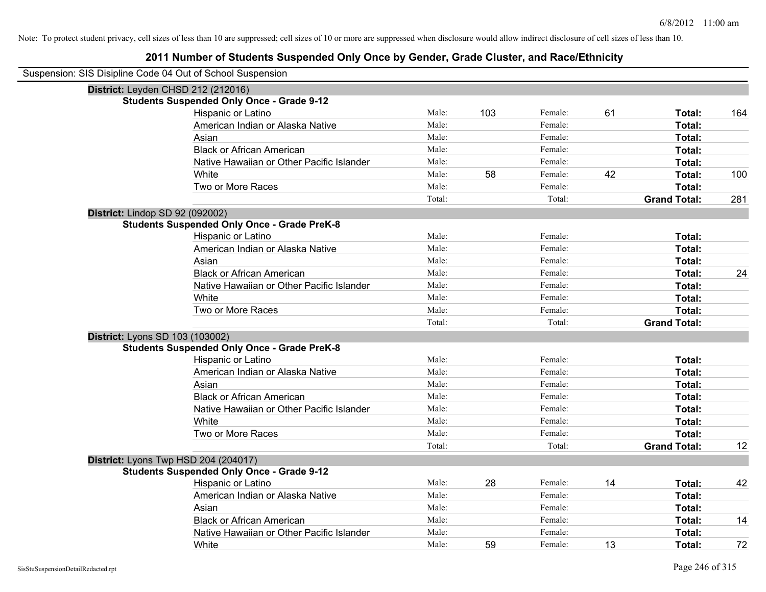| Suspension: SIS Disipline Code 04 Out of School Suspension |                                                    |        |     |         |    |                     |     |
|------------------------------------------------------------|----------------------------------------------------|--------|-----|---------|----|---------------------|-----|
| District: Leyden CHSD 212 (212016)                         |                                                    |        |     |         |    |                     |     |
|                                                            | <b>Students Suspended Only Once - Grade 9-12</b>   |        |     |         |    |                     |     |
|                                                            | Hispanic or Latino                                 | Male:  | 103 | Female: | 61 | Total:              | 164 |
|                                                            | American Indian or Alaska Native                   | Male:  |     | Female: |    | Total:              |     |
|                                                            | Asian                                              | Male:  |     | Female: |    | Total:              |     |
|                                                            | <b>Black or African American</b>                   | Male:  |     | Female: |    | Total:              |     |
|                                                            | Native Hawaiian or Other Pacific Islander          | Male:  |     | Female: |    | Total:              |     |
|                                                            | White                                              | Male:  | 58  | Female: | 42 | Total:              | 100 |
|                                                            | Two or More Races                                  | Male:  |     | Female: |    | Total:              |     |
|                                                            |                                                    | Total: |     | Total:  |    | <b>Grand Total:</b> | 281 |
| District: Lindop SD 92 (092002)                            |                                                    |        |     |         |    |                     |     |
|                                                            | <b>Students Suspended Only Once - Grade PreK-8</b> |        |     |         |    |                     |     |
|                                                            | Hispanic or Latino                                 | Male:  |     | Female: |    | Total:              |     |
|                                                            | American Indian or Alaska Native                   | Male:  |     | Female: |    | Total:              |     |
|                                                            | Asian                                              | Male:  |     | Female: |    | Total:              |     |
|                                                            | <b>Black or African American</b>                   | Male:  |     | Female: |    | Total:              | 24  |
|                                                            | Native Hawaiian or Other Pacific Islander          | Male:  |     | Female: |    | Total:              |     |
|                                                            | White                                              | Male:  |     | Female: |    | Total:              |     |
|                                                            | Two or More Races                                  | Male:  |     | Female: |    | Total:              |     |
|                                                            |                                                    | Total: |     | Total:  |    | <b>Grand Total:</b> |     |
| District: Lyons SD 103 (103002)                            |                                                    |        |     |         |    |                     |     |
|                                                            | <b>Students Suspended Only Once - Grade PreK-8</b> |        |     |         |    |                     |     |
|                                                            | Hispanic or Latino                                 | Male:  |     | Female: |    | Total:              |     |
|                                                            | American Indian or Alaska Native                   | Male:  |     | Female: |    | Total:              |     |
|                                                            | Asian                                              | Male:  |     | Female: |    | Total:              |     |
|                                                            | <b>Black or African American</b>                   | Male:  |     | Female: |    | Total:              |     |
|                                                            | Native Hawaiian or Other Pacific Islander          | Male:  |     | Female: |    | Total:              |     |
|                                                            | White                                              | Male:  |     | Female: |    | Total:              |     |
|                                                            | Two or More Races                                  | Male:  |     | Female: |    | Total:              |     |
|                                                            |                                                    | Total: |     | Total:  |    | <b>Grand Total:</b> | 12  |
|                                                            | District: Lyons Twp HSD 204 (204017)               |        |     |         |    |                     |     |
|                                                            | <b>Students Suspended Only Once - Grade 9-12</b>   |        |     |         |    |                     |     |
|                                                            | Hispanic or Latino                                 | Male:  | 28  | Female: | 14 | Total:              | 42  |
|                                                            | American Indian or Alaska Native                   | Male:  |     | Female: |    | Total:              |     |
|                                                            | Asian                                              | Male:  |     | Female: |    | Total:              |     |
|                                                            | <b>Black or African American</b>                   | Male:  |     | Female: |    | Total:              | 14  |
|                                                            | Native Hawaiian or Other Pacific Islander          | Male:  |     | Female: |    | Total:              |     |
|                                                            | White                                              | Male:  | 59  | Female: | 13 | Total:              | 72  |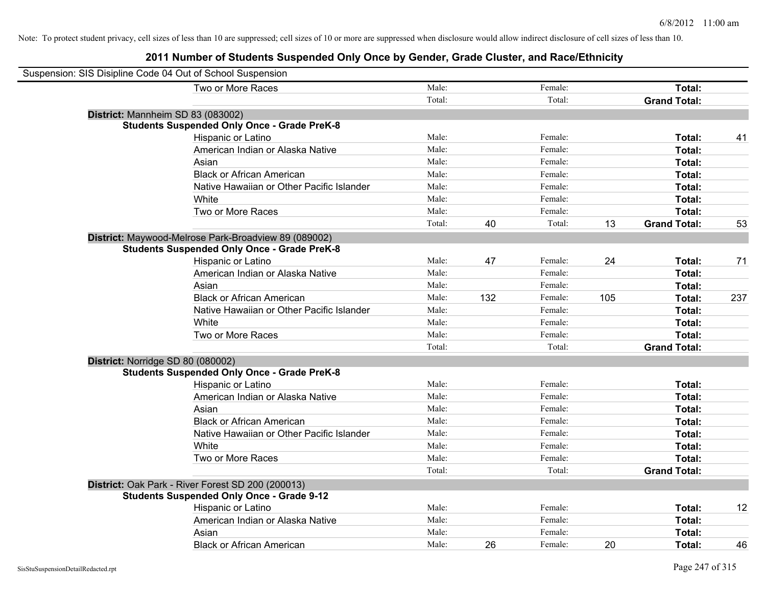| Suspension: SIS Disipline Code 04 Out of School Suspension |        |     |         |     |                     |     |
|------------------------------------------------------------|--------|-----|---------|-----|---------------------|-----|
| Two or More Races                                          | Male:  |     | Female: |     | Total:              |     |
|                                                            | Total: |     | Total:  |     | <b>Grand Total:</b> |     |
| District: Mannheim SD 83 (083002)                          |        |     |         |     |                     |     |
| <b>Students Suspended Only Once - Grade PreK-8</b>         |        |     |         |     |                     |     |
| Hispanic or Latino                                         | Male:  |     | Female: |     | Total:              | 41  |
| American Indian or Alaska Native                           | Male:  |     | Female: |     | Total:              |     |
| Asian                                                      | Male:  |     | Female: |     | Total:              |     |
| <b>Black or African American</b>                           | Male:  |     | Female: |     | Total:              |     |
| Native Hawaiian or Other Pacific Islander                  | Male:  |     | Female: |     | Total:              |     |
| White                                                      | Male:  |     | Female: |     | Total:              |     |
| Two or More Races                                          | Male:  |     | Female: |     | Total:              |     |
|                                                            | Total: | 40  | Total:  | 13  | <b>Grand Total:</b> | 53  |
| District: Maywood-Melrose Park-Broadview 89 (089002)       |        |     |         |     |                     |     |
| <b>Students Suspended Only Once - Grade PreK-8</b>         |        |     |         |     |                     |     |
| Hispanic or Latino                                         | Male:  | 47  | Female: | 24  | Total:              | 71  |
| American Indian or Alaska Native                           | Male:  |     | Female: |     | Total:              |     |
| Asian                                                      | Male:  |     | Female: |     | Total:              |     |
| <b>Black or African American</b>                           | Male:  | 132 | Female: | 105 | Total:              | 237 |
| Native Hawaiian or Other Pacific Islander                  | Male:  |     | Female: |     | Total:              |     |
| White                                                      | Male:  |     | Female: |     | Total:              |     |
| Two or More Races                                          | Male:  |     | Female: |     | Total:              |     |
|                                                            | Total: |     | Total:  |     | <b>Grand Total:</b> |     |
| District: Norridge SD 80 (080002)                          |        |     |         |     |                     |     |
| <b>Students Suspended Only Once - Grade PreK-8</b>         |        |     |         |     |                     |     |
| Hispanic or Latino                                         | Male:  |     | Female: |     | Total:              |     |
| American Indian or Alaska Native                           | Male:  |     | Female: |     | Total:              |     |
| Asian                                                      | Male:  |     | Female: |     | Total:              |     |
| <b>Black or African American</b>                           | Male:  |     | Female: |     | Total:              |     |
| Native Hawaiian or Other Pacific Islander                  | Male:  |     | Female: |     | Total:              |     |
| White                                                      | Male:  |     | Female: |     | Total:              |     |
| Two or More Races                                          | Male:  |     | Female: |     | Total:              |     |
|                                                            | Total: |     | Total:  |     | <b>Grand Total:</b> |     |
| District: Oak Park - River Forest SD 200 (200013)          |        |     |         |     |                     |     |
| <b>Students Suspended Only Once - Grade 9-12</b>           |        |     |         |     |                     |     |
| Hispanic or Latino                                         | Male:  |     | Female: |     | Total:              | 12  |
| American Indian or Alaska Native                           | Male:  |     | Female: |     | Total:              |     |
| Asian                                                      | Male:  |     | Female: |     | Total:              |     |
| <b>Black or African American</b>                           | Male:  | 26  | Female: | 20  | Total:              | 46  |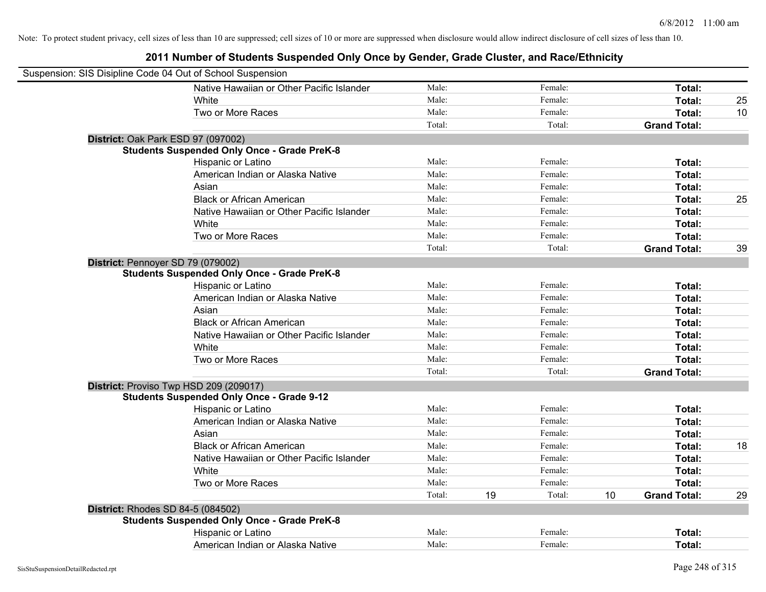| Suspension: SIS Disipline Code 04 Out of School Suspension |        |    |         |    |                     |    |
|------------------------------------------------------------|--------|----|---------|----|---------------------|----|
| Native Hawaiian or Other Pacific Islander                  | Male:  |    | Female: |    | Total:              |    |
| White                                                      | Male:  |    | Female: |    | Total:              | 25 |
| Two or More Races                                          | Male:  |    | Female: |    | Total:              | 10 |
|                                                            | Total: |    | Total:  |    | <b>Grand Total:</b> |    |
| District: Oak Park ESD 97 (097002)                         |        |    |         |    |                     |    |
| <b>Students Suspended Only Once - Grade PreK-8</b>         |        |    |         |    |                     |    |
| Hispanic or Latino                                         | Male:  |    | Female: |    | Total:              |    |
| American Indian or Alaska Native                           | Male:  |    | Female: |    | Total:              |    |
| Asian                                                      | Male:  |    | Female: |    | Total:              |    |
| <b>Black or African American</b>                           | Male:  |    | Female: |    | Total:              | 25 |
| Native Hawaiian or Other Pacific Islander                  | Male:  |    | Female: |    | Total:              |    |
| White                                                      | Male:  |    | Female: |    | Total:              |    |
| Two or More Races                                          | Male:  |    | Female: |    | Total:              |    |
|                                                            | Total: |    | Total:  |    | <b>Grand Total:</b> | 39 |
| District: Pennoyer SD 79 (079002)                          |        |    |         |    |                     |    |
| <b>Students Suspended Only Once - Grade PreK-8</b>         |        |    |         |    |                     |    |
| Hispanic or Latino                                         | Male:  |    | Female: |    | Total:              |    |
| American Indian or Alaska Native                           | Male:  |    | Female: |    | Total:              |    |
| Asian                                                      | Male:  |    | Female: |    | Total:              |    |
| <b>Black or African American</b>                           | Male:  |    | Female: |    | Total:              |    |
| Native Hawaiian or Other Pacific Islander                  | Male:  |    | Female: |    | Total:              |    |
| White                                                      | Male:  |    | Female: |    | Total:              |    |
| Two or More Races                                          | Male:  |    | Female: |    | Total:              |    |
|                                                            | Total: |    | Total:  |    | <b>Grand Total:</b> |    |
| District: Proviso Twp HSD 209 (209017)                     |        |    |         |    |                     |    |
| <b>Students Suspended Only Once - Grade 9-12</b>           |        |    |         |    |                     |    |
| Hispanic or Latino                                         | Male:  |    | Female: |    | Total:              |    |
| American Indian or Alaska Native                           | Male:  |    | Female: |    | Total:              |    |
| Asian                                                      | Male:  |    | Female: |    | Total:              |    |
| <b>Black or African American</b>                           | Male:  |    | Female: |    | Total:              | 18 |
| Native Hawaiian or Other Pacific Islander                  | Male:  |    | Female: |    | Total:              |    |
| White                                                      | Male:  |    | Female: |    | Total:              |    |
| Two or More Races                                          | Male:  |    | Female: |    | Total:              |    |
|                                                            | Total: | 19 | Total:  | 10 | <b>Grand Total:</b> | 29 |
| <b>District: Rhodes SD 84-5 (084502)</b>                   |        |    |         |    |                     |    |
| <b>Students Suspended Only Once - Grade PreK-8</b>         |        |    |         |    |                     |    |
| Hispanic or Latino                                         | Male:  |    | Female: |    | Total:              |    |
| American Indian or Alaska Native                           | Male:  |    | Female: |    | Total:              |    |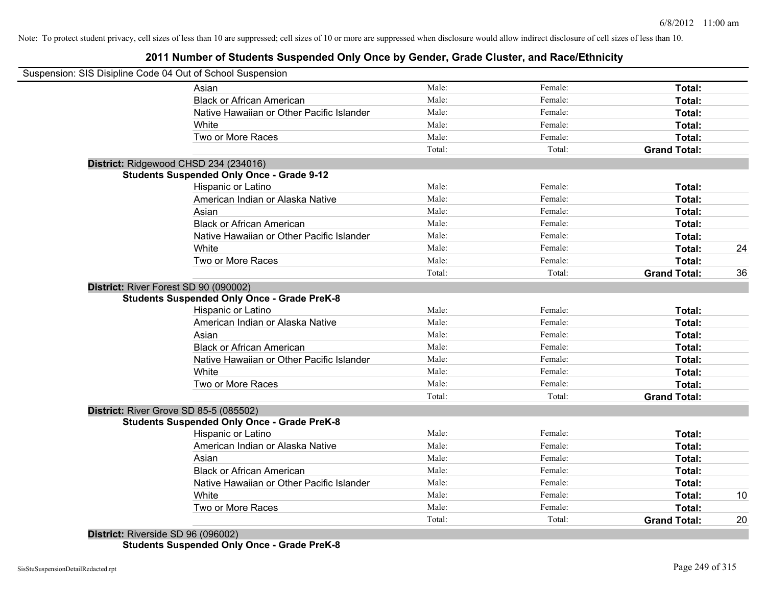# **2011 Number of Students Suspended Only Once by Gender, Grade Cluster, and Race/Ethnicity**

| Suspension: SIS Disipline Code 04 Out of School Suspension |        |         |                     |    |
|------------------------------------------------------------|--------|---------|---------------------|----|
| Asian                                                      | Male:  | Female: | Total:              |    |
| <b>Black or African American</b>                           | Male:  | Female: | Total:              |    |
| Native Hawaiian or Other Pacific Islander                  | Male:  | Female: | Total:              |    |
| White                                                      | Male:  | Female: | Total:              |    |
| Two or More Races                                          | Male:  | Female: | Total:              |    |
|                                                            | Total: | Total:  | <b>Grand Total:</b> |    |
| District: Ridgewood CHSD 234 (234016)                      |        |         |                     |    |
| <b>Students Suspended Only Once - Grade 9-12</b>           |        |         |                     |    |
| Hispanic or Latino                                         | Male:  | Female: | Total:              |    |
| American Indian or Alaska Native                           | Male:  | Female: | Total:              |    |
| Asian                                                      | Male:  | Female: | Total:              |    |
| <b>Black or African American</b>                           | Male:  | Female: | Total:              |    |
| Native Hawaiian or Other Pacific Islander                  | Male:  | Female: | Total:              |    |
| White                                                      | Male:  | Female: | Total:              | 24 |
| Two or More Races                                          | Male:  | Female: | Total:              |    |
|                                                            | Total: | Total:  | <b>Grand Total:</b> | 36 |
| District: River Forest SD 90 (090002)                      |        |         |                     |    |
| <b>Students Suspended Only Once - Grade PreK-8</b>         |        |         |                     |    |
| Hispanic or Latino                                         | Male:  | Female: | Total:              |    |
| American Indian or Alaska Native                           | Male:  | Female: | Total:              |    |
| Asian                                                      | Male:  | Female: | Total:              |    |
| <b>Black or African American</b>                           | Male:  | Female: | Total:              |    |
| Native Hawaiian or Other Pacific Islander                  | Male:  | Female: | Total:              |    |
| White                                                      | Male:  | Female: | Total:              |    |
| Two or More Races                                          | Male:  | Female: | Total:              |    |
|                                                            | Total: | Total:  | <b>Grand Total:</b> |    |
| District: River Grove SD 85-5 (085502)                     |        |         |                     |    |
| <b>Students Suspended Only Once - Grade PreK-8</b>         |        |         |                     |    |
| <b>Hispanic or Latino</b>                                  | Male:  | Female: | Total:              |    |
| American Indian or Alaska Native                           | Male:  | Female: | Total:              |    |
| Asian                                                      | Male:  | Female: | Total:              |    |
| <b>Black or African American</b>                           | Male:  | Female: | Total:              |    |
| Native Hawaiian or Other Pacific Islander                  | Male:  | Female: | Total:              |    |
| White                                                      | Male:  | Female: | Total:              | 10 |
| Two or More Races                                          | Male:  | Female: | Total:              |    |
|                                                            | Total: | Total:  | <b>Grand Total:</b> | 20 |

**District:** Riverside SD 96 (096002) **Students Suspended Only Once - Grade PreK-8**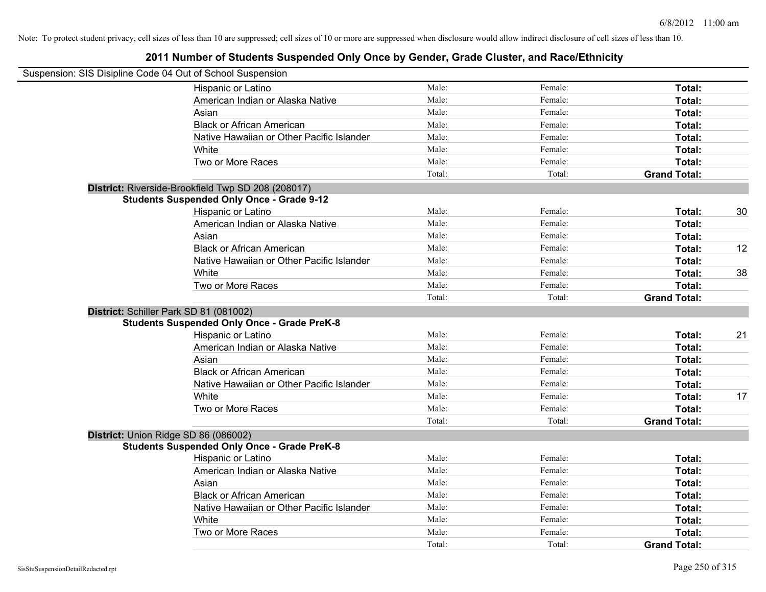| Suspension: SIS Disipline Code 04 Out of School Suspension |        |         |                     |    |
|------------------------------------------------------------|--------|---------|---------------------|----|
| Hispanic or Latino                                         | Male:  | Female: | Total:              |    |
| American Indian or Alaska Native                           | Male:  | Female: | Total:              |    |
| Asian                                                      | Male:  | Female: | Total:              |    |
| <b>Black or African American</b>                           | Male:  | Female: | Total:              |    |
| Native Hawaiian or Other Pacific Islander                  | Male:  | Female: | Total:              |    |
| White                                                      | Male:  | Female: | Total:              |    |
| Two or More Races                                          | Male:  | Female: | Total:              |    |
|                                                            | Total: | Total:  | <b>Grand Total:</b> |    |
| District: Riverside-Brookfield Twp SD 208 (208017)         |        |         |                     |    |
| <b>Students Suspended Only Once - Grade 9-12</b>           |        |         |                     |    |
| Hispanic or Latino                                         | Male:  | Female: | Total:              | 30 |
| American Indian or Alaska Native                           | Male:  | Female: | Total:              |    |
| Asian                                                      | Male:  | Female: | Total:              |    |
| <b>Black or African American</b>                           | Male:  | Female: | Total:              | 12 |
| Native Hawaiian or Other Pacific Islander                  | Male:  | Female: | Total:              |    |
| White                                                      | Male:  | Female: | Total:              | 38 |
| Two or More Races                                          | Male:  | Female: | Total:              |    |
|                                                            | Total: | Total:  | <b>Grand Total:</b> |    |
| District: Schiller Park SD 81 (081002)                     |        |         |                     |    |
| <b>Students Suspended Only Once - Grade PreK-8</b>         |        |         |                     |    |
| Hispanic or Latino                                         | Male:  | Female: | Total:              | 21 |
| American Indian or Alaska Native                           | Male:  | Female: | Total:              |    |
| Asian                                                      | Male:  | Female: | Total:              |    |
| <b>Black or African American</b>                           | Male:  | Female: | Total:              |    |
| Native Hawaiian or Other Pacific Islander                  | Male:  | Female: | Total:              |    |
| White                                                      | Male:  | Female: | Total:              | 17 |
| Two or More Races                                          | Male:  | Female: | Total:              |    |
|                                                            | Total: | Total:  | <b>Grand Total:</b> |    |
| District: Union Ridge SD 86 (086002)                       |        |         |                     |    |
| <b>Students Suspended Only Once - Grade PreK-8</b>         |        |         |                     |    |
| Hispanic or Latino                                         | Male:  | Female: | Total:              |    |
| American Indian or Alaska Native                           | Male:  | Female: | Total:              |    |
| Asian                                                      | Male:  | Female: | Total:              |    |
| <b>Black or African American</b>                           | Male:  | Female: | Total:              |    |
| Native Hawaiian or Other Pacific Islander                  | Male:  | Female: | Total:              |    |
| White                                                      | Male:  | Female: | Total:              |    |
| Two or More Races                                          | Male:  | Female: | Total:              |    |
|                                                            | Total: | Total:  | <b>Grand Total:</b> |    |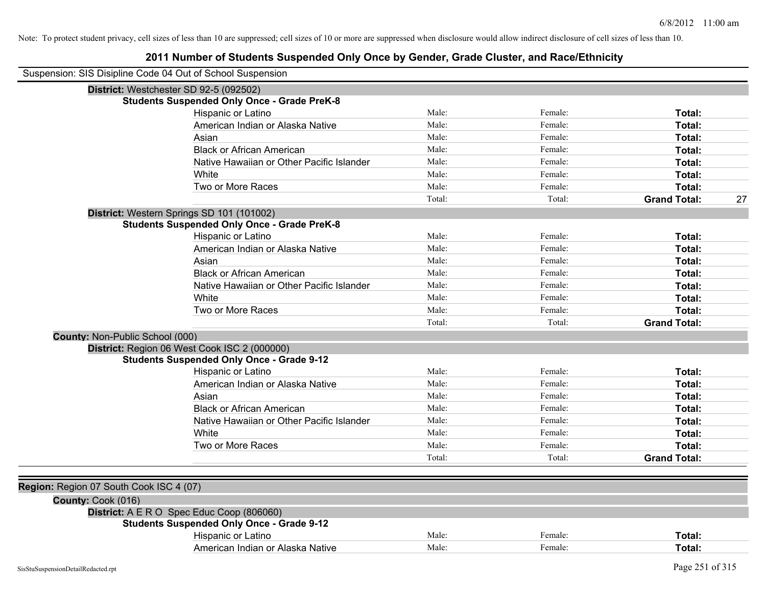| Suspension: SIS Disipline Code 04 Out of School Suspension |                                                    |        |         |                     |    |
|------------------------------------------------------------|----------------------------------------------------|--------|---------|---------------------|----|
| District: Westchester SD 92-5 (092502)                     |                                                    |        |         |                     |    |
|                                                            | <b>Students Suspended Only Once - Grade PreK-8</b> |        |         |                     |    |
|                                                            | Hispanic or Latino                                 | Male:  | Female: | Total:              |    |
|                                                            | American Indian or Alaska Native                   | Male:  | Female: | Total:              |    |
|                                                            | Asian                                              | Male:  | Female: | Total:              |    |
|                                                            | <b>Black or African American</b>                   | Male:  | Female: | Total:              |    |
|                                                            | Native Hawaiian or Other Pacific Islander          | Male:  | Female: | Total:              |    |
|                                                            | White                                              | Male:  | Female: | Total:              |    |
|                                                            | Two or More Races                                  | Male:  | Female: | Total:              |    |
|                                                            |                                                    | Total: | Total:  | <b>Grand Total:</b> | 27 |
|                                                            | District: Western Springs SD 101 (101002)          |        |         |                     |    |
|                                                            | <b>Students Suspended Only Once - Grade PreK-8</b> |        |         |                     |    |
|                                                            | Hispanic or Latino                                 | Male:  | Female: | Total:              |    |
|                                                            | American Indian or Alaska Native                   | Male:  | Female: | Total:              |    |
|                                                            | Asian                                              | Male:  | Female: | Total:              |    |
|                                                            | <b>Black or African American</b>                   | Male:  | Female: | Total:              |    |
|                                                            | Native Hawaiian or Other Pacific Islander          | Male:  | Female: | Total:              |    |
|                                                            | White                                              | Male:  | Female: | Total:              |    |
|                                                            | Two or More Races                                  | Male:  | Female: | Total:              |    |
|                                                            |                                                    | Total: | Total:  | <b>Grand Total:</b> |    |
| <b>County: Non-Public School (000)</b>                     |                                                    |        |         |                     |    |
|                                                            | District: Region 06 West Cook ISC 2 (000000)       |        |         |                     |    |
|                                                            | <b>Students Suspended Only Once - Grade 9-12</b>   |        |         |                     |    |
|                                                            | Hispanic or Latino                                 | Male:  | Female: | Total:              |    |
|                                                            | American Indian or Alaska Native                   | Male:  | Female: | Total:              |    |
|                                                            | Asian                                              | Male:  | Female: | Total:              |    |
|                                                            | <b>Black or African American</b>                   | Male:  | Female: | Total:              |    |
|                                                            | Native Hawaiian or Other Pacific Islander          | Male:  | Female: | Total:              |    |
|                                                            | White                                              | Male:  | Female: | Total:              |    |
|                                                            | Two or More Races                                  | Male:  | Female: | Total:              |    |
|                                                            |                                                    | Total: | Total:  | <b>Grand Total:</b> |    |
|                                                            |                                                    |        |         |                     |    |
| Region: Region 07 South Cook ISC 4 (07)                    |                                                    |        |         |                     |    |
| County: Cook (016)                                         |                                                    |        |         |                     |    |
|                                                            | District: A E R O Spec Educ Coop (806060)          |        |         |                     |    |
|                                                            | <b>Students Suspended Only Once - Grade 9-12</b>   |        |         |                     |    |
|                                                            | Hispanic or Latino                                 | Male:  | Female: | Total:              |    |
|                                                            | American Indian or Alaska Native                   | Male:  | Female: | Total:              |    |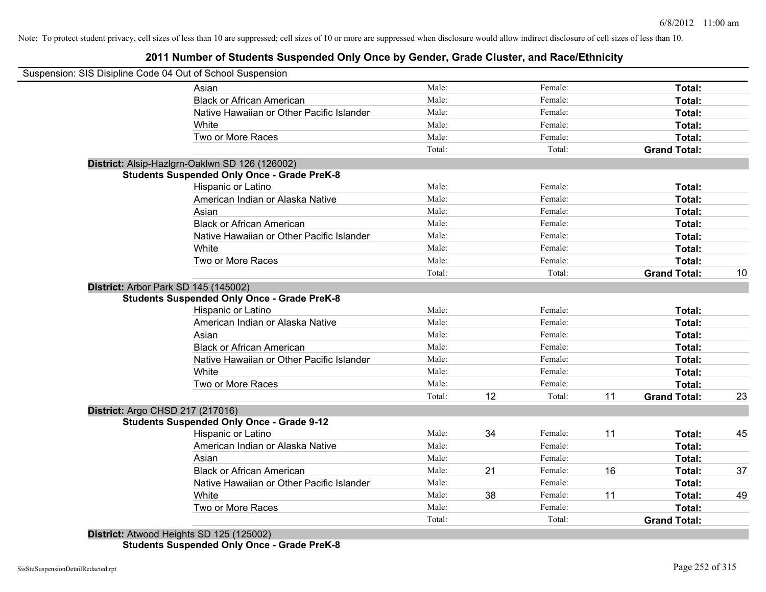### **2011 Number of Students Suspended Only Once by Gender, Grade Cluster, and Race/Ethnicity**

|                                         | Suspension: SIS Disipline Code 04 Out of School Suspension |        |    |         |    |                     |    |
|-----------------------------------------|------------------------------------------------------------|--------|----|---------|----|---------------------|----|
|                                         | Asian                                                      | Male:  |    | Female: |    | Total:              |    |
|                                         | <b>Black or African American</b>                           | Male:  |    | Female: |    | Total:              |    |
|                                         | Native Hawaiian or Other Pacific Islander                  | Male:  |    | Female: |    | Total:              |    |
|                                         | White                                                      | Male:  |    | Female: |    | Total:              |    |
|                                         | Two or More Races                                          | Male:  |    | Female: |    | Total:              |    |
|                                         |                                                            | Total: |    | Total:  |    | <b>Grand Total:</b> |    |
|                                         | District: Alsip-Hazlgrn-Oaklwn SD 126 (126002)             |        |    |         |    |                     |    |
|                                         | <b>Students Suspended Only Once - Grade PreK-8</b>         |        |    |         |    |                     |    |
|                                         | <b>Hispanic or Latino</b>                                  | Male:  |    | Female: |    | Total:              |    |
|                                         | American Indian or Alaska Native                           | Male:  |    | Female: |    | Total:              |    |
|                                         | Asian                                                      | Male:  |    | Female: |    | Total:              |    |
|                                         | <b>Black or African American</b>                           | Male:  |    | Female: |    | Total:              |    |
|                                         | Native Hawaiian or Other Pacific Islander                  | Male:  |    | Female: |    | Total:              |    |
|                                         | White                                                      | Male:  |    | Female: |    | Total:              |    |
|                                         | Two or More Races                                          | Male:  |    | Female: |    | <b>Total:</b>       |    |
|                                         |                                                            | Total: |    | Total:  |    | <b>Grand Total:</b> | 10 |
|                                         | District: Arbor Park SD 145 (145002)                       |        |    |         |    |                     |    |
|                                         | <b>Students Suspended Only Once - Grade PreK-8</b>         |        |    |         |    |                     |    |
|                                         | Hispanic or Latino                                         | Male:  |    | Female: |    | Total:              |    |
|                                         | American Indian or Alaska Native                           | Male:  |    | Female: |    | Total:              |    |
|                                         | Asian                                                      | Male:  |    | Female: |    | Total:              |    |
|                                         | <b>Black or African American</b>                           | Male:  |    | Female: |    | Total:              |    |
|                                         | Native Hawaiian or Other Pacific Islander                  | Male:  |    | Female: |    | Total:              |    |
|                                         | White                                                      | Male:  |    | Female: |    | Total:              |    |
|                                         | Two or More Races                                          | Male:  |    | Female: |    | Total:              |    |
|                                         |                                                            | Total: | 12 | Total:  | 11 | <b>Grand Total:</b> | 23 |
| <b>District: Argo CHSD 217 (217016)</b> |                                                            |        |    |         |    |                     |    |
|                                         | <b>Students Suspended Only Once - Grade 9-12</b>           |        |    |         |    |                     |    |
|                                         | Hispanic or Latino                                         | Male:  | 34 | Female: | 11 | Total:              | 45 |
|                                         | American Indian or Alaska Native                           | Male:  |    | Female: |    | Total:              |    |
|                                         | Asian                                                      | Male:  |    | Female: |    | Total:              |    |
|                                         | <b>Black or African American</b>                           | Male:  | 21 | Female: | 16 | Total:              | 37 |
|                                         | Native Hawaiian or Other Pacific Islander                  | Male:  |    | Female: |    | Total:              |    |
|                                         | White                                                      | Male:  | 38 | Female: | 11 | Total:              | 49 |
|                                         | Two or More Races                                          | Male:  |    | Female: |    | <b>Total:</b>       |    |
|                                         |                                                            | Total: |    | Total:  |    | <b>Grand Total:</b> |    |
|                                         | District: Atwood Heights SD 125 (125002)                   |        |    |         |    |                     |    |

**Students Suspended Only Once - Grade PreK-8**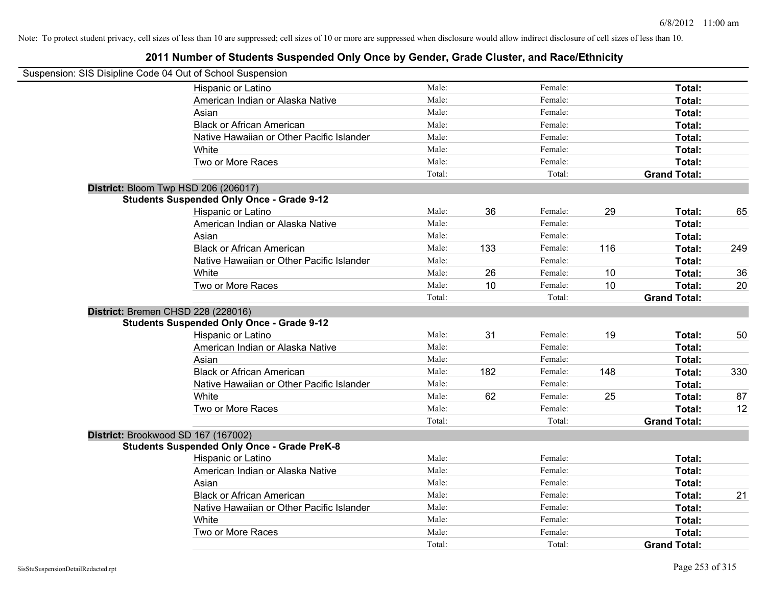| Suspension: SIS Disipline Code 04 Out of School Suspension |        |     |         |     |                     |     |
|------------------------------------------------------------|--------|-----|---------|-----|---------------------|-----|
| Hispanic or Latino                                         | Male:  |     | Female: |     | Total:              |     |
| American Indian or Alaska Native                           | Male:  |     | Female: |     | Total:              |     |
| Asian                                                      | Male:  |     | Female: |     | Total:              |     |
| <b>Black or African American</b>                           | Male:  |     | Female: |     | Total:              |     |
| Native Hawaiian or Other Pacific Islander                  | Male:  |     | Female: |     | Total:              |     |
| White                                                      | Male:  |     | Female: |     | Total:              |     |
| Two or More Races                                          | Male:  |     | Female: |     | Total:              |     |
|                                                            | Total: |     | Total:  |     | <b>Grand Total:</b> |     |
| District: Bloom Twp HSD 206 (206017)                       |        |     |         |     |                     |     |
| <b>Students Suspended Only Once - Grade 9-12</b>           |        |     |         |     |                     |     |
| Hispanic or Latino                                         | Male:  | 36  | Female: | 29  | Total:              | 65  |
| American Indian or Alaska Native                           | Male:  |     | Female: |     | Total:              |     |
| Asian                                                      | Male:  |     | Female: |     | Total:              |     |
| <b>Black or African American</b>                           | Male:  | 133 | Female: | 116 | Total:              | 249 |
| Native Hawaiian or Other Pacific Islander                  | Male:  |     | Female: |     | Total:              |     |
| White                                                      | Male:  | 26  | Female: | 10  | Total:              | 36  |
| Two or More Races                                          | Male:  | 10  | Female: | 10  | Total:              | 20  |
|                                                            | Total: |     | Total:  |     | <b>Grand Total:</b> |     |
| District: Bremen CHSD 228 (228016)                         |        |     |         |     |                     |     |
| <b>Students Suspended Only Once - Grade 9-12</b>           |        |     |         |     |                     |     |
| Hispanic or Latino                                         | Male:  | 31  | Female: | 19  | Total:              | 50  |
| American Indian or Alaska Native                           | Male:  |     | Female: |     | Total:              |     |
| Asian                                                      | Male:  |     | Female: |     | Total:              |     |
| <b>Black or African American</b>                           | Male:  | 182 | Female: | 148 | Total:              | 330 |
| Native Hawaiian or Other Pacific Islander                  | Male:  |     | Female: |     | Total:              |     |
| White                                                      | Male:  | 62  | Female: | 25  | Total:              | 87  |
| Two or More Races                                          | Male:  |     | Female: |     | Total:              | 12  |
|                                                            | Total: |     | Total:  |     | <b>Grand Total:</b> |     |
| District: Brookwood SD 167 (167002)                        |        |     |         |     |                     |     |
| <b>Students Suspended Only Once - Grade PreK-8</b>         |        |     |         |     |                     |     |
| Hispanic or Latino                                         | Male:  |     | Female: |     | Total:              |     |
| American Indian or Alaska Native                           | Male:  |     | Female: |     | Total:              |     |
| Asian                                                      | Male:  |     | Female: |     | Total:              |     |
| <b>Black or African American</b>                           | Male:  |     | Female: |     | Total:              | 21  |
| Native Hawaiian or Other Pacific Islander                  | Male:  |     | Female: |     | Total:              |     |
| White                                                      | Male:  |     | Female: |     | Total:              |     |
| Two or More Races                                          | Male:  |     | Female: |     | Total:              |     |
|                                                            | Total: |     | Total:  |     | <b>Grand Total:</b> |     |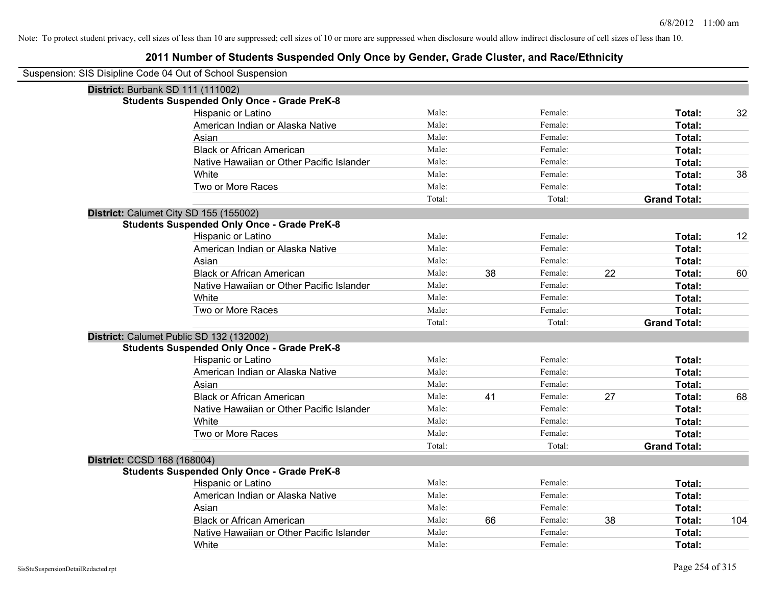| Suspension: SIS Disipline Code 04 Out of School Suspension |                                                    |        |    |         |    |                     |     |
|------------------------------------------------------------|----------------------------------------------------|--------|----|---------|----|---------------------|-----|
|                                                            | District: Burbank SD 111 (111002)                  |        |    |         |    |                     |     |
|                                                            | <b>Students Suspended Only Once - Grade PreK-8</b> |        |    |         |    |                     |     |
|                                                            | Hispanic or Latino                                 | Male:  |    | Female: |    | Total:              | 32  |
|                                                            | American Indian or Alaska Native                   | Male:  |    | Female: |    | Total:              |     |
|                                                            | Asian                                              | Male:  |    | Female: |    | Total:              |     |
|                                                            | <b>Black or African American</b>                   | Male:  |    | Female: |    | Total:              |     |
|                                                            | Native Hawaiian or Other Pacific Islander          | Male:  |    | Female: |    | Total:              |     |
|                                                            | White                                              | Male:  |    | Female: |    | Total:              | 38  |
|                                                            | Two or More Races                                  | Male:  |    | Female: |    | Total:              |     |
|                                                            |                                                    | Total: |    | Total:  |    | <b>Grand Total:</b> |     |
|                                                            | District: Calumet City SD 155 (155002)             |        |    |         |    |                     |     |
|                                                            | <b>Students Suspended Only Once - Grade PreK-8</b> |        |    |         |    |                     |     |
|                                                            | Hispanic or Latino                                 | Male:  |    | Female: |    | Total:              | 12  |
|                                                            | American Indian or Alaska Native                   | Male:  |    | Female: |    | Total:              |     |
|                                                            | Asian                                              | Male:  |    | Female: |    | Total:              |     |
|                                                            | <b>Black or African American</b>                   | Male:  | 38 | Female: | 22 | Total:              | 60  |
|                                                            | Native Hawaiian or Other Pacific Islander          | Male:  |    | Female: |    | Total:              |     |
|                                                            | White                                              | Male:  |    | Female: |    | Total:              |     |
|                                                            | Two or More Races                                  | Male:  |    | Female: |    | Total:              |     |
|                                                            |                                                    | Total: |    | Total:  |    | <b>Grand Total:</b> |     |
|                                                            | District: Calumet Public SD 132 (132002)           |        |    |         |    |                     |     |
|                                                            | <b>Students Suspended Only Once - Grade PreK-8</b> |        |    |         |    |                     |     |
|                                                            | Hispanic or Latino                                 | Male:  |    | Female: |    | Total:              |     |
|                                                            | American Indian or Alaska Native                   | Male:  |    | Female: |    | Total:              |     |
|                                                            | Asian                                              | Male:  |    | Female: |    | Total:              |     |
|                                                            | <b>Black or African American</b>                   | Male:  | 41 | Female: | 27 | Total:              | 68  |
|                                                            | Native Hawaiian or Other Pacific Islander          | Male:  |    | Female: |    | Total:              |     |
|                                                            | White                                              | Male:  |    | Female: |    | Total:              |     |
|                                                            | Two or More Races                                  | Male:  |    | Female: |    | Total:              |     |
|                                                            |                                                    | Total: |    | Total:  |    | <b>Grand Total:</b> |     |
| District: CCSD 168 (168004)                                |                                                    |        |    |         |    |                     |     |
|                                                            | <b>Students Suspended Only Once - Grade PreK-8</b> |        |    |         |    |                     |     |
|                                                            | Hispanic or Latino                                 | Male:  |    | Female: |    | Total:              |     |
|                                                            | American Indian or Alaska Native                   | Male:  |    | Female: |    | Total:              |     |
|                                                            | Asian                                              | Male:  |    | Female: |    | Total:              |     |
|                                                            | <b>Black or African American</b>                   | Male:  | 66 | Female: | 38 | Total:              | 104 |
|                                                            | Native Hawaiian or Other Pacific Islander          | Male:  |    | Female: |    | Total:              |     |
|                                                            | White                                              | Male:  |    | Female: |    | Total:              |     |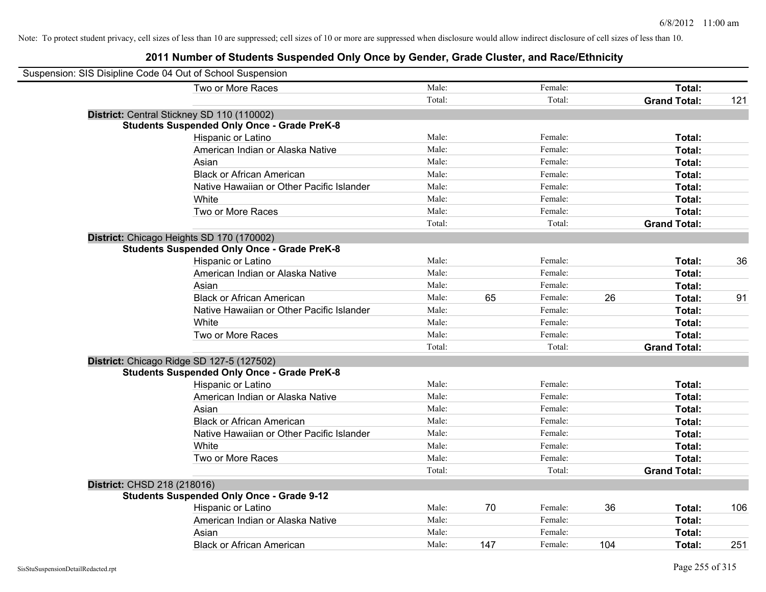| Suspension: SIS Disipline Code 04 Out of School Suspension |        |     |         |     |                     |     |
|------------------------------------------------------------|--------|-----|---------|-----|---------------------|-----|
| Two or More Races                                          | Male:  |     | Female: |     | Total:              |     |
|                                                            | Total: |     | Total:  |     | <b>Grand Total:</b> | 121 |
| District: Central Stickney SD 110 (110002)                 |        |     |         |     |                     |     |
| <b>Students Suspended Only Once - Grade PreK-8</b>         |        |     |         |     |                     |     |
| Hispanic or Latino                                         | Male:  |     | Female: |     | Total:              |     |
| American Indian or Alaska Native                           | Male:  |     | Female: |     | Total:              |     |
| Asian                                                      | Male:  |     | Female: |     | Total:              |     |
| <b>Black or African American</b>                           | Male:  |     | Female: |     | Total:              |     |
| Native Hawaiian or Other Pacific Islander                  | Male:  |     | Female: |     | Total:              |     |
| White                                                      | Male:  |     | Female: |     | Total:              |     |
| Two or More Races                                          | Male:  |     | Female: |     | Total:              |     |
|                                                            | Total: |     | Total:  |     | <b>Grand Total:</b> |     |
| District: Chicago Heights SD 170 (170002)                  |        |     |         |     |                     |     |
| <b>Students Suspended Only Once - Grade PreK-8</b>         |        |     |         |     |                     |     |
| Hispanic or Latino                                         | Male:  |     | Female: |     | Total:              | 36  |
| American Indian or Alaska Native                           | Male:  |     | Female: |     | Total:              |     |
| Asian                                                      | Male:  |     | Female: |     | Total:              |     |
| <b>Black or African American</b>                           | Male:  | 65  | Female: | 26  | Total:              | 91  |
| Native Hawaiian or Other Pacific Islander                  | Male:  |     | Female: |     | Total:              |     |
| White                                                      | Male:  |     | Female: |     | Total:              |     |
| Two or More Races                                          | Male:  |     | Female: |     | Total:              |     |
|                                                            | Total: |     | Total:  |     | <b>Grand Total:</b> |     |
| District: Chicago Ridge SD 127-5 (127502)                  |        |     |         |     |                     |     |
| <b>Students Suspended Only Once - Grade PreK-8</b>         |        |     |         |     |                     |     |
| Hispanic or Latino                                         | Male:  |     | Female: |     | Total:              |     |
| American Indian or Alaska Native                           | Male:  |     | Female: |     | Total:              |     |
| Asian                                                      | Male:  |     | Female: |     | Total:              |     |
| <b>Black or African American</b>                           | Male:  |     | Female: |     | Total:              |     |
| Native Hawaiian or Other Pacific Islander                  | Male:  |     | Female: |     | Total:              |     |
| White                                                      | Male:  |     | Female: |     | Total:              |     |
| Two or More Races                                          | Male:  |     | Female: |     | Total:              |     |
|                                                            | Total: |     | Total:  |     | <b>Grand Total:</b> |     |
| District: CHSD 218 (218016)                                |        |     |         |     |                     |     |
| <b>Students Suspended Only Once - Grade 9-12</b>           |        |     |         |     |                     |     |
| Hispanic or Latino                                         | Male:  | 70  | Female: | 36  | Total:              | 106 |
| American Indian or Alaska Native                           | Male:  |     | Female: |     | Total:              |     |
| Asian                                                      | Male:  |     | Female: |     | Total:              |     |
| <b>Black or African American</b>                           | Male:  | 147 | Female: | 104 | Total:              | 251 |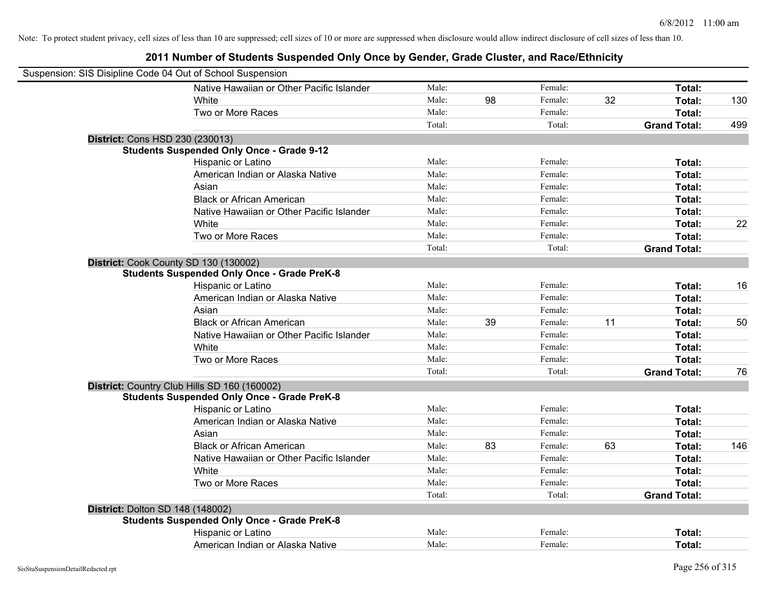| Suspension: SIS Disipline Code 04 Out of School Suspension |                                                    |        |    |         |    |                     |     |
|------------------------------------------------------------|----------------------------------------------------|--------|----|---------|----|---------------------|-----|
|                                                            | Native Hawaiian or Other Pacific Islander          | Male:  |    | Female: |    | Total:              |     |
|                                                            | White                                              | Male:  | 98 | Female: | 32 | Total:              | 130 |
|                                                            | Two or More Races                                  | Male:  |    | Female: |    | Total:              |     |
|                                                            |                                                    | Total: |    | Total:  |    | <b>Grand Total:</b> | 499 |
| <b>District: Cons HSD 230 (230013)</b>                     |                                                    |        |    |         |    |                     |     |
|                                                            | <b>Students Suspended Only Once - Grade 9-12</b>   |        |    |         |    |                     |     |
|                                                            | Hispanic or Latino                                 | Male:  |    | Female: |    | Total:              |     |
|                                                            | American Indian or Alaska Native                   | Male:  |    | Female: |    | Total:              |     |
|                                                            | Asian                                              | Male:  |    | Female: |    | Total:              |     |
|                                                            | <b>Black or African American</b>                   | Male:  |    | Female: |    | Total:              |     |
|                                                            | Native Hawaiian or Other Pacific Islander          | Male:  |    | Female: |    | Total:              |     |
|                                                            | White                                              | Male:  |    | Female: |    | Total:              | 22  |
|                                                            | Two or More Races                                  | Male:  |    | Female: |    | Total:              |     |
|                                                            |                                                    | Total: |    | Total:  |    | <b>Grand Total:</b> |     |
|                                                            | District: Cook County SD 130 (130002)              |        |    |         |    |                     |     |
|                                                            | <b>Students Suspended Only Once - Grade PreK-8</b> |        |    |         |    |                     |     |
|                                                            | Hispanic or Latino                                 | Male:  |    | Female: |    | Total:              | 16  |
|                                                            | American Indian or Alaska Native                   | Male:  |    | Female: |    | Total:              |     |
|                                                            | Asian                                              | Male:  |    | Female: |    | Total:              |     |
|                                                            | <b>Black or African American</b>                   | Male:  | 39 | Female: | 11 | Total:              | 50  |
|                                                            | Native Hawaiian or Other Pacific Islander          | Male:  |    | Female: |    | Total:              |     |
|                                                            | White                                              | Male:  |    | Female: |    | Total:              |     |
|                                                            | Two or More Races                                  | Male:  |    | Female: |    | Total:              |     |
|                                                            |                                                    | Total: |    | Total:  |    | <b>Grand Total:</b> | 76  |
|                                                            | District: Country Club Hills SD 160 (160002)       |        |    |         |    |                     |     |
|                                                            | <b>Students Suspended Only Once - Grade PreK-8</b> |        |    |         |    |                     |     |
|                                                            | Hispanic or Latino                                 | Male:  |    | Female: |    | Total:              |     |
|                                                            | American Indian or Alaska Native                   | Male:  |    | Female: |    | Total:              |     |
|                                                            | Asian                                              | Male:  |    | Female: |    | Total:              |     |
|                                                            | <b>Black or African American</b>                   | Male:  | 83 | Female: | 63 | Total:              | 146 |
|                                                            | Native Hawaiian or Other Pacific Islander          | Male:  |    | Female: |    | Total:              |     |
|                                                            | White                                              | Male:  |    | Female: |    | Total:              |     |
|                                                            | Two or More Races                                  | Male:  |    | Female: |    | Total:              |     |
|                                                            |                                                    | Total: |    | Total:  |    | <b>Grand Total:</b> |     |
| <b>District: Dolton SD 148 (148002)</b>                    |                                                    |        |    |         |    |                     |     |
|                                                            | <b>Students Suspended Only Once - Grade PreK-8</b> |        |    |         |    |                     |     |
|                                                            | Hispanic or Latino                                 | Male:  |    | Female: |    | Total:              |     |
|                                                            | American Indian or Alaska Native                   | Male:  |    | Female: |    | Total:              |     |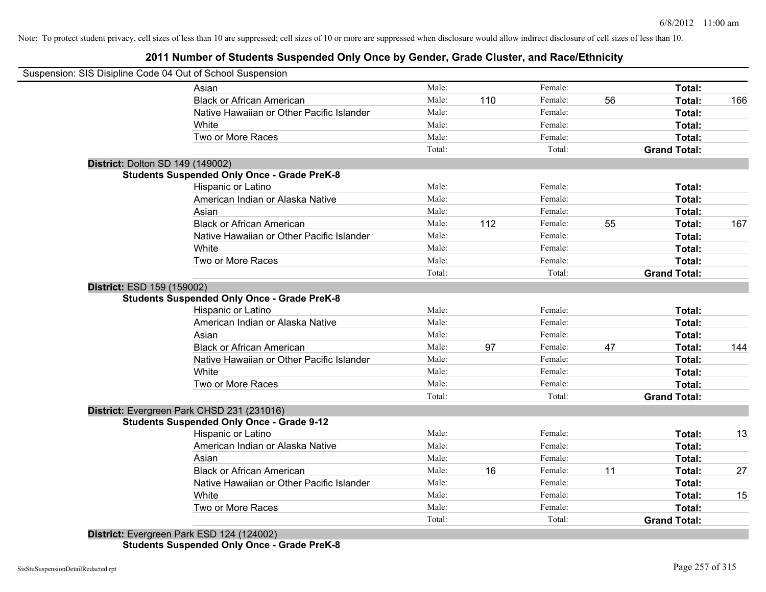#### **2011 Number of Students Suspended Only Once by Gender, Grade Cluster, and Race/Ethnicity**

|                                  | Suspension: SIS Disipline Code 04 Out of School Suspension |        |     |         |    |                     |     |
|----------------------------------|------------------------------------------------------------|--------|-----|---------|----|---------------------|-----|
|                                  | Asian                                                      | Male:  |     | Female: |    | Total:              |     |
|                                  | <b>Black or African American</b>                           | Male:  | 110 | Female: | 56 | Total:              | 166 |
|                                  | Native Hawaiian or Other Pacific Islander                  | Male:  |     | Female: |    | Total:              |     |
|                                  | White                                                      | Male:  |     | Female: |    | Total:              |     |
|                                  | Two or More Races                                          | Male:  |     | Female: |    | Total:              |     |
|                                  |                                                            | Total: |     | Total:  |    | <b>Grand Total:</b> |     |
| District: Dolton SD 149 (149002) |                                                            |        |     |         |    |                     |     |
|                                  | <b>Students Suspended Only Once - Grade PreK-8</b>         |        |     |         |    |                     |     |
|                                  | Hispanic or Latino                                         | Male:  |     | Female: |    | Total:              |     |
|                                  | American Indian or Alaska Native                           | Male:  |     | Female: |    | Total:              |     |
|                                  | Asian                                                      | Male:  |     | Female: |    | Total:              |     |
|                                  | <b>Black or African American</b>                           | Male:  | 112 | Female: | 55 | Total:              | 167 |
|                                  | Native Hawaiian or Other Pacific Islander                  | Male:  |     | Female: |    | Total:              |     |
|                                  | White                                                      | Male:  |     | Female: |    | Total:              |     |
|                                  | Two or More Races                                          | Male:  |     | Female: |    | Total:              |     |
|                                  |                                                            | Total: |     | Total:  |    | <b>Grand Total:</b> |     |
| District: ESD 159 (159002)       |                                                            |        |     |         |    |                     |     |
|                                  | <b>Students Suspended Only Once - Grade PreK-8</b>         |        |     |         |    |                     |     |
|                                  | <b>Hispanic or Latino</b>                                  | Male:  |     | Female: |    | Total:              |     |
|                                  | American Indian or Alaska Native                           | Male:  |     | Female: |    | Total:              |     |
|                                  | Asian                                                      | Male:  |     | Female: |    | Total:              |     |
|                                  | <b>Black or African American</b>                           | Male:  | 97  | Female: | 47 | Total:              | 144 |
|                                  | Native Hawaiian or Other Pacific Islander                  | Male:  |     | Female: |    | Total:              |     |
|                                  | White                                                      | Male:  |     | Female: |    | Total:              |     |
|                                  | Two or More Races                                          | Male:  |     | Female: |    | Total:              |     |
|                                  |                                                            | Total: |     | Total:  |    | <b>Grand Total:</b> |     |
|                                  | District: Evergreen Park CHSD 231 (231016)                 |        |     |         |    |                     |     |
|                                  | <b>Students Suspended Only Once - Grade 9-12</b>           |        |     |         |    |                     |     |
|                                  | Hispanic or Latino                                         | Male:  |     | Female: |    | Total:              | 13  |
|                                  | American Indian or Alaska Native                           | Male:  |     | Female: |    | Total:              |     |
|                                  | Asian                                                      | Male:  |     | Female: |    | Total:              |     |
|                                  | <b>Black or African American</b>                           | Male:  | 16  | Female: | 11 | Total:              | 27  |
|                                  | Native Hawaiian or Other Pacific Islander                  | Male:  |     | Female: |    | Total:              |     |
|                                  | White                                                      | Male:  |     | Female: |    | Total:              | 15  |
|                                  | Two or More Races                                          | Male:  |     | Female: |    | Total:              |     |
|                                  |                                                            | Total: |     | Total:  |    | <b>Grand Total:</b> |     |
|                                  | District: Evergreen Park ESD 124 (124002)                  |        |     |         |    |                     |     |

**Students Suspended Only Once - Grade PreK-8**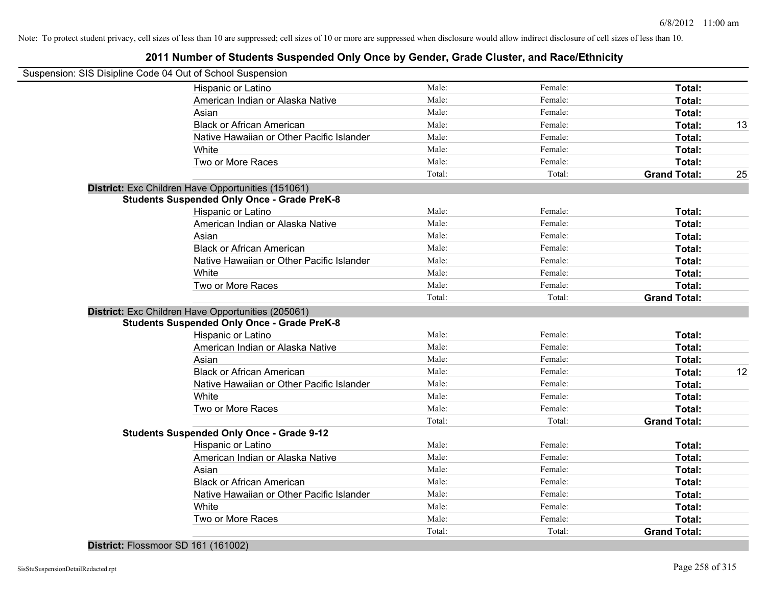| Suspension: SIS Disipline Code 04 Out of School Suspension |        |         |                     |    |
|------------------------------------------------------------|--------|---------|---------------------|----|
|                                                            |        |         |                     |    |
| Hispanic or Latino                                         | Male:  | Female: | Total:              |    |
| American Indian or Alaska Native                           | Male:  | Female: | Total:              |    |
| Asian                                                      | Male:  | Female: | Total:              |    |
| <b>Black or African American</b>                           | Male:  | Female: | Total:              | 13 |
| Native Hawaiian or Other Pacific Islander                  | Male:  | Female: | Total:              |    |
| White                                                      | Male:  | Female: | Total:              |    |
| Two or More Races                                          | Male:  | Female: | Total:              |    |
|                                                            | Total: | Total:  | <b>Grand Total:</b> | 25 |
| District: Exc Children Have Opportunities (151061)         |        |         |                     |    |
| <b>Students Suspended Only Once - Grade PreK-8</b>         |        |         |                     |    |
| Hispanic or Latino                                         | Male:  | Female: | Total:              |    |
| American Indian or Alaska Native                           | Male:  | Female: | Total:              |    |
| Asian                                                      | Male:  | Female: | Total:              |    |
| <b>Black or African American</b>                           | Male:  | Female: | Total:              |    |
| Native Hawaiian or Other Pacific Islander                  | Male:  | Female: | Total:              |    |
| White                                                      | Male:  | Female: | Total:              |    |
| Two or More Races                                          | Male:  | Female: | Total:              |    |
|                                                            | Total: | Total:  | <b>Grand Total:</b> |    |
| District: Exc Children Have Opportunities (205061)         |        |         |                     |    |
| <b>Students Suspended Only Once - Grade PreK-8</b>         |        |         |                     |    |
| Hispanic or Latino                                         | Male:  | Female: | Total:              |    |
| American Indian or Alaska Native                           | Male:  | Female: | Total:              |    |
| Asian                                                      | Male:  | Female: | Total:              |    |
| <b>Black or African American</b>                           | Male:  | Female: | Total:              | 12 |
| Native Hawaiian or Other Pacific Islander                  | Male:  | Female: | Total:              |    |
| White                                                      | Male:  | Female: | Total:              |    |
| Two or More Races                                          | Male:  | Female: | Total:              |    |
|                                                            | Total: | Total:  | <b>Grand Total:</b> |    |
| <b>Students Suspended Only Once - Grade 9-12</b>           |        |         |                     |    |
| Hispanic or Latino                                         | Male:  | Female: | Total:              |    |
| American Indian or Alaska Native                           | Male:  | Female: | Total:              |    |
| Asian                                                      | Male:  | Female: | Total:              |    |
| <b>Black or African American</b>                           | Male:  | Female: | Total:              |    |
| Native Hawaiian or Other Pacific Islander                  | Male:  | Female: | Total:              |    |
| White                                                      | Male:  | Female: | Total:              |    |
| Two or More Races                                          | Male:  | Female: | Total:              |    |
|                                                            | Total: | Total:  | <b>Grand Total:</b> |    |
|                                                            |        |         |                     |    |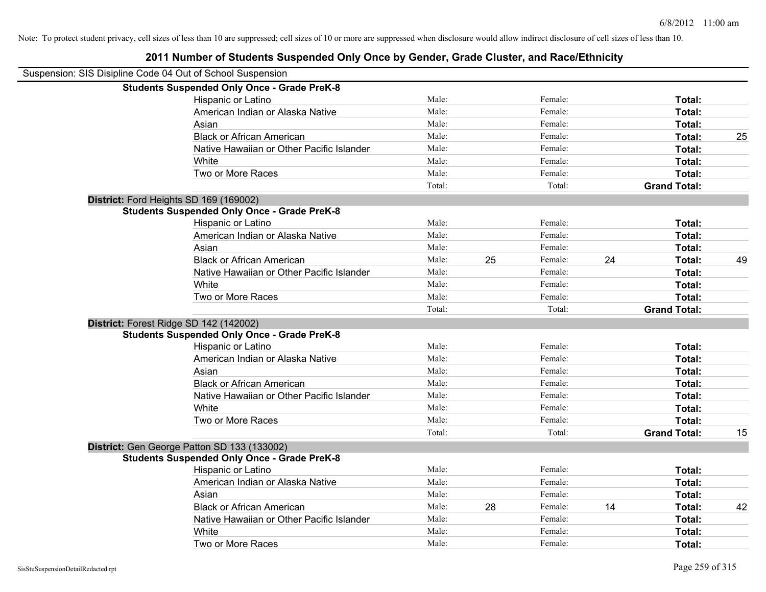#### Suspension: SIS Disipline Code 04 Out of School Suspension **Students Suspended Only Once - Grade PreK-8** Hispanic or Latino **Finally Hispanic or Latino** *Total:* Male: Female: **Female: Total: Total:** Female: **Total:** American Indian or Alaska Native **Male:** Male: Female: Female: **Total:** Total: Asian **Female:** Total: Male: Female: **Total:** Total: Total: Total: Total: Total: Total: Total: Total: Total: Total: Total: Total: Total: Total: Total: Total: Total: Total: Total: Total: Total: Total: Total: Total: Total: T Black or African American **Male:** Male: Female: Female: **Total:** 25 Native Hawaiian or Other Pacific Islander Male: Total: Female: Female: Total: Total: White **Total:** Male: Female: **Total:** Female: **Total:** Total: Two or More Races **Total:** Total: Male: Female: Female: **Total:** Female: **Total:** Total: Total: Total: **Grand Total: District:** Ford Heights SD 169 (169002) **Students Suspended Only Once - Grade PreK-8** Hispanic or Latino **Finally Contract Contract Contract Contract Contract Contract Contract Contract Contract Contract Contract Contract Contract Contract Contract Contract Contract Contract Contract Contract Contract Contr** American Indian or Alaska Native **Male:** Male: Female: Female: **Total:** Total: Asian **Female:** Total: Male: Female: **Total: Total:** Total: Total: Female: Total: Total: Total: Total: Total: Total: Total: Total: Total: Total: Total: Total: Total: Total: Total: Total: Total: Total: Total: Total: Total: Black or African American **American** Male: 25 Female: 24 **Total:** 49 Native Hawaiian or Other Pacific Islander **Male:** Male: Female: Female: **Total:** Total: White **Total:** Male: Female: **Total:** Total: **Total:** Female: **Total:** Total: Two or More Races **Total:** Total: Male: Female: Female: **Total:** Total: Female: Total: Total: Total: **Grand Total: District:** Forest Ridge SD 142 (142002) **Students Suspended Only Once - Grade PreK-8** Hispanic or Latino **Finally Contract Contract Contract Contract Contract Contract Contract Contract Contract Contract Contract Contract Contract Contract Contract Contract Contract Contract Contract Contract Contract Contr** American Indian or Alaska Native **Male:** Male: Female: Female: **Total:** Total: Asian **Asian Male:** Total: Male: Female: **Total: Total:** Total: Total: Total: Total: Total: Total: Total: Total: Total: Total: Total: Total: Total: Total: Total: Total: Total: Total: Total: Total: Total: Total: Total: Tota Black or African American **Figure 1.1 and Total:** Male: Female: Female: **Total:** Total: Native Hawaiian or Other Pacific Islander **Male:** Male: Female: Female: **Total:** Total: White **Total:** Male: Female: **Total:** Female: **Total:** Total: Two or More Races **Total:** Total: Male: Female: Female: **Total:** Total: Total: Total: **Grand Total:** 15 **District:** Gen George Patton SD 133 (133002) **Students Suspended Only Once - Grade PreK-8** Hispanic or Latino **Finally Hispanic or Latino** *Total:* Male: Female: **Female: Total: Total: Total: Female: Total: Total: Female: Total: Total: Total: Total: Total: Total: Total: Total: T** American Indian or Alaska Native **Male:** Male: Female: Female: **Total:** Total: Asian **Female:** Total: Male: Female: **Total:** Total: Total: Total: Total: Total: Total: Total: Total: Total: Total: Total: Total: Total: Total: Total: Total: Total: Total: Total: Total: Total: Total: Total: Total: Total: T Black or African American **American** Male: 28 Female: 14 **Total: 42 Total:** 42 Native Hawaiian or Other Pacific Islander Male: Total: Female: Female: Total: Total: White **Total:** Male: Female: **Total:** Total: **Total:** Female: **Total:** Total: Two or More Races **Total:** Total: Male: Female: Female: **Total:** Female: **Total:** Total: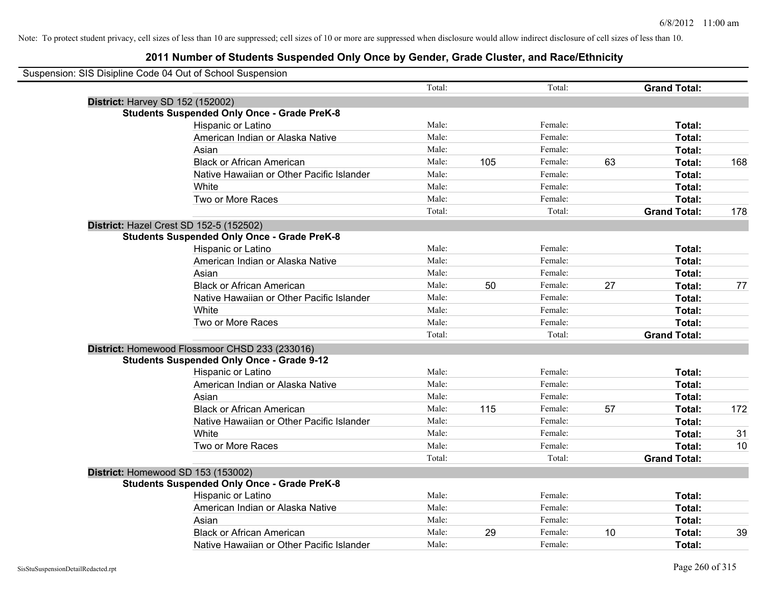| Suspension: SIS Disipline Code 04 Out of School Suspension |        |     |         |    |                     |     |
|------------------------------------------------------------|--------|-----|---------|----|---------------------|-----|
|                                                            | Total: |     | Total:  |    | <b>Grand Total:</b> |     |
| <b>District: Harvey SD 152 (152002)</b>                    |        |     |         |    |                     |     |
| <b>Students Suspended Only Once - Grade PreK-8</b>         |        |     |         |    |                     |     |
| Hispanic or Latino                                         | Male:  |     | Female: |    | Total:              |     |
| American Indian or Alaska Native                           | Male:  |     | Female: |    | Total:              |     |
| Asian                                                      | Male:  |     | Female: |    | Total:              |     |
| <b>Black or African American</b>                           | Male:  | 105 | Female: | 63 | Total:              | 168 |
| Native Hawaiian or Other Pacific Islander                  | Male:  |     | Female: |    | Total:              |     |
| White                                                      | Male:  |     | Female: |    | Total:              |     |
| Two or More Races                                          | Male:  |     | Female: |    | Total:              |     |
|                                                            | Total: |     | Total:  |    | <b>Grand Total:</b> | 178 |
| District: Hazel Crest SD 152-5 (152502)                    |        |     |         |    |                     |     |
| <b>Students Suspended Only Once - Grade PreK-8</b>         |        |     |         |    |                     |     |
| Hispanic or Latino                                         | Male:  |     | Female: |    | Total:              |     |
| American Indian or Alaska Native                           | Male:  |     | Female: |    | Total:              |     |
| Asian                                                      | Male:  |     | Female: |    | Total:              |     |
| <b>Black or African American</b>                           | Male:  | 50  | Female: | 27 | Total:              | 77  |
| Native Hawaiian or Other Pacific Islander                  | Male:  |     | Female: |    | Total:              |     |
| White                                                      | Male:  |     | Female: |    | Total:              |     |
| Two or More Races                                          | Male:  |     | Female: |    | Total:              |     |
|                                                            | Total: |     | Total:  |    | <b>Grand Total:</b> |     |
| District: Homewood Flossmoor CHSD 233 (233016)             |        |     |         |    |                     |     |
| <b>Students Suspended Only Once - Grade 9-12</b>           |        |     |         |    |                     |     |
| Hispanic or Latino                                         | Male:  |     | Female: |    | Total:              |     |
| American Indian or Alaska Native                           | Male:  |     | Female: |    | Total:              |     |
| Asian                                                      | Male:  |     | Female: |    | Total:              |     |
| <b>Black or African American</b>                           | Male:  | 115 | Female: | 57 | Total:              | 172 |
| Native Hawaiian or Other Pacific Islander                  | Male:  |     | Female: |    | Total:              |     |
| White                                                      | Male:  |     | Female: |    | Total:              | 31  |
| Two or More Races                                          | Male:  |     | Female: |    | Total:              | 10  |
|                                                            | Total: |     | Total:  |    | <b>Grand Total:</b> |     |
| District: Homewood SD 153 (153002)                         |        |     |         |    |                     |     |
| <b>Students Suspended Only Once - Grade PreK-8</b>         |        |     |         |    |                     |     |
| Hispanic or Latino                                         | Male:  |     | Female: |    | Total:              |     |
| American Indian or Alaska Native                           | Male:  |     | Female: |    | Total:              |     |
| Asian                                                      | Male:  |     | Female: |    | Total:              |     |
| <b>Black or African American</b>                           | Male:  | 29  | Female: | 10 | Total:              | 39  |
| Native Hawaiian or Other Pacific Islander                  | Male:  |     | Female: |    | Total:              |     |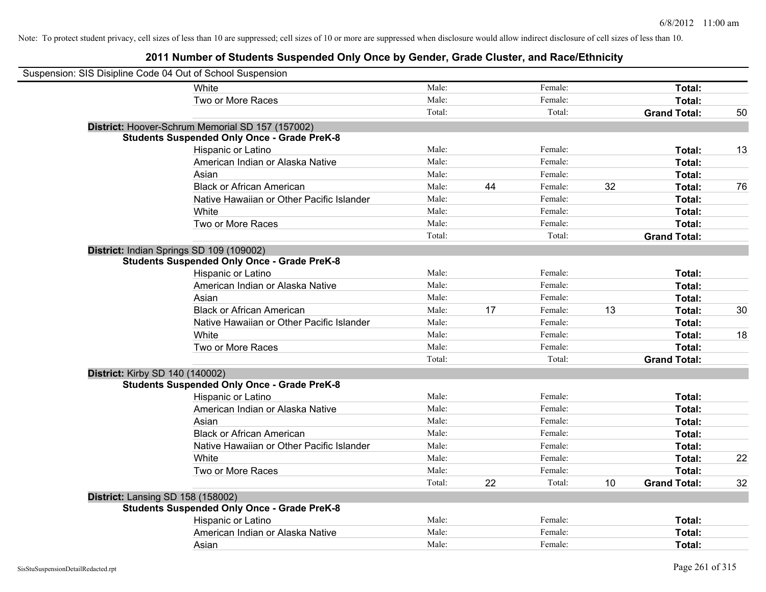| Suspension: SIS Disipline Code 04 Out of School Suspension |                                                    |        |    |         |    |                     |    |
|------------------------------------------------------------|----------------------------------------------------|--------|----|---------|----|---------------------|----|
|                                                            | White                                              | Male:  |    | Female: |    | Total:              |    |
|                                                            | Two or More Races                                  | Male:  |    | Female: |    | Total:              |    |
|                                                            |                                                    | Total: |    | Total:  |    | <b>Grand Total:</b> | 50 |
|                                                            | District: Hoover-Schrum Memorial SD 157 (157002)   |        |    |         |    |                     |    |
|                                                            | <b>Students Suspended Only Once - Grade PreK-8</b> |        |    |         |    |                     |    |
|                                                            | Hispanic or Latino                                 | Male:  |    | Female: |    | Total:              | 13 |
|                                                            | American Indian or Alaska Native                   | Male:  |    | Female: |    | Total:              |    |
|                                                            | Asian                                              | Male:  |    | Female: |    | Total:              |    |
|                                                            | <b>Black or African American</b>                   | Male:  | 44 | Female: | 32 | Total:              | 76 |
|                                                            | Native Hawaiian or Other Pacific Islander          | Male:  |    | Female: |    | Total:              |    |
|                                                            | White                                              | Male:  |    | Female: |    | Total:              |    |
|                                                            | Two or More Races                                  | Male:  |    | Female: |    | Total:              |    |
|                                                            |                                                    | Total: |    | Total:  |    | <b>Grand Total:</b> |    |
| District: Indian Springs SD 109 (109002)                   |                                                    |        |    |         |    |                     |    |
|                                                            | <b>Students Suspended Only Once - Grade PreK-8</b> |        |    |         |    |                     |    |
|                                                            | Hispanic or Latino                                 | Male:  |    | Female: |    | Total:              |    |
|                                                            | American Indian or Alaska Native                   | Male:  |    | Female: |    | Total:              |    |
|                                                            | Asian                                              | Male:  |    | Female: |    | Total:              |    |
|                                                            | <b>Black or African American</b>                   | Male:  | 17 | Female: | 13 | Total:              | 30 |
|                                                            | Native Hawaiian or Other Pacific Islander          | Male:  |    | Female: |    | Total:              |    |
|                                                            | White                                              | Male:  |    | Female: |    | Total:              | 18 |
|                                                            | Two or More Races                                  | Male:  |    | Female: |    | Total:              |    |
|                                                            |                                                    | Total: |    | Total:  |    | <b>Grand Total:</b> |    |
| District: Kirby SD 140 (140002)                            |                                                    |        |    |         |    |                     |    |
|                                                            | <b>Students Suspended Only Once - Grade PreK-8</b> |        |    |         |    |                     |    |
|                                                            | Hispanic or Latino                                 | Male:  |    | Female: |    | Total:              |    |
|                                                            | American Indian or Alaska Native                   | Male:  |    | Female: |    | Total:              |    |
|                                                            | Asian                                              | Male:  |    | Female: |    | Total:              |    |
|                                                            | <b>Black or African American</b>                   | Male:  |    | Female: |    | Total:              |    |
|                                                            | Native Hawaiian or Other Pacific Islander          | Male:  |    | Female: |    | Total:              |    |
|                                                            | White                                              | Male:  |    | Female: |    | Total:              | 22 |
|                                                            | Two or More Races                                  | Male:  |    | Female: |    | Total:              |    |
|                                                            |                                                    | Total: | 22 | Total:  | 10 | <b>Grand Total:</b> | 32 |
| District: Lansing SD 158 (158002)                          |                                                    |        |    |         |    |                     |    |
|                                                            | <b>Students Suspended Only Once - Grade PreK-8</b> |        |    |         |    |                     |    |
|                                                            | Hispanic or Latino                                 | Male:  |    | Female: |    | Total:              |    |
|                                                            | American Indian or Alaska Native                   | Male:  |    | Female: |    | Total:              |    |
|                                                            | Asian                                              | Male:  |    | Female: |    | Total:              |    |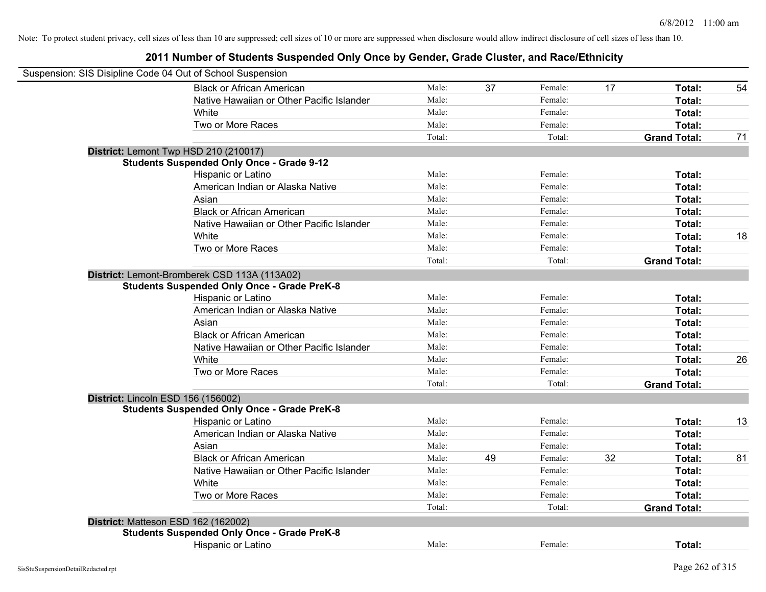| Suspension: SIS Disipline Code 04 Out of School Suspension |        |    |         |    |                     |    |
|------------------------------------------------------------|--------|----|---------|----|---------------------|----|
| <b>Black or African American</b>                           | Male:  | 37 | Female: | 17 | Total:              | 54 |
| Native Hawaiian or Other Pacific Islander                  | Male:  |    | Female: |    | Total:              |    |
| White                                                      | Male:  |    | Female: |    | Total:              |    |
| Two or More Races                                          | Male:  |    | Female: |    | Total:              |    |
|                                                            | Total: |    | Total:  |    | <b>Grand Total:</b> | 71 |
| District: Lemont Twp HSD 210 (210017)                      |        |    |         |    |                     |    |
| <b>Students Suspended Only Once - Grade 9-12</b>           |        |    |         |    |                     |    |
| Hispanic or Latino                                         | Male:  |    | Female: |    | Total:              |    |
| American Indian or Alaska Native                           | Male:  |    | Female: |    | Total:              |    |
| Asian                                                      | Male:  |    | Female: |    | Total:              |    |
| <b>Black or African American</b>                           | Male:  |    | Female: |    | Total:              |    |
| Native Hawaiian or Other Pacific Islander                  | Male:  |    | Female: |    | Total:              |    |
| White                                                      | Male:  |    | Female: |    | Total:              | 18 |
| Two or More Races                                          | Male:  |    | Female: |    | Total:              |    |
|                                                            | Total: |    | Total:  |    | <b>Grand Total:</b> |    |
| District: Lemont-Bromberek CSD 113A (113A02)               |        |    |         |    |                     |    |
| <b>Students Suspended Only Once - Grade PreK-8</b>         |        |    |         |    |                     |    |
| Hispanic or Latino                                         | Male:  |    | Female: |    | Total:              |    |
| American Indian or Alaska Native                           | Male:  |    | Female: |    | Total:              |    |
| Asian                                                      | Male:  |    | Female: |    | Total:              |    |
| <b>Black or African American</b>                           | Male:  |    | Female: |    | Total:              |    |
| Native Hawaiian or Other Pacific Islander                  | Male:  |    | Female: |    | Total:              |    |
| White                                                      | Male:  |    | Female: |    | Total:              | 26 |
| Two or More Races                                          | Male:  |    | Female: |    | Total:              |    |
|                                                            | Total: |    | Total:  |    | <b>Grand Total:</b> |    |
| District: Lincoln ESD 156 (156002)                         |        |    |         |    |                     |    |
| <b>Students Suspended Only Once - Grade PreK-8</b>         |        |    |         |    |                     |    |
| Hispanic or Latino                                         | Male:  |    | Female: |    | Total:              | 13 |
| American Indian or Alaska Native                           | Male:  |    | Female: |    | Total:              |    |
| Asian                                                      | Male:  |    | Female: |    | Total:              |    |
| <b>Black or African American</b>                           | Male:  | 49 | Female: | 32 | Total:              | 81 |
| Native Hawaiian or Other Pacific Islander                  | Male:  |    | Female: |    | Total:              |    |
| White                                                      | Male:  |    | Female: |    | Total:              |    |
| Two or More Races                                          | Male:  |    | Female: |    | Total:              |    |
|                                                            | Total: |    | Total:  |    | <b>Grand Total:</b> |    |
| District: Matteson ESD 162 (162002)                        |        |    |         |    |                     |    |
| <b>Students Suspended Only Once - Grade PreK-8</b>         |        |    |         |    |                     |    |
| Hispanic or Latino                                         | Male:  |    | Female: |    | Total:              |    |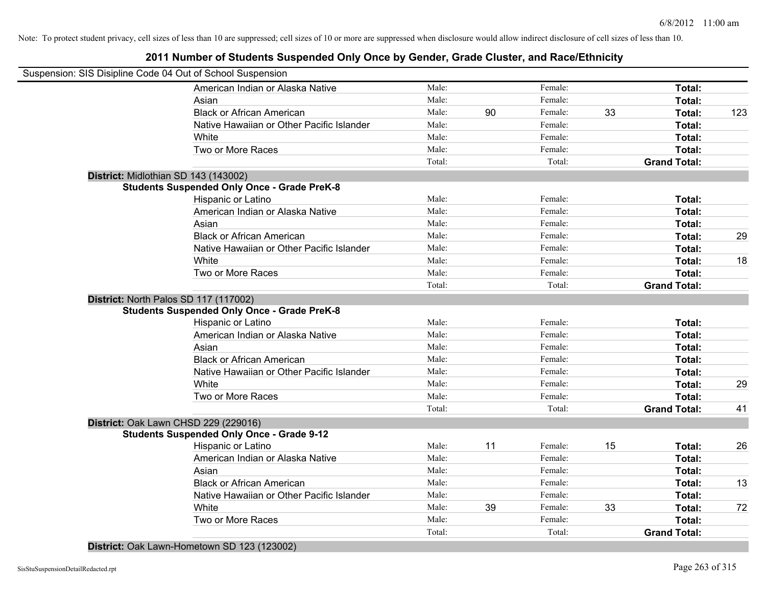#### **2011 Number of Students Suspended Only Once by Gender, Grade Cluster, and Race/Ethnicity**

| Suspension: SIS Disipline Code 04 Out of School Suspension |        |    |         |    |                     |     |
|------------------------------------------------------------|--------|----|---------|----|---------------------|-----|
| American Indian or Alaska Native                           | Male:  |    | Female: |    | Total:              |     |
| Asian                                                      | Male:  |    | Female: |    | Total:              |     |
| <b>Black or African American</b>                           | Male:  | 90 | Female: | 33 | Total:              | 123 |
| Native Hawaiian or Other Pacific Islander                  | Male:  |    | Female: |    | Total:              |     |
| White                                                      | Male:  |    | Female: |    | Total:              |     |
| Two or More Races                                          | Male:  |    | Female: |    | Total:              |     |
|                                                            | Total: |    | Total:  |    | <b>Grand Total:</b> |     |
| District: Midlothian SD 143 (143002)                       |        |    |         |    |                     |     |
| <b>Students Suspended Only Once - Grade PreK-8</b>         |        |    |         |    |                     |     |
| Hispanic or Latino                                         | Male:  |    | Female: |    | Total:              |     |
| American Indian or Alaska Native                           | Male:  |    | Female: |    | Total:              |     |
| Asian                                                      | Male:  |    | Female: |    | Total:              |     |
| <b>Black or African American</b>                           | Male:  |    | Female: |    | Total:              | 29  |
| Native Hawaiian or Other Pacific Islander                  | Male:  |    | Female: |    | Total:              |     |
| White                                                      | Male:  |    | Female: |    | Total:              | 18  |
| Two or More Races                                          | Male:  |    | Female: |    | Total:              |     |
|                                                            | Total: |    | Total:  |    | <b>Grand Total:</b> |     |
| District: North Palos SD 117 (117002)                      |        |    |         |    |                     |     |
| <b>Students Suspended Only Once - Grade PreK-8</b>         |        |    |         |    |                     |     |
| Hispanic or Latino                                         | Male:  |    | Female: |    | Total:              |     |
| American Indian or Alaska Native                           | Male:  |    | Female: |    | Total:              |     |
| Asian                                                      | Male:  |    | Female: |    | Total:              |     |
| <b>Black or African American</b>                           | Male:  |    | Female: |    | Total:              |     |
| Native Hawaiian or Other Pacific Islander                  | Male:  |    | Female: |    | Total:              |     |
| White                                                      | Male:  |    | Female: |    | Total:              | 29  |
| Two or More Races                                          | Male:  |    | Female: |    | Total:              |     |
|                                                            | Total: |    | Total:  |    | <b>Grand Total:</b> | 41  |
| District: Oak Lawn CHSD 229 (229016)                       |        |    |         |    |                     |     |
| <b>Students Suspended Only Once - Grade 9-12</b>           |        |    |         |    |                     |     |
| Hispanic or Latino                                         | Male:  | 11 | Female: | 15 | Total:              | 26  |
| American Indian or Alaska Native                           | Male:  |    | Female: |    | Total:              |     |
| Asian                                                      | Male:  |    | Female: |    | Total:              |     |
| <b>Black or African American</b>                           | Male:  |    | Female: |    | Total:              | 13  |
| Native Hawaiian or Other Pacific Islander                  | Male:  |    | Female: |    | Total:              |     |
| White                                                      | Male:  | 39 | Female: | 33 | Total:              | 72  |
| Two or More Races                                          | Male:  |    | Female: |    | Total:              |     |
|                                                            | Total: |    | Total:  |    | <b>Grand Total:</b> |     |
|                                                            |        |    |         |    |                     |     |

**District:** Oak Lawn-Hometown SD 123 (123002)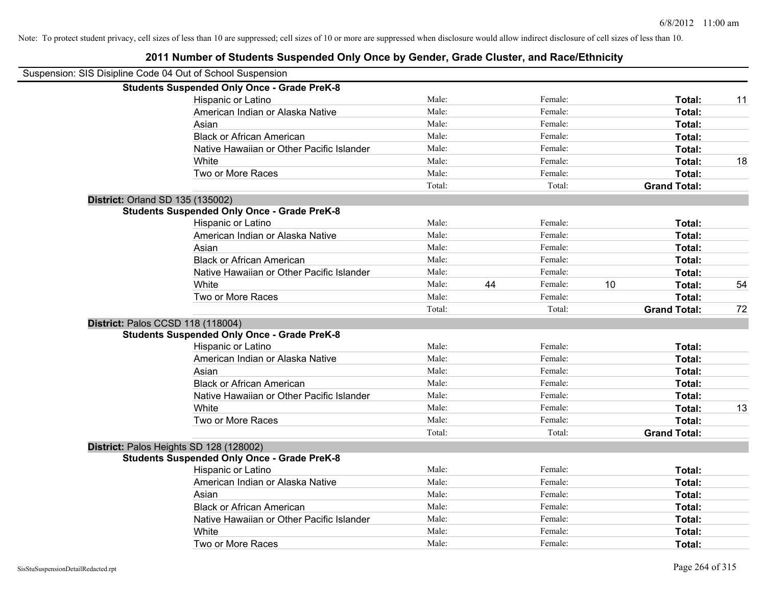| Suspension: SIS Disipline Code 04 Out of School Suspension |        |    |         |    |                     |    |
|------------------------------------------------------------|--------|----|---------|----|---------------------|----|
| <b>Students Suspended Only Once - Grade PreK-8</b>         |        |    |         |    |                     |    |
| Hispanic or Latino                                         | Male:  |    | Female: |    | Total:              | 11 |
| American Indian or Alaska Native                           | Male:  |    | Female: |    | Total:              |    |
| Asian                                                      | Male:  |    | Female: |    | Total:              |    |
| <b>Black or African American</b>                           | Male:  |    | Female: |    | Total:              |    |
| Native Hawaiian or Other Pacific Islander                  | Male:  |    | Female: |    | Total:              |    |
| White                                                      | Male:  |    | Female: |    | Total:              | 18 |
| Two or More Races                                          | Male:  |    | Female: |    | Total:              |    |
|                                                            | Total: |    | Total:  |    | <b>Grand Total:</b> |    |
| District: Orland SD 135 (135002)                           |        |    |         |    |                     |    |
| <b>Students Suspended Only Once - Grade PreK-8</b>         |        |    |         |    |                     |    |
| Hispanic or Latino                                         | Male:  |    | Female: |    | Total:              |    |
| American Indian or Alaska Native                           | Male:  |    | Female: |    | Total:              |    |
| Asian                                                      | Male:  |    | Female: |    | Total:              |    |
| <b>Black or African American</b>                           | Male:  |    | Female: |    | Total:              |    |
| Native Hawaiian or Other Pacific Islander                  | Male:  |    | Female: |    | Total:              |    |
| White                                                      | Male:  | 44 | Female: | 10 | Total:              | 54 |
| Two or More Races                                          | Male:  |    | Female: |    | Total:              |    |
|                                                            | Total: |    | Total:  |    | <b>Grand Total:</b> | 72 |
| District: Palos CCSD 118 (118004)                          |        |    |         |    |                     |    |
| <b>Students Suspended Only Once - Grade PreK-8</b>         |        |    |         |    |                     |    |
| Hispanic or Latino                                         | Male:  |    | Female: |    | Total:              |    |
| American Indian or Alaska Native                           | Male:  |    | Female: |    | Total:              |    |
| Asian                                                      | Male:  |    | Female: |    | Total:              |    |
| <b>Black or African American</b>                           | Male:  |    | Female: |    | Total:              |    |
| Native Hawaiian or Other Pacific Islander                  | Male:  |    | Female: |    | Total:              |    |
| White                                                      | Male:  |    | Female: |    | Total:              | 13 |
| Two or More Races                                          | Male:  |    | Female: |    | <b>Total:</b>       |    |
|                                                            | Total: |    | Total:  |    | <b>Grand Total:</b> |    |
| District: Palos Heights SD 128 (128002)                    |        |    |         |    |                     |    |
| <b>Students Suspended Only Once - Grade PreK-8</b>         |        |    |         |    |                     |    |
| Hispanic or Latino                                         | Male:  |    | Female: |    | Total:              |    |
| American Indian or Alaska Native                           | Male:  |    | Female: |    | Total:              |    |
| Asian                                                      | Male:  |    | Female: |    | Total:              |    |
| <b>Black or African American</b>                           | Male:  |    | Female: |    | Total:              |    |
| Native Hawaiian or Other Pacific Islander                  | Male:  |    | Female: |    | Total:              |    |
| White                                                      | Male:  |    | Female: |    | Total:              |    |
| Two or More Races                                          | Male:  |    | Female: |    | Total:              |    |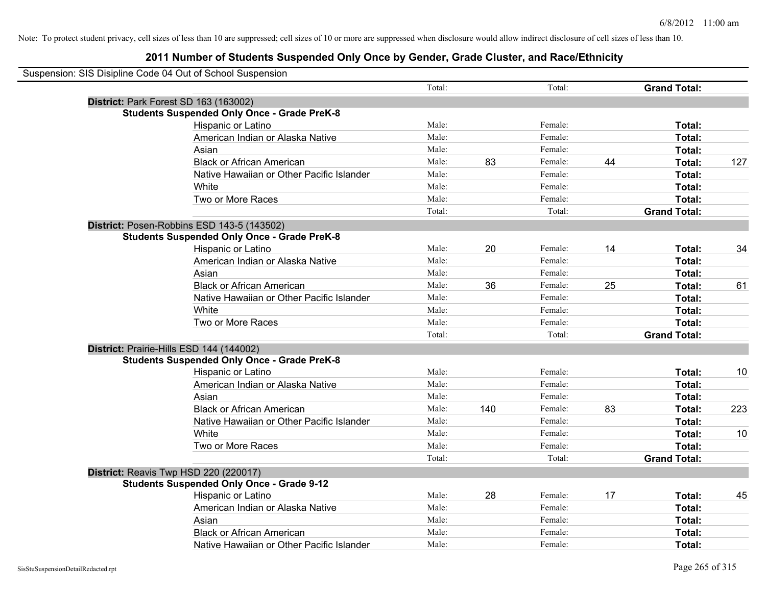| Suspension: SIS Disipline Code 04 Out of School Suspension |        |     |         |    |                     |     |
|------------------------------------------------------------|--------|-----|---------|----|---------------------|-----|
|                                                            | Total: |     | Total:  |    | <b>Grand Total:</b> |     |
| District: Park Forest SD 163 (163002)                      |        |     |         |    |                     |     |
| <b>Students Suspended Only Once - Grade PreK-8</b>         |        |     |         |    |                     |     |
| Hispanic or Latino                                         | Male:  |     | Female: |    | Total:              |     |
| American Indian or Alaska Native                           | Male:  |     | Female: |    | Total:              |     |
| Asian                                                      | Male:  |     | Female: |    | Total:              |     |
| <b>Black or African American</b>                           | Male:  | 83  | Female: | 44 | Total:              | 127 |
| Native Hawaiian or Other Pacific Islander                  | Male:  |     | Female: |    | Total:              |     |
| White                                                      | Male:  |     | Female: |    | Total:              |     |
| Two or More Races                                          | Male:  |     | Female: |    | Total:              |     |
|                                                            | Total: |     | Total:  |    | <b>Grand Total:</b> |     |
| District: Posen-Robbins ESD 143-5 (143502)                 |        |     |         |    |                     |     |
| <b>Students Suspended Only Once - Grade PreK-8</b>         |        |     |         |    |                     |     |
| Hispanic or Latino                                         | Male:  | 20  | Female: | 14 | Total:              | 34  |
| American Indian or Alaska Native                           | Male:  |     | Female: |    | Total:              |     |
| Asian                                                      | Male:  |     | Female: |    | Total:              |     |
| <b>Black or African American</b>                           | Male:  | 36  | Female: | 25 | Total:              | 61  |
| Native Hawaiian or Other Pacific Islander                  | Male:  |     | Female: |    | Total:              |     |
| White                                                      | Male:  |     | Female: |    | Total:              |     |
| Two or More Races                                          | Male:  |     | Female: |    | Total:              |     |
|                                                            | Total: |     | Total:  |    | <b>Grand Total:</b> |     |
| District: Prairie-Hills ESD 144 (144002)                   |        |     |         |    |                     |     |
| <b>Students Suspended Only Once - Grade PreK-8</b>         |        |     |         |    |                     |     |
| Hispanic or Latino                                         | Male:  |     | Female: |    | Total:              | 10  |
| American Indian or Alaska Native                           | Male:  |     | Female: |    | Total:              |     |
| Asian                                                      | Male:  |     | Female: |    | Total:              |     |
| <b>Black or African American</b>                           | Male:  | 140 | Female: | 83 | Total:              | 223 |
| Native Hawaiian or Other Pacific Islander                  | Male:  |     | Female: |    | Total:              |     |
| White                                                      | Male:  |     | Female: |    | Total:              | 10  |
| Two or More Races                                          | Male:  |     | Female: |    | Total:              |     |
|                                                            | Total: |     | Total:  |    | <b>Grand Total:</b> |     |
| District: Reavis Twp HSD 220 (220017)                      |        |     |         |    |                     |     |
| <b>Students Suspended Only Once - Grade 9-12</b>           |        |     |         |    |                     |     |
| <b>Hispanic or Latino</b>                                  | Male:  | 28  | Female: | 17 | Total:              | 45  |
| American Indian or Alaska Native                           | Male:  |     | Female: |    | Total:              |     |
| Asian                                                      | Male:  |     | Female: |    | Total:              |     |
| <b>Black or African American</b>                           | Male:  |     | Female: |    | Total:              |     |
| Native Hawaiian or Other Pacific Islander                  | Male:  |     | Female: |    | Total:              |     |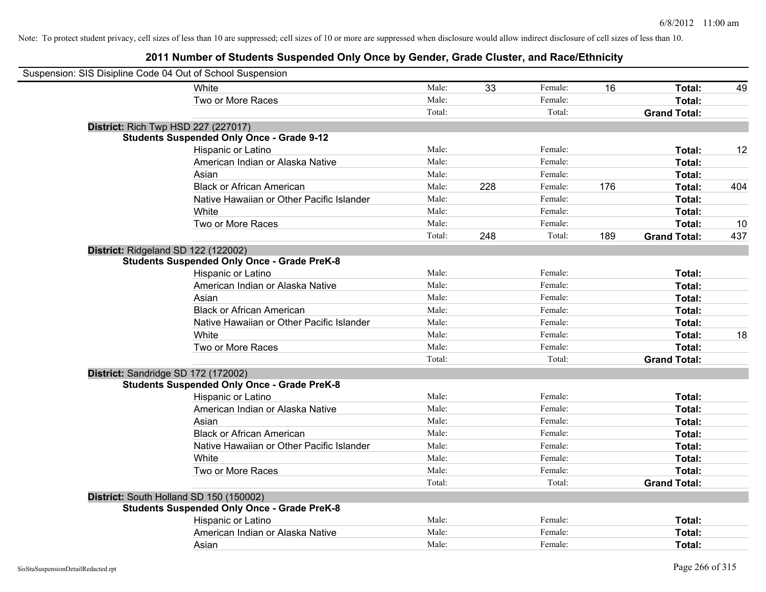| Suspension: SIS Disipline Code 04 Out of School Suspension |                                                    |        |     |         |     |                     |     |
|------------------------------------------------------------|----------------------------------------------------|--------|-----|---------|-----|---------------------|-----|
|                                                            | <b>White</b>                                       | Male:  | 33  | Female: | 16  | Total:              | 49  |
|                                                            | Two or More Races                                  | Male:  |     | Female: |     | Total:              |     |
|                                                            |                                                    | Total: |     | Total:  |     | <b>Grand Total:</b> |     |
| <b>District: Rich Twp HSD 227 (227017)</b>                 |                                                    |        |     |         |     |                     |     |
|                                                            | <b>Students Suspended Only Once - Grade 9-12</b>   |        |     |         |     |                     |     |
|                                                            | Hispanic or Latino                                 | Male:  |     | Female: |     | Total:              | 12  |
|                                                            | American Indian or Alaska Native                   | Male:  |     | Female: |     | Total:              |     |
|                                                            | Asian                                              | Male:  |     | Female: |     | Total:              |     |
|                                                            | <b>Black or African American</b>                   | Male:  | 228 | Female: | 176 | Total:              | 404 |
|                                                            | Native Hawaiian or Other Pacific Islander          | Male:  |     | Female: |     | Total:              |     |
|                                                            | White                                              | Male:  |     | Female: |     | Total:              |     |
|                                                            | Two or More Races                                  | Male:  |     | Female: |     | Total:              | 10  |
|                                                            |                                                    | Total: | 248 | Total:  | 189 | <b>Grand Total:</b> | 437 |
| District: Ridgeland SD 122 (122002)                        |                                                    |        |     |         |     |                     |     |
|                                                            | <b>Students Suspended Only Once - Grade PreK-8</b> |        |     |         |     |                     |     |
|                                                            | Hispanic or Latino                                 | Male:  |     | Female: |     | Total:              |     |
|                                                            | American Indian or Alaska Native                   | Male:  |     | Female: |     | Total:              |     |
|                                                            | Asian                                              | Male:  |     | Female: |     | Total:              |     |
|                                                            | <b>Black or African American</b>                   | Male:  |     | Female: |     | Total:              |     |
|                                                            | Native Hawaiian or Other Pacific Islander          | Male:  |     | Female: |     | Total:              |     |
|                                                            | White                                              | Male:  |     | Female: |     | Total:              | 18  |
|                                                            | Two or More Races                                  | Male:  |     | Female: |     | Total:              |     |
|                                                            |                                                    | Total: |     | Total:  |     | <b>Grand Total:</b> |     |
| District: Sandridge SD 172 (172002)                        |                                                    |        |     |         |     |                     |     |
|                                                            | <b>Students Suspended Only Once - Grade PreK-8</b> |        |     |         |     |                     |     |
|                                                            | Hispanic or Latino                                 | Male:  |     | Female: |     | Total:              |     |
|                                                            | American Indian or Alaska Native                   | Male:  |     | Female: |     | Total:              |     |
|                                                            | Asian                                              | Male:  |     | Female: |     | Total:              |     |
|                                                            | <b>Black or African American</b>                   | Male:  |     | Female: |     | Total:              |     |
|                                                            | Native Hawaiian or Other Pacific Islander          | Male:  |     | Female: |     | Total:              |     |
|                                                            | White                                              | Male:  |     | Female: |     | Total:              |     |
|                                                            | Two or More Races                                  | Male:  |     | Female: |     | Total:              |     |
|                                                            |                                                    | Total: |     | Total:  |     | <b>Grand Total:</b> |     |
| District: South Holland SD 150 (150002)                    |                                                    |        |     |         |     |                     |     |
|                                                            | <b>Students Suspended Only Once - Grade PreK-8</b> |        |     |         |     |                     |     |
|                                                            | Hispanic or Latino                                 | Male:  |     | Female: |     | Total:              |     |
|                                                            | American Indian or Alaska Native                   | Male:  |     | Female: |     | Total:              |     |
|                                                            | Asian                                              | Male:  |     | Female: |     | Total:              |     |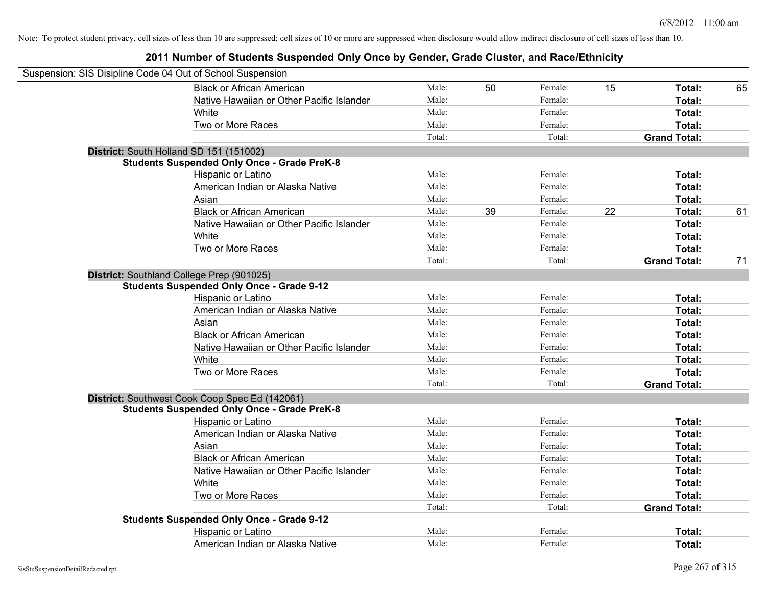| Suspension: SIS Disipline Code 04 Out of School Suspension |                                                    |        |    |         |    |                     |    |
|------------------------------------------------------------|----------------------------------------------------|--------|----|---------|----|---------------------|----|
|                                                            | <b>Black or African American</b>                   | Male:  | 50 | Female: | 15 | Total:              | 65 |
|                                                            | Native Hawaiian or Other Pacific Islander          | Male:  |    | Female: |    | Total:              |    |
|                                                            | White                                              | Male:  |    | Female: |    | Total:              |    |
|                                                            | Two or More Races                                  | Male:  |    | Female: |    | Total:              |    |
|                                                            |                                                    | Total: |    | Total:  |    | <b>Grand Total:</b> |    |
|                                                            | District: South Holland SD 151 (151002)            |        |    |         |    |                     |    |
|                                                            | <b>Students Suspended Only Once - Grade PreK-8</b> |        |    |         |    |                     |    |
|                                                            | Hispanic or Latino                                 | Male:  |    | Female: |    | Total:              |    |
|                                                            | American Indian or Alaska Native                   | Male:  |    | Female: |    | Total:              |    |
|                                                            | Asian                                              | Male:  |    | Female: |    | Total:              |    |
|                                                            | <b>Black or African American</b>                   | Male:  | 39 | Female: | 22 | Total:              | 61 |
|                                                            | Native Hawaiian or Other Pacific Islander          | Male:  |    | Female: |    | Total:              |    |
|                                                            | White                                              | Male:  |    | Female: |    | Total:              |    |
|                                                            | Two or More Races                                  | Male:  |    | Female: |    | Total:              |    |
|                                                            |                                                    | Total: |    | Total:  |    | <b>Grand Total:</b> | 71 |
|                                                            | District: Southland College Prep (901025)          |        |    |         |    |                     |    |
|                                                            | <b>Students Suspended Only Once - Grade 9-12</b>   |        |    |         |    |                     |    |
|                                                            | Hispanic or Latino                                 | Male:  |    | Female: |    | Total:              |    |
|                                                            | American Indian or Alaska Native                   | Male:  |    | Female: |    | Total:              |    |
|                                                            | Asian                                              | Male:  |    | Female: |    | Total:              |    |
|                                                            | <b>Black or African American</b>                   | Male:  |    | Female: |    | Total:              |    |
|                                                            | Native Hawaiian or Other Pacific Islander          | Male:  |    | Female: |    | Total:              |    |
|                                                            | White                                              | Male:  |    | Female: |    | Total:              |    |
|                                                            | Two or More Races                                  | Male:  |    | Female: |    | Total:              |    |
|                                                            |                                                    | Total: |    | Total:  |    | <b>Grand Total:</b> |    |
|                                                            | District: Southwest Cook Coop Spec Ed (142061)     |        |    |         |    |                     |    |
|                                                            | <b>Students Suspended Only Once - Grade PreK-8</b> |        |    |         |    |                     |    |
|                                                            | Hispanic or Latino                                 | Male:  |    | Female: |    | Total:              |    |
|                                                            | American Indian or Alaska Native                   | Male:  |    | Female: |    | Total:              |    |
|                                                            | Asian                                              | Male:  |    | Female: |    | Total:              |    |
|                                                            | <b>Black or African American</b>                   | Male:  |    | Female: |    | Total:              |    |
|                                                            | Native Hawaiian or Other Pacific Islander          | Male:  |    | Female: |    | Total:              |    |
|                                                            | <b>White</b>                                       | Male:  |    | Female: |    | Total:              |    |
|                                                            | Two or More Races                                  | Male:  |    | Female: |    | Total:              |    |
|                                                            |                                                    | Total: |    | Total:  |    | <b>Grand Total:</b> |    |
|                                                            | <b>Students Suspended Only Once - Grade 9-12</b>   |        |    |         |    |                     |    |
|                                                            | Hispanic or Latino                                 | Male:  |    | Female: |    | <b>Total:</b>       |    |
|                                                            | American Indian or Alaska Native                   | Male:  |    | Female: |    | Total:              |    |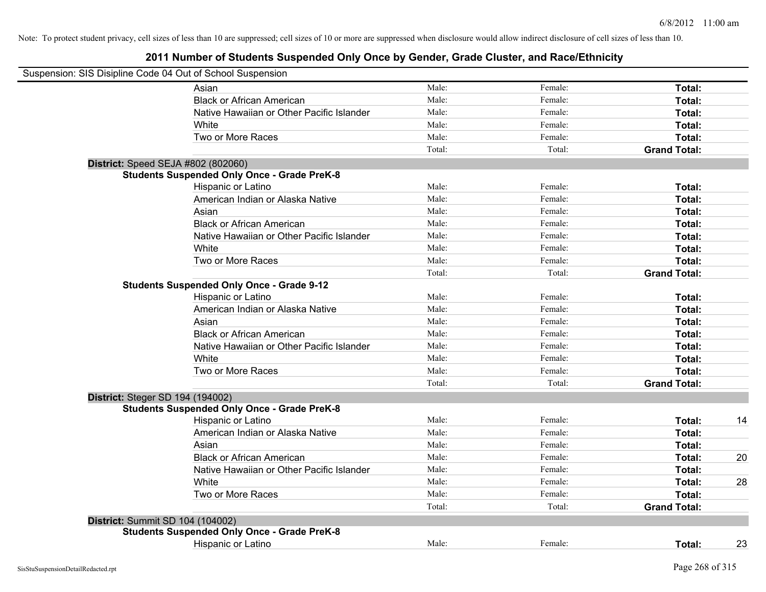|                                         | Suspension: SIS Disipline Code 04 Out of School Suspension |        |         |                     |    |
|-----------------------------------------|------------------------------------------------------------|--------|---------|---------------------|----|
|                                         | Asian                                                      | Male:  | Female: | Total:              |    |
|                                         | <b>Black or African American</b>                           | Male:  | Female: | Total:              |    |
|                                         | Native Hawaiian or Other Pacific Islander                  | Male:  | Female: | Total:              |    |
|                                         | White                                                      | Male:  | Female: | Total:              |    |
|                                         | Two or More Races                                          | Male:  | Female: | Total:              |    |
|                                         |                                                            | Total: | Total:  | <b>Grand Total:</b> |    |
|                                         | District: Speed SEJA #802 (802060)                         |        |         |                     |    |
|                                         | <b>Students Suspended Only Once - Grade PreK-8</b>         |        |         |                     |    |
|                                         | Hispanic or Latino                                         | Male:  | Female: | Total:              |    |
|                                         | American Indian or Alaska Native                           | Male:  | Female: | Total:              |    |
|                                         | Asian                                                      | Male:  | Female: | Total:              |    |
|                                         | <b>Black or African American</b>                           | Male:  | Female: | Total:              |    |
|                                         | Native Hawaiian or Other Pacific Islander                  | Male:  | Female: | Total:              |    |
|                                         | White                                                      | Male:  | Female: | Total:              |    |
|                                         | Two or More Races                                          | Male:  | Female: | Total:              |    |
|                                         |                                                            | Total: | Total:  | <b>Grand Total:</b> |    |
|                                         | <b>Students Suspended Only Once - Grade 9-12</b>           |        |         |                     |    |
|                                         | Hispanic or Latino                                         | Male:  | Female: | Total:              |    |
|                                         | American Indian or Alaska Native                           | Male:  | Female: | Total:              |    |
|                                         | Asian                                                      | Male:  | Female: | Total:              |    |
|                                         | <b>Black or African American</b>                           | Male:  | Female: | Total:              |    |
|                                         | Native Hawaiian or Other Pacific Islander                  | Male:  | Female: | Total:              |    |
|                                         | White                                                      | Male:  | Female: | Total:              |    |
|                                         | Two or More Races                                          | Male:  | Female: | Total:              |    |
|                                         |                                                            | Total: | Total:  | <b>Grand Total:</b> |    |
| <b>District: Steger SD 194 (194002)</b> |                                                            |        |         |                     |    |
|                                         | <b>Students Suspended Only Once - Grade PreK-8</b>         |        |         |                     |    |
|                                         | Hispanic or Latino                                         | Male:  | Female: | Total:              | 14 |
|                                         | American Indian or Alaska Native                           | Male:  | Female: | Total:              |    |
|                                         | Asian                                                      | Male:  | Female: | Total:              |    |
|                                         | <b>Black or African American</b>                           | Male:  | Female: | Total:              | 20 |
|                                         | Native Hawaiian or Other Pacific Islander                  | Male:  | Female: | Total:              |    |
|                                         | White                                                      | Male:  | Female: | Total:              | 28 |
|                                         | Two or More Races                                          | Male:  | Female: | Total:              |    |
|                                         |                                                            | Total: | Total:  | <b>Grand Total:</b> |    |
| District: Summit SD 104 (104002)        |                                                            |        |         |                     |    |
|                                         | <b>Students Suspended Only Once - Grade PreK-8</b>         |        |         |                     |    |
|                                         | Hispanic or Latino                                         | Male:  | Female: | Total:              | 23 |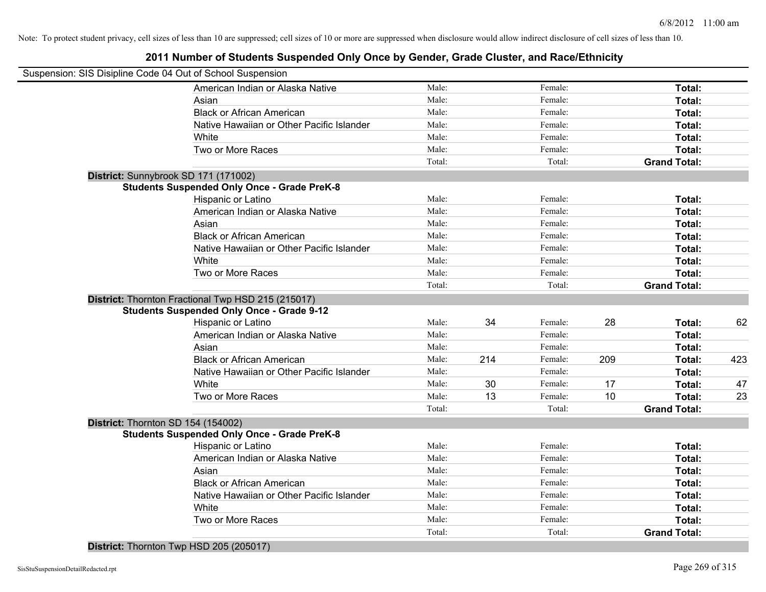#### **2011 Number of Students Suspended Only Once by Gender, Grade Cluster, and Race/Ethnicity**

| Suspension: SIS Disipline Code 04 Out of School Suspension |        |     |         |     |                     |     |
|------------------------------------------------------------|--------|-----|---------|-----|---------------------|-----|
| American Indian or Alaska Native                           | Male:  |     | Female: |     | Total:              |     |
| Asian                                                      | Male:  |     | Female: |     | Total:              |     |
| <b>Black or African American</b>                           | Male:  |     | Female: |     | Total:              |     |
| Native Hawaiian or Other Pacific Islander                  | Male:  |     | Female: |     | Total:              |     |
| White                                                      | Male:  |     | Female: |     | Total:              |     |
| Two or More Races                                          | Male:  |     | Female: |     | Total:              |     |
|                                                            | Total: |     | Total:  |     | <b>Grand Total:</b> |     |
| District: Sunnybrook SD 171 (171002)                       |        |     |         |     |                     |     |
| <b>Students Suspended Only Once - Grade PreK-8</b>         |        |     |         |     |                     |     |
| Hispanic or Latino                                         | Male:  |     | Female: |     | Total:              |     |
| American Indian or Alaska Native                           | Male:  |     | Female: |     | Total:              |     |
| Asian                                                      | Male:  |     | Female: |     | Total:              |     |
| <b>Black or African American</b>                           | Male:  |     | Female: |     | Total:              |     |
| Native Hawaiian or Other Pacific Islander                  | Male:  |     | Female: |     | Total:              |     |
| White                                                      | Male:  |     | Female: |     | Total:              |     |
| Two or More Races                                          | Male:  |     | Female: |     | Total:              |     |
|                                                            | Total: |     | Total:  |     | <b>Grand Total:</b> |     |
| District: Thornton Fractional Twp HSD 215 (215017)         |        |     |         |     |                     |     |
| <b>Students Suspended Only Once - Grade 9-12</b>           |        |     |         |     |                     |     |
| Hispanic or Latino                                         | Male:  | 34  | Female: | 28  | Total:              | 62  |
| American Indian or Alaska Native                           | Male:  |     | Female: |     | Total:              |     |
| Asian                                                      | Male:  |     | Female: |     | Total:              |     |
| <b>Black or African American</b>                           | Male:  | 214 | Female: | 209 | Total:              | 423 |
| Native Hawaiian or Other Pacific Islander                  | Male:  |     | Female: |     | Total:              |     |
| White                                                      | Male:  | 30  | Female: | 17  | Total:              | 47  |
| Two or More Races                                          | Male:  | 13  | Female: | 10  | Total:              | 23  |
|                                                            | Total: |     | Total:  |     | <b>Grand Total:</b> |     |
| District: Thornton SD 154 (154002)                         |        |     |         |     |                     |     |
| <b>Students Suspended Only Once - Grade PreK-8</b>         |        |     |         |     |                     |     |
| Hispanic or Latino                                         | Male:  |     | Female: |     | Total:              |     |
| American Indian or Alaska Native                           | Male:  |     | Female: |     | Total:              |     |
| Asian                                                      | Male:  |     | Female: |     | Total:              |     |
| <b>Black or African American</b>                           | Male:  |     | Female: |     | Total:              |     |
| Native Hawaiian or Other Pacific Islander                  | Male:  |     | Female: |     | Total:              |     |
| White                                                      | Male:  |     | Female: |     | Total:              |     |
| Two or More Races                                          | Male:  |     | Female: |     | Total:              |     |
|                                                            | Total: |     | Total:  |     | <b>Grand Total:</b> |     |

**District:** Thornton Twp HSD 205 (205017)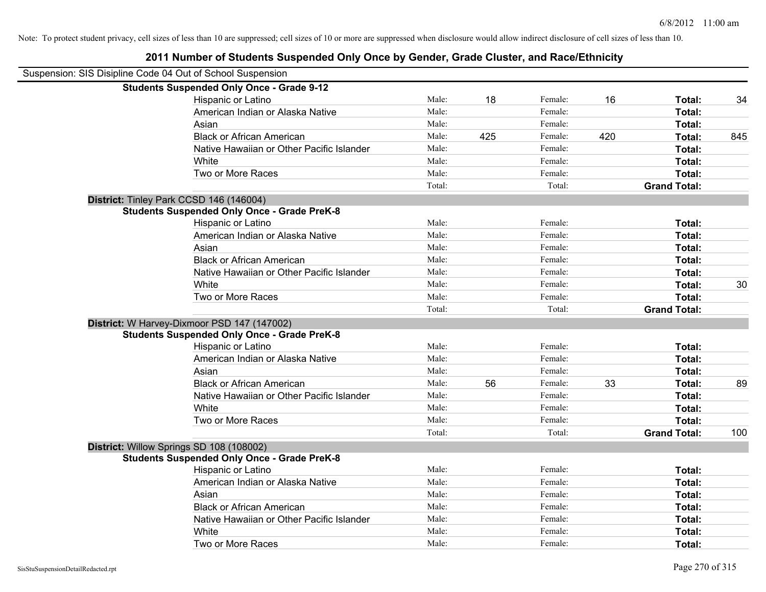| Suspension: SIS Disipline Code 04 Out of School Suspension |        |     |         |     |                     |     |
|------------------------------------------------------------|--------|-----|---------|-----|---------------------|-----|
| <b>Students Suspended Only Once - Grade 9-12</b>           |        |     |         |     |                     |     |
| Hispanic or Latino                                         | Male:  | 18  | Female: | 16  | Total:              | 34  |
| American Indian or Alaska Native                           | Male:  |     | Female: |     | Total:              |     |
| Asian                                                      | Male:  |     | Female: |     | Total:              |     |
| <b>Black or African American</b>                           | Male:  | 425 | Female: | 420 | Total:              | 845 |
| Native Hawaiian or Other Pacific Islander                  | Male:  |     | Female: |     | Total:              |     |
| White                                                      | Male:  |     | Female: |     | Total:              |     |
| Two or More Races                                          | Male:  |     | Female: |     | Total:              |     |
|                                                            | Total: |     | Total:  |     | <b>Grand Total:</b> |     |
| District: Tinley Park CCSD 146 (146004)                    |        |     |         |     |                     |     |
| <b>Students Suspended Only Once - Grade PreK-8</b>         |        |     |         |     |                     |     |
| Hispanic or Latino                                         | Male:  |     | Female: |     | Total:              |     |
| American Indian or Alaska Native                           | Male:  |     | Female: |     | Total:              |     |
| Asian                                                      | Male:  |     | Female: |     | Total:              |     |
| <b>Black or African American</b>                           | Male:  |     | Female: |     | Total:              |     |
| Native Hawaiian or Other Pacific Islander                  | Male:  |     | Female: |     | Total:              |     |
| White                                                      | Male:  |     | Female: |     | Total:              | 30  |
| Two or More Races                                          | Male:  |     | Female: |     | Total:              |     |
|                                                            | Total: |     | Total:  |     | <b>Grand Total:</b> |     |
| District: W Harvey-Dixmoor PSD 147 (147002)                |        |     |         |     |                     |     |
| <b>Students Suspended Only Once - Grade PreK-8</b>         |        |     |         |     |                     |     |
| Hispanic or Latino                                         | Male:  |     | Female: |     | Total:              |     |
| American Indian or Alaska Native                           | Male:  |     | Female: |     | Total:              |     |
| Asian                                                      | Male:  |     | Female: |     | Total:              |     |
| <b>Black or African American</b>                           | Male:  | 56  | Female: | 33  | Total:              | 89  |
| Native Hawaiian or Other Pacific Islander                  | Male:  |     | Female: |     | Total:              |     |
| White                                                      | Male:  |     | Female: |     | Total:              |     |
| Two or More Races                                          | Male:  |     | Female: |     | Total:              |     |
|                                                            | Total: |     | Total:  |     | <b>Grand Total:</b> | 100 |
| District: Willow Springs SD 108 (108002)                   |        |     |         |     |                     |     |
| <b>Students Suspended Only Once - Grade PreK-8</b>         |        |     |         |     |                     |     |
| Hispanic or Latino                                         | Male:  |     | Female: |     | Total:              |     |
| American Indian or Alaska Native                           | Male:  |     | Female: |     | Total:              |     |
| Asian                                                      | Male:  |     | Female: |     | Total:              |     |
| <b>Black or African American</b>                           | Male:  |     | Female: |     | Total:              |     |
| Native Hawaiian or Other Pacific Islander                  | Male:  |     | Female: |     | Total:              |     |
| White                                                      | Male:  |     | Female: |     | Total:              |     |
| Two or More Races                                          | Male:  |     | Female: |     | Total:              |     |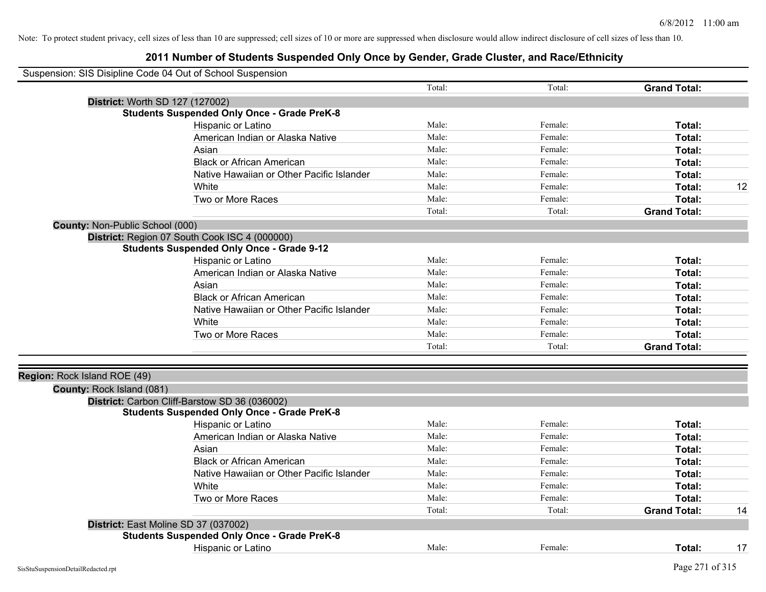| Suspension: SIS Disipline Code 04 Out of School Suspension |                                                    |        |         |                     |    |
|------------------------------------------------------------|----------------------------------------------------|--------|---------|---------------------|----|
|                                                            |                                                    | Total: | Total:  | <b>Grand Total:</b> |    |
|                                                            | District: Worth SD 127 (127002)                    |        |         |                     |    |
|                                                            | <b>Students Suspended Only Once - Grade PreK-8</b> |        |         |                     |    |
|                                                            | Hispanic or Latino                                 | Male:  | Female: | Total:              |    |
|                                                            | American Indian or Alaska Native                   | Male:  | Female: | Total:              |    |
|                                                            | Asian                                              | Male:  | Female: | Total:              |    |
|                                                            | <b>Black or African American</b>                   | Male:  | Female: | Total:              |    |
|                                                            | Native Hawaiian or Other Pacific Islander          | Male:  | Female: | Total:              |    |
|                                                            | White                                              | Male:  | Female: | Total:              | 12 |
|                                                            | Two or More Races                                  | Male:  | Female: | <b>Total:</b>       |    |
|                                                            |                                                    | Total: | Total:  | <b>Grand Total:</b> |    |
| County: Non-Public School (000)                            |                                                    |        |         |                     |    |
|                                                            | District: Region 07 South Cook ISC 4 (000000)      |        |         |                     |    |
|                                                            | <b>Students Suspended Only Once - Grade 9-12</b>   |        |         |                     |    |
|                                                            | Hispanic or Latino                                 | Male:  | Female: | Total:              |    |
|                                                            | American Indian or Alaska Native                   | Male:  | Female: | Total:              |    |
|                                                            | Asian                                              | Male:  | Female: | Total:              |    |
|                                                            | <b>Black or African American</b>                   | Male:  | Female: | Total:              |    |
|                                                            | Native Hawaiian or Other Pacific Islander          | Male:  | Female: | Total:              |    |
|                                                            | White                                              | Male:  | Female: | Total:              |    |
|                                                            | Two or More Races                                  | Male:  | Female: | Total:              |    |
|                                                            |                                                    | Total: | Total:  | <b>Grand Total:</b> |    |
|                                                            |                                                    |        |         |                     |    |
| Region: Rock Island ROE (49)                               |                                                    |        |         |                     |    |
| County: Rock Island (081)                                  |                                                    |        |         |                     |    |
|                                                            | District: Carbon Cliff-Barstow SD 36 (036002)      |        |         |                     |    |
|                                                            | <b>Students Suspended Only Once - Grade PreK-8</b> |        |         |                     |    |
|                                                            | Hispanic or Latino                                 | Male:  | Female: | Total:              |    |
|                                                            | American Indian or Alaska Native                   | Male:  | Female: | Total:              |    |
|                                                            | Asian                                              | Male:  | Female: | Total:              |    |
|                                                            | <b>Black or African American</b>                   | Male:  | Female: | Total:              |    |
|                                                            | Native Hawaiian or Other Pacific Islander          | Male:  | Female: | Total:              |    |
|                                                            | White                                              | Male:  | Female: | Total:              |    |
|                                                            | Two or More Races                                  | Male:  | Female: | Total:              |    |
|                                                            |                                                    | Total: | Total:  | <b>Grand Total:</b> | 14 |
|                                                            | District: East Moline SD 37 (037002)               |        |         |                     |    |
|                                                            | <b>Students Suspended Only Once - Grade PreK-8</b> |        |         |                     |    |
|                                                            | <b>Hispanic or Latino</b>                          | Male:  | Female: | Total:              | 17 |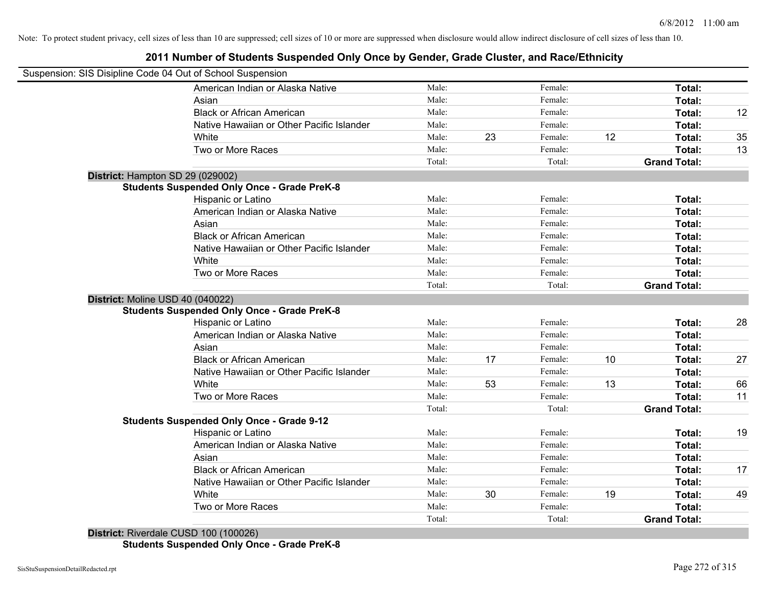#### **2011 Number of Students Suspended Only Once by Gender, Grade Cluster, and Race/Ethnicity**

| Suspension: SIS Disipline Code 04 Out of School Suspension |        |    |         |    |                     |    |
|------------------------------------------------------------|--------|----|---------|----|---------------------|----|
| American Indian or Alaska Native                           | Male:  |    | Female: |    | Total:              |    |
| Asian                                                      | Male:  |    | Female: |    | Total:              |    |
| <b>Black or African American</b>                           | Male:  |    | Female: |    | Total:              | 12 |
| Native Hawaiian or Other Pacific Islander                  | Male:  |    | Female: |    | Total:              |    |
| White                                                      | Male:  | 23 | Female: | 12 | Total:              | 35 |
| Two or More Races                                          | Male:  |    | Female: |    | Total:              | 13 |
|                                                            | Total: |    | Total:  |    | <b>Grand Total:</b> |    |
| District: Hampton SD 29 (029002)                           |        |    |         |    |                     |    |
| <b>Students Suspended Only Once - Grade PreK-8</b>         |        |    |         |    |                     |    |
| Hispanic or Latino                                         | Male:  |    | Female: |    | Total:              |    |
| American Indian or Alaska Native                           | Male:  |    | Female: |    | Total:              |    |
| Asian                                                      | Male:  |    | Female: |    | Total:              |    |
| <b>Black or African American</b>                           | Male:  |    | Female: |    | Total:              |    |
| Native Hawaiian or Other Pacific Islander                  | Male:  |    | Female: |    | Total:              |    |
| White                                                      | Male:  |    | Female: |    | Total:              |    |
| Two or More Races                                          | Male:  |    | Female: |    | Total:              |    |
|                                                            | Total: |    | Total:  |    | <b>Grand Total:</b> |    |
| District: Moline USD 40 (040022)                           |        |    |         |    |                     |    |
| <b>Students Suspended Only Once - Grade PreK-8</b>         |        |    |         |    |                     |    |
| Hispanic or Latino                                         | Male:  |    | Female: |    | Total:              | 28 |
| American Indian or Alaska Native                           | Male:  |    | Female: |    | Total:              |    |
| Asian                                                      | Male:  |    | Female: |    | Total:              |    |
| <b>Black or African American</b>                           | Male:  | 17 | Female: | 10 | Total:              | 27 |
| Native Hawaiian or Other Pacific Islander                  | Male:  |    | Female: |    | Total:              |    |
| White                                                      | Male:  | 53 | Female: | 13 | Total:              | 66 |
| Two or More Races                                          | Male:  |    | Female: |    | Total:              | 11 |
|                                                            | Total: |    | Total:  |    | <b>Grand Total:</b> |    |
| <b>Students Suspended Only Once - Grade 9-12</b>           |        |    |         |    |                     |    |
| Hispanic or Latino                                         | Male:  |    | Female: |    | Total:              | 19 |
| American Indian or Alaska Native                           | Male:  |    | Female: |    | Total:              |    |
| Asian                                                      | Male:  |    | Female: |    | Total:              |    |
| <b>Black or African American</b>                           | Male:  |    | Female: |    | Total:              | 17 |
| Native Hawaiian or Other Pacific Islander                  | Male:  |    | Female: |    | Total:              |    |
| White                                                      | Male:  | 30 | Female: | 19 | Total:              | 49 |
| Two or More Races                                          | Male:  |    | Female: |    | Total:              |    |
|                                                            | Total: |    | Total:  |    | <b>Grand Total:</b> |    |
| $D_{i}$ to the $D_{i}$ condels $D_{i}$ (100 400 (400000)   |        |    |         |    |                     |    |

**District:** Riverdale CUSD 100 (100026) **Students Suspended Only Once - Grade PreK-8**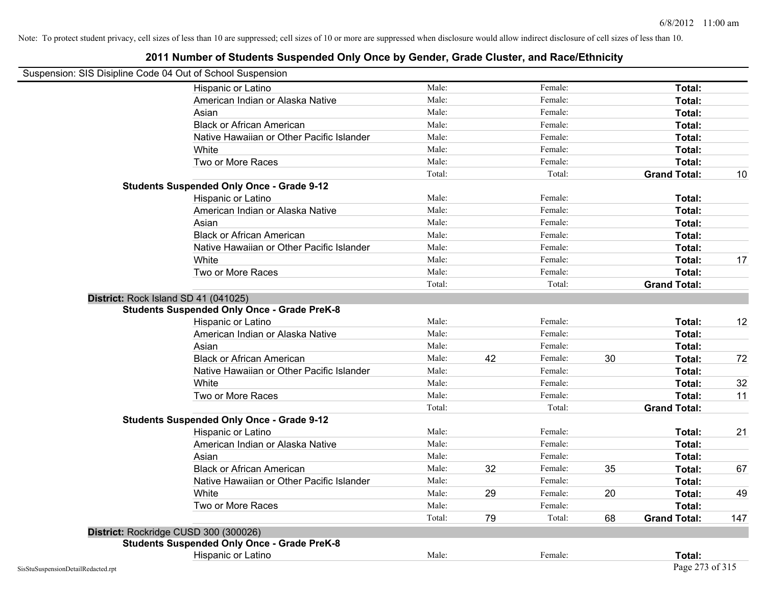| Suspension: SIS Disipline Code 04 Out of School Suspension |                                                    |        |    |         |    |                     |     |
|------------------------------------------------------------|----------------------------------------------------|--------|----|---------|----|---------------------|-----|
|                                                            | Hispanic or Latino                                 | Male:  |    | Female: |    | Total:              |     |
|                                                            | American Indian or Alaska Native                   | Male:  |    | Female: |    | Total:              |     |
|                                                            | Asian                                              | Male:  |    | Female: |    | Total:              |     |
|                                                            | <b>Black or African American</b>                   | Male:  |    | Female: |    | Total:              |     |
|                                                            | Native Hawaiian or Other Pacific Islander          | Male:  |    | Female: |    | Total:              |     |
|                                                            | White                                              | Male:  |    | Female: |    | Total:              |     |
|                                                            | Two or More Races                                  | Male:  |    | Female: |    | Total:              |     |
|                                                            |                                                    | Total: |    | Total:  |    | <b>Grand Total:</b> | 10  |
|                                                            | <b>Students Suspended Only Once - Grade 9-12</b>   |        |    |         |    |                     |     |
|                                                            | Hispanic or Latino                                 | Male:  |    | Female: |    | Total:              |     |
|                                                            | American Indian or Alaska Native                   | Male:  |    | Female: |    | Total:              |     |
|                                                            | Asian                                              | Male:  |    | Female: |    | Total:              |     |
|                                                            | <b>Black or African American</b>                   | Male:  |    | Female: |    | Total:              |     |
|                                                            | Native Hawaiian or Other Pacific Islander          | Male:  |    | Female: |    | Total:              |     |
|                                                            | White                                              | Male:  |    | Female: |    | Total:              | 17  |
|                                                            | Two or More Races                                  | Male:  |    | Female: |    | Total:              |     |
|                                                            |                                                    | Total: |    | Total:  |    | <b>Grand Total:</b> |     |
| District: Rock Island SD 41 (041025)                       |                                                    |        |    |         |    |                     |     |
|                                                            | <b>Students Suspended Only Once - Grade PreK-8</b> |        |    |         |    |                     |     |
|                                                            | Hispanic or Latino                                 | Male:  |    | Female: |    | Total:              | 12  |
|                                                            | American Indian or Alaska Native                   | Male:  |    | Female: |    | Total:              |     |
|                                                            | Asian                                              | Male:  |    | Female: |    | Total:              |     |
|                                                            | <b>Black or African American</b>                   | Male:  | 42 | Female: | 30 | Total:              | 72  |
|                                                            | Native Hawaiian or Other Pacific Islander          | Male:  |    | Female: |    | Total:              |     |
|                                                            | White                                              | Male:  |    | Female: |    | Total:              | 32  |
|                                                            | Two or More Races                                  | Male:  |    | Female: |    | Total:              | 11  |
|                                                            |                                                    | Total: |    | Total:  |    | <b>Grand Total:</b> |     |
|                                                            | <b>Students Suspended Only Once - Grade 9-12</b>   |        |    |         |    |                     |     |
|                                                            | Hispanic or Latino                                 | Male:  |    | Female: |    | Total:              | 21  |
|                                                            | American Indian or Alaska Native                   | Male:  |    | Female: |    | Total:              |     |
|                                                            | Asian                                              | Male:  |    | Female: |    | Total:              |     |
|                                                            | <b>Black or African American</b>                   | Male:  | 32 | Female: | 35 | Total:              | 67  |
|                                                            | Native Hawaiian or Other Pacific Islander          | Male:  |    | Female: |    | Total:              |     |
|                                                            | White                                              | Male:  | 29 | Female: | 20 | Total:              | 49  |
|                                                            | Two or More Races                                  | Male:  |    | Female: |    | Total:              |     |
|                                                            |                                                    | Total: | 79 | Total:  | 68 | <b>Grand Total:</b> | 147 |
| District: Rockridge CUSD 300 (300026)                      |                                                    |        |    |         |    |                     |     |
|                                                            | <b>Students Suspended Only Once - Grade PreK-8</b> |        |    |         |    |                     |     |
|                                                            | Hispanic or Latino                                 | Male:  |    | Female: |    | <b>Total:</b>       |     |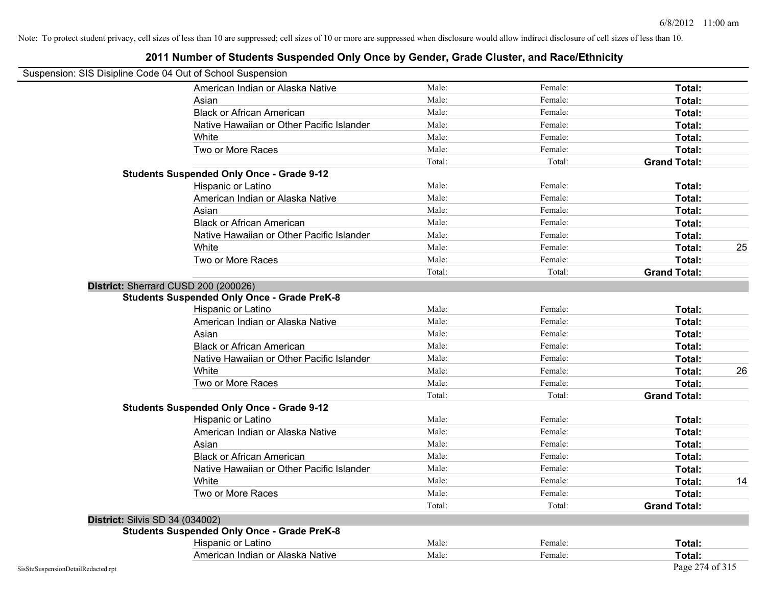| Suspension: SIS Disipline Code 04 Out of School Suspension |                                                    |        |         |                     |
|------------------------------------------------------------|----------------------------------------------------|--------|---------|---------------------|
|                                                            | American Indian or Alaska Native                   | Male:  | Female: | Total:              |
|                                                            | Asian                                              | Male:  | Female: | Total:              |
|                                                            | <b>Black or African American</b>                   | Male:  | Female: | Total:              |
|                                                            | Native Hawaiian or Other Pacific Islander          | Male:  | Female: | Total:              |
|                                                            | White                                              | Male:  | Female: | Total:              |
|                                                            | Two or More Races                                  | Male:  | Female: | Total:              |
|                                                            |                                                    | Total: | Total:  | <b>Grand Total:</b> |
|                                                            | <b>Students Suspended Only Once - Grade 9-12</b>   |        |         |                     |
|                                                            | Hispanic or Latino                                 | Male:  | Female: | Total:              |
|                                                            | American Indian or Alaska Native                   | Male:  | Female: | Total:              |
|                                                            | Asian                                              | Male:  | Female: | Total:              |
|                                                            | <b>Black or African American</b>                   | Male:  | Female: | Total:              |
|                                                            | Native Hawaiian or Other Pacific Islander          | Male:  | Female: | Total:              |
|                                                            | White                                              | Male:  | Female: | Total:<br>25        |
|                                                            | Two or More Races                                  | Male:  | Female: | Total:              |
|                                                            |                                                    | Total: | Total:  | <b>Grand Total:</b> |
|                                                            | District: Sherrard CUSD 200 (200026)               |        |         |                     |
|                                                            | <b>Students Suspended Only Once - Grade PreK-8</b> |        |         |                     |
|                                                            | Hispanic or Latino                                 | Male:  | Female: | Total:              |
|                                                            | American Indian or Alaska Native                   | Male:  | Female: | Total:              |
|                                                            | Asian                                              | Male:  | Female: | Total:              |
|                                                            | <b>Black or African American</b>                   | Male:  | Female: | Total:              |
|                                                            | Native Hawaiian or Other Pacific Islander          | Male:  | Female: | Total:              |
|                                                            | White                                              | Male:  | Female: | 26<br>Total:        |
|                                                            | Two or More Races                                  | Male:  | Female: | Total:              |
|                                                            |                                                    | Total: | Total:  | <b>Grand Total:</b> |
|                                                            | <b>Students Suspended Only Once - Grade 9-12</b>   |        |         |                     |
|                                                            | Hispanic or Latino                                 | Male:  | Female: | Total:              |
|                                                            | American Indian or Alaska Native                   | Male:  | Female: | Total:              |
|                                                            | Asian                                              | Male:  | Female: | Total:              |
|                                                            | <b>Black or African American</b>                   | Male:  | Female: | Total:              |
|                                                            | Native Hawaiian or Other Pacific Islander          | Male:  | Female: | Total:              |
|                                                            | White                                              | Male:  | Female: | 14<br>Total:        |
|                                                            | Two or More Races                                  | Male:  | Female: | Total:              |
|                                                            |                                                    | Total: | Total:  | <b>Grand Total:</b> |
| <b>District: Silvis SD 34 (034002)</b>                     |                                                    |        |         |                     |
|                                                            | <b>Students Suspended Only Once - Grade PreK-8</b> |        |         |                     |
|                                                            | Hispanic or Latino                                 | Male:  | Female: | Total:              |
|                                                            | American Indian or Alaska Native                   | Male:  | Female: | Total:              |
| SisStuSuspensionDetailRedacted.rpt                         |                                                    |        |         | Page 274 of 315     |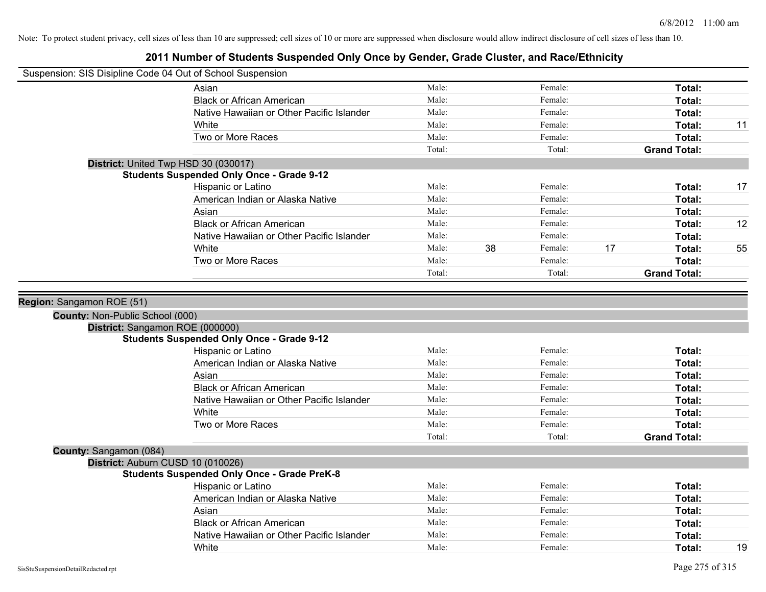| Suspension: SIS Disipline Code 04 Out of School Suspension |                                                    |                |    |                    |    |                     |    |
|------------------------------------------------------------|----------------------------------------------------|----------------|----|--------------------|----|---------------------|----|
|                                                            | Asian                                              | Male:          |    | Female:            |    | Total:              |    |
|                                                            | <b>Black or African American</b>                   | Male:          |    | Female:            |    | Total:              |    |
|                                                            | Native Hawaiian or Other Pacific Islander          | Male:          |    | Female:            |    | Total:              |    |
|                                                            | White                                              | Male:          |    | Female:            |    | Total:              | 11 |
|                                                            | Two or More Races                                  | Male:          |    | Female:            |    | Total:              |    |
|                                                            |                                                    | Total:         |    | Total:             |    | <b>Grand Total:</b> |    |
| District: United Twp HSD 30 (030017)                       |                                                    |                |    |                    |    |                     |    |
|                                                            | <b>Students Suspended Only Once - Grade 9-12</b>   |                |    |                    |    |                     |    |
|                                                            | Hispanic or Latino                                 | Male:          |    | Female:            |    | Total:              | 17 |
|                                                            | American Indian or Alaska Native                   | Male:          |    | Female:            |    | Total:              |    |
|                                                            | Asian                                              | Male:          |    | Female:            |    | Total:              |    |
|                                                            | <b>Black or African American</b>                   | Male:          |    | Female:            |    | Total:              | 12 |
|                                                            | Native Hawaiian or Other Pacific Islander          | Male:          |    | Female:            |    | Total:              |    |
|                                                            | White                                              | Male:          | 38 | Female:            | 17 | Total:              | 55 |
|                                                            | Two or More Races                                  | Male:          |    | Female:            |    | Total:              |    |
|                                                            |                                                    | Total:         |    | Total:             |    | <b>Grand Total:</b> |    |
| District: Sangamon ROE (000000)                            | <b>Students Suspended Only Once - Grade 9-12</b>   |                |    |                    |    |                     |    |
|                                                            | Hispanic or Latino                                 | Male:          |    | Female:            |    | Total:              |    |
|                                                            | American Indian or Alaska Native                   | Male:          |    | Female:            |    | Total:              |    |
|                                                            | Asian                                              | Male:          |    | Female:            |    | Total:              |    |
|                                                            | <b>Black or African American</b>                   | Male:          |    | Female:            |    | Total:              |    |
|                                                            | Native Hawaiian or Other Pacific Islander          | Male:          |    | Female:            |    | Total:              |    |
|                                                            | White                                              | Male:          |    | Female:            |    | Total:              |    |
|                                                            | Two or More Races                                  | Male:          |    | Female:            |    | Total:              |    |
|                                                            |                                                    | Total:         |    | Total:             |    | <b>Grand Total:</b> |    |
| County: Sangamon (084)                                     |                                                    |                |    |                    |    |                     |    |
| District: Auburn CUSD 10 (010026)                          |                                                    |                |    |                    |    |                     |    |
|                                                            |                                                    |                |    |                    |    |                     |    |
|                                                            | <b>Students Suspended Only Once - Grade PreK-8</b> |                |    |                    |    |                     |    |
|                                                            | Hispanic or Latino                                 | Male:          |    | Female:            |    | Total:              |    |
|                                                            | American Indian or Alaska Native                   | Male:          |    | Female:            |    | Total:              |    |
|                                                            | Asian                                              | Male:          |    | Female:            |    | Total:              |    |
|                                                            | <b>Black or African American</b>                   | Male:          |    | Female:            |    | Total:              |    |
|                                                            | Native Hawaiian or Other Pacific Islander<br>White | Male:<br>Male: |    | Female:<br>Female: |    | Total:<br>Total:    | 19 |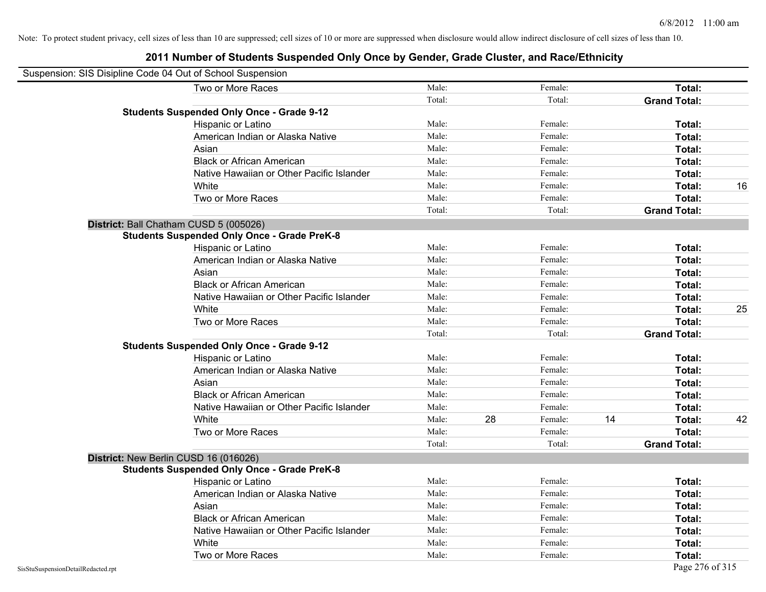| Suspension: SIS Disipline Code 04 Out of School Suspension |                                                    |        |    |         |    |                     |    |
|------------------------------------------------------------|----------------------------------------------------|--------|----|---------|----|---------------------|----|
|                                                            | Two or More Races                                  | Male:  |    | Female: |    | Total:              |    |
|                                                            |                                                    | Total: |    | Total:  |    | <b>Grand Total:</b> |    |
|                                                            | <b>Students Suspended Only Once - Grade 9-12</b>   |        |    |         |    |                     |    |
|                                                            | Hispanic or Latino                                 | Male:  |    | Female: |    | Total:              |    |
|                                                            | American Indian or Alaska Native                   | Male:  |    | Female: |    | Total:              |    |
|                                                            | Asian                                              | Male:  |    | Female: |    | Total:              |    |
|                                                            | <b>Black or African American</b>                   | Male:  |    | Female: |    | Total:              |    |
|                                                            | Native Hawaiian or Other Pacific Islander          | Male:  |    | Female: |    | Total:              |    |
|                                                            | White                                              | Male:  |    | Female: |    | Total:              | 16 |
|                                                            | Two or More Races                                  | Male:  |    | Female: |    | Total:              |    |
|                                                            |                                                    | Total: |    | Total:  |    | <b>Grand Total:</b> |    |
|                                                            | District: Ball Chatham CUSD 5 (005026)             |        |    |         |    |                     |    |
|                                                            | <b>Students Suspended Only Once - Grade PreK-8</b> |        |    |         |    |                     |    |
|                                                            | Hispanic or Latino                                 | Male:  |    | Female: |    | Total:              |    |
|                                                            | American Indian or Alaska Native                   | Male:  |    | Female: |    | Total:              |    |
|                                                            | Asian                                              | Male:  |    | Female: |    | Total:              |    |
|                                                            | <b>Black or African American</b>                   | Male:  |    | Female: |    | Total:              |    |
|                                                            | Native Hawaiian or Other Pacific Islander          | Male:  |    | Female: |    | Total:              |    |
|                                                            | White                                              | Male:  |    | Female: |    | Total:              | 25 |
|                                                            | Two or More Races                                  | Male:  |    | Female: |    | Total:              |    |
|                                                            |                                                    | Total: |    | Total:  |    | <b>Grand Total:</b> |    |
|                                                            | <b>Students Suspended Only Once - Grade 9-12</b>   |        |    |         |    |                     |    |
|                                                            | Hispanic or Latino                                 | Male:  |    | Female: |    | Total:              |    |
|                                                            | American Indian or Alaska Native                   | Male:  |    | Female: |    | Total:              |    |
|                                                            | Asian                                              | Male:  |    | Female: |    | Total:              |    |
|                                                            | <b>Black or African American</b>                   | Male:  |    | Female: |    | Total:              |    |
|                                                            | Native Hawaiian or Other Pacific Islander          | Male:  |    | Female: |    | Total:              |    |
|                                                            | White                                              | Male:  | 28 | Female: | 14 | Total:              | 42 |
|                                                            | Two or More Races                                  | Male:  |    | Female: |    | Total:              |    |
|                                                            |                                                    | Total: |    | Total:  |    | <b>Grand Total:</b> |    |
|                                                            | District: New Berlin CUSD 16 (016026)              |        |    |         |    |                     |    |
|                                                            | <b>Students Suspended Only Once - Grade PreK-8</b> |        |    |         |    |                     |    |
|                                                            | Hispanic or Latino                                 | Male:  |    | Female: |    | Total:              |    |
|                                                            | American Indian or Alaska Native                   | Male:  |    | Female: |    | Total:              |    |
|                                                            | Asian                                              | Male:  |    | Female: |    | Total:              |    |
|                                                            | <b>Black or African American</b>                   | Male:  |    | Female: |    | Total:              |    |
|                                                            | Native Hawaiian or Other Pacific Islander          | Male:  |    | Female: |    | Total:              |    |
|                                                            | White                                              | Male:  |    | Female: |    | Total:              |    |
|                                                            | Two or More Races                                  | Male:  |    | Female: |    | Total:              |    |
| SisStuSuspensionDetailRedacted.rpt                         |                                                    |        |    |         |    | Page 276 of 315     |    |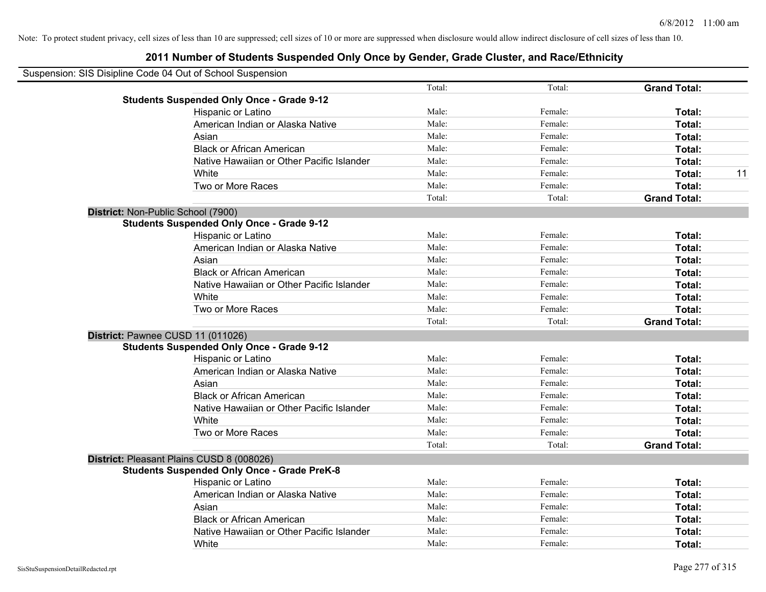| Suspension: SIS Disipline Code 04 Out of School Suspension |        |         |                     |    |
|------------------------------------------------------------|--------|---------|---------------------|----|
|                                                            | Total: | Total:  | <b>Grand Total:</b> |    |
| <b>Students Suspended Only Once - Grade 9-12</b>           |        |         |                     |    |
| Hispanic or Latino                                         | Male:  | Female: | Total:              |    |
| American Indian or Alaska Native                           | Male:  | Female: | Total:              |    |
| Asian                                                      | Male:  | Female: | Total:              |    |
| <b>Black or African American</b>                           | Male:  | Female: | Total:              |    |
| Native Hawaiian or Other Pacific Islander                  | Male:  | Female: | Total:              |    |
| White                                                      | Male:  | Female: | Total:              | 11 |
| Two or More Races                                          | Male:  | Female: | Total:              |    |
|                                                            | Total: | Total:  | <b>Grand Total:</b> |    |
| District: Non-Public School (7900)                         |        |         |                     |    |
| <b>Students Suspended Only Once - Grade 9-12</b>           |        |         |                     |    |
| Hispanic or Latino                                         | Male:  | Female: | Total:              |    |
| American Indian or Alaska Native                           | Male:  | Female: | Total:              |    |
| Asian                                                      | Male:  | Female: | Total:              |    |
| <b>Black or African American</b>                           | Male:  | Female: | Total:              |    |
| Native Hawaiian or Other Pacific Islander                  | Male:  | Female: | Total:              |    |
| White                                                      | Male:  | Female: | Total:              |    |
| Two or More Races                                          | Male:  | Female: | Total:              |    |
|                                                            | Total: | Total:  | <b>Grand Total:</b> |    |
| District: Pawnee CUSD 11 (011026)                          |        |         |                     |    |
| <b>Students Suspended Only Once - Grade 9-12</b>           |        |         |                     |    |
| Hispanic or Latino                                         | Male:  | Female: | Total:              |    |
| American Indian or Alaska Native                           | Male:  | Female: | Total:              |    |
| Asian                                                      | Male:  | Female: | Total:              |    |
| <b>Black or African American</b>                           | Male:  | Female: | Total:              |    |
| Native Hawaiian or Other Pacific Islander                  | Male:  | Female: | Total:              |    |
| White                                                      | Male:  | Female: | Total:              |    |
| Two or More Races                                          | Male:  | Female: | Total:              |    |
|                                                            | Total: | Total:  | <b>Grand Total:</b> |    |
| District: Pleasant Plains CUSD 8 (008026)                  |        |         |                     |    |
| <b>Students Suspended Only Once - Grade PreK-8</b>         |        |         |                     |    |
| Hispanic or Latino                                         | Male:  | Female: | Total:              |    |
| American Indian or Alaska Native                           | Male:  | Female: | Total:              |    |
| Asian                                                      | Male:  | Female: | Total:              |    |
| <b>Black or African American</b>                           | Male:  | Female: | Total:              |    |
| Native Hawaiian or Other Pacific Islander                  | Male:  | Female: | Total:              |    |
| White                                                      | Male:  | Female: | Total:              |    |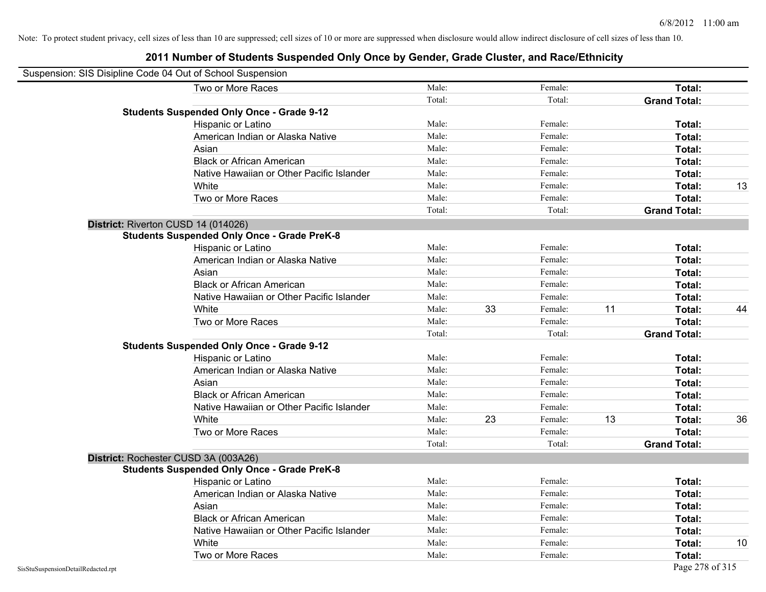| Suspension: SIS Disipline Code 04 Out of School Suspension |                                                    |        |    |         |    |                     |    |
|------------------------------------------------------------|----------------------------------------------------|--------|----|---------|----|---------------------|----|
|                                                            | Two or More Races                                  | Male:  |    | Female: |    | Total:              |    |
|                                                            |                                                    | Total: |    | Total:  |    | <b>Grand Total:</b> |    |
|                                                            | <b>Students Suspended Only Once - Grade 9-12</b>   |        |    |         |    |                     |    |
|                                                            | Hispanic or Latino                                 | Male:  |    | Female: |    | Total:              |    |
|                                                            | American Indian or Alaska Native                   | Male:  |    | Female: |    | Total:              |    |
|                                                            | Asian                                              | Male:  |    | Female: |    | <b>Total:</b>       |    |
|                                                            | <b>Black or African American</b>                   | Male:  |    | Female: |    | <b>Total:</b>       |    |
|                                                            | Native Hawaiian or Other Pacific Islander          | Male:  |    | Female: |    | Total:              |    |
|                                                            | White                                              | Male:  |    | Female: |    | Total:              | 13 |
|                                                            | Two or More Races                                  | Male:  |    | Female: |    | Total:              |    |
|                                                            |                                                    | Total: |    | Total:  |    | <b>Grand Total:</b> |    |
|                                                            | District: Riverton CUSD 14 (014026)                |        |    |         |    |                     |    |
|                                                            | <b>Students Suspended Only Once - Grade PreK-8</b> |        |    |         |    |                     |    |
|                                                            | Hispanic or Latino                                 | Male:  |    | Female: |    | Total:              |    |
|                                                            | American Indian or Alaska Native                   | Male:  |    | Female: |    | Total:              |    |
|                                                            | Asian                                              | Male:  |    | Female: |    | Total:              |    |
|                                                            | <b>Black or African American</b>                   | Male:  |    | Female: |    | <b>Total:</b>       |    |
|                                                            | Native Hawaiian or Other Pacific Islander          | Male:  |    | Female: |    | <b>Total:</b>       |    |
|                                                            | White                                              | Male:  | 33 | Female: | 11 | Total:              | 44 |
|                                                            | Two or More Races                                  | Male:  |    | Female: |    | Total:              |    |
|                                                            |                                                    | Total: |    | Total:  |    | <b>Grand Total:</b> |    |
|                                                            | <b>Students Suspended Only Once - Grade 9-12</b>   |        |    |         |    |                     |    |
|                                                            | Hispanic or Latino                                 | Male:  |    | Female: |    | Total:              |    |
|                                                            | American Indian or Alaska Native                   | Male:  |    | Female: |    | Total:              |    |
|                                                            | Asian                                              | Male:  |    | Female: |    | Total:              |    |
|                                                            | <b>Black or African American</b>                   | Male:  |    | Female: |    | Total:              |    |
|                                                            | Native Hawaiian or Other Pacific Islander          | Male:  |    | Female: |    | Total:              |    |
|                                                            | White                                              | Male:  | 23 | Female: | 13 | <b>Total:</b>       | 36 |
|                                                            | Two or More Races                                  | Male:  |    | Female: |    | Total:              |    |
|                                                            |                                                    | Total: |    | Total:  |    | <b>Grand Total:</b> |    |
|                                                            | District: Rochester CUSD 3A (003A26)               |        |    |         |    |                     |    |
|                                                            | <b>Students Suspended Only Once - Grade PreK-8</b> |        |    |         |    |                     |    |
|                                                            | Hispanic or Latino                                 | Male:  |    | Female: |    | <b>Total:</b>       |    |
|                                                            | American Indian or Alaska Native                   | Male:  |    | Female: |    | <b>Total:</b>       |    |
|                                                            | Asian                                              | Male:  |    | Female: |    | Total:              |    |
|                                                            | <b>Black or African American</b>                   | Male:  |    | Female: |    | Total:              |    |
|                                                            | Native Hawaiian or Other Pacific Islander          | Male:  |    | Female: |    | Total:              |    |
|                                                            | White                                              | Male:  |    | Female: |    | <b>Total:</b>       | 10 |
|                                                            | Two or More Races                                  | Male:  |    | Female: |    | <b>Total:</b>       |    |
| SisStuSuspensionDetailRedacted.rpt                         |                                                    |        |    |         |    | Page 278 of 315     |    |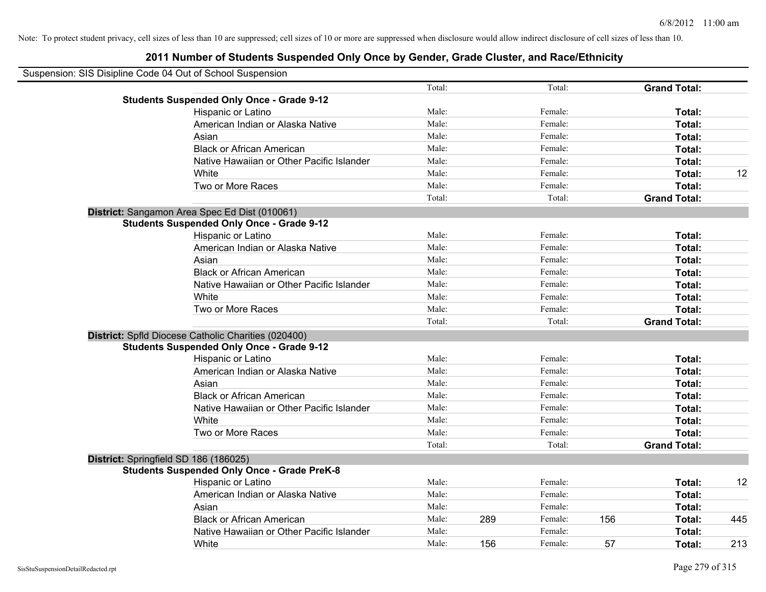| Suspension: SIS Disipline Code 04 Out of School Suspension |        |     |         |     |                     |     |
|------------------------------------------------------------|--------|-----|---------|-----|---------------------|-----|
|                                                            | Total: |     | Total:  |     | <b>Grand Total:</b> |     |
| <b>Students Suspended Only Once - Grade 9-12</b>           |        |     |         |     |                     |     |
| Hispanic or Latino                                         | Male:  |     | Female: |     | Total:              |     |
| American Indian or Alaska Native                           | Male:  |     | Female: |     | Total:              |     |
| Asian                                                      | Male:  |     | Female: |     | Total:              |     |
| <b>Black or African American</b>                           | Male:  |     | Female: |     | Total:              |     |
| Native Hawaiian or Other Pacific Islander                  | Male:  |     | Female: |     | Total:              |     |
| White                                                      | Male:  |     | Female: |     | Total:              | 12  |
| Two or More Races                                          | Male:  |     | Female: |     | Total:              |     |
|                                                            | Total: |     | Total:  |     | <b>Grand Total:</b> |     |
| District: Sangamon Area Spec Ed Dist (010061)              |        |     |         |     |                     |     |
| <b>Students Suspended Only Once - Grade 9-12</b>           |        |     |         |     |                     |     |
| Hispanic or Latino                                         | Male:  |     | Female: |     | Total:              |     |
| American Indian or Alaska Native                           | Male:  |     | Female: |     | Total:              |     |
| Asian                                                      | Male:  |     | Female: |     | Total:              |     |
| <b>Black or African American</b>                           | Male:  |     | Female: |     | Total:              |     |
| Native Hawaiian or Other Pacific Islander                  | Male:  |     | Female: |     | Total:              |     |
| White                                                      | Male:  |     | Female: |     | Total:              |     |
| Two or More Races                                          | Male:  |     | Female: |     | Total:              |     |
|                                                            | Total: |     | Total:  |     | <b>Grand Total:</b> |     |
| District: Spfld Diocese Catholic Charities (020400)        |        |     |         |     |                     |     |
| <b>Students Suspended Only Once - Grade 9-12</b>           |        |     |         |     |                     |     |
| Hispanic or Latino                                         | Male:  |     | Female: |     | Total:              |     |
| American Indian or Alaska Native                           | Male:  |     | Female: |     | Total:              |     |
| Asian                                                      | Male:  |     | Female: |     | Total:              |     |
| <b>Black or African American</b>                           | Male:  |     | Female: |     | Total:              |     |
| Native Hawaiian or Other Pacific Islander                  | Male:  |     | Female: |     | Total:              |     |
| White                                                      | Male:  |     | Female: |     | Total:              |     |
| Two or More Races                                          | Male:  |     | Female: |     | Total:              |     |
|                                                            | Total: |     | Total:  |     | <b>Grand Total:</b> |     |
| District: Springfield SD 186 (186025)                      |        |     |         |     |                     |     |
| <b>Students Suspended Only Once - Grade PreK-8</b>         |        |     |         |     |                     |     |
| Hispanic or Latino                                         | Male:  |     | Female: |     | Total:              | 12  |
| American Indian or Alaska Native                           | Male:  |     | Female: |     | Total:              |     |
| Asian                                                      | Male:  |     | Female: |     | Total:              |     |
| <b>Black or African American</b>                           | Male:  | 289 | Female: | 156 | Total:              | 445 |
| Native Hawaiian or Other Pacific Islander                  | Male:  |     | Female: |     | Total:              |     |
| White                                                      | Male:  | 156 | Female: | 57  | Total:              | 213 |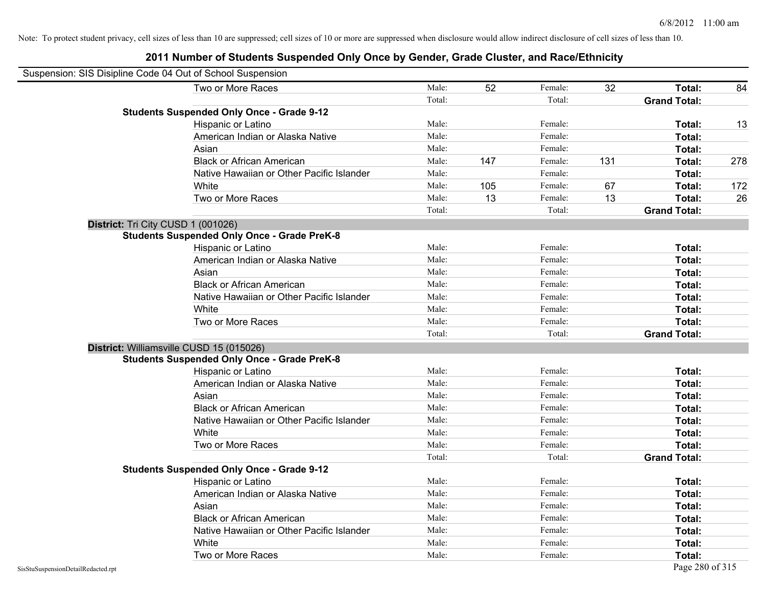| Suspension: SIS Disipline Code 04 Out of School Suspension |                                                    |        |     |         |     |                     |     |
|------------------------------------------------------------|----------------------------------------------------|--------|-----|---------|-----|---------------------|-----|
|                                                            | Two or More Races                                  | Male:  | 52  | Female: | 32  | Total:              | 84  |
|                                                            |                                                    | Total: |     | Total:  |     | <b>Grand Total:</b> |     |
|                                                            | <b>Students Suspended Only Once - Grade 9-12</b>   |        |     |         |     |                     |     |
|                                                            | Hispanic or Latino                                 | Male:  |     | Female: |     | Total:              | 13  |
|                                                            | American Indian or Alaska Native                   | Male:  |     | Female: |     | Total:              |     |
|                                                            | Asian                                              | Male:  |     | Female: |     | Total:              |     |
|                                                            | <b>Black or African American</b>                   | Male:  | 147 | Female: | 131 | Total:              | 278 |
|                                                            | Native Hawaiian or Other Pacific Islander          | Male:  |     | Female: |     | Total:              |     |
|                                                            | White                                              | Male:  | 105 | Female: | 67  | Total:              | 172 |
|                                                            | Two or More Races                                  | Male:  | 13  | Female: | 13  | Total:              | 26  |
|                                                            |                                                    | Total: |     | Total:  |     | <b>Grand Total:</b> |     |
| District: Tri City CUSD 1 (001026)                         |                                                    |        |     |         |     |                     |     |
|                                                            | <b>Students Suspended Only Once - Grade PreK-8</b> |        |     |         |     |                     |     |
|                                                            | Hispanic or Latino                                 | Male:  |     | Female: |     | Total:              |     |
|                                                            | American Indian or Alaska Native                   | Male:  |     | Female: |     | Total:              |     |
|                                                            | Asian                                              | Male:  |     | Female: |     | Total:              |     |
|                                                            | <b>Black or African American</b>                   | Male:  |     | Female: |     | Total:              |     |
|                                                            | Native Hawaiian or Other Pacific Islander          | Male:  |     | Female: |     | Total:              |     |
|                                                            | White                                              | Male:  |     | Female: |     | Total:              |     |
|                                                            | Two or More Races                                  | Male:  |     | Female: |     | Total:              |     |
|                                                            |                                                    | Total: |     | Total:  |     | <b>Grand Total:</b> |     |
|                                                            | District: Williamsville CUSD 15 (015026)           |        |     |         |     |                     |     |
|                                                            | <b>Students Suspended Only Once - Grade PreK-8</b> |        |     |         |     |                     |     |
|                                                            | Hispanic or Latino                                 | Male:  |     | Female: |     | Total:              |     |
|                                                            | American Indian or Alaska Native                   | Male:  |     | Female: |     | Total:              |     |
|                                                            | Asian                                              | Male:  |     | Female: |     | Total:              |     |
|                                                            | <b>Black or African American</b>                   | Male:  |     | Female: |     | Total:              |     |
|                                                            | Native Hawaiian or Other Pacific Islander          | Male:  |     | Female: |     | Total:              |     |
|                                                            | White                                              | Male:  |     | Female: |     | Total:              |     |
|                                                            | Two or More Races                                  | Male:  |     | Female: |     | Total:              |     |
|                                                            |                                                    | Total: |     | Total:  |     | <b>Grand Total:</b> |     |
|                                                            | <b>Students Suspended Only Once - Grade 9-12</b>   |        |     |         |     |                     |     |
|                                                            | Hispanic or Latino                                 | Male:  |     | Female: |     | Total:              |     |
|                                                            | American Indian or Alaska Native                   | Male:  |     | Female: |     | Total:              |     |
|                                                            | Asian                                              | Male:  |     | Female: |     | Total:              |     |
|                                                            | <b>Black or African American</b>                   | Male:  |     | Female: |     | Total:              |     |
|                                                            | Native Hawaiian or Other Pacific Islander          | Male:  |     | Female: |     | Total:              |     |
|                                                            | White                                              | Male:  |     | Female: |     | <b>Total:</b>       |     |
|                                                            | Two or More Races                                  | Male:  |     | Female: |     | Total:              |     |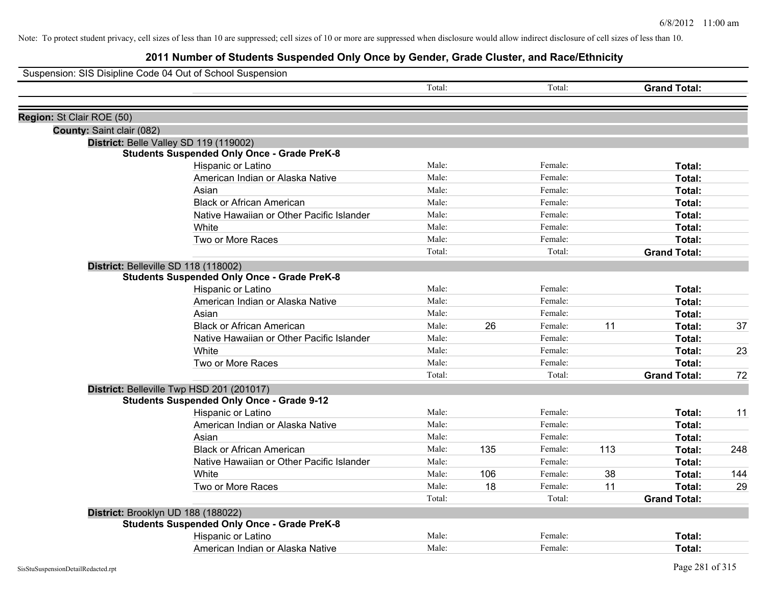| Suspension: SIS Disipline Code 04 Out of School Suspension |                                                    |        |     |         |     |                     |     |
|------------------------------------------------------------|----------------------------------------------------|--------|-----|---------|-----|---------------------|-----|
|                                                            |                                                    | Total: |     | Total:  |     | <b>Grand Total:</b> |     |
| Region: St Clair ROE (50)                                  |                                                    |        |     |         |     |                     |     |
| County: Saint clair (082)                                  |                                                    |        |     |         |     |                     |     |
|                                                            | District: Belle Valley SD 119 (119002)             |        |     |         |     |                     |     |
|                                                            | <b>Students Suspended Only Once - Grade PreK-8</b> |        |     |         |     |                     |     |
|                                                            | Hispanic or Latino                                 | Male:  |     | Female: |     | Total:              |     |
|                                                            | American Indian or Alaska Native                   | Male:  |     | Female: |     | Total:              |     |
|                                                            | Asian                                              | Male:  |     | Female: |     | Total:              |     |
|                                                            | <b>Black or African American</b>                   | Male:  |     | Female: |     | Total:              |     |
|                                                            | Native Hawaiian or Other Pacific Islander          | Male:  |     | Female: |     | Total:              |     |
|                                                            | White                                              | Male:  |     | Female: |     | Total:              |     |
|                                                            | Two or More Races                                  | Male:  |     | Female: |     | Total:              |     |
|                                                            |                                                    | Total: |     | Total:  |     | <b>Grand Total:</b> |     |
|                                                            | District: Belleville SD 118 (118002)               |        |     |         |     |                     |     |
|                                                            | <b>Students Suspended Only Once - Grade PreK-8</b> |        |     |         |     |                     |     |
|                                                            | Hispanic or Latino                                 | Male:  |     | Female: |     | Total:              |     |
|                                                            | American Indian or Alaska Native                   | Male:  |     | Female: |     | Total:              |     |
|                                                            | Asian                                              | Male:  |     | Female: |     | Total:              |     |
|                                                            | <b>Black or African American</b>                   | Male:  | 26  | Female: | 11  | Total:              | 37  |
|                                                            | Native Hawaiian or Other Pacific Islander          | Male:  |     | Female: |     | Total:              |     |
|                                                            | White                                              | Male:  |     | Female: |     | Total:              | 23  |
|                                                            | Two or More Races                                  | Male:  |     | Female: |     | Total:              |     |
|                                                            |                                                    | Total: |     | Total:  |     | <b>Grand Total:</b> | 72  |
|                                                            | District: Belleville Twp HSD 201 (201017)          |        |     |         |     |                     |     |
|                                                            | <b>Students Suspended Only Once - Grade 9-12</b>   |        |     |         |     |                     |     |
|                                                            | Hispanic or Latino                                 | Male:  |     | Female: |     | Total:              | 11  |
|                                                            | American Indian or Alaska Native                   | Male:  |     | Female: |     | Total:              |     |
|                                                            | Asian                                              | Male:  |     | Female: |     | Total:              |     |
|                                                            | <b>Black or African American</b>                   | Male:  | 135 | Female: | 113 | Total:              | 248 |
|                                                            | Native Hawaiian or Other Pacific Islander          | Male:  |     | Female: |     | Total:              |     |
|                                                            | White                                              | Male:  | 106 | Female: | 38  | Total:              | 144 |
|                                                            | Two or More Races                                  | Male:  | 18  | Female: | 11  | Total:              | 29  |
|                                                            |                                                    | Total: |     | Total:  |     | <b>Grand Total:</b> |     |
|                                                            | District: Brooklyn UD 188 (188022)                 |        |     |         |     |                     |     |
|                                                            | <b>Students Suspended Only Once - Grade PreK-8</b> |        |     |         |     |                     |     |
|                                                            | Hispanic or Latino                                 | Male:  |     | Female: |     | Total:              |     |
|                                                            | American Indian or Alaska Native                   | Male:  |     | Female: |     | Total:              |     |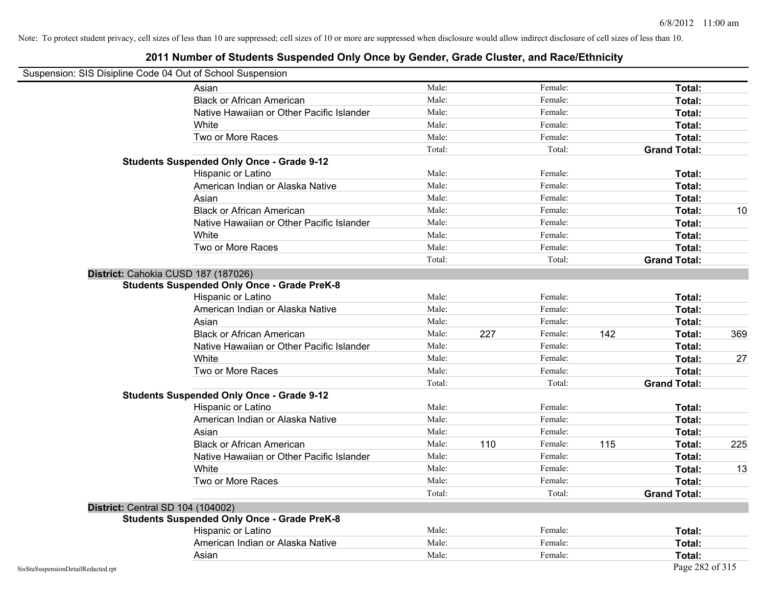#### **2011 Number of Students Suspended Only Once by Gender, Grade Cluster, and Race/Ethnicity**

# Suspension: SIS Disipline Code 04 Out of School Suspension

| ousperision. Old Disiplifie Coue 04 Out of Scribol Susperision | Asian                                              | Male:  |     | Female: |     | Total:              |     |
|----------------------------------------------------------------|----------------------------------------------------|--------|-----|---------|-----|---------------------|-----|
|                                                                | <b>Black or African American</b>                   | Male:  |     | Female: |     | Total:              |     |
|                                                                | Native Hawaiian or Other Pacific Islander          | Male:  |     | Female: |     | Total:              |     |
|                                                                | White                                              | Male:  |     | Female: |     | Total:              |     |
|                                                                | Two or More Races                                  | Male:  |     | Female: |     | Total:              |     |
|                                                                |                                                    | Total: |     | Total:  |     | <b>Grand Total:</b> |     |
|                                                                | <b>Students Suspended Only Once - Grade 9-12</b>   |        |     |         |     |                     |     |
|                                                                | Hispanic or Latino                                 | Male:  |     | Female: |     | Total:              |     |
|                                                                | American Indian or Alaska Native                   | Male:  |     | Female: |     | Total:              |     |
|                                                                | Asian                                              | Male:  |     | Female: |     | Total:              |     |
|                                                                | <b>Black or African American</b>                   | Male:  |     | Female: |     | Total:              | 10  |
|                                                                | Native Hawaiian or Other Pacific Islander          | Male:  |     | Female: |     | Total:              |     |
|                                                                | White                                              | Male:  |     | Female: |     | Total:              |     |
|                                                                | Two or More Races                                  | Male:  |     | Female: |     | Total:              |     |
|                                                                |                                                    | Total: |     | Total:  |     | <b>Grand Total:</b> |     |
|                                                                | District: Cahokia CUSD 187 (187026)                |        |     |         |     |                     |     |
|                                                                | <b>Students Suspended Only Once - Grade PreK-8</b> |        |     |         |     |                     |     |
|                                                                | Hispanic or Latino                                 | Male:  |     | Female: |     | Total:              |     |
|                                                                | American Indian or Alaska Native                   | Male:  |     | Female: |     | Total:              |     |
|                                                                | Asian                                              | Male:  |     | Female: |     | Total:              |     |
|                                                                | <b>Black or African American</b>                   | Male:  | 227 | Female: | 142 | Total:              | 369 |
|                                                                | Native Hawaiian or Other Pacific Islander          | Male:  |     | Female: |     | Total:              |     |
|                                                                | White                                              | Male:  |     | Female: |     | Total:              | 27  |
|                                                                | Two or More Races                                  | Male:  |     | Female: |     | Total:              |     |
|                                                                |                                                    | Total: |     | Total:  |     | <b>Grand Total:</b> |     |
|                                                                | <b>Students Suspended Only Once - Grade 9-12</b>   |        |     |         |     |                     |     |
|                                                                | Hispanic or Latino                                 | Male:  |     | Female: |     | Total:              |     |
|                                                                | American Indian or Alaska Native                   | Male:  |     | Female: |     | Total:              |     |
|                                                                | Asian                                              | Male:  |     | Female: |     | Total:              |     |
|                                                                | <b>Black or African American</b>                   | Male:  | 110 | Female: | 115 | Total:              | 225 |
|                                                                | Native Hawaiian or Other Pacific Islander          | Male:  |     | Female: |     | Total:              |     |
|                                                                | White                                              | Male:  |     | Female: |     | Total:              | 13  |
|                                                                | Two or More Races                                  | Male:  |     | Female: |     | Total:              |     |
|                                                                |                                                    | Total: |     | Total:  |     | <b>Grand Total:</b> |     |
|                                                                | <b>District: Central SD 104 (104002)</b>           |        |     |         |     |                     |     |
|                                                                | <b>Students Suspended Only Once - Grade PreK-8</b> |        |     |         |     |                     |     |
|                                                                | Hispanic or Latino                                 | Male:  |     | Female: |     | Total:              |     |
|                                                                | American Indian or Alaska Native                   | Male:  |     | Female: |     | Total:              |     |
|                                                                | Asian                                              | Male:  |     | Female: |     | Total:              |     |
| SisStuSuspensionDetailRedacted.rpt                             |                                                    |        |     |         |     | Page 282 of 315     |     |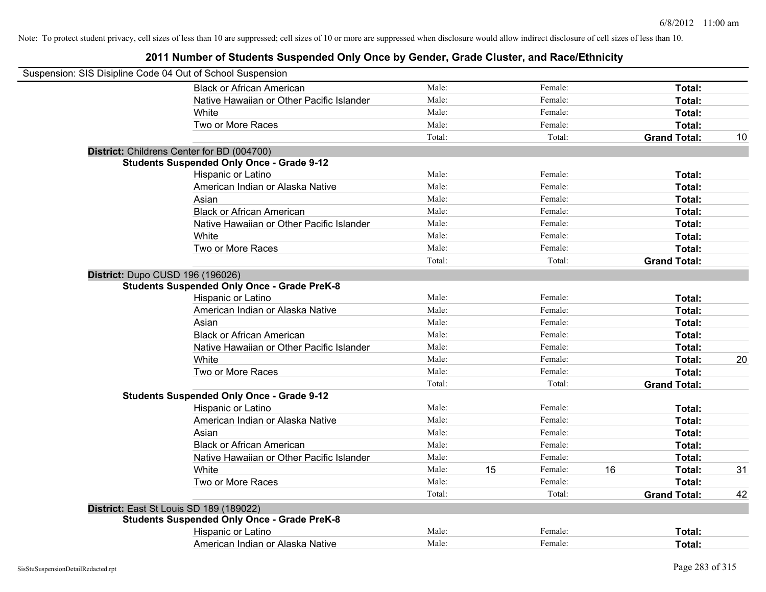| Suspension: SIS Disipline Code 04 Out of School Suspension |                                                    |        |    |         |    |                     |    |
|------------------------------------------------------------|----------------------------------------------------|--------|----|---------|----|---------------------|----|
|                                                            | <b>Black or African American</b>                   | Male:  |    | Female: |    | Total:              |    |
|                                                            | Native Hawaiian or Other Pacific Islander          | Male:  |    | Female: |    | Total:              |    |
|                                                            | White                                              | Male:  |    | Female: |    | Total:              |    |
|                                                            | Two or More Races                                  | Male:  |    | Female: |    | Total:              |    |
|                                                            |                                                    | Total: |    | Total:  |    | <b>Grand Total:</b> | 10 |
|                                                            | District: Childrens Center for BD (004700)         |        |    |         |    |                     |    |
|                                                            | <b>Students Suspended Only Once - Grade 9-12</b>   |        |    |         |    |                     |    |
|                                                            | Hispanic or Latino                                 | Male:  |    | Female: |    | Total:              |    |
|                                                            | American Indian or Alaska Native                   | Male:  |    | Female: |    | Total:              |    |
|                                                            | Asian                                              | Male:  |    | Female: |    | Total:              |    |
|                                                            | <b>Black or African American</b>                   | Male:  |    | Female: |    | Total:              |    |
|                                                            | Native Hawaiian or Other Pacific Islander          | Male:  |    | Female: |    | Total:              |    |
|                                                            | White                                              | Male:  |    | Female: |    | Total:              |    |
|                                                            | Two or More Races                                  | Male:  |    | Female: |    | Total:              |    |
|                                                            |                                                    | Total: |    | Total:  |    | <b>Grand Total:</b> |    |
|                                                            | District: Dupo CUSD 196 (196026)                   |        |    |         |    |                     |    |
|                                                            | <b>Students Suspended Only Once - Grade PreK-8</b> |        |    |         |    |                     |    |
|                                                            | Hispanic or Latino                                 | Male:  |    | Female: |    | Total:              |    |
|                                                            | American Indian or Alaska Native                   | Male:  |    | Female: |    | Total:              |    |
|                                                            | Asian                                              | Male:  |    | Female: |    | Total:              |    |
|                                                            | <b>Black or African American</b>                   | Male:  |    | Female: |    | Total:              |    |
|                                                            | Native Hawaiian or Other Pacific Islander          | Male:  |    | Female: |    | Total:              |    |
|                                                            | White                                              | Male:  |    | Female: |    | Total:              | 20 |
|                                                            | Two or More Races                                  | Male:  |    | Female: |    | Total:              |    |
|                                                            |                                                    | Total: |    | Total:  |    | <b>Grand Total:</b> |    |
|                                                            | <b>Students Suspended Only Once - Grade 9-12</b>   |        |    |         |    |                     |    |
|                                                            | Hispanic or Latino                                 | Male:  |    | Female: |    | Total:              |    |
|                                                            | American Indian or Alaska Native                   | Male:  |    | Female: |    | Total:              |    |
|                                                            | Asian                                              | Male:  |    | Female: |    | Total:              |    |
|                                                            | <b>Black or African American</b>                   | Male:  |    | Female: |    | Total:              |    |
|                                                            | Native Hawaiian or Other Pacific Islander          | Male:  |    | Female: |    | Total:              |    |
|                                                            | White                                              | Male:  | 15 | Female: | 16 | Total:              | 31 |
|                                                            | Two or More Races                                  | Male:  |    | Female: |    | Total:              |    |
|                                                            |                                                    | Total: |    | Total:  |    | <b>Grand Total:</b> | 42 |
|                                                            | District: East St Louis SD 189 (189022)            |        |    |         |    |                     |    |
|                                                            | <b>Students Suspended Only Once - Grade PreK-8</b> |        |    |         |    |                     |    |
|                                                            | Hispanic or Latino                                 | Male:  |    | Female: |    | Total:              |    |
|                                                            | American Indian or Alaska Native                   | Male:  |    | Female: |    | Total:              |    |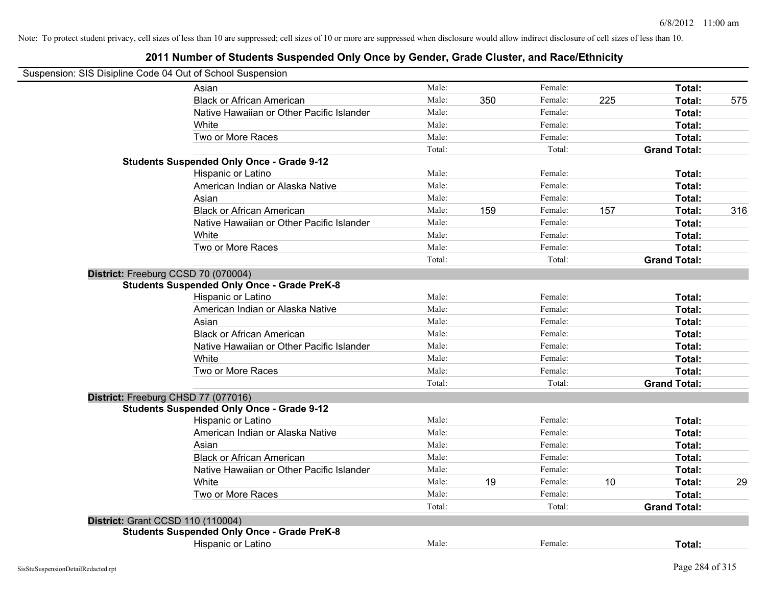#### **2011 Number of Students Suspended Only Once by Gender, Grade Cluster, and Race/Ethnicity**

# Suspension: SIS Disipline Code 04 Out of School Suspension

| Asian                                              | Male:  |     | Female: |     | Total:              |     |
|----------------------------------------------------|--------|-----|---------|-----|---------------------|-----|
| <b>Black or African American</b>                   | Male:  | 350 | Female: | 225 | Total:              | 575 |
| Native Hawaiian or Other Pacific Islander          | Male:  |     | Female: |     | Total:              |     |
| White                                              | Male:  |     | Female: |     | Total:              |     |
| Two or More Races                                  | Male:  |     | Female: |     | Total:              |     |
|                                                    | Total: |     | Total:  |     | <b>Grand Total:</b> |     |
| <b>Students Suspended Only Once - Grade 9-12</b>   |        |     |         |     |                     |     |
| Hispanic or Latino                                 | Male:  |     | Female: |     | Total:              |     |
| American Indian or Alaska Native                   | Male:  |     | Female: |     | Total:              |     |
| Asian                                              | Male:  |     | Female: |     | Total:              |     |
| <b>Black or African American</b>                   | Male:  | 159 | Female: | 157 | Total:              | 316 |
| Native Hawaiian or Other Pacific Islander          | Male:  |     | Female: |     | Total:              |     |
| White                                              | Male:  |     | Female: |     | Total:              |     |
| Two or More Races                                  | Male:  |     | Female: |     | Total:              |     |
|                                                    | Total: |     | Total:  |     | <b>Grand Total:</b> |     |
| District: Freeburg CCSD 70 (070004)                |        |     |         |     |                     |     |
| <b>Students Suspended Only Once - Grade PreK-8</b> |        |     |         |     |                     |     |
| Hispanic or Latino                                 | Male:  |     | Female: |     | Total:              |     |
| American Indian or Alaska Native                   | Male:  |     | Female: |     | Total:              |     |
| Asian                                              | Male:  |     | Female: |     | Total:              |     |
| <b>Black or African American</b>                   | Male:  |     | Female: |     | Total:              |     |
| Native Hawaiian or Other Pacific Islander          | Male:  |     | Female: |     | Total:              |     |
| White                                              | Male:  |     | Female: |     | Total:              |     |
| Two or More Races                                  | Male:  |     | Female: |     | Total:              |     |
|                                                    | Total: |     | Total:  |     | <b>Grand Total:</b> |     |
| District: Freeburg CHSD 77 (077016)                |        |     |         |     |                     |     |
| <b>Students Suspended Only Once - Grade 9-12</b>   |        |     |         |     |                     |     |
| Hispanic or Latino                                 | Male:  |     | Female: |     | Total:              |     |
| American Indian or Alaska Native                   | Male:  |     | Female: |     | Total:              |     |
| Asian                                              | Male:  |     | Female: |     | Total:              |     |
| <b>Black or African American</b>                   | Male:  |     | Female: |     | Total:              |     |
| Native Hawaiian or Other Pacific Islander          | Male:  |     | Female: |     | Total:              |     |
| White                                              | Male:  | 19  | Female: | 10  | Total:              | 29  |
| Two or More Races                                  | Male:  |     | Female: |     | Total:              |     |
|                                                    | Total: |     | Total:  |     | <b>Grand Total:</b> |     |
| <b>District: Grant CCSD 110 (110004)</b>           |        |     |         |     |                     |     |
| <b>Students Suspended Only Once - Grade PreK-8</b> |        |     |         |     |                     |     |
| Hispanic or Latino                                 | Male:  |     | Female: |     | <b>Total:</b>       |     |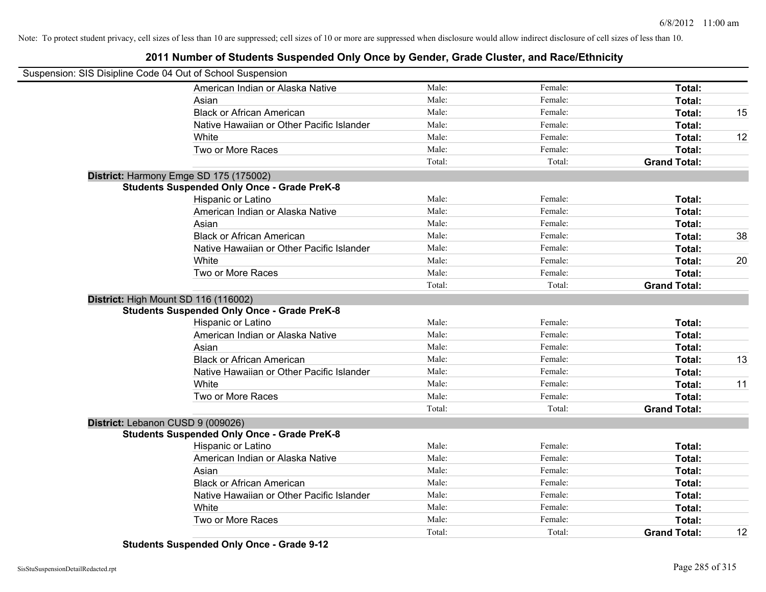#### **2011 Number of Students Suspended Only Once by Gender, Grade Cluster, and Race/Ethnicity**

| Suspension: SIS Disipline Code 04 Out of School Suspension |                                                    |        |         |                     |    |
|------------------------------------------------------------|----------------------------------------------------|--------|---------|---------------------|----|
|                                                            | American Indian or Alaska Native                   | Male:  | Female: | Total:              |    |
|                                                            | Asian                                              | Male:  | Female: | Total:              |    |
|                                                            | <b>Black or African American</b>                   | Male:  | Female: | Total:              | 15 |
|                                                            | Native Hawaiian or Other Pacific Islander          | Male:  | Female: | Total:              |    |
|                                                            | White                                              | Male:  | Female: | Total:              | 12 |
|                                                            | Two or More Races                                  | Male:  | Female: | Total:              |    |
|                                                            |                                                    | Total: | Total:  | <b>Grand Total:</b> |    |
|                                                            | District: Harmony Emge SD 175 (175002)             |        |         |                     |    |
|                                                            | <b>Students Suspended Only Once - Grade PreK-8</b> |        |         |                     |    |
|                                                            | Hispanic or Latino                                 | Male:  | Female: | Total:              |    |
|                                                            | American Indian or Alaska Native                   | Male:  | Female: | Total:              |    |
|                                                            | Asian                                              | Male:  | Female: | Total:              |    |
|                                                            | <b>Black or African American</b>                   | Male:  | Female: | Total:              | 38 |
|                                                            | Native Hawaiian or Other Pacific Islander          | Male:  | Female: | Total:              |    |
|                                                            | White                                              | Male:  | Female: | Total:              | 20 |
|                                                            | Two or More Races                                  | Male:  | Female: | Total:              |    |
|                                                            |                                                    | Total: | Total:  | <b>Grand Total:</b> |    |
|                                                            | District: High Mount SD 116 (116002)               |        |         |                     |    |
|                                                            | <b>Students Suspended Only Once - Grade PreK-8</b> |        |         |                     |    |
|                                                            | Hispanic or Latino                                 | Male:  | Female: | Total:              |    |
|                                                            | American Indian or Alaska Native                   | Male:  | Female: | Total:              |    |
|                                                            | Asian                                              | Male:  | Female: | Total:              |    |
|                                                            | <b>Black or African American</b>                   | Male:  | Female: | Total:              | 13 |
|                                                            | Native Hawaiian or Other Pacific Islander          | Male:  | Female: | Total:              |    |
|                                                            | White                                              | Male:  | Female: | Total:              | 11 |
|                                                            | Two or More Races                                  | Male:  | Female: | Total:              |    |
|                                                            |                                                    | Total: | Total:  | <b>Grand Total:</b> |    |
|                                                            | District: Lebanon CUSD 9 (009026)                  |        |         |                     |    |
|                                                            | <b>Students Suspended Only Once - Grade PreK-8</b> |        |         |                     |    |
|                                                            | Hispanic or Latino                                 | Male:  | Female: | Total:              |    |
|                                                            | American Indian or Alaska Native                   | Male:  | Female: | Total:              |    |
|                                                            | Asian                                              | Male:  | Female: | Total:              |    |
|                                                            | <b>Black or African American</b>                   | Male:  | Female: | Total:              |    |
|                                                            | Native Hawaiian or Other Pacific Islander          | Male:  | Female: | Total:              |    |
|                                                            | White                                              | Male:  | Female: | Total:              |    |
|                                                            | Two or More Races                                  | Male:  | Female: | Total:              |    |
|                                                            |                                                    | Total: | Total:  | <b>Grand Total:</b> | 12 |

**Students Suspended Only Once - Grade 9-12**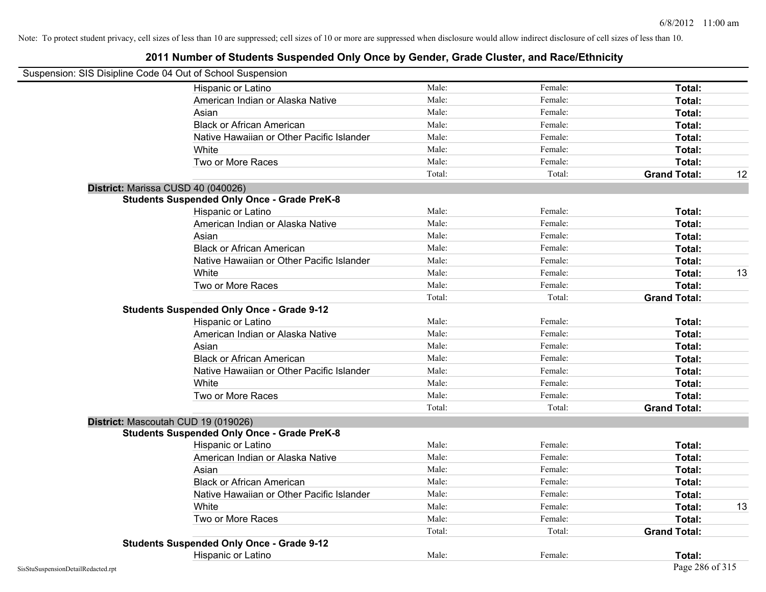| Suspension: SIS Disipline Code 04 Out of School Suspension |                                                    |        |         |                     |    |
|------------------------------------------------------------|----------------------------------------------------|--------|---------|---------------------|----|
|                                                            | Hispanic or Latino                                 | Male:  | Female: | Total:              |    |
|                                                            | American Indian or Alaska Native                   | Male:  | Female: | Total:              |    |
|                                                            | Asian                                              | Male:  | Female: | Total:              |    |
|                                                            | <b>Black or African American</b>                   | Male:  | Female: | Total:              |    |
|                                                            | Native Hawaiian or Other Pacific Islander          | Male:  | Female: | Total:              |    |
|                                                            | White                                              | Male:  | Female: | Total:              |    |
|                                                            | Two or More Races                                  | Male:  | Female: | Total:              |    |
|                                                            |                                                    | Total: | Total:  | <b>Grand Total:</b> | 12 |
|                                                            | District: Marissa CUSD 40 (040026)                 |        |         |                     |    |
|                                                            | <b>Students Suspended Only Once - Grade PreK-8</b> |        |         |                     |    |
|                                                            | Hispanic or Latino                                 | Male:  | Female: | Total:              |    |
|                                                            | American Indian or Alaska Native                   | Male:  | Female: | Total:              |    |
|                                                            | Asian                                              | Male:  | Female: | Total:              |    |
|                                                            | <b>Black or African American</b>                   | Male:  | Female: | Total:              |    |
|                                                            | Native Hawaiian or Other Pacific Islander          | Male:  | Female: | Total:              |    |
|                                                            | White                                              | Male:  | Female: | Total:              | 13 |
|                                                            | Two or More Races                                  | Male:  | Female: | Total:              |    |
|                                                            |                                                    | Total: | Total:  | <b>Grand Total:</b> |    |
|                                                            | <b>Students Suspended Only Once - Grade 9-12</b>   |        |         |                     |    |
|                                                            | Hispanic or Latino                                 | Male:  | Female: | Total:              |    |
|                                                            | American Indian or Alaska Native                   | Male:  | Female: | Total:              |    |
|                                                            | Asian                                              | Male:  | Female: | Total:              |    |
|                                                            | <b>Black or African American</b>                   | Male:  | Female: | Total:              |    |
|                                                            | Native Hawaiian or Other Pacific Islander          | Male:  | Female: | Total:              |    |
|                                                            | White                                              | Male:  | Female: | Total:              |    |
|                                                            | Two or More Races                                  | Male:  | Female: | Total:              |    |
|                                                            |                                                    | Total: | Total:  | <b>Grand Total:</b> |    |
|                                                            | District: Mascoutah CUD 19 (019026)                |        |         |                     |    |
|                                                            | <b>Students Suspended Only Once - Grade PreK-8</b> |        |         |                     |    |
|                                                            | Hispanic or Latino                                 | Male:  | Female: | Total:              |    |
|                                                            | American Indian or Alaska Native                   | Male:  | Female: | Total:              |    |
|                                                            | Asian                                              | Male:  | Female: | Total:              |    |
|                                                            | <b>Black or African American</b>                   | Male:  | Female: | Total:              |    |
|                                                            | Native Hawaiian or Other Pacific Islander          | Male:  | Female: | Total:              |    |
|                                                            | White                                              | Male:  | Female: | Total:              | 13 |
|                                                            | Two or More Races                                  | Male:  | Female: | Total:              |    |
|                                                            |                                                    | Total: | Total:  | <b>Grand Total:</b> |    |
|                                                            | <b>Students Suspended Only Once - Grade 9-12</b>   |        |         |                     |    |
|                                                            | Hispanic or Latino                                 | Male:  | Female: | Total:              |    |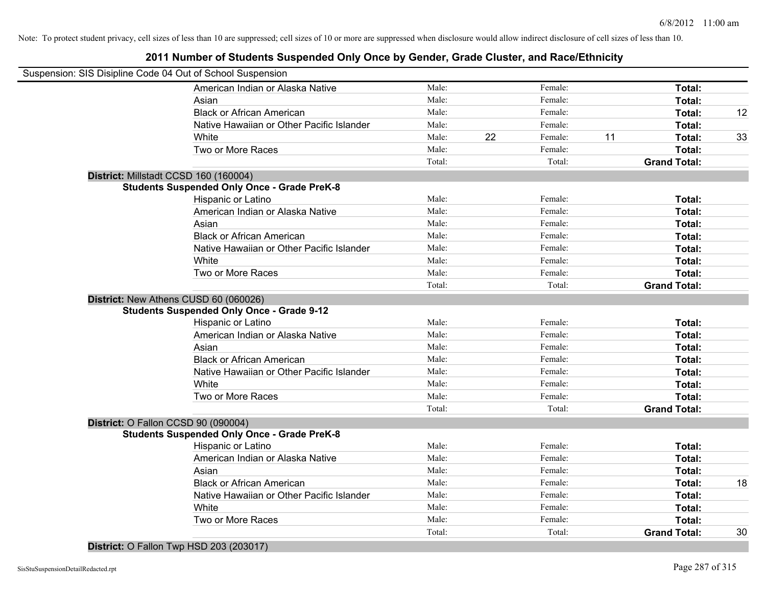#### **2011 Number of Students Suspended Only Once by Gender, Grade Cluster, and Race/Ethnicity**

| Suspension: SIS Disipline Code 04 Out of School Suspension |                                                    |                |    |         |    |                     |    |
|------------------------------------------------------------|----------------------------------------------------|----------------|----|---------|----|---------------------|----|
|                                                            | American Indian or Alaska Native                   | Male:          |    | Female: |    | Total:              |    |
|                                                            | Asian                                              | Male:          |    | Female: |    | Total:              |    |
|                                                            | <b>Black or African American</b>                   | Male:          |    | Female: |    | Total:              | 12 |
|                                                            | Native Hawaiian or Other Pacific Islander          | Male:          |    | Female: |    | Total:              |    |
|                                                            | White                                              | Male:          | 22 | Female: | 11 | Total:              | 33 |
|                                                            | Two or More Races                                  | Male:          |    | Female: |    | Total:              |    |
|                                                            |                                                    | Total:         |    | Total:  |    | <b>Grand Total:</b> |    |
|                                                            | District: Millstadt CCSD 160 (160004)              |                |    |         |    |                     |    |
|                                                            | <b>Students Suspended Only Once - Grade PreK-8</b> |                |    |         |    |                     |    |
|                                                            | Hispanic or Latino                                 | Male:          |    | Female: |    | Total:              |    |
|                                                            | American Indian or Alaska Native                   | Male:          |    | Female: |    | Total:              |    |
|                                                            | Asian                                              | Male:          |    | Female: |    | Total:              |    |
|                                                            | <b>Black or African American</b>                   | Male:          |    | Female: |    | Total:              |    |
|                                                            | Native Hawaiian or Other Pacific Islander          | Male:          |    | Female: |    | Total:              |    |
|                                                            | White                                              | Male:          |    | Female: |    | Total:              |    |
|                                                            | Two or More Races                                  | Male:          |    | Female: |    | Total:              |    |
|                                                            |                                                    | Total:         |    | Total:  |    | <b>Grand Total:</b> |    |
|                                                            | District: New Athens CUSD 60 (060026)              |                |    |         |    |                     |    |
|                                                            | <b>Students Suspended Only Once - Grade 9-12</b>   |                |    |         |    |                     |    |
|                                                            | Hispanic or Latino                                 | Male:          |    | Female: |    | Total:              |    |
|                                                            | American Indian or Alaska Native                   | Male:          |    | Female: |    | Total:              |    |
|                                                            | Asian                                              | Male:          |    | Female: |    | Total:              |    |
|                                                            | <b>Black or African American</b>                   | Male:          |    | Female: |    | Total:              |    |
|                                                            | Native Hawaiian or Other Pacific Islander          | Male:          |    | Female: |    | Total:              |    |
|                                                            | White                                              | Male:          |    | Female: |    | Total:              |    |
|                                                            | Two or More Races                                  | Male:          |    | Female: |    | Total:              |    |
|                                                            |                                                    | Total:         |    | Total:  |    | <b>Grand Total:</b> |    |
|                                                            | District: O Fallon CCSD 90 (090004)                |                |    |         |    |                     |    |
|                                                            | <b>Students Suspended Only Once - Grade PreK-8</b> |                |    |         |    |                     |    |
|                                                            | Hispanic or Latino                                 | Male:<br>Male: |    | Female: |    | Total:              |    |
|                                                            | American Indian or Alaska Native                   |                |    | Female: |    | Total:              |    |
|                                                            | Asian                                              | Male:          |    | Female: |    | Total:              |    |
|                                                            | <b>Black or African American</b>                   | Male:          |    | Female: |    | Total:              | 18 |
|                                                            | Native Hawaiian or Other Pacific Islander          | Male:          |    | Female: |    | Total:              |    |
|                                                            | White                                              | Male:          |    | Female: |    | Total:              |    |
|                                                            | Two or More Races                                  | Male:          |    | Female: |    | Total:              |    |
|                                                            |                                                    | Total:         |    | Total:  |    | <b>Grand Total:</b> | 30 |

**District:** O Fallon Twp HSD 203 (203017)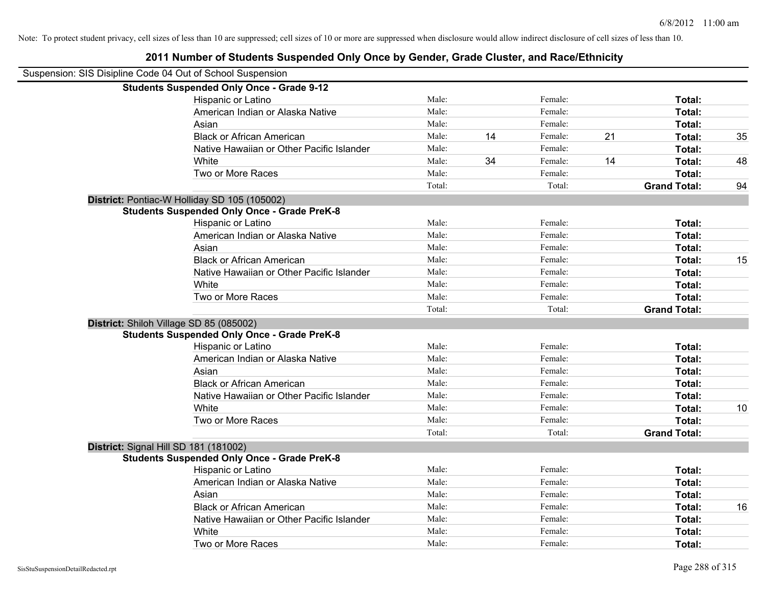| 2011 Number of Students Suspended Only Once by Gender, Grade Cluster, and Race/Ethnicity |        |    |         |    |                     |    |
|------------------------------------------------------------------------------------------|--------|----|---------|----|---------------------|----|
| Suspension: SIS Disipline Code 04 Out of School Suspension                               |        |    |         |    |                     |    |
| <b>Students Suspended Only Once - Grade 9-12</b>                                         |        |    |         |    |                     |    |
| Hispanic or Latino                                                                       | Male:  |    | Female: |    | Total:              |    |
| American Indian or Alaska Native                                                         | Male:  |    | Female: |    | Total:              |    |
| Asian                                                                                    | Male:  |    | Female: |    | Total:              |    |
| <b>Black or African American</b>                                                         | Male:  | 14 | Female: | 21 | Total:              | 35 |
| Native Hawaiian or Other Pacific Islander                                                | Male:  |    | Female: |    | Total:              |    |
| White                                                                                    | Male:  | 34 | Female: | 14 | Total:              | 48 |
| Two or More Races                                                                        | Male:  |    | Female: |    | Total:              |    |
|                                                                                          | Total: |    | Total:  |    | <b>Grand Total:</b> | 94 |
| District: Pontiac-W Holliday SD 105 (105002)                                             |        |    |         |    |                     |    |
| <b>Students Suspended Only Once - Grade PreK-8</b>                                       |        |    |         |    |                     |    |
| Hispanic or Latino                                                                       | Male:  |    | Female: |    | Total:              |    |
| American Indian or Alaska Native                                                         | Male:  |    | Female: |    | Total:              |    |
| Asian                                                                                    | Male:  |    | Female: |    | Total:              |    |
| <b>Black or African American</b>                                                         | Male:  |    | Female: |    | Total:              | 15 |
| Native Hawaiian or Other Pacific Islander                                                | Male:  |    | Female: |    | Total:              |    |
| White                                                                                    | Male:  |    | Female: |    | Total:              |    |
| Two or More Races                                                                        | Male:  |    | Female: |    | Total:              |    |
|                                                                                          | Total: |    | Total:  |    | <b>Grand Total:</b> |    |
| District: Shiloh Village SD 85 (085002)                                                  |        |    |         |    |                     |    |
| <b>Students Suspended Only Once - Grade PreK-8</b>                                       |        |    |         |    |                     |    |
| Hispanic or Latino                                                                       | Male:  |    | Female: |    | Total:              |    |
| American Indian or Alaska Native                                                         | Male:  |    | Female: |    | Total:              |    |
| Asian                                                                                    | Male:  |    | Female: |    | Total:              |    |
| <b>Black or African American</b>                                                         | Male:  |    | Female: |    | Total:              |    |
| Native Hawaiian or Other Pacific Islander                                                | Male:  |    | Female: |    | Total:              |    |
| White                                                                                    | Male:  |    | Female: |    | Total:              | 10 |
| Two or More Races                                                                        | Male:  |    | Female: |    | Total:              |    |
|                                                                                          | Total: |    | Total:  |    | <b>Grand Total:</b> |    |
| District: Signal Hill SD 181 (181002)                                                    |        |    |         |    |                     |    |
| <b>Students Suspended Only Once - Grade PreK-8</b>                                       |        |    |         |    |                     |    |
| Hispanic or Latino                                                                       | Male:  |    | Female: |    | Total:              |    |
| American Indian or Alaska Native                                                         | Male:  |    | Female: |    | Total:              |    |
| Asian                                                                                    | Male:  |    | Female: |    | Total:              |    |
| <b>Black or African American</b>                                                         | Male:  |    | Female: |    | Total:              | 16 |
| Native Hawaiian or Other Pacific Islander                                                | Male:  |    | Female: |    | Total:              |    |
| White                                                                                    | Male:  |    | Female: |    | Total:              |    |
| Two or More Races                                                                        | Male:  |    | Female: |    | Total:              |    |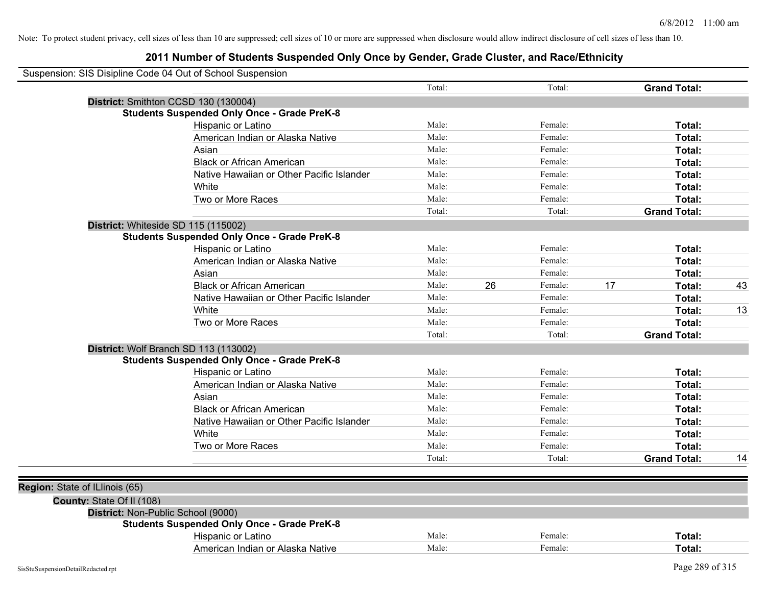| Suspension: SIS Disipline Code 04 Out of School Suspension |                                                    |        |    |         |    |                     |    |
|------------------------------------------------------------|----------------------------------------------------|--------|----|---------|----|---------------------|----|
|                                                            |                                                    | Total: |    | Total:  |    | <b>Grand Total:</b> |    |
|                                                            | District: Smithton CCSD 130 (130004)               |        |    |         |    |                     |    |
|                                                            | <b>Students Suspended Only Once - Grade PreK-8</b> |        |    |         |    |                     |    |
|                                                            | Hispanic or Latino                                 | Male:  |    | Female: |    | Total:              |    |
|                                                            | American Indian or Alaska Native                   | Male:  |    | Female: |    | Total:              |    |
|                                                            | Asian                                              | Male:  |    | Female: |    | Total:              |    |
|                                                            | <b>Black or African American</b>                   | Male:  |    | Female: |    | Total:              |    |
|                                                            | Native Hawaiian or Other Pacific Islander          | Male:  |    | Female: |    | Total:              |    |
|                                                            | White                                              | Male:  |    | Female: |    | Total:              |    |
|                                                            | Two or More Races                                  | Male:  |    | Female: |    | Total:              |    |
|                                                            |                                                    | Total: |    | Total:  |    | <b>Grand Total:</b> |    |
|                                                            | District: Whiteside SD 115 (115002)                |        |    |         |    |                     |    |
|                                                            | <b>Students Suspended Only Once - Grade PreK-8</b> |        |    |         |    |                     |    |
|                                                            | Hispanic or Latino                                 | Male:  |    | Female: |    | Total:              |    |
|                                                            | American Indian or Alaska Native                   | Male:  |    | Female: |    | Total:              |    |
|                                                            | Asian                                              | Male:  |    | Female: |    | Total:              |    |
|                                                            | <b>Black or African American</b>                   | Male:  | 26 | Female: | 17 | Total:              | 43 |
|                                                            | Native Hawaiian or Other Pacific Islander          | Male:  |    | Female: |    | Total:              |    |
|                                                            | White                                              | Male:  |    | Female: |    | Total:              | 13 |
|                                                            | Two or More Races                                  | Male:  |    | Female: |    | Total:              |    |
|                                                            |                                                    | Total: |    | Total:  |    | <b>Grand Total:</b> |    |
|                                                            | District: Wolf Branch SD 113 (113002)              |        |    |         |    |                     |    |
|                                                            | <b>Students Suspended Only Once - Grade PreK-8</b> |        |    |         |    |                     |    |
|                                                            | Hispanic or Latino                                 | Male:  |    | Female: |    | Total:              |    |
|                                                            | American Indian or Alaska Native                   | Male:  |    | Female: |    | Total:              |    |
|                                                            | Asian                                              | Male:  |    | Female: |    | Total:              |    |
|                                                            | <b>Black or African American</b>                   | Male:  |    | Female: |    | Total:              |    |
|                                                            | Native Hawaiian or Other Pacific Islander          | Male:  |    | Female: |    | Total:              |    |
|                                                            | White                                              | Male:  |    | Female: |    | Total:              |    |
|                                                            | Two or More Races                                  | Male:  |    | Female: |    | Total:              |    |
|                                                            |                                                    | Total: |    | Total:  |    | <b>Grand Total:</b> | 14 |
|                                                            |                                                    |        |    |         |    |                     |    |
| Region: State of ILlinois (65)                             |                                                    |        |    |         |    |                     |    |
| County: State Of II (108)                                  |                                                    |        |    |         |    |                     |    |
|                                                            | District: Non-Public School (9000)                 |        |    |         |    |                     |    |
|                                                            | <b>Students Suspended Only Once - Grade PreK-8</b> |        |    |         |    |                     |    |
|                                                            | Hispanic or Latino                                 | Male:  |    | Female: |    | Total:              |    |
|                                                            | American Indian or Alaska Native                   | Male:  |    | Female: |    | Total:              |    |
|                                                            |                                                    |        |    |         |    |                     |    |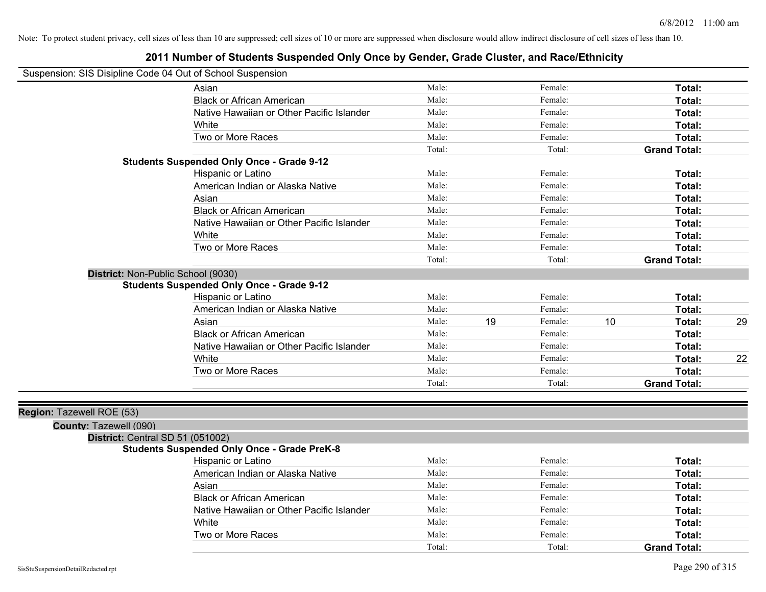# **2011 Number of Students Suspended Only Once by Gender, Grade Cluster, and Race/Ethnicity**

| Suspension: SIS Disipline Code 04 Out of School Suspension |
|------------------------------------------------------------|
|------------------------------------------------------------|

| ousperision. Jos Disiplifie Code 04 Out of Scribol Susperision |                                                    |        |    |         |    |                     |    |
|----------------------------------------------------------------|----------------------------------------------------|--------|----|---------|----|---------------------|----|
|                                                                | Asian                                              | Male:  |    | Female: |    | Total:              |    |
|                                                                | <b>Black or African American</b>                   | Male:  |    | Female: |    | Total:              |    |
|                                                                | Native Hawaiian or Other Pacific Islander          | Male:  |    | Female: |    | Total:              |    |
|                                                                | White                                              | Male:  |    | Female: |    | Total:              |    |
|                                                                | Two or More Races                                  | Male:  |    | Female: |    | Total:              |    |
|                                                                |                                                    | Total: |    | Total:  |    | <b>Grand Total:</b> |    |
|                                                                | <b>Students Suspended Only Once - Grade 9-12</b>   |        |    |         |    |                     |    |
|                                                                | Hispanic or Latino                                 | Male:  |    | Female: |    | Total:              |    |
|                                                                | American Indian or Alaska Native                   | Male:  |    | Female: |    | Total:              |    |
|                                                                | Asian                                              | Male:  |    | Female: |    | Total:              |    |
|                                                                | <b>Black or African American</b>                   | Male:  |    | Female: |    | Total:              |    |
|                                                                | Native Hawaiian or Other Pacific Islander          | Male:  |    | Female: |    | Total:              |    |
|                                                                | White                                              | Male:  |    | Female: |    | Total:              |    |
|                                                                | Two or More Races                                  | Male:  |    | Female: |    | Total:              |    |
|                                                                |                                                    | Total: |    | Total:  |    | <b>Grand Total:</b> |    |
| District: Non-Public School (9030)                             |                                                    |        |    |         |    |                     |    |
|                                                                | <b>Students Suspended Only Once - Grade 9-12</b>   |        |    |         |    |                     |    |
|                                                                | Hispanic or Latino                                 | Male:  |    | Female: |    | Total:              |    |
|                                                                | American Indian or Alaska Native                   | Male:  |    | Female: |    | Total:              |    |
|                                                                | Asian                                              | Male:  | 19 | Female: | 10 | Total:              | 29 |
|                                                                | <b>Black or African American</b>                   | Male:  |    | Female: |    | <b>Total:</b>       |    |
|                                                                | Native Hawaiian or Other Pacific Islander          | Male:  |    | Female: |    | Total:              |    |
|                                                                | White                                              | Male:  |    | Female: |    | Total:              | 22 |
|                                                                | Two or More Races                                  | Male:  |    | Female: |    | Total:              |    |
|                                                                |                                                    | Total: |    | Total:  |    | <b>Grand Total:</b> |    |
|                                                                |                                                    |        |    |         |    |                     |    |
| Region: Tazewell ROE (53)                                      |                                                    |        |    |         |    |                     |    |
| County: Tazewell (090)                                         |                                                    |        |    |         |    |                     |    |
| District: Central SD 51 (051002)                               |                                                    |        |    |         |    |                     |    |
|                                                                | <b>Students Suspended Only Once - Grade PreK-8</b> |        |    |         |    |                     |    |
|                                                                | Hispanic or Latino                                 | Male:  |    | Female: |    | Total:              |    |
|                                                                | American Indian or Alaska Native                   | Male:  |    | Female: |    | Total:              |    |
|                                                                | Asian                                              | Male:  |    | Female: |    | Total:              |    |
|                                                                | <b>Black or African American</b>                   | Male:  |    | Female: |    | Total:              |    |
|                                                                | Native Hawaiian or Other Pacific Islander          | Male:  |    | Female: |    | Total:              |    |
|                                                                | White                                              | Male:  |    | Female: |    | Total:              |    |
|                                                                |                                                    |        |    |         |    |                     |    |

Two or More Races **Total:** Male: Female: Female: **Total:** Total:

Total: Total: **Grand Total:**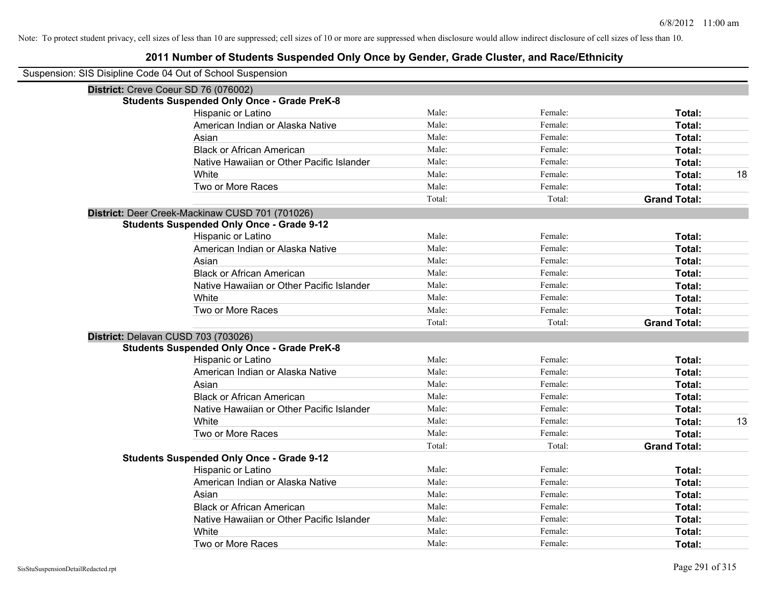| Suspension: SIS Disipline Code 04 Out of School Suspension |        |         |                     |
|------------------------------------------------------------|--------|---------|---------------------|
| District: Creve Coeur SD 76 (076002)                       |        |         |                     |
| <b>Students Suspended Only Once - Grade PreK-8</b>         |        |         |                     |
| Hispanic or Latino                                         | Male:  | Female: | Total:              |
| American Indian or Alaska Native                           | Male:  | Female: | Total:              |
| Asian                                                      | Male:  | Female: | Total:              |
| <b>Black or African American</b>                           | Male:  | Female: | Total:              |
| Native Hawaiian or Other Pacific Islander                  | Male:  | Female: | Total:              |
| White                                                      | Male:  | Female: | 18<br>Total:        |
| Two or More Races                                          | Male:  | Female: | Total:              |
|                                                            | Total: | Total:  | <b>Grand Total:</b> |
| District: Deer Creek-Mackinaw CUSD 701 (701026)            |        |         |                     |
| <b>Students Suspended Only Once - Grade 9-12</b>           |        |         |                     |
| Hispanic or Latino                                         | Male:  | Female: | Total:              |
| American Indian or Alaska Native                           | Male:  | Female: | Total:              |
| Asian                                                      | Male:  | Female: | Total:              |
| <b>Black or African American</b>                           | Male:  | Female: | Total:              |
| Native Hawaiian or Other Pacific Islander                  | Male:  | Female: | Total:              |
| White                                                      | Male:  | Female: | Total:              |
| Two or More Races                                          | Male:  | Female: | Total:              |
|                                                            | Total: | Total:  | <b>Grand Total:</b> |
| District: Delavan CUSD 703 (703026)                        |        |         |                     |
| <b>Students Suspended Only Once - Grade PreK-8</b>         |        |         |                     |
| Hispanic or Latino                                         | Male:  | Female: | Total:              |
| American Indian or Alaska Native                           | Male:  | Female: | Total:              |
| Asian                                                      | Male:  | Female: | Total:              |
| <b>Black or African American</b>                           | Male:  | Female: | Total:              |
| Native Hawaiian or Other Pacific Islander                  | Male:  | Female: | Total:              |
| White                                                      | Male:  | Female: | Total:<br>13        |
| Two or More Races                                          | Male:  | Female: | Total:              |
|                                                            | Total: | Total:  | <b>Grand Total:</b> |
| <b>Students Suspended Only Once - Grade 9-12</b>           |        |         |                     |
| Hispanic or Latino                                         | Male:  | Female: | Total:              |
| American Indian or Alaska Native                           | Male:  | Female: | Total:              |
| Asian                                                      | Male:  | Female: | Total:              |
| <b>Black or African American</b>                           | Male:  | Female: | Total:              |
| Native Hawaiian or Other Pacific Islander                  | Male:  | Female: | Total:              |
| White                                                      | Male:  | Female: | Total:              |
| Two or More Races                                          | Male:  | Female: | Total:              |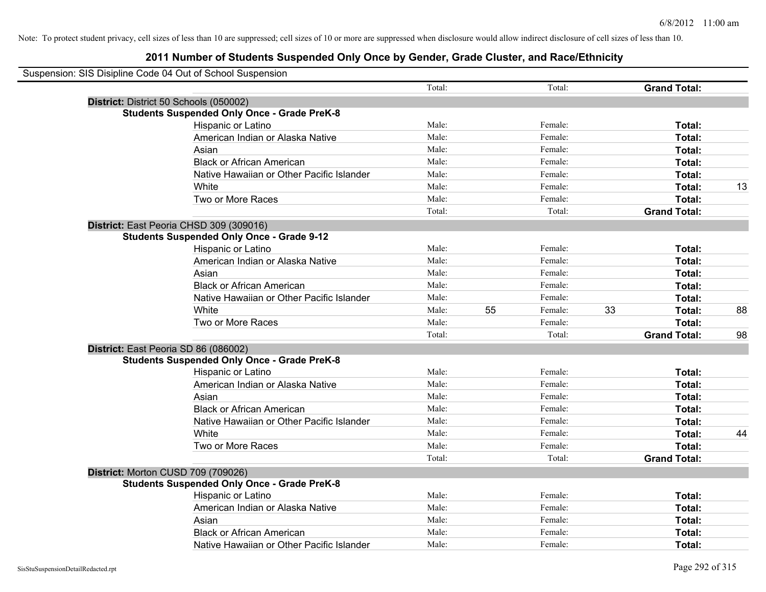| Suspension: SIS Disipline Code 04 Out of School Suspension |                                                    |        |    |         |    |                     |    |
|------------------------------------------------------------|----------------------------------------------------|--------|----|---------|----|---------------------|----|
|                                                            |                                                    | Total: |    | Total:  |    | <b>Grand Total:</b> |    |
|                                                            | District: District 50 Schools (050002)             |        |    |         |    |                     |    |
|                                                            | <b>Students Suspended Only Once - Grade PreK-8</b> |        |    |         |    |                     |    |
|                                                            | <b>Hispanic or Latino</b>                          | Male:  |    | Female: |    | Total:              |    |
|                                                            | American Indian or Alaska Native                   | Male:  |    | Female: |    | Total:              |    |
|                                                            | Asian                                              | Male:  |    | Female: |    | Total:              |    |
|                                                            | <b>Black or African American</b>                   | Male:  |    | Female: |    | Total:              |    |
|                                                            | Native Hawaiian or Other Pacific Islander          | Male:  |    | Female: |    | Total:              |    |
|                                                            | White                                              | Male:  |    | Female: |    | Total:              | 13 |
|                                                            | Two or More Races                                  | Male:  |    | Female: |    | Total:              |    |
|                                                            |                                                    | Total: |    | Total:  |    | <b>Grand Total:</b> |    |
|                                                            | District: East Peoria CHSD 309 (309016)            |        |    |         |    |                     |    |
|                                                            | <b>Students Suspended Only Once - Grade 9-12</b>   |        |    |         |    |                     |    |
|                                                            | Hispanic or Latino                                 | Male:  |    | Female: |    | Total:              |    |
|                                                            | American Indian or Alaska Native                   | Male:  |    | Female: |    | Total:              |    |
|                                                            | Asian                                              | Male:  |    | Female: |    | Total:              |    |
|                                                            | <b>Black or African American</b>                   | Male:  |    | Female: |    | Total:              |    |
|                                                            | Native Hawaiian or Other Pacific Islander          | Male:  |    | Female: |    | Total:              |    |
|                                                            | White                                              | Male:  | 55 | Female: | 33 | Total:              | 88 |
|                                                            | Two or More Races                                  | Male:  |    | Female: |    | Total:              |    |
|                                                            |                                                    | Total: |    | Total:  |    | <b>Grand Total:</b> | 98 |
|                                                            | District: East Peoria SD 86 (086002)               |        |    |         |    |                     |    |
|                                                            | <b>Students Suspended Only Once - Grade PreK-8</b> |        |    |         |    |                     |    |
|                                                            | Hispanic or Latino                                 | Male:  |    | Female: |    | Total:              |    |
|                                                            | American Indian or Alaska Native                   | Male:  |    | Female: |    | Total:              |    |
|                                                            | Asian                                              | Male:  |    | Female: |    | Total:              |    |
|                                                            | <b>Black or African American</b>                   | Male:  |    | Female: |    | Total:              |    |
|                                                            | Native Hawaiian or Other Pacific Islander          | Male:  |    | Female: |    | Total:              |    |
|                                                            | <b>White</b>                                       | Male:  |    | Female: |    | Total:              | 44 |
|                                                            | Two or More Races                                  | Male:  |    | Female: |    | Total:              |    |
|                                                            |                                                    | Total: |    | Total:  |    | <b>Grand Total:</b> |    |
|                                                            | District: Morton CUSD 709 (709026)                 |        |    |         |    |                     |    |
|                                                            | <b>Students Suspended Only Once - Grade PreK-8</b> |        |    |         |    |                     |    |
|                                                            | Hispanic or Latino                                 | Male:  |    | Female: |    | Total:              |    |
|                                                            | American Indian or Alaska Native                   | Male:  |    | Female: |    | Total:              |    |
|                                                            | Asian                                              | Male:  |    | Female: |    | Total:              |    |
|                                                            | <b>Black or African American</b>                   | Male:  |    | Female: |    | Total:              |    |
|                                                            | Native Hawaiian or Other Pacific Islander          | Male:  |    | Female: |    | Total:              |    |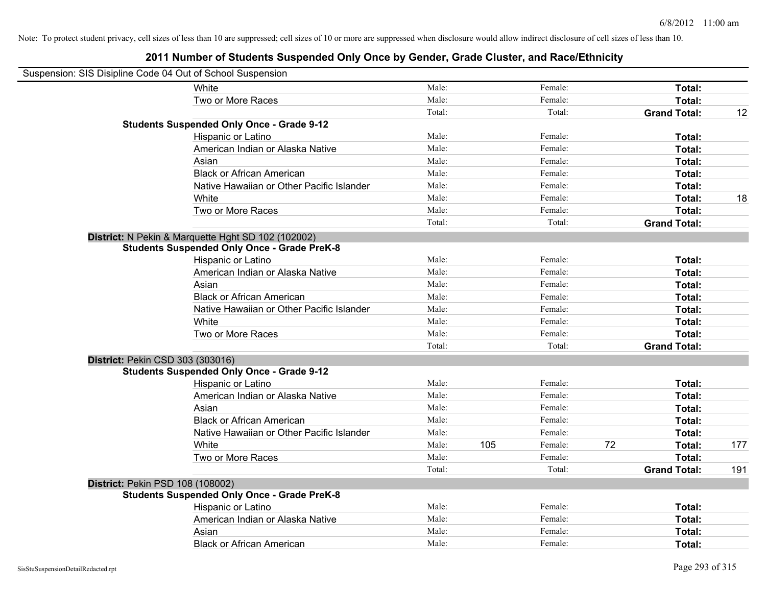| Suspension: SIS Disipline Code 04 Out of School Suspension |                                                    |        |     |         |    |                     |     |
|------------------------------------------------------------|----------------------------------------------------|--------|-----|---------|----|---------------------|-----|
|                                                            | White                                              | Male:  |     | Female: |    | Total:              |     |
|                                                            | Two or More Races                                  | Male:  |     | Female: |    | Total:              |     |
|                                                            |                                                    | Total: |     | Total:  |    | <b>Grand Total:</b> | 12  |
|                                                            | <b>Students Suspended Only Once - Grade 9-12</b>   |        |     |         |    |                     |     |
|                                                            | Hispanic or Latino                                 | Male:  |     | Female: |    | Total:              |     |
|                                                            | American Indian or Alaska Native                   | Male:  |     | Female: |    | Total:              |     |
|                                                            | Asian                                              | Male:  |     | Female: |    | Total:              |     |
|                                                            | <b>Black or African American</b>                   | Male:  |     | Female: |    | Total:              |     |
|                                                            | Native Hawaiian or Other Pacific Islander          | Male:  |     | Female: |    | Total:              |     |
|                                                            | White                                              | Male:  |     | Female: |    | Total:              | 18  |
|                                                            | Two or More Races                                  | Male:  |     | Female: |    | Total:              |     |
|                                                            |                                                    | Total: |     | Total:  |    | <b>Grand Total:</b> |     |
|                                                            | District: N Pekin & Marquette Hght SD 102 (102002) |        |     |         |    |                     |     |
|                                                            | <b>Students Suspended Only Once - Grade PreK-8</b> |        |     |         |    |                     |     |
|                                                            | Hispanic or Latino                                 | Male:  |     | Female: |    | Total:              |     |
|                                                            | American Indian or Alaska Native                   | Male:  |     | Female: |    | Total:              |     |
|                                                            | Asian                                              | Male:  |     | Female: |    | Total:              |     |
|                                                            | <b>Black or African American</b>                   | Male:  |     | Female: |    | Total:              |     |
|                                                            | Native Hawaiian or Other Pacific Islander          | Male:  |     | Female: |    | Total:              |     |
|                                                            | White                                              | Male:  |     | Female: |    | Total:              |     |
|                                                            | Two or More Races                                  | Male:  |     | Female: |    | Total:              |     |
|                                                            |                                                    | Total: |     | Total:  |    | <b>Grand Total:</b> |     |
| District: Pekin CSD 303 (303016)                           |                                                    |        |     |         |    |                     |     |
|                                                            | <b>Students Suspended Only Once - Grade 9-12</b>   |        |     |         |    |                     |     |
|                                                            | Hispanic or Latino                                 | Male:  |     | Female: |    | Total:              |     |
|                                                            | American Indian or Alaska Native                   | Male:  |     | Female: |    | Total:              |     |
|                                                            | Asian                                              | Male:  |     | Female: |    | Total:              |     |
|                                                            | <b>Black or African American</b>                   | Male:  |     | Female: |    | Total:              |     |
|                                                            | Native Hawaiian or Other Pacific Islander          | Male:  |     | Female: |    | Total:              |     |
|                                                            | <b>White</b>                                       | Male:  | 105 | Female: | 72 | Total:              | 177 |
|                                                            | Two or More Races                                  | Male:  |     | Female: |    | Total:              |     |
|                                                            |                                                    | Total: |     | Total:  |    | <b>Grand Total:</b> | 191 |
| District: Pekin PSD 108 (108002)                           |                                                    |        |     |         |    |                     |     |
|                                                            | <b>Students Suspended Only Once - Grade PreK-8</b> |        |     |         |    |                     |     |
|                                                            | Hispanic or Latino                                 | Male:  |     | Female: |    | Total:              |     |
|                                                            | American Indian or Alaska Native                   | Male:  |     | Female: |    | Total:              |     |
|                                                            | Asian                                              | Male:  |     | Female: |    | Total:              |     |
|                                                            | <b>Black or African American</b>                   | Male:  |     | Female: |    | Total:              |     |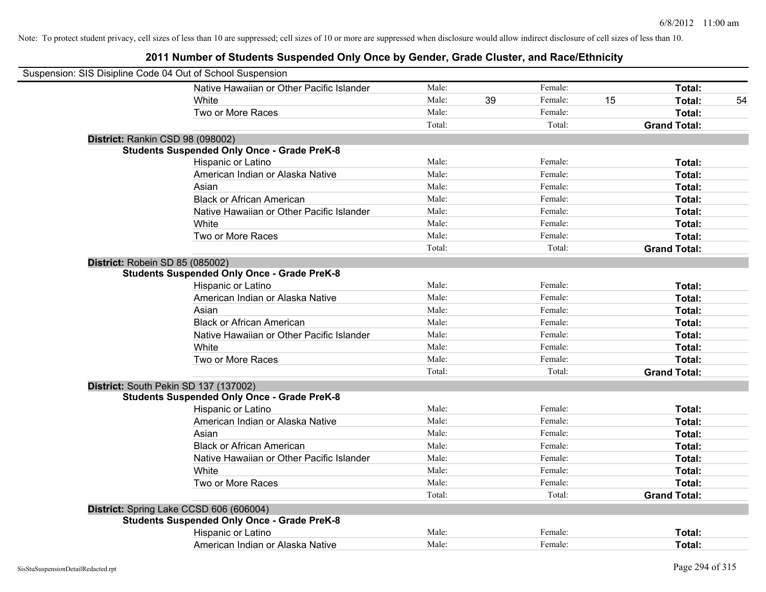| Suspension: SIS Disipline Code 04 Out of School Suspension |        |    |         |    |                     |    |
|------------------------------------------------------------|--------|----|---------|----|---------------------|----|
| Native Hawaiian or Other Pacific Islander                  | Male:  |    | Female: |    | Total:              |    |
| White                                                      | Male:  | 39 | Female: | 15 | Total:              | 54 |
| Two or More Races                                          | Male:  |    | Female: |    | Total:              |    |
|                                                            | Total: |    | Total:  |    | <b>Grand Total:</b> |    |
| District: Rankin CSD 98 (098002)                           |        |    |         |    |                     |    |
| <b>Students Suspended Only Once - Grade PreK-8</b>         |        |    |         |    |                     |    |
| Hispanic or Latino                                         | Male:  |    | Female: |    | Total:              |    |
| American Indian or Alaska Native                           | Male:  |    | Female: |    | Total:              |    |
| Asian                                                      | Male:  |    | Female: |    | Total:              |    |
| <b>Black or African American</b>                           | Male:  |    | Female: |    | Total:              |    |
| Native Hawaiian or Other Pacific Islander                  | Male:  |    | Female: |    | Total:              |    |
| White                                                      | Male:  |    | Female: |    | Total:              |    |
| Two or More Races                                          | Male:  |    | Female: |    | Total:              |    |
|                                                            | Total: |    | Total:  |    | <b>Grand Total:</b> |    |
| District: Robein SD 85 (085002)                            |        |    |         |    |                     |    |
| <b>Students Suspended Only Once - Grade PreK-8</b>         |        |    |         |    |                     |    |
| Hispanic or Latino                                         | Male:  |    | Female: |    | Total:              |    |
| American Indian or Alaska Native                           | Male:  |    | Female: |    | Total:              |    |
| Asian                                                      | Male:  |    | Female: |    | Total:              |    |
| <b>Black or African American</b>                           | Male:  |    | Female: |    | Total:              |    |
| Native Hawaiian or Other Pacific Islander                  | Male:  |    | Female: |    | Total:              |    |
| White                                                      | Male:  |    | Female: |    | Total:              |    |
| Two or More Races                                          | Male:  |    | Female: |    | Total:              |    |
|                                                            | Total: |    | Total:  |    | <b>Grand Total:</b> |    |
| District: South Pekin SD 137 (137002)                      |        |    |         |    |                     |    |
| <b>Students Suspended Only Once - Grade PreK-8</b>         |        |    |         |    |                     |    |
| Hispanic or Latino                                         | Male:  |    | Female: |    | Total:              |    |
| American Indian or Alaska Native                           | Male:  |    | Female: |    | Total:              |    |
| Asian                                                      | Male:  |    | Female: |    | Total:              |    |
| <b>Black or African American</b>                           | Male:  |    | Female: |    | Total:              |    |
| Native Hawaiian or Other Pacific Islander                  | Male:  |    | Female: |    | Total:              |    |
| White                                                      | Male:  |    | Female: |    | Total:              |    |
| Two or More Races                                          | Male:  |    | Female: |    | Total:              |    |
|                                                            | Total: |    | Total:  |    | <b>Grand Total:</b> |    |
| District: Spring Lake CCSD 606 (606004)                    |        |    |         |    |                     |    |
| <b>Students Suspended Only Once - Grade PreK-8</b>         |        |    |         |    |                     |    |
| Hispanic or Latino                                         | Male:  |    | Female: |    | Total:              |    |
| American Indian or Alaska Native                           | Male:  |    | Female: |    | Total:              |    |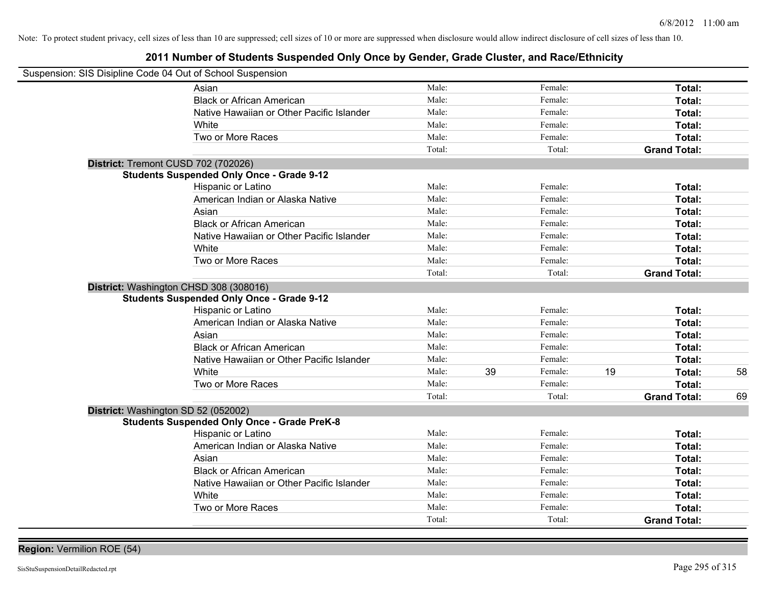# **2011 Number of Students Suspended Only Once by Gender, Grade Cluster, and Race/Ethnicity**

| Suspension: SIS Disipline Code 04 Out of School Suspension |                                                    |        |               |    |                     |    |
|------------------------------------------------------------|----------------------------------------------------|--------|---------------|----|---------------------|----|
|                                                            | Asian                                              | Male:  | Female:       |    | Total:              |    |
|                                                            | <b>Black or African American</b>                   | Male:  | Female:       |    | Total:              |    |
|                                                            | Native Hawaiian or Other Pacific Islander          | Male:  | Female:       |    | Total:              |    |
|                                                            | White                                              | Male:  | Female:       |    | Total:              |    |
|                                                            | Two or More Races                                  | Male:  | Female:       |    | Total:              |    |
|                                                            |                                                    | Total: | Total:        |    | <b>Grand Total:</b> |    |
| District: Tremont CUSD 702 (702026)                        |                                                    |        |               |    |                     |    |
|                                                            | <b>Students Suspended Only Once - Grade 9-12</b>   |        |               |    |                     |    |
|                                                            | Hispanic or Latino                                 | Male:  | Female:       |    | Total:              |    |
|                                                            | American Indian or Alaska Native                   | Male:  | Female:       |    | Total:              |    |
|                                                            | Asian                                              | Male:  | Female:       |    | Total:              |    |
|                                                            | <b>Black or African American</b>                   | Male:  | Female:       |    | Total:              |    |
|                                                            | Native Hawaiian or Other Pacific Islander          | Male:  | Female:       |    | Total:              |    |
|                                                            | White                                              | Male:  | Female:       |    | Total:              |    |
|                                                            | Two or More Races                                  | Male:  | Female:       |    | Total:              |    |
|                                                            |                                                    | Total: | Total:        |    | <b>Grand Total:</b> |    |
| District: Washington CHSD 308 (308016)                     | <b>Students Suspended Only Once - Grade 9-12</b>   |        |               |    |                     |    |
|                                                            | Hispanic or Latino                                 | Male:  | Female:       |    | Total:              |    |
|                                                            | American Indian or Alaska Native                   | Male:  | Female:       |    | Total:              |    |
|                                                            | Asian                                              | Male:  | Female:       |    | Total:              |    |
|                                                            | <b>Black or African American</b>                   | Male:  | Female:       |    | Total:              |    |
|                                                            | Native Hawaiian or Other Pacific Islander          | Male:  | Female:       |    | Total:              |    |
|                                                            | White                                              | Male:  | 39<br>Female: | 19 | Total:              | 58 |
|                                                            | Two or More Races                                  | Male:  | Female:       |    | Total:              |    |
|                                                            |                                                    | Total: | Total:        |    | <b>Grand Total:</b> | 69 |
| District: Washington SD 52 (052002)                        |                                                    |        |               |    |                     |    |
|                                                            | <b>Students Suspended Only Once - Grade PreK-8</b> |        |               |    |                     |    |
|                                                            | Hispanic or Latino                                 | Male:  | Female:       |    | Total:              |    |
|                                                            | American Indian or Alaska Native                   | Male:  | Female:       |    | Total:              |    |
|                                                            | Asian                                              | Male:  | Female:       |    | Total:              |    |
|                                                            | <b>Black or African American</b>                   | Male:  | Female:       |    | Total:              |    |
|                                                            | Native Hawaiian or Other Pacific Islander          | Male:  | Female:       |    | Total:              |    |
|                                                            | White                                              | Male:  | Female:       |    | Total:              |    |
|                                                            | Two or More Races                                  | Male:  | Female:       |    | Total:              |    |
|                                                            |                                                    | Total: | Total:        |    | <b>Grand Total:</b> |    |

**Region:** Vermilion ROE (54)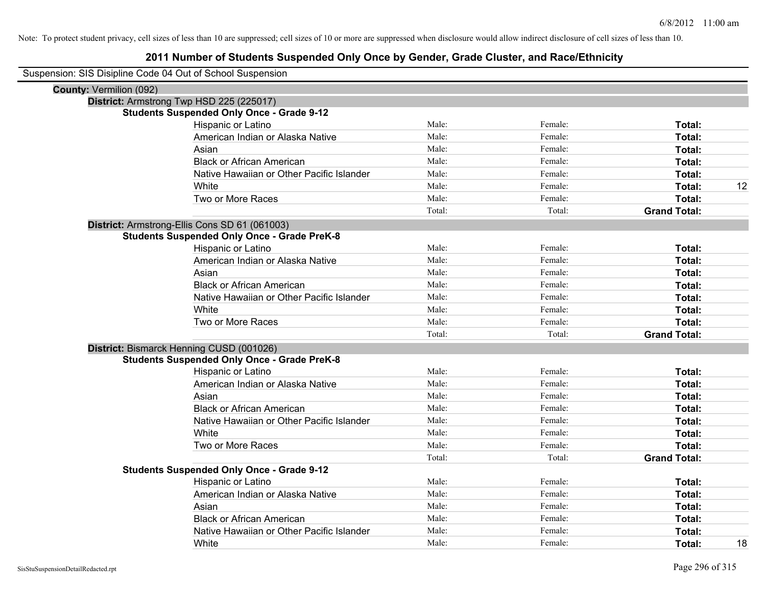|                                | Suspension: SIS Disipline Code 04 Out of School Suspension |        |         |                     |    |
|--------------------------------|------------------------------------------------------------|--------|---------|---------------------|----|
| <b>County: Vermilion (092)</b> |                                                            |        |         |                     |    |
|                                | District: Armstrong Twp HSD 225 (225017)                   |        |         |                     |    |
|                                | <b>Students Suspended Only Once - Grade 9-12</b>           |        |         |                     |    |
|                                | Hispanic or Latino                                         | Male:  | Female: | Total:              |    |
|                                | American Indian or Alaska Native                           | Male:  | Female: | Total:              |    |
|                                | Asian                                                      | Male:  | Female: | Total:              |    |
|                                | <b>Black or African American</b>                           | Male:  | Female: | Total:              |    |
|                                | Native Hawaiian or Other Pacific Islander                  | Male:  | Female: | Total:              |    |
|                                | White                                                      | Male:  | Female: | Total:              | 12 |
|                                | Two or More Races                                          | Male:  | Female: | Total:              |    |
|                                |                                                            | Total: | Total:  | <b>Grand Total:</b> |    |
|                                | District: Armstrong-Ellis Cons SD 61 (061003)              |        |         |                     |    |
|                                | <b>Students Suspended Only Once - Grade PreK-8</b>         |        |         |                     |    |
|                                | Hispanic or Latino                                         | Male:  | Female: | Total:              |    |
|                                | American Indian or Alaska Native                           | Male:  | Female: | Total:              |    |
|                                | Asian                                                      | Male:  | Female: | Total:              |    |
|                                | <b>Black or African American</b>                           | Male:  | Female: | Total:              |    |
|                                | Native Hawaiian or Other Pacific Islander                  | Male:  | Female: | Total:              |    |
|                                | White                                                      | Male:  | Female: | Total:              |    |
|                                | Two or More Races                                          | Male:  | Female: | Total:              |    |
|                                |                                                            | Total: | Total:  | <b>Grand Total:</b> |    |
|                                | District: Bismarck Henning CUSD (001026)                   |        |         |                     |    |
|                                | <b>Students Suspended Only Once - Grade PreK-8</b>         |        |         |                     |    |
|                                | Hispanic or Latino                                         | Male:  | Female: | Total:              |    |
|                                | American Indian or Alaska Native                           | Male:  | Female: | Total:              |    |
|                                | Asian                                                      | Male:  | Female: | Total:              |    |
|                                | <b>Black or African American</b>                           | Male:  | Female: | Total:              |    |
|                                | Native Hawaiian or Other Pacific Islander                  | Male:  | Female: | Total:              |    |
|                                | White                                                      | Male:  | Female: | Total:              |    |
|                                | Two or More Races                                          | Male:  | Female: | Total:              |    |
|                                |                                                            | Total: | Total:  | <b>Grand Total:</b> |    |
|                                | <b>Students Suspended Only Once - Grade 9-12</b>           |        |         |                     |    |
|                                | Hispanic or Latino                                         | Male:  | Female: | Total:              |    |
|                                | American Indian or Alaska Native                           | Male:  | Female: | Total:              |    |
|                                | Asian                                                      | Male:  | Female: | Total:              |    |
|                                | <b>Black or African American</b>                           | Male:  | Female: | Total:              |    |
|                                | Native Hawaiian or Other Pacific Islander                  | Male:  | Female: | Total:              |    |
|                                | White                                                      | Male:  | Female: | Total:              | 18 |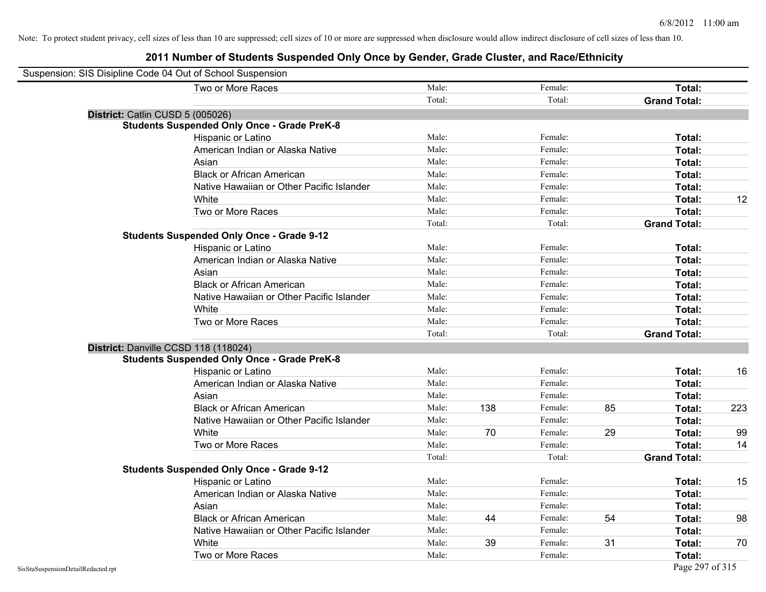| Suspension: SIS Disipline Code 04 Out of School Suspension |        |     |         |    |                     |     |
|------------------------------------------------------------|--------|-----|---------|----|---------------------|-----|
| Two or More Races                                          | Male:  |     | Female: |    | Total:              |     |
|                                                            | Total: |     | Total:  |    | <b>Grand Total:</b> |     |
| District: Catlin CUSD 5 (005026)                           |        |     |         |    |                     |     |
| <b>Students Suspended Only Once - Grade PreK-8</b>         |        |     |         |    |                     |     |
| Hispanic or Latino                                         | Male:  |     | Female: |    | Total:              |     |
| American Indian or Alaska Native                           | Male:  |     | Female: |    | Total:              |     |
| Asian                                                      | Male:  |     | Female: |    | Total:              |     |
| <b>Black or African American</b>                           | Male:  |     | Female: |    | Total:              |     |
| Native Hawaiian or Other Pacific Islander                  | Male:  |     | Female: |    | Total:              |     |
| White                                                      | Male:  |     | Female: |    | Total:              | 12  |
| Two or More Races                                          | Male:  |     | Female: |    | Total:              |     |
|                                                            | Total: |     | Total:  |    | <b>Grand Total:</b> |     |
| <b>Students Suspended Only Once - Grade 9-12</b>           |        |     |         |    |                     |     |
| Hispanic or Latino                                         | Male:  |     | Female: |    | Total:              |     |
| American Indian or Alaska Native                           | Male:  |     | Female: |    | Total:              |     |
| Asian                                                      | Male:  |     | Female: |    | Total:              |     |
| <b>Black or African American</b>                           | Male:  |     | Female: |    | Total:              |     |
| Native Hawaiian or Other Pacific Islander                  | Male:  |     | Female: |    | Total:              |     |
| White                                                      | Male:  |     | Female: |    | Total:              |     |
| Two or More Races                                          | Male:  |     | Female: |    | Total:              |     |
|                                                            | Total: |     | Total:  |    | <b>Grand Total:</b> |     |
| District: Danville CCSD 118 (118024)                       |        |     |         |    |                     |     |
| <b>Students Suspended Only Once - Grade PreK-8</b>         |        |     |         |    |                     |     |
| Hispanic or Latino                                         | Male:  |     | Female: |    | Total:              | 16  |
| American Indian or Alaska Native                           | Male:  |     | Female: |    | Total:              |     |
| Asian                                                      | Male:  |     | Female: |    | Total:              |     |
| <b>Black or African American</b>                           | Male:  | 138 | Female: | 85 | Total:              | 223 |
| Native Hawaiian or Other Pacific Islander                  | Male:  |     | Female: |    | Total:              |     |
| White                                                      | Male:  | 70  | Female: | 29 | Total:              | 99  |
| Two or More Races                                          | Male:  |     | Female: |    | Total:              | 14  |
|                                                            | Total: |     | Total:  |    | <b>Grand Total:</b> |     |
| <b>Students Suspended Only Once - Grade 9-12</b>           |        |     |         |    |                     |     |
| Hispanic or Latino                                         | Male:  |     | Female: |    | Total:              | 15  |
| American Indian or Alaska Native                           | Male:  |     | Female: |    | Total:              |     |
| Asian                                                      | Male:  |     | Female: |    | Total:              |     |
| <b>Black or African American</b>                           | Male:  | 44  | Female: | 54 | Total:              | 98  |
| Native Hawaiian or Other Pacific Islander                  | Male:  |     | Female: |    | Total:              |     |
| White                                                      | Male:  | 39  | Female: | 31 | Total:              | 70  |
| Two or More Races                                          | Male:  |     | Female: |    | Total:              |     |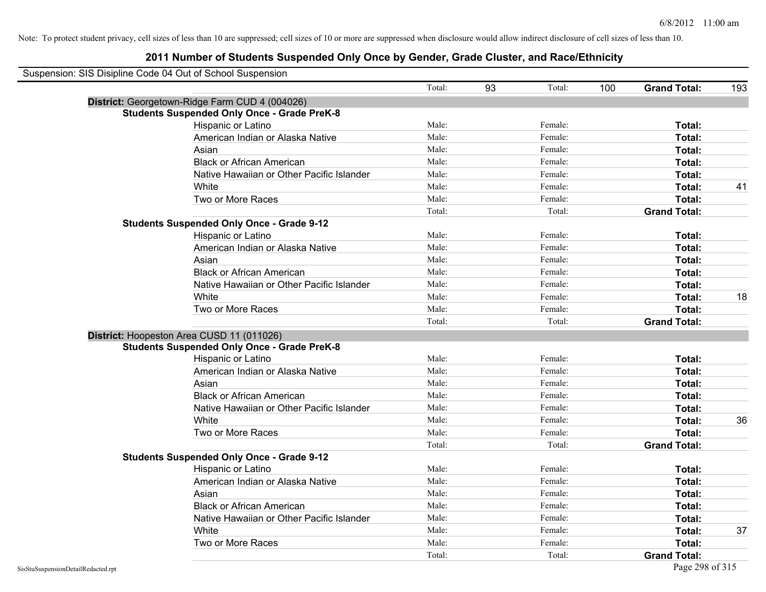| Suspension: SIS Disipline Code 04 Out of School Suspension |                                                    |        |    |               |                     |     |
|------------------------------------------------------------|----------------------------------------------------|--------|----|---------------|---------------------|-----|
|                                                            |                                                    | Total: | 93 | Total:<br>100 | <b>Grand Total:</b> | 193 |
|                                                            | District: Georgetown-Ridge Farm CUD 4 (004026)     |        |    |               |                     |     |
|                                                            | <b>Students Suspended Only Once - Grade PreK-8</b> |        |    |               |                     |     |
|                                                            | Hispanic or Latino                                 | Male:  |    | Female:       | Total:              |     |
|                                                            | American Indian or Alaska Native                   | Male:  |    | Female:       | Total:              |     |
|                                                            | Asian                                              | Male:  |    | Female:       | Total:              |     |
|                                                            | <b>Black or African American</b>                   | Male:  |    | Female:       | Total:              |     |
|                                                            | Native Hawaiian or Other Pacific Islander          | Male:  |    | Female:       | Total:              |     |
|                                                            | White                                              | Male:  |    | Female:       | Total:              | 41  |
|                                                            | Two or More Races                                  | Male:  |    | Female:       | Total:              |     |
|                                                            |                                                    | Total: |    | Total:        | <b>Grand Total:</b> |     |
|                                                            | <b>Students Suspended Only Once - Grade 9-12</b>   |        |    |               |                     |     |
|                                                            | Hispanic or Latino                                 | Male:  |    | Female:       | Total:              |     |
|                                                            | American Indian or Alaska Native                   | Male:  |    | Female:       | Total:              |     |
|                                                            | Asian                                              | Male:  |    | Female:       | Total:              |     |
|                                                            | <b>Black or African American</b>                   | Male:  |    | Female:       | Total:              |     |
|                                                            | Native Hawaiian or Other Pacific Islander          | Male:  |    | Female:       | Total:              |     |
|                                                            | White                                              | Male:  |    | Female:       | Total:              | 18  |
|                                                            | Two or More Races                                  | Male:  |    | Female:       | Total:              |     |
|                                                            |                                                    | Total: |    | Total:        | <b>Grand Total:</b> |     |
|                                                            | District: Hoopeston Area CUSD 11 (011026)          |        |    |               |                     |     |
|                                                            | <b>Students Suspended Only Once - Grade PreK-8</b> |        |    |               |                     |     |
|                                                            | Hispanic or Latino                                 | Male:  |    | Female:       | Total:              |     |
|                                                            | American Indian or Alaska Native                   | Male:  |    | Female:       | Total:              |     |
|                                                            | Asian                                              | Male:  |    | Female:       | Total:              |     |
|                                                            | <b>Black or African American</b>                   | Male:  |    | Female:       | Total:              |     |
|                                                            | Native Hawaiian or Other Pacific Islander          | Male:  |    | Female:       | Total:              |     |
|                                                            | White                                              | Male:  |    | Female:       | Total:              | 36  |
|                                                            | Two or More Races                                  | Male:  |    | Female:       | Total:              |     |
|                                                            |                                                    | Total: |    | Total:        | <b>Grand Total:</b> |     |
|                                                            | <b>Students Suspended Only Once - Grade 9-12</b>   |        |    |               |                     |     |
|                                                            | Hispanic or Latino                                 | Male:  |    | Female:       | Total:              |     |
|                                                            | American Indian or Alaska Native                   | Male:  |    | Female:       | Total:              |     |
|                                                            | Asian                                              | Male:  |    | Female:       | Total:              |     |
|                                                            | <b>Black or African American</b>                   | Male:  |    | Female:       | Total:              |     |
|                                                            | Native Hawaiian or Other Pacific Islander          | Male:  |    | Female:       | Total:              |     |
|                                                            | White                                              | Male:  |    | Female:       | Total:              | 37  |
|                                                            | Two or More Races                                  | Male:  |    | Female:       | Total:              |     |
|                                                            |                                                    | Total: |    | Total:        | <b>Grand Total:</b> |     |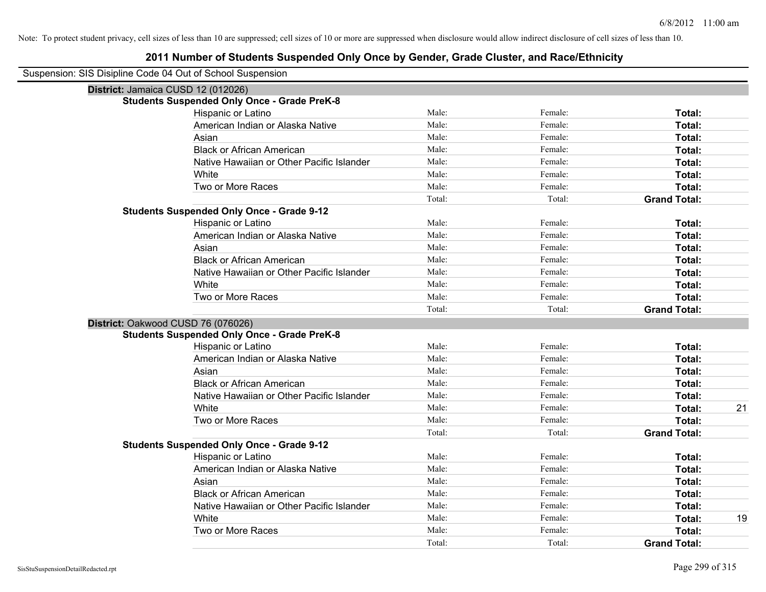| Suspension: SIS Disipline Code 04 Out of School Suspension |  |
|------------------------------------------------------------|--|
|------------------------------------------------------------|--|

| District: Jamaica CUSD 12 (012026)                 |        |         |                     |    |
|----------------------------------------------------|--------|---------|---------------------|----|
| <b>Students Suspended Only Once - Grade PreK-8</b> |        |         |                     |    |
| Hispanic or Latino                                 | Male:  | Female: | Total:              |    |
| American Indian or Alaska Native                   | Male:  | Female: | Total:              |    |
| Asian                                              | Male:  | Female: | Total:              |    |
| <b>Black or African American</b>                   | Male:  | Female: | Total:              |    |
| Native Hawaiian or Other Pacific Islander          | Male:  | Female: | Total:              |    |
| White                                              | Male:  | Female: | Total:              |    |
| Two or More Races                                  | Male:  | Female: | Total:              |    |
|                                                    | Total: | Total:  | <b>Grand Total:</b> |    |
| <b>Students Suspended Only Once - Grade 9-12</b>   |        |         |                     |    |
| Hispanic or Latino                                 | Male:  | Female: | Total:              |    |
| American Indian or Alaska Native                   | Male:  | Female: | Total:              |    |
| Asian                                              | Male:  | Female: | Total:              |    |
| <b>Black or African American</b>                   | Male:  | Female: | Total:              |    |
| Native Hawaiian or Other Pacific Islander          | Male:  | Female: | Total:              |    |
| White                                              | Male:  | Female: | Total:              |    |
| Two or More Races                                  | Male:  | Female: | Total:              |    |
|                                                    | Total: | Total:  | <b>Grand Total:</b> |    |
| District: Oakwood CUSD 76 (076026)                 |        |         |                     |    |
| <b>Students Suspended Only Once - Grade PreK-8</b> |        |         |                     |    |
| Hispanic or Latino                                 | Male:  | Female: | Total:              |    |
| American Indian or Alaska Native                   | Male:  | Female: | Total:              |    |
| Asian                                              | Male:  | Female: | Total:              |    |
| <b>Black or African American</b>                   | Male:  | Female: | Total:              |    |
| Native Hawaiian or Other Pacific Islander          | Male:  | Female: | Total:              |    |
| White                                              | Male:  | Female: | Total:              | 21 |
| Two or More Races                                  | Male:  | Female: | Total:              |    |
|                                                    | Total: | Total:  | <b>Grand Total:</b> |    |
| <b>Students Suspended Only Once - Grade 9-12</b>   |        |         |                     |    |
| Hispanic or Latino                                 | Male:  | Female: | Total:              |    |
| American Indian or Alaska Native                   | Male:  | Female: | Total:              |    |
| Asian                                              | Male:  | Female: | Total:              |    |
| <b>Black or African American</b>                   | Male:  | Female: | Total:              |    |
| Native Hawaiian or Other Pacific Islander          | Male:  | Female: | Total:              |    |
| White                                              | Male:  | Female: | Total:              | 19 |
| Two or More Races                                  | Male:  | Female: | Total:              |    |
|                                                    | Total: | Total:  | <b>Grand Total:</b> |    |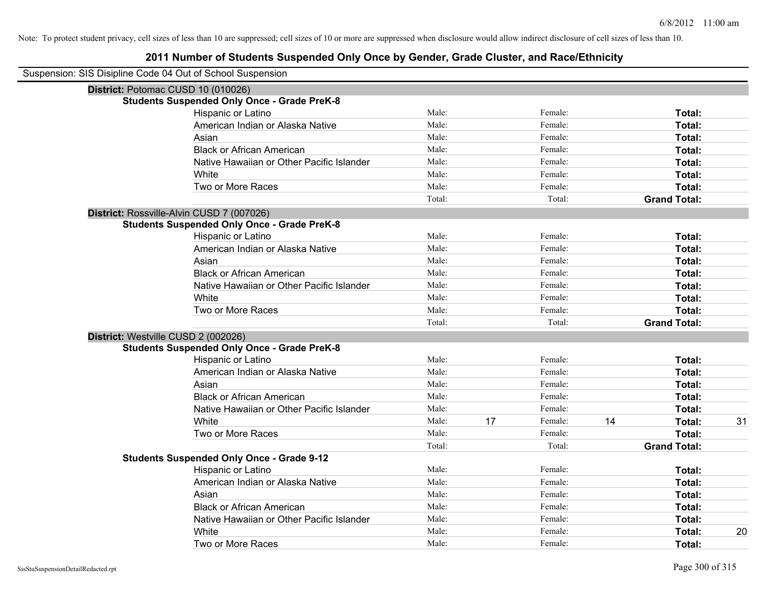| Suspension: SIS Disipline Code 04 Out of School Suspension |                                                    |        |    |         |    |                     |    |
|------------------------------------------------------------|----------------------------------------------------|--------|----|---------|----|---------------------|----|
|                                                            | District: Potomac CUSD 10 (010026)                 |        |    |         |    |                     |    |
|                                                            | <b>Students Suspended Only Once - Grade PreK-8</b> |        |    |         |    |                     |    |
|                                                            | Hispanic or Latino                                 | Male:  |    | Female: |    | Total:              |    |
|                                                            | American Indian or Alaska Native                   | Male:  |    | Female: |    | Total:              |    |
|                                                            | Asian                                              | Male:  |    | Female: |    | Total:              |    |
|                                                            | <b>Black or African American</b>                   | Male:  |    | Female: |    | Total:              |    |
|                                                            | Native Hawaiian or Other Pacific Islander          | Male:  |    | Female: |    | Total:              |    |
|                                                            | White                                              | Male:  |    | Female: |    | Total:              |    |
|                                                            | Two or More Races                                  | Male:  |    | Female: |    | Total:              |    |
|                                                            |                                                    | Total: |    | Total:  |    | <b>Grand Total:</b> |    |
|                                                            | District: Rossville-Alvin CUSD 7 (007026)          |        |    |         |    |                     |    |
|                                                            | <b>Students Suspended Only Once - Grade PreK-8</b> |        |    |         |    |                     |    |
|                                                            | Hispanic or Latino                                 | Male:  |    | Female: |    | Total:              |    |
|                                                            | American Indian or Alaska Native                   | Male:  |    | Female: |    | Total:              |    |
|                                                            | Asian                                              | Male:  |    | Female: |    | Total:              |    |
|                                                            | <b>Black or African American</b>                   | Male:  |    | Female: |    | Total:              |    |
|                                                            | Native Hawaiian or Other Pacific Islander          | Male:  |    | Female: |    | Total:              |    |
|                                                            | White                                              | Male:  |    | Female: |    | Total:              |    |
|                                                            | Two or More Races                                  | Male:  |    | Female: |    | Total:              |    |
|                                                            |                                                    | Total: |    | Total:  |    | <b>Grand Total:</b> |    |
| District: Westville CUSD 2 (002026)                        |                                                    |        |    |         |    |                     |    |
|                                                            | <b>Students Suspended Only Once - Grade PreK-8</b> |        |    |         |    |                     |    |
|                                                            | Hispanic or Latino                                 | Male:  |    | Female: |    | Total:              |    |
|                                                            | American Indian or Alaska Native                   | Male:  |    | Female: |    | Total:              |    |
|                                                            | Asian                                              | Male:  |    | Female: |    | Total:              |    |
|                                                            | <b>Black or African American</b>                   | Male:  |    | Female: |    | Total:              |    |
|                                                            | Native Hawaiian or Other Pacific Islander          | Male:  |    | Female: |    | Total:              |    |
|                                                            | White                                              | Male:  | 17 | Female: | 14 | Total:              | 31 |
|                                                            | Two or More Races                                  | Male:  |    | Female: |    | Total:              |    |
|                                                            |                                                    | Total: |    | Total:  |    | <b>Grand Total:</b> |    |
|                                                            | <b>Students Suspended Only Once - Grade 9-12</b>   |        |    |         |    |                     |    |
|                                                            | Hispanic or Latino                                 | Male:  |    | Female: |    | Total:              |    |
|                                                            | American Indian or Alaska Native                   | Male:  |    | Female: |    | Total:              |    |
|                                                            | Asian                                              | Male:  |    | Female: |    | Total:              |    |
|                                                            | <b>Black or African American</b>                   | Male:  |    | Female: |    | Total:              |    |
|                                                            | Native Hawaiian or Other Pacific Islander          | Male:  |    | Female: |    | Total:              |    |
|                                                            | White                                              | Male:  |    | Female: |    | Total:              | 20 |
|                                                            | Two or More Races                                  | Male:  |    | Female: |    | Total:              |    |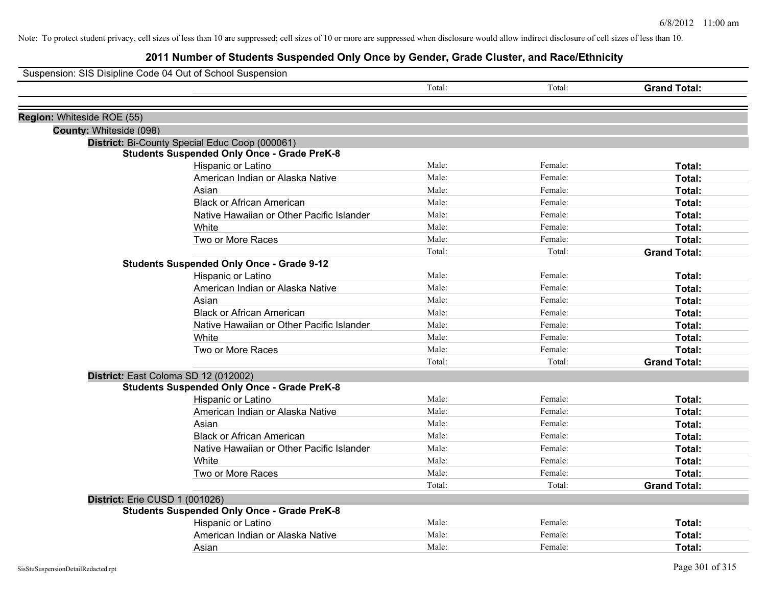| Suspension: SIS Disipline Code 04 Out of School Suspension |                                                    |        |         |                     |
|------------------------------------------------------------|----------------------------------------------------|--------|---------|---------------------|
|                                                            |                                                    | Total: | Total:  | <b>Grand Total:</b> |
|                                                            |                                                    |        |         |                     |
| Region: Whiteside ROE (55)                                 |                                                    |        |         |                     |
| County: Whiteside (098)                                    |                                                    |        |         |                     |
|                                                            | District: Bi-County Special Educ Coop (000061)     |        |         |                     |
|                                                            | <b>Students Suspended Only Once - Grade PreK-8</b> |        |         |                     |
|                                                            | Hispanic or Latino                                 | Male:  | Female: | Total:              |
|                                                            | American Indian or Alaska Native                   | Male:  | Female: | Total:              |
|                                                            | Asian                                              | Male:  | Female: | Total:              |
|                                                            | <b>Black or African American</b>                   | Male:  | Female: | Total:              |
|                                                            | Native Hawaiian or Other Pacific Islander          | Male:  | Female: | Total:              |
|                                                            | White                                              | Male:  | Female: | Total:              |
|                                                            | Two or More Races                                  | Male:  | Female: | Total:              |
|                                                            |                                                    | Total: | Total:  | <b>Grand Total:</b> |
|                                                            | <b>Students Suspended Only Once - Grade 9-12</b>   |        |         |                     |
|                                                            | Hispanic or Latino                                 | Male:  | Female: | Total:              |
|                                                            | American Indian or Alaska Native                   | Male:  | Female: | Total:              |
|                                                            | Asian                                              | Male:  | Female: | Total:              |
|                                                            | <b>Black or African American</b>                   | Male:  | Female: | Total:              |
|                                                            | Native Hawaiian or Other Pacific Islander          | Male:  | Female: | Total:              |
|                                                            | White                                              | Male:  | Female: | Total:              |
|                                                            | Two or More Races                                  | Male:  | Female: | Total:              |
|                                                            |                                                    | Total: | Total:  | <b>Grand Total:</b> |
| District: East Coloma SD 12 (012002)                       |                                                    |        |         |                     |
|                                                            | <b>Students Suspended Only Once - Grade PreK-8</b> |        |         |                     |
|                                                            | Hispanic or Latino                                 | Male:  | Female: | Total:              |
|                                                            | American Indian or Alaska Native                   | Male:  | Female: | Total:              |
|                                                            | Asian                                              | Male:  | Female: | Total:              |
|                                                            | <b>Black or African American</b>                   | Male:  | Female: | Total:              |
|                                                            | Native Hawaiian or Other Pacific Islander          | Male:  | Female: | Total:              |
|                                                            | White                                              | Male:  | Female: | Total:              |
|                                                            | Two or More Races                                  | Male:  | Female: | Total:              |
|                                                            |                                                    | Total: | Total:  | <b>Grand Total:</b> |
| District: Erie CUSD 1 (001026)                             |                                                    |        |         |                     |
|                                                            | <b>Students Suspended Only Once - Grade PreK-8</b> |        |         |                     |
|                                                            | Hispanic or Latino                                 | Male:  | Female: | Total:              |
|                                                            | American Indian or Alaska Native                   | Male:  | Female: | Total:              |
|                                                            | Asian                                              | Male:  | Female: | Total:              |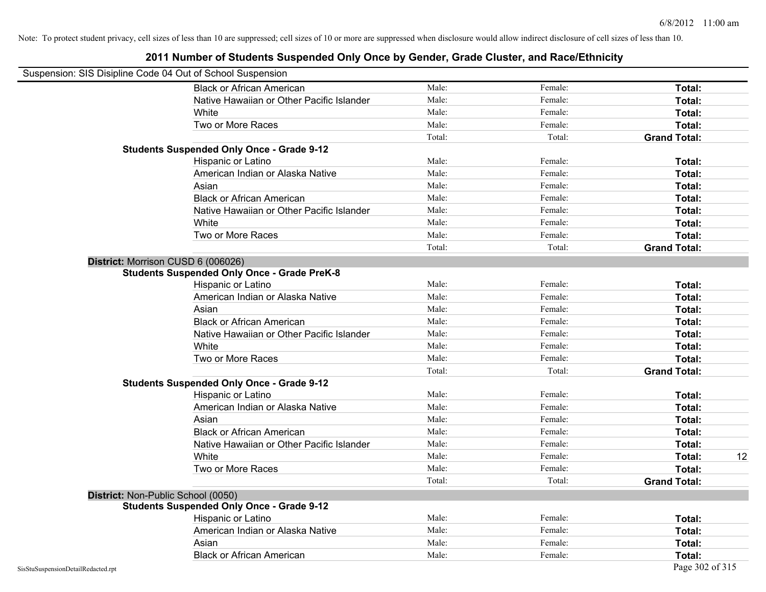|                                    | Suspension: SIS Disipline Code 04 Out of School Suspension |        |         |                     |    |
|------------------------------------|------------------------------------------------------------|--------|---------|---------------------|----|
|                                    | <b>Black or African American</b>                           | Male:  | Female: | <b>Total:</b>       |    |
|                                    | Native Hawaiian or Other Pacific Islander                  | Male:  | Female: | Total:              |    |
|                                    | White                                                      | Male:  | Female: | Total:              |    |
|                                    | Two or More Races                                          | Male:  | Female: | Total:              |    |
|                                    |                                                            | Total: | Total:  | <b>Grand Total:</b> |    |
|                                    | <b>Students Suspended Only Once - Grade 9-12</b>           |        |         |                     |    |
|                                    | Hispanic or Latino                                         | Male:  | Female: | Total:              |    |
|                                    | American Indian or Alaska Native                           | Male:  | Female: | Total:              |    |
|                                    | Asian                                                      | Male:  | Female: | Total:              |    |
|                                    | <b>Black or African American</b>                           | Male:  | Female: | Total:              |    |
|                                    | Native Hawaiian or Other Pacific Islander                  | Male:  | Female: | Total:              |    |
|                                    | White                                                      | Male:  | Female: | Total:              |    |
|                                    | Two or More Races                                          | Male:  | Female: | Total:              |    |
|                                    |                                                            | Total: | Total:  | <b>Grand Total:</b> |    |
|                                    | District: Morrison CUSD 6 (006026)                         |        |         |                     |    |
|                                    | <b>Students Suspended Only Once - Grade PreK-8</b>         |        |         |                     |    |
|                                    | Hispanic or Latino                                         | Male:  | Female: | Total:              |    |
|                                    | American Indian or Alaska Native                           | Male:  | Female: | Total:              |    |
|                                    | Asian                                                      | Male:  | Female: | Total:              |    |
|                                    | <b>Black or African American</b>                           | Male:  | Female: | Total:              |    |
|                                    | Native Hawaiian or Other Pacific Islander                  | Male:  | Female: | Total:              |    |
|                                    | White                                                      | Male:  | Female: | Total:              |    |
|                                    | Two or More Races                                          | Male:  | Female: | Total:              |    |
|                                    |                                                            | Total: | Total:  | <b>Grand Total:</b> |    |
|                                    | <b>Students Suspended Only Once - Grade 9-12</b>           |        |         |                     |    |
|                                    | Hispanic or Latino                                         | Male:  | Female: | Total:              |    |
|                                    | American Indian or Alaska Native                           | Male:  | Female: | Total:              |    |
|                                    | Asian                                                      | Male:  | Female: | Total:              |    |
|                                    | <b>Black or African American</b>                           | Male:  | Female: | Total:              |    |
|                                    | Native Hawaiian or Other Pacific Islander                  | Male:  | Female: | Total:              |    |
|                                    | White                                                      | Male:  | Female: | Total:              | 12 |
|                                    | Two or More Races                                          | Male:  | Female: | Total:              |    |
|                                    |                                                            | Total: | Total:  | <b>Grand Total:</b> |    |
|                                    | District: Non-Public School (0050)                         |        |         |                     |    |
|                                    | <b>Students Suspended Only Once - Grade 9-12</b>           |        |         |                     |    |
|                                    | Hispanic or Latino                                         | Male:  | Female: | Total:              |    |
|                                    | American Indian or Alaska Native                           | Male:  | Female: | Total:              |    |
|                                    | Asian                                                      | Male:  | Female: | Total:              |    |
|                                    | <b>Black or African American</b>                           | Male:  | Female: | Total:              |    |
| SisStuSuspensionDetailRedacted.rpt |                                                            |        |         | Page 302 of 315     |    |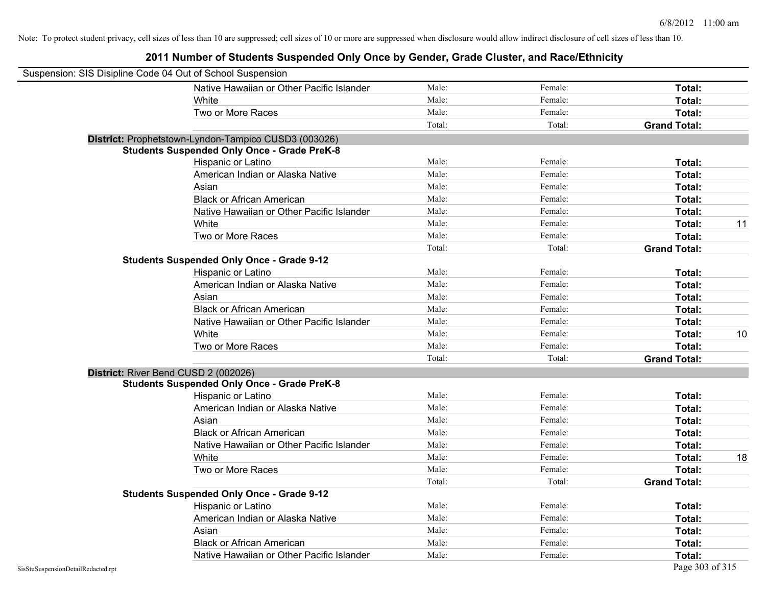| Suspension: SIS Disipline Code 04 Out of School Suspension |                                                      |        |         |                     |    |
|------------------------------------------------------------|------------------------------------------------------|--------|---------|---------------------|----|
|                                                            | Native Hawaiian or Other Pacific Islander            | Male:  | Female: | Total:              |    |
|                                                            | White                                                | Male:  | Female: | Total:              |    |
|                                                            | Two or More Races                                    | Male:  | Female: | Total:              |    |
|                                                            |                                                      | Total: | Total:  | <b>Grand Total:</b> |    |
|                                                            | District: Prophetstown-Lyndon-Tampico CUSD3 (003026) |        |         |                     |    |
|                                                            | <b>Students Suspended Only Once - Grade PreK-8</b>   |        |         |                     |    |
|                                                            | Hispanic or Latino                                   | Male:  | Female: | Total:              |    |
|                                                            | American Indian or Alaska Native                     | Male:  | Female: | Total:              |    |
|                                                            | Asian                                                | Male:  | Female: | Total:              |    |
|                                                            | <b>Black or African American</b>                     | Male:  | Female: | Total:              |    |
|                                                            | Native Hawaiian or Other Pacific Islander            | Male:  | Female: | Total:              |    |
|                                                            | White                                                | Male:  | Female: | Total:              | 11 |
|                                                            | Two or More Races                                    | Male:  | Female: | Total:              |    |
|                                                            |                                                      | Total: | Total:  | <b>Grand Total:</b> |    |
|                                                            | <b>Students Suspended Only Once - Grade 9-12</b>     |        |         |                     |    |
|                                                            | Hispanic or Latino                                   | Male:  | Female: | Total:              |    |
|                                                            | American Indian or Alaska Native                     | Male:  | Female: | Total:              |    |
|                                                            | Asian                                                | Male:  | Female: | Total:              |    |
|                                                            | <b>Black or African American</b>                     | Male:  | Female: | Total:              |    |
|                                                            | Native Hawaiian or Other Pacific Islander            | Male:  | Female: | Total:              |    |
|                                                            | White                                                | Male:  | Female: | Total:              | 10 |
|                                                            | Two or More Races                                    | Male:  | Female: | Total:              |    |
|                                                            |                                                      | Total: | Total:  | <b>Grand Total:</b> |    |
| District: River Bend CUSD 2 (002026)                       |                                                      |        |         |                     |    |
|                                                            | <b>Students Suspended Only Once - Grade PreK-8</b>   |        |         |                     |    |
|                                                            | Hispanic or Latino                                   | Male:  | Female: | Total:              |    |
|                                                            | American Indian or Alaska Native                     | Male:  | Female: | Total:              |    |
|                                                            | Asian                                                | Male:  | Female: | Total:              |    |
|                                                            | <b>Black or African American</b>                     | Male:  | Female: | Total:              |    |
|                                                            | Native Hawaiian or Other Pacific Islander            | Male:  | Female: | Total:              |    |
|                                                            | White                                                | Male:  | Female: | Total:              | 18 |
|                                                            | Two or More Races                                    | Male:  | Female: | Total:              |    |
|                                                            |                                                      | Total: | Total:  | <b>Grand Total:</b> |    |
|                                                            | <b>Students Suspended Only Once - Grade 9-12</b>     |        |         |                     |    |
|                                                            | Hispanic or Latino                                   | Male:  | Female: | Total:              |    |
|                                                            | American Indian or Alaska Native                     | Male:  | Female: | Total:              |    |
|                                                            | Asian                                                | Male:  | Female: | Total:              |    |
|                                                            | <b>Black or African American</b>                     | Male:  | Female: | Total:              |    |
|                                                            | Native Hawaiian or Other Pacific Islander            | Male:  | Female: | Total:              |    |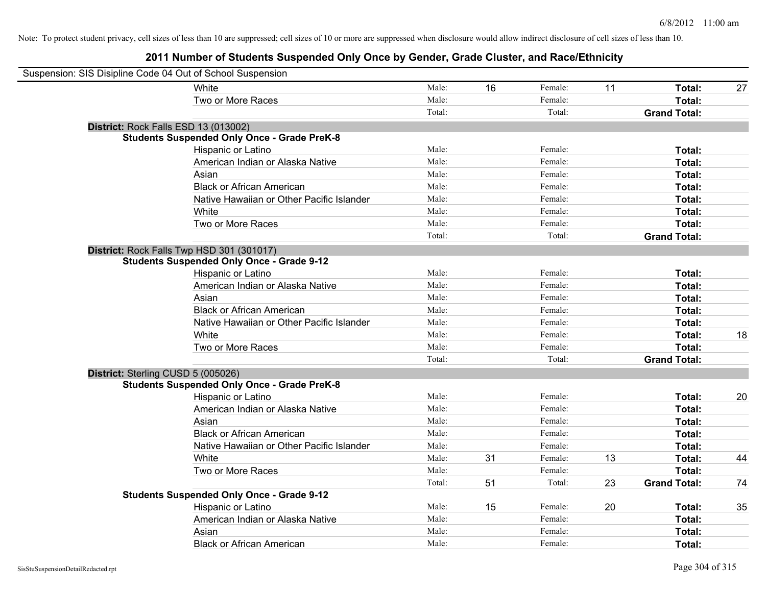| Suspension: SIS Disipline Code 04 Out of School Suspension |                                                    |        |    |         |    |                     |    |
|------------------------------------------------------------|----------------------------------------------------|--------|----|---------|----|---------------------|----|
|                                                            | White                                              | Male:  | 16 | Female: | 11 | Total:              | 27 |
|                                                            | Two or More Races                                  | Male:  |    | Female: |    | Total:              |    |
|                                                            |                                                    | Total: |    | Total:  |    | <b>Grand Total:</b> |    |
| District: Rock Falls ESD 13 (013002)                       |                                                    |        |    |         |    |                     |    |
|                                                            | <b>Students Suspended Only Once - Grade PreK-8</b> |        |    |         |    |                     |    |
|                                                            | Hispanic or Latino                                 | Male:  |    | Female: |    | Total:              |    |
|                                                            | American Indian or Alaska Native                   | Male:  |    | Female: |    | Total:              |    |
|                                                            | Asian                                              | Male:  |    | Female: |    | Total:              |    |
|                                                            | <b>Black or African American</b>                   | Male:  |    | Female: |    | Total:              |    |
|                                                            | Native Hawaiian or Other Pacific Islander          | Male:  |    | Female: |    | Total:              |    |
|                                                            | White                                              | Male:  |    | Female: |    | Total:              |    |
|                                                            | Two or More Races                                  | Male:  |    | Female: |    | Total:              |    |
|                                                            |                                                    | Total: |    | Total:  |    | <b>Grand Total:</b> |    |
|                                                            | District: Rock Falls Twp HSD 301 (301017)          |        |    |         |    |                     |    |
|                                                            | <b>Students Suspended Only Once - Grade 9-12</b>   |        |    |         |    |                     |    |
|                                                            | Hispanic or Latino                                 | Male:  |    | Female: |    | Total:              |    |
|                                                            | American Indian or Alaska Native                   | Male:  |    | Female: |    | Total:              |    |
|                                                            | Asian                                              | Male:  |    | Female: |    | Total:              |    |
|                                                            | <b>Black or African American</b>                   | Male:  |    | Female: |    | Total:              |    |
|                                                            | Native Hawaiian or Other Pacific Islander          | Male:  |    | Female: |    | Total:              |    |
|                                                            | White                                              | Male:  |    | Female: |    | Total:              | 18 |
|                                                            | Two or More Races                                  | Male:  |    | Female: |    | Total:              |    |
|                                                            |                                                    | Total: |    | Total:  |    | <b>Grand Total:</b> |    |
| District: Sterling CUSD 5 (005026)                         |                                                    |        |    |         |    |                     |    |
|                                                            | <b>Students Suspended Only Once - Grade PreK-8</b> |        |    |         |    |                     |    |
|                                                            | Hispanic or Latino                                 | Male:  |    | Female: |    | Total:              | 20 |
|                                                            | American Indian or Alaska Native                   | Male:  |    | Female: |    | Total:              |    |
|                                                            | Asian                                              | Male:  |    | Female: |    | Total:              |    |
|                                                            | <b>Black or African American</b>                   | Male:  |    | Female: |    | Total:              |    |
|                                                            | Native Hawaiian or Other Pacific Islander          | Male:  |    | Female: |    | Total:              |    |
|                                                            | White                                              | Male:  | 31 | Female: | 13 | Total:              | 44 |
|                                                            | Two or More Races                                  | Male:  |    | Female: |    | Total:              |    |
|                                                            |                                                    | Total: | 51 | Total:  | 23 | <b>Grand Total:</b> | 74 |
|                                                            | <b>Students Suspended Only Once - Grade 9-12</b>   |        |    |         |    |                     |    |
|                                                            | Hispanic or Latino                                 | Male:  | 15 | Female: | 20 | Total:              | 35 |
|                                                            | American Indian or Alaska Native                   | Male:  |    | Female: |    | Total:              |    |
|                                                            | Asian                                              | Male:  |    | Female: |    | Total:              |    |
|                                                            | <b>Black or African American</b>                   | Male:  |    | Female: |    | Total:              |    |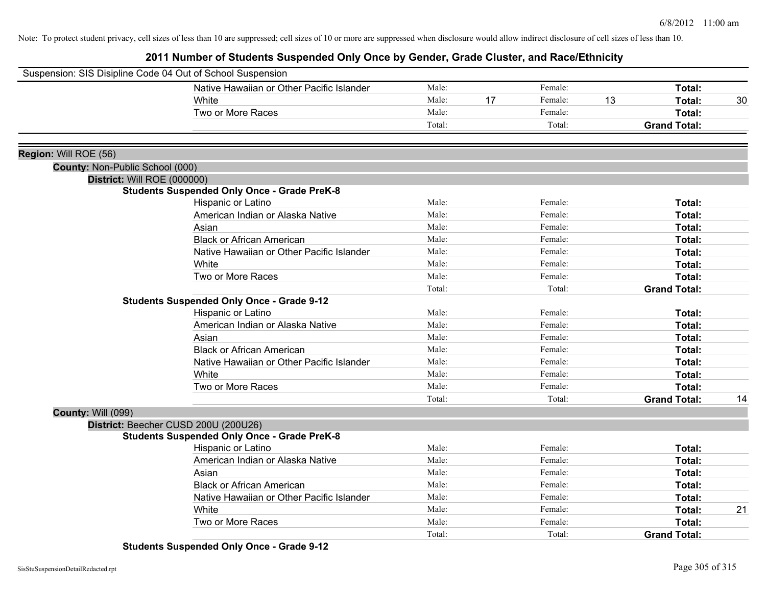**2011 Number of Students Suspended Only Once by Gender, Grade Cluster, and Race/Ethnicity**

| Suspension: SIS Disipline Code 04 Out of School Suspension |                                                    |        |    |         |    |                     |    |
|------------------------------------------------------------|----------------------------------------------------|--------|----|---------|----|---------------------|----|
|                                                            | Native Hawaiian or Other Pacific Islander          | Male:  |    | Female: |    | Total:              |    |
|                                                            | White                                              | Male:  | 17 | Female: | 13 | Total:              | 30 |
|                                                            | Two or More Races                                  | Male:  |    | Female: |    | Total:              |    |
|                                                            |                                                    | Total: |    | Total:  |    | <b>Grand Total:</b> |    |
|                                                            |                                                    |        |    |         |    |                     |    |
| Region: Will ROE (56)                                      |                                                    |        |    |         |    |                     |    |
| County: Non-Public School (000)                            |                                                    |        |    |         |    |                     |    |
| District: Will ROE (000000)                                |                                                    |        |    |         |    |                     |    |
|                                                            | <b>Students Suspended Only Once - Grade PreK-8</b> |        |    |         |    |                     |    |
|                                                            | Hispanic or Latino                                 | Male:  |    | Female: |    | Total:              |    |
|                                                            | American Indian or Alaska Native                   | Male:  |    | Female: |    | Total:              |    |
|                                                            | Asian                                              | Male:  |    | Female: |    | Total:              |    |
|                                                            | <b>Black or African American</b>                   | Male:  |    | Female: |    | Total:              |    |
|                                                            | Native Hawaiian or Other Pacific Islander          | Male:  |    | Female: |    | Total:              |    |
|                                                            | White                                              | Male:  |    | Female: |    | Total:              |    |
|                                                            | Two or More Races                                  | Male:  |    | Female: |    | Total:              |    |
|                                                            |                                                    | Total: |    | Total:  |    | <b>Grand Total:</b> |    |
|                                                            | <b>Students Suspended Only Once - Grade 9-12</b>   |        |    |         |    |                     |    |
|                                                            | Hispanic or Latino                                 | Male:  |    | Female: |    | Total:              |    |
|                                                            | American Indian or Alaska Native                   | Male:  |    | Female: |    | Total:              |    |
|                                                            | Asian                                              | Male:  |    | Female: |    | Total:              |    |
|                                                            | <b>Black or African American</b>                   | Male:  |    | Female: |    | Total:              |    |
|                                                            | Native Hawaiian or Other Pacific Islander          | Male:  |    | Female: |    | Total:              |    |
|                                                            | White                                              | Male:  |    | Female: |    | Total:              |    |
|                                                            | Two or More Races                                  | Male:  |    | Female: |    | Total:              |    |
|                                                            |                                                    | Total: |    | Total:  |    | <b>Grand Total:</b> | 14 |
| <b>County: Will (099)</b>                                  |                                                    |        |    |         |    |                     |    |
|                                                            | District: Beecher CUSD 200U (200U26)               |        |    |         |    |                     |    |
|                                                            | <b>Students Suspended Only Once - Grade PreK-8</b> |        |    |         |    |                     |    |
|                                                            | Hispanic or Latino                                 | Male:  |    | Female: |    | Total:              |    |
|                                                            | American Indian or Alaska Native                   | Male:  |    | Female: |    | Total:              |    |
|                                                            | Asian                                              | Male:  |    | Female: |    | Total:              |    |
|                                                            | <b>Black or African American</b>                   | Male:  |    | Female: |    | Total:              |    |
|                                                            | Native Hawaiian or Other Pacific Islander          | Male:  |    | Female: |    | Total:              |    |
|                                                            | White                                              | Male:  |    | Female: |    | Total:              | 21 |
|                                                            | Two or More Races                                  | Male:  |    | Female: |    | Total:              |    |
|                                                            |                                                    | Total: |    | Total:  |    | <b>Grand Total:</b> |    |

**Students Suspended Only Once - Grade 9-12**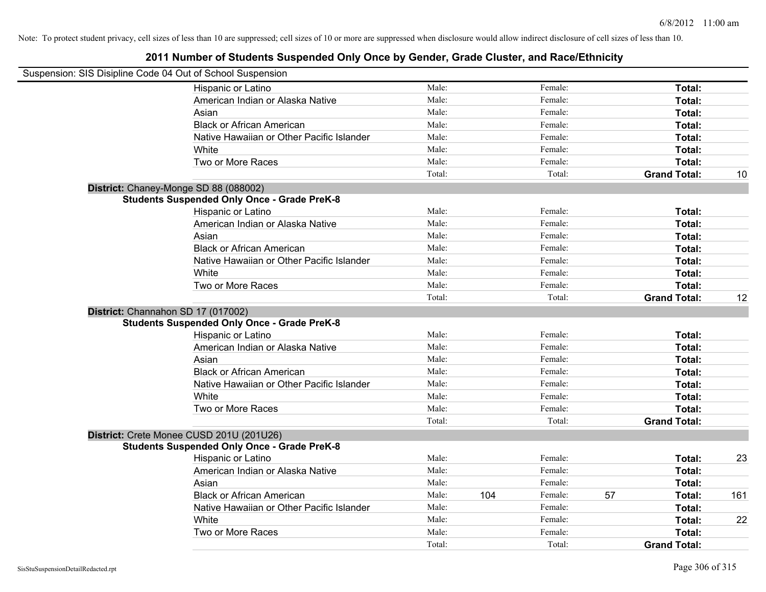| Suspension: SIS Disipline Code 04 Out of School Suspension |        |     |         |    |                     |     |
|------------------------------------------------------------|--------|-----|---------|----|---------------------|-----|
| Hispanic or Latino                                         | Male:  |     | Female: |    | Total:              |     |
| American Indian or Alaska Native                           | Male:  |     | Female: |    | Total:              |     |
| Asian                                                      | Male:  |     | Female: |    | Total:              |     |
| <b>Black or African American</b>                           | Male:  |     | Female: |    | Total:              |     |
| Native Hawaiian or Other Pacific Islander                  | Male:  |     | Female: |    | Total:              |     |
| White                                                      | Male:  |     | Female: |    | Total:              |     |
| Two or More Races                                          | Male:  |     | Female: |    | Total:              |     |
|                                                            | Total: |     | Total:  |    | <b>Grand Total:</b> | 10  |
| District: Chaney-Monge SD 88 (088002)                      |        |     |         |    |                     |     |
| <b>Students Suspended Only Once - Grade PreK-8</b>         |        |     |         |    |                     |     |
| Hispanic or Latino                                         | Male:  |     | Female: |    | Total:              |     |
| American Indian or Alaska Native                           | Male:  |     | Female: |    | Total:              |     |
| Asian                                                      | Male:  |     | Female: |    | Total:              |     |
| <b>Black or African American</b>                           | Male:  |     | Female: |    | Total:              |     |
| Native Hawaiian or Other Pacific Islander                  | Male:  |     | Female: |    | Total:              |     |
| White                                                      | Male:  |     | Female: |    | Total:              |     |
| Two or More Races                                          | Male:  |     | Female: |    | Total:              |     |
|                                                            | Total: |     | Total:  |    | <b>Grand Total:</b> | 12  |
| District: Channahon SD 17 (017002)                         |        |     |         |    |                     |     |
| <b>Students Suspended Only Once - Grade PreK-8</b>         |        |     |         |    |                     |     |
| Hispanic or Latino                                         | Male:  |     | Female: |    | Total:              |     |
| American Indian or Alaska Native                           | Male:  |     | Female: |    | Total:              |     |
| Asian                                                      | Male:  |     | Female: |    | Total:              |     |
| <b>Black or African American</b>                           | Male:  |     | Female: |    | Total:              |     |
| Native Hawaiian or Other Pacific Islander                  | Male:  |     | Female: |    | Total:              |     |
| White                                                      | Male:  |     | Female: |    | Total:              |     |
| Two or More Races                                          | Male:  |     | Female: |    | Total:              |     |
|                                                            | Total: |     | Total:  |    | <b>Grand Total:</b> |     |
| District: Crete Monee CUSD 201U (201U26)                   |        |     |         |    |                     |     |
| <b>Students Suspended Only Once - Grade PreK-8</b>         |        |     |         |    |                     |     |
| Hispanic or Latino                                         | Male:  |     | Female: |    | Total:              | 23  |
| American Indian or Alaska Native                           | Male:  |     | Female: |    | Total:              |     |
| Asian                                                      | Male:  |     | Female: |    | Total:              |     |
| <b>Black or African American</b>                           | Male:  | 104 | Female: | 57 | Total:              | 161 |
| Native Hawaiian or Other Pacific Islander                  | Male:  |     | Female: |    | Total:              |     |
| White                                                      | Male:  |     | Female: |    | Total:              | 22  |
| Two or More Races                                          | Male:  |     | Female: |    | Total:              |     |
|                                                            | Total: |     | Total:  |    | <b>Grand Total:</b> |     |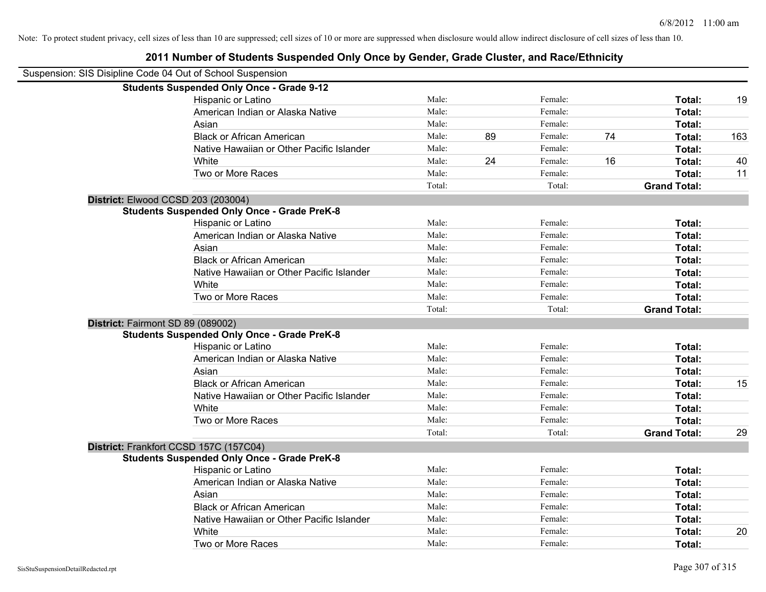| Suspension: SIS Disipline Code 04 Out of School Suspension |                                                    |        |    |         |    |                     |     |
|------------------------------------------------------------|----------------------------------------------------|--------|----|---------|----|---------------------|-----|
|                                                            | <b>Students Suspended Only Once - Grade 9-12</b>   |        |    |         |    |                     |     |
|                                                            | Hispanic or Latino                                 | Male:  |    | Female: |    | Total:              | 19  |
|                                                            | American Indian or Alaska Native                   | Male:  |    | Female: |    | Total:              |     |
|                                                            | Asian                                              | Male:  |    | Female: |    | Total:              |     |
|                                                            | <b>Black or African American</b>                   | Male:  | 89 | Female: | 74 | Total:              | 163 |
|                                                            | Native Hawaiian or Other Pacific Islander          | Male:  |    | Female: |    | Total:              |     |
|                                                            | White                                              | Male:  | 24 | Female: | 16 | Total:              | 40  |
|                                                            | Two or More Races                                  | Male:  |    | Female: |    | Total:              | 11  |
|                                                            |                                                    | Total: |    | Total:  |    | <b>Grand Total:</b> |     |
|                                                            | District: Elwood CCSD 203 (203004)                 |        |    |         |    |                     |     |
|                                                            | <b>Students Suspended Only Once - Grade PreK-8</b> |        |    |         |    |                     |     |
|                                                            | Hispanic or Latino                                 | Male:  |    | Female: |    | Total:              |     |
|                                                            | American Indian or Alaska Native                   | Male:  |    | Female: |    | Total:              |     |
|                                                            | Asian                                              | Male:  |    | Female: |    | Total:              |     |
|                                                            | <b>Black or African American</b>                   | Male:  |    | Female: |    | Total:              |     |
|                                                            | Native Hawaiian or Other Pacific Islander          | Male:  |    | Female: |    | Total:              |     |
|                                                            | White                                              | Male:  |    | Female: |    | Total:              |     |
|                                                            | Two or More Races                                  | Male:  |    | Female: |    | Total:              |     |
|                                                            |                                                    | Total: |    | Total:  |    | <b>Grand Total:</b> |     |
|                                                            | District: Fairmont SD 89 (089002)                  |        |    |         |    |                     |     |
|                                                            | <b>Students Suspended Only Once - Grade PreK-8</b> |        |    |         |    |                     |     |
|                                                            | Hispanic or Latino                                 | Male:  |    | Female: |    | Total:              |     |
|                                                            | American Indian or Alaska Native                   | Male:  |    | Female: |    | Total:              |     |
|                                                            | Asian                                              | Male:  |    | Female: |    | Total:              |     |
|                                                            | <b>Black or African American</b>                   | Male:  |    | Female: |    | Total:              | 15  |
|                                                            | Native Hawaiian or Other Pacific Islander          | Male:  |    | Female: |    | Total:              |     |
|                                                            | White                                              | Male:  |    | Female: |    | Total:              |     |
|                                                            | Two or More Races                                  | Male:  |    | Female: |    | Total:              |     |
|                                                            |                                                    | Total: |    | Total:  |    | <b>Grand Total:</b> | 29  |
|                                                            | District: Frankfort CCSD 157C (157C04)             |        |    |         |    |                     |     |
|                                                            | <b>Students Suspended Only Once - Grade PreK-8</b> |        |    |         |    |                     |     |
|                                                            | Hispanic or Latino                                 | Male:  |    | Female: |    | Total:              |     |
|                                                            | American Indian or Alaska Native                   | Male:  |    | Female: |    | Total:              |     |
|                                                            | Asian                                              | Male:  |    | Female: |    | Total:              |     |
|                                                            | <b>Black or African American</b>                   | Male:  |    | Female: |    | Total:              |     |
|                                                            | Native Hawaiian or Other Pacific Islander          | Male:  |    | Female: |    | Total:              |     |
|                                                            | White                                              | Male:  |    | Female: |    | Total:              | 20  |
|                                                            | Two or More Races                                  | Male:  |    | Female: |    | Total:              |     |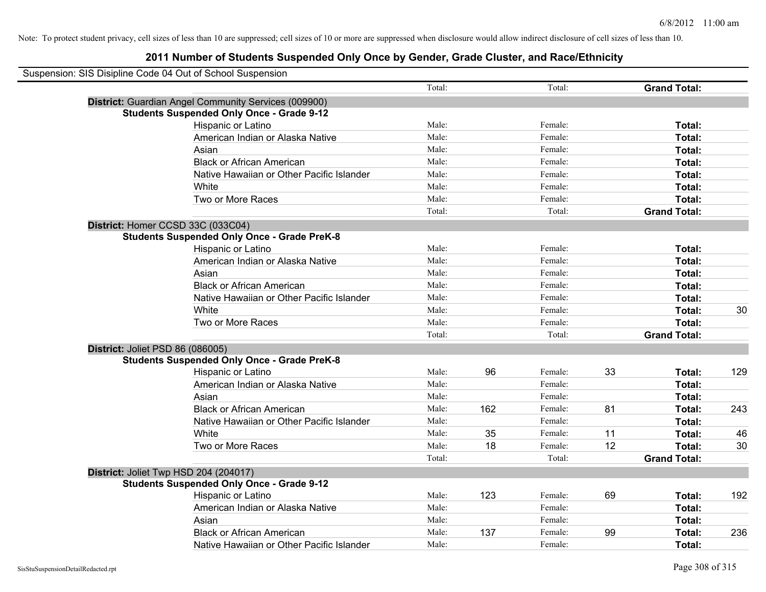| Suspension: SIS Disipline Code 04 Out of School Suspension |                                                      |        |     |         |    |                     |     |
|------------------------------------------------------------|------------------------------------------------------|--------|-----|---------|----|---------------------|-----|
|                                                            |                                                      | Total: |     | Total:  |    | <b>Grand Total:</b> |     |
|                                                            | District: Guardian Angel Community Services (009900) |        |     |         |    |                     |     |
|                                                            | <b>Students Suspended Only Once - Grade 9-12</b>     |        |     |         |    |                     |     |
|                                                            | Hispanic or Latino                                   | Male:  |     | Female: |    | Total:              |     |
|                                                            | American Indian or Alaska Native                     | Male:  |     | Female: |    | Total:              |     |
|                                                            | Asian                                                | Male:  |     | Female: |    | Total:              |     |
|                                                            | <b>Black or African American</b>                     | Male:  |     | Female: |    | Total:              |     |
|                                                            | Native Hawaiian or Other Pacific Islander            | Male:  |     | Female: |    | Total:              |     |
|                                                            | White                                                | Male:  |     | Female: |    | Total:              |     |
|                                                            | Two or More Races                                    | Male:  |     | Female: |    | Total:              |     |
|                                                            |                                                      | Total: |     | Total:  |    | <b>Grand Total:</b> |     |
|                                                            | District: Homer CCSD 33C (033C04)                    |        |     |         |    |                     |     |
|                                                            | <b>Students Suspended Only Once - Grade PreK-8</b>   |        |     |         |    |                     |     |
|                                                            | Hispanic or Latino                                   | Male:  |     | Female: |    | Total:              |     |
|                                                            | American Indian or Alaska Native                     | Male:  |     | Female: |    | Total:              |     |
|                                                            | Asian                                                | Male:  |     | Female: |    | Total:              |     |
|                                                            | <b>Black or African American</b>                     | Male:  |     | Female: |    | Total:              |     |
|                                                            | Native Hawaiian or Other Pacific Islander            | Male:  |     | Female: |    | Total:              |     |
|                                                            | White                                                | Male:  |     | Female: |    | Total:              | 30  |
|                                                            | Two or More Races                                    | Male:  |     | Female: |    | Total:              |     |
|                                                            |                                                      | Total: |     | Total:  |    | <b>Grand Total:</b> |     |
| District: Joliet PSD 86 (086005)                           |                                                      |        |     |         |    |                     |     |
|                                                            | <b>Students Suspended Only Once - Grade PreK-8</b>   |        |     |         |    |                     |     |
|                                                            | Hispanic or Latino                                   | Male:  | 96  | Female: | 33 | Total:              | 129 |
|                                                            | American Indian or Alaska Native                     | Male:  |     | Female: |    | Total:              |     |
|                                                            | Asian                                                | Male:  |     | Female: |    | Total:              |     |
|                                                            | <b>Black or African American</b>                     | Male:  | 162 | Female: | 81 | Total:              | 243 |
|                                                            | Native Hawaiian or Other Pacific Islander            | Male:  |     | Female: |    | Total:              |     |
|                                                            | White                                                | Male:  | 35  | Female: | 11 | Total:              | 46  |
|                                                            | Two or More Races                                    | Male:  | 18  | Female: | 12 | Total:              | 30  |
|                                                            |                                                      | Total: |     | Total:  |    | <b>Grand Total:</b> |     |
|                                                            | District: Joliet Twp HSD 204 (204017)                |        |     |         |    |                     |     |
|                                                            | <b>Students Suspended Only Once - Grade 9-12</b>     |        |     |         |    |                     |     |
|                                                            | Hispanic or Latino                                   | Male:  | 123 | Female: | 69 | Total:              | 192 |
|                                                            | American Indian or Alaska Native                     | Male:  |     | Female: |    | <b>Total:</b>       |     |
|                                                            | Asian                                                | Male:  |     | Female: |    | Total:              |     |
|                                                            | <b>Black or African American</b>                     | Male:  | 137 | Female: | 99 | Total:              | 236 |
|                                                            | Native Hawaiian or Other Pacific Islander            | Male:  |     | Female: |    | Total:              |     |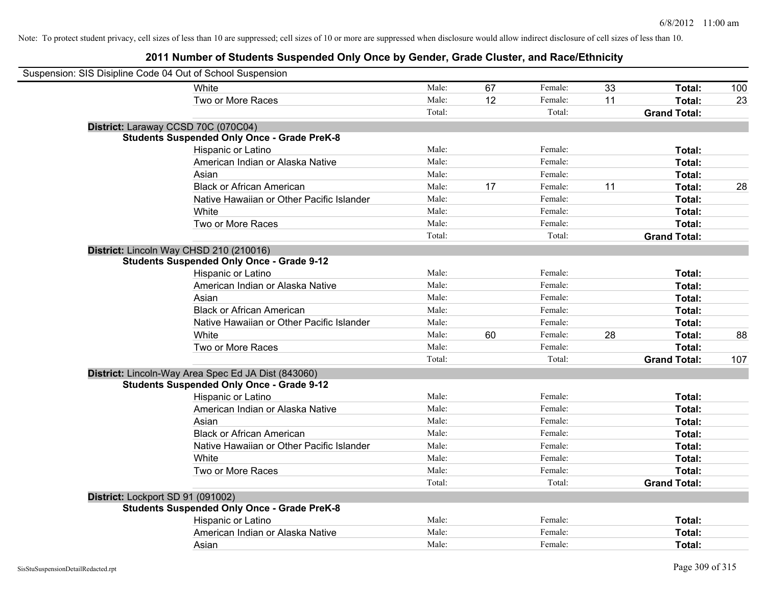| Suspension: SIS Disipline Code 04 Out of School Suspension |                                                     |        |    |         |    |                     |     |
|------------------------------------------------------------|-----------------------------------------------------|--------|----|---------|----|---------------------|-----|
|                                                            | White                                               | Male:  | 67 | Female: | 33 | Total:              | 100 |
|                                                            | Two or More Races                                   | Male:  | 12 | Female: | 11 | Total:              | 23  |
|                                                            |                                                     | Total: |    | Total:  |    | <b>Grand Total:</b> |     |
| District: Laraway CCSD 70C (070C04)                        |                                                     |        |    |         |    |                     |     |
|                                                            | <b>Students Suspended Only Once - Grade PreK-8</b>  |        |    |         |    |                     |     |
|                                                            | Hispanic or Latino                                  | Male:  |    | Female: |    | Total:              |     |
|                                                            | American Indian or Alaska Native                    | Male:  |    | Female: |    | Total:              |     |
|                                                            | Asian                                               | Male:  |    | Female: |    | Total:              |     |
|                                                            | <b>Black or African American</b>                    | Male:  | 17 | Female: | 11 | Total:              | 28  |
|                                                            | Native Hawaiian or Other Pacific Islander           | Male:  |    | Female: |    | Total:              |     |
|                                                            | White                                               | Male:  |    | Female: |    | Total:              |     |
|                                                            | Two or More Races                                   | Male:  |    | Female: |    | Total:              |     |
|                                                            |                                                     | Total: |    | Total:  |    | <b>Grand Total:</b> |     |
| District: Lincoln Way CHSD 210 (210016)                    |                                                     |        |    |         |    |                     |     |
|                                                            | <b>Students Suspended Only Once - Grade 9-12</b>    |        |    |         |    |                     |     |
|                                                            | Hispanic or Latino                                  | Male:  |    | Female: |    | Total:              |     |
|                                                            | American Indian or Alaska Native                    | Male:  |    | Female: |    | Total:              |     |
|                                                            | Asian                                               | Male:  |    | Female: |    | Total:              |     |
|                                                            | <b>Black or African American</b>                    | Male:  |    | Female: |    | Total:              |     |
|                                                            | Native Hawaiian or Other Pacific Islander           | Male:  |    | Female: |    | Total:              |     |
|                                                            | White                                               | Male:  | 60 | Female: | 28 | Total:              | 88  |
|                                                            | Two or More Races                                   | Male:  |    | Female: |    | Total:              |     |
|                                                            |                                                     | Total: |    | Total:  |    | <b>Grand Total:</b> | 107 |
|                                                            | District: Lincoln-Way Area Spec Ed JA Dist (843060) |        |    |         |    |                     |     |
|                                                            | <b>Students Suspended Only Once - Grade 9-12</b>    |        |    |         |    |                     |     |
|                                                            | Hispanic or Latino                                  | Male:  |    | Female: |    | Total:              |     |
|                                                            | American Indian or Alaska Native                    | Male:  |    | Female: |    | Total:              |     |
|                                                            | Asian                                               | Male:  |    | Female: |    | Total:              |     |
|                                                            | <b>Black or African American</b>                    | Male:  |    | Female: |    | Total:              |     |
|                                                            | Native Hawaiian or Other Pacific Islander           | Male:  |    | Female: |    | Total:              |     |
|                                                            | White                                               | Male:  |    | Female: |    | Total:              |     |
|                                                            | Two or More Races                                   | Male:  |    | Female: |    | Total:              |     |
|                                                            |                                                     | Total: |    | Total:  |    | <b>Grand Total:</b> |     |
| District: Lockport SD 91 (091002)                          |                                                     |        |    |         |    |                     |     |
|                                                            | <b>Students Suspended Only Once - Grade PreK-8</b>  |        |    |         |    |                     |     |
|                                                            | Hispanic or Latino                                  | Male:  |    | Female: |    | Total:              |     |
|                                                            | American Indian or Alaska Native                    | Male:  |    | Female: |    | Total:              |     |
|                                                            | Asian                                               | Male:  |    | Female: |    | Total:              |     |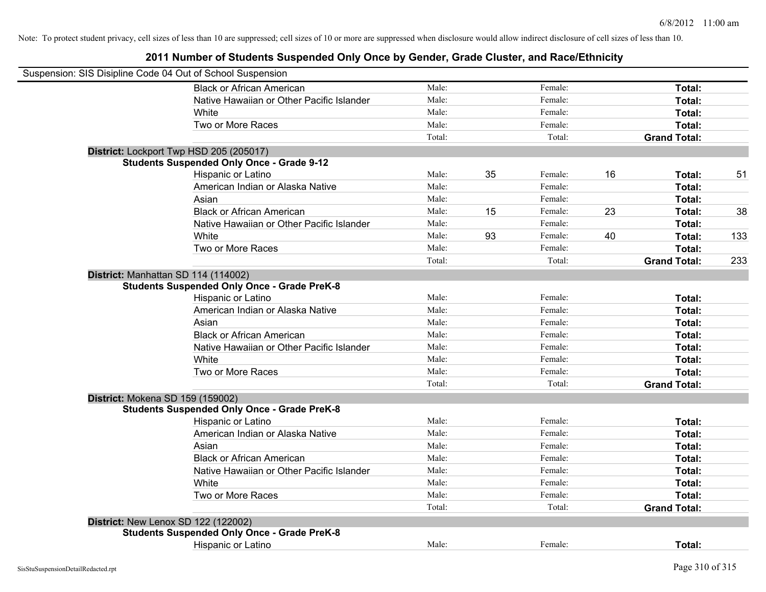| Suspension: SIS Disipline Code 04 Out of School Suspension |                                                    |        |    |         |    |                     |     |
|------------------------------------------------------------|----------------------------------------------------|--------|----|---------|----|---------------------|-----|
|                                                            | <b>Black or African American</b>                   | Male:  |    | Female: |    | Total:              |     |
|                                                            | Native Hawaiian or Other Pacific Islander          | Male:  |    | Female: |    | Total:              |     |
|                                                            | White                                              | Male:  |    | Female: |    | Total:              |     |
|                                                            | Two or More Races                                  | Male:  |    | Female: |    | Total:              |     |
|                                                            |                                                    | Total: |    | Total:  |    | <b>Grand Total:</b> |     |
|                                                            | District: Lockport Twp HSD 205 (205017)            |        |    |         |    |                     |     |
|                                                            | <b>Students Suspended Only Once - Grade 9-12</b>   |        |    |         |    |                     |     |
|                                                            | Hispanic or Latino                                 | Male:  | 35 | Female: | 16 | Total:              | 51  |
|                                                            | American Indian or Alaska Native                   | Male:  |    | Female: |    | Total:              |     |
|                                                            | Asian                                              | Male:  |    | Female: |    | Total:              |     |
|                                                            | <b>Black or African American</b>                   | Male:  | 15 | Female: | 23 | Total:              | 38  |
|                                                            | Native Hawaiian or Other Pacific Islander          | Male:  |    | Female: |    | Total:              |     |
|                                                            | White                                              | Male:  | 93 | Female: | 40 | Total:              | 133 |
|                                                            | Two or More Races                                  | Male:  |    | Female: |    | Total:              |     |
|                                                            |                                                    | Total: |    | Total:  |    | <b>Grand Total:</b> | 233 |
|                                                            | District: Manhattan SD 114 (114002)                |        |    |         |    |                     |     |
|                                                            | <b>Students Suspended Only Once - Grade PreK-8</b> |        |    |         |    |                     |     |
|                                                            | Hispanic or Latino                                 | Male:  |    | Female: |    | Total:              |     |
|                                                            | American Indian or Alaska Native                   | Male:  |    | Female: |    | Total:              |     |
|                                                            | Asian                                              | Male:  |    | Female: |    | Total:              |     |
|                                                            | <b>Black or African American</b>                   | Male:  |    | Female: |    | Total:              |     |
|                                                            | Native Hawaiian or Other Pacific Islander          | Male:  |    | Female: |    | Total:              |     |
|                                                            | White                                              | Male:  |    | Female: |    | Total:              |     |
|                                                            | Two or More Races                                  | Male:  |    | Female: |    | Total:              |     |
|                                                            |                                                    | Total: |    | Total:  |    | <b>Grand Total:</b> |     |
| District: Mokena SD 159 (159002)                           |                                                    |        |    |         |    |                     |     |
|                                                            | <b>Students Suspended Only Once - Grade PreK-8</b> |        |    |         |    |                     |     |
|                                                            | Hispanic or Latino                                 | Male:  |    | Female: |    | Total:              |     |
|                                                            | American Indian or Alaska Native                   | Male:  |    | Female: |    | Total:              |     |
|                                                            | Asian                                              | Male:  |    | Female: |    | Total:              |     |
|                                                            | <b>Black or African American</b>                   | Male:  |    | Female: |    | Total:              |     |
|                                                            | Native Hawaiian or Other Pacific Islander          | Male:  |    | Female: |    | Total:              |     |
|                                                            | White                                              | Male:  |    | Female: |    | Total:              |     |
|                                                            | Two or More Races                                  | Male:  |    | Female: |    | Total:              |     |
|                                                            |                                                    | Total: |    | Total:  |    | <b>Grand Total:</b> |     |
|                                                            | <b>District: New Lenox SD 122 (122002)</b>         |        |    |         |    |                     |     |
|                                                            | <b>Students Suspended Only Once - Grade PreK-8</b> |        |    |         |    |                     |     |
|                                                            | <b>Hispanic or Latino</b>                          | Male:  |    | Female: |    | Total:              |     |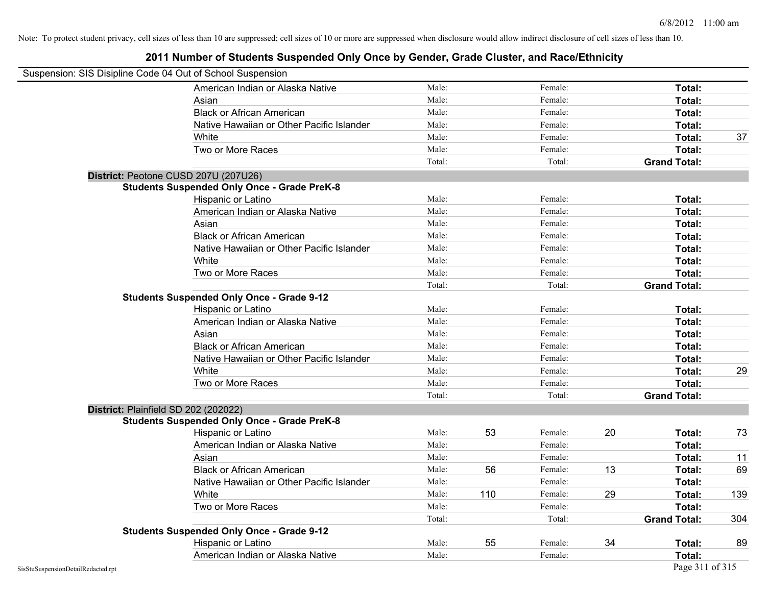| Suspension: SIS Disipline Code 04 Out of School Suspension |                                                    |        |     |         |    |                     |     |
|------------------------------------------------------------|----------------------------------------------------|--------|-----|---------|----|---------------------|-----|
|                                                            | American Indian or Alaska Native                   | Male:  |     | Female: |    | Total:              |     |
|                                                            | Asian                                              | Male:  |     | Female: |    | Total:              |     |
|                                                            | <b>Black or African American</b>                   | Male:  |     | Female: |    | Total:              |     |
|                                                            | Native Hawaiian or Other Pacific Islander          | Male:  |     | Female: |    | Total:              |     |
|                                                            | White                                              | Male:  |     | Female: |    | Total:              | 37  |
|                                                            | Two or More Races                                  | Male:  |     | Female: |    | Total:              |     |
|                                                            |                                                    | Total: |     | Total:  |    | <b>Grand Total:</b> |     |
|                                                            | District: Peotone CUSD 207U (207U26)               |        |     |         |    |                     |     |
|                                                            | <b>Students Suspended Only Once - Grade PreK-8</b> |        |     |         |    |                     |     |
|                                                            | Hispanic or Latino                                 | Male:  |     | Female: |    | Total:              |     |
|                                                            | American Indian or Alaska Native                   | Male:  |     | Female: |    | Total:              |     |
|                                                            | Asian                                              | Male:  |     | Female: |    | Total:              |     |
|                                                            | <b>Black or African American</b>                   | Male:  |     | Female: |    | Total:              |     |
|                                                            | Native Hawaiian or Other Pacific Islander          | Male:  |     | Female: |    | Total:              |     |
|                                                            | White                                              | Male:  |     | Female: |    | Total:              |     |
|                                                            | Two or More Races                                  | Male:  |     | Female: |    | Total:              |     |
|                                                            |                                                    | Total: |     | Total:  |    | <b>Grand Total:</b> |     |
|                                                            | <b>Students Suspended Only Once - Grade 9-12</b>   |        |     |         |    |                     |     |
|                                                            | Hispanic or Latino                                 | Male:  |     | Female: |    | Total:              |     |
|                                                            | American Indian or Alaska Native                   | Male:  |     | Female: |    | Total:              |     |
|                                                            | Asian                                              | Male:  |     | Female: |    | Total:              |     |
|                                                            | <b>Black or African American</b>                   | Male:  |     | Female: |    | Total:              |     |
|                                                            | Native Hawaiian or Other Pacific Islander          | Male:  |     | Female: |    | Total:              |     |
|                                                            | White                                              | Male:  |     | Female: |    | Total:              | 29  |
|                                                            | Two or More Races                                  | Male:  |     | Female: |    | Total:              |     |
|                                                            |                                                    | Total: |     | Total:  |    | <b>Grand Total:</b> |     |
|                                                            | District: Plainfield SD 202 (202022)               |        |     |         |    |                     |     |
|                                                            | <b>Students Suspended Only Once - Grade PreK-8</b> |        |     |         |    |                     |     |
|                                                            | Hispanic or Latino                                 | Male:  | 53  | Female: | 20 | Total:              | 73  |
|                                                            | American Indian or Alaska Native                   | Male:  |     | Female: |    | Total:              |     |
|                                                            | Asian                                              | Male:  |     | Female: |    | Total:              | 11  |
|                                                            | <b>Black or African American</b>                   | Male:  | 56  | Female: | 13 | Total:              | 69  |
|                                                            | Native Hawaiian or Other Pacific Islander          | Male:  |     | Female: |    | Total:              |     |
|                                                            | White                                              | Male:  | 110 | Female: | 29 | Total:              | 139 |
|                                                            | Two or More Races                                  | Male:  |     | Female: |    | Total:              |     |
|                                                            |                                                    | Total: |     | Total:  |    | <b>Grand Total:</b> | 304 |
|                                                            | <b>Students Suspended Only Once - Grade 9-12</b>   |        |     |         |    |                     |     |
|                                                            | Hispanic or Latino                                 | Male:  | 55  | Female: | 34 | Total:              | 89  |
|                                                            | American Indian or Alaska Native                   | Male:  |     | Female: |    | Total:              |     |
| SisStuSuspensionDetailRedacted.rpt                         |                                                    |        |     |         |    | Page 311 of 315     |     |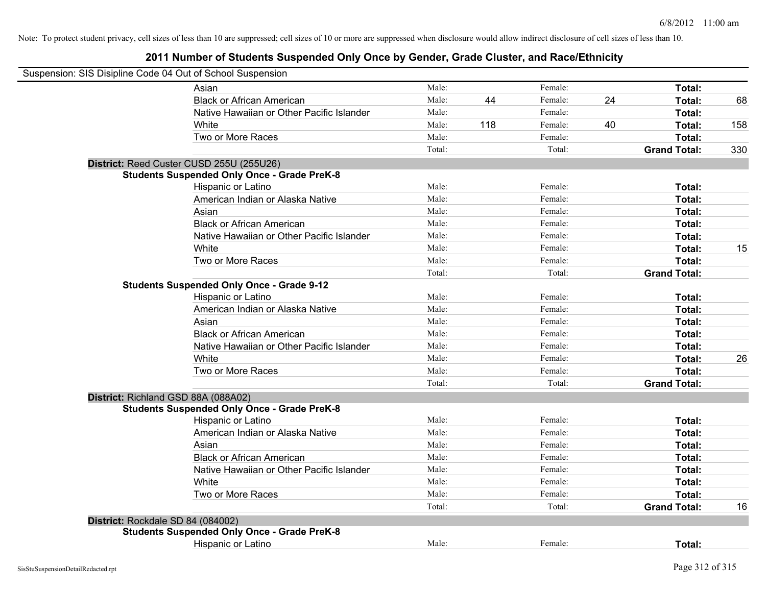| Suspension: SIS Disipline Code 04 Out of School Suspension |                                                    |        |     |         |    |                     |     |
|------------------------------------------------------------|----------------------------------------------------|--------|-----|---------|----|---------------------|-----|
|                                                            | Asian                                              | Male:  |     | Female: |    | Total:              |     |
|                                                            | <b>Black or African American</b>                   | Male:  | 44  | Female: | 24 | Total:              | 68  |
|                                                            | Native Hawaiian or Other Pacific Islander          | Male:  |     | Female: |    | Total:              |     |
|                                                            | White                                              | Male:  | 118 | Female: | 40 | Total:              | 158 |
|                                                            | Two or More Races                                  | Male:  |     | Female: |    | Total:              |     |
|                                                            |                                                    | Total: |     | Total:  |    | <b>Grand Total:</b> | 330 |
|                                                            | District: Reed Custer CUSD 255U (255U26)           |        |     |         |    |                     |     |
|                                                            | <b>Students Suspended Only Once - Grade PreK-8</b> |        |     |         |    |                     |     |
|                                                            | Hispanic or Latino                                 | Male:  |     | Female: |    | Total:              |     |
|                                                            | American Indian or Alaska Native                   | Male:  |     | Female: |    | Total:              |     |
|                                                            | Asian                                              | Male:  |     | Female: |    | Total:              |     |
|                                                            | <b>Black or African American</b>                   | Male:  |     | Female: |    | Total:              |     |
|                                                            | Native Hawaiian or Other Pacific Islander          | Male:  |     | Female: |    | Total:              |     |
|                                                            | White                                              | Male:  |     | Female: |    | Total:              | 15  |
|                                                            | Two or More Races                                  | Male:  |     | Female: |    | Total:              |     |
|                                                            |                                                    | Total: |     | Total:  |    | <b>Grand Total:</b> |     |
|                                                            | <b>Students Suspended Only Once - Grade 9-12</b>   |        |     |         |    |                     |     |
|                                                            | Hispanic or Latino                                 | Male:  |     | Female: |    | Total:              |     |
|                                                            | American Indian or Alaska Native                   | Male:  |     | Female: |    | Total:              |     |
|                                                            | Asian                                              | Male:  |     | Female: |    | Total:              |     |
|                                                            | <b>Black or African American</b>                   | Male:  |     | Female: |    | Total:              |     |
|                                                            | Native Hawaiian or Other Pacific Islander          | Male:  |     | Female: |    | Total:              |     |
|                                                            | White                                              | Male:  |     | Female: |    | Total:              | 26  |
|                                                            | Two or More Races                                  | Male:  |     | Female: |    | Total:              |     |
|                                                            |                                                    | Total: |     | Total:  |    | <b>Grand Total:</b> |     |
| District: Richland GSD 88A (088A02)                        |                                                    |        |     |         |    |                     |     |
|                                                            | <b>Students Suspended Only Once - Grade PreK-8</b> |        |     |         |    |                     |     |
|                                                            | Hispanic or Latino                                 | Male:  |     | Female: |    | Total:              |     |
|                                                            | American Indian or Alaska Native                   | Male:  |     | Female: |    | Total:              |     |
|                                                            | Asian                                              | Male:  |     | Female: |    | Total:              |     |
|                                                            | <b>Black or African American</b>                   | Male:  |     | Female: |    | Total:              |     |
|                                                            | Native Hawaiian or Other Pacific Islander          | Male:  |     | Female: |    | Total:              |     |
|                                                            | White                                              | Male:  |     | Female: |    | Total:              |     |
|                                                            | Two or More Races                                  | Male:  |     | Female: |    | Total:              |     |
|                                                            |                                                    | Total: |     | Total:  |    | <b>Grand Total:</b> | 16  |
| District: Rockdale SD 84 (084002)                          |                                                    |        |     |         |    |                     |     |
|                                                            | <b>Students Suspended Only Once - Grade PreK-8</b> |        |     |         |    |                     |     |
|                                                            | Hispanic or Latino                                 | Male:  |     | Female: |    | Total:              |     |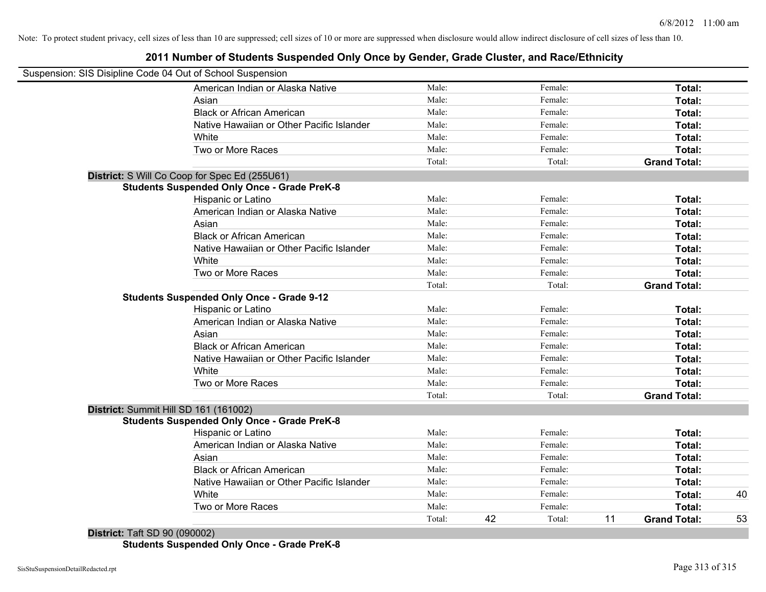# **2011 Number of Students Suspended Only Once by Gender, Grade Cluster, and Race/Ethnicity**

|            | Suspension: SIS Disipline Code 04 Out of School Suspension |        |    |         |    |                     |    |
|------------|------------------------------------------------------------|--------|----|---------|----|---------------------|----|
|            | American Indian or Alaska Native                           | Male:  |    | Female: |    | Total:              |    |
|            | Asian                                                      | Male:  |    | Female: |    | Total:              |    |
|            | <b>Black or African American</b>                           | Male:  |    | Female: |    | Total:              |    |
|            | Native Hawaiian or Other Pacific Islander                  | Male:  |    | Female: |    | Total:              |    |
|            | White                                                      | Male:  |    | Female: |    | Total:              |    |
|            | Two or More Races                                          | Male:  |    | Female: |    | Total:              |    |
|            |                                                            | Total: |    | Total:  |    | <b>Grand Total:</b> |    |
|            | District: S Will Co Coop for Spec Ed (255U61)              |        |    |         |    |                     |    |
|            | <b>Students Suspended Only Once - Grade PreK-8</b>         |        |    |         |    |                     |    |
|            | Hispanic or Latino                                         | Male:  |    | Female: |    | Total:              |    |
|            | American Indian or Alaska Native                           | Male:  |    | Female: |    | Total:              |    |
|            | Asian                                                      | Male:  |    | Female: |    | Total:              |    |
|            | <b>Black or African American</b>                           | Male:  |    | Female: |    | Total:              |    |
|            | Native Hawaiian or Other Pacific Islander                  | Male:  |    | Female: |    | Total:              |    |
|            | White                                                      | Male:  |    | Female: |    | Total:              |    |
|            | Two or More Races                                          | Male:  |    | Female: |    | Total:              |    |
|            |                                                            | Total: |    | Total:  |    | <b>Grand Total:</b> |    |
|            | <b>Students Suspended Only Once - Grade 9-12</b>           |        |    |         |    |                     |    |
|            | Hispanic or Latino                                         | Male:  |    | Female: |    | Total:              |    |
|            | American Indian or Alaska Native                           | Male:  |    | Female: |    | Total:              |    |
|            | Asian                                                      | Male:  |    | Female: |    | Total:              |    |
|            | <b>Black or African American</b>                           | Male:  |    | Female: |    | Total:              |    |
|            | Native Hawaiian or Other Pacific Islander                  | Male:  |    | Female: |    | Total:              |    |
|            | White                                                      | Male:  |    | Female: |    | Total:              |    |
|            | Two or More Races                                          | Male:  |    | Female: |    | Total:              |    |
|            |                                                            | Total: |    | Total:  |    | <b>Grand Total:</b> |    |
|            | District: Summit Hill SD 161 (161002)                      |        |    |         |    |                     |    |
|            | <b>Students Suspended Only Once - Grade PreK-8</b>         |        |    |         |    |                     |    |
|            | <b>Hispanic or Latino</b>                                  | Male:  |    | Female: |    | Total:              |    |
|            | American Indian or Alaska Native                           | Male:  |    | Female: |    | Total:              |    |
|            | Asian                                                      | Male:  |    | Female: |    | Total:              |    |
|            | <b>Black or African American</b>                           | Male:  |    | Female: |    | Total:              |    |
|            | Native Hawaiian or Other Pacific Islander                  | Male:  |    | Female: |    | Total:              |    |
|            | White                                                      | Male:  |    | Female: |    | Total:              | 40 |
|            | Two or More Races                                          | Male:  |    | Female: |    | Total:              |    |
|            |                                                            | Total: | 42 | Total:  | 11 | <b>Grand Total:</b> | 53 |
| . <b>.</b> |                                                            |        |    |         |    |                     |    |

**District:** Taft SD 90 (090002) **Students Suspended Only Once - Grade PreK-8**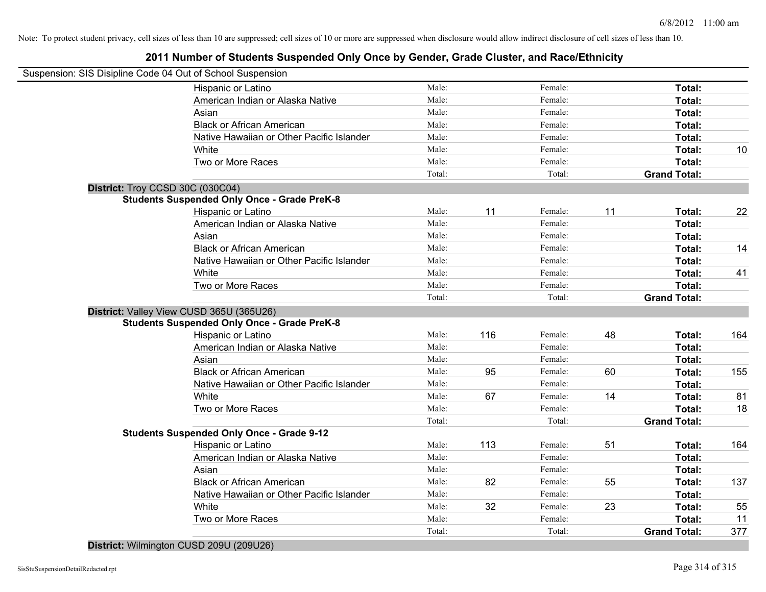# **2011 Number of Students Suspended Only Once by Gender, Grade Cluster, and Race/Ethnicity**

| Suspension: SIS Disipline Code 04 Out of School Suspension |                 |     |                   |    |                     |     |
|------------------------------------------------------------|-----------------|-----|-------------------|----|---------------------|-----|
| Hispanic or Latino                                         | Male:           |     | Female:           |    | Total:              |     |
| American Indian or Alaska Native                           | Male:           |     | Female:           |    | Total:              |     |
| Asian                                                      | Male:           |     | Female:           |    | Total:              |     |
| <b>Black or African American</b>                           | Male:           |     | Female:           |    | Total:              |     |
| Native Hawaiian or Other Pacific Islander                  | Male:           |     | Female:           |    | Total:              |     |
| White                                                      | Male:           |     | Female:           |    | Total:              | 10  |
| Two or More Races                                          | Male:           |     | Female:           |    | <b>Total:</b>       |     |
|                                                            | Total:          |     | Total:            |    | <b>Grand Total:</b> |     |
| District: Troy CCSD 30C (030C04)                           |                 |     |                   |    |                     |     |
| <b>Students Suspended Only Once - Grade PreK-8</b>         |                 |     |                   |    |                     |     |
| Hispanic or Latino                                         | Male:           | 11  | Female:           | 11 | Total:              | 22  |
| American Indian or Alaska Native                           | Male:           |     | Female:           |    | Total:              |     |
| Asian                                                      | Male:           |     | Female:           |    | Total:              |     |
| <b>Black or African American</b>                           | Male:           |     | Female:           |    | Total:              | 14  |
| Native Hawaiian or Other Pacific Islander                  | Male:           |     | Female:           |    | <b>Total:</b>       |     |
| White                                                      | Male:           |     | Female:           |    | Total:              | 41  |
| Two or More Races                                          | Male:           |     | Female:           |    | Total:              |     |
|                                                            | Total:          |     | Total:            |    | <b>Grand Total:</b> |     |
| District: Valley View CUSD 365U (365U26)                   |                 |     |                   |    |                     |     |
| <b>Students Suspended Only Once - Grade PreK-8</b>         |                 |     |                   |    |                     |     |
| Hispanic or Latino                                         | Male:           | 116 | Female:           | 48 | Total:              | 164 |
| American Indian or Alaska Native                           | Male:           |     | Female:           |    | Total:              |     |
| Asian                                                      | Male:           |     | Female:           |    | Total:              |     |
| <b>Black or African American</b>                           | Male:           | 95  | Female:           | 60 | Total:              | 155 |
| Native Hawaiian or Other Pacific Islander                  | Male:           |     | Female:           |    | Total:              |     |
| White                                                      | Male:           | 67  | Female:           | 14 | <b>Total:</b>       | 81  |
| Two or More Races                                          | Male:           |     | Female:           |    | Total:              | 18  |
|                                                            | Total:          |     | Total:            |    | <b>Grand Total:</b> |     |
| <b>Students Suspended Only Once - Grade 9-12</b>           |                 |     |                   |    |                     |     |
| Hispanic or Latino                                         | Male:           | 113 | Female:           | 51 | Total:              | 164 |
| American Indian or Alaska Native                           | Male:           |     | Female:           |    | Total:              |     |
| Asian                                                      | Male:           |     | Female:           |    | Total:              |     |
| <b>Black or African American</b>                           | Male:           | 82  | Female:           | 55 | Total:              | 137 |
| Native Hawaiian or Other Pacific Islander                  | Male:           |     | Female:           |    | Total:              |     |
| White                                                      | Male:           | 32  | Female:           | 23 | Total:              | 55  |
| Two or More Races                                          | Male:<br>Total: |     | Female:<br>Total: |    | <b>Total:</b>       | 11  |
|                                                            |                 |     |                   |    | <b>Grand Total:</b> | 377 |

**District:** Wilmington CUSD 209U (209U26)